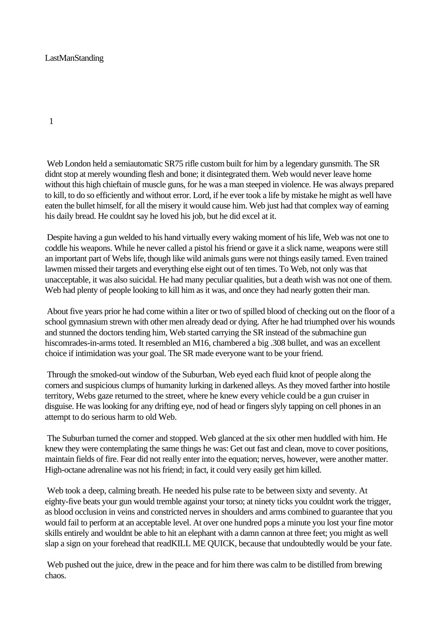## LastManStanding

1

Web London held a semiautomatic SR75 rifle custom built for him by a legendary gunsmith. The SR didnt stop at merely wounding flesh and bone; it disintegrated them. Web would never leave home without this high chieftain of muscle guns, for he was a man steeped in violence. He was always prepared to kill, to do so efficiently and without error. Lord, if he ever took a life by mistake he might as well have eaten the bullet himself, for all the misery it would cause him. Web just had that complex way of earning his daily bread. He couldnt say he loved his job, but he did excel at it.

 Despite having a gun welded to his hand virtually every waking moment of his life, Web was not one to coddle his weapons. While he never called a pistol his friend or gave it a slick name, weapons were still an important part of Webs life, though like wild animals guns were not things easily tamed. Even trained lawmen missed their targets and everything else eight out of ten times. To Web, not only was that unacceptable, it was also suicidal. He had many peculiar qualities, but a death wish was not one of them. Web had plenty of people looking to kill him as it was, and once they had nearly gotten their man.

 About five years prior he had come within a liter or two of spilled blood of checking out on the floor of a school gymnasium strewn with other men already dead or dying. After he had triumphed over his wounds and stunned the doctors tending him, Web started carrying the SR instead of the submachine gun hiscomrades-in-arms toted. It resembled an M16, chambered a big .308 bullet, and was an excellent choice if intimidation was your goal. The SR made everyone want to be your friend.

 Through the smoked-out window of the Suburban, Web eyed each fluid knot of people along the corners and suspicious clumps of humanity lurking in darkened alleys. As they moved farther into hostile territory, Webs gaze returned to the street, where he knew every vehicle could be a gun cruiser in disguise. He was looking for any drifting eye, nod of head or fingers slyly tapping on cell phones in an attempt to do serious harm to old Web.

 The Suburban turned the corner and stopped. Web glanced at the six other men huddled with him. He knew they were contemplating the same things he was: Get out fast and clean, move to cover positions, maintain fields of fire. Fear did not really enter into the equation; nerves, however, were another matter. High-octane adrenaline was not his friend; in fact, it could very easily get him killed.

Web took a deep, calming breath. He needed his pulse rate to be between sixty and seventy. At eighty-five beats your gun would tremble against your torso; at ninety ticks you couldnt work the trigger, as blood occlusion in veins and constricted nerves in shoulders and arms combined to guarantee that you would fail to perform at an acceptable level. At over one hundred pops a minute you lost your fine motor skills entirely and wouldnt be able to hit an elephant with a damn cannon at three feet; you might as well slap a sign on your forehead that readKILL ME QUICK, because that undoubtedly would be your fate.

Web pushed out the juice, drew in the peace and for him there was calm to be distilled from brewing chaos.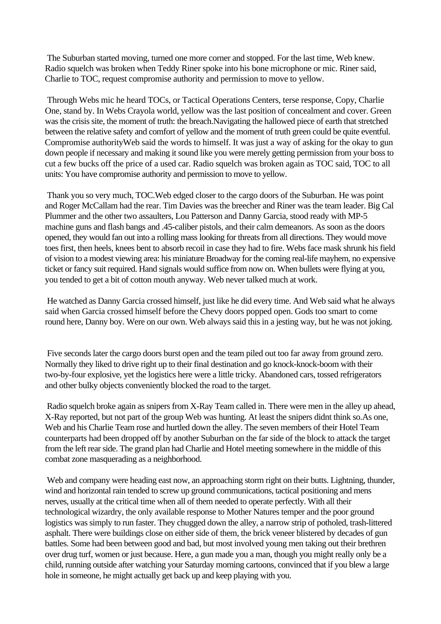The Suburban started moving, turned one more corner and stopped. For the last time, Web knew. Radio squelch was broken when Teddy Riner spoke into his bone microphone or mic. Riner said, Charlie to TOC, request compromise authority and permission to move to yellow.

 Through Webs mic he heard TOCs, or Tactical Operations Centers, terse response, Copy, Charlie One, stand by. In Webs Crayola world, yellow was the last position of concealment and cover. Green was the crisis site, the moment of truth: the breach.Navigating the hallowed piece of earth that stretched between the relative safety and comfort of yellow and the moment of truth green could be quite eventful. Compromise authority Web said the words to himself. It was just a way of asking for the okay to gun down people if necessary and making it sound like you were merely getting permission from your boss to cut a few bucks off the price of a used car. Radio squelch was broken again as TOC said, TOC to all units: You have compromise authority and permission to move to yellow.

 Thank you so very much, TOC.Web edged closer to the cargo doors of the Suburban. He was point and Roger McCallam had the rear. Tim Davies was the breecher and Riner was the team leader. Big Cal Plummer and the other two assaulters, Lou Patterson and Danny Garcia, stood ready with MP-5 machine guns and flash bangs and .45-caliber pistols, and their calm demeanors. As soon as the doors opened, they would fan out into a rolling mass looking for threats from all directions. They would move toes first, then heels, knees bent to absorb recoil in case they had to fire. Webs face mask shrunk his field of vision to a modest viewing area: his miniature Broadway for the coming real-life mayhem, no expensive ticket or fancy suit required. Hand signals would suffice from now on. When bullets were flying at you, you tended to get a bit of cotton mouth anyway. Web never talked much at work.

 He watched as Danny Garcia crossed himself, just like he did every time. And Web said what he always said when Garcia crossed himself before the Chevy doors popped open. Gods too smart to come round here, Danny boy. Were on our own. Web always said this in a jesting way, but he was not joking.

 Five seconds later the cargo doors burst open and the team piled out too far away from ground zero. Normally they liked to drive right up to their final destination and go knock-knock-boom with their two-by-four explosive, yet the logistics here were a little tricky. Abandoned cars, tossed refrigerators and other bulky objects conveniently blocked the road to the target.

 Radio squelch broke again as snipers from X-Ray Team called in. There were men in the alley up ahead, X-Ray reported, but not part of the group Web was hunting. At least the snipers didnt think so.As one, Web and his Charlie Team rose and hurtled down the alley. The seven members of their Hotel Team counterparts had been dropped off by another Suburban on the far side of the block to attack the target from the left rear side. The grand plan had Charlie and Hotel meeting somewhere in the middle of this combat zone masquerading as a neighborhood.

 Web and company were heading east now, an approaching storm right on their butts. Lightning, thunder, wind and horizontal rain tended to screw up ground communications, tactical positioning and mens nerves, usually at the critical time when all of them needed to operate perfectly. With all their technological wizardry, the only available response to Mother Natures temper and the poor ground logistics was simply to run faster. They chugged down the alley, a narrow strip of potholed, trash-littered asphalt. There were buildings close on either side of them, the brick veneer blistered by decades of gun battles. Some had been between good and bad, but most involved young men taking out their brethren over drug turf, women or just because. Here, a gun made you a man, though you might really only be a child, running outside after watching your Saturday morning cartoons, convinced that if you blew a large hole in someone, he might actually get back up and keep playing with you.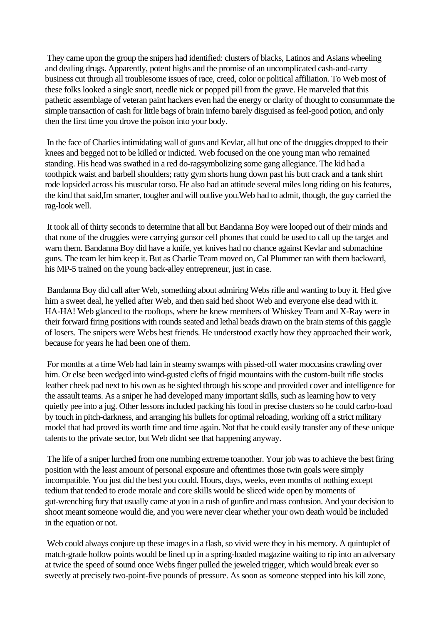They came upon the group the snipers had identified: clusters of blacks, Latinos and Asians wheeling and dealing drugs. Apparently, potent highs and the promise of an uncomplicated cash-and-carry business cut through all troublesome issues of race, creed, color or political affiliation. To Web most of these folks looked a single snort, needle nick or popped pill from the grave. He marveled that this pathetic assemblage of veteran paint hackers even had the energy or clarity of thought to consummate the simple transaction of cash for little bags of brain inferno barely disguised as feel-good potion, and only then the first time you drove the poison into your body.

 In the face of Charlies intimidating wall of guns and Kevlar, all but one of the druggies dropped to their knees and begged not to be killed or indicted. Web focused on the one young man who remained standing. His head was swathed in a red do-ragsymbolizing some gang allegiance. The kid had a toothpick waist and barbell shoulders; ratty gym shorts hung down past his butt crack and a tank shirt rode lopsided across his muscular torso. He also had an attitude several miles long riding on his features, the kind that said,Im smarter, tougher and will outlive you.Web had to admit, though, the guy carried the rag-look well.

 It took all of thirty seconds to determine that all but Bandanna Boy were looped out of their minds and that none of the druggies were carrying guns or cell phones that could be used to call up the target and warn them. Bandanna Boy did have a knife, yet knives had no chance against Kevlar and submachine guns. The team let him keep it. But as Charlie Team moved on, Cal Plummer ran with them backward, his MP-5 trained on the young back-alley entrepreneur, just in case.

 Bandanna Boy did call after Web, something about admiring Webs rifle and wanting to buy it. Hed give him a sweet deal, he yelled after Web, and then said hed shoot Web and everyone else dead with it. HA-HA! Web glanced to the rooftops, where he knew members of Whiskey Team and X-Ray were in their forward firing positions with rounds seated and lethal beads drawn on the brain stems of this gaggle of losers. The snipers were Webs best friends. He understood exactly how they approached their work, because for years he had been one of them.

 For months at a time Web had lain in steamy swamps with pissed-off water moccasins crawling over him. Or else been wedged into wind-gusted clefts of frigid mountains with the custom-built rifle stocks leather cheek pad next to his own as he sighted through his scope and provided cover and intelligence for the assault teams. As a sniper he had developed many important skills, such as learning how to very quietly pee into a jug. Other lessons included packing his food in precise clusters so he could carbo-load by touch in pitch-darkness, and arranging his bullets for optimal reloading, working off a strict military model that had proved its worth time and time again. Not that he could easily transfer any of these unique talents to the private sector, but Web didnt see that happening anyway.

 The life of a sniper lurched from one numbing extreme toanother. Your job was to achieve the best firing position with the least amount of personal exposure and oftentimes those twin goals were simply incompatible. You just did the best you could. Hours, days, weeks, even months of nothing except tedium that tended to erode morale and core skills would be sliced wide open by moments of gut-wrenching fury that usually came at you in a rush of gunfire and mass confusion. And your decision to shoot meant someone would die, and you were never clear whether your own death would be included in the equation or not.

 Web could always conjure up these images in a flash, so vivid were they in his memory. A quintuplet of match-grade hollow points would be lined up in a spring-loaded magazine waiting to rip into an adversary at twice the speed of sound once Webs finger pulled the jeweled trigger, which would break ever so sweetly at precisely two-point-five pounds of pressure. As soon as someone stepped into his kill zone,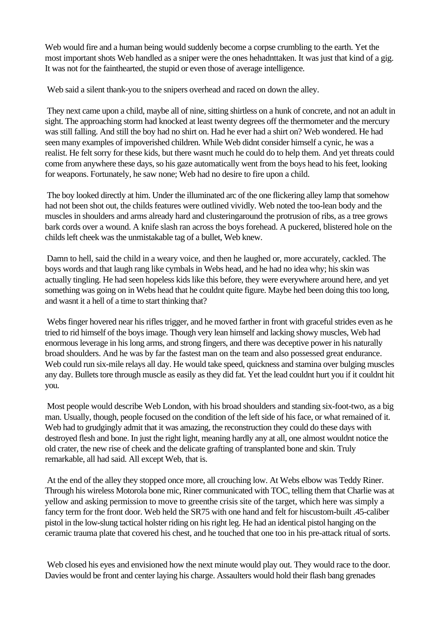Web would fire and a human being would suddenly become a corpse crumbling to the earth. Yet the most important shots Web handled as a sniper were the ones hehadnttaken. It was just that kind of a gig. It was not for the fainthearted, the stupid or even those of average intelligence.

Web said a silent thank-you to the snipers overhead and raced on down the alley.

 They next came upon a child, maybe all of nine, sitting shirtless on a hunk of concrete, and not an adult in sight. The approaching storm had knocked at least twenty degrees off the thermometer and the mercury was still falling. And still the boy had no shirt on. Had he ever had a shirt on? Web wondered. He had seen many examples of impoverished children. While Web didnt consider himself a cynic, he was a realist. He felt sorry for these kids, but there wasnt much he could do to help them. And yet threats could come from anywhere these days, so his gaze automatically went from the boys head to his feet, looking for weapons. Fortunately, he saw none; Web had no desire to fire upon a child.

 The boy looked directly at him. Under the illuminated arc of the one flickering alley lamp that somehow had not been shot out, the childs features were outlined vividly. Web noted the too-lean body and the muscles in shoulders and arms already hard and clusteringaround the protrusion of ribs, as a tree grows bark cords over a wound. A knife slash ran across the boys forehead. A puckered, blistered hole on the childs left cheek was the unmistakable tag of a bullet, Web knew.

 Damn to hell, said the child in a weary voice, and then he laughed or, more accurately, cackled. The boys words and that laugh rang like cymbals in Webs head, and he had no idea why; his skin was actually tingling. He had seen hopeless kids like this before, they were everywhere around here, and yet something was going on in Webs head that he couldnt quite figure. Maybe hed been doing this too long, and wasnt it a hell of a time to start thinking that?

 Webs finger hovered near his rifles trigger, and he moved farther in front with graceful strides even as he tried to rid himself of the boys image. Though very lean himself and lacking showy muscles, Web had enormous leverage in his long arms, and strong fingers, and there was deceptive power in his naturally broad shoulders. And he was by far the fastest man on the team and also possessed great endurance. Web could run six-mile relays all day. He would take speed, quickness and stamina over bulging muscles any day. Bullets tore through muscle as easily as they did fat. Yet the lead couldnt hurt you if it couldnt hit you.

 Most people would describe Web London, with his broad shoulders and standing six-foot-two, as a big man. Usually, though, people focused on the condition of the left side of his face, or what remained of it. Web had to grudgingly admit that it was amazing, the reconstruction they could do these days with destroyed flesh and bone. In just the right light, meaning hardly any at all, one almost wouldnt notice the old crater, the new rise of cheek and the delicate grafting of transplanted bone and skin. Truly remarkable, all had said. All except Web, that is.

 At the end of the alley they stopped once more, all crouching low. At Webs elbow was Teddy Riner. Through his wireless Motorola bone mic, Riner communicated with TOC, telling them that Charlie was at yellow and asking permission to move to green the crisis site of the target, which here was simply a fancy term for the front door. Web held the SR75 with one hand and felt for hiscustom-built .45-caliber pistol in the low-slung tactical holster riding on his right leg. He had an identical pistol hanging on the ceramic trauma plate that covered his chest, and he touched that one too in his pre-attack ritual of sorts.

Web closed his eyes and envisioned how the next minute would play out. They would race to the door. Davies would be front and center laying his charge. Assaulters would hold their flash bang grenades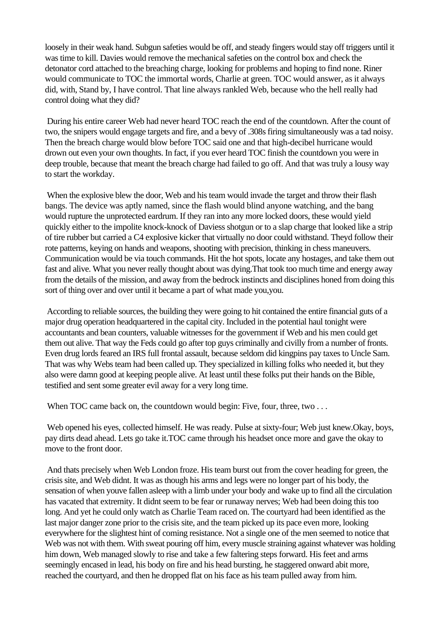loosely in their weak hand. Subgun safeties would be off, and steady fingers would stay off triggers until it was time to kill. Davies would remove the mechanical safeties on the control box and check the detonator cord attached to the breaching charge, looking for problems and hoping to find none. Riner would communicate to TOC the immortal words, Charlie at green. TOC would answer, as it always did, with, Stand by, I have control. That line always rankled Web, because who the hell really had control doing what they did?

 During his entire career Web had never heard TOC reach the end of the countdown. After the count of two, the snipers would engage targets and fire, and a bevy of .308s firing simultaneously was a tad noisy. Then the breach charge would blow before TOC said one and that high-decibel hurricane would drown out even your own thoughts. In fact, if you ever heard TOC finish the countdown you were in deep trouble, because that meant the breach charge had failed to go off. And that was truly a lousy way to start the workday.

 When the explosive blew the door, Web and his team would invade the target and throw their flash bangs. The device was aptly named, since the flash would blind anyone watching, and the bang would rupture the unprotected eardrum. If they ran into any more locked doors, these would yield quickly either to the impolite knock-knock of Daviess shotgun or to a slap charge that looked like a strip of tire rubber but carried a C4 explosive kicker that virtually no door could withstand. Theyd follow their rote patterns, keying on hands and weapons, shooting with precision, thinking in chess maneuvers. Communication would be via touch commands. Hit the hot spots, locate any hostages, and take them out fast and alive. What you never really thought about was dying.That took too much time and energy away from the details of the mission, and away from the bedrock instincts and disciplines honed from doing this sort of thing over and over until it became a part of what made you,you.

 According to reliable sources, the building they were going to hit contained the entire financial guts of a major drug operation headquartered in the capital city. Included in the potential haul tonight were accountants and bean counters, valuable witnesses for the government if Web and his men could get them out alive. That way the Feds could go after top guys criminally and civilly from a number of fronts. Even drug lords feared an IRS full frontal assault, because seldom did kingpins pay taxes to Uncle Sam. That was why Webs team had been called up. They specialized in killing folks who needed it, but they also were damn good at keeping people alive. At least until these folks put their hands on the Bible, testified and sent some greater evil away for a very long time.

When TOC came back on, the countdown would begin: Five, four, three, two ...

 Web opened his eyes, collected himself. He was ready. Pulse at sixty-four; Web just knew.Okay, boys, pay dirts dead ahead. Lets go take it.TOC came through his headset once more and gave the okay to move to the front door.

 And thats precisely when Web London froze. His team burst out from the cover heading for green, the crisis site, and Web didnt. It was as though his arms and legs were no longer part of his body, the sensation of when youve fallen asleep with a limb under your body and wake up to find all the circulation has vacated that extremity. It didnt seem to be fear or runaway nerves; Web had been doing this too long. And yet he could only watch as Charlie Team raced on. The courtyard had been identified as the last major danger zone prior to the crisis site, and the team picked up its pace even more, looking everywhere for the slightest hint of coming resistance. Not a single one of the men seemed to notice that Web was not with them. With sweat pouring off him, every muscle straining against whatever was holding him down, Web managed slowly to rise and take a few faltering steps forward. His feet and arms seemingly encased in lead, his body on fire and his head bursting, he staggered onward abit more, reached the courtyard, and then he dropped flat on his face as his team pulled away from him.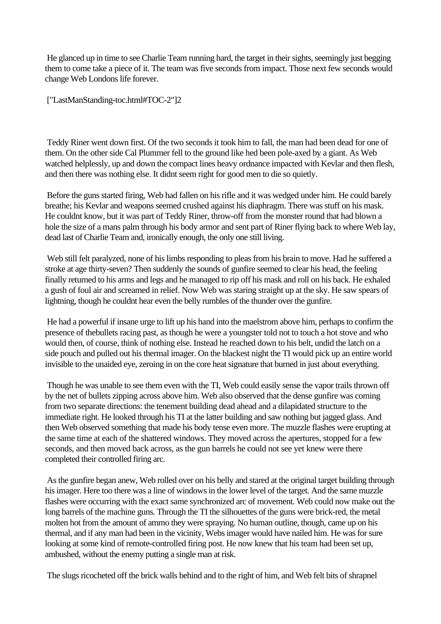He glanced up in time to see Charlie Team running hard, the target in their sights, seemingly just begging them to come take a piece of it. The team was five seconds from impact. Those next few seconds would change Web Londons life forever.

["LastManStanding-toc.html#TOC-2"]2

 Teddy Riner went down first. Of the two seconds it took him to fall, the man had been dead for one of them. On the other side Cal Plummer fell to the ground like hed been pole-axed by a giant. As Web watched helplessly, up and down the compact lines heavy ordnance impacted with Kevlar and then flesh, and then there was nothing else. It didnt seem right for good men to die so quietly.

 Before the guns started firing, Web had fallen on his rifle and it was wedged under him. He could barely breathe; his Kevlar and weapons seemed crushed against his diaphragm. There was stuff on his mask. He couldnt know, but it was part of Teddy Riner, throw-off from the monster round that had blown a hole the size of a mans palm through his body armor and sent part of Riner flying back to where Web lay, dead last of Charlie Team and, ironically enough, the only one still living.

 Web still felt paralyzed, none of his limbs responding to pleas from his brain to move. Had he suffered a stroke at age thirty-seven? Then suddenly the sounds of gunfire seemed to clear his head, the feeling finally returned to his arms and legs and he managed to rip off his mask and roll on his back. He exhaled a gush of foul air and screamed in relief. Now Web was staring straight up at the sky. He saw spears of lightning, though he couldnt hear even the belly rumbles of the thunder over the gunfire.

 He had a powerful if insane urge to lift up his hand into the maelstrom above him, perhaps to confirm the presence of thebullets racing past, as though he were a youngster told not to touch a hot stove and who would then, of course, think of nothing else. Instead he reached down to his belt, undid the latch on a side pouch and pulled out his thermal imager. On the blackest night the TI would pick up an entire world invisible to the unaided eye, zeroing in on the core heat signature that burned in just about everything.

 Though he was unable to see them even with the TI, Web could easily sense the vapor trails thrown off by the net of bullets zipping across above him. Web also observed that the dense gunfire was coming from two separate directions: the tenement building dead ahead and a dilapidated structure to the immediate right. He looked through his TI at the latter building and saw nothing but jagged glass. And then Web observed something that made his body tense even more. The muzzle flashes were erupting at the same time at each of the shattered windows. They moved across the apertures, stopped for a few seconds, and then moved back across, as the gun barrels he could not see yet knew were there completed their controlled firing arc.

 As the gunfire began anew, Web rolled over on his belly and stared at the original target building through his imager. Here too there was a line of windows in the lower level of the target. And the same muzzle flashes were occurring with the exact same synchronized arc of movement. Web could now make out the long barrels of the machine guns. Through the TI the silhouettes of the guns were brick-red, the metal molten hot from the amount of ammo they were spraying. No human outline, though, came up on his thermal, and if any man had been in the vicinity, Webs imager would have nailed him. He was for sure looking at some kind of remote-controlled firing post. He now knew that his team had been set up, ambushed, without the enemy putting a single man at risk.

The slugs ricocheted off the brick walls behind and to the right of him, and Web felt bits of shrapnel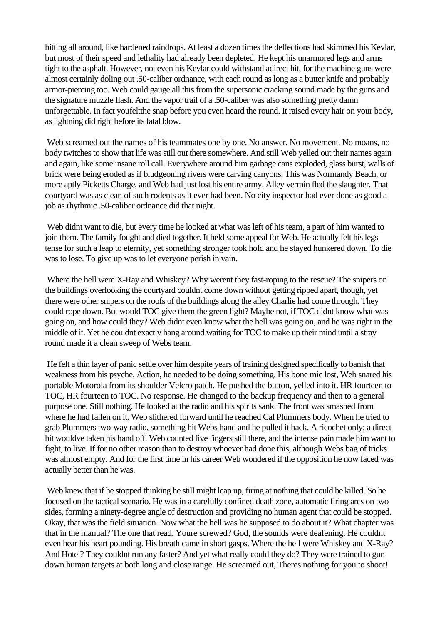hitting all around, like hardened raindrops. At least a dozen times the deflections had skimmed his Kevlar, but most of their speed and lethality had already been depleted. He kept his unarmored legs and arms tight to the asphalt. However, not even his Kevlar could withstand adirect hit, for the machine guns were almost certainly doling out .50-caliber ordnance, with each round as long as a butter knife and probably armor-piercing too. Web could gauge all this from the supersonic cracking sound made by the guns and the signature muzzle flash. And the vapor trail of a .50-caliber was also something pretty damn unforgettable. In fact youfeltthe snap before you even heard the round. It raised every hair on your body, as lightning did right before its fatal blow.

Web screamed out the names of his teammates one by one. No answer. No movement. No moans, no body twitches to show that life was still out there somewhere. And still Web yelled out their names again and again, like some insane roll call. Everywhere around him garbage cans exploded, glass burst, walls of brick were being eroded as if bludgeoning rivers were carving canyons. This was Normandy Beach, or more aptly Picketts Charge, and Web had just lost his entire army. Alley vermin fled the slaughter. That courtyard was as clean of such rodents as it ever had been. No city inspector had ever done as good a job as rhythmic .50-caliber ordnance did that night.

 Web didnt want to die, but every time he looked at what was left of his team, a part of him wanted to join them. The family fought and died together. It held some appeal for Web. He actually felt his legs tense for such a leap to eternity, yet something stronger took hold and he stayed hunkered down. To die was to lose. To give up was to let everyone perish in vain.

 Where the hell were X-Ray and Whiskey? Why werent they fast-roping to the rescue? The snipers on the buildings overlooking the courtyard couldnt come down without getting ripped apart, though, yet there were other snipers on the roofs of the buildings along the alley Charlie had come through. They could rope down. But would TOC give them the green light? Maybe not, if TOC didnt know what was going on, and how could they? Web didnt even know what the hell was going on, and he was right in the middle of it. Yet he couldnt exactly hang around waiting for TOC to make up their mind until a stray round made it a clean sweep of Webs team.

 He felt a thin layer of panic settle over him despite years of training designed specifically to banish that weakness from his psyche. Action, he needed to be doing something. His bone mic lost, Web snared his portable Motorola from its shoulder Velcro patch. He pushed the button, yelled into it. HR fourteen to TOC, HR fourteen to TOC. No response. He changed to the backup frequency and then to a general purpose one. Still nothing. He looked at the radio and his spirits sank. The front was smashed from where he had fallen on it. Web slithered forward until he reached Cal Plummers body. When he tried to grab Plummers two-way radio, something hit Webs hand and he pulled it back. A ricochet only; a direct hit wouldve taken his hand off. Web counted five fingers still there, and the intense pain made him want to fight, to live. If for no other reason than to destroy whoever had done this, although Webs bag of tricks was almost empty. And for the first time in his career Web wondered if the opposition he now faced was actually better than he was.

Web knew that if he stopped thinking he still might leap up, firing at nothing that could be killed. So he focused on the tactical scenario. He was in a carefully confined death zone, automatic firing arcs on two sides, forming a ninety-degree angle of destruction and providing no human agent that could be stopped. Okay, that was the field situation. Now what the hell was he supposed to do about it? What chapter was that in the manual? The one that read, Youre screwed? God, the sounds were deafening. He couldnt even hear his heart pounding. His breath came in short gasps. Where the hell were Whiskey and X-Ray? And Hotel? They couldnt run any faster? And yet what really could they do? They were trained to gun down human targets at both long and close range. He screamed out, Theres nothing for you to shoot!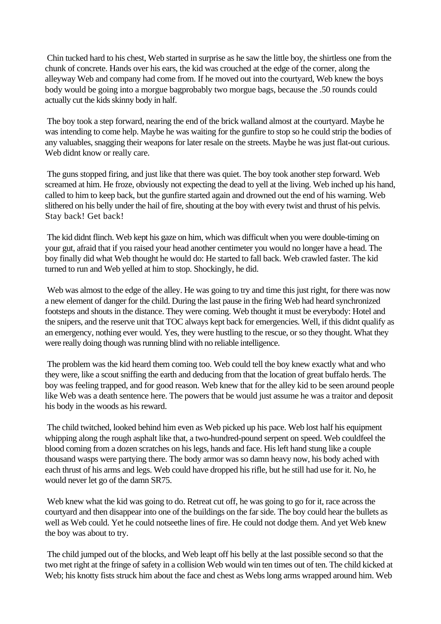Chin tucked hard to his chest, Web started in surprise as he saw the little boy, the shirtless one from the chunk of concrete. Hands over his ears, the kid was crouched at the edge of the corner, along the alleyway Web and company had come from. If he moved out into the courtyard, Web knew the boys body would be going into a morgue bag probably two morgue bags, because the .50 rounds could actually cut the kids skinny body in half.

 The boy took a step forward, nearing the end of the brick walland almost at the courtyard. Maybe he was intending to come help. Maybe he was waiting for the gunfire to stop so he could strip the bodies of any valuables, snagging their weapons for later resale on the streets. Maybe he was just flat-out curious. Web didnt know or really care.

 The guns stopped firing, and just like that there was quiet. The boy took another step forward. Web screamed at him. He froze, obviously not expecting the dead to yell at the living. Web inched up his hand, called to him to keep back, but the gunfire started again and drowned out the end of his warning. Web slithered on his belly under the hail of fire, shouting at the boy with every twist and thrust of his pelvis. Stay back! Get back!

 The kid didnt flinch. Web kept his gaze on him, which was difficult when you were double-timing on your gut, afraid that if you raised your head another centimeter you would no longer have a head. The boy finally did what Web thought he would do: He started to fall back. Web crawled faster. The kid turned to run and Web yelled at him to stop. Shockingly, he did.

Web was almost to the edge of the alley. He was going to try and time this just right, for there was now a new element of danger for the child. During the last pause in the firing Web had heard synchronized footsteps and shouts in the distance. They were coming. Web thought it must be everybody: Hotel and the snipers, and the reserve unit that TOC always kept back for emergencies. Well, if this didnt qualify as an emergency, nothing ever would. Yes, they were hustling to the rescue, or so they thought. What they were really doing though was running blind with no reliable intelligence.

 The problem was the kid heard them coming too. Web could tell the boy knew exactly what and who they were, like a scout sniffing the earth and deducing from that the location of great buffalo herds. The boy was feeling trapped, and for good reason. Web knew that for the alley kid to be seen around people like Web was a death sentence here. The powers that be would just assume he was a traitor and deposit his body in the woods as his reward.

 The child twitched, looked behind him even as Web picked up his pace. Web lost half his equipment whipping along the rough asphalt like that, a two-hundred-pound serpent on speed. Web couldfeel the blood coming from a dozen scratches on his legs, hands and face. His left hand stung like a couple thousand wasps were partying there. The body armor was so damn heavy now, his body ached with each thrust of his arms and legs. Web could have dropped his rifle, but he still had use for it. No, he would never let go of the damn SR75.

Web knew what the kid was going to do. Retreat cut off, he was going to go for it, race across the courtyard and then disappear into one of the buildings on the far side. The boy could hear the bullets as well as Web could. Yet he could notseethe lines of fire. He could not dodge them. And yet Web knew the boy was about to try.

 The child jumped out of the blocks, and Web leapt off his belly at the last possible second so that the two met right at the fringe of safety in a collision Web would win ten times out of ten. The child kicked at Web; his knotty fists struck him about the face and chest as Webs long arms wrapped around him. Web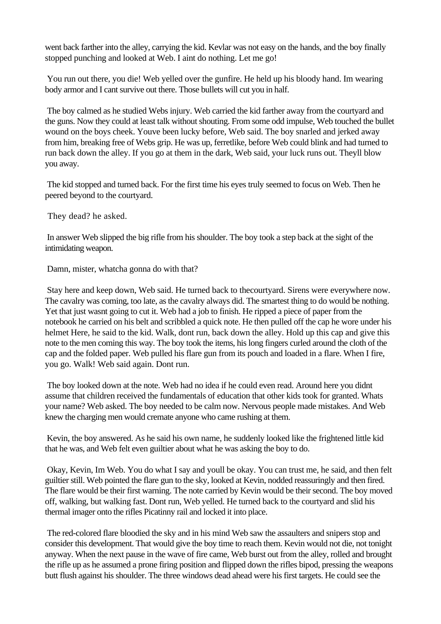went back farther into the alley, carrying the kid. Kevlar was not easy on the hands, and the boy finally stopped punching and looked at Web. I aint do nothing. Let me go!

 You run out there, you die! Web yelled over the gunfire. He held up his bloody hand. Im wearing body armor and I cant survive out there. Those bullets will cut you in half.

 The boy calmed as he studied Webs injury. Web carried the kid farther away from the courtyard and the guns. Now they could at least talk without shouting. From some odd impulse, Web touched the bullet wound on the boys cheek. Youve been lucky before, Web said. The boy snarled and jerked away from him, breaking free of Webs grip. He was up, ferretlike, before Web could blink and had turned to run back down the alley. If you go at them in the dark, Web said, your luck runs out. Theyll blow you away.

 The kid stopped and turned back. For the first time his eyes truly seemed to focus on Web. Then he peered beyond to the courtyard.

They dead? he asked.

 In answer Web slipped the big rifle from his shoulder. The boy took a step back at the sight of the intimidating weapon.

Damn, mister, whatcha gonna do with that?

 Stay here and keep down, Web said. He turned back to thecourtyard. Sirens were everywhere now. The cavalry was coming, too late, as the cavalry always did. The smartest thing to do would be nothing. Yet that just wasnt going to cut it. Web had a job to finish. He ripped a piece of paper from the notebook he carried on his belt and scribbled a quick note. He then pulled off the cap he wore under his helmet Here, he said to the kid. Walk, dont run, back down the alley. Hold up this cap and give this note to the men coming this way. The boy took the items, his long fingers curled around the cloth of the cap and the folded paper. Web pulled his flare gun from its pouch and loaded in a flare. When I fire, you go. Walk! Web said again. Dont run.

 The boy looked down at the note. Web had no idea if he could even read. Around here you didnt assume that children received the fundamentals of education that other kids took for granted. Whats your name? Web asked. The boy needed to be calm now. Nervous people made mistakes. And Web knew the charging men would cremate anyone who came rushing at them.

 Kevin, the boy answered. As he said his own name, he suddenly looked like the frightened little kid that he was, and Web felt even guiltier about what he was asking the boy to do.

 Okay, Kevin, Im Web. You do what I say and youll be okay. You can trust me, he said, and then felt guiltier still. Web pointed the flare gun to the sky, looked at Kevin, nodded reassuringly and then fired. The flare would be their first warning. The note carried by Kevin would be their second. The boy moved off, walking, but walking fast. Dont run, Web yelled. He turned back to the courtyard and slid his thermal imager onto the rifles Picatinny rail and locked it into place.

 The red-colored flare bloodied the sky and in his mind Web saw the assaulters and snipers stop and consider this development. That would give the boy time to reach them. Kevin would not die, not tonight anyway. When the next pause in the wave of fire came, Web burst out from the alley, rolled and brought the rifle up as he assumed a prone firing position and flipped down the rifles bipod, pressing the weapons butt flush against his shoulder. The three windows dead ahead were his first targets. He could see the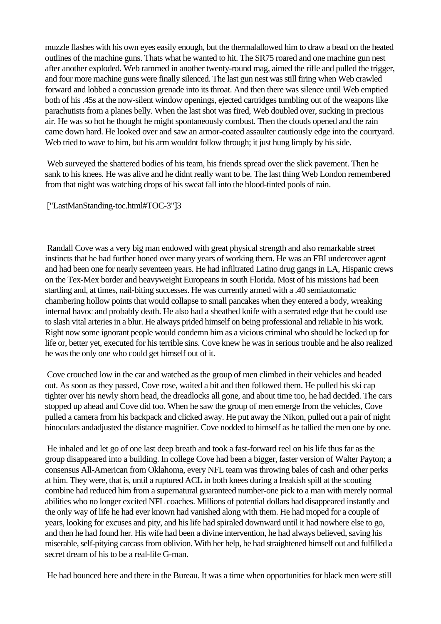muzzle flashes with his own eyes easily enough, but the thermalallowed him to draw a bead on the heated outlines of the machine guns. Thats what he wanted to hit. The SR75 roared and one machine gun nest after another exploded. Web rammed in another twenty-round mag, aimed the rifle and pulled the trigger, and four more machine guns were finally silenced. The last gun nest was still firing when Web crawled forward and lobbed a concussion grenade into its throat. And then there was silence until Web emptied both of his .45s at the now-silent window openings, ejected cartridges tumbling out of the weapons like parachutists from a planes belly. When the last shot was fired, Web doubled over, sucking in precious air. He was so hot he thought he might spontaneously combust. Then the clouds opened and the rain came down hard. He looked over and saw an armor-coated assaulter cautiously edge into the courtyard. Web tried to wave to him, but his arm wouldnt follow through; it just hung limply by his side.

 Web surveyed the shattered bodies of his team, his friends spread over the slick pavement. Then he sank to his knees. He was alive and he didnt really want to be. The last thing Web London remembered from that night was watching drops of his sweat fall into the blood-tinted pools of rain.

["LastManStanding-toc.html#TOC-3"]3

 Randall Cove was a very big man endowed with great physical strength and also remarkable street instincts that he had further honed over many years of working them. He was an FBI undercover agent and had been one for nearly seventeen years. He had infiltrated Latino drug gangs in LA, Hispanic crews on the Tex-Mex border and heavyweight Europeans in south Florida. Most of his missions had been startling and, at times, nail-biting successes. He was currently armed with a .40 semiautomatic chambering hollow points that would collapse to small pancakes when they entered a body, wreaking internal havoc and probably death. He also had a sheathed knife with a serrated edge that he could use to slash vital arteries in a blur. He always prided himself on being professional and reliable in his work. Right now some ignorant people would condemn him as a vicious criminal who should be locked up for life or, better yet, executed for his terrible sins. Cove knew he was in serious trouble and he also realized he was the only one who could get himself out of it.

 Cove crouched low in the car and watched as the group of men climbed in their vehicles and headed out. As soon as they passed, Cove rose, waited a bit and then followed them. He pulled his ski cap tighter over his newly shorn head, the dreadlocks all gone, and about time too, he had decided. The cars stopped up ahead and Cove did too. When he saw the group of men emerge from the vehicles, Cove pulled a camera from his backpack and clicked away. He put away the Nikon, pulled out a pair of night binoculars andadjusted the distance magnifier. Cove nodded to himself as he tallied the men one by one.

 He inhaled and let go of one last deep breath and took a fast-forward reel on his life thus far as the group disappeared into a building. In college Cove had been a bigger, faster version of Walter Payton; a consensus All-American from Oklahoma, every NFL team was throwing bales of cash and other perks at him. They were, that is, until a ruptured ACL in both knees during a freakish spill at the scouting combine had reduced him from a supernatural guaranteed number-one pick to a man with merely normal abilities who no longer excited NFL coaches. Millions of potential dollars had disappeared instantly and the only way of life he had ever known had vanished along with them. He had moped for a couple of years, looking for excuses and pity, and his life had spiraled downward until it had nowhere else to go, and then he had found her. His wife had been a divine intervention, he had always believed, saving his miserable, self-pitying carcass from oblivion. With her help, he had straightened himself out and fulfilled a secret dream of his to be a real-life G-man.

He had bounced here and there in the Bureau. It was a time when opportunities for black men were still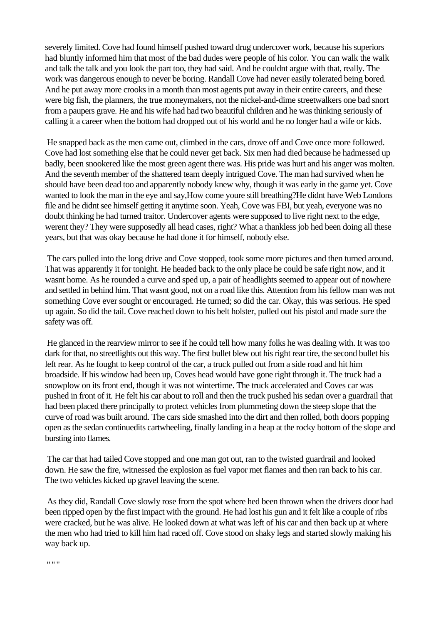severely limited. Cove had found himself pushed toward drug undercover work, because his superiors had bluntly informed him that most of the bad dudes were people of his color. You can walk the walk and talk the talk and you look the part too, they had said. And he couldnt argue with that, really. The work was dangerous enough to never be boring. Randall Cove had never easily tolerated being bored. And he put away more crooks in a month than most agents put away in their entire careers, and these were big fish, the planners, the true moneymakers, not the nickel-and-dime streetwalkers one bad snort from a paupers grave. He and his wife had had two beautiful children and he was thinking seriously of calling it a career when the bottom had dropped out of his world and he no longer had a wife or kids.

 He snapped back as the men came out, climbed in the cars, drove off and Cove once more followed. Cove had lost something else that he could never get back. Six men had died because he hadmessed up badly, been snookered like the most green agent there was. His pride was hurt and his anger was molten. And the seventh member of the shattered team deeply intrigued Cove. The man had survived when he should have been dead too and apparently nobody knew why, though it was early in the game yet. Cove wanted to look the man in the eye and say,How come youre still breathing?He didnt have Web Londons file and he didnt see himself getting it anytime soon. Yeah, Cove was FBI, but yeah, everyone was no doubt thinking he had turned traitor. Undercover agents were supposed to live right next to the edge, werent they? They were supposedly all head cases, right? What a thankless job hed been doing all these years, but that was okay because he had done it for himself, nobody else.

 The cars pulled into the long drive and Cove stopped, took some more pictures and then turned around. That was apparently it for tonight. He headed back to the only place he could be safe right now, and it wasnt home. As he rounded a curve and sped up, a pair of headlights seemed to appear out of nowhere and settled in behind him. That wasnt good, not on a road like this. Attention from his fellow man was not something Cove ever sought or encouraged. He turned; so did the car. Okay, this was serious. He sped up again. So did the tail. Cove reached down to his belt holster, pulled out his pistol and made sure the safety was off.

 He glanced in the rearview mirror to see if he could tell how many folks he was dealing with. It was too dark for that, no streetlights out this way. The first bullet blew out his right rear tire, the second bullet his left rear. As he fought to keep control of the car, a truck pulled out from a side road and hit him broadside. If his window had been up, Coves head would have gone right through it. The truck had a snowplow on its front end, though it was not wintertime. The truck accelerated and Coves car was pushed in front of it. He felt his car about to roll and then the truck pushed his sedan over a guardrail that had been placed there principally to protect vehicles from plummeting down the steep slope that the curve of road was built around. The cars side smashed into the dirt and then rolled, both doors popping open as the sedan continuedits cartwheeling, finally landing in a heap at the rocky bottom of the slope and bursting into flames.

 The car that had tailed Cove stopped and one man got out, ran to the twisted guardrail and looked down. He saw the fire, witnessed the explosion as fuel vapor met flames and then ran back to his car. The two vehicles kicked up gravel leaving the scene.

 As they did, Randall Cove slowly rose from the spot where hed been thrown when the drivers door had been ripped open by the first impact with the ground. He had lost his gun and it felt like a couple of ribs were cracked, but he was alive. He looked down at what was left of his car and then back up at where the men who had tried to kill him had raced off. Cove stood on shaky legs and started slowly making his way back up.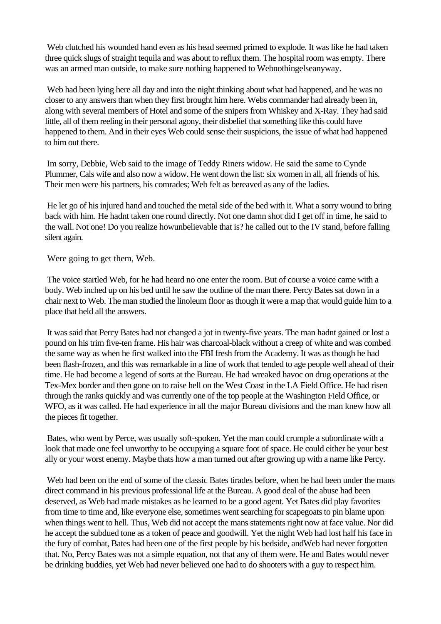Web clutched his wounded hand even as his head seemed primed to explode. It was like he had taken three quick slugs of straight tequila and was about to reflux them. The hospital room was empty. There was an armed man outside, to make sure nothing happened to Web nothingelseanyway.

Web had been lying here all day and into the night thinking about what had happened, and he was no closer to any answers than when they first brought him here. Webs commander had already been in, along with several members of Hotel and some of the snipers from Whiskey and X-Ray. They had said little, all of them reeling in their personal agony, their disbelief that something like this could have happened to them. And in their eyes Web could sense their suspicions, the issue of what had happened to him out there.

 Im sorry, Debbie, Web said to the image of Teddy Riners widow. He said the same to Cynde Plummer, Cals wife and also now a widow. He went down the list: six women in all, all friends of his. Their men were his partners, his comrades; Web felt as bereaved as any of the ladies.

 He let go of his injured hand and touched the metal side of the bed with it. What a sorry wound to bring back with him. He hadnt taken one round directly. Not one damn shot did I get off in time, he said to the wall. Not one! Do you realize howunbelievable that is? he called out to the IV stand, before falling silent again.

Were going to get them, Web.

 The voice startled Web, for he had heard no one enter the room. But of course a voice came with a body. Web inched up on his bed until he saw the outline of the man there. Percy Bates sat down in a chair next to Web. The man studied the linoleum floor as though it were a map that would guide him to a place that held all the answers.

 It was said that Percy Bates had not changed a jot in twenty-five years. The man hadnt gained or lost a pound on his trim five-ten frame. His hair was charcoal-black without a creep of white and was combed the same way as when he first walked into the FBI fresh from the Academy. It was as though he had been flash-frozen, and this was remarkable in a line of work that tended to age people well ahead of their time. He had become a legend of sorts at the Bureau. He had wreaked havoc on drug operations at the Tex-Mex border and then gone on to raise hell on the West Coast in the LA Field Office. He had risen through the ranks quickly and was currently one of the top people at the Washington Field Office, or WFO, as it was called. He had experience in all the major Bureau divisions and the man knew how all the pieces fit together.

 Bates, who went by Perce, was usually soft-spoken. Yet the man could crumple a subordinate with a look that made one feel unworthy to be occupying a square foot of space. He could either be your best ally or your worst enemy. Maybe thats how a man turned out after growing up with a name like Percy.

Web had been on the end of some of the classic Bates tirades before, when he had been under the mans direct command in his previous professional life at the Bureau. A good deal of the abuse had been deserved, as Web had made mistakes as he learned to be a good agent. Yet Bates did play favorites from time to time and, like everyone else, sometimes went searching for scapegoats to pin blame upon when things went to hell. Thus, Web did not accept the mans statements right now at face value. Nor did he accept the subdued tone as a token of peace and goodwill. Yet the night Web had lost half his face in the fury of combat, Bates had been one of the first people by his bedside, andWeb had never forgotten that. No, Percy Bates was not a simple equation, not that any of them were. He and Bates would never be drinking buddies, yet Web had never believed one had to do shooters with a guy to respect him.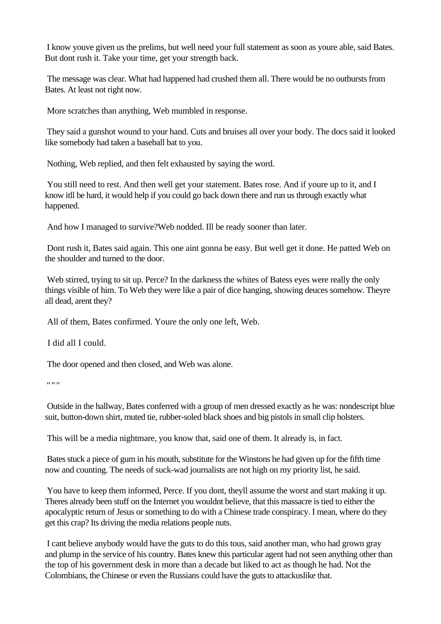I know youve given us the prelims, but well need your full statement as soon as youre able, said Bates. But dont rush it. Take your time, get your strength back.

 The message was clear. What had happened had crushed them all. There would be no outbursts from Bates. At least not right now.

More scratches than anything, Web mumbled in response.

 They said a gunshot wound to your hand. Cuts and bruises all over your body. The docs said it looked like somebody had taken a baseball bat to you.

Nothing, Web replied, and then felt exhausted by saying the word.

 You still need to rest. And then well get your statement. Bates rose. And if youre up to it, and I know itll be hard, it would help if you could go back down there and run us through exactly what happened.

And how I managed to survive?Web nodded. Ill be ready sooner than later.

 Dont rush it, Bates said again. This one aint gonna be easy. But well get it done. He patted Web on the shoulder and turned to the door.

Web stirred, trying to sit up. Perce? In the darkness the whites of Batess eyes were really the only things visible of him. To Web they were like a pair of dice hanging, showing deuces somehow. Theyre all dead, arent they?

All of them, Bates confirmed. Youre the only one left, Web.

I did all I could.

The door opened and then closed, and Web was alone.

" " "

 Outside in the hallway, Bates conferred with a group of men dressed exactly as he was: nondescript blue suit, button-down shirt, muted tie, rubber-soled black shoes and big pistols in small clip holsters.

This will be a media nightmare, you know that, said one of them. It already is, in fact.

 Bates stuck a piece of gum in his mouth, substitute for the Winstons he had given up for the fifth time now and counting. The needs of suck-wad journalists are not high on my priority list, he said.

 You have to keep them informed, Perce. If you dont, theyll assume the worst and start making it up. Theres already been stuff on the Internet you wouldnt believe, that this massacre is tied to either the apocalyptic return of Jesus or something to do with a Chinese trade conspiracy. I mean, where do they get this crap? Its driving the media relations people nuts.

 I cant believe anybody would have the guts to do this tous, said another man, who had grown gray and plump in the service of his country. Bates knew this particular agent had not seen anything other than the top of his government desk in more than a decade but liked to act as though he had. Not the Colombians, the Chinese or even the Russians could have the guts to attackuslike that.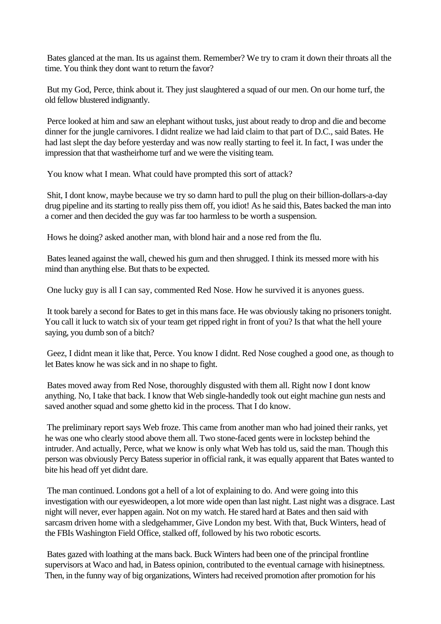Bates glanced at the man. Its us against them. Remember? We try to cram it down their throats all the time. You think they dont want to return the favor?

 But my God, Perce, think about it. They just slaughtered a squad of our men. On our home turf, the old fellow blustered indignantly.

 Perce looked at him and saw an elephant without tusks, just about ready to drop and die and become dinner for the jungle carnivores. I didnt realize we had laid claim to that part of D.C., said Bates. He had last slept the day before yesterday and was now really starting to feel it. In fact, I was under the impression that that wastheirhome turf and we were the visiting team.

You know what I mean. What could have prompted this sort of attack?

 Shit, I dont know, maybe because we try so damn hard to pull the plug on their billion-dollars-a-day drug pipeline and its starting to really piss them off, you idiot! As he said this, Bates backed the man into a corner and then decided the guy was far too harmless to be worth a suspension.

Hows he doing? asked another man, with blond hair and a nose red from the flu.

 Bates leaned against the wall, chewed his gum and then shrugged. I think its messed more with his mind than anything else. But thats to be expected.

One lucky guy is all I can say, commented Red Nose. How he survived it is anyones guess.

 It took barely a second for Bates to get in this mans face. He was obviously taking no prisoners tonight. You call it luck to watch six of your team get ripped right in front of you? Is that what the hell youre saying, you dumb son of a bitch?

 Geez, I didnt mean it like that, Perce. You know I didnt. Red Nose coughed a good one, as though to let Bates know he was sick and in no shape to fight.

 Bates moved away from Red Nose, thoroughly disgusted with them all. Right now I dont know anything. No, I take that back. I know that Web single-handedly took out eight machine gun nests and saved another squad and some ghetto kid in the process. That I do know.

 The preliminary report says Web froze. This came from another man who had joined their ranks, yet he was one who clearly stood above them all. Two stone-faced gents were in lockstep behind the intruder. And actually, Perce, what we know is only what Web has told us, said the man. Though this person was obviously Percy Batess superior in official rank, it was equally apparent that Bates wanted to bite his head off yet didnt dare.

 The man continued. Londons got a hell of a lot of explaining to do. And were going into this investigation with our eyeswideopen, a lot more wide open than last night. Last night was a disgrace. Last night will never, ever happen again. Not on my watch. He stared hard at Bates and then said with sarcasm driven home with a sledgehammer, Give London my best. With that, Buck Winters, head of the FBIs Washington Field Office, stalked off, followed by his two robotic escorts.

 Bates gazed with loathing at the mans back. Buck Winters had been one of the principal frontline supervisors at Waco and had, in Batess opinion, contributed to the eventual carnage with hisineptness. Then, in the funny way of big organizations, Winters had received promotion after promotion for his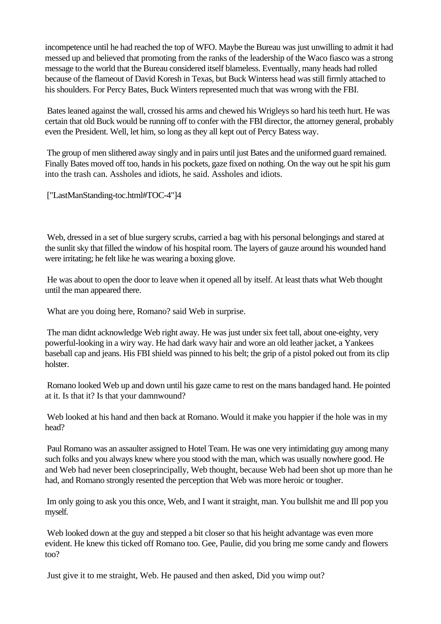incompetence until he had reached the top of WFO. Maybe the Bureau was just unwilling to admit it had messed up and believed that promoting from the ranks of the leadership of the Waco fiasco was a strong message to the world that the Bureau considered itself blameless. Eventually, many heads had rolled because of the flameout of David Koresh in Texas, but Buck Winterss head was still firmly attached to his shoulders. For Percy Bates, Buck Winters represented much that was wrong with the FBI.

 Bates leaned against the wall, crossed his arms and chewed his Wrigleys so hard his teeth hurt. He was certain that old Buck would be running off to confer with the FBI director, the attorney general, probably even the President. Well, let him, so long as they all kept out of Percy Batess way.

 The group of men slithered away singly and in pairs until just Bates and the uniformed guard remained. Finally Bates moved off too, hands in his pockets, gaze fixed on nothing. On the way out he spit his gum into the trash can. Assholes and idiots, he said. Assholes and idiots.

["LastManStanding-toc.html#TOC-4"]4

 Web, dressed in a set of blue surgery scrubs, carried a bag with his personal belongings and stared at the sunlit sky that filled the window of his hospital room. The layers of gauze around his wounded hand were irritating; he felt like he was wearing a boxing glove.

 He was about to open the door to leave when it opened all by itself. At least thats what Web thought until the man appeared there.

What are you doing here, Romano? said Web in surprise.

 The man didnt acknowledge Web right away. He was just under six feet tall, about one-eighty, very powerful-looking in a wiry way. He had dark wavy hair and wore an old leather jacket, a Yankees baseball cap and jeans. His FBI shield was pinned to his belt; the grip of a pistol poked out from its clip holster.

 Romano looked Web up and down until his gaze came to rest on the mans bandaged hand. He pointed at it. Is that it? Is that your damnwound?

 Web looked at his hand and then back at Romano. Would it make you happier if the hole was in my head?

 Paul Romano was an assaulter assigned to Hotel Team. He was one very intimidating guy among many such folks and you always knew where you stood with the man, which was usually nowhere good. He and Web had never been close principally, Web thought, because Web had been shot up more than he had, and Romano strongly resented the perception that Web was more heroic or tougher.

 Im only going to ask you this once, Web, and I want it straight, man. You bullshit me and Ill pop you myself.

Web looked down at the guy and stepped a bit closer so that his height advantage was even more evident. He knew this ticked off Romano too. Gee, Paulie, did you bring me some candy and flowers too?

Just give it to me straight, Web. He paused and then asked, Did you wimp out?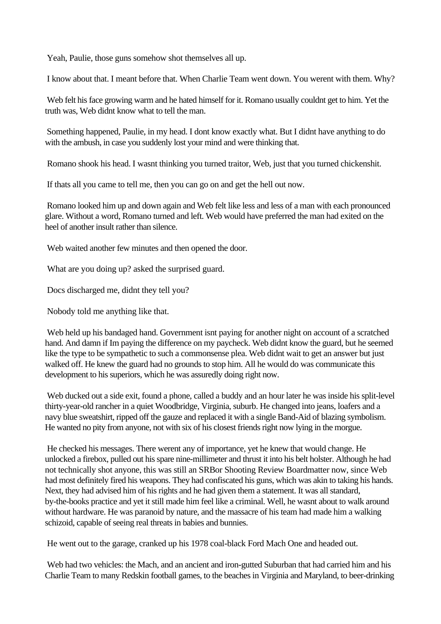Yeah, Paulie, those guns somehow shot themselves all up.

I know about that. I meant before that. When Charlie Team went down. You werent with them. Why?

 Web felt his face growing warm and he hated himself for it. Romano usually couldnt get to him. Yet the truth was, Web didnt know what to tell the man.

 Something happened, Paulie, in my head. I dont know exactly what. But I didnt have anything to do with the ambush, in case you suddenly lost your mind and were thinking that.

Romano shook his head. I wasnt thinking you turned traitor, Web, just that you turned chickenshit.

If thats all you came to tell me, then you can go on and get the hell out now.

 Romano looked him up and down again and Web felt like less and less of a man with each pronounced glare. Without a word, Romano turned and left. Web would have preferred the man had exited on the heel of another insult rather than silence.

Web waited another few minutes and then opened the door.

What are you doing up? asked the surprised guard.

Docs discharged me, didnt they tell you?

Nobody told me anything like that.

 Web held up his bandaged hand. Government isnt paying for another night on account of a scratched hand. And damn if Im paying the difference on my paycheck. Web didnt know the guard, but he seemed like the type to be sympathetic to such a commonsense plea. Web didnt wait to get an answer but just walked off. He knew the guard had no grounds to stop him. All he would do was communicate this development to his superiors, which he was assuredly doing right now.

 Web ducked out a side exit, found a phone, called a buddy and an hour later he was inside his split-level thirty-year-old rancher in a quiet Woodbridge, Virginia, suburb. He changed into jeans, loafers and a navy blue sweatshirt, ripped off the gauze and replaced it with a single Band-Aid of blazing symbolism. He wanted no pity from anyone, not with six of his closest friends right now lying in the morgue.

 He checked his messages. There werent any of importance, yet he knew that would change. He unlocked a firebox, pulled out his spare nine-millimeter and thrust it into his belt holster. Although he had not technically shot anyone, this was still an SRB or Shooting Review Board matter now, since Web had most definitely fired his weapons. They had confiscated his guns, which was akin to taking his hands. Next, they had advised him of his rights and he had given them a statement. It was all standard, by-the-books practice and yet it still made him feel like a criminal. Well, he wasnt about to walk around without hardware. He was paranoid by nature, and the massacre of his team had made him a walking schizoid, capable of seeing real threats in babies and bunnies.

He went out to the garage, cranked up his 1978 coal-black Ford Mach One and headed out.

 Web had two vehicles: the Mach, and an ancient and iron-gutted Suburban that had carried him and his Charlie Team to many Redskin football games, to the beaches in Virginia and Maryland, to beer-drinking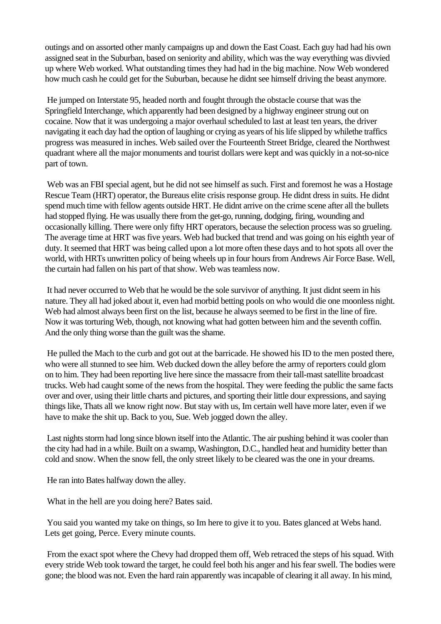outings and on assorted other manly campaigns up and down the East Coast. Each guy had had his own assigned seat in the Suburban, based on seniority and ability, which was the way everything was divvied up where Web worked. What outstanding times they had had in the big machine. Now Web wondered how much cash he could get for the Suburban, because he didnt see himself driving the beast anymore.

 He jumped on Interstate 95, headed north and fought through the obstacle course that was the Springfield Interchange, which apparently had been designed by a highway engineer strung out on cocaine. Now that it was undergoing a major overhaul scheduled to last at least ten years, the driver navigating it each day had the option of laughing or crying as years of his life slipped by whilethe traffics progress was measured in inches. Web sailed over the Fourteenth Street Bridge, cleared the Northwest quadrant where all the major monuments and tourist dollars were kept and was quickly in a not-so-nice part of town.

 Web was an FBI special agent, but he did not see himself as such. First and foremost he was a Hostage Rescue Team (HRT) operator, the Bureaus elite crisis response group. He didnt dress in suits. He didnt spend much time with fellow agents outside HRT. He didnt arrive on the crime scene after all the bullets had stopped flying. He was usually there from the get-go, running, dodging, firing, wounding and occasionally killing. There were only fifty HRT operators, because the selection process was so grueling. The average time at HRT was five years. Web had bucked that trend and was going on his eighth year of duty. It seemed that HRT was being called upon a lot more often these days and to hot spots all over the world, with HRTs unwritten policy of being wheels up in four hours from Andrews Air Force Base. Well, the curtain had fallen on his part of that show. Web was teamless now.

 It had never occurred to Web that he would be the sole survivor of anything. It just didnt seem in his nature. They all had joked about it, even had morbid betting pools on who would die one moonless night. Web had almost always been first on the list, because he always seemed to be first in the line of fire. Now it was torturing Web, though, not knowing what had gotten between him and the seventh coffin. And the only thing worse than the guilt was the shame.

 He pulled the Mach to the curb and got out at the barricade. He showed his ID to the men posted there, who were all stunned to see him. Web ducked down the alley before the army of reporters could glom on to him. They had been reporting live here since the massacre from their tall-mast satellite broadcast trucks. Web had caught some of the news from the hospital. They were feeding the public the same facts over and over, using their little charts and pictures, and sporting their little dour expressions, and saying things like, Thats all we know right now. But stay with us, Im certain well have more later, even if we have to make the shit up. Back to you, Sue. Web jogged down the alley.

 Last nights storm had long since blown itself into the Atlantic. The air pushing behind it was cooler than the city had had in a while. Built on a swamp, Washington, D.C., handled heat and humidity better than cold and snow. When the snow fell, the only street likely to be cleared was the one in your dreams.

He ran into Bates halfway down the alley.

What in the hell are you doing here? Bates said.

 You said you wanted my take on things, so Im here to give it to you. Bates glanced at Webs hand. Lets get going, Perce. Every minute counts.

 From the exact spot where the Chevy had dropped them off, Web retraced the steps of his squad. With every stride Web took toward the target, he could feel both his anger and his fear swell. The bodies were gone; the blood was not. Even the hard rain apparently was incapable of clearing it all away. In his mind,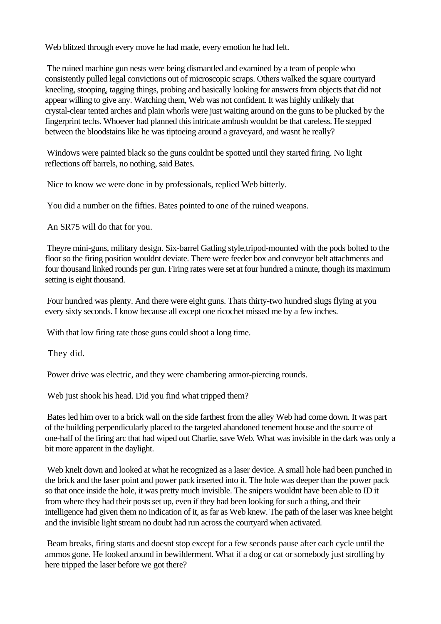Web blitzed through every move he had made, every emotion he had felt.

 The ruined machine gun nests were being dismantled and examined by a team of people who consistently pulled legal convictions out of microscopic scraps. Others walked the square courtyard kneeling, stooping, tagging things, probing and basically looking for answers from objects that did not appear willing to give any. Watching them, Web was not confident. It was highly unlikely that crystal-clear tented arches and plain whorls were just waiting around on the guns to be plucked by the fingerprint techs. Whoever had planned this intricate ambush wouldnt be that careless. He stepped between the bloodstains like he was tiptoeing around a graveyard, and wasnt he really?

 Windows were painted black so the guns couldnt be spotted until they started firing. No light reflections off barrels, no nothing, said Bates.

Nice to know we were done in by professionals, replied Web bitterly.

You did a number on the fifties. Bates pointed to one of the ruined weapons.

An SR75 will do that for you.

 Theyre mini-guns, military design. Six-barrel Gatling style,tripod-mounted with the pods bolted to the floor so the firing position wouldnt deviate. There were feeder box and conveyor belt attachments and four thousand linked rounds per gun. Firing rates were set at four hundred a minute, though its maximum setting is eight thousand.

 Four hundred was plenty. And there were eight guns. Thats thirty-two hundred slugs flying at you every sixty seconds. I know because all except one ricochet missed me by a few inches.

With that low firing rate those guns could shoot a long time.

They did.

Power drive was electric, and they were chambering armor-piercing rounds.

Web just shook his head. Did you find what tripped them?

 Bates led him over to a brick wall on the side farthest from the alley Web had come down. It was part of the building perpendicularly placed to the targeted abandoned tenement house and the source of one-half of the firing arc that had wiped out Charlie, save Web. What was invisible in the dark was only a bit more apparent in the daylight.

 Web knelt down and looked at what he recognized as a laser device. A small hole had been punched in the brick and the laser point and power pack inserted into it. The hole was deeper than the power pack so that once inside the hole, it was pretty much invisible. The snipers wouldnt have been able to ID it from where they had their posts set up, even if they had been looking for such a thing, and their intelligence had given them no indication of it, as far as Web knew. The path of the laser was knee height and the invisible light stream no doubt had run across the courtyard when activated.

 Beam breaks, firing starts and doesnt stop except for a few seconds pause after each cycle until the ammos gone. He looked around in bewilderment. What if a dog or cat or somebody just strolling by here tripped the laser before we got there?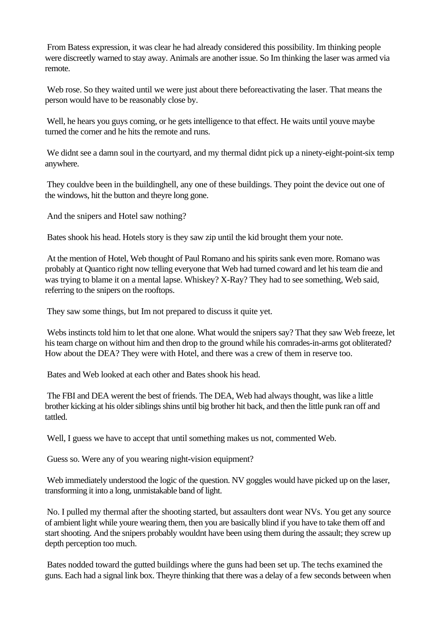From Batess expression, it was clear he had already considered this possibility. Im thinking people were discreetly warned to stay away. Animals are another issue. So Im thinking the laser was armed via remote.

 Web rose. So they waited until we were just about there beforeactivating the laser. That means the person would have to be reasonably close by.

 Well, he hears you guys coming, or he gets intelligence to that effect. He waits until youve maybe turned the corner and he hits the remote and runs.

We didnt see a damn soul in the courtyard, and my thermal didnt pick up a ninety-eight-point-six temp anywhere.

They couldve been in the building hell, any one of these buildings. They point the device out one of the windows, hit the button and theyre long gone.

And the snipers and Hotel saw nothing?

Bates shook his head. Hotels story is they saw zip until the kid brought them your note.

 At the mention of Hotel, Web thought of Paul Romano and his spirits sank even more. Romano was probably at Quantico right now telling everyone that Web had turned coward and let his team die and was trying to blame it on a mental lapse. Whiskey? X-Ray? They had to see something, Web said, referring to the snipers on the rooftops.

They saw some things, but Im not prepared to discuss it quite yet.

 Webs instincts told him to let that one alone. What would the snipers say? That they saw Web freeze, let his team charge on without him and then drop to the ground while his comrades-in-arms got obliterated? How about the DEA? They were with Hotel, and there was a crew of them in reserve too.

Bates and Web looked at each other and Bates shook his head.

 The FBI and DEA werent the best of friends. The DEA, Web had always thought, was like a little brother kicking at his older siblings shins until big brother hit back, and then the little punk ran off and tattled.

Well, I guess we have to accept that until something makes us not, commented Web.

Guess so. Were any of you wearing night-vision equipment?

Web immediately understood the logic of the question. NV goggles would have picked up on the laser, transforming it into a long, unmistakable band of light.

 No. I pulled my thermal after the shooting started, but assaulters dont wear NVs. You get any source of ambient light while youre wearing them, then you are basically blind if you have to take them off and start shooting. And the snipers probably wouldnt have been using them during the assault; they screw up depth perception too much.

 Bates nodded toward the gutted buildings where the guns had been set up. The techs examined the guns. Each had a signal link box. Theyre thinking that there was a delay of a few seconds between when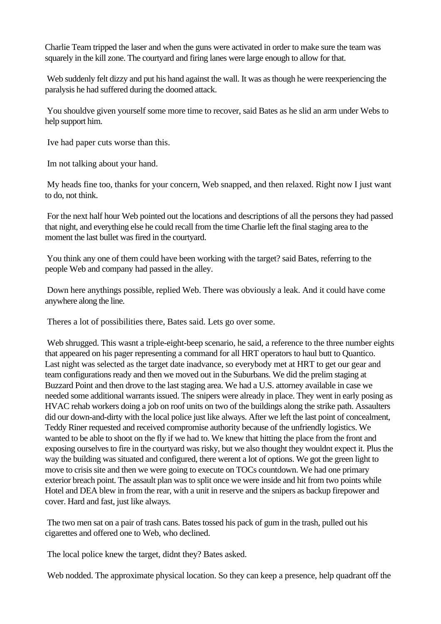Charlie Team tripped the laser and when the guns were activated in order to make sure the team was squarely in the kill zone. The courtyard and firing lanes were large enough to allow for that.

Web suddenly felt dizzy and put his hand against the wall. It was as though he were reexperiencing the paralysis he had suffered during the doomed attack.

 You shouldve given yourself some more time to recover, said Bates as he slid an arm under Webs to help support him.

Ive had paper cuts worse than this.

Im not talking about your hand.

 My heads fine too, thanks for your concern, Web snapped, and then relaxed. Right now I just want to do, not think.

 For the next half hour Web pointed out the locations and descriptions of all the persons they had passed that night, and everything else he could recall from the time Charlie left the final staging area to the moment the last bullet was fired in the courtyard.

 You think any one of them could have been working with the target? said Bates, referring to the people Web and company had passed in the alley.

 Down here anythings possible, replied Web. There was obviously a leak. And it could have come anywhere along the line.

Theres a lot of possibilities there, Bates said. Lets go over some.

Web shrugged. This wasnt a triple-eight-beep scenario, he said, a reference to the three number eights that appeared on his pager representing a command for all HRT operators to haul butt to Quantico. Last night was selected as the target date inadvance, so everybody met at HRT to get our gear and team configurations ready and then we moved out in the Suburbans. We did the prelim staging at Buzzard Point and then drove to the last staging area. We had a U.S. attorney available in case we needed some additional warrants issued. The snipers were already in place. They went in early posing as HVAC rehab workers doing a job on roof units on two of the buildings along the strike path. Assaulters did our down-and-dirty with the local police just like always. After we left the last point of concealment, Teddy Riner requested and received compromise authority because of the unfriendly logistics. We wanted to be able to shoot on the fly if we had to. We knew that hitting the place from the front and exposing ourselves to fire in the courtyard was risky, but we also thought they wouldnt expect it. Plus the way the building was situated and configured, there werent a lot of options. We got the green light to move to crisis site and then we were going to execute on TOCs countdown. We had one primary exterior breach point. The assault plan was to split once we were inside and hit from two points while Hotel and DEA blew in from the rear, with a unit in reserve and the snipers as backup firepower and cover. Hard and fast, just like always.

 The two men sat on a pair of trash cans. Bates tossed his pack of gum in the trash, pulled out his cigarettes and offered one to Web, who declined.

The local police knew the target, didnt they? Bates asked.

Web nodded. The approximate physical location. So they can keep a presence, help quadrant off the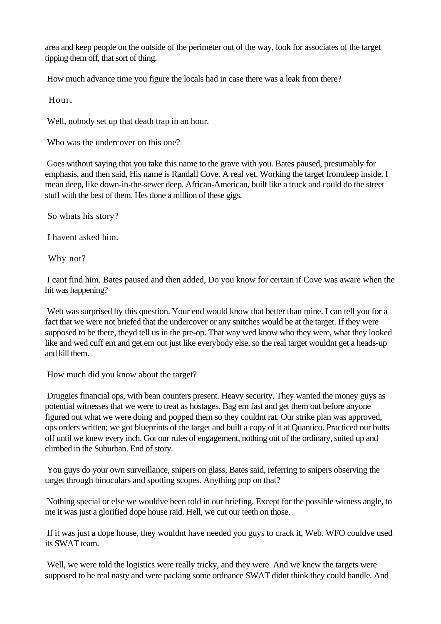area and keep people on the outside of the perimeter out of the way, look for associates of the target tipping them off, that sort of thing.

How much advance time you figure the locals had in case there was a leak from there?

Hour.

Well, nobody set up that death trap in an hour.

Who was the undercover on this one?

 Goes without saying that you take this name to the grave with you. Bates paused, presumably for emphasis, and then said, His name is Randall Cove. A real vet. Working the target fromdeep inside. I mean deep, like down-in-the-sewer deep. African-American, built like a truck and could do the street stuff with the best of them. Hes done a million of these gigs.

So whats his story?

I havent asked him.

Why not?

 I cant find him. Bates paused and then added, Do you know for certain if Cove was aware when the hit was happening?

Web was surprised by this question. Your end would know that better than mine. I can tell you for a fact that we were not briefed that the undercover or any snitches would be at the target. If they were supposed to be there, theyd tell us in the pre-op. That way wed know who they were, what they looked like and wed cuff em and get em out just like everybody else, so the real target wouldnt get a heads-up and kill them.

How much did you know about the target?

 Druggies financial ops, with bean counters present. Heavy security. They wanted the money guys as potential witnesses that we were to treat as hostages. Bag em fast and get them out before anyone figured out what we were doing and popped them so they couldnt rat. Our strike plan was approved, ops orders written; we got blueprints of the target and built a copy of it at Quantico. Practiced our butts off until we knew every inch. Got our rules of engagement, nothing out of the ordinary, suited up and climbed in the Suburban. End of story.

 You guys do your own surveillance, snipers on glass, Bates said, referring to snipers observing the target through binoculars and spotting scopes. Anything pop on that?

 Nothing special or else we wouldve been told in our briefing. Except for the possible witness angle, to me it was just a glorified dope house raid. Hell, we cut our teeth on those.

 If it was just a dope house, they wouldnt have needed you guys to crack it, Web. WFO couldve used its SWAT team.

 Well, we were told the logistics were really tricky, and they were. And we knew the targets were supposed to be real nasty and were packing some ordnance SWAT didnt think they could handle. And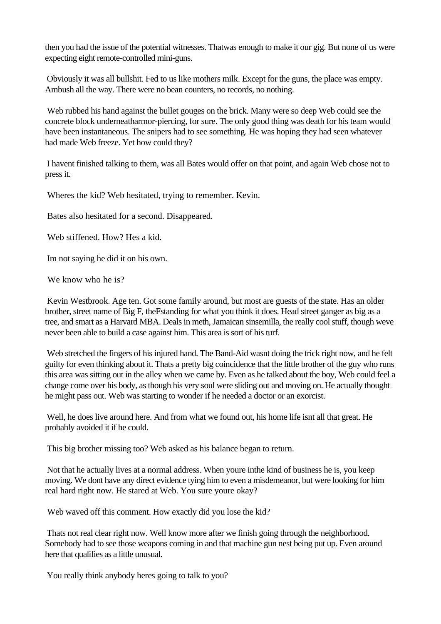then you had the issue of the potential witnesses. Thatwas enough to make it our gig. But none of us were expecting eight remote-controlled mini-guns.

 Obviously it was all bullshit. Fed to us like mothers milk. Except for the guns, the place was empty. Ambush all the way. There were no bean counters, no records, no nothing.

Web rubbed his hand against the bullet gouges on the brick. Many were so deep Web could see the concrete block underneath armor-piercing, for sure. The only good thing was death for his team would have been instantaneous. The snipers had to see something. He was hoping they had seen whatever had made Web freeze. Yet how could they?

 I havent finished talking to them, was all Bates would offer on that point, and again Web chose not to press it.

Wheres the kid? Web hesitated, trying to remember. Kevin.

Bates also hesitated for a second. Disappeared.

Web stiffened. How? Hes a kid.

Im not saying he did it on his own.

We know who he is?

 Kevin Westbrook. Age ten. Got some family around, but most are guests of the state. Has an older brother, street name of Big F, theFstanding for what you think it does. Head street ganger as big as a tree, and smart as a Harvard MBA. Deals in meth, Jamaican sinsemilla, the really cool stuff, though weve never been able to build a case against him. This area is sort of his turf.

 Web stretched the fingers of his injured hand. The Band-Aid wasnt doing the trick right now, and he felt guilty for even thinking about it. Thats a pretty big coincidence that the little brother of the guy who runs this area was sitting out in the alley when we came by. Even as he talked about the boy, Web could feel a change come over his body, as though his very soul were sliding out and moving on. He actually thought he might pass out. Web was starting to wonder if he needed a doctor or an exorcist.

 Well, he does live around here. And from what we found out, his home life isnt all that great. He probably avoided it if he could.

This big brother missing too? Web asked as his balance began to return.

 Not that he actually lives at a normal address. When youre inthe kind of business he is, you keep moving. We dont have any direct evidence tying him to even a misdemeanor, but were looking for him real hard right now. He stared at Web. You sure youre okay?

Web waved off this comment. How exactly did you lose the kid?

 Thats not real clear right now. Well know more after we finish going through the neighborhood. Somebody had to see those weapons coming in and that machine gun nest being put up. Even around here that qualifies as a little unusual.

You really think anybody heres going to talk to you?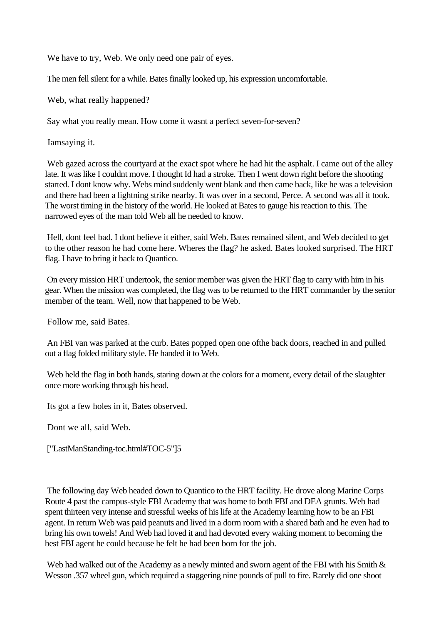We have to try, Web. We only need one pair of eyes.

The men fell silent for a while. Bates finally looked up, his expression uncomfortable.

Web, what really happened?

Say what you really mean. How come it wasnt a perfect seven-for-seven?

Iamsaying it.

Web gazed across the courtyard at the exact spot where he had hit the asphalt. I came out of the alley late. It was like I couldnt move. I thought Id had a stroke. Then I went down right before the shooting started. I dont know why. Webs mind suddenly went blank and then came back, like he was a television and there had been a lightning strike nearby. It was over in a second, Perce. A second was all it took. The worst timing in the history of the world. He looked at Bates to gauge his reaction to this. The narrowed eyes of the man told Web all he needed to know.

 Hell, dont feel bad. I dont believe it either, said Web. Bates remained silent, and Web decided to get to the other reason he had come here. Wheres the flag? he asked. Bates looked surprised. The HRT flag. I have to bring it back to Quantico.

 On every mission HRT undertook, the senior member was given the HRT flag to carry with him in his gear. When the mission was completed, the flag was to be returned to the HRT commander by the senior member of the team. Well, now that happened to be Web.

Follow me, said Bates.

 An FBI van was parked at the curb. Bates popped open one ofthe back doors, reached in and pulled out a flag folded military style. He handed it to Web.

 Web held the flag in both hands, staring down at the colors for a moment, every detail of the slaughter once more working through his head.

Its got a few holes in it, Bates observed.

Dont we all, said Web.

["LastManStanding-toc.html#TOC-5"]5

 The following day Web headed down to Quantico to the HRT facility. He drove along Marine Corps Route 4 past the campus-style FBI Academy that was home to both FBI and DEA grunts. Web had spent thirteen very intense and stressful weeks of his life at the Academy learning how to be an FBI agent. In return Web was paid peanuts and lived in a dorm room with a shared bath and he even had to bring his own towels! And Web had loved it and had devoted every waking moment to becoming the best FBI agent he could because he felt he had been born for the job.

Web had walked out of the Academy as a newly minted and sworn agent of the FBI with his Smith  $\&$ Wesson .357 wheel gun, which required a staggering nine pounds of pull to fire. Rarely did one shoot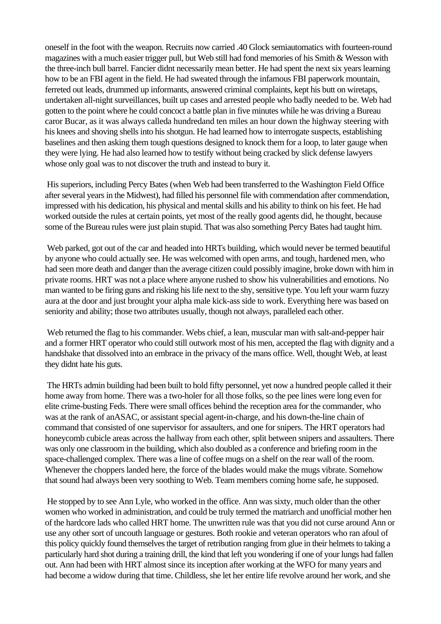oneself in the foot with the weapon. Recruits now carried .40 Glock semiautomatics with fourteen-round magazines with a much easier trigger pull, but Web still had fond memories of his Smith & Wesson with the three-inch bull barrel. Fancier didnt necessarily mean better. He had spent the next six years learning how to be an FBI agent in the field. He had sweated through the infamous FBI paperwork mountain, ferreted out leads, drummed up informants, answered criminal complaints, kept his butt on wiretaps, undertaken all-night surveillances, built up cases and arrested people who badly needed to be. Web had gotten to the point where he could concoct a battle plan in five minutes while he was driving a Bureau caror Bucar, as it was always calleda hundredand ten miles an hour down the highway steering with his knees and shoving shells into his shotgun. He had learned how to interrogate suspects, establishing baselines and then asking them tough questions designed to knock them for a loop, to later gauge when they were lying. He had also learned how to testify without being cracked by slick defense lawyers whose only goal was to not discover the truth and instead to bury it.

 His superiors, including Percy Bates (when Web had been transferred to the Washington Field Office after several years in the Midwest), had filled his personnel file with commendation after commendation, impressed with his dedication, his physical and mental skills and his ability to think on his feet. He had worked outside the rules at certain points, yet most of the really good agents did, he thought, because some of the Bureau rules were just plain stupid. That was also something Percy Bates had taught him.

Web parked, got out of the car and headed into HRTs building, which would never be termed beautiful by anyone who could actually see. He was welcomed with open arms, and tough, hardened men, who had seen more death and danger than the average citizen could possibly imagine, broke down with him in private rooms. HRT was not a place where anyone rushed to show his vulnerabilities and emotions. No man wanted to be firing guns and risking his life next to the shy, sensitive type. You left your warm fuzzy aura at the door and just brought your alpha male kick-ass side to work. Everything here was based on seniority and ability; those two attributes usually, though not always, paralleled each other.

 Web returned the flag to his commander. Webs chief, a lean, muscular man with salt-and-pepper hair and a former HRT operator who could still outwork most of his men, accepted the flag with dignity and a handshake that dissolved into an embrace in the privacy of the mans office. Well, thought Web, at least they didnt hate his guts.

 The HRTs admin building had been built to hold fifty personnel, yet now a hundred people called it their home away from home. There was a two-holer for all those folks, so the pee lines were long even for elite crime-busting Feds. There were small offices behind the reception area for the commander, who was at the rank of anASAC, or assistant special agent-in-charge, and his down-the-line chain of command that consisted of one supervisor for assaulters, and one for snipers. The HRT operators had honeycomb cubicle areas across the hallway from each other, split between snipers and assaulters. There was only one classroom in the building, which also doubled as a conference and briefing room in the space-challenged complex. There was a line of coffee mugs on a shelf on the rear wall of the room. Whenever the choppers landed here, the force of the blades would make the mugs vibrate. Somehow that sound had always been very soothing to Web. Team members coming home safe, he supposed.

 He stopped by to see Ann Lyle, who worked in the office. Ann was sixty, much older than the other women who worked in administration, and could be truly termed the matriarch and unofficial mother hen of the hardcore lads who called HRT home. The unwritten rule was that you did not curse around Ann or use any other sort of uncouth language or gestures. Both rookie and veteran operators who ran afoul of this policy quickly found themselves the target of retribution ranging from glue in their helmets to taking a particularly hard shot during a training drill, the kind that left you wondering if one of your lungs had fallen out. Ann had been with HRT almost since its inception after working at the WFO for many years and had become a widow during that time. Childless, she let her entire life revolve around her work, and she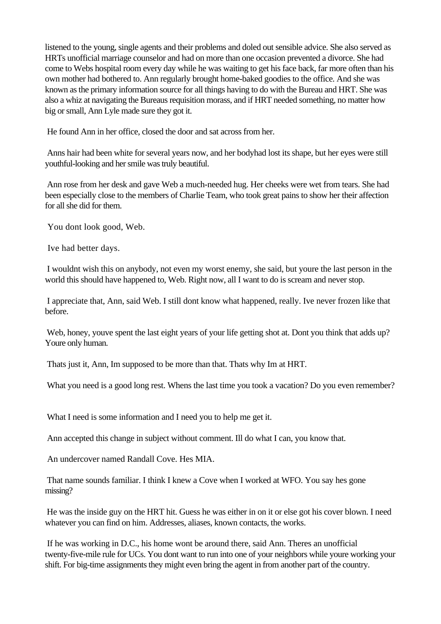listened to the young, single agents and their problems and doled out sensible advice. She also served as HRTs unofficial marriage counselor and had on more than one occasion prevented a divorce. She had come to Webs hospital room every day while he was waiting to get his face back, far more often than his own mother had bothered to. Ann regularly brought home-baked goodies to the office. And she was known as the primary information source for all things having to do with the Bureau and HRT. She was also a whiz at navigating the Bureaus requisition morass, and if HRT needed something, no matter how big or small, Ann Lyle made sure they got it.

He found Ann in her office, closed the door and sat across from her.

 Anns hair had been white for several years now, and her bodyhad lost its shape, but her eyes were still youthful-looking and her smile was truly beautiful.

 Ann rose from her desk and gave Web a much-needed hug. Her cheeks were wet from tears. She had been especially close to the members of Charlie Team, who took great pains to show her their affection for all she did for them.

You dont look good, Web.

Ive had better days.

 I wouldnt wish this on anybody, not even my worst enemy, she said, but youre the last person in the world this should have happened to, Web. Right now, all I want to do is scream and never stop.

 I appreciate that, Ann, said Web. I still dont know what happened, really. Ive never frozen like that before.

Web, honey, youve spent the last eight years of your life getting shot at. Dont you think that adds up? Youre only human.

Thats just it, Ann, Im supposed to be more than that. Thats why Im at HRT.

What you need is a good long rest. Whens the last time you took a vacation? Do you even remember?

What I need is some information and I need you to help me get it.

Ann accepted this change in subject without comment. Ill do what I can, you know that.

An undercover named Randall Cove. Hes MIA.

 That name sounds familiar. I think I knew a Cove when I worked at WFO. You say hes gone missing?

 He was the inside guy on the HRT hit. Guess he was either in on it or else got his cover blown. I need whatever you can find on him. Addresses, aliases, known contacts, the works.

 If he was working in D.C., his home wont be around there, said Ann. Theres an unofficial twenty-five-mile rule for UCs. You dont want to run into one of your neighbors while youre working your shift. For big-time assignments they might even bring the agent in from another part of the country.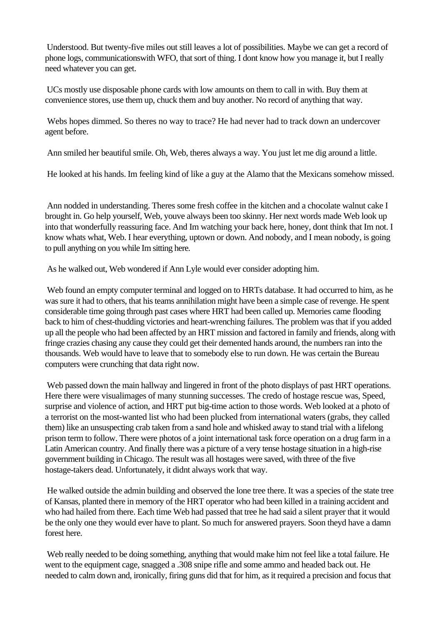Understood. But twenty-five miles out still leaves a lot of possibilities. Maybe we can get a record of phone logs, communicationswith WFO, that sort of thing. I dont know how you manage it, but I really need whatever you can get.

 UCs mostly use disposable phone cards with low amounts on them to call in with. Buy them at convenience stores, use them up, chuck them and buy another. No record of anything that way.

 Webs hopes dimmed. So theres no way to trace? He had never had to track down an undercover agent before.

Ann smiled her beautiful smile. Oh, Web, theres always a way. You just let me dig around a little.

He looked at his hands. Im feeling kind of like a guy at the Alamo that the Mexicans somehow missed.

 Ann nodded in understanding. Theres some fresh coffee in the kitchen and a chocolate walnut cake I brought in. Go help yourself, Web, youve always been too skinny. Her next words made Web look up into that wonderfully reassuring face. And Im watching your back here, honey, dont think that Im not. I know whats what, Web. I hear everything, uptown or down. And nobody, and I mean nobody, is going to pull anything on you while Im sitting here.

As he walked out, Web wondered if Ann Lyle would ever consider adopting him.

 Web found an empty computer terminal and logged on to HRTs database. It had occurred to him, as he was sure it had to others, that his teams annihilation might have been a simple case of revenge. He spent considerable time going through past cases where HRT had been called up. Memories came flooding back to him of chest-thudding victories and heart-wrenching failures. The problem was that if you added up all the people who had been affected by an HRT mission and factored in family and friends, along with fringe crazies chasing any cause they could get their demented hands around, the numbers ran into the thousands. Web would have to leave that to somebody else to run down. He was certain the Bureau computers were crunching that data right now.

Web passed down the main hallway and lingered in front of the photo displays of past HRT operations. Here there were visualimages of many stunning successes. The credo of hostage rescue was, Speed, surprise and violence of action, and HRT put big-time action to those words. Web looked at a photo of a terrorist on the most-wanted list who had been plucked from international waters (grabs, they called them) like an unsuspecting crab taken from a sand hole and whisked away to stand trial with a lifelong prison term to follow. There were photos of a joint international task force operation on a drug farm in a Latin American country. And finally there was a picture of a very tense hostage situation in a high-rise government building in Chicago. The result was all hostages were saved, with three of the five hostage-takers dead. Unfortunately, it didnt always work that way.

 He walked outside the admin building and observed the lone tree there. It was a species of the state tree of Kansas, planted there in memory of the HRT operator who had been killed in a training accident and who had hailed from there. Each time Web had passed that tree he had said a silent prayer that it would be the only one they would ever have to plant. So much for answered prayers. Soon theyd have a damn forest here.

 Web really needed to be doing something, anything that would make him not feel like a total failure. He went to the equipment cage, snagged a .308 snipe rifle and some ammo and headed back out. He needed to calm down and, ironically, firing guns did that for him, as it required a precision and focus that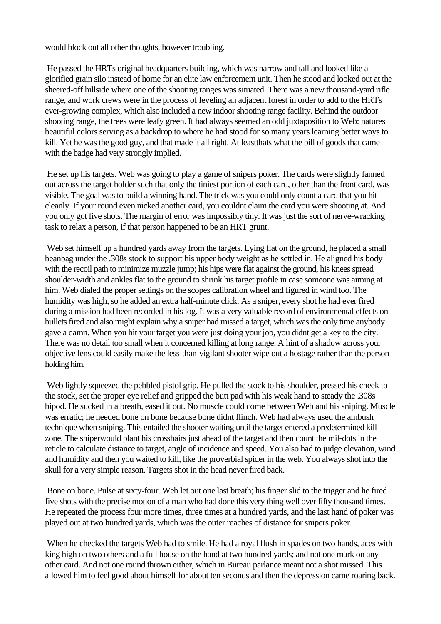would block out all other thoughts, however troubling.

 He passed the HRTs original headquarters building, which was narrow and tall and looked like a glorified grain silo instead of home for an elite law enforcement unit. Then he stood and looked out at the sheered-off hillside where one of the shooting ranges was situated. There was a new thousand-yard rifle range, and work crews were in the process of leveling an adjacent forest in order to add to the HRTs ever-growing complex, which also included a new indoor shooting range facility. Behind the outdoor shooting range, the trees were leafy green. It had always seemed an odd juxtaposition to Web: natures beautiful colors serving as a backdrop to where he had stood for so many years learning better ways to kill. Yet he was the good guy, and that made it all right. At leastthats what the bill of goods that came with the badge had very strongly implied.

 He set up his targets. Web was going to play a game of snipers poker. The cards were slightly fanned out across the target holder such that only the tiniest portion of each card, other than the front card, was visible. The goal was to build a winning hand. The trick was you could only count a card that you hit cleanly. If your round even nicked another card, you couldnt claim the card you were shooting at. And you only got five shots. The margin of error was impossibly tiny. It was just the sort of nerve-wracking task to relax a person, if that person happened to be an HRT grunt.

Web set himself up a hundred yards away from the targets. Lying flat on the ground, he placed a small beanbag under the .308s stock to support his upper body weight as he settled in. He aligned his body with the recoil path to minimize muzzle jump; his hips were flat against the ground, his knees spread shoulder-width and ankles flat to the ground to shrink his target profile in case someone was aiming at him. Web dialed the proper settings on the scopes calibration wheel and figured in wind too. The humidity was high, so he added an extra half-minute click. As a sniper, every shot he had ever fired during a mission had been recorded in his log. It was a very valuable record of environmental effects on bullets fired and also might explain why a sniper had missed a target, which was the only time anybody gave a damn. When you hit your target you were just doing your job, you didnt get a key to the city. There was no detail too small when it concerned killing at long range. A hint of a shadow across your objective lens could easily make the less-than-vigilant shooter wipe out a hostage rather than the person holding him.

Web lightly squeezed the pebbled pistol grip. He pulled the stock to his shoulder, pressed his cheek to the stock, set the proper eye relief and gripped the butt pad with his weak hand to steady the .308s bipod. He sucked in a breath, eased it out. No muscle could come between Web and his sniping. Muscle was erratic; he needed bone on bone because bone didnt flinch. Web had always used the ambush technique when sniping. This entailed the shooter waiting until the target entered a predetermined kill zone. The sniperwould plant his crosshairs just ahead of the target and then count the mil-dots in the reticle to calculate distance to target, angle of incidence and speed. You also had to judge elevation, wind and humidity and then you waited to kill, like the proverbial spider in the web. You always shot into the skull for a very simple reason. Targets shot in the head never fired back.

 Bone on bone. Pulse at sixty-four. Web let out one last breath; his finger slid to the trigger and he fired five shots with the precise motion of a man who had done this very thing well over fifty thousand times. He repeated the process four more times, three times at a hundred yards, and the last hand of poker was played out at two hundred yards, which was the outer reaches of distance for snipers poker.

 When he checked the targets Web had to smile. He had a royal flush in spades on two hands, aces with king high on two others and a full house on the hand at two hundred yards; and not one mark on any other card. And not one round thrown either, which in Bureau parlance meant not a shot missed. This allowed him to feel good about himself for about ten seconds and then the depression came roaring back.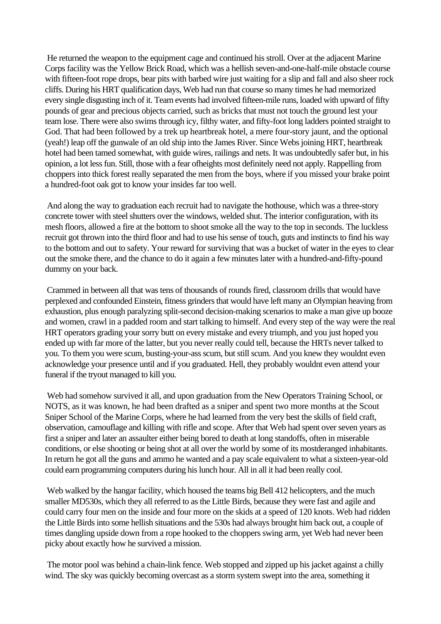He returned the weapon to the equipment cage and continued his stroll. Over at the adjacent Marine Corps facility was the Yellow Brick Road, which was a hellish seven-and-one-half-mile obstacle course with fifteen-foot rope drops, bear pits with barbed wire just waiting for a slip and fall and also sheer rock cliffs. During his HRT qualification days, Web had run that course so many times he had memorized every single disgusting inch of it. Team events had involved fifteen-mile runs, loaded with upward of fifty pounds of gear and precious objects carried, such as bricks that must not touch the ground lest your team lose. There were also swims through icy, filthy water, and fifty-foot long ladders pointed straight to God. That had been followed by a trek up heartbreak hotel, a mere four-story jaunt, and the optional (yeah!) leap off the gunwale of an old ship into the James River. Since Webs joining HRT, heartbreak hotel had been tamed somewhat, with guide wires, railings and nets. It was undoubtedly safer but, in his opinion, a lot less fun. Still, those with a fear ofheights most definitely need not apply. Rappelling from choppers into thick forest really separated the men from the boys, where if you missed your brake point a hundred-foot oak got to know your insides far too well.

 And along the way to graduation each recruit had to navigate the hothouse, which was a three-story concrete tower with steel shutters over the windows, welded shut. The interior configuration, with its mesh floors, allowed a fire at the bottom to shoot smoke all the way to the top in seconds. The luckless recruit got thrown into the third floor and had to use his sense of touch, guts and instincts to find his way to the bottom and out to safety. Your reward for surviving that was a bucket of water in the eyes to clear out the smoke there, and the chance to do it again a few minutes later with a hundred-and-fifty-pound dummy on your back.

 Crammed in between all that was tens of thousands of rounds fired, classroom drills that would have perplexed and confounded Einstein, fitness grinders that would have left many an Olympian heaving from exhaustion, plus enough paralyzing split-second decision-making scenarios to make a man give up booze and women, crawl in a padded room and start talking to himself. And every step of the way were the real HRT operators grading your sorry butt on every mistake and every triumph, and you just hoped you ended up with far more of the latter, but you never really could tell, because the HRTs never talked to you. To them you were scum, busting-your-ass scum, but still scum. And you knew they wouldnt even acknowledge your presence until and if you graduated. Hell, they probably wouldnt even attend your funeral if the tryout managed to kill you.

 Web had somehow survived it all, and upon graduation from the New Operators Training School, or NOTS, as it was known, he had been drafted as a sniper and spent two more months at the Scout Sniper School of the Marine Corps, where he had learned from the very best the skills of field craft, observation, camouflage and killing with rifle and scope. After that Web had spent over seven years as first a sniper and later an assaulter either being bored to death at long standoffs, often in miserable conditions, or else shooting or being shot at all over the world by some of its mostderanged inhabitants. In return he got all the guns and ammo he wanted and a pay scale equivalent to what a sixteen-year-old could earn programming computers during his lunch hour. All in all it had been really cool.

Web walked by the hangar facility, which housed the teams big Bell 412 helicopters, and the much smaller MD530s, which they all referred to as the Little Birds, because they were fast and agile and could carry four men on the inside and four more on the skids at a speed of 120 knots. Web had ridden the Little Birds into some hellish situations and the 530s had always brought him back out, a couple of times dangling upside down from a rope hooked to the choppers swing arm, yet Web had never been picky about exactly how he survived a mission.

 The motor pool was behind a chain-link fence. Web stopped and zipped up his jacket against a chilly wind. The sky was quickly becoming overcast as a storm system swept into the area, something it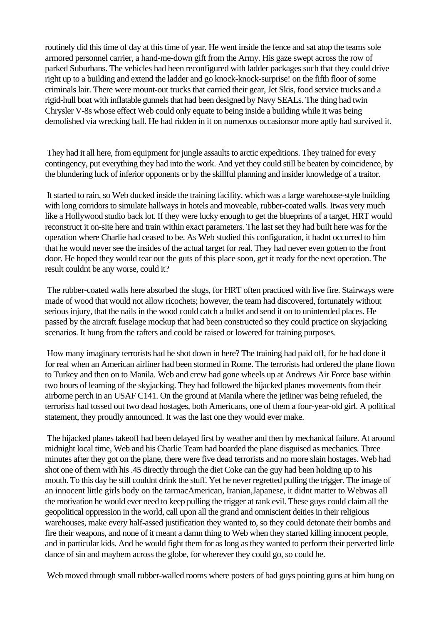routinely did this time of day at this time of year. He went inside the fence and sat atop the teams sole armored personnel carrier, a hand-me-down gift from the Army. His gaze swept across the row of parked Suburbans. The vehicles had been reconfigured with ladder packages such that they could drive right up to a building and extend the ladder and go knock-knock-surprise! on the fifth floor of some criminals lair. There were mount-out trucks that carried their gear, Jet Skis, food service trucks and a rigid-hull boat with inflatable gunnels that had been designed by Navy SEALs. The thing had twin Chrysler V-8s whose effect Web could only equate to being inside a building while it was being demolished via wrecking ball. He had ridden in it on numerous occasions or more aptly had survived it.

 They had it all here, from equipment for jungle assaults to arctic expeditions. They trained for every contingency, put everything they had into the work. And yet they could still be beaten by coincidence, by the blundering luck of inferior opponents or by the skillful planning and insider knowledge of a traitor.

 It started to rain, so Web ducked inside the training facility, which was a large warehouse-style building with long corridors to simulate hallways in hotels and moveable, rubber-coated walls. Itwas very much like a Hollywood studio back lot. If they were lucky enough to get the blueprints of a target, HRT would reconstruct it on-site here and train within exact parameters. The last set they had built here was for the operation where Charlie had ceased to be. As Web studied this configuration, it hadnt occurred to him that he would never see the insides of the actual target for real. They had never even gotten to the front door. He hoped they would tear out the guts of this place soon, get it ready for the next operation. The result couldnt be any worse, could it?

 The rubber-coated walls here absorbed the slugs, for HRT often practiced with live fire. Stairways were made of wood that would not allow ricochets; however, the team had discovered, fortunately without serious injury, that the nails in the wood could catch a bullet and send it on to unintended places. He passed by the aircraft fuselage mockup that had been constructed so they could practice on skyjacking scenarios. It hung from the rafters and could be raised or lowered for training purposes.

 How many imaginary terrorists had he shot down in here? The training had paid off, for he had done it for real when an American airliner had been stormed in Rome. The terrorists had ordered the plane flown to Turkey and then on to Manila. Web and crew had gone wheels up at Andrews Air Force base within two hours of learning of the skyjacking. They had followed the hijacked planes movements from their airborne perch in an USAF C141. On the ground at Manila where the jetliner was being refueled, the terrorists had tossed out two dead hostages, both Americans, one of them a four-year-old girl. A political statement, they proudly announced. It was the last one they would ever make.

 The hijacked planes takeoff had been delayed first by weather and then by mechanical failure. At around midnight local time, Web and his Charlie Team had boarded the plane disguised as mechanics. Three minutes after they got on the plane, there were five dead terrorists and no more slain hostages. Web had shot one of them with his .45 directly through the diet Coke can the guy had been holding up to his mouth. To this day he still couldnt drink the stuff. Yet he never regretted pulling the trigger. The image of an innocent little girls body on the tarmac American, Iranian, Japanese, it didnt matter to Web was all the motivation he would ever need to keep pulling the trigger at rank evil. These guys could claim all the geopolitical oppression in the world, call upon all the grand and omniscient deities in their religious warehouses, make every half-assed justification they wanted to, so they could detonate their bombs and fire their weapons, and none of it meant a damn thing to Web when they started killing innocent people, and in particular kids. And he would fight them for as long as they wanted to perform their perverted little dance of sin and mayhem across the globe, for wherever they could go, so could he.

Web moved through small rubber-walled rooms where posters of bad guys pointing guns at him hung on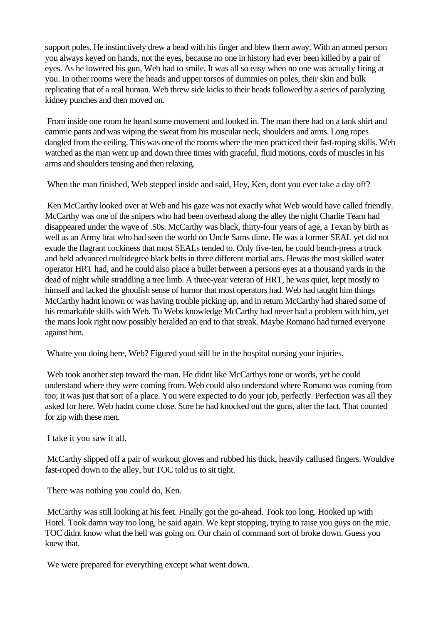support poles. He instinctively drew a bead with his finger and blew them away. With an armed person you always keyed on hands, not the eyes, because no one in history had ever been killed by a pair of eyes. As he lowered his gun, Web had to smile. It was all so easy when no one was actually firing at you. In other rooms were the heads and upper torsos of dummies on poles, their skin and bulk replicating that of a real human. Web threw side kicks to their heads followed by a series of paralyzing kidney punches and then moved on.

 From inside one room he heard some movement and looked in. The man there had on a tank shirt and cammie pants and was wiping the sweat from his muscular neck, shoulders and arms. Long ropes dangled from the ceiling. This was one of the rooms where the men practiced their fast-roping skills. Web watched as the man went up and down three times with graceful, fluid motions, cords of muscles in his arms and shoulders tensing and then relaxing.

When the man finished, Web stepped inside and said, Hey, Ken, dont you ever take a day off?

Ken McCarthy looked over at Web and his gaze was not exactly what Web would have called friendly. McCarthy was one of the snipers who had been overhead along the alley the night Charlie Team had disappeared under the wave of .50s. McCarthy was black, thirty-four years of age, a Texan by birth as well as an Army brat who had seen the world on Uncle Sams dime. He was a former SEAL yet did not exude the flagrant cockiness that most SEALs tended to. Only five-ten, he could bench-press a truck and held advanced multidegree black belts in three different martial arts. Hewas the most skilled water operator HRT had, and he could also place a bullet between a persons eyes at a thousand yards in the dead of night while straddling a tree limb. A three-year veteran of HRT, he was quiet, kept mostly to himself and lacked the ghoulish sense of humor that most operators had. Web had taught him things McCarthy hadnt known or was having trouble picking up, and in return McCarthy had shared some of his remarkable skills with Web. To Webs knowledge McCarthy had never had a problem with him, yet the mans look right now possibly heralded an end to that streak. Maybe Romano had turned everyone against him.

Whatre you doing here, Web? Figured youd still be in the hospital nursing your injuries.

 Web took another step toward the man. He didnt like McCarthys tone or words, yet he could understand where they were coming from. Web could also understand where Romano was coming from too; it was just that sort of a place. You were expected to do your job, perfectly. Perfection was all they asked for here. Web hadnt come close. Sure he had knocked out the guns, after the fact. That counted for zip with these men.

I take it you saw it all.

 McCarthy slipped off a pair of workout gloves and rubbed his thick, heavily callused fingers. Wouldve fast-roped down to the alley, but TOC told us to sit tight.

There was nothing you could do, Ken.

 McCarthy was still looking at his feet. Finally got the go-ahead. Took too long. Hooked up with Hotel. Took damn way too long, he said again. We kept stopping, trying to raise you guys on the mic. TOC didnt know what the hell was going on. Our chain of command sort of broke down. Guess you knew that.

We were prepared for everything except what went down.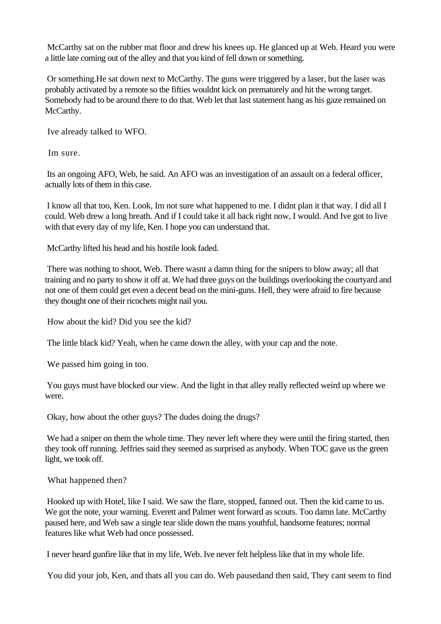McCarthy sat on the rubber mat floor and drew his knees up. He glanced up at Web. Heard you were a little late coming out of the alley and that you kind of fell down or something.

 Or something.He sat down next to McCarthy. The guns were triggered by a laser, but the laser was probably activated by a remote so the fifties wouldnt kick on prematurely and hit the wrong target. Somebody had to be around there to do that. Web let that last statement hang as his gaze remained on McCarthy.

Ive already talked to WFO.

Im sure.

 Its an ongoing AFO, Web, he said. An AFO was an investigation of an assault on a federal officer, actually lots of them in this case.

 I know all that too, Ken. Look, Im not sure what happened to me. I didnt plan it that way. I did all I could. Web drew a long breath. And if I could take it all back right now, I would. And Ive got to live with that every day of my life, Ken. I hope you can understand that.

McCarthy lifted his head and his hostile look faded.

 There was nothing to shoot, Web. There wasnt a damn thing for the snipers to blow away; all that training and no party to show it off at. We had three guys on the buildings overlooking the courtyard and not one of them could get even a decent bead on the mini-guns. Hell, they were afraid to fire because they thought one of their ricochets might nail you.

How about the kid? Did you see the kid?

The little black kid? Yeah, when he came down the alley, with your cap and the note.

We passed him going in too.

 You guys must have blocked our view. And the light in that alley really reflected weird up where we were.

Okay, how about the other guys? The dudes doing the drugs?

We had a sniper on them the whole time. They never left where they were until the firing started, then they took off running. Jeffries said they seemed as surprised as anybody. When TOC gave us the green light, we took off.

What happened then?

 Hooked up with Hotel, like I said. We saw the flare, stopped, fanned out. Then the kid came to us. We got the note, your warning. Everett and Palmer went forward as scouts. Too damn late. McCarthy paused here, and Web saw a single tear slide down the mans youthful, handsome features; normal features like what Web had once possessed.

I never heard gunfire like that in my life, Web. Ive never felt helpless like that in my whole life.

You did your job, Ken, and thats all you can do. Web pausedand then said, They cant seem to find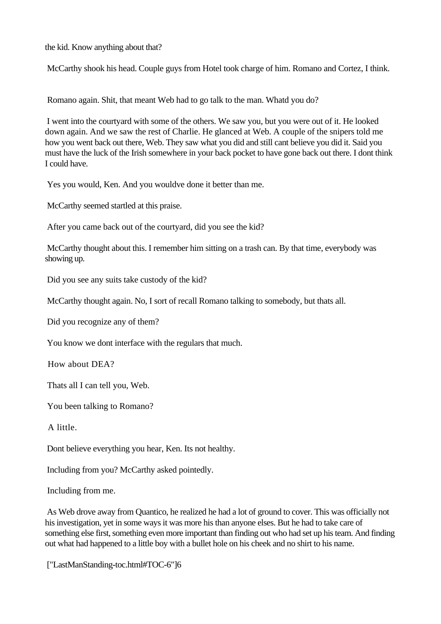the kid. Know anything about that?

McCarthy shook his head. Couple guys from Hotel took charge of him. Romano and Cortez, I think.

Romano again. Shit, that meant Web had to go talk to the man. Whatd you do?

 I went into the courtyard with some of the others. We saw you, but you were out of it. He looked down again. And we saw the rest of Charlie. He glanced at Web. A couple of the snipers told me how you went back out there, Web. They saw what you did and still cant believe you did it. Said you must have the luck of the Irish somewhere in your back pocket to have gone back out there. I dont think I could have.

Yes you would, Ken. And you wouldve done it better than me.

McCarthy seemed startled at this praise.

After you came back out of the courtyard, did you see the kid?

 McCarthy thought about this. I remember him sitting on a trash can. By that time, everybody was showing up.

Did you see any suits take custody of the kid?

McCarthy thought again. No, I sort of recall Romano talking to somebody, but thats all.

Did you recognize any of them?

You know we dont interface with the regulars that much.

How about DEA?

Thats all I can tell you, Web.

You been talking to Romano?

A little.

Dont believe everything you hear, Ken. Its not healthy.

Including from you? McCarthy asked pointedly.

Including from me.

 As Web drove away from Quantico, he realized he had a lot of ground to cover. This was officially not his investigation, yet in some ways it was more his than anyone elses. But he had to take care of something else first, something even more important than finding out who had set up his team. And finding out what had happened to a little boy with a bullet hole on his cheek and no shirt to his name.

["LastManStanding-toc.html#TOC-6"]6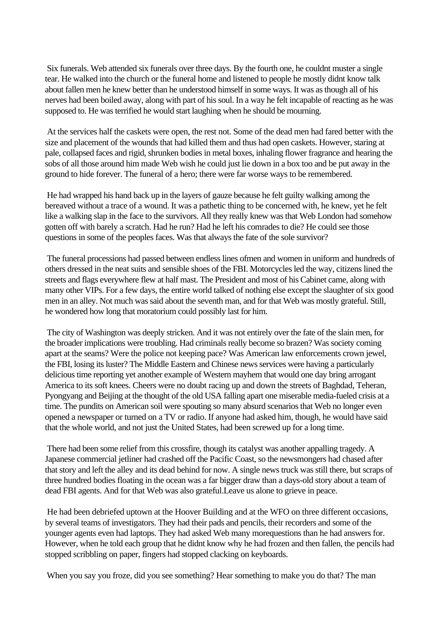Six funerals. Web attended six funerals over three days. By the fourth one, he couldnt muster a single tear. He walked into the church or the funeral home and listened to people he mostly didnt know talk about fallen men he knew better than he understood himself in some ways. It was as though all of his nerves had been boiled away, along with part of his soul. In a way he felt incapable of reacting as he was supposed to. He was terrified he would start laughing when he should be mourning.

 At the services half the caskets were open, the rest not. Some of the dead men had fared better with the size and placement of the wounds that had killed them and thus had open caskets. However, staring at pale, collapsed faces and rigid, shrunken bodies in metal boxes, inhaling flower fragrance and hearing the sobs of all those around him made Web wish he could just lie down in a box too and be put away in the ground to hide forever. The funeral of a hero; there were far worse ways to be remembered.

 He had wrapped his hand back up in the layers of gauze because he felt guilty walking among the bereaved without a trace of a wound. It was a pathetic thing to be concerned with, he knew, yet he felt like a walking slap in the face to the survivors. All they really knew was that Web London had somehow gotten off with barely a scratch. Had he run? Had he left his comrades to die? He could see those questions in some of the peoples faces. Was that always the fate of the sole survivor?

 The funeral processions had passed between endless lines ofmen and women in uniform and hundreds of others dressed in the neat suits and sensible shoes of the FBI. Motorcycles led the way, citizens lined the streets and flags everywhere flew at half mast. The President and most of his Cabinet came, along with many other VIPs. For a few days, the entire world talked of nothing else except the slaughter of six good men in an alley. Not much was said about the seventh man, and for that Web was mostly grateful. Still, he wondered how long that moratorium could possibly last for him.

 The city of Washington was deeply stricken. And it was not entirely over the fate of the slain men, for the broader implications were troubling. Had criminals really become so brazen? Was society coming apart at the seams? Were the police not keeping pace? Was American law enforcements crown jewel, the FBI, losing its luster? The Middle Eastern and Chinese news services were having a particularly delicious time reporting yet another example of Western mayhem that would one day bring arrogant America to its soft knees. Cheers were no doubt racing up and down the streets of Baghdad, Teheran, Pyongyang and Beijing at the thought of the old USA falling apart one miserable media-fueled crisis at a time. The pundits on American soil were spouting so many absurd scenarios that Web no longer even opened a newspaper or turned on a TV or radio. If anyone had asked him, though, he would have said that the whole world, and not just the United States, had been screwed up for a long time.

 There had been some relief from this crossfire, though its catalyst was another appalling tragedy. A Japanese commercial jetliner had crashed off the Pacific Coast, so the newsmongers had chased after that story and left the alley and its dead behind for now. A single news truck was still there, but scraps of three hundred bodies floating in the ocean was a far bigger draw than a days-old story about a team of dead FBI agents. And for that Web was also grateful.Leave us alone to grieve in peace.

 He had been debriefed uptown at the Hoover Building and at the WFO on three different occasions, by several teams of investigators. They had their pads and pencils, their recorders and some of the younger agents even had laptops. They had asked Web many morequestions than he had answers for. However, when he told each group that he didnt know why he had frozen and then fallen, the pencils had stopped scribbling on paper, fingers had stopped clacking on keyboards.

When you say you froze, did you see something? Hear something to make you do that? The man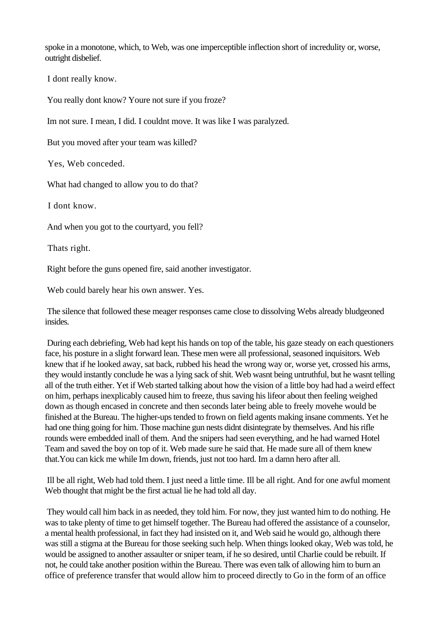spoke in a monotone, which, to Web, was one imperceptible inflection short of incredulity or, worse, outright disbelief.

I dont really know.

You really dont know? Youre not sure if you froze?

Im not sure. I mean, I did. I couldnt move. It was like I was paralyzed.

But you moved after your team was killed?

Yes, Web conceded.

What had changed to allow you to do that?

I dont know.

And when you got to the courtyard, you fell?

Thats right.

Right before the guns opened fire, said another investigator.

Web could barely hear his own answer. Yes.

 The silence that followed these meager responses came close to dissolving Webs already bludgeoned insides.

 During each debriefing, Web had kept his hands on top of the table, his gaze steady on each questioners face, his posture in a slight forward lean. These men were all professional, seasoned inquisitors. Web knew that if he looked away, sat back, rubbed his head the wrong way or, worse yet, crossed his arms, they would instantly conclude he was a lying sack of shit. Web wasnt being untruthful, but he wasnt telling all of the truth either. Yet if Web started talking about how the vision of a little boy had had a weird effect on him, perhaps inexplicably caused him to freeze, thus saving his lifeor about then feeling weighed down as though encased in concrete and then seconds later being able to freely move he would be finished at the Bureau. The higher-ups tended to frown on field agents making insane comments. Yet he had one thing going for him. Those machine gun nests didnt disintegrate by themselves. And his rifle rounds were embedded inall of them. And the snipers had seen everything, and he had warned Hotel Team and saved the boy on top of it. Web made sure he said that. He made sure all of them knew that.You can kick me while Im down, friends, just not too hard. Im a damn hero after all.

 Ill be all right, Web had told them. I just need a little time. Ill be all right. And for one awful moment Web thought that might be the first actual lie he had told all day.

 They would call him back in as needed, they told him. For now, they just wanted him to do nothing. He was to take plenty of time to get himself together. The Bureau had offered the assistance of a counselor, a mental health professional, in fact they had insisted on it, and Web said he would go, although there was still a stigma at the Bureau for those seeking such help. When things looked okay, Web was told, he would be assigned to another assaulter or sniper team, if he so desired, until Charlie could be rebuilt. If not, he could take another position within the Bureau. There was even talk of allowing him to burn an office of preference transfer that would allow him to proceed directly to Go in the form of an office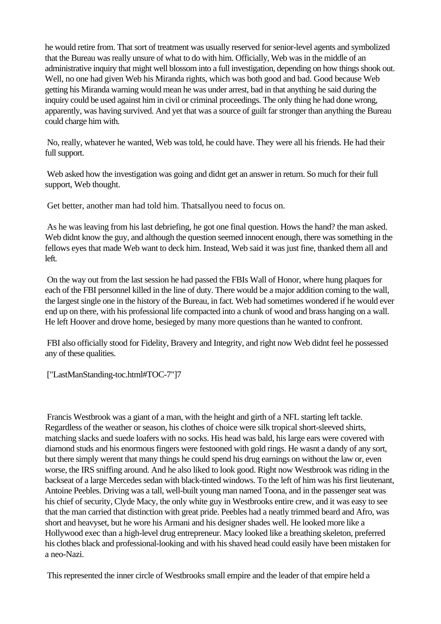he would retire from. That sort of treatment was usually reserved for senior-level agents and symbolized that the Bureau was really unsure of what to do with him. Officially, Web was in the middle of an administrative inquiry that might well blossom into a full investigation, depending on how things shook out. Well, no one had given Web his Miranda rights, which was both good and bad. Good because Web getting his Miranda warning would mean he was under arrest, bad in that anything he said during the inquiry could be used against him in civil or criminal proceedings. The only thing he had done wrong, apparently, was having survived. And yet that was a source of guilt far stronger than anything the Bureau could charge him with.

 No, really, whatever he wanted, Web was told, he could have. They were all his friends. He had their full support.

Web asked how the investigation was going and didnt get an answer in return. So much for their full support, Web thought.

Get better, another man had told him. Thatsallyou need to focus on.

 As he was leaving from his last debriefing, he got one final question. Hows the hand? the man asked. Web didnt know the guy, and although the question seemed innocent enough, there was something in the fellows eyes that made Web want to deck him. Instead, Web said it was just fine, thanked them all and left.

 On the way out from the last session he had passed the FBIs Wall of Honor, where hung plaques for each of the FBI personnel killed in the line of duty. There would be a major addition coming to the wall, the largest single one in the history of the Bureau, in fact. Web had sometimes wondered if he would ever end up on there, with his professional life compacted into a chunk of wood and brass hanging on a wall. He left Hoover and drove home, besieged by many more questions than he wanted to confront.

 FBI also officially stood for Fidelity, Bravery and Integrity, and right now Web didnt feel he possessed any of these qualities.

["LastManStanding-toc.html#TOC-7"]7

 Francis Westbrook was a giant of a man, with the height and girth of a NFL starting left tackle. Regardless of the weather or season, his clothes of choice were silk tropical short-sleeved shirts, matching slacks and suede loafers with no socks. His head was bald, his large ears were covered with diamond studs and his enormous fingers were festooned with gold rings. He wasnt a dandy of any sort, but there simply werent that many things he could spend his drug earnings on without the law or, even worse, the IRS sniffing around. And he also liked to look good. Right now Westbrook was riding in the backseat of a large Mercedes sedan with black-tinted windows. To the left of him was his first lieutenant, Antoine Peebles. Driving was a tall, well-built young man named Toona, and in the passenger seat was his chief of security, Clyde Macy, the only white guy in Westbrooks entire crew, and it was easy to see that the man carried that distinction with great pride. Peebles had a neatly trimmed beard and Afro, was short and heavyset, but he wore his Armani and his designer shades well. He looked more like a Hollywood exec than a high-level drug entrepreneur. Macy looked like a breathing skeleton, preferred his clothes black and professional-looking and with his shaved head could easily have been mistaken for a neo-Nazi.

This represented the inner circle of Westbrooks small empire and the leader of that empire held a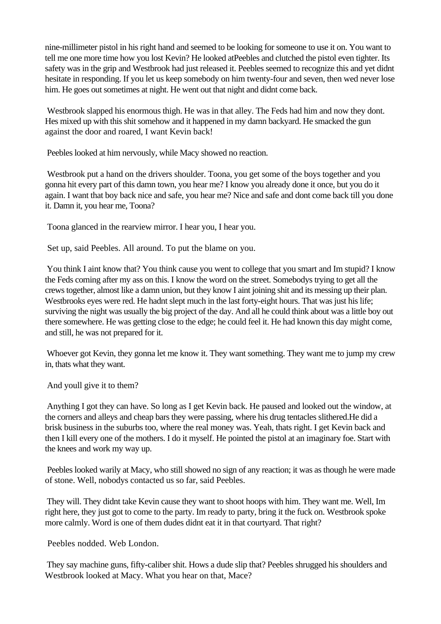nine-millimeter pistol in his right hand and seemed to be looking for someone to use it on. You want to tell me one more time how you lost Kevin? He looked atPeebles and clutched the pistol even tighter. Its safety was in the grip and Westbrook had just released it. Peebles seemed to recognize this and yet didnt hesitate in responding. If you let us keep somebody on him twenty-four and seven, then wed never lose him. He goes out sometimes at night. He went out that night and didnt come back.

 Westbrook slapped his enormous thigh. He was in that alley. The Feds had him and now they dont. Hes mixed up with this shit somehow and it happened in my damn backyard. He smacked the gun against the door and roared, I want Kevin back!

Peebles looked at him nervously, while Macy showed no reaction.

 Westbrook put a hand on the drivers shoulder. Toona, you get some of the boys together and you gonna hit every part of this damn town, you hear me? I know you already done it once, but you do it again. I want that boy back nice and safe, you hear me? Nice and safe and dont come back till you done it. Damn it, you hear me, Toona?

Toona glanced in the rearview mirror. I hear you, I hear you.

Set up, said Peebles. All around. To put the blame on you.

 You think I aint know that? You think cause you went to college that you smart and Im stupid? I know the Feds coming after my ass on this. I know the word on the street. Somebodys trying to get all the crews together, almost like a damn union, but they know I aint joining shit and its messing up their plan. Westbrooks eyes were red. He hadnt slept much in the last forty-eight hours. That was just his life; surviving the night was usually the big project of the day. And all he could think about was a little boy out there somewhere. He was getting close to the edge; he could feel it. He had known this day might come, and still, he was not prepared for it.

 Whoever got Kevin, they gonna let me know it. They want something. They want me to jump my crew in, thats what they want.

And youll give it to them?

 Anything I got they can have. So long as I get Kevin back. He paused and looked out the window, at the corners and alleys and cheap bars they were passing, where his drug tentacles slithered.He did a brisk business in the suburbs too, where the real money was. Yeah, thats right. I get Kevin back and then I kill every one of the mothers. I do it myself. He pointed the pistol at an imaginary foe. Start with the knees and work my way up.

 Peebles looked warily at Macy, who still showed no sign of any reaction; it was as though he were made of stone. Well, nobodys contacted us so far, said Peebles.

 They will. They didnt take Kevin cause they want to shoot hoops with him. They want me. Well, Im right here, they just got to come to the party. Im ready to party, bring it the fuck on. Westbrook spoke more calmly. Word is one of them dudes didnt eat it in that courtyard. That right?

Peebles nodded. Web London.

 They say machine guns, fifty-caliber shit. Hows a dude slip that? Peebles shrugged his shoulders and Westbrook looked at Macy. What you hear on that, Mace?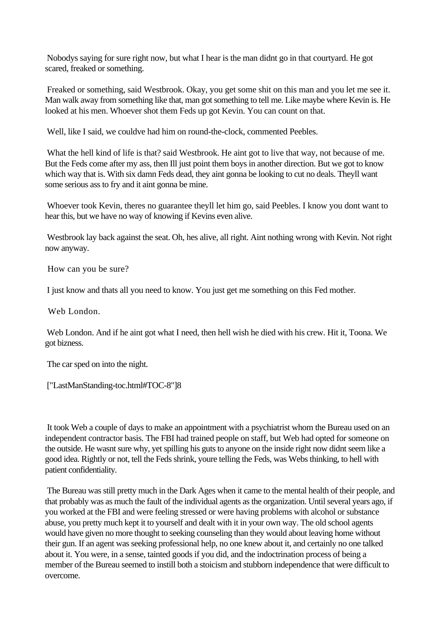Nobodys saying for sure right now, but what I hear is the man didnt go in that courtyard. He got scared, freaked or something.

 Freaked or something, said Westbrook. Okay, you get some shit on this man and you let me see it. Man walk away from something like that, man got something to tell me. Like maybe where Kevin is. He looked at his men. Whoever shot them Feds up got Kevin. You can count on that.

Well, like I said, we couldve had him on round-the-clock, commented Peebles.

 What the hell kind of life is that? said Westbrook. He aint got to live that way, not because of me. But the Feds come after my ass, then Ill just point them boys in another direction. But we got to know which way that is. With six damn Feds dead, they aint gonna be looking to cut no deals. Theyll want some serious ass to fry and it aint gonna be mine.

 Whoever took Kevin, theres no guarantee theyll let him go, said Peebles. I know you dont want to hear this, but we have no way of knowing if Kevins even alive.

 Westbrook lay back against the seat. Oh, hes alive, all right. Aint nothing wrong with Kevin. Not right now anyway.

How can you be sure?

I just know and thats all you need to know. You just get me something on this Fed mother.

Web London.

 Web London. And if he aint got what I need, then hell wish he died with his crew. Hit it, Toona. We got bizness.

The car sped on into the night.

["LastManStanding-toc.html#TOC-8"]8

 It took Web a couple of days to make an appointment with a psychiatrist whom the Bureau used on an independent contractor basis. The FBI had trained people on staff, but Web had opted for someone on the outside. He wasnt sure why, yet spilling his guts to anyone on the inside right now didnt seem like a good idea. Rightly or not, tell the Feds shrink, youre telling the Feds, was Webs thinking, to hell with patient confidentiality.

 The Bureau was still pretty much in the Dark Ages when it came to the mental health of their people, and that probably was as much the fault of the individual agents as the organization. Until several years ago, if you worked at the FBI and were feeling stressed or were having problems with alcohol or substance abuse, you pretty much kept it to yourself and dealt with it in your own way. The old school agents would have given no more thought to seeking counseling than they would about leaving home without their gun. If an agent was seeking professional help, no one knew about it, and certainly no one talked about it. You were, in a sense, tainted goods if you did, and the indoctrination process of being a member of the Bureau seemed to instill both a stoicism and stubborn independence that were difficult to overcome.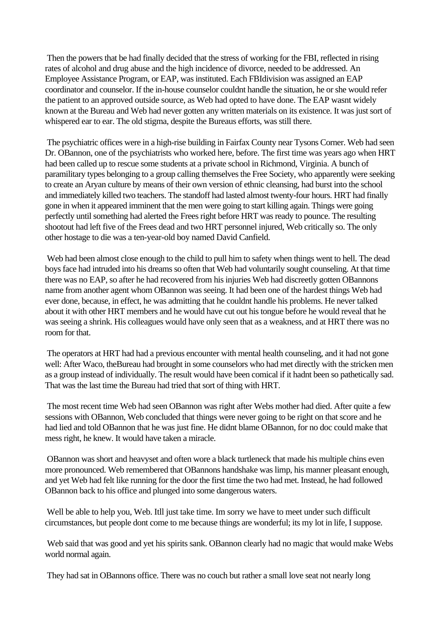Then the powers that be had finally decided that the stress of working for the FBI, reflected in rising rates of alcohol and drug abuse and the high incidence of divorce, needed to be addressed. An Employee Assistance Program, or EAP, was instituted. Each FBIdivision was assigned an EAP coordinator and counselor. If the in-house counselor couldnt handle the situation, he or she would refer the patient to an approved outside source, as Web had opted to have done. The EAP wasnt widely known at the Bureau and Web had never gotten any written materials on its existence. It was just sort of whispered ear to ear. The old stigma, despite the Bureaus efforts, was still there.

 The psychiatric offices were in a high-rise building in Fairfax County near Tysons Corner. Web had seen Dr. OBannon, one of the psychiatrists who worked here, before. The first time was years ago when HRT had been called up to rescue some students at a private school in Richmond, Virginia. A bunch of paramilitary types belonging to a group calling themselves the Free Society, who apparently were seeking to create an Aryan culture by means of their own version of ethnic cleansing, had burst into the school and immediately killed two teachers. The standoff had lasted almost twenty-four hours. HRT had finally gone in when it appeared imminent that the men were going to start killing again. Things were going perfectly until something had alerted the Frees right before HRT was ready to pounce. The resulting shootout had left five of the Frees dead and two HRT personnel injured, Web critically so. The only other hostage to die was a ten-year-old boy named David Canfield.

 Web had been almost close enough to the child to pull him to safety when things went to hell. The dead boys face had intruded into his dreams so often that Web had voluntarily sought counseling. At that time there was no EAP, so after he had recovered from his injuries Web had discreetly gotten OBannons name from another agent whom OBannon was seeing. It had been one of the hardest things Web had ever done, because, in effect, he was admitting that he couldnt handle his problems. He never talked about it with other HRT members and he would have cut out his tongue before he would reveal that he was seeing a shrink. His colleagues would have only seen that as a weakness, and at HRT there was no room for that.

 The operators at HRT had had a previous encounter with mental health counseling, and it had not gone well: After Waco, theBureau had brought in some counselors who had met directly with the stricken men as a group instead of individually. The result would have been comical if it hadnt been so pathetically sad. That was the last time the Bureau had tried that sort of thing with HRT.

 The most recent time Web had seen OBannon was right after Webs mother had died. After quite a few sessions with OBannon, Web concluded that things were never going to be right on that score and he had lied and told OBannon that he was just fine. He didnt blame OBannon, for no doc could make that mess right, he knew. It would have taken a miracle.

 OBannon was short and heavyset and often wore a black turtleneck that made his multiple chins even more pronounced. Web remembered that OBannons handshake was limp, his manner pleasant enough, and yet Web had felt like running for the door the first time the two had met. Instead, he had followed OBannon back to his office and plunged into some dangerous waters.

 Well be able to help you, Web. Itll just take time. Im sorry we have to meet under such difficult circumstances, but people dont come to me because things are wonderful; its my lot in life, I suppose.

 Web said that was good and yet his spirits sank. OBannon clearly had no magic that would make Webs world normal again.

They had sat in OBannons office. There was no couch but rather a small love seat not nearly long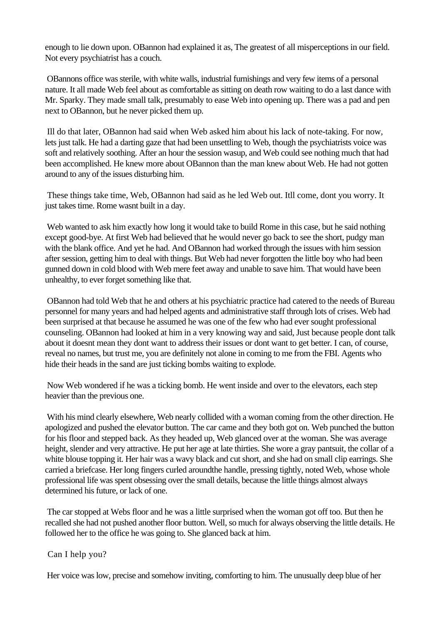enough to lie down upon. OBannon had explained it as, The greatest of all misperceptions in our field. Not every psychiatrist has a couch.

 OBannons office was sterile, with white walls, industrial furnishings and very few items of a personal nature. It all made Web feel about as comfortable as sitting on death row waiting to do a last dance with Mr. Sparky. They made small talk, presumably to ease Web into opening up. There was a pad and pen next to OBannon, but he never picked them up.

 Ill do that later, OBannon had said when Web asked him about his lack of note-taking. For now, lets just talk. He had a darting gaze that had been unsettling to Web, though the psychiatrists voice was soft and relatively soothing. After an hour the session wasup, and Web could see nothing much that had been accomplished. He knew more about OBannon than the man knew about Web. He had not gotten around to any of the issues disturbing him.

 These things take time, Web, OBannon had said as he led Web out. Itll come, dont you worry. It just takes time. Rome wasnt built in a day.

Web wanted to ask him exactly how long it would take to build Rome in this case, but he said nothing except good-bye. At first Web had believed that he would never go back to see the short, pudgy man with the blank office. And yet he had. And OBannon had worked through the issues with him session after session, getting him to deal with things. But Web had never forgotten the little boy who had been gunned down in cold blood with Web mere feet away and unable to save him. That would have been unhealthy, to ever forget something like that.

 OBannon had told Web that he and others at his psychiatric practice had catered to the needs of Bureau personnel for many years and had helped agents and administrative staff through lots of crises. Web had been surprised at that because he assumed he was one of the few who had ever sought professional counseling. OBannon had looked at him in a very knowing way and said, Just because people dont talk about it doesnt mean they dont want to address their issues or dont want to get better. I can, of course, reveal no names, but trust me, you are definitely not alone in coming to me from the FBI. Agents who hide their heads in the sand are just ticking bombs waiting to explode.

 Now Web wondered if he was a ticking bomb. He went inside and over to the elevators, each step heavier than the previous one.

 With his mind clearly elsewhere, Web nearly collided with a woman coming from the other direction. He apologized and pushed the elevator button. The car came and they both got on. Web punched the button for his floor and stepped back. As they headed up, Web glanced over at the woman. She was average height, slender and very attractive. He put her age at late thirties. She wore a gray pantsuit, the collar of a white blouse topping it. Her hair was a wavy black and cut short, and she had on small clip earrings. She carried a briefcase. Her long fingers curled aroundthe handle, pressing tightly, noted Web, whose whole professional life was spent obsessing over the small details, because the little things almost always determined his future, or lack of one.

 The car stopped at Webs floor and he was a little surprised when the woman got off too. But then he recalled she had not pushed another floor button. Well, so much for always observing the little details. He followed her to the office he was going to. She glanced back at him.

## Can I help you?

Her voice was low, precise and somehow inviting, comforting to him. The unusually deep blue of her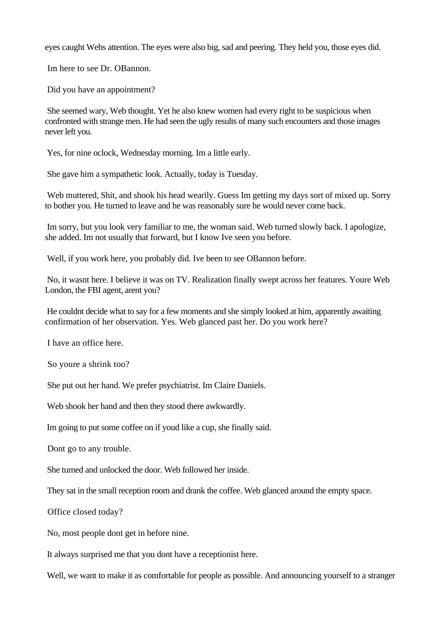eyes caught Webs attention. The eyes were also big, sad and peering. They held you, those eyes did.

Im here to see Dr. OBannon.

Did you have an appointment?

 She seemed wary, Web thought. Yet he also knew women had every right to be suspicious when confronted with strange men. He had seen the ugly results of many such encounters and those images never left you.

Yes, for nine oclock, Wednesday morning. Im a little early.

She gave him a sympathetic look. Actually, today is Tuesday.

 Web muttered, Shit, and shook his head wearily. Guess Im getting my days sort of mixed up. Sorry to bother you. He turned to leave and he was reasonably sure he would never come back.

 Im sorry, but you look very familiar to me, the woman said. Web turned slowly back. I apologize, she added. Im not usually that forward, but I know Ive seen you before.

Well, if you work here, you probably did. Ive been to see OBannon before.

 No, it wasnt here. I believe it was on TV. Realization finally swept across her features. Youre Web London, the FBI agent, arent you?

 He couldnt decide what to say for a few moments and she simply looked at him, apparently awaiting confirmation of her observation. Yes. Web glanced past her. Do you work here?

I have an office here.

So youre a shrink too?

She put out her hand. We prefer psychiatrist. Im Claire Daniels.

Web shook her hand and then they stood there awkwardly.

Im going to put some coffee on if youd like a cup, she finally said.

Dont go to any trouble.

She turned and unlocked the door. Web followed her inside.

They sat in the small reception room and drank the coffee. Web glanced around the empty space.

Office closed today?

No, most people dont get in before nine.

It always surprised me that you dont have a receptionist here.

Well, we want to make it as comfortable for people as possible. And announcing yourself to a stranger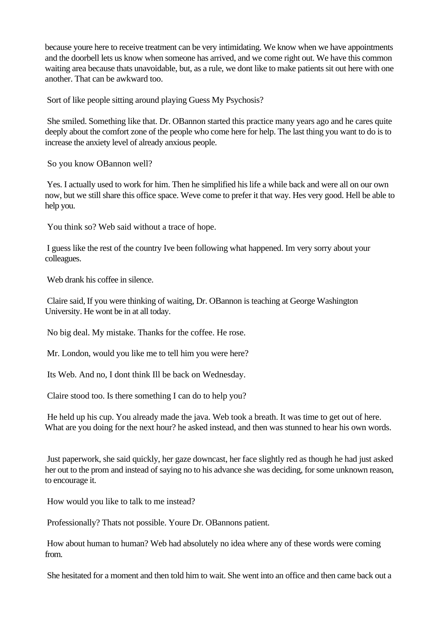because youre here to receive treatment can be very intimidating. We know when we have appointments and the doorbell lets us know when someone has arrived, and we come right out. We have this common waiting area because thats unavoidable, but, as a rule, we dont like to make patients sit out here with one another. That can be awkward too.

Sort of like people sitting around playing Guess My Psychosis?

 She smiled. Something like that. Dr. OBannon started this practice many years ago and he cares quite deeply about the comfort zone of the people who come here for help. The last thing you want to do is to increase the anxiety level of already anxious people.

So you know OBannon well?

 Yes. I actually used to work for him. Then he simplified his life a while back and were all on our own now, but we still share this office space. Weve come to prefer it that way. Hes very good. Hell be able to help you.

You think so? Web said without a trace of hope.

 I guess like the rest of the country Ive been following what happened. Im very sorry about your colleagues.

Web drank his coffee in silence.

 Claire said, If you were thinking of waiting, Dr. OBannon is teaching at George Washington University. He wont be in at all today.

No big deal. My mistake. Thanks for the coffee. He rose.

Mr. London, would you like me to tell him you were here?

Its Web. And no, I dont think Ill be back on Wednesday.

Claire stood too. Is there something I can do to help you?

 He held up his cup. You already made the java. Web took a breath. It was time to get out of here. What are you doing for the next hour? he asked instead, and then was stunned to hear his own words.

 Just paperwork, she said quickly, her gaze downcast, her face slightly red as though he had just asked her out to the prom and instead of saying no to his advance she was deciding, for some unknown reason, to encourage it.

How would you like to talk to me instead?

Professionally? Thats not possible. Youre Dr. OBannons patient.

 How about human to human? Web had absolutely no idea where any of these words were coming from.

She hesitated for a moment and then told him to wait. She went into an office and then came back out a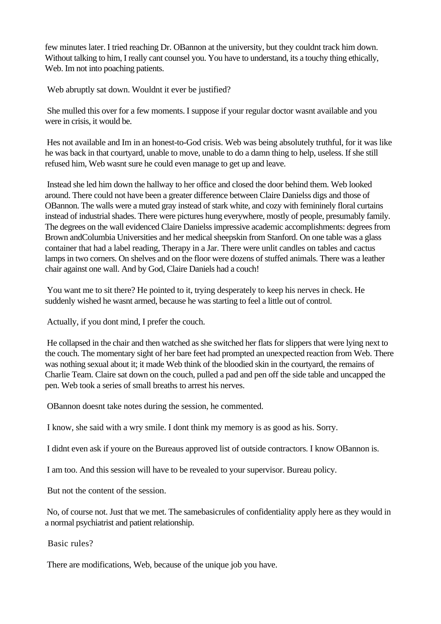few minutes later. I tried reaching Dr. OBannon at the university, but they couldnt track him down. Without talking to him, I really cant counsel you. You have to understand, its a touchy thing ethically, Web. Im not into poaching patients.

Web abruptly sat down. Wouldnt it ever be justified?

 She mulled this over for a few moments. I suppose if your regular doctor wasnt available and you were in crisis, it would be.

 Hes not available and Im in an honest-to-God crisis. Web was being absolutely truthful, for it was like he was back in that courtyard, unable to move, unable to do a damn thing to help, useless. If she still refused him, Web wasnt sure he could even manage to get up and leave.

 Instead she led him down the hallway to her office and closed the door behind them. Web looked around. There could not have been a greater difference between Claire Danielss digs and those of OBannon. The walls were a muted gray instead of stark white, and cozy with femininely floral curtains instead of industrial shades. There were pictures hung everywhere, mostly of people, presumably family. The degrees on the wall evidenced Claire Danielss impressive academic accomplishments: degrees from Brown andColumbia Universities and her medical sheepskin from Stanford. On one table was a glass container that had a label reading, Therapy in a Jar. There were unlit candles on tables and cactus lamps in two corners. On shelves and on the floor were dozens of stuffed animals. There was a leather chair against one wall. And by God, Claire Daniels had a couch!

 You want me to sit there? He pointed to it, trying desperately to keep his nerves in check. He suddenly wished he wasnt armed, because he was starting to feel a little out of control.

Actually, if you dont mind, I prefer the couch.

 He collapsed in the chair and then watched as she switched her flats for slippers that were lying next to the couch. The momentary sight of her bare feet had prompted an unexpected reaction from Web. There was nothing sexual about it; it made Web think of the bloodied skin in the courtyard, the remains of Charlie Team. Claire sat down on the couch, pulled a pad and pen off the side table and uncapped the pen. Web took a series of small breaths to arrest his nerves.

OBannon doesnt take notes during the session, he commented.

I know, she said with a wry smile. I dont think my memory is as good as his. Sorry.

I didnt even ask if youre on the Bureaus approved list of outside contractors. I know OBannon is.

I am too. And this session will have to be revealed to your supervisor. Bureau policy.

But not the content of the session.

 No, of course not. Just that we met. The samebasicrules of confidentiality apply here as they would in a normal psychiatrist and patient relationship.

Basic rules?

There are modifications, Web, because of the unique job you have.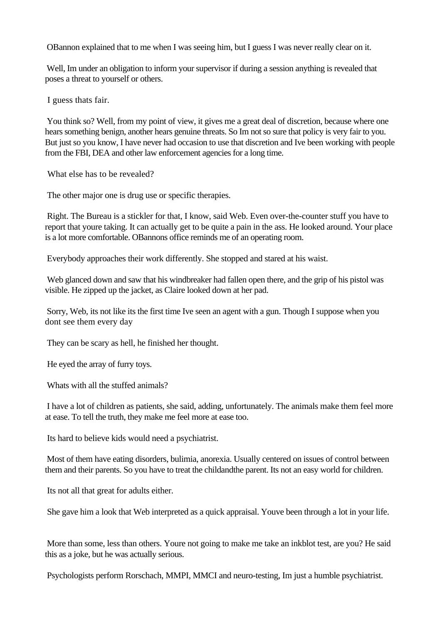OBannon explained that to me when I was seeing him, but I guess I was never really clear on it.

 Well, Im under an obligation to inform your supervisor if during a session anything is revealed that poses a threat to yourself or others.

I guess thats fair.

 You think so? Well, from my point of view, it gives me a great deal of discretion, because where one hears something benign, another hears genuine threats. So Im not so sure that policy is very fair to you. But just so you know, I have never had occasion to use that discretion and Ive been working with people from the FBI, DEA and other law enforcement agencies for a long time.

What else has to be revealed?

The other major one is drug use or specific therapies.

 Right. The Bureau is a stickler for that, I know, said Web. Even over-the-counter stuff you have to report that youre taking. It can actually get to be quite a pain in the ass. He looked around. Your place is a lot more comfortable. OBannons office reminds me of an operating room.

Everybody approaches their work differently. She stopped and stared at his waist.

 Web glanced down and saw that his windbreaker had fallen open there, and the grip of his pistol was visible. He zipped up the jacket, as Claire looked down at her pad.

 Sorry, Web, its not like its the first time Ive seen an agent with a gun. Though I suppose when you dont see them every day

They can be scary as hell, he finished her thought.

He eyed the array of furry toys.

Whats with all the stuffed animals?

 I have a lot of children as patients, she said, adding, unfortunately. The animals make them feel more at ease. To tell the truth, they make me feel more at ease too.

Its hard to believe kids would need a psychiatrist.

 Most of them have eating disorders, bulimia, anorexia. Usually centered on issues of control between them and their parents. So you have to treat the childandthe parent. Its not an easy world for children.

Its not all that great for adults either.

She gave him a look that Web interpreted as a quick appraisal. Youve been through a lot in your life.

 More than some, less than others. Youre not going to make me take an inkblot test, are you? He said this as a joke, but he was actually serious.

Psychologists perform Rorschach, MMPI, MMCI and neuro-testing, Im just a humble psychiatrist.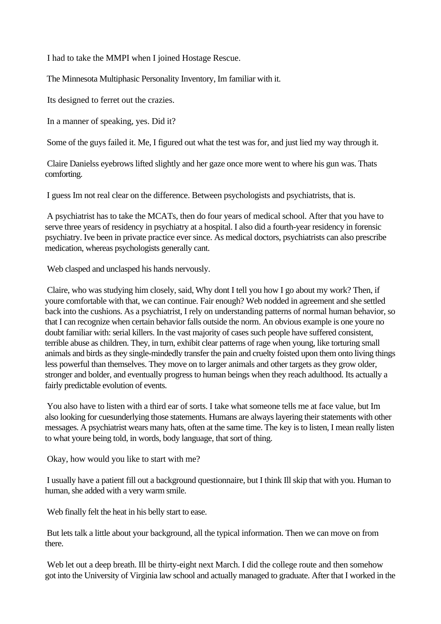I had to take the MMPI when I joined Hostage Rescue.

The Minnesota Multiphasic Personality Inventory, Im familiar with it.

Its designed to ferret out the crazies.

In a manner of speaking, yes. Did it?

Some of the guys failed it. Me, I figured out what the test was for, and just lied my way through it.

 Claire Danielss eyebrows lifted slightly and her gaze once more went to where his gun was. Thats comforting.

I guess Im not real clear on the difference. Between psychologists and psychiatrists, that is.

 A psychiatrist has to take the MCATs, then do four years of medical school. After that you have to serve three years of residency in psychiatry at a hospital. I also did a fourth-year residency in forensic psychiatry. Ive been in private practice ever since. As medical doctors, psychiatrists can also prescribe medication, whereas psychologists generally cant.

Web clasped and unclasped his hands nervously.

 Claire, who was studying him closely, said, Why dont I tell you how I go about my work? Then, if youre comfortable with that, we can continue. Fair enough? Web nodded in agreement and she settled back into the cushions. As a psychiatrist, I rely on understanding patterns of normal human behavior, so that I can recognize when certain behavior falls outside the norm. An obvious example is one youre no doubt familiar with: serial killers. In the vast majority of cases such people have suffered consistent, terrible abuse as children. They, in turn, exhibit clear patterns of rage when young, like torturing small animals and birds as they single-mindedly transfer the pain and cruelty foisted upon them onto living things less powerful than themselves. They move on to larger animals and other targets as they grow older, stronger and bolder, and eventually progress to human beings when they reach adulthood. Its actually a fairly predictable evolution of events.

 You also have to listen with a third ear of sorts. I take what someone tells me at face value, but Im also looking for cuesunderlying those statements. Humans are always layering their statements with other messages. A psychiatrist wears many hats, often at the same time. The key is to listen, I mean really listen to what youre being told, in words, body language, that sort of thing.

Okay, how would you like to start with me?

 I usually have a patient fill out a background questionnaire, but I think Ill skip that with you. Human to human, she added with a very warm smile.

Web finally felt the heat in his belly start to ease.

 But lets talk a little about your background, all the typical information. Then we can move on from there.

Web let out a deep breath. Ill be thirty-eight next March. I did the college route and then somehow got into the University of Virginia law school and actually managed to graduate. After that I worked in the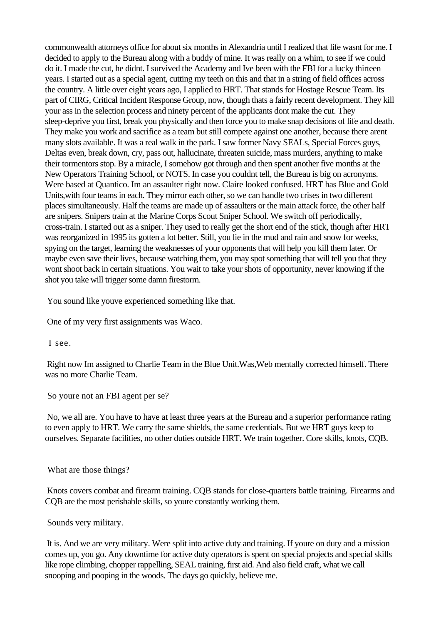commonwealth attorneys office for about six months in Alexandria until I realized that life wasnt for me. I decided to apply to the Bureau along with a buddy of mine. It was really on a whim, to see if we could do it. I made the cut, he didnt. I survived the Academy and Ive been with the FBI for a lucky thirteen years. I started out as a special agent, cutting my teeth on this and that in a string of field offices across the country. A little over eight years ago, I applied to HRT. That stands for Hostage Rescue Team. Its part of CIRG, Critical Incident Response Group, now, though thats a fairly recent development. They kill your ass in the selection process and ninety percent of the applicants dont make the cut. They sleep-deprive you first, break you physically and then force you to make snap decisions of life and death. They make you work and sacrifice as a team but still compete against one another, because there arent many slots available. It was a real walk in the park. I saw former Navy SEALs, Special Forces guys, Deltas even, break down, cry, pass out, hallucinate, threaten suicide, mass murders, anything to make their tormentors stop. By a miracle, I somehow got through and then spent another five months at the New Operators Training School, or NOTS. In case you couldnt tell, the Bureau is big on acronyms. Were based at Quantico. Im an assaulter right now. Claire looked confused. HRT has Blue and Gold Units,with four teams in each. They mirror each other, so we can handle two crises in two different places simultaneously. Half the teams are made up of assaulters or the main attack force, the other half are snipers. Snipers train at the Marine Corps Scout Sniper School. We switch off periodically, cross-train. I started out as a sniper. They used to really get the short end of the stick, though after HRT was reorganized in 1995 its gotten a lot better. Still, you lie in the mud and rain and snow for weeks, spying on the target, learning the weaknesses of your opponents that will help you kill them later. Or maybe even save their lives, because watching them, you may spot something that will tell you that they wont shoot back in certain situations. You wait to take your shots of opportunity, never knowing if the shot you take will trigger some damn firestorm.

You sound like youve experienced something like that.

One of my very first assignments was Waco.

I see.

 Right now Im assigned to Charlie Team in the Blue Unit.Was,Web mentally corrected himself. There was no more Charlie Team.

So youre not an FBI agent per se?

 No, we all are. You have to have at least three years at the Bureau and a superior performance rating to even apply to HRT. We carry the same shields, the same credentials. But we HRT guys keep to ourselves. Separate facilities, no other duties outside HRT. We train together. Core skills, knots, CQB.

What are those things?

 Knots covers combat and firearm training. CQB stands for close-quarters battle training. Firearms and CQB are the most perishable skills, so youre constantly working them.

Sounds very military.

 It is. And we are very military. Were split into active duty and training. If youre on duty and a mission comes up, you go. Any downtime for active duty operators is spent on special projects and special skills like rope climbing, chopper rappelling, SEAL training, first aid. And also field craft, what we call snooping and pooping in the woods. The days go quickly, believe me.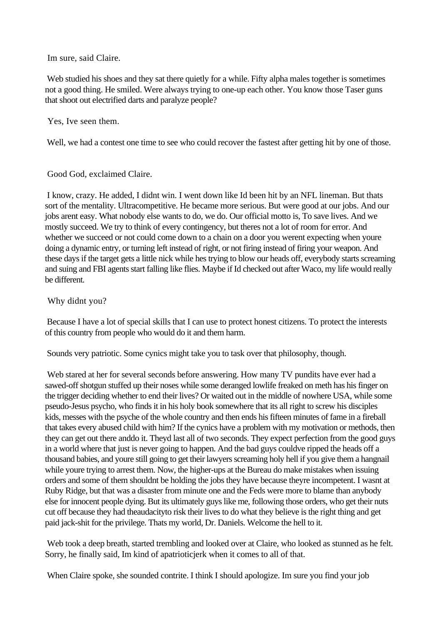Im sure, said Claire.

Web studied his shoes and they sat there quietly for a while. Fifty alpha males together is sometimes not a good thing. He smiled. Were always trying to one-up each other. You know those Taser guns that shoot out electrified darts and paralyze people?

Yes, Ive seen them.

Well, we had a contest one time to see who could recover the fastest after getting hit by one of those.

Good God, exclaimed Claire.

 I know, crazy. He added, I didnt win. I went down like Id been hit by an NFL lineman. But thats sort of the mentality. Ultracompetitive. He became more serious. But were good at our jobs. And our jobs arent easy. What nobody else wants to do, we do. Our official motto is, To save lives. And we mostly succeed. We try to think of every contingency, but theres not a lot of room for error. And whether we succeed or not could come down to a chain on a door you werent expecting when youre doing a dynamic entry, or turning left instead of right, or not firing instead of firing your weapon. And these days if the target gets a little nick while hes trying to blow our heads off, everybody starts screaming and suing and FBI agents start falling like flies. Maybe if Id checked out after Waco, my life would really be different.

Why didnt you?

 Because I have a lot of special skills that I can use to protect honest citizens. To protect the interests of this country from people who would do it and them harm.

Sounds very patriotic. Some cynics might take you to task over that philosophy, though.

 Web stared at her for several seconds before answering. How many TV pundits have ever had a sawed-off shotgun stuffed up their noses while some deranged lowlife freaked on meth has his finger on the trigger deciding whether to end their lives? Or waited out in the middle of nowhere USA, while some pseudo-Jesus psycho, who finds it in his holy book somewhere that its all right to screw his disciples kids, messes with the psyche of the whole country and then ends his fifteen minutes of fame in a fireball that takes every abused child with him? If the cynics have a problem with my motivation or methods, then they can get out there anddo it. Theyd last all of two seconds. They expect perfection from the good guys in a world where that just is never going to happen. And the bad guys couldve ripped the heads off a thousand babies, and youre still going to get their lawyers screaming holy hell if you give them a hangnail while youre trying to arrest them. Now, the higher-ups at the Bureau do make mistakes when issuing orders and some of them shouldnt be holding the jobs they have because theyre incompetent. I wasnt at Ruby Ridge, but that was a disaster from minute one and the Feds were more to blame than anybody else for innocent people dying. But its ultimately guys like me, following those orders, who get their nuts cut off because they had theaudacityto risk their lives to do what they believe is the right thing and get paid jack-shit for the privilege. Thats my world, Dr. Daniels. Welcome the hell to it.

 Web took a deep breath, started trembling and looked over at Claire, who looked as stunned as he felt. Sorry, he finally said, Im kind of apatrioticjerk when it comes to all of that.

When Claire spoke, she sounded contrite. I think I should apologize. Im sure you find your job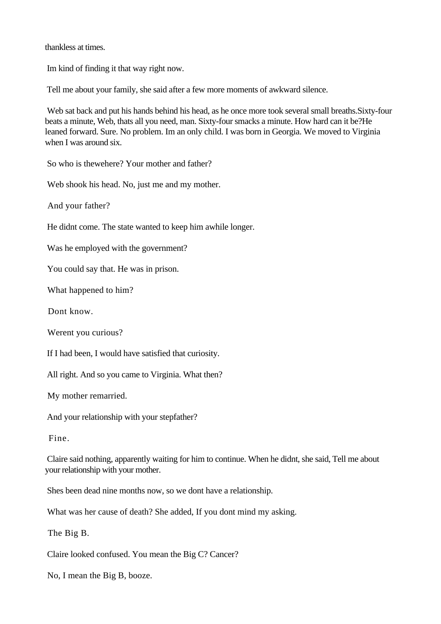thankless at times.

Im kind of finding it that way right now.

Tell me about your family, she said after a few more moments of awkward silence.

Web sat back and put his hands behind his head, as he once more took several small breaths. Sixty-four beats a minute, Web, thats all you need, man. Sixty-four smacks a minute. How hard can it be?He leaned forward. Sure. No problem. Im an only child. I was born in Georgia. We moved to Virginia when I was around six.

So who is thewehere? Your mother and father?

Web shook his head. No, just me and my mother.

And your father?

He didnt come. The state wanted to keep him awhile longer.

Was he employed with the government?

You could say that. He was in prison.

What happened to him?

Dont know.

Werent you curious?

If I had been, I would have satisfied that curiosity.

All right. And so you came to Virginia. What then?

My mother remarried.

And your relationship with your stepfather?

Fine.

 Claire said nothing, apparently waiting for him to continue. When he didnt, she said, Tell me about your relationship with your mother.

Shes been dead nine months now, so we dont have a relationship.

What was her cause of death? She added, If you dont mind my asking.

The Big B.

Claire looked confused. You mean the Big C? Cancer?

No, I mean the Big B, booze.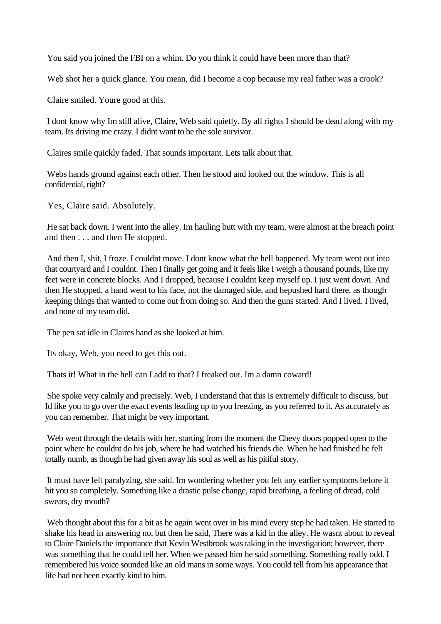You said you joined the FBI on a whim. Do you think it could have been more than that?

Web shot her a quick glance. You mean, did I become a cop because my real father was a crook?

Claire smiled. Youre good at this.

 I dont know why Im still alive, Claire, Web said quietly. By all rights I should be dead along with my team. Its driving me crazy. I didnt want to be the sole survivor.

Claires smile quickly faded. That sounds important. Lets talk about that.

 Webs hands ground against each other. Then he stood and looked out the window. This is all confidential, right?

Yes, Claire said. Absolutely.

 He sat back down. I went into the alley. Im hauling butt with my team, were almost at the breach point and then . . . and then He stopped.

 And then I, shit, I froze. I couldnt move. I dont know what the hell happened. My team went out into that courtyard and I couldnt. Then I finally get going and it feels like I weigh a thousand pounds, like my feet were in concrete blocks. And I dropped, because I couldnt keep myself up. I just went down. And then He stopped, a hand went to his face, not the damaged side, and hepushed hard there, as though keeping things that wanted to come out from doing so. And then the guns started. And I lived. I lived, and none of my team did.

The pen sat idle in Claires hand as she looked at him.

Its okay, Web, you need to get this out.

Thats it! What in the hell can I add to that? I freaked out. Im a damn coward!

 She spoke very calmly and precisely. Web, I understand that this is extremely difficult to discuss, but Id like you to go over the exact events leading up to you freezing, as you referred to it. As accurately as you can remember. That might be very important.

Web went through the details with her, starting from the moment the Chevy doors popped open to the point where he couldnt do his job, where he had watched his friends die. When he had finished he felt totally numb, as though he had given away his soul as well as his pitiful story.

 It must have felt paralyzing, she said. Im wondering whether you felt any earlier symptoms before it hit you so completely. Something like a drastic pulse change, rapid breathing, a feeling of dread, cold sweats, dry mouth?

Web thought about this for a bit as he again went over in his mind every step he had taken. He started to shake his head in answering no, but then he said, There was a kid in the alley. He wasnt about to reveal to Claire Daniels the importance that Kevin Westbrook was taking in the investigation; however, there was something that he could tell her. When we passed him he said something. Something really odd. I remembered his voice sounded like an old mans in some ways. You could tell from his appearance that life had not been exactly kind to him.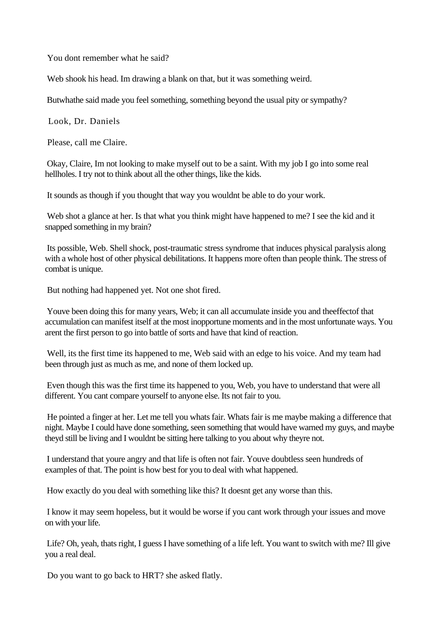You dont remember what he said?

Web shook his head. Im drawing a blank on that, but it was something weird.

Butwhathe said made you feel something, something beyond the usual pity or sympathy?

Look, Dr. Daniels

Please, call me Claire.

 Okay, Claire, Im not looking to make myself out to be a saint. With my job I go into some real hellholes. I try not to think about all the other things, like the kids.

It sounds as though if you thought that way you wouldnt be able to do your work.

 Web shot a glance at her. Is that what you think might have happened to me? I see the kid and it snapped something in my brain?

 Its possible, Web. Shell shock, post-traumatic stress syndrome that induces physical paralysis along with a whole host of other physical debilitations. It happens more often than people think. The stress of combat is unique.

But nothing had happened yet. Not one shot fired.

 Youve been doing this for many years, Web; it can all accumulate inside you and theeffectof that accumulation can manifest itself at the most inopportune moments and in the most unfortunate ways. You arent the first person to go into battle of sorts and have that kind of reaction.

 Well, its the first time its happened to me, Web said with an edge to his voice. And my team had been through just as much as me, and none of them locked up.

 Even though this was the first time its happened to you, Web, you have to understand that were all different. You cant compare yourself to anyone else. Its not fair to you.

 He pointed a finger at her. Let me tell you whats fair. Whats fair is me maybe making a difference that night. Maybe I could have done something, seen something that would have warned my guys, and maybe theyd still be living and I wouldnt be sitting here talking to you about why theyre not.

 I understand that youre angry and that life is often not fair. Youve doubtless seen hundreds of examples of that. The point is how best for you to deal with what happened.

How exactly do you deal with something like this? It doesnt get any worse than this.

 I know it may seem hopeless, but it would be worse if you cant work through your issues and move on with your life.

 Life? Oh, yeah, thats right, I guess I have something of a life left. You want to switch with me? Ill give you a real deal.

Do you want to go back to HRT? she asked flatly.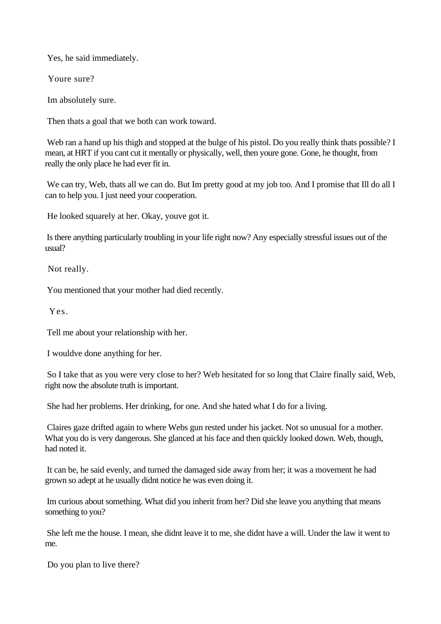Yes, he said immediately.

Youre sure?

Im absolutely sure.

Then thats a goal that we both can work toward.

Web ran a hand up his thigh and stopped at the bulge of his pistol. Do you really think thats possible? I mean, at HRT if you cant cut it mentally or physically, well, then youre gone. Gone, he thought, from really the only place he had ever fit in.

We can try, Web, thats all we can do. But Im pretty good at my job too. And I promise that Ill do all I can to help you. I just need your cooperation.

He looked squarely at her. Okay, youve got it.

 Is there anything particularly troubling in your life right now? Any especially stressful issues out of the usual?

Not really.

You mentioned that your mother had died recently.

Yes.

Tell me about your relationship with her.

I wouldve done anything for her.

 So I take that as you were very close to her? Web hesitated for so long that Claire finally said, Web, right now the absolute truth is important.

She had her problems. Her drinking, for one. And she hated what I do for a living.

 Claires gaze drifted again to where Webs gun rested under his jacket. Not so unusual for a mother. What you do is very dangerous. She glanced at his face and then quickly looked down. Web, though, had noted it.

 It can be, he said evenly, and turned the damaged side away from her; it was a movement he had grown so adept at he usually didnt notice he was even doing it.

 Im curious about something. What did you inherit from her? Did she leave you anything that means something to you?

 She left me the house. I mean, she didnt leave it to me, she didnt have a will. Under the law it went to me.

Do you plan to live there?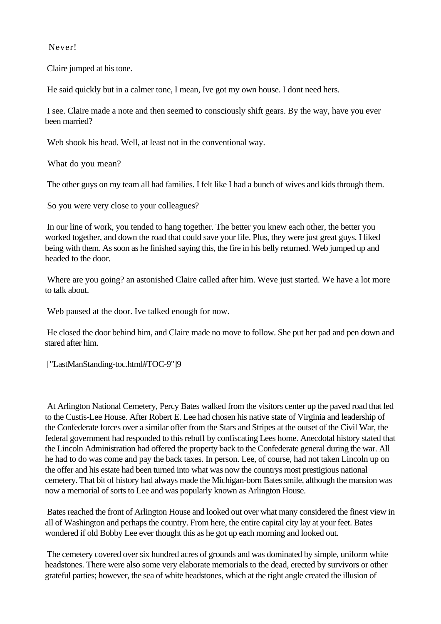## Never!

Claire jumped at his tone.

He said quickly but in a calmer tone, I mean, Ive got my own house. I dont need hers.

 I see. Claire made a note and then seemed to consciously shift gears. By the way, have you ever been married?

Web shook his head. Well, at least not in the conventional way.

What do you mean?

The other guys on my team all had families. I felt like I had a bunch of wives and kids through them.

So you were very close to your colleagues?

 In our line of work, you tended to hang together. The better you knew each other, the better you worked together, and down the road that could save your life. Plus, they were just great guys. I liked being with them. As soon as he finished saying this, the fire in his belly returned. Web jumped up and headed to the door.

 Where are you going? an astonished Claire called after him. Weve just started. We have a lot more to talk about.

Web paused at the door. Ive talked enough for now.

 He closed the door behind him, and Claire made no move to follow. She put her pad and pen down and stared after him.

["LastManStanding-toc.html#TOC-9"]9

 At Arlington National Cemetery, Percy Bates walked from the visitors center up the paved road that led to the Custis-Lee House. After Robert E. Lee had chosen his native state of Virginia and leadership of the Confederate forces over a similar offer from the Stars and Stripes at the outset of the Civil War, the federal government had responded to this rebuff by confiscating Lees home. Anecdotal history stated that the Lincoln Administration had offered the property back to the Confederate general during the war. All he had to do was come and pay the back taxes. In person. Lee, of course, had not taken Lincoln up on the offer and his estate had been turned into what was now the countrys most prestigious national cemetery. That bit of history had always made the Michigan-born Bates smile, although the mansion was now a memorial of sorts to Lee and was popularly known as Arlington House.

 Bates reached the front of Arlington House and looked out over what many considered the finest view in all of Washington and perhaps the country. From here, the entire capital city lay at your feet. Bates wondered if old Bobby Lee ever thought this as he got up each morning and looked out.

 The cemetery covered over six hundred acres of grounds and was dominated by simple, uniform white headstones. There were also some very elaborate memorials to the dead, erected by survivors or other grateful parties; however, the sea of white headstones, which at the right angle created the illusion of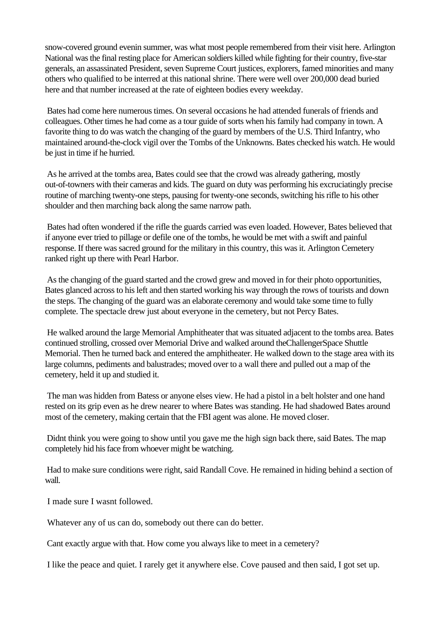snow-covered ground evenin summer, was what most people remembered from their visit here. Arlington National was the final resting place for American soldiers killed while fighting for their country, five-star generals, an assassinated President, seven Supreme Court justices, explorers, famed minorities and many others who qualified to be interred at this national shrine. There were well over 200,000 dead buried here and that number increased at the rate of eighteen bodies every weekday.

 Bates had come here numerous times. On several occasions he had attended funerals of friends and colleagues. Other times he had come as a tour guide of sorts when his family had company in town. A favorite thing to do was watch the changing of the guard by members of the U.S. Third Infantry, who maintained around-the-clock vigil over the Tombs of the Unknowns. Bates checked his watch. He would be just in time if he hurried.

 As he arrived at the tombs area, Bates could see that the crowd was already gathering, mostly out-of-towners with their cameras and kids. The guard on duty was performing his excruciatingly precise routine of marching twenty-one steps, pausing for twenty-one seconds, switching his rifle to his other shoulder and then marching back along the same narrow path.

 Bates had often wondered if the rifle the guards carried was even loaded. However, Bates believed that if anyone ever tried to pillage or defile one of the tombs, he would be met with a swift and painful response. If there was sacred ground for the military in this country, this was it. Arlington Cemetery ranked right up there with Pearl Harbor.

 As the changing of the guard started and the crowd grew and moved in for their photo opportunities, Bates glanced across to his left and then started working his way through the rows of tourists and down the steps. The changing of the guard was an elaborate ceremony and would take some time to fully complete. The spectacle drew just about everyone in the cemetery, but not Percy Bates.

 He walked around the large Memorial Amphitheater that was situated adjacent to the tombs area. Bates continued strolling, crossed over Memorial Drive and walked around theChallengerSpace Shuttle Memorial. Then he turned back and entered the amphitheater. He walked down to the stage area with its large columns, pediments and balustrades; moved over to a wall there and pulled out a map of the cemetery, held it up and studied it.

 The man was hidden from Batess or anyone elses view. He had a pistol in a belt holster and one hand rested on its grip even as he drew nearer to where Bates was standing. He had shadowed Bates around most of the cemetery, making certain that the FBI agent was alone. He moved closer.

 Didnt think you were going to show until you gave me the high sign back there, said Bates. The map completely hid his face from whoever might be watching.

 Had to make sure conditions were right, said Randall Cove. He remained in hiding behind a section of wall.

I made sure I wasnt followed.

Whatever any of us can do, somebody out there can do better.

Cant exactly argue with that. How come you always like to meet in a cemetery?

I like the peace and quiet. I rarely get it anywhere else. Cove paused and then said, I got set up.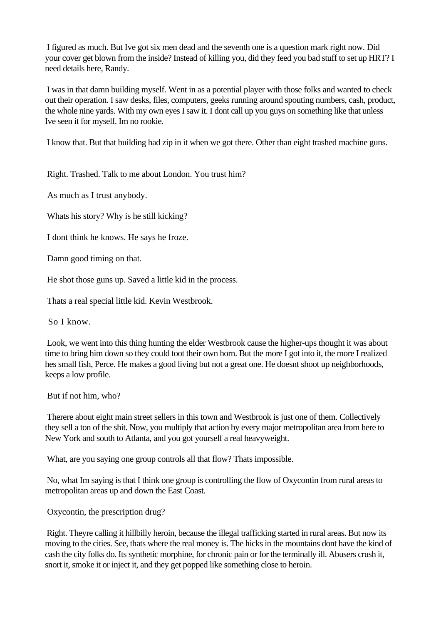I figured as much. But Ive got six men dead and the seventh one is a question mark right now. Did your cover get blown from the inside? Instead of killing you, did they feed you bad stuff to set up HRT? I need details here, Randy.

 I was in that damn building myself. Went in as a potential player with those folks and wanted to check out their operation. I saw desks, files, computers, geeks running around spouting numbers, cash, product, the whole nine yards. With my own eyes I saw it. I dont call up you guys on something like that unless Ive seen it for myself. Im no rookie.

I know that. But that building had zip in it when we got there. Other than eight trashed machine guns.

Right. Trashed. Talk to me about London. You trust him?

As much as I trust anybody.

Whats his story? Why is he still kicking?

I dont think he knows. He says he froze.

Damn good timing on that.

He shot those guns up. Saved a little kid in the process.

Thats a real special little kid. Kevin Westbrook.

So I know.

 Look, we went into this thing hunting the elder Westbrook cause the higher-ups thought it was about time to bring him down so they could toot their own horn. But the more I got into it, the more I realized hes small fish, Perce. He makes a good living but not a great one. He doesnt shoot up neighborhoods, keeps a low profile.

But if not him, who?

 Therere about eight main street sellers in this town and Westbrook is just one of them. Collectively they sell a ton of the shit. Now, you multiply that action by every major metropolitan area from here to New York and south to Atlanta, and you got yourself a real heavyweight.

What, are you saying one group controls all that flow? Thats impossible.

 No, what Im saying is that I think one group is controlling the flow of Oxycontin from rural areas to metropolitan areas up and down the East Coast.

Oxycontin, the prescription drug?

 Right. Theyre calling it hillbilly heroin, because the illegal trafficking started in rural areas. But now its moving to the cities. See, thats where the real money is. The hicks in the mountains dont have the kind of cash the city folks do. Its synthetic morphine, for chronic pain or for the terminally ill. Abusers crush it, snort it, smoke it or inject it, and they get popped like something close to heroin.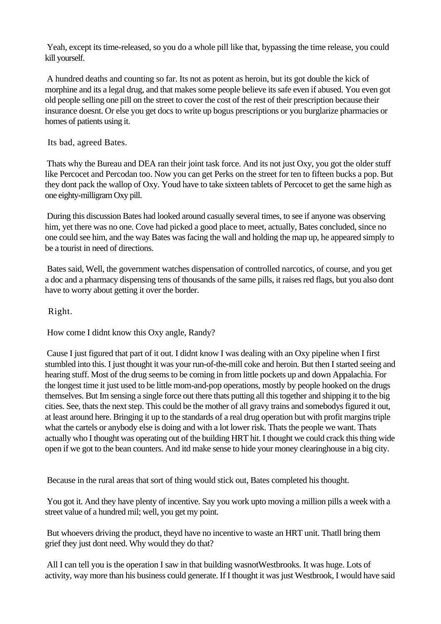Yeah, except its time-released, so you do a whole pill like that, bypassing the time release, you could kill yourself.

 A hundred deaths and counting so far. Its not as potent as heroin, but its got double the kick of morphine and its a legal drug, and that makes some people believe its safe even if abused. You even got old people selling one pill on the street to cover the cost of the rest of their prescription because their insurance doesnt. Or else you get docs to write up bogus prescriptions or you burglarize pharmacies or homes of patients using it.

Its bad, agreed Bates.

 Thats why the Bureau and DEA ran their joint task force. And its not just Oxy, you got the older stuff like Percocet and Percodan too. Now you can get Perks on the street for ten to fifteen bucks a pop. But they dont pack the wallop of Oxy. Youd have to take sixteen tablets of Percocet to get the same high as one eighty-milligram Oxy pill.

 During this discussion Bates had looked around casually several times, to see if anyone was observing him, yet there was no one. Cove had picked a good place to meet, actually, Bates concluded, since no one could see him, and the way Bates was facing the wall and holding the map up, he appeared simply to be a tourist in need of directions.

 Bates said, Well, the government watches dispensation of controlled narcotics, of course, and you get a doc and a pharmacy dispensing tens of thousands of the same pills, it raises red flags, but you also dont have to worry about getting it over the border.

Right.

How come I didnt know this Oxy angle, Randy?

 Cause I just figured that part of it out. I didnt know I was dealing with an Oxy pipeline when I first stumbled into this. I just thought it was your run-of-the-mill coke and heroin. But then I started seeing and hearing stuff. Most of the drug seems to be coming in from little pockets up and down Appalachia. For the longest time it just used to be little mom-and-pop operations, mostly by people hooked on the drugs themselves. But Im sensing a single force out there thats putting all this together and shipping it to the big cities. See, thats the next step. This could be the mother of all gravy trains and somebodys figured it out, at least around here. Bringing it up to the standards of a real drug operation but with profit margins triple what the cartels or anybody else is doing and with a lot lower risk. Thats the people we want. Thats actually who I thought was operating out of the building HRT hit. I thought we could crack this thing wide open if we got to the bean counters. And itd make sense to hide your money clearinghouse in a big city.

Because in the rural areas that sort of thing would stick out, Bates completed his thought.

 You got it. And they have plenty of incentive. Say you work upto moving a million pills a week with a street value of a hundred mil; well, you get my point.

 But whoevers driving the product, theyd have no incentive to waste an HRT unit. Thatll bring them grief they just dont need. Why would they do that?

 All I can tell you is the operation I saw in that building wasnotWestbrooks. It was huge. Lots of activity, way more than his business could generate. If I thought it was just Westbrook, I would have said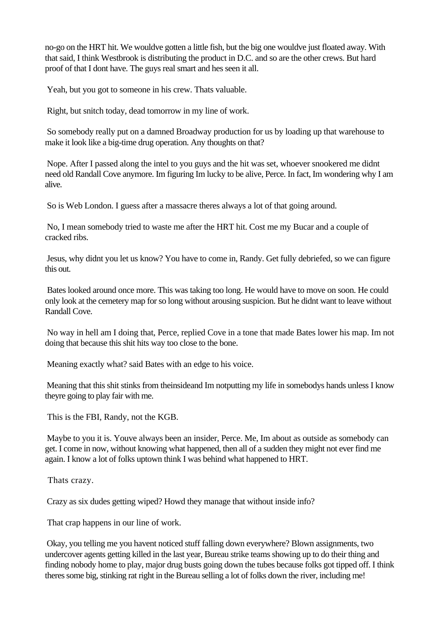no-go on the HRT hit. We wouldve gotten a little fish, but the big one wouldve just floated away. With that said, I think Westbrook is distributing the product in D.C. and so are the other crews. But hard proof of that I dont have. The guys real smart and hes seen it all.

Yeah, but you got to someone in his crew. Thats valuable.

Right, but snitch today, dead tomorrow in my line of work.

 So somebody really put on a damned Broadway production for us by loading up that warehouse to make it look like a big-time drug operation. Any thoughts on that?

 Nope. After I passed along the intel to you guys and the hit was set, whoever snookered me didnt need old Randall Cove anymore. Im figuring Im lucky to be alive, Perce. In fact, Im wondering why I am alive.

So is Web London. I guess after a massacre theres always a lot of that going around.

 No, I mean somebody tried to waste me after the HRT hit. Cost me my Bucar and a couple of cracked ribs.

 Jesus, why didnt you let us know? You have to come in, Randy. Get fully debriefed, so we can figure this out.

 Bates looked around once more. This was taking too long. He would have to move on soon. He could only look at the cemetery map for so long without arousing suspicion. But he didnt want to leave without Randall Cove.

 No way in hell am I doing that, Perce, replied Cove in a tone that made Bates lower his map. Im not doing that because this shit hits way too close to the bone.

Meaning exactly what? said Bates with an edge to his voice.

 Meaning that this shit stinks from theinsideand Im notputting my life in somebodys hands unless I know theyre going to play fair with me.

This is the FBI, Randy, not the KGB.

 Maybe to you it is. Youve always been an insider, Perce. Me, Im about as outside as somebody can get. I come in now, without knowing what happened, then all of a sudden they might not ever find me again. I know a lot of folks uptown think I was behind what happened to HRT.

Thats crazy.

Crazy as six dudes getting wiped? Howd they manage that without inside info?

That crap happens in our line of work.

 Okay, you telling me you havent noticed stuff falling down everywhere? Blown assignments, two undercover agents getting killed in the last year, Bureau strike teams showing up to do their thing and finding nobody home to play, major drug busts going down the tubes because folks got tipped off. I think theres some big, stinking rat right in the Bureau selling a lot of folks down the river, including me!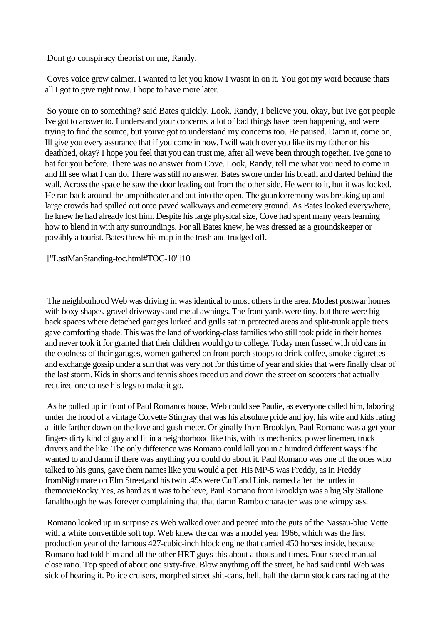Dont go conspiracy theorist on me, Randy.

 Coves voice grew calmer. I wanted to let you know I wasnt in on it. You got my word because thats all I got to give right now. I hope to have more later.

 So youre on to something? said Bates quickly. Look, Randy, I believe you, okay, but Ive got people Ive got to answer to. I understand your concerns, a lot of bad things have been happening, and were trying to find the source, but youve got to understand my concerns too. He paused. Damn it, come on, Ill give you every assurance that if you come in now, I will watch over you like its my father on his deathbed, okay? I hope you feel that you can trust me, after all weve been through together. Ive gone to bat for you before. There was no answer from Cove. Look, Randy, tell me what you need to come in and Ill see what I can do. There was still no answer. Bates swore under his breath and darted behind the wall. Across the space he saw the door leading out from the other side. He went to it, but it was locked. He ran back around the amphitheater and out into the open. The guardceremony was breaking up and large crowds had spilled out onto paved walkways and cemetery ground. As Bates looked everywhere, he knew he had already lost him. Despite his large physical size, Cove had spent many years learning how to blend in with any surroundings. For all Bates knew, he was dressed as a groundskeeper or possibly a tourist. Bates threw his map in the trash and trudged off.

["LastManStanding-toc.html#TOC-10"]10

 The neighborhood Web was driving in was identical to most others in the area. Modest postwar homes with boxy shapes, gravel driveways and metal awnings. The front yards were tiny, but there were big back spaces where detached garages lurked and grills sat in protected areas and split-trunk apple trees gave comforting shade. This was the land of working-class families who still took pride in their homes and never took it for granted that their children would go to college. Today men fussed with old cars in the coolness of their garages, women gathered on front porch stoops to drink coffee, smoke cigarettes and exchange gossip under a sun that was very hot for this time of year and skies that were finally clear of the last storm. Kids in shorts and tennis shoes raced up and down the street on scooters that actually required one to use his legs to make it go.

 As he pulled up in front of Paul Romanos house, Web could see Paulie, as everyone called him, laboring under the hood of a vintage Corvette Stingray that was his absolute pride and joy, his wife and kids rating a little farther down on the love and gush meter. Originally from Brooklyn, Paul Romano was a get your fingers dirty kind of guy and fit in a neighborhood like this, with its mechanics, power linemen, truck drivers and the like. The only difference was Romano could kill you in a hundred different ways if he wanted to and damn if there was anything you could do about it. Paul Romano was one of the ones who talked to his guns, gave them names like you would a pet. His MP-5 was Freddy, as in Freddy fromNightmare on Elm Street,and his twin .45s were Cuff and Link, named after the turtles in themovieRocky.Yes, as hard as it was to believe, Paul Romano from Brooklyn was a big Sly Stallone fan although he was forever complaining that that damn Rambo character was one wimpy ass.

 Romano looked up in surprise as Web walked over and peered into the guts of the Nassau-blue Vette with a white convertible soft top. Web knew the car was a model year 1966, which was the first production year of the famous 427-cubic-inch block engine that carried 450 horses inside, because Romano had told him and all the other HRT guys this about a thousand times. Four-speed manual close ratio. Top speed of about one sixty-five. Blow anything off the street, he had said until Web was sick of hearing it. Police cruisers, morphed street shit-cans, hell, half the damn stock cars racing at the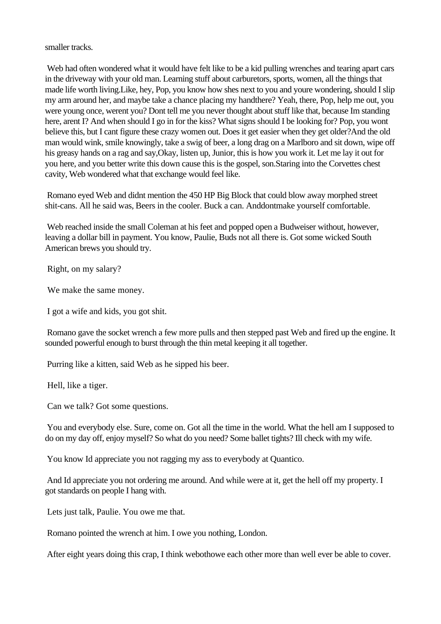smaller tracks.

Web had often wondered what it would have felt like to be a kid pulling wrenches and tearing apart cars in the driveway with your old man. Learning stuff about carburetors, sports, women, all the things that made life worth living.Like, hey, Pop, you know how shes next to you and youre wondering, should I slip my arm around her, and maybe take a chance placing my handthere? Yeah, there, Pop, help me out, you were young once, werent you? Dont tell me you never thought about stuff like that, because Im standing here, arent I? And when should I go in for the kiss? What signs should I be looking for? Pop, you wont believe this, but I cant figure these crazy women out. Does it get easier when they get older?And the old man would wink, smile knowingly, take a swig of beer, a long drag on a Marlboro and sit down, wipe off his greasy hands on a rag and say,Okay, listen up, Junior, this is how you work it. Let me lay it out for you here, and you better write this down cause this is the gospel, son.Staring into the Corvettes chest cavity, Web wondered what that exchange would feel like.

 Romano eyed Web and didnt mention the 450 HP Big Block that could blow away morphed street shit-cans. All he said was, Beers in the cooler. Buck a can. Anddontmake yourself comfortable.

 Web reached inside the small Coleman at his feet and popped open a Budweiser without, however, leaving a dollar bill in payment. You know, Paulie, Buds not all there is. Got some wicked South American brews you should try.

Right, on my salary?

We make the same money.

I got a wife and kids, you got shit.

 Romano gave the socket wrench a few more pulls and then stepped past Web and fired up the engine. It sounded powerful enough to burst through the thin metal keeping it all together.

Purring like a kitten, said Web as he sipped his beer.

Hell, like a tiger.

Can we talk? Got some questions.

 You and everybody else. Sure, come on. Got all the time in the world. What the hell am I supposed to do on my day off, enjoy myself? So what do you need? Some ballet tights? Ill check with my wife.

You know Id appreciate you not ragging my ass to everybody at Quantico.

 And Id appreciate you not ordering me around. And while were at it, get the hell off my property. I got standards on people I hang with.

Lets just talk, Paulie. You owe me that.

Romano pointed the wrench at him. I owe you nothing, London.

After eight years doing this crap, I think webothowe each other more than well ever be able to cover.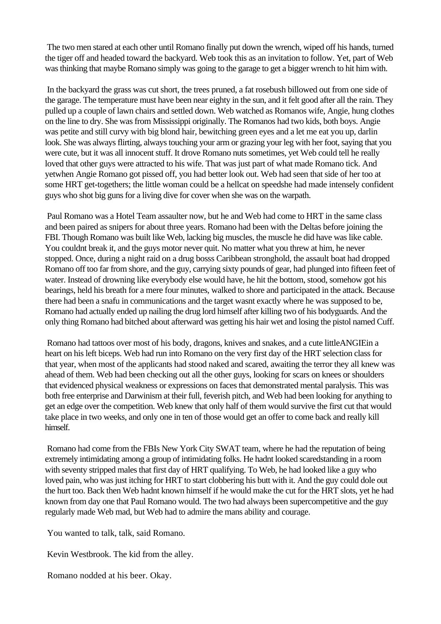The two men stared at each other until Romano finally put down the wrench, wiped off his hands, turned the tiger off and headed toward the backyard. Web took this as an invitation to follow. Yet, part of Web was thinking that maybe Romano simply was going to the garage to get a bigger wrench to hit him with.

 In the backyard the grass was cut short, the trees pruned, a fat rosebush billowed out from one side of the garage. The temperature must have been near eighty in the sun, and it felt good after all the rain. They pulled up a couple of lawn chairs and settled down. Web watched as Romanos wife, Angie, hung clothes on the line to dry. She was from Mississippi originally. The Romanos had two kids, both boys. Angie was petite and still curvy with big blond hair, bewitching green eyes and a let me eat you up, darlin look. She was always flirting, always touching your arm or grazing your leg with her foot, saying that you were cute, but it was all innocent stuff. It drove Romano nuts sometimes, yet Web could tell he really loved that other guys were attracted to his wife. That was just part of what made Romano tick. And yetwhen Angie Romano got pissed off, you had better look out. Web had seen that side of her too at some HRT get-togethers; the little woman could be a hellcat on speed she had made intensely confident guys who shot big guns for a living dive for cover when she was on the warpath.

 Paul Romano was a Hotel Team assaulter now, but he and Web had come to HRT in the same class and been paired as snipers for about three years. Romano had been with the Deltas before joining the FBI. Though Romano was built like Web, lacking big muscles, the muscle he did have was like cable. You couldnt break it, and the guys motor never quit. No matter what you threw at him, he never stopped. Once, during a night raid on a drug bosss Caribbean stronghold, the assault boat had dropped Romano off too far from shore, and the guy, carrying sixty pounds of gear, had plunged into fifteen feet of water. Instead of drowning like everybody else would have, he hit the bottom, stood, somehow got his bearings, held his breath for a mere four minutes, walked to shore and participated in the attack. Because there had been a snafu in communications and the target wasnt exactly where he was supposed to be, Romano had actually ended up nailing the drug lord himself after killing two of his bodyguards. And the only thing Romano had bitched about afterward was getting his hair wet and losing the pistol named Cuff.

 Romano had tattoos over most of his body, dragons, knives and snakes, and a cute littleANGIEin a heart on his left biceps. Web had run into Romano on the very first day of the HRT selection class for that year, when most of the applicants had stood naked and scared, awaiting the terror they all knew was ahead of them. Web had been checking out all the other guys, looking for scars on knees or shoulders that evidenced physical weakness or expressions on faces that demonstrated mental paralysis. This was both free enterprise and Darwinism at their full, feverish pitch, and Web had been looking for anything to get an edge over the competition. Web knew that only half of them would survive the first cut that would take place in two weeks, and only one in ten of those would get an offer to come back and really kill himself.

 Romano had come from the FBIs New York City SWAT team, where he had the reputation of being extremely intimidating among a group of intimidating folks. He hadnt looked scaredstanding in a room with seventy stripped males that first day of HRT qualifying. To Web, he had looked like a guy who loved pain, who was just itching for HRT to start clobbering his butt with it. And the guy could dole out the hurt too. Back then Web hadnt known himself if he would make the cut for the HRT slots, yet he had known from day one that Paul Romano would. The two had always been supercompetitive and the guy regularly made Web mad, but Web had to admire the mans ability and courage.

You wanted to talk, talk, said Romano.

Kevin Westbrook. The kid from the alley.

Romano nodded at his beer. Okay.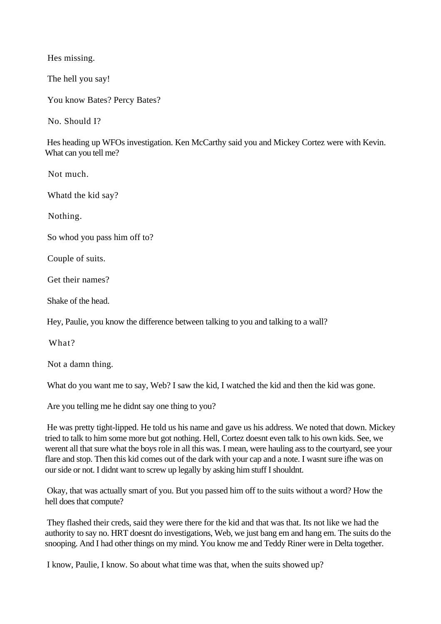Hes missing.

The hell you say!

You know Bates? Percy Bates?

No. Should I?

 Hes heading up WFOs investigation. Ken McCarthy said you and Mickey Cortez were with Kevin. What can you tell me?

Not much.

Whatd the kid say?

Nothing.

So whod you pass him off to?

Couple of suits.

Get their names?

Shake of the head.

Hey, Paulie, you know the difference between talking to you and talking to a wall?

What?

Not a damn thing.

What do you want me to say, Web? I saw the kid, I watched the kid and then the kid was gone.

Are you telling me he didnt say one thing to you?

 He was pretty tight-lipped. He told us his name and gave us his address. We noted that down. Mickey tried to talk to him some more but got nothing. Hell, Cortez doesnt even talk to his own kids. See, we werent all that sure what the boys role in all this was. I mean, were hauling ass to the courtyard, see your flare and stop. Then this kid comes out of the dark with your cap and a note. I wasnt sure ifhe was on our side or not. I didnt want to screw up legally by asking him stuff I shouldnt.

 Okay, that was actually smart of you. But you passed him off to the suits without a word? How the hell does that compute?

 They flashed their creds, said they were there for the kid and that was that. Its not like we had the authority to say no. HRT doesnt do investigations, Web, we just bang em and hang em. The suits do the snooping. And I had other things on my mind. You know me and Teddy Riner were in Delta together.

I know, Paulie, I know. So about what time was that, when the suits showed up?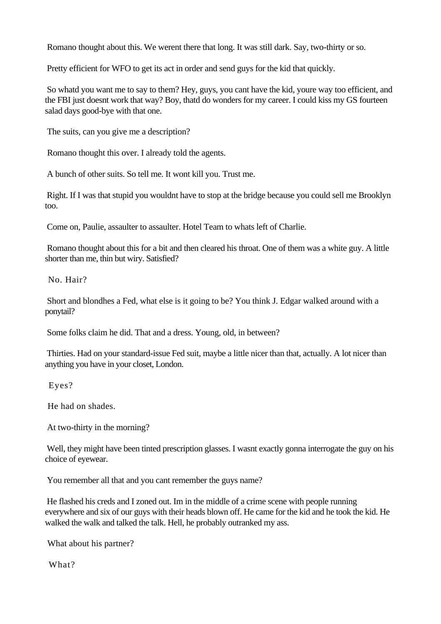Romano thought about this. We werent there that long. It was still dark. Say, two-thirty or so.

Pretty efficient for WFO to get its act in order and send guys for the kid that quickly.

 So whatd you want me to say to them? Hey, guys, you cant have the kid, youre way too efficient, and the FBI just doesnt work that way? Boy, thatd do wonders for my career. I could kiss my GS fourteen salad days good-bye with that one.

The suits, can you give me a description?

Romano thought this over. I already told the agents.

A bunch of other suits. So tell me. It wont kill you. Trust me.

 Right. If I was that stupid you wouldnt have to stop at the bridge because you could sell me Brooklyn too.

Come on, Paulie, assaulter to assaulter. Hotel Team to whats left of Charlie.

 Romano thought about this for a bit and then cleared his throat. One of them was a white guy. A little shorter than me, thin but wiry. Satisfied?

No. Hair?

Short and blond hes a Fed, what else is it going to be? You think J. Edgar walked around with a ponytail?

Some folks claim he did. That and a dress. Young, old, in between?

 Thirties. Had on your standard-issue Fed suit, maybe a little nicer than that, actually. A lot nicer than anything you have in your closet, London.

Eyes?

He had on shades.

At two-thirty in the morning?

 Well, they might have been tinted prescription glasses. I wasnt exactly gonna interrogate the guy on his choice of eyewear.

You remember all that and you cant remember the guys name?

 He flashed his creds and I zoned out. Im in the middle of a crime scene with people running everywhere and six of our guys with their heads blown off. He came for the kid and he took the kid. He walked the walk and talked the talk. Hell, he probably outranked my ass.

What about his partner?

What?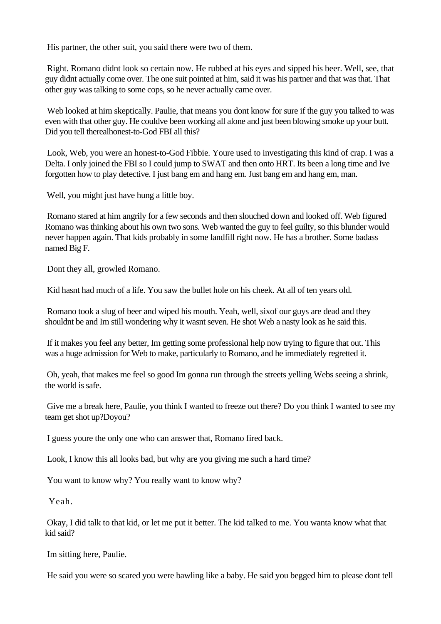His partner, the other suit, you said there were two of them.

 Right. Romano didnt look so certain now. He rubbed at his eyes and sipped his beer. Well, see, that guy didnt actually come over. The one suit pointed at him, said it was his partner and that was that. That other guy was talking to some cops, so he never actually came over.

Web looked at him skeptically. Paulie, that means you dont know for sure if the guy you talked to was even with that other guy. He couldve been working all alone and just been blowing smoke up your butt. Did you tell therealhonest-to-God FBI all this?

 Look, Web, you were an honest-to-God Fibbie. Youre used to investigating this kind of crap. I was a Delta. I only joined the FBI so I could jump to SWAT and then onto HRT. Its been a long time and Ive forgotten how to play detective. I just bang em and hang em. Just bang em and hang em, man.

Well, you might just have hung a little boy.

 Romano stared at him angrily for a few seconds and then slouched down and looked off. Web figured Romano was thinking about his own two sons. Web wanted the guy to feel guilty, so this blunder would never happen again. That kids probably in some landfill right now. He has a brother. Some badass named Big F.

Dont they all, growled Romano.

Kid hasnt had much of a life. You saw the bullet hole on his cheek. At all of ten years old.

 Romano took a slug of beer and wiped his mouth. Yeah, well, sixof our guys are dead and they shouldnt be and Im still wondering why it wasnt seven. He shot Web a nasty look as he said this.

 If it makes you feel any better, Im getting some professional help now trying to figure that out. This was a huge admission for Web to make, particularly to Romano, and he immediately regretted it.

 Oh, yeah, that makes me feel so good Im gonna run through the streets yelling Webs seeing a shrink, the world is safe.

 Give me a break here, Paulie, you think I wanted to freeze out there? Do you think I wanted to see my team get shot up?Doyou?

I guess youre the only one who can answer that, Romano fired back.

Look, I know this all looks bad, but why are you giving me such a hard time?

You want to know why? You really want to know why?

Yeah.

 Okay, I did talk to that kid, or let me put it better. The kid talked to me. You wanta know what that kid said?

Im sitting here, Paulie.

He said you were so scared you were bawling like a baby. He said you begged him to please dont tell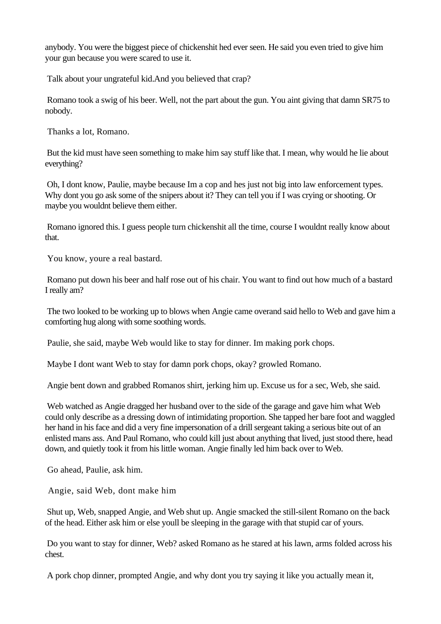anybody. You were the biggest piece of chickenshit hed ever seen. He said you even tried to give him your gun because you were scared to use it.

Talk about your ungrateful kid. And you believed that crap?

 Romano took a swig of his beer. Well, not the part about the gun. You aint giving that damn SR75 to nobody.

Thanks a lot, Romano.

 But the kid must have seen something to make him say stuff like that. I mean, why would he lie about everything?

 Oh, I dont know, Paulie, maybe because Im a cop and hes just not big into law enforcement types. Why dont you go ask some of the snipers about it? They can tell you if I was crying or shooting. Or maybe you wouldnt believe them either.

 Romano ignored this. I guess people turn chickenshit all the time, course I wouldnt really know about that.

You know, youre a real bastard.

 Romano put down his beer and half rose out of his chair. You want to find out how much of a bastard I really am?

 The two looked to be working up to blows when Angie came overand said hello to Web and gave him a comforting hug along with some soothing words.

Paulie, she said, maybe Web would like to stay for dinner. Im making pork chops.

Maybe I dont want Web to stay for damn pork chops, okay? growled Romano.

Angie bent down and grabbed Romanos shirt, jerking him up. Excuse us for a sec, Web, she said.

 Web watched as Angie dragged her husband over to the side of the garage and gave him what Web could only describe as a dressing down of intimidating proportion. She tapped her bare foot and waggled her hand in his face and did a very fine impersonation of a drill sergeant taking a serious bite out of an enlisted mans ass. And Paul Romano, who could kill just about anything that lived, just stood there, head down, and quietly took it from his little woman. Angie finally led him back over to Web.

Go ahead, Paulie, ask him.

Angie, said Web, dont make him

 Shut up, Web, snapped Angie, and Web shut up. Angie smacked the still-silent Romano on the back of the head. Either ask him or else youll be sleeping in the garage with that stupid car of yours.

 Do you want to stay for dinner, Web? asked Romano as he stared at his lawn, arms folded across his chest.

A pork chop dinner, prompted Angie, and why dont you try saying it like you actually mean it,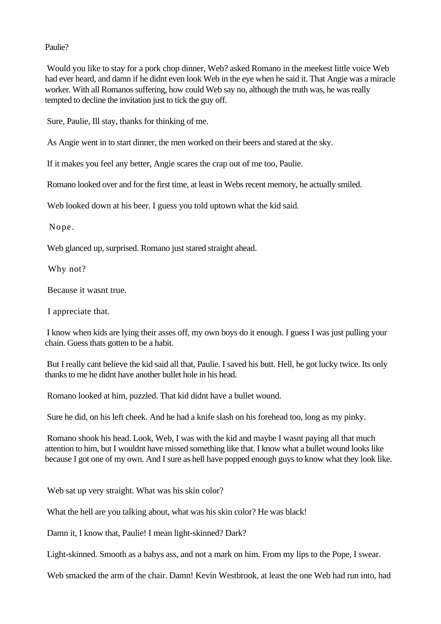## Paulie?

 Would you like to stay for a pork chop dinner, Web? asked Romano in the meekest little voice Web had ever heard, and damn if he didnt even look Web in the eye when he said it. That Angie was a miracle worker. With all Romanos suffering, how could Web say no, although the truth was, he was really tempted to decline the invitation just to tick the guy off.

Sure, Paulie, Ill stay, thanks for thinking of me.

As Angie went in to start dinner, the men worked on their beers and stared at the sky.

If it makes you feel any better, Angie scares the crap out of me too, Paulie.

Romano looked over and for the first time, at least in Webs recent memory, he actually smiled.

Web looked down at his beer. I guess you told uptown what the kid said.

Nope.

Web glanced up, surprised. Romano just stared straight ahead.

Why not?

Because it wasnt true.

I appreciate that.

 I know when kids are lying their asses off, my own boys do it enough. I guess I was just pulling your chain. Guess thats gotten to be a habit.

 But I really cant believe the kid said all that, Paulie. I saved his butt. Hell, he got lucky twice. Its only thanks to me he didnt have another bullet hole in his head.

Romano looked at him, puzzled. That kid didnt have a bullet wound.

Sure he did, on his left cheek. And he had a knife slash on his forehead too, long as my pinky.

 Romano shook his head. Look, Web, I was with the kid and maybe I wasnt paying all that much attention to him, but I wouldnt have missed something like that. I know what a bullet wound looks like because I got one of my own. And I sure as hell have popped enough guys to know what they look like.

Web sat up very straight. What was his skin color?

What the hell are you talking about, what was his skin color? He was black!

Damn it, I know that, Paulie! I mean light-skinned? Dark?

Light-skinned. Smooth as a babys ass, and not a mark on him. From my lips to the Pope, I swear.

Web smacked the arm of the chair. Damn! Kevin Westbrook, at least the one Web had run into, had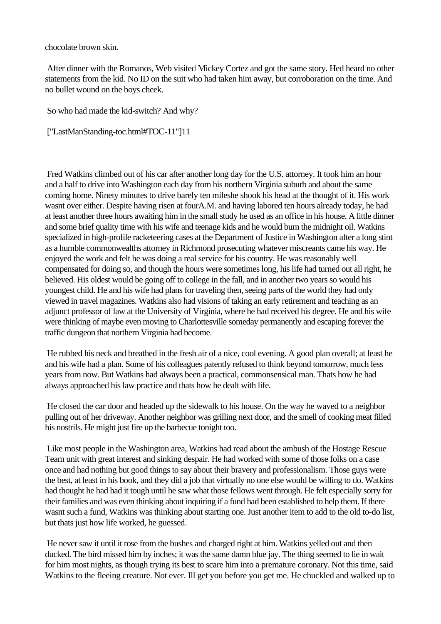chocolate brown skin.

 After dinner with the Romanos, Web visited Mickey Cortez and got the same story. Hed heard no other statements from the kid. No ID on the suit who had taken him away, but corroboration on the time. And no bullet wound on the boys cheek.

So who had made the kid-switch? And why?

["LastManStanding-toc.html#TOC-11"]11

 Fred Watkins climbed out of his car after another long day for the U.S. attorney. It took him an hour and a half to drive into Washington each day from his northern Virginia suburb and about the same coming home. Ninety minutes to drive barely ten miles he shook his head at the thought of it. His work wasnt over either. Despite having risen at fourA.M. and having labored ten hours already today, he had at least another three hours awaiting him in the small study he used as an office in his house. A little dinner and some brief quality time with his wife and teenage kids and he would burn the midnight oil. Watkins specialized in high-profile racketeering cases at the Department of Justice in Washington after a long stint as a humble commonwealths attorney in Richmond prosecuting whatever miscreants came his way. He enjoyed the work and felt he was doing a real service for his country. He was reasonably well compensated for doing so, and though the hours were sometimes long, his life had turned out all right, he believed. His oldest would be going off to college in the fall, and in another two years so would his youngest child. He and his wife had plans for traveling then, seeing parts of the world they had only viewed in travel magazines. Watkins also had visions of taking an early retirement and teaching as an adjunct professor of law at the University of Virginia, where he had received his degree. He and his wife were thinking of maybe even moving to Charlottesville someday permanently and escaping forever the traffic dungeon that northern Virginia had become.

 He rubbed his neck and breathed in the fresh air of a nice, cool evening. A good plan overall; at least he and his wife had a plan. Some of his colleagues patently refused to think beyond tomorrow, much less years from now. But Watkins had always been a practical, commonsensical man. Thats how he had always approached his law practice and thats how he dealt with life.

 He closed the car door and headed up the sidewalk to his house. On the way he waved to a neighbor pulling out of her driveway. Another neighbor was grilling next door, and the smell of cooking meat filled his nostrils. He might just fire up the barbecue tonight too.

 Like most people in the Washington area, Watkins had read about the ambush of the Hostage Rescue Team unit with great interest and sinking despair. He had worked with some of those folks on a case once and had nothing but good things to say about their bravery and professionalism. Those guys were the best, at least in his book, and they did a job that virtually no one else would be willing to do. Watkins had thought he had had it tough until he saw what those fellows went through. He felt especially sorry for their families and was even thinking about inquiring if a fund had been established to help them. If there wasnt such a fund, Watkins was thinking about starting one. Just another item to add to the old to-do list, but thats just how life worked, he guessed.

 He never saw it until it rose from the bushes and charged right at him. Watkins yelled out and then ducked. The bird missed him by inches; it was the same damn blue jay. The thing seemed to lie in wait for him most nights, as though trying its best to scare him into a premature coronary. Not this time, said Watkins to the fleeing creature. Not ever. Ill get you before you get me. He chuckled and walked up to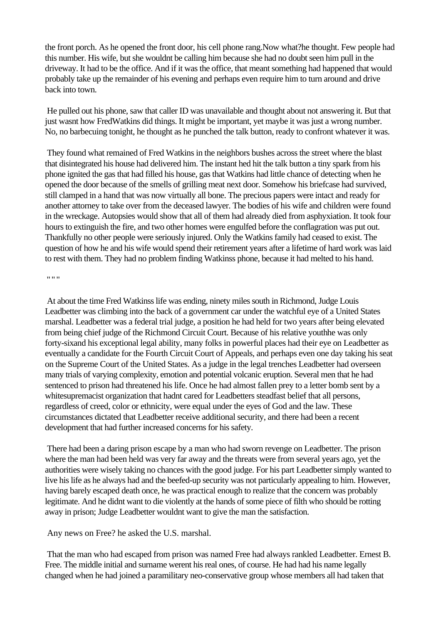the front porch. As he opened the front door, his cell phone rang.Now what?he thought. Few people had this number. His wife, but she wouldnt be calling him because she had no doubt seen him pull in the driveway. It had to be the office. And if it was the office, that meant something had happened that would probably take up the remainder of his evening and perhaps even require him to turn around and drive back into town.

 He pulled out his phone, saw that caller ID was unavailable and thought about not answering it. But that just wasnt how FredWatkins did things. It might be important, yet maybe it was just a wrong number. No, no barbecuing tonight, he thought as he punched the talk button, ready to confront whatever it was.

 They found what remained of Fred Watkins in the neighbors bushes across the street where the blast that disintegrated his house had delivered him. The instant hed hit the talk button a tiny spark from his phone ignited the gas that had filled his house, gas that Watkins had little chance of detecting when he opened the door because of the smells of grilling meat next door. Somehow his briefcase had survived, still clamped in a hand that was now virtually all bone. The precious papers were intact and ready for another attorney to take over from the deceased lawyer. The bodies of his wife and children were found in the wreckage. Autopsies would show that all of them had already died from asphyxiation. It took four hours to extinguish the fire, and two other homes were engulfed before the conflagration was put out. Thankfully no other people were seriously injured. Only the Watkins family had ceased to exist. The question of how he and his wife would spend their retirement years after a lifetime of hard work was laid to rest with them. They had no problem finding Watkinss phone, because it had melted to his hand.

" " "

 At about the time Fred Watkinss life was ending, ninety miles south in Richmond, Judge Louis Leadbetter was climbing into the back of a government car under the watchful eye of a United States marshal. Leadbetter was a federal trial judge, a position he had held for two years after being elevated from being chief judge of the Richmond Circuit Court. Because of his relative youth he was only forty-sixand his exceptional legal ability, many folks in powerful places had their eye on Leadbetter as eventually a candidate for the Fourth Circuit Court of Appeals, and perhaps even one day taking his seat on the Supreme Court of the United States. As a judge in the legal trenches Leadbetter had overseen many trials of varying complexity, emotion and potential volcanic eruption. Several men that he had sentenced to prison had threatened his life. Once he had almost fallen prey to a letter bomb sent by a whitesupremacist organization that hadnt cared for Leadbetters steadfast belief that all persons, regardless of creed, color or ethnicity, were equal under the eyes of God and the law. These circumstances dictated that Leadbetter receive additional security, and there had been a recent development that had further increased concerns for his safety.

 There had been a daring prison escape by a man who had sworn revenge on Leadbetter. The prison where the man had been held was very far away and the threats were from several years ago, yet the authorities were wisely taking no chances with the good judge. For his part Leadbetter simply wanted to live his life as he always had and the beefed-up security was not particularly appealing to him. However, having barely escaped death once, he was practical enough to realize that the concern was probably legitimate. And he didnt want to die violently at the hands of some piece of filth who should be rotting away in prison; Judge Leadbetter wouldnt want to give the man the satisfaction.

Any news on Free? he asked the U.S. marshal.

 That the man who had escaped from prison was named Free had always rankled Leadbetter. Ernest B. Free. The middle initial and surname werent his real ones, of course. He had had his name legally changed when he had joined a paramilitary neo-conservative group whose members all had taken that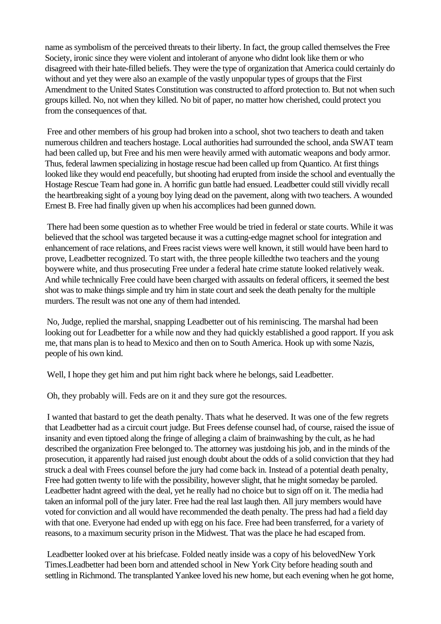name as symbolism of the perceived threats to their liberty. In fact, the group called themselves the Free Society, ironic since they were violent and intolerant of anyone who didnt look like them or who disagreed with their hate-filled beliefs. They were the type of organization that America could certainly do without and yet they were also an example of the vastly unpopular types of groups that the First Amendment to the United States Constitution was constructed to afford protection to. But not when such groups killed. No, not when they killed. No bit of paper, no matter how cherished, could protect you from the consequences of that.

 Free and other members of his group had broken into a school, shot two teachers to death and taken numerous children and teachers hostage. Local authorities had surrounded the school, anda SWAT team had been called up, but Free and his men were heavily armed with automatic weapons and body armor. Thus, federal lawmen specializing in hostage rescue had been called up from Quantico. At first things looked like they would end peacefully, but shooting had erupted from inside the school and eventually the Hostage Rescue Team had gone in. A horrific gun battle had ensued. Leadbetter could still vividly recall the heartbreaking sight of a young boy lying dead on the pavement, along with two teachers. A wounded Ernest B. Free had finally given up when his accomplices had been gunned down.

 There had been some question as to whether Free would be tried in federal or state courts. While it was believed that the school was targeted because it was a cutting-edge magnet school for integration and enhancement of race relations, and Frees racist views were well known, it still would have been hard to prove, Leadbetter recognized. To start with, the three people killed the two teachers and the young boywere white, and thus prosecuting Free under a federal hate crime statute looked relatively weak. And while technically Free could have been charged with assaults on federal officers, it seemed the best shot was to make things simple and try him in state court and seek the death penalty for the multiple murders. The result was not one any of them had intended.

 No, Judge, replied the marshal, snapping Leadbetter out of his reminiscing. The marshal had been looking out for Leadbetter for a while now and they had quickly established a good rapport. If you ask me, that mans plan is to head to Mexico and then on to South America. Hook up with some Nazis, people of his own kind.

Well, I hope they get him and put him right back where he belongs, said Leadbetter.

Oh, they probably will. Feds are on it and they sure got the resources.

 I wanted that bastard to get the death penalty. Thats what he deserved. It was one of the few regrets that Leadbetter had as a circuit court judge. But Frees defense counsel had, of course, raised the issue of insanity and even tiptoed along the fringe of alleging a claim of brainwashing by the cult, as he had described the organization Free belonged to. The attorney was justdoing his job, and in the minds of the prosecution, it apparently had raised just enough doubt about the odds of a solid conviction that they had struck a deal with Frees counsel before the jury had come back in. Instead of a potential death penalty, Free had gotten twenty to life with the possibility, however slight, that he might someday be paroled. Leadbetter hadnt agreed with the deal, yet he really had no choice but to sign off on it. The media had taken an informal poll of the jury later. Free had the real last laugh then. All jury members would have voted for conviction and all would have recommended the death penalty. The press had had a field day with that one. Everyone had ended up with egg on his face. Free had been transferred, for a variety of reasons, to a maximum security prison in the Midwest. That was the place he had escaped from.

 Leadbetter looked over at his briefcase. Folded neatly inside was a copy of his belovedNew York Times.Leadbetter had been born and attended school in New York City before heading south and settling in Richmond. The transplanted Yankee loved his new home, but each evening when he got home,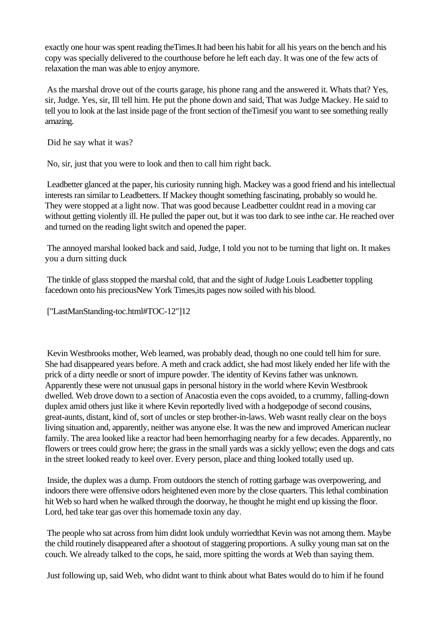exactly one hour was spent reading theTimes.It had been his habit for all his years on the bench and his copy was specially delivered to the courthouse before he left each day. It was one of the few acts of relaxation the man was able to enjoy anymore.

 As the marshal drove out of the courts garage, his phone rang and the answered it. Whats that? Yes, sir, Judge. Yes, sir, Ill tell him. He put the phone down and said, That was Judge Mackey. He said to tell you to look at the last inside page of the front section of theTimesif you want to see something really amazing.

Did he say what it was?

No, sir, just that you were to look and then to call him right back.

 Leadbetter glanced at the paper, his curiosity running high. Mackey was a good friend and his intellectual interests ran similar to Leadbetters. If Mackey thought something fascinating, probably so would he. They were stopped at a light now. That was good because Leadbetter couldnt read in a moving car without getting violently ill. He pulled the paper out, but it was too dark to see inthe car. He reached over and turned on the reading light switch and opened the paper.

 The annoyed marshal looked back and said, Judge, I told you not to be turning that light on. It makes you a durn sitting duck

 The tinkle of glass stopped the marshal cold, that and the sight of Judge Louis Leadbetter toppling facedown onto his preciousNew York Times,its pages now soiled with his blood.

["LastManStanding-toc.html#TOC-12"]12

 Kevin Westbrooks mother, Web learned, was probably dead, though no one could tell him for sure. She had disappeared years before. A meth and crack addict, she had most likely ended her life with the prick of a dirty needle or snort of impure powder. The identity of Kevins father was unknown. Apparently these were not unusual gaps in personal history in the world where Kevin Westbrook dwelled. Web drove down to a section of Anacostia even the cops avoided, to a crummy, falling-down duplex amid others just like it where Kevin reportedly lived with a hodgepodge of second cousins, great-aunts, distant, kind of, sort of uncles or step brother-in-laws. Web wasnt really clear on the boys living situation and, apparently, neither was anyone else. It was the new and improved American nuclear family. The area looked like a reactor had been hemorrhaging nearby for a few decades. Apparently, no flowers or trees could grow here; the grass in the small yards was a sickly yellow; even the dogs and cats in the street looked ready to keel over. Every person, place and thing looked totally used up.

 Inside, the duplex was a dump. From outdoors the stench of rotting garbage was overpowering, and indoors there were offensive odors heightened even more by the close quarters. This lethal combination hit Web so hard when he walked through the doorway, he thought he might end up kissing the floor. Lord, hed take tear gas over this homemade toxin any day.

 The people who sat across from him didnt look unduly worriedthat Kevin was not among them. Maybe the child routinely disappeared after a shootout of staggering proportions. A sulky young man sat on the couch. We already talked to the cops, he said, more spitting the words at Web than saying them.

Just following up, said Web, who didnt want to think about what Bates would do to him if he found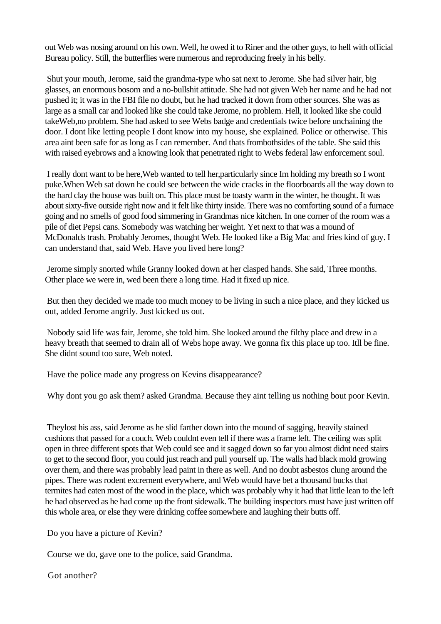out Web was nosing around on his own. Well, he owed it to Riner and the other guys, to hell with official Bureau policy. Still, the butterflies were numerous and reproducing freely in his belly.

 Shut your mouth, Jerome, said the grandma-type who sat next to Jerome. She had silver hair, big glasses, an enormous bosom and a no-bullshit attitude. She had not given Web her name and he had not pushed it; it was in the FBI file no doubt, but he had tracked it down from other sources. She was as large as a small car and looked like she could take Jerome, no problem. Hell, it looked like she could takeWeb,no problem. She had asked to see Webs badge and credentials twice before unchaining the door. I dont like letting people I dont know into my house, she explained. Police or otherwise. This area aint been safe for as long as I can remember. And thats frombothsides of the table. She said this with raised eyebrows and a knowing look that penetrated right to Webs federal law enforcement soul.

 I really dont want to be here,Web wanted to tell her,particularly since Im holding my breath so I wont puke.When Web sat down he could see between the wide cracks in the floorboards all the way down to the hard clay the house was built on. This place must be toasty warm in the winter, he thought. It was about sixty-five outside right now and it felt like thirty inside. There was no comforting sound of a furnace going and no smells of good food simmering in Grandmas nice kitchen. In one corner of the room was a pile of diet Pepsi cans. Somebody was watching her weight. Yet next to that was a mound of McDonalds trash. Probably Jeromes, thought Web. He looked like a Big Mac and fries kind of guy. I can understand that, said Web. Have you lived here long?

 Jerome simply snorted while Granny looked down at her clasped hands. She said, Three months. Other place we were in, wed been there a long time. Had it fixed up nice.

 But then they decided we made too much money to be living in such a nice place, and they kicked us out, added Jerome angrily. Just kicked us out.

 Nobody said life was fair, Jerome, she told him. She looked around the filthy place and drew in a heavy breath that seemed to drain all of Webs hope away. We gonna fix this place up too. Itll be fine. She didnt sound too sure, Web noted.

Have the police made any progress on Kevins disappearance?

Why dont you go ask them? asked Grandma. Because they aint telling us nothing bout poor Kevin.

 Theylost his ass, said Jerome as he slid farther down into the mound of sagging, heavily stained cushions that passed for a couch. Web couldnt even tell if there was a frame left. The ceiling was split open in three different spots that Web could see and it sagged down so far you almost didnt need stairs to get to the second floor, you could just reach and pull yourself up. The walls had black mold growing over them, and there was probably lead paint in there as well. And no doubt asbestos clung around the pipes. There was rodent excrement everywhere, and Web would have bet a thousand bucks that termites had eaten most of the wood in the place, which was probably why it had that little lean to the left he had observed as he had come up the front sidewalk. The building inspectors must have just written off this whole area, or else they were drinking coffee somewhere and laughing their butts off.

Do you have a picture of Kevin?

Course we do, gave one to the police, said Grandma.

Got another?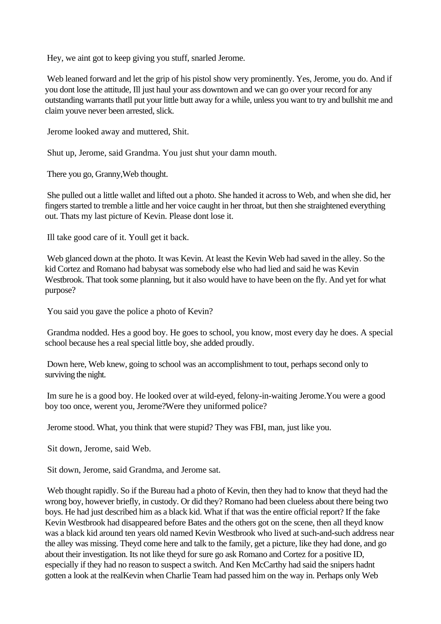Hey, we aint got to keep giving you stuff, snarled Jerome.

Web leaned forward and let the grip of his pistol show very prominently. Yes, Jerome, you do. And if you dont lose the attitude, Ill just haul your ass downtown and we can go over your record for any outstanding warrants thatll put your little butt away for a while, unless you want to try and bullshit me and claim youve never been arrested, slick.

Jerome looked away and muttered, Shit.

Shut up, Jerome, said Grandma. You just shut your damn mouth.

There you go, Granny,Web thought.

 She pulled out a little wallet and lifted out a photo. She handed it across to Web, and when she did, her fingers started to tremble a little and her voice caught in her throat, but then she straightened everything out. Thats my last picture of Kevin. Please dont lose it.

Ill take good care of it. Youll get it back.

 Web glanced down at the photo. It was Kevin. At least the Kevin Web had saved in the alley. So the kid Cortez and Romano had babysat was somebody else who had lied and said he was Kevin Westbrook. That took some planning, but it also would have to have been on the fly. And yet for what purpose?

You said you gave the police a photo of Kevin?

 Grandma nodded. Hes a good boy. He goes to school, you know, most every day he does. A special school because hes a real special little boy, she added proudly.

 Down here, Web knew, going to school was an accomplishment to tout, perhaps second only to surviving the night.

 Im sure he is a good boy. He looked over at wild-eyed, felony-in-waiting Jerome.You were a good boy too once, werent you, Jerome? Were they uniformed police?

Jerome stood. What, you think that were stupid? They was FBI, man, just like you.

Sit down, Jerome, said Web.

Sit down, Jerome, said Grandma, and Jerome sat.

 Web thought rapidly. So if the Bureau had a photo of Kevin, then they had to know that theyd had the wrong boy, however briefly, in custody. Or did they? Romano had been clueless about there being two boys. He had just described him as a black kid. What if that was the entire official report? If the fake Kevin Westbrook had disappeared before Bates and the others got on the scene, then all theyd know was a black kid around ten years old named Kevin Westbrook who lived at such-and-such address near the alley was missing. Theyd come here and talk to the family, get a picture, like they had done, and go about their investigation. Its not like theyd for sure go ask Romano and Cortez for a positive ID, especially if they had no reason to suspect a switch. And Ken McCarthy had said the snipers hadnt gotten a look at the realKevin when Charlie Team had passed him on the way in. Perhaps only Web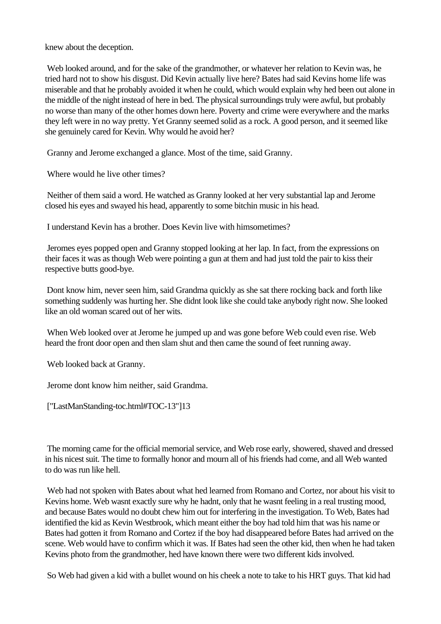knew about the deception.

 Web looked around, and for the sake of the grandmother, or whatever her relation to Kevin was, he tried hard not to show his disgust. Did Kevin actually live here? Bates had said Kevins home life was miserable and that he probably avoided it when he could, which would explain why hed been out alone in the middle of the night instead of here in bed. The physical surroundings truly were awful, but probably no worse than many of the other homes down here. Poverty and crime were everywhere and the marks they left were in no way pretty. Yet Granny seemed solid as a rock. A good person, and it seemed like she genuinely cared for Kevin. Why would he avoid her?

Granny and Jerome exchanged a glance. Most of the time, said Granny.

Where would he live other times?

 Neither of them said a word. He watched as Granny looked at her very substantial lap and Jerome closed his eyes and swayed his head, apparently to some bitchin music in his head.

I understand Kevin has a brother. Does Kevin live with himsometimes?

 Jeromes eyes popped open and Granny stopped looking at her lap. In fact, from the expressions on their faces it was as though Web were pointing a gun at them and had just told the pair to kiss their respective butts good-bye.

 Dont know him, never seen him, said Grandma quickly as she sat there rocking back and forth like something suddenly was hurting her. She didnt look like she could take anybody right now. She looked like an old woman scared out of her wits.

 When Web looked over at Jerome he jumped up and was gone before Web could even rise. Web heard the front door open and then slam shut and then came the sound of feet running away.

Web looked back at Granny.

Jerome dont know him neither, said Grandma.

["LastManStanding-toc.html#TOC-13"]13

 The morning came for the official memorial service, and Web rose early, showered, shaved and dressed in his nicest suit. The time to formally honor and mourn all of his friends had come, and all Web wanted to do was run like hell.

 Web had not spoken with Bates about what hed learned from Romano and Cortez, nor about his visit to Kevins home. Web wasnt exactly sure why he hadnt, only that he wasnt feeling in a real trusting mood, and because Bates would no doubt chew him out for interfering in the investigation. To Web, Bates had identified the kid as Kevin Westbrook, which meant either the boy had told him that was his name or Bates had gotten it from Romano and Cortez if the boy had disappeared before Bates had arrived on the scene. Web would have to confirm which it was. If Bates had seen the other kid, then when he had taken Kevins photo from the grandmother, hed have known there were two different kids involved.

So Web had given a kid with a bullet wound on his cheek a note to take to his HRT guys. That kid had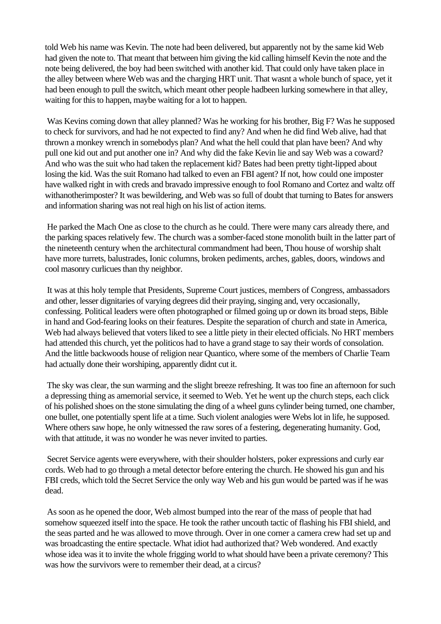told Web his name was Kevin. The note had been delivered, but apparently not by the same kid Web had given the note to. That meant that between him giving the kid calling himself Kevin the note and the note being delivered, the boy had been switched with another kid. That could only have taken place in the alley between where Web was and the charging HRT unit. That wasnt a whole bunch of space, yet it had been enough to pull the switch, which meant other people hadbeen lurking somewhere in that alley, waiting for this to happen, maybe waiting for a lot to happen.

 Was Kevins coming down that alley planned? Was he working for his brother, Big F? Was he supposed to check for survivors, and had he not expected to find any? And when he did find Web alive, had that thrown a monkey wrench in somebodys plan? And what the hell could that plan have been? And why pull one kid out and put another one in? And why did the fake Kevin lie and say Web was a coward? And who was the suit who had taken the replacement kid? Bates had been pretty tight-lipped about losing the kid. Was the suit Romano had talked to even an FBI agent? If not, how could one imposter have walked right in with creds and bravado impressive enough to fool Romano and Cortez and waltz off withanotherimposter? It was bewildering, and Web was so full of doubt that turning to Bates for answers and information sharing was not real high on his list of action items.

 He parked the Mach One as close to the church as he could. There were many cars already there, and the parking spaces relatively few. The church was a somber-faced stone monolith built in the latter part of the nineteenth century when the architectural commandment had been, Thou house of worship shalt have more turrets, balustrades, Ionic columns, broken pediments, arches, gables, doors, windows and cool masonry curlicues than thy neighbor.

 It was at this holy temple that Presidents, Supreme Court justices, members of Congress, ambassadors and other, lesser dignitaries of varying degrees did their praying, singing and, very occasionally, confessing. Political leaders were often photographed or filmed going up or down its broad steps, Bible in hand and God-fearing looks on their features. Despite the separation of church and state in America, Web had always believed that voters liked to see a little piety in their elected officials. No HRT members had attended this church, yet the politicos had to have a grand stage to say their words of consolation. And the little backwoods house of religion near Quantico, where some of the members of Charlie Team had actually done their worshiping, apparently didnt cut it.

 The sky was clear, the sun warming and the slight breeze refreshing. It was too fine an afternoon for such a depressing thing as amemorial service, it seemed to Web. Yet he went up the church steps, each click of his polished shoes on the stone simulating the ding of a wheel guns cylinder being turned, one chamber, one bullet, one potentially spent life at a time. Such violent analogies were Webs lot in life, he supposed. Where others saw hope, he only witnessed the raw sores of a festering, degenerating humanity. God, with that attitude, it was no wonder he was never invited to parties.

 Secret Service agents were everywhere, with their shoulder holsters, poker expressions and curly ear cords. Web had to go through a metal detector before entering the church. He showed his gun and his FBI creds, which told the Secret Service the only way Web and his gun would be parted was if he was dead.

 As soon as he opened the door, Web almost bumped into the rear of the mass of people that had somehow squeezed itself into the space. He took the rather uncouth tactic of flashing his FBI shield, and the seas parted and he was allowed to move through. Over in one corner a camera crew had set up and was broadcasting the entire spectacle. What idiot had authorized that? Web wondered. And exactly whose idea was it to invite the whole frigging world to what should have been a private ceremony? This was how the survivors were to remember their dead, at a circus?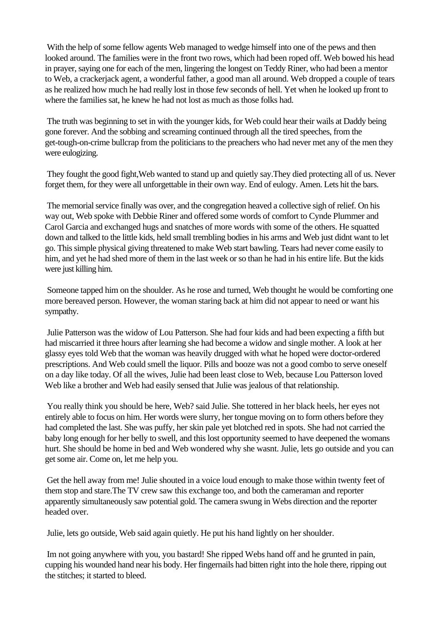With the help of some fellow agents Web managed to wedge himself into one of the pews and then looked around. The families were in the front two rows, which had been roped off. Web bowed his head in prayer, saying one for each of the men, lingering the longest on Teddy Riner, who had been a mentor to Web, a crackerjack agent, a wonderful father, a good man all around. Web dropped a couple of tears as he realized how much he had really lost in those few seconds of hell. Yet when he looked up front to where the families sat, he knew he had not lost as much as those folks had.

 The truth was beginning to set in with the younger kids, for Web could hear their wails at Daddy being gone forever. And the sobbing and screaming continued through all the tired speeches, from the get-tough-on-crime bullcrap from the politicians to the preachers who had never met any of the men they were eulogizing.

 They fought the good fight,Web wanted to stand up and quietly say.They died protecting all of us. Never forget them, for they were all unforgettable in their own way. End of eulogy. Amen. Lets hit the bars.

 The memorial service finally was over, and the congregation heaved a collective sigh of relief. On his way out, Web spoke with Debbie Riner and offered some words of comfort to Cynde Plummer and Carol Garcia and exchanged hugs and snatches of more words with some of the others. He squatted down and talked to the little kids, held small trembling bodies in his arms and Web just didnt want to let go. This simple physical giving threatened to make Web start bawling. Tears had never come easily to him, and yet he had shed more of them in the last week or so than he had in his entire life. But the kids were just killing him.

 Someone tapped him on the shoulder. As he rose and turned, Web thought he would be comforting one more bereaved person. However, the woman staring back at him did not appear to need or want his sympathy.

 Julie Patterson was the widow of Lou Patterson. She had four kids and had been expecting a fifth but had miscarried it three hours after learning she had become a widow and single mother. A look at her glassy eyes told Web that the woman was heavily drugged with what he hoped were doctor-ordered prescriptions. And Web could smell the liquor. Pills and booze was not a good combo to serve oneself on a day like today. Of all the wives, Julie had been least close to Web, because Lou Patterson loved Web like a brother and Web had easily sensed that Julie was jealous of that relationship.

 You really think you should be here, Web? said Julie. She tottered in her black heels, her eyes not entirely able to focus on him. Her words were slurry, her tongue moving on to form others before they had completed the last. She was puffy, her skin pale yet blotched red in spots. She had not carried the baby long enough for her belly to swell, and this lost opportunity seemed to have deepened the womans hurt. She should be home in bed and Web wondered why she wasnt. Julie, lets go outside and you can get some air. Come on, let me help you.

 Get the hell away from me! Julie shouted in a voice loud enough to make those within twenty feet of them stop and stare.The TV crew saw this exchange too, and both the cameraman and reporter apparently simultaneously saw potential gold. The camera swung in Webs direction and the reporter headed over.

Julie, lets go outside, Web said again quietly. He put his hand lightly on her shoulder.

 Im not going anywhere with you, you bastard! She ripped Webs hand off and he grunted in pain, cupping his wounded hand near his body. Her fingernails had bitten right into the hole there, ripping out the stitches; it started to bleed.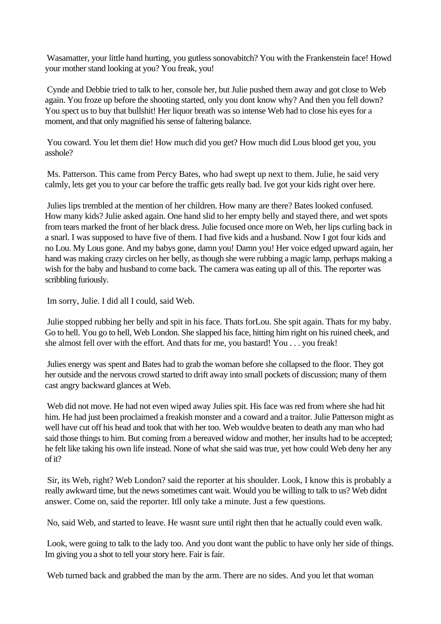Wasamatter, your little hand hurting, you gutless sonovabitch? You with the Frankenstein face! Howd your mother stand looking at you? You freak, you!

 Cynde and Debbie tried to talk to her, console her, but Julie pushed them away and got close to Web again. You froze up before the shooting started, only you dont know why? And then you fell down? You spect us to buy that bullshit! Her liquor breath was so intense Web had to close his eyes for a moment, and that only magnified his sense of faltering balance.

 You coward. You let them die! How much did you get? How much did Lous blood get you, you asshole?

 Ms. Patterson. This came from Percy Bates, who had swept up next to them. Julie, he said very calmly, lets get you to your car before the traffic gets really bad. Ive got your kids right over here.

 Julies lips trembled at the mention of her children. How many are there? Bates looked confused. How many kids? Julie asked again. One hand slid to her empty belly and stayed there, and wet spots from tears marked the front of her black dress. Julie focused once more on Web, her lips curling back in a snarl. I was supposed to have five of them. I had five kids and a husband. Now I got four kids and no Lou. My Lous gone. And my babys gone, damn you! Damn you! Her voice edged upward again, her hand was making crazy circles on her belly, as though she were rubbing a magic lamp, perhaps making a wish for the baby and husband to come back. The camera was eating up all of this. The reporter was scribbling furiously.

Im sorry, Julie. I did all I could, said Web.

 Julie stopped rubbing her belly and spit in his face. Thats forLou. She spit again. Thats for my baby. Go to hell. You go to hell, Web London. She slapped his face, hitting him right on his ruined cheek, and she almost fell over with the effort. And thats for me, you bastard! You . . . you freak!

 Julies energy was spent and Bates had to grab the woman before she collapsed to the floor. They got her outside and the nervous crowd started to drift away into small pockets of discussion; many of them cast angry backward glances at Web.

 Web did not move. He had not even wiped away Julies spit. His face was red from where she had hit him. He had just been proclaimed a freakish monster and a coward and a traitor. Julie Patterson might as well have cut off his head and took that with her too. Web wouldve beaten to death any man who had said those things to him. But coming from a bereaved widow and mother, her insults had to be accepted; he felt like taking his own life instead. None of what she said was true, yet how could Web deny her any of it?

 Sir, its Web, right? Web London? said the reporter at his shoulder. Look, I know this is probably a really awkward time, but the news sometimes cant wait. Would you be willing to talk to us? Web didnt answer. Come on, said the reporter. Itll only take a minute. Just a few questions.

No, said Web, and started to leave. He wasnt sure until right then that he actually could even walk.

 Look, were going to talk to the lady too. And you dont want the public to have only her side of things. Im giving you a shot to tell your story here. Fair is fair.

Web turned back and grabbed the man by the arm. There are no sides. And you let that woman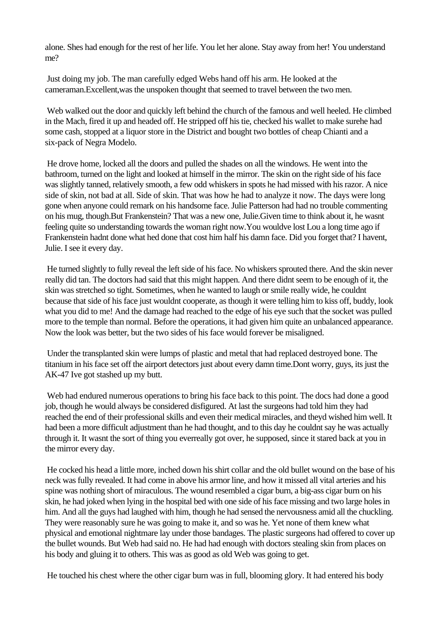alone. Shes had enough for the rest of her life. You let her alone. Stay away from her! You understand me?

 Just doing my job. The man carefully edged Webs hand off his arm. He looked at the cameraman.Excellent,was the unspoken thought that seemed to travel between the two men.

Web walked out the door and quickly left behind the church of the famous and well heeled. He climbed in the Mach, fired it up and headed off. He stripped off his tie, checked his wallet to make surehe had some cash, stopped at a liquor store in the District and bought two bottles of cheap Chianti and a six-pack of Negra Modelo.

 He drove home, locked all the doors and pulled the shades on all the windows. He went into the bathroom, turned on the light and looked at himself in the mirror. The skin on the right side of his face was slightly tanned, relatively smooth, a few odd whiskers in spots he had missed with his razor. A nice side of skin, not bad at all. Side of skin. That was how he had to analyze it now. The days were long gone when anyone could remark on his handsome face. Julie Patterson had had no trouble commenting on his mug, though.But Frankenstein? That was a new one, Julie.Given time to think about it, he wasnt feeling quite so understanding towards the woman right now.You wouldve lost Lou a long time ago if Frankenstein hadnt done what hed done that cost him half his damn face. Did you forget that? I havent, Julie. I see it every day.

 He turned slightly to fully reveal the left side of his face. No whiskers sprouted there. And the skin never really did tan. The doctors had said that this might happen. And there didnt seem to be enough of it, the skin was stretched so tight. Sometimes, when he wanted to laugh or smile really wide, he couldnt because that side of his face just wouldnt cooperate, as though it were telling him to kiss off, buddy, look what you did to me! And the damage had reached to the edge of his eye such that the socket was pulled more to the temple than normal. Before the operations, it had given him quite an unbalanced appearance. Now the look was better, but the two sides of his face would forever be misaligned.

 Under the transplanted skin were lumps of plastic and metal that had replaced destroyed bone. The titanium in his face set off the airport detectors just about every damn time.Dont worry, guys, its just the AK-47 Ive got stashed up my butt.

 Web had endured numerous operations to bring his face back to this point. The docs had done a good job, though he would always be considered disfigured. At last the surgeons had told him they had reached the end of their professional skills and even their medical miracles, and theyd wished him well. It had been a more difficult adjustment than he had thought, and to this day he couldnt say he was actually through it. It wasnt the sort of thing you everreally got over, he supposed, since it stared back at you in the mirror every day.

 He cocked his head a little more, inched down his shirt collar and the old bullet wound on the base of his neck was fully revealed. It had come in above his armor line, and how it missed all vital arteries and his spine was nothing short of miraculous. The wound resembled a cigar burn, a big-ass cigar burn on his skin, he had joked when lying in the hospital bed with one side of his face missing and two large holes in him. And all the guys had laughed with him, though he had sensed the nervousness amid all the chuckling. They were reasonably sure he was going to make it, and so was he. Yet none of them knew what physical and emotional nightmare lay under those bandages. The plastic surgeons had offered to cover up the bullet wounds. But Web had said no. He had had enough with doctors stealing skin from places on his body and gluing it to others. This was as good as old Web was going to get.

He touched his chest where the other cigar burn was in full, blooming glory. It had entered his body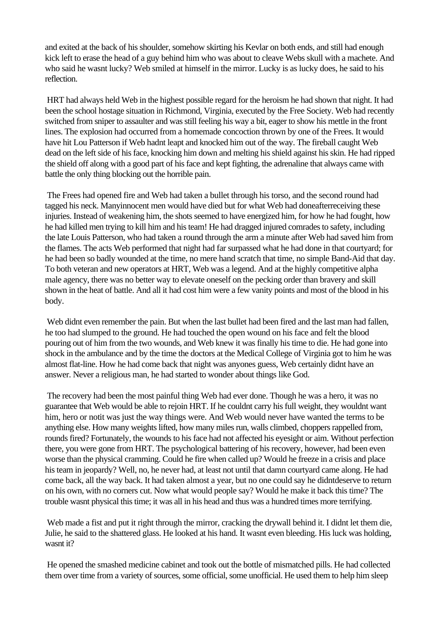and exited at the back of his shoulder, somehow skirting his Kevlar on both ends, and still had enough kick left to erase the head of a guy behind him who was about to cleave Webs skull with a machete. And who said he wasnt lucky? Web smiled at himself in the mirror. Lucky is as lucky does, he said to his reflection.

 HRT had always held Web in the highest possible regard for the heroism he had shown that night. It had been the school hostage situation in Richmond, Virginia, executed by the Free Society. Web had recently switched from sniper to assaulter and was still feeling his way a bit, eager to show his mettle in the front lines. The explosion had occurred from a homemade concoction thrown by one of the Frees. It would have hit Lou Patterson if Web hadnt leapt and knocked him out of the way. The fireball caught Web dead on the left side of his face, knocking him down and melting his shield against his skin. He had ripped the shield off along with a good part of his face and kept fighting, the adrenaline that always came with battle the only thing blocking out the horrible pain.

 The Frees had opened fire and Web had taken a bullet through his torso, and the second round had tagged his neck. Manyinnocent men would have died but for what Web had doneafterreceiving these injuries. Instead of weakening him, the shots seemed to have energized him, for how he had fought, how he had killed men trying to kill him and his team! He had dragged injured comrades to safety, including the late Louis Patterson, who had taken a round through the arm a minute after Web had saved him from the flames. The acts Web performed that night had far surpassed what he had done in that courtyard; for he had been so badly wounded at the time, no mere hand scratch that time, no simple Band-Aid that day. To both veteran and new operators at HRT, Web was a legend. And at the highly competitive alpha male agency, there was no better way to elevate oneself on the pecking order than bravery and skill shown in the heat of battle. And all it had cost him were a few vanity points and most of the blood in his body.

Web didnt even remember the pain. But when the last bullet had been fired and the last man had fallen, he too had slumped to the ground. He had touched the open wound on his face and felt the blood pouring out of him from the two wounds, and Web knew it was finally his time to die. He had gone into shock in the ambulance and by the time the doctors at the Medical College of Virginia got to him he was almost flat-line. How he had come back that night was anyones guess, Web certainly didnt have an answer. Never a religious man, he had started to wonder about things like God.

 The recovery had been the most painful thing Web had ever done. Though he was a hero, it was no guarantee that Web would be able to rejoin HRT. If he couldnt carry his full weight, they wouldnt want him, hero or not it was just the way things were. And Web would never have wanted the terms to be anything else. How many weights lifted, how many miles run, walls climbed, choppers rappelled from, rounds fired? Fortunately, the wounds to his face had not affected his eyesight or aim. Without perfection there, you were gone from HRT. The psychological battering of his recovery, however, had been even worse than the physical cramming. Could he fire when called up? Would he freeze in a crisis and place his team in jeopardy? Well, no, he never had, at least not until that damn courtyard came along. He had come back, all the way back. It had taken almost a year, but no one could say he didntdeserve to return on his own, with no corners cut. Now what would people say? Would he make it back this time? The trouble wasnt physical this time; it was all in his head and thus was a hundred times more terrifying.

Web made a fist and put it right through the mirror, cracking the drywall behind it. I didnt let them die, Julie, he said to the shattered glass. He looked at his hand. It wasnt even bleeding. His luck was holding, wasnt it?

 He opened the smashed medicine cabinet and took out the bottle of mismatched pills. He had collected them over time from a variety of sources, some official, some unofficial. He used them to help him sleep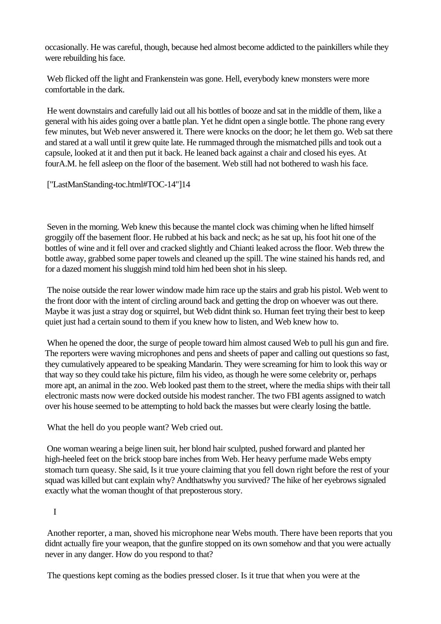occasionally. He was careful, though, because hed almost become addicted to the painkillers while they were rebuilding his face.

Web flicked off the light and Frankenstein was gone. Hell, everybody knew monsters were more comfortable in the dark.

 He went downstairs and carefully laid out all his bottles of booze and sat in the middle of them, like a general with his aides going over a battle plan. Yet he didnt open a single bottle. The phone rang every few minutes, but Web never answered it. There were knocks on the door; he let them go. Web sat there and stared at a wall until it grew quite late. He rummaged through the mismatched pills and took out a capsule, looked at it and then put it back. He leaned back against a chair and closed his eyes. At fourA.M. he fell asleep on the floor of the basement. Web still had not bothered to wash his face.

["LastManStanding-toc.html#TOC-14"]14

 Seven in the morning. Web knew this because the mantel clock was chiming when he lifted himself groggily off the basement floor. He rubbed at his back and neck; as he sat up, his foot hit one of the bottles of wine and it fell over and cracked slightly and Chianti leaked across the floor. Web threw the bottle away, grabbed some paper towels and cleaned up the spill. The wine stained his hands red, and for a dazed moment his sluggish mind told him hed been shot in his sleep.

 The noise outside the rear lower window made him race up the stairs and grab his pistol. Web went to the front door with the intent of circling around back and getting the drop on whoever was out there. Maybe it was just a stray dog or squirrel, but Web didnt think so. Human feet trying their best to keep quiet just had a certain sound to them if you knew how to listen, and Web knew how to.

 When he opened the door, the surge of people toward him almost caused Web to pull his gun and fire. The reporters were waving microphones and pens and sheets of paper and calling out questions so fast, they cumulatively appeared to be speaking Mandarin. They were screaming for him to look this way or that way so they could take his picture, film his video, as though he were some celebrity or, perhaps more apt, an animal in the zoo. Web looked past them to the street, where the media ships with their tall electronic masts now were docked outside his modest rancher. The two FBI agents assigned to watch over his house seemed to be attempting to hold back the masses but were clearly losing the battle.

What the hell do you people want? Web cried out.

 One woman wearing a beige linen suit, her blond hair sculpted, pushed forward and planted her high-heeled feet on the brick stoop bare inches from Web. Her heavy perfume made Webs empty stomach turn queasy. She said, Is it true youre claiming that you fell down right before the rest of your squad was killed but cant explain why? Andthatswhy you survived? The hike of her eyebrows signaled exactly what the woman thought of that preposterous story.

I

 Another reporter, a man, shoved his microphone near Webs mouth. There have been reports that you didnt actually fire your weapon, that the gunfire stopped on its own somehow and that you were actually never in any danger. How do you respond to that?

The questions kept coming as the bodies pressed closer. Is it true that when you were at the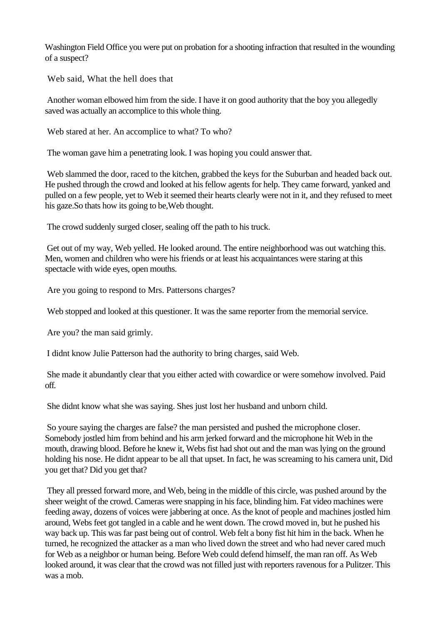Washington Field Office you were put on probation for a shooting infraction that resulted in the wounding of a suspect?

Web said, What the hell does that

 Another woman elbowed him from the side. I have it on good authority that the boy you allegedly saved was actually an accomplice to this whole thing.

Web stared at her. An accomplice to what? To who?

The woman gave him a penetrating look. I was hoping you could answer that.

 Web slammed the door, raced to the kitchen, grabbed the keys for the Suburban and headed back out. He pushed through the crowd and looked at his fellow agents for help. They came forward, yanked and pulled on a few people, yet to Web it seemed their hearts clearly were not in it, and they refused to meet his gaze.So thats how its going to be,Web thought.

The crowd suddenly surged closer, sealing off the path to his truck.

 Get out of my way, Web yelled. He looked around. The entire neighborhood was out watching this. Men, women and children who were his friends or at least his acquaintances were staring at this spectacle with wide eyes, open mouths.

Are you going to respond to Mrs. Pattersons charges?

Web stopped and looked at this questioner. It was the same reporter from the memorial service.

Are you? the man said grimly.

I didnt know Julie Patterson had the authority to bring charges, said Web.

 She made it abundantly clear that you either acted with cowardice or were somehow involved. Paid off.

She didnt know what she was saying. Shes just lost her husband and unborn child.

 So youre saying the charges are false? the man persisted and pushed the microphone closer. Somebody jostled him from behind and his arm jerked forward and the microphone hit Web in the mouth, drawing blood. Before he knew it, Webs fist had shot out and the man was lying on the ground holding his nose. He didnt appear to be all that upset. In fact, he was screaming to his camera unit, Did you get that? Did you get that?

 They all pressed forward more, and Web, being in the middle of this circle, was pushed around by the sheer weight of the crowd. Cameras were snapping in his face, blinding him. Fat video machines were feeding away, dozens of voices were jabbering at once. As the knot of people and machines jostled him around, Webs feet got tangled in a cable and he went down. The crowd moved in, but he pushed his way back up. This was far past being out of control. Web felt a bony fist hit him in the back. When he turned, he recognized the attacker as a man who lived down the street and who had never cared much for Web as a neighbor or human being. Before Web could defend himself, the man ran off. As Web looked around, it was clear that the crowd was not filled just with reporters ravenous for a Pulitzer. This was a mob.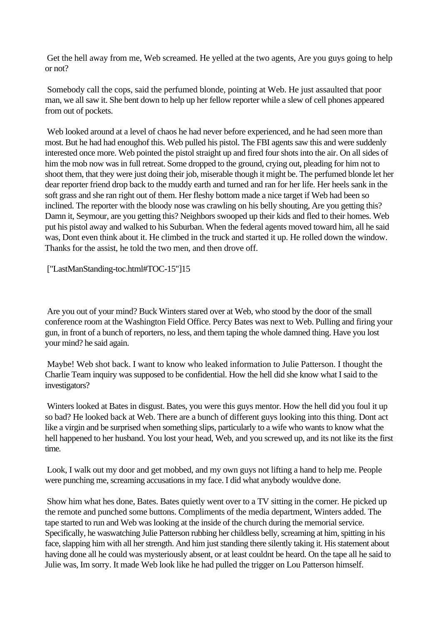Get the hell away from me, Web screamed. He yelled at the two agents, Are you guys going to help or not?

 Somebody call the cops, said the perfumed blonde, pointing at Web. He just assaulted that poor man, we all saw it. She bent down to help up her fellow reporter while a slew of cell phones appeared from out of pockets.

 Web looked around at a level of chaos he had never before experienced, and he had seen more than most. But he had had enoughof this. Web pulled his pistol. The FBI agents saw this and were suddenly interested once more. Web pointed the pistol straight up and fired four shots into the air. On all sides of him the mob now was in full retreat. Some dropped to the ground, crying out, pleading for him not to shoot them, that they were just doing their job, miserable though it might be. The perfumed blonde let her dear reporter friend drop back to the muddy earth and turned and ran for her life. Her heels sank in the soft grass and she ran right out of them. Her fleshy bottom made a nice target if Web had been so inclined. The reporter with the bloody nose was crawling on his belly shouting, Are you getting this? Damn it, Seymour, are you getting this? Neighbors swooped up their kids and fled to their homes. Web put his pistol away and walked to his Suburban. When the federal agents moved toward him, all he said was, Dont even think about it. He climbed in the truck and started it up. He rolled down the window. Thanks for the assist, he told the two men, and then drove off.

["LastManStanding-toc.html#TOC-15"]15

 Are you out of your mind? Buck Winters stared over at Web, who stood by the door of the small conference room at the Washington Field Office. Percy Bates was next to Web. Pulling and firing your gun, in front of a bunch of reporters, no less, and them taping the whole damned thing. Have you lost your mind? he said again.

 Maybe! Web shot back. I want to know who leaked information to Julie Patterson. I thought the Charlie Team inquiry was supposed to be confidential. How the hell did she know what I said to the investigators?

 Winters looked at Bates in disgust. Bates, you were this guys mentor. How the hell did you foul it up so bad? He looked back at Web. There are a bunch of different guys looking into this thing. Dont act like a virgin and be surprised when something slips, particularly to a wife who wants to know what the hell happened to her husband. You lost your head, Web, and you screwed up, and its not like its the first time.

 Look, I walk out my door and get mobbed, and my own guys not lifting a hand to help me. People were punching me, screaming accusations in my face. I did what anybody wouldve done.

 Show him what hes done, Bates. Bates quietly went over to a TV sitting in the corner. He picked up the remote and punched some buttons. Compliments of the media department, Winters added. The tape started to run and Web was looking at the inside of the church during the memorial service. Specifically, he waswatching Julie Patterson rubbing her childless belly, screaming at him, spitting in his face, slapping him with all her strength. And him just standing there silently taking it. His statement about having done all he could was mysteriously absent, or at least couldnt be heard. On the tape all he said to Julie was, Im sorry. It made Web look like he had pulled the trigger on Lou Patterson himself.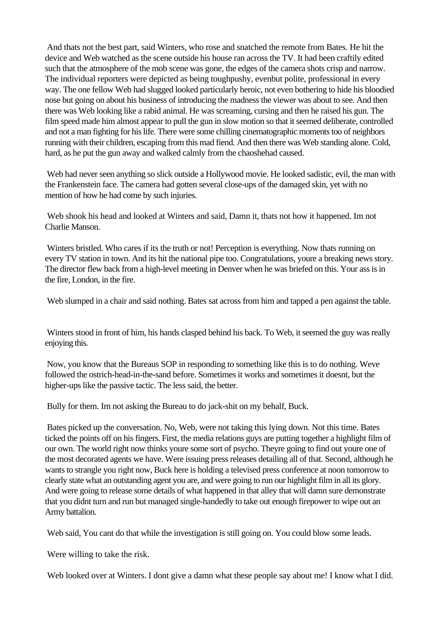And thats not the best part, said Winters, who rose and snatched the remote from Bates. He hit the device and Web watched as the scene outside his house ran across the TV. It had been craftily edited such that the atmosphere of the mob scene was gone, the edges of the camera shots crisp and narrow. The individual reporters were depicted as being tough pushy, even but polite, professional in every way. The one fellow Web had slugged looked particularly heroic, not even bothering to hide his bloodied nose but going on about his business of introducing the madness the viewer was about to see. And then there was Web looking like a rabid animal. He was screaming, cursing and then he raised his gun. The film speed made him almost appear to pull the gun in slow motion so that it seemed deliberate, controlled and not a man fighting for his life. There were some chilling cinematographic moments too of neighbors running with their children, escaping from this mad fiend. And then there was Web standing alone. Cold, hard, as he put the gun away and walked calmly from the chaoshehad caused.

 Web had never seen anything so slick outside a Hollywood movie. He looked sadistic, evil, the man with the Frankenstein face. The camera had gotten several close-ups of the damaged skin, yet with no mention of how he had come by such injuries.

 Web shook his head and looked at Winters and said, Damn it, thats not how it happened. Im not Charlie Manson.

 Winters bristled. Who cares if its the truth or not! Perception is everything. Now thats running on every TV station in town. And its hit the national pipe too. Congratulations, youre a breaking news story. The director flew back from a high-level meeting in Denver when he was briefed on this. Your ass is in the fire, London, in the fire.

Web slumped in a chair and said nothing. Bates sat across from him and tapped a pen against the table.

 Winters stood in front of him, his hands clasped behind his back. To Web, it seemed the guy was really enjoying this.

 Now, you know that the Bureaus SOP in responding to something like this is to do nothing. Weve followed the ostrich-head-in-the-sand before. Sometimes it works and sometimes it doesnt, but the higher-ups like the passive tactic. The less said, the better.

Bully for them. Im not asking the Bureau to do jack-shit on my behalf, Buck.

 Bates picked up the conversation. No, Web, were not taking this lying down. Not this time. Bates ticked the points off on his fingers. First, the media relations guys are putting together a highlight film of our own. The world right now thinks youre some sort of psycho. Theyre going to find out youre one of the most decorated agents we have. Were issuing press releases detailing all of that. Second, although he wants to strangle you right now, Buck here is holding a televised press conference at noon tomorrow to clearly state what an outstanding agent you are, and were going to run our highlight film in all its glory. And were going to release some details of what happened in that alley that will damn sure demonstrate that you didnt turn and run but managed single-handedly to take out enough firepower to wipe out an Army battalion.

Web said, You cant do that while the investigation is still going on. You could blow some leads.

Were willing to take the risk.

Web looked over at Winters. I dont give a damn what these people say about me! I know what I did.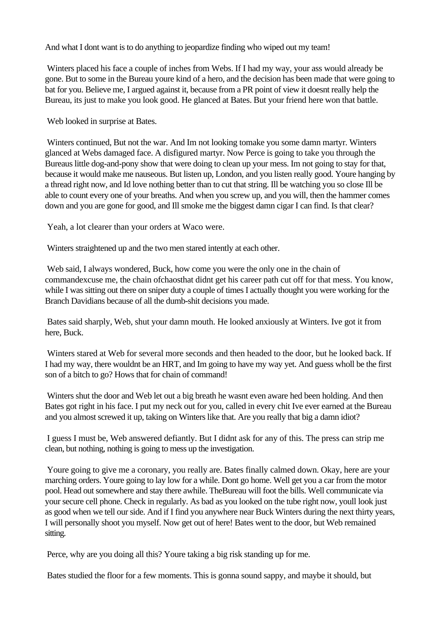And what I dont want is to do anything to jeopardize finding who wiped out my team!

 Winters placed his face a couple of inches from Webs. If I had my way, your ass would already be gone. But to some in the Bureau youre kind of a hero, and the decision has been made that were going to bat for you. Believe me, I argued against it, because from a PR point of view it doesnt really help the Bureau, its just to make you look good. He glanced at Bates. But your friend here won that battle.

Web looked in surprise at Bates.

 Winters continued, But not the war. And Im not looking tomake you some damn martyr. Winters glanced at Webs damaged face. A disfigured martyr. Now Perce is going to take you through the Bureaus little dog-and-pony show that were doing to clean up your mess. Im not going to stay for that, because it would make me nauseous. But listen up, London, and you listen really good. Youre hanging by a thread right now, and Id love nothing better than to cut that string. Ill be watching you so close Ill be able to count every one of your breaths. And when you screw up, and you will, then the hammer comes down and you are gone for good, and Ill smoke me the biggest damn cigar I can find. Is that clear?

Yeah, a lot clearer than your orders at Waco were.

Winters straightened up and the two men stared intently at each other.

 Web said, I always wondered, Buck, how come you were the only one in the chain of command excuse me, the chain of chaos that didnt get his career path cut off for that mess. You know, while I was sitting out there on sniper duty a couple of times I actually thought you were working for the Branch Davidians because of all the dumb-shit decisions you made.

 Bates said sharply, Web, shut your damn mouth. He looked anxiously at Winters. Ive got it from here, Buck.

 Winters stared at Web for several more seconds and then headed to the door, but he looked back. If I had my way, there wouldnt be an HRT, and Im going to have my way yet. And guess wholl be the first son of a bitch to go? Hows that for chain of command!

 Winters shut the door and Web let out a big breath he wasnt even aware hed been holding. And then Bates got right in his face. I put my neck out for you, called in every chit Ive ever earned at the Bureau and you almost screwed it up, taking on Winters like that. Are you really that big a damn idiot?

 I guess I must be, Web answered defiantly. But I didnt ask for any of this. The press can strip me clean, but nothing, nothing is going to mess up the investigation.

 Youre going to give me a coronary, you really are. Bates finally calmed down. Okay, here are your marching orders. Youre going to lay low for a while. Dont go home. Well get you a car from the motor pool. Head out somewhere and stay there awhile. TheBureau will foot the bills. Well communicate via your secure cell phone. Check in regularly. As bad as you looked on the tube right now, youll look just as good when we tell our side. And if I find you anywhere near Buck Winters during the next thirty years, I will personally shoot you myself. Now get out of here! Bates went to the door, but Web remained sitting.

Perce, why are you doing all this? Youre taking a big risk standing up for me.

Bates studied the floor for a few moments. This is gonna sound sappy, and maybe it should, but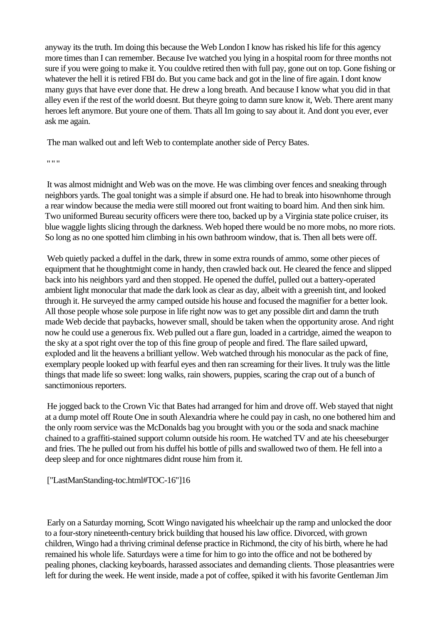anyway its the truth. Im doing this because the Web London I know has risked his life for this agency more times than I can remember. Because Ive watched you lying in a hospital room for three months not sure if you were going to make it. You couldve retired then with full pay, gone out on top. Gone fishing or whatever the hell it is retired FBI do. But you came back and got in the line of fire again. I dont know many guys that have ever done that. He drew a long breath. And because I know what you did in that alley even if the rest of the world doesnt. But theyre going to damn sure know it, Web. There arent many heroes left anymore. But youre one of them. Thats all Im going to say about it. And dont you ever, ever ask me again.

The man walked out and left Web to contemplate another side of Percy Bates.

" " "

 It was almost midnight and Web was on the move. He was climbing over fences and sneaking through neighbors yards. The goal tonight was a simple if absurd one. He had to break into hisownhome through a rear window because the media were still moored out front waiting to board him. And then sink him. Two uniformed Bureau security officers were there too, backed up by a Virginia state police cruiser, its blue waggle lights slicing through the darkness. Web hoped there would be no more mobs, no more riots. So long as no one spotted him climbing in his own bathroom window, that is. Then all bets were off.

 Web quietly packed a duffel in the dark, threw in some extra rounds of ammo, some other pieces of equipment that he thoughtmight come in handy, then crawled back out. He cleared the fence and slipped back into his neighbors yard and then stopped. He opened the duffel, pulled out a battery-operated ambient light monocular that made the dark look as clear as day, albeit with a greenish tint, and looked through it. He surveyed the army camped outside his house and focused the magnifier for a better look. All those people whose sole purpose in life right now was to get any possible dirt and damn the truth made Web decide that paybacks, however small, should be taken when the opportunity arose. And right now he could use a generous fix. Web pulled out a flare gun, loaded in a cartridge, aimed the weapon to the sky at a spot right over the top of this fine group of people and fired. The flare sailed upward, exploded and lit the heavens a brilliant yellow. Web watched through his monocular as the pack of fine, exemplary people looked up with fearful eyes and then ran screaming for their lives. It truly was the little things that made life so sweet: long walks, rain showers, puppies, scaring the crap out of a bunch of sanctimonious reporters.

 He jogged back to the Crown Vic that Bates had arranged for him and drove off. Web stayed that night at a dump motel off Route One in south Alexandria where he could pay in cash, no one bothered him and the only room service was the McDonalds bag you brought with you or the soda and snack machine chained to a graffiti-stained support column outside his room. He watched TV and ate his cheeseburger and fries. The he pulled out from his duffel his bottle of pills and swallowed two of them. He fell into a deep sleep and for once nightmares didnt rouse him from it.

["LastManStanding-toc.html#TOC-16"]16

 Early on a Saturday morning, Scott Wingo navigated his wheelchair up the ramp and unlocked the door to a four-story nineteenth-century brick building that housed his law office. Divorced, with grown children, Wingo had a thriving criminal defense practice in Richmond, the city of his birth, where he had remained his whole life. Saturdays were a time for him to go into the office and not be bothered by pealing phones, clacking keyboards, harassed associates and demanding clients. Those pleasantries were left for during the week. He went inside, made a pot of coffee, spiked it with his favorite Gentleman Jim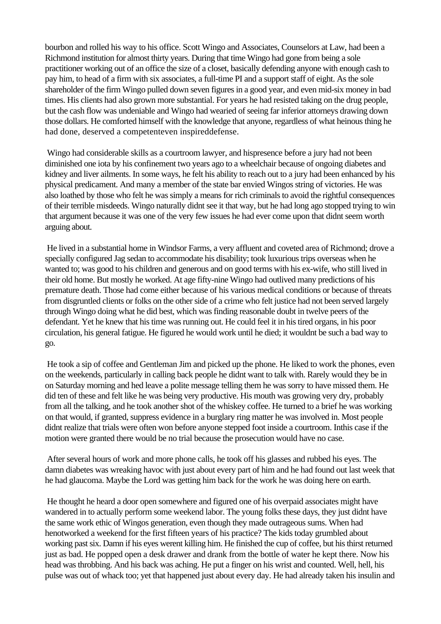bourbon and rolled his way to his office. Scott Wingo and Associates, Counselors at Law, had been a Richmond institution for almost thirty years. During that time Wingo had gone from being a sole practitioner working out of an office the size of a closet, basically defending anyone with enough cash to pay him, to head of a firm with six associates, a full-time PI and a support staff of eight. As the sole shareholder of the firm Wingo pulled down seven figures in a good year, and even mid-six money in bad times. His clients had also grown more substantial. For years he had resisted taking on the drug people, but the cash flow was undeniable and Wingo had wearied of seeing far inferior attorneys drawing down those dollars. He comforted himself with the knowledge that anyone, regardless of what heinous thing he had done, deserved a competent even inspired defense.

 Wingo had considerable skills as a courtroom lawyer, and hispresence before a jury had not been diminished one iota by his confinement two years ago to a wheelchair because of ongoing diabetes and kidney and liver ailments. In some ways, he felt his ability to reach out to a jury had been enhanced by his physical predicament. And many a member of the state bar envied Wingos string of victories. He was also loathed by those who felt he was simply a means for rich criminals to avoid the rightful consequences of their terrible misdeeds. Wingo naturally didnt see it that way, but he had long ago stopped trying to win that argument because it was one of the very few issues he had ever come upon that didnt seem worth arguing about.

 He lived in a substantial home in Windsor Farms, a very affluent and coveted area of Richmond; drove a specially configured Jag sedan to accommodate his disability; took luxurious trips overseas when he wanted to; was good to his children and generous and on good terms with his ex-wife, who still lived in their old home. But mostly he worked. At age fifty-nine Wingo had outlived many predictions of his premature death. Those had come either because of his various medical conditions or because of threats from disgruntled clients or folks on the other side of a crime who felt justice had not been served largely through Wingo doing what he did best, which was finding reasonable doubt in twelve peers of the defendant. Yet he knew that his time was running out. He could feel it in his tired organs, in his poor circulation, his general fatigue. He figured he would work until he died; it wouldnt be such a bad way to go.

 He took a sip of coffee and Gentleman Jim and picked up the phone. He liked to work the phones, even on the weekends, particularly in calling back people he didnt want to talk with. Rarely would they be in on Saturday morning and hed leave a polite message telling them he was sorry to have missed them. He did ten of these and felt like he was being very productive. His mouth was growing very dry, probably from all the talking, and he took another shot of the whiskey coffee. He turned to a brief he was working on that would, if granted, suppress evidence in a burglary ring matter he was involved in. Most people didnt realize that trials were often won before anyone stepped foot inside a courtroom. Inthis case if the motion were granted there would be no trial because the prosecution would have no case.

 After several hours of work and more phone calls, he took off his glasses and rubbed his eyes. The damn diabetes was wreaking havoc with just about every part of him and he had found out last week that he had glaucoma. Maybe the Lord was getting him back for the work he was doing here on earth.

 He thought he heard a door open somewhere and figured one of his overpaid associates might have wandered in to actually perform some weekend labor. The young folks these days, they just didnt have the same work ethic of Wingos generation, even though they made outrageous sums. When had henotworked a weekend for the first fifteen years of his practice? The kids today grumbled about working past six. Damn if his eyes werent killing him. He finished the cup of coffee, but his thirst returned just as bad. He popped open a desk drawer and drank from the bottle of water he kept there. Now his head was throbbing. And his back was aching. He put a finger on his wrist and counted. Well, hell, his pulse was out of whack too; yet that happened just about every day. He had already taken his insulin and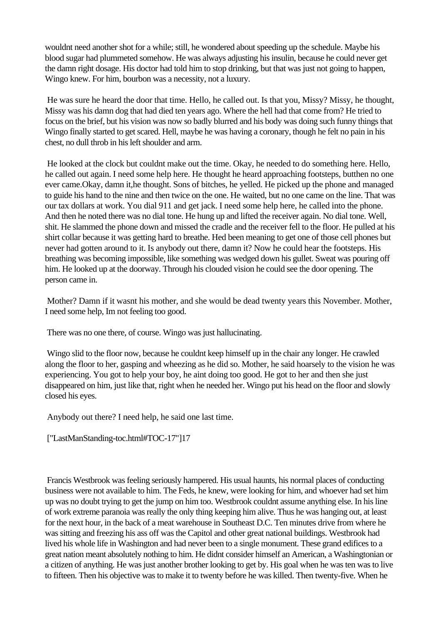wouldnt need another shot for a while; still, he wondered about speeding up the schedule. Maybe his blood sugar had plummeted somehow. He was always adjusting his insulin, because he could never get the damn right dosage. His doctor had told him to stop drinking, but that was just not going to happen, Wingo knew. For him, bourbon was a necessity, not a luxury.

 He was sure he heard the door that time. Hello, he called out. Is that you, Missy? Missy, he thought, Missy was his damn dog that had died ten years ago. Where the hell had that come from? He tried to focus on the brief, but his vision was now so badly blurred and his body was doing such funny things that Wingo finally started to get scared. Hell, maybe he was having a coronary, though he felt no pain in his chest, no dull throb in his left shoulder and arm.

 He looked at the clock but couldnt make out the time. Okay, he needed to do something here. Hello, he called out again. I need some help here. He thought he heard approaching footsteps, butthen no one ever came.Okay, damn it,he thought. Sons of bitches, he yelled. He picked up the phone and managed to guide his hand to the nine and then twice on the one. He waited, but no one came on the line. That was our tax dollars at work. You dial 911 and get jack. I need some help here, he called into the phone. And then he noted there was no dial tone. He hung up and lifted the receiver again. No dial tone. Well, shit. He slammed the phone down and missed the cradle and the receiver fell to the floor. He pulled at his shirt collar because it was getting hard to breathe. Hed been meaning to get one of those cell phones but never had gotten around to it. Is anybody out there, damn it? Now he could hear the footsteps. His breathing was becoming impossible, like something was wedged down his gullet. Sweat was pouring off him. He looked up at the doorway. Through his clouded vision he could see the door opening. The person came in.

 Mother? Damn if it wasnt his mother, and she would be dead twenty years this November. Mother, I need some help, Im not feeling too good.

There was no one there, of course. Wingo was just hallucinating.

 Wingo slid to the floor now, because he couldnt keep himself up in the chair any longer. He crawled along the floor to her, gasping and wheezing as he did so. Mother, he said hoarsely to the vision he was experiencing. You got to help your boy, he aint doing too good. He got to her and then she just disappeared on him, just like that, right when he needed her. Wingo put his head on the floor and slowly closed his eyes.

Anybody out there? I need help, he said one last time.

["LastManStanding-toc.html#TOC-17"]17

 Francis Westbrook was feeling seriously hampered. His usual haunts, his normal places of conducting business were not available to him. The Feds, he knew, were looking for him, and whoever had set him up was no doubt trying to get the jump on him too. Westbrook couldnt assume anything else. In his line of work extreme paranoia was really the only thing keeping him alive. Thus he was hanging out, at least for the next hour, in the back of a meat warehouse in Southeast D.C. Ten minutes drive from where he was sitting and freezing his ass off was the Capitol and other great national buildings. Westbrook had lived his whole life in Washington and had never been to a single monument. These grand edifices to a great nation meant absolutely nothing to him. He didnt consider himself an American, a Washingtonian or a citizen of anything. He was just another brother looking to get by. His goal when he was ten was to live to fifteen. Then his objective was to make it to twenty before he was killed. Then twenty-five. When he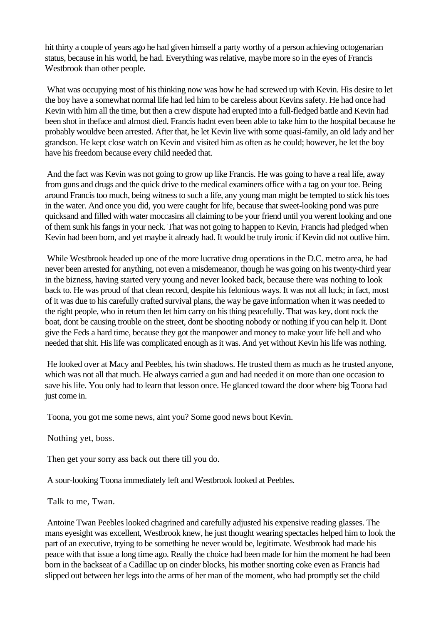hit thirty a couple of years ago he had given himself a party worthy of a person achieving octogenarian status, because in his world, he had. Everything was relative, maybe more so in the eyes of Francis Westbrook than other people.

 What was occupying most of his thinking now was how he had screwed up with Kevin. His desire to let the boy have a somewhat normal life had led him to be careless about Kevins safety. He had once had Kevin with him all the time, but then a crew dispute had erupted into a full-fledged battle and Kevin had been shot in theface and almost died. Francis hadnt even been able to take him to the hospital because he probably wouldve been arrested. After that, he let Kevin live with some quasi-family, an old lady and her grandson. He kept close watch on Kevin and visited him as often as he could; however, he let the boy have his freedom because every child needed that.

 And the fact was Kevin was not going to grow up like Francis. He was going to have a real life, away from guns and drugs and the quick drive to the medical examiners office with a tag on your toe. Being around Francis too much, being witness to such a life, any young man might be tempted to stick his toes in the water. And once you did, you were caught for life, because that sweet-looking pond was pure quicksand and filled with water moccasins all claiming to be your friend until you werent looking and one of them sunk his fangs in your neck. That was not going to happen to Kevin, Francis had pledged when Kevin had been born, and yet maybe it already had. It would be truly ironic if Kevin did not outlive him.

 While Westbrook headed up one of the more lucrative drug operations in the D.C. metro area, he had never been arrested for anything, not even a misdemeanor, though he was going on his twenty-third year in the bizness, having started very young and never looked back, because there was nothing to look back to. He was proud of that clean record, despite his felonious ways. It was not all luck; in fact, most of it was due to his carefully crafted survival plans, the way he gave information when it was needed to the right people, who in return then let him carry on his thing peacefully. That was key, dont rock the boat, dont be causing trouble on the street, dont be shooting nobody or nothing if you can help it. Dont give the Feds a hard time, because they got the manpower and money to make your life hell and who needed that shit. His life was complicated enough as it was. And yet without Kevin his life was nothing.

 He looked over at Macy and Peebles, his twin shadows. He trusted them as much as he trusted anyone, which was not all that much. He always carried a gun and had needed it on more than one occasion to save his life. You only had to learn that lesson once. He glanced toward the door where big Toona had just come in.

Toona, you got me some news, aint you? Some good news bout Kevin.

Nothing yet, boss.

Then get your sorry ass back out there till you do.

A sour-looking Toona immediately left and Westbrook looked at Peebles.

Talk to me, Twan.

 Antoine Twan Peebles looked chagrined and carefully adjusted his expensive reading glasses. The mans eyesight was excellent, Westbrook knew, he just thought wearing spectacles helped him to look the part of an executive, trying to be something he never would be, legitimate. Westbrook had made his peace with that issue a long time ago. Really the choice had been made for him the moment he had been born in the backseat of a Cadillac up on cinder blocks, his mother snorting coke even as Francis had slipped out between her legs into the arms of her man of the moment, who had promptly set the child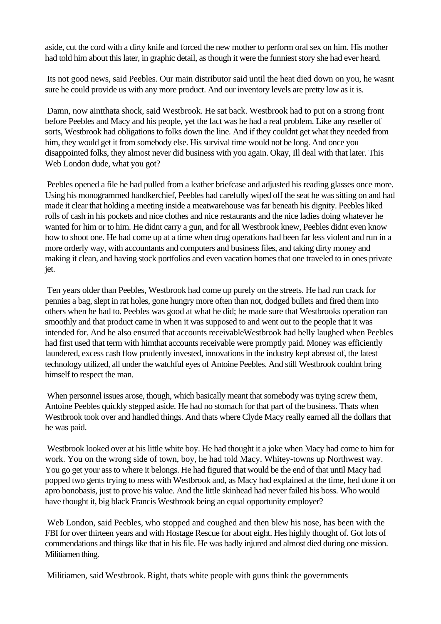aside, cut the cord with a dirty knife and forced the new mother to perform oral sex on him. His mother had told him about this later, in graphic detail, as though it were the funniest story she had ever heard.

 Its not good news, said Peebles. Our main distributor said until the heat died down on you, he wasnt sure he could provide us with any more product. And our inventory levels are pretty low as it is.

 Damn, now aintthata shock, said Westbrook. He sat back. Westbrook had to put on a strong front before Peebles and Macy and his people, yet the fact was he had a real problem. Like any reseller of sorts, Westbrook had obligations to folks down the line. And if they couldnt get what they needed from him, they would get it from somebody else. His survival time would not be long. And once you disappointed folks, they almost never did business with you again. Okay, Ill deal with that later. This Web London dude, what you got?

 Peebles opened a file he had pulled from a leather briefcase and adjusted his reading glasses once more. Using his monogrammed handkerchief, Peebles had carefully wiped off the seat he was sitting on and had made it clear that holding a meeting inside a meatwarehouse was far beneath his dignity. Peebles liked rolls of cash in his pockets and nice clothes and nice restaurants and the nice ladies doing whatever he wanted for him or to him. He didnt carry a gun, and for all Westbrook knew, Peebles didnt even know how to shoot one. He had come up at a time when drug operations had been far less violent and run in a more orderly way, with accountants and computers and business files, and taking dirty money and making it clean, and having stock portfolios and even vacation homes that one traveled to in ones private jet.

 Ten years older than Peebles, Westbrook had come up purely on the streets. He had run crack for pennies a bag, slept in rat holes, gone hungry more often than not, dodged bullets and fired them into others when he had to. Peebles was good at what he did; he made sure that Westbrooks operation ran smoothly and that product came in when it was supposed to and went out to the people that it was intended for. And he also ensured that accounts receivable Westbrook had belly laughed when Peebles had first used that term with him that accounts receivable were promptly paid. Money was efficiently laundered, excess cash flow prudently invested, innovations in the industry kept abreast of, the latest technology utilized, all under the watchful eyes of Antoine Peebles. And still Westbrook couldnt bring himself to respect the man.

 When personnel issues arose, though, which basically meant that somebody was trying screw them, Antoine Peebles quickly stepped aside. He had no stomach for that part of the business. Thats when Westbrook took over and handled things. And thats where Clyde Macy really earned all the dollars that he was paid.

 Westbrook looked over at his little white boy. He had thought it a joke when Macy had come to him for work. You on the wrong side of town, boy, he had told Macy. Whitey-towns up Northwest way. You go get your ass to where it belongs. He had figured that would be the end of that until Macy had popped two gents trying to mess with Westbrook and, as Macy had explained at the time, hed done it on apro bonobasis, just to prove his value. And the little skinhead had never failed his boss. Who would have thought it, big black Francis Westbrook being an equal opportunity employer?

 Web London, said Peebles, who stopped and coughed and then blew his nose, has been with the FBI for over thirteen years and with Hostage Rescue for about eight. Hes highly thought of. Got lots of commendations and things like that in his file. He was badly injured and almost died during one mission. Militiamen thing.

Militiamen, said Westbrook. Right, thats white people with guns think the governments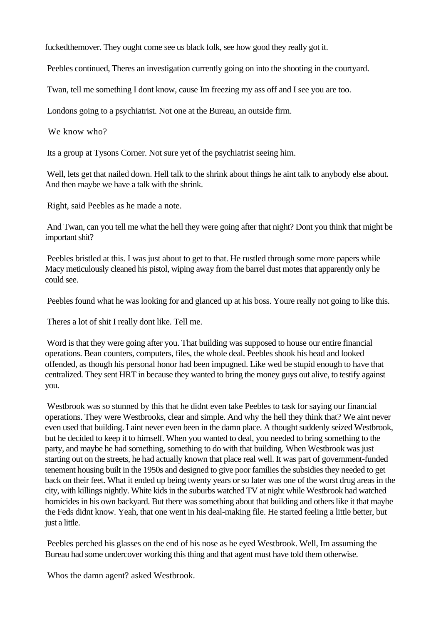fuckedthemover. They ought come see us black folk, see how good they really got it.

Peebles continued, Theres an investigation currently going on into the shooting in the courtyard.

Twan, tell me something I dont know, cause Im freezing my ass off and I see you are too.

Londons going to a psychiatrist. Not one at the Bureau, an outside firm.

We know who?

Its a group at Tysons Corner. Not sure yet of the psychiatrist seeing him.

 Well, lets get that nailed down. Hell talk to the shrink about things he aint talk to anybody else about. And then maybe we have a talk with the shrink.

Right, said Peebles as he made a note.

 And Twan, can you tell me what the hell they were going after that night? Dont you think that might be important shit?

 Peebles bristled at this. I was just about to get to that. He rustled through some more papers while Macy meticulously cleaned his pistol, wiping away from the barrel dust motes that apparently only he could see.

Peebles found what he was looking for and glanced up at his boss. Youre really not going to like this.

Theres a lot of shit I really dont like. Tell me.

 Word is that they were going after you. That building was supposed to house our entire financial operations. Bean counters, computers, files, the whole deal. Peebles shook his head and looked offended, as though his personal honor had been impugned. Like wed be stupid enough to have that centralized. They sent HRT in because they wanted to bring the money guys out alive, to testify against you.

 Westbrook was so stunned by this that he didnt even take Peebles to task for saying our financial operations. They were Westbrooks, clear and simple. And why the hell they think that? We aint never even used that building. I aint never even been in the damn place. A thought suddenly seized Westbrook, but he decided to keep it to himself. When you wanted to deal, you needed to bring something to the party, and maybe he had something, something to do with that building. When Westbrook was just starting out on the streets, he had actually known that place real well. It was part of government-funded tenement housing built in the 1950s and designed to give poor families the subsidies they needed to get back on their feet. What it ended up being twenty years or so later was one of the worst drug areas in the city, with killings nightly. White kids in the suburbs watched TV at night while Westbrook had watched homicides in his own backyard. But there was something about that building and others like it that maybe the Feds didnt know. Yeah, that one went in his deal-making file. He started feeling a little better, but just a little.

 Peebles perched his glasses on the end of his nose as he eyed Westbrook. Well, Im assuming the Bureau had some undercover working this thing and that agent must have told them otherwise.

Whos the damn agent? asked Westbrook.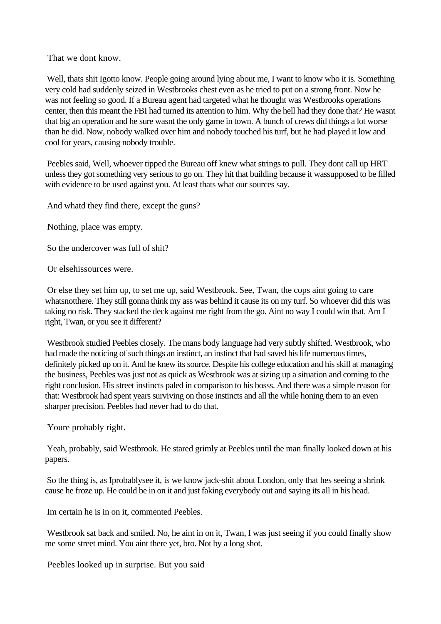That we dont know.

Well, thats shit Igotto know. People going around lying about me. I want to know who it is. Something very cold had suddenly seized in Westbrooks chest even as he tried to put on a strong front. Now he was not feeling so good. If a Bureau agent had targeted what he thought was Westbrooks operations center, then this meant the FBI had turned its attention to him. Why the hell had they done that? He wasnt that big an operation and he sure wasnt the only game in town. A bunch of crews did things a lot worse than he did. Now, nobody walked over him and nobody touched his turf, but he had played it low and cool for years, causing nobody trouble.

 Peebles said, Well, whoever tipped the Bureau off knew what strings to pull. They dont call up HRT unless they got something very serious to go on. They hit that building because it wassupposed to be filled with evidence to be used against you. At least thats what our sources say.

And whatd they find there, except the guns?

Nothing, place was empty.

So the undercover was full of shit?

Or elsehissources were.

 Or else they set him up, to set me up, said Westbrook. See, Twan, the cops aint going to care whatsnotthere. They still gonna think my ass was behind it cause its on my turf. So whoever did this was taking no risk. They stacked the deck against me right from the go. Aint no way I could win that. Am I right, Twan, or you see it different?

 Westbrook studied Peebles closely. The mans body language had very subtly shifted. Westbrook, who had made the noticing of such things an instinct, an instinct that had saved his life numerous times, definitely picked up on it. And he knew its source. Despite his college education and his skill at managing the business, Peebles was just not as quick as Westbrook was at sizing up a situation and coming to the right conclusion. His street instincts paled in comparison to his bosss. And there was a simple reason for that: Westbrook had spent years surviving on those instincts and all the while honing them to an even sharper precision. Peebles had never had to do that.

Youre probably right.

 Yeah, probably, said Westbrook. He stared grimly at Peebles until the man finally looked down at his papers.

 So the thing is, as Iprobablysee it, is we know jack-shit about London, only that hes seeing a shrink cause he froze up. He could be in on it and just faking everybody out and saying its all in his head.

Im certain he is in on it, commented Peebles.

 Westbrook sat back and smiled. No, he aint in on it, Twan, I was just seeing if you could finally show me some street mind. You aint there yet, bro. Not by a long shot.

Peebles looked up in surprise. But you said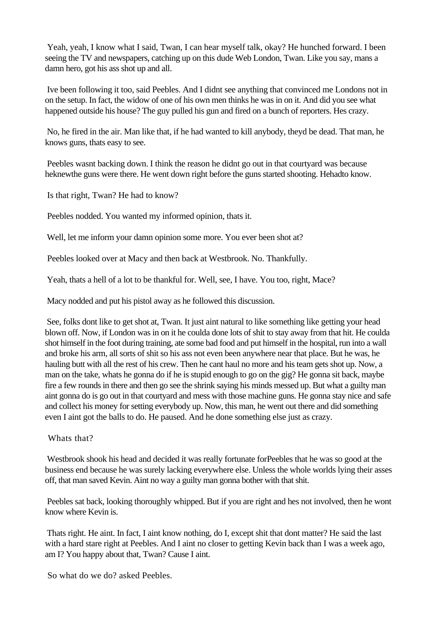Yeah, yeah, I know what I said, Twan, I can hear myself talk, okay? He hunched forward. I been seeing the TV and newspapers, catching up on this dude Web London, Twan. Like you say, mans a damn hero, got his ass shot up and all.

 Ive been following it too, said Peebles. And I didnt see anything that convinced me Londons not in on the setup. In fact, the widow of one of his own men thinks he was in on it. And did you see what happened outside his house? The guy pulled his gun and fired on a bunch of reporters. Hes crazy.

 No, he fired in the air. Man like that, if he had wanted to kill anybody, theyd be dead. That man, he knows guns, thats easy to see.

 Peebles wasnt backing down. I think the reason he didnt go out in that courtyard was because heknewthe guns were there. He went down right before the guns started shooting. Hehadto know.

Is that right, Twan? He had to know?

Peebles nodded. You wanted my informed opinion, thats it.

Well, let me inform your damn opinion some more. You ever been shot at?

Peebles looked over at Macy and then back at Westbrook. No. Thankfully.

Yeah, thats a hell of a lot to be thankful for. Well, see, I have. You too, right, Mace?

Macy nodded and put his pistol away as he followed this discussion.

 See, folks dont like to get shot at, Twan. It just aint natural to like something like getting your head blown off. Now, if London was in on it he coulda done lots of shit to stay away from that hit. He coulda shot himself in the foot during training, ate some bad food and put himself in the hospital, run into a wall and broke his arm, all sorts of shit so his ass not even been anywhere near that place. But he was, he hauling butt with all the rest of his crew. Then he cant haul no more and his team gets shot up. Now, a man on the take, whats he gonna do if he is stupid enough to go on the gig? He gonna sit back, maybe fire a few rounds in there and then go see the shrink saying his minds messed up. But what a guilty man aint gonna do is go out in that courtyard and mess with those machine guns. He gonna stay nice and safe and collect his money for setting everybody up. Now, this man, he went out there and did something even I aint got the balls to do. He paused. And he done something else just as crazy.

Whats that?

 Westbrook shook his head and decided it was really fortunate forPeebles that he was so good at the business end because he was surely lacking everywhere else. Unless the whole worlds lying their asses off, that man saved Kevin. Aint no way a guilty man gonna bother with that shit.

 Peebles sat back, looking thoroughly whipped. But if you are right and hes not involved, then he wont know where Kevin is.

 Thats right. He aint. In fact, I aint know nothing, do I, except shit that dont matter? He said the last with a hard stare right at Peebles. And I aint no closer to getting Kevin back than I was a week ago, am I? You happy about that, Twan? Cause I aint.

So what do we do? asked Peebles.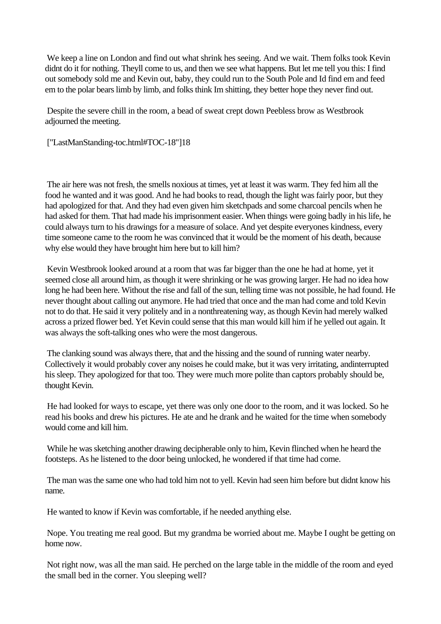We keep a line on London and find out what shrink hes seeing. And we wait. Them folks took Kevin didnt do it for nothing. Theyll come to us, and then we see what happens. But let me tell you this: I find out somebody sold me and Kevin out, baby, they could run to the South Pole and Id find em and feed em to the polar bears limb by limb, and folks think Im shitting, they better hope they never find out.

 Despite the severe chill in the room, a bead of sweat crept down Peebless brow as Westbrook adjourned the meeting.

["LastManStanding-toc.html#TOC-18"]18

 The air here was not fresh, the smells noxious at times, yet at least it was warm. They fed him all the food he wanted and it was good. And he had books to read, though the light was fairly poor, but they had apologized for that. And they had even given him sketchpads and some charcoal pencils when he had asked for them. That had made his imprisonment easier. When things were going badly in his life, he could always turn to his drawings for a measure of solace. And yet despite everyones kindness, every time someone came to the room he was convinced that it would be the moment of his death, because why else would they have brought him here but to kill him?

 Kevin Westbrook looked around at a room that was far bigger than the one he had at home, yet it seemed close all around him, as though it were shrinking or he was growing larger. He had no idea how long he had been here. Without the rise and fall of the sun, telling time was not possible, he had found. He never thought about calling out anymore. He had tried that once and the man had come and told Kevin not to do that. He said it very politely and in a nonthreatening way, as though Kevin had merely walked across a prized flower bed. Yet Kevin could sense that this man would kill him if he yelled out again. It was always the soft-talking ones who were the most dangerous.

 The clanking sound was always there, that and the hissing and the sound of running water nearby. Collectively it would probably cover any noises he could make, but it was very irritating, andinterrupted his sleep. They apologized for that too. They were much more polite than captors probably should be, thought Kevin.

 He had looked for ways to escape, yet there was only one door to the room, and it was locked. So he read his books and drew his pictures. He ate and he drank and he waited for the time when somebody would come and kill him.

 While he was sketching another drawing decipherable only to him, Kevin flinched when he heard the footsteps. As he listened to the door being unlocked, he wondered if that time had come.

 The man was the same one who had told him not to yell. Kevin had seen him before but didnt know his name.

He wanted to know if Kevin was comfortable, if he needed anything else.

 Nope. You treating me real good. But my grandma be worried about me. Maybe I ought be getting on home now.

 Not right now, was all the man said. He perched on the large table in the middle of the room and eyed the small bed in the corner. You sleeping well?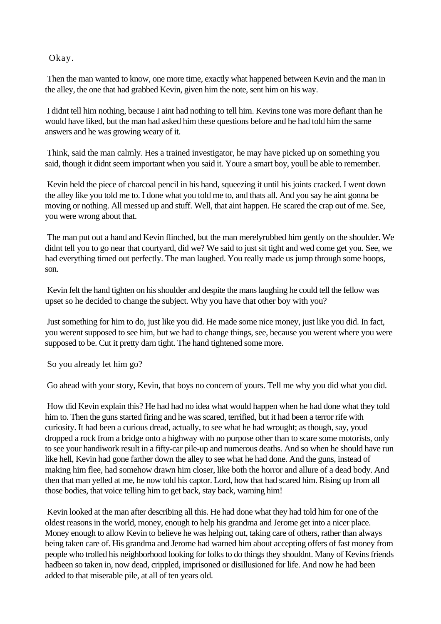## Okay.

 Then the man wanted to know, one more time, exactly what happened between Kevin and the man in the alley, the one that had grabbed Kevin, given him the note, sent him on his way.

 I didnt tell him nothing, because I aint had nothing to tell him. Kevins tone was more defiant than he would have liked, but the man had asked him these questions before and he had told him the same answers and he was growing weary of it.

 Think, said the man calmly. Hes a trained investigator, he may have picked up on something you said, though it didnt seem important when you said it. Youre a smart boy, youll be able to remember.

 Kevin held the piece of charcoal pencil in his hand, squeezing it until his joints cracked. I went down the alley like you told me to. I done what you told me to, and thats all. And you say he aint gonna be moving or nothing. All messed up and stuff. Well, that aint happen. He scared the crap out of me. See, you were wrong about that.

 The man put out a hand and Kevin flinched, but the man merelyrubbed him gently on the shoulder. We didnt tell you to go near that courtyard, did we? We said to just sit tight and wed come get you. See, we had everything timed out perfectly. The man laughed. You really made us jump through some hoops, son.

 Kevin felt the hand tighten on his shoulder and despite the mans laughing he could tell the fellow was upset so he decided to change the subject. Why you have that other boy with you?

 Just something for him to do, just like you did. He made some nice money, just like you did. In fact, you werent supposed to see him, but we had to change things, see, because you werent where you were supposed to be. Cut it pretty darn tight. The hand tightened some more.

So you already let him go?

Go ahead with your story, Kevin, that boys no concern of yours. Tell me why you did what you did.

 How did Kevin explain this? He had had no idea what would happen when he had done what they told him to. Then the guns started firing and he was scared, terrified, but it had been a terror rife with curiosity. It had been a curious dread, actually, to see what he had wrought; as though, say, youd dropped a rock from a bridge onto a highway with no purpose other than to scare some motorists, only to see your handiwork result in a fifty-car pile-up and numerous deaths. And so when he should have run like hell, Kevin had gone farther down the alley to see what he had done. And the guns, instead of making him flee, had somehow drawn him closer, like both the horror and allure of a dead body. And then that man yelled at me, he now told his captor. Lord, how that had scared him. Rising up from all those bodies, that voice telling him to get back, stay back, warning him!

 Kevin looked at the man after describing all this. He had done what they had told him for one of the oldest reasons in the world, money, enough to help his grandma and Jerome get into a nicer place. Money enough to allow Kevin to believe he was helping out, taking care of others, rather than always being taken care of. His grandma and Jerome had warned him about accepting offers of fast money from people who trolled his neighborhood looking for folks to do things they shouldnt. Many of Kevins friends hadbeen so taken in, now dead, crippled, imprisoned or disillusioned for life. And now he had been added to that miserable pile, at all of ten years old.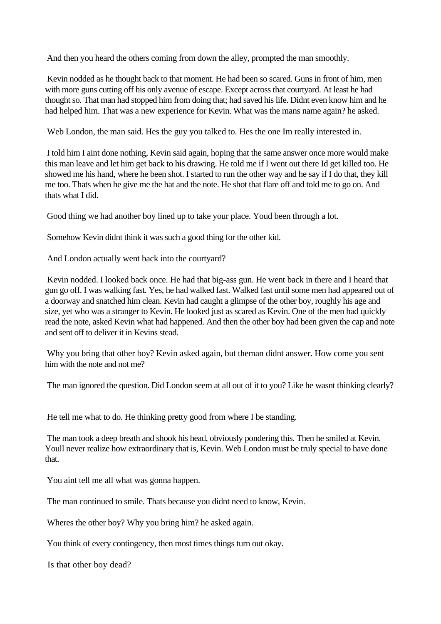And then you heard the others coming from down the alley, prompted the man smoothly.

 Kevin nodded as he thought back to that moment. He had been so scared. Guns in front of him, men with more guns cutting off his only avenue of escape. Except across that courtyard. At least he had thought so. That man had stopped him from doing that; had saved his life. Didnt even know him and he had helped him. That was a new experience for Kevin. What was the mans name again? he asked.

Web London, the man said. Hes the guy you talked to. Hes the one Im really interested in.

 I told him I aint done nothing, Kevin said again, hoping that the same answer once more would make this man leave and let him get back to his drawing. He told me if I went out there Id get killed too. He showed me his hand, where he been shot. I started to run the other way and he say if I do that, they kill me too. Thats when he give me the hat and the note. He shot that flare off and told me to go on. And thats what I did.

Good thing we had another boy lined up to take your place. Youd been through a lot.

Somehow Kevin didnt think it was such a good thing for the other kid.

And London actually went back into the courtyard?

 Kevin nodded. I looked back once. He had that big-ass gun. He went back in there and I heard that gun go off. I was walking fast. Yes, he had walked fast. Walked fast until some men had appeared out of a doorway and snatched him clean. Kevin had caught a glimpse of the other boy, roughly his age and size, yet who was a stranger to Kevin. He looked just as scared as Kevin. One of the men had quickly read the note, asked Kevin what had happened. And then the other boy had been given the cap and note and sent off to deliver it in Kevins stead.

 Why you bring that other boy? Kevin asked again, but theman didnt answer. How come you sent him with the note and not me?

The man ignored the question. Did London seem at all out of it to you? Like he wasnt thinking clearly?

He tell me what to do. He thinking pretty good from where I be standing.

 The man took a deep breath and shook his head, obviously pondering this. Then he smiled at Kevin. Youll never realize how extraordinary that is, Kevin. Web London must be truly special to have done that.

You aint tell me all what was gonna happen.

The man continued to smile. Thats because you didnt need to know, Kevin.

Wheres the other boy? Why you bring him? he asked again.

You think of every contingency, then most times things turn out okay.

Is that other boy dead?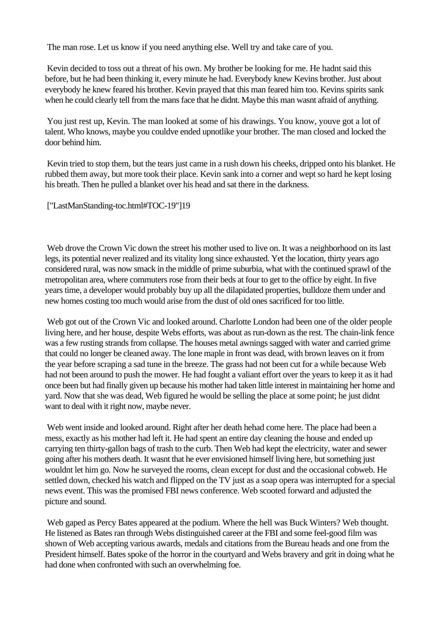The man rose. Let us know if you need anything else. Well try and take care of you.

 Kevin decided to toss out a threat of his own. My brother be looking for me. He hadnt said this before, but he had been thinking it, every minute he had. Everybody knew Kevins brother. Just about everybody he knew feared his brother. Kevin prayed that this man feared him too. Kevins spirits sank when he could clearly tell from the mans face that he didnt. Maybe this man wasnt afraid of anything.

 You just rest up, Kevin. The man looked at some of his drawings. You know, youve got a lot of talent. Who knows, maybe you couldve ended upnotlike your brother. The man closed and locked the door behind him.

 Kevin tried to stop them, but the tears just came in a rush down his cheeks, dripped onto his blanket. He rubbed them away, but more took their place. Kevin sank into a corner and wept so hard he kept losing his breath. Then he pulled a blanket over his head and sat there in the darkness.

["LastManStanding-toc.html#TOC-19"]19

Web drove the Crown Vic down the street his mother used to live on. It was a neighborhood on its last legs, its potential never realized and its vitality long since exhausted. Yet the location, thirty years ago considered rural, was now smack in the middle of prime suburbia, what with the continued sprawl of the metropolitan area, where commuters rose from their beds at four to get to the office by eight. In five years time, a developer would probably buy up all the dilapidated properties, bulldoze them under and new homes costing too much would arise from the dust of old ones sacrificed for too little.

 Web got out of the Crown Vic and looked around. Charlotte London had been one of the older people living here, and her house, despite Webs efforts, was about as run-down as the rest. The chain-link fence was a few rusting strands from collapse. The houses metal awnings sagged with water and carried grime that could no longer be cleaned away. The lone maple in front was dead, with brown leaves on it from the year before scraping a sad tune in the breeze. The grass had not been cut for a while because Web had not been around to push the mower. He had fought a valiant effort over the years to keep it as it had once been but had finally given up because his mother had taken little interest in maintaining her home and yard. Now that she was dead, Web figured he would be selling the place at some point; he just didnt want to deal with it right now, maybe never.

 Web went inside and looked around. Right after her death hehad come here. The place had been a mess, exactly as his mother had left it. He had spent an entire day cleaning the house and ended up carrying ten thirty-gallon bags of trash to the curb. Then Web had kept the electricity, water and sewer going after his mothers death. It wasnt that he ever envisioned himself living here, but something just wouldnt let him go. Now he surveyed the rooms, clean except for dust and the occasional cobweb. He settled down, checked his watch and flipped on the TV just as a soap opera was interrupted for a special news event. This was the promised FBI news conference. Web scooted forward and adjusted the picture and sound.

 Web gaped as Percy Bates appeared at the podium. Where the hell was Buck Winters? Web thought. He listened as Bates ran through Webs distinguished career at the FBI and some feel-good film was shown of Web accepting various awards, medals and citations from the Bureau heads and one from the President himself. Bates spoke of the horror in the courtyard and Webs bravery and grit in doing what he had done when confronted with such an overwhelming foe.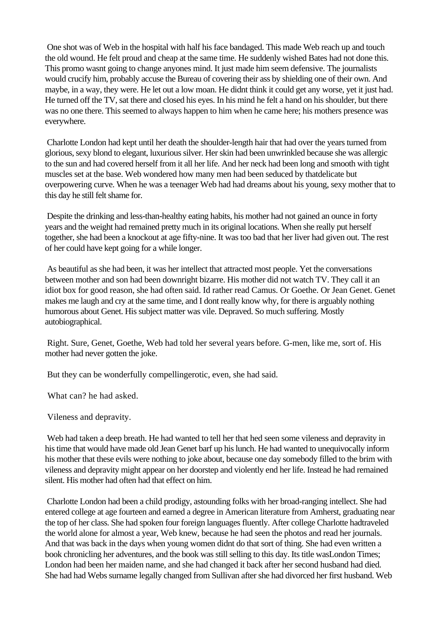One shot was of Web in the hospital with half his face bandaged. This made Web reach up and touch the old wound. He felt proud and cheap at the same time. He suddenly wished Bates had not done this. This promo wasnt going to change anyones mind. It just made him seem defensive. The journalists would crucify him, probably accuse the Bureau of covering their ass by shielding one of their own. And maybe, in a way, they were. He let out a low moan. He didnt think it could get any worse, yet it just had. He turned off the TV, sat there and closed his eyes. In his mind he felt a hand on his shoulder, but there was no one there. This seemed to always happen to him when he came here; his mothers presence was everywhere.

 Charlotte London had kept until her death the shoulder-length hair that had over the years turned from glorious, sexy blond to elegant, luxurious silver. Her skin had been unwrinkled because she was allergic to the sun and had covered herself from it all her life. And her neck had been long and smooth with tight muscles set at the base. Web wondered how many men had been seduced by thatdelicate but overpowering curve. When he was a teenager Web had had dreams about his young, sexy mother that to this day he still felt shame for.

 Despite the drinking and less-than-healthy eating habits, his mother had not gained an ounce in forty years and the weight had remained pretty much in its original locations. When she really put herself together, she had been a knockout at age fifty-nine. It was too bad that her liver had given out. The rest of her could have kept going for a while longer.

 As beautiful as she had been, it was her intellect that attracted most people. Yet the conversations between mother and son had been downright bizarre. His mother did not watch TV. They call it an idiot box for good reason, she had often said. Id rather read Camus. Or Goethe. Or Jean Genet. Genet makes me laugh and cry at the same time, and I dont really know why, for there is arguably nothing humorous about Genet. His subject matter was vile. Depraved. So much suffering. Mostly autobiographical.

 Right. Sure, Genet, Goethe, Web had told her several years before. G-men, like me, sort of. His mother had never gotten the joke.

But they can be wonderfully compelling erotic, even, she had said.

What can? he had asked.

Vileness and depravity.

 Web had taken a deep breath. He had wanted to tell her that hed seen some vileness and depravity in his time that would have made old Jean Genet barf up his lunch. He had wanted to unequivocally inform his mother that these evils were nothing to joke about, because one day somebody filled to the brim with vileness and depravity might appear on her doorstep and violently end her life. Instead he had remained silent. His mother had often had that effect on him.

 Charlotte London had been a child prodigy, astounding folks with her broad-ranging intellect. She had entered college at age fourteen and earned a degree in American literature from Amherst, graduating near the top of her class. She had spoken four foreign languages fluently. After college Charlotte hadtraveled the world alone for almost a year, Web knew, because he had seen the photos and read her journals. And that was back in the days when young women didnt do that sort of thing. She had even written a book chronicling her adventures, and the book was still selling to this day. Its title wasLondon Times; London had been her maiden name, and she had changed it back after her second husband had died. She had had Webs surname legally changed from Sullivan after she had divorced her first husband. Web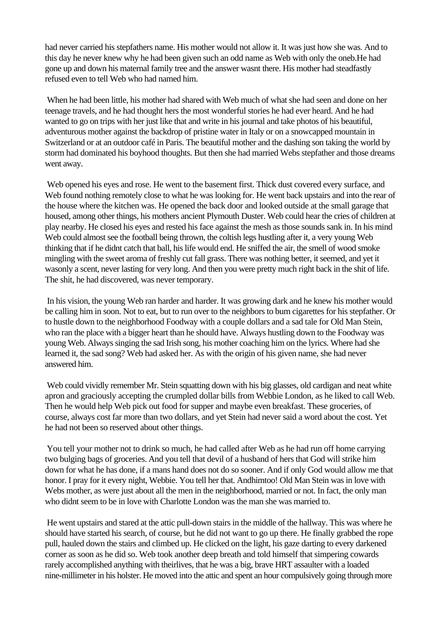had never carried his stepfathers name. His mother would not allow it. It was just how she was. And to this day he never knew why he had been given such an odd name as Web with only the oneb.He had gone up and down his maternal family tree and the answer wasnt there. His mother had steadfastly refused even to tell Web who had named him.

 When he had been little, his mother had shared with Web much of what she had seen and done on her teenage travels, and he had thought hers the most wonderful stories he had ever heard. And he had wanted to go on trips with her just like that and write in his journal and take photos of his beautiful, adventurous mother against the backdrop of pristine water in Italy or on a snowcapped mountain in Switzerland or at an outdoor café in Paris. The beautiful mother and the dashing son taking the world by storm had dominated his boyhood thoughts. But then she had married Webs stepfather and those dreams went away.

 Web opened his eyes and rose. He went to the basement first. Thick dust covered every surface, and Web found nothing remotely close to what he was looking for. He went back upstairs and into the rear of the house where the kitchen was. He opened the back door and looked outside at the small garage that housed, among other things, his mothers ancient Plymouth Duster. Web could hear the cries of children at play nearby. He closed his eyes and rested his face against the mesh as those sounds sank in. In his mind Web could almost see the football being thrown, the coltish legs hustling after it, a very young Web thinking that if he didnt catch that ball, his life would end. He sniffed the air, the smell of wood smoke mingling with the sweet aroma of freshly cut fall grass. There was nothing better, it seemed, and yet it wasonly a scent, never lasting for very long. And then you were pretty much right back in the shit of life. The shit, he had discovered, was never temporary.

 In his vision, the young Web ran harder and harder. It was growing dark and he knew his mother would be calling him in soon. Not to eat, but to run over to the neighbors to bum cigarettes for his stepfather. Or to hustle down to the neighborhood Foodway with a couple dollars and a sad tale for Old Man Stein, who ran the place with a bigger heart than he should have. Always hustling down to the Foodway was young Web. Always singing the sad Irish song, his mother coaching him on the lyrics. Where had she learned it, the sad song? Web had asked her. As with the origin of his given name, she had never answered him.

Web could vividly remember Mr. Stein squatting down with his big glasses, old cardigan and neat white apron and graciously accepting the crumpled dollar bills from Webbie London, as he liked to call Web. Then he would help Web pick out food for supper and maybe even breakfast. These groceries, of course, always cost far more than two dollars, and yet Stein had never said a word about the cost. Yet he had not been so reserved about other things.

 You tell your mother not to drink so much, he had called after Web as he had run off home carrying two bulging bags of groceries. And you tell that devil of a husband of hers that God will strike him down for what he has done, if a mans hand does not do so sooner. And if only God would allow me that honor. I pray for it every night, Webbie. You tell her that. Andhimtoo! Old Man Stein was in love with Webs mother, as were just about all the men in the neighborhood, married or not. In fact, the only man who didnt seem to be in love with Charlotte London was the man she was married to.

 He went upstairs and stared at the attic pull-down stairs in the middle of the hallway. This was where he should have started his search, of course, but he did not want to go up there. He finally grabbed the rope pull, hauled down the stairs and climbed up. He clicked on the light, his gaze darting to every darkened corner as soon as he did so. Web took another deep breath and told himself that simpering cowards rarely accomplished anything with theirlives, that he was a big, brave HRT assaulter with a loaded nine-millimeter in his holster. He moved into the attic and spent an hour compulsively going through more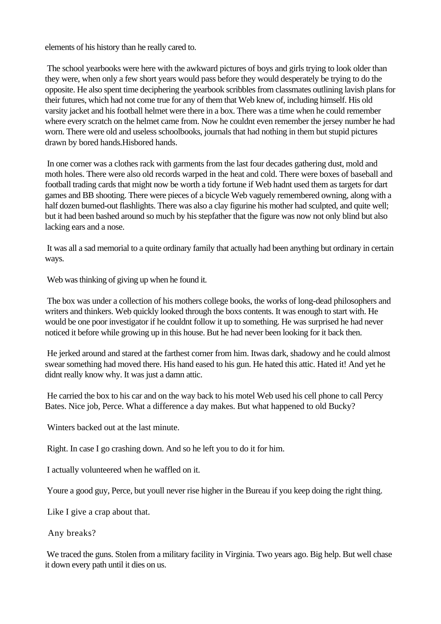elements of his history than he really cared to.

 The school yearbooks were here with the awkward pictures of boys and girls trying to look older than they were, when only a few short years would pass before they would desperately be trying to do the opposite. He also spent time deciphering the yearbook scribbles from classmates outlining lavish plans for their futures, which had not come true for any of them that Web knew of, including himself. His old varsity jacket and his football helmet were there in a box. There was a time when he could remember where every scratch on the helmet came from. Now he couldnt even remember the jersey number he had worn. There were old and useless schoolbooks, journals that had nothing in them but stupid pictures drawn by bored hands. Hisbored hands.

 In one corner was a clothes rack with garments from the last four decades gathering dust, mold and moth holes. There were also old records warped in the heat and cold. There were boxes of baseball and football trading cards that might now be worth a tidy fortune if Web hadnt used them as targets for dart games and BB shooting. There were pieces of a bicycle Web vaguely remembered owning, along with a half dozen burned-out flashlights. There was also a clay figurine his mother had sculpted, and quite well; but it had been bashed around so much by his stepfather that the figure was now not only blind but also lacking ears and a nose.

 It was all a sad memorial to a quite ordinary family that actually had been anything but ordinary in certain ways.

Web was thinking of giving up when he found it.

 The box was under a collection of his mothers college books, the works of long-dead philosophers and writers and thinkers. Web quickly looked through the boxs contents. It was enough to start with. He would be one poor investigator if he couldnt follow it up to something. He was surprised he had never noticed it before while growing up in this house. But he had never been looking for it back then.

 He jerked around and stared at the farthest corner from him. Itwas dark, shadowy and he could almost swear something had moved there. His hand eased to his gun. He hated this attic. Hated it! And yet he didnt really know why. It was just a damn attic.

 He carried the box to his car and on the way back to his motel Web used his cell phone to call Percy Bates. Nice job, Perce. What a difference a day makes. But what happened to old Bucky?

Winters backed out at the last minute.

Right. In case I go crashing down. And so he left you to do it for him.

I actually volunteered when he waffled on it.

Youre a good guy, Perce, but youll never rise higher in the Bureau if you keep doing the right thing.

Like I give a crap about that.

Any breaks?

 We traced the guns. Stolen from a military facility in Virginia. Two years ago. Big help. But well chase it down every path until it dies on us.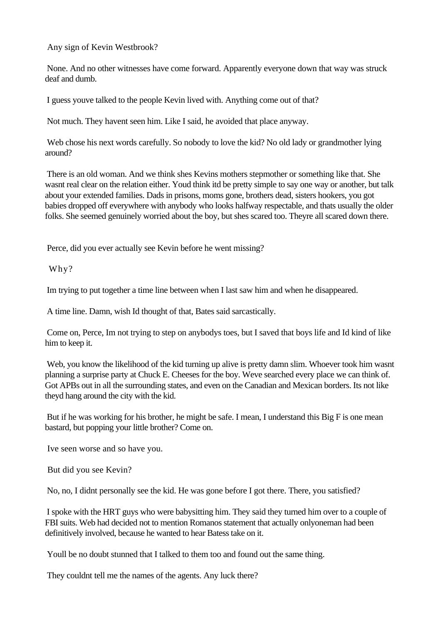Any sign of Kevin Westbrook?

 None. And no other witnesses have come forward. Apparently everyone down that way was struck deaf and dumb.

I guess youve talked to the people Kevin lived with. Anything come out of that?

Not much. They havent seen him. Like I said, he avoided that place anyway.

Web chose his next words carefully. So nobody to love the kid? No old lady or grandmother lying around?

 There is an old woman. And we think shes Kevins mothers stepmother or something like that. She wasnt real clear on the relation either. Youd think itd be pretty simple to say one way or another, but talk about your extended families. Dads in prisons, moms gone, brothers dead, sisters hookers, you got babies dropped off everywhere with anybody who looks halfway respectable, and thats usually the older folks. She seemed genuinely worried about the boy, but shes scared too. Theyre all scared down there.

Perce, did you ever actually see Kevin before he went missing?

Why?

Im trying to put together a time line between when I last saw him and when he disappeared.

A time line. Damn, wish Id thought of that, Bates said sarcastically.

 Come on, Perce, Im not trying to step on anybodys toes, but I saved that boys life and Id kind of like him to keep it.

 Web, you know the likelihood of the kid turning up alive is pretty damn slim. Whoever took him wasnt planning a surprise party at Chuck E. Cheeses for the boy. Weve searched every place we can think of. Got APBs out in all the surrounding states, and even on the Canadian and Mexican borders. Its not like theyd hang around the city with the kid.

But if he was working for his brother, he might be safe. I mean, I understand this Big F is one mean bastard, but popping your little brother? Come on.

Ive seen worse and so have you.

But did you see Kevin?

No, no, I didnt personally see the kid. He was gone before I got there. There, you satisfied?

 I spoke with the HRT guys who were babysitting him. They said they turned him over to a couple of FBI suits. Web had decided not to mention Romanos statement that actually onlyoneman had been definitively involved, because he wanted to hear Batess take on it.

Youll be no doubt stunned that I talked to them too and found out the same thing.

They couldnt tell me the names of the agents. Any luck there?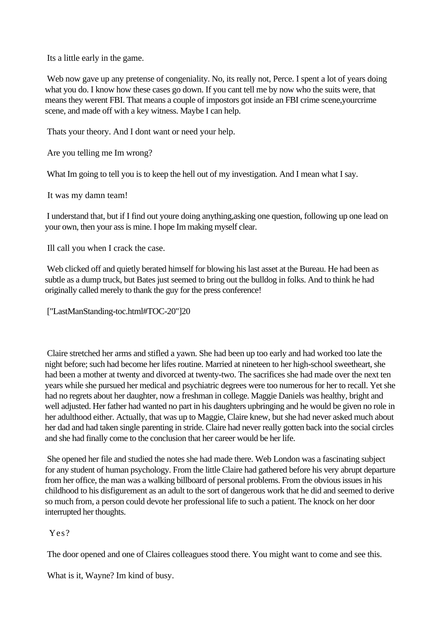Its a little early in the game.

Web now gave up any pretense of congeniality. No, its really not, Perce. I spent a lot of years doing what you do. I know how these cases go down. If you cant tell me by now who the suits were, that means they werent FBI. That means a couple of impostors got inside an FBI crime scene,yourcrime scene, and made off with a key witness. Maybe I can help.

Thats your theory. And I dont want or need your help.

Are you telling me Im wrong?

What Im going to tell you is to keep the hell out of my investigation. And I mean what I say.

It was my damn team!

 I understand that, but if I find out youre doing anything,asking one question, following up one lead on your own, then your ass is mine. I hope Im making myself clear.

Ill call you when I crack the case.

 Web clicked off and quietly berated himself for blowing his last asset at the Bureau. He had been as subtle as a dump truck, but Bates just seemed to bring out the bulldog in folks. And to think he had originally called merely to thank the guy for the press conference!

["LastManStanding-toc.html#TOC-20"]20

 Claire stretched her arms and stifled a yawn. She had been up too early and had worked too late the night before; such had become her lifes routine. Married at nineteen to her high-school sweetheart, she had been a mother at twenty and divorced at twenty-two. The sacrifices she had made over the next ten years while she pursued her medical and psychiatric degrees were too numerous for her to recall. Yet she had no regrets about her daughter, now a freshman in college. Maggie Daniels was healthy, bright and well adjusted. Her father had wanted no part in his daughters upbringing and he would be given no role in her adulthood either. Actually, that was up to Maggie, Claire knew, but she had never asked much about her dad and had taken single parenting in stride. Claire had never really gotten back into the social circles and she had finally come to the conclusion that her career would be her life.

 She opened her file and studied the notes she had made there. Web London was a fascinating subject for any student of human psychology. From the little Claire had gathered before his very abrupt departure from her office, the man was a walking billboard of personal problems. From the obvious issues in his childhood to his disfigurement as an adult to the sort of dangerous work that he did and seemed to derive so much from, a person could devote her professional life to such a patient. The knock on her door interrupted her thoughts.

## Yes?

The door opened and one of Claires colleagues stood there. You might want to come and see this.

What is it, Wayne? Im kind of busy.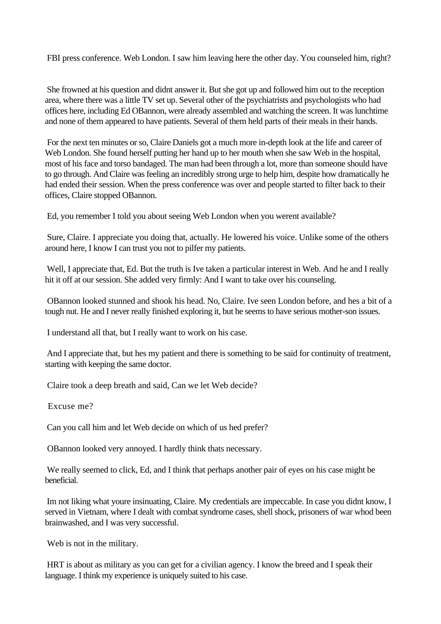FBI press conference. Web London. I saw him leaving here the other day. You counseled him, right?

 She frowned at his question and didnt answer it. But she got up and followed him out to the reception area, where there was a little TV set up. Several other of the psychiatrists and psychologists who had offices here, including Ed OBannon, were already assembled and watching the screen. It was lunchtime and none of them appeared to have patients. Several of them held parts of their meals in their hands.

 For the next ten minutes or so, Claire Daniels got a much more in-depth look at the life and career of Web London. She found herself putting her hand up to her mouth when she saw Web in the hospital, most of his face and torso bandaged. The man had been through a lot, more than someone should have to go through. And Claire was feeling an incredibly strong urge to help him, despite how dramatically he had ended their session. When the press conference was over and people started to filter back to their offices, Claire stopped OBannon.

Ed, you remember I told you about seeing Web London when you werent available?

 Sure, Claire. I appreciate you doing that, actually. He lowered his voice. Unlike some of the others around here, I know I can trust you not to pilfer my patients.

 Well, I appreciate that, Ed. But the truth is Ive taken a particular interest in Web. And he and I really hit it off at our session. She added very firmly: And I want to take over his counseling.

 OBannon looked stunned and shook his head. No, Claire. Ive seen London before, and hes a bit of a tough nut. He and I never really finished exploring it, but he seems to have serious mother-son issues.

I understand all that, but I really want to work on his case.

 And I appreciate that, but hes my patient and there is something to be said for continuity of treatment, starting with keeping the same doctor.

Claire took a deep breath and said, Can we let Web decide?

Excuse me?

Can you call him and let Web decide on which of us hed prefer?

OBannon looked very annoyed. I hardly think thats necessary.

 We really seemed to click, Ed, and I think that perhaps another pair of eyes on his case might be beneficial.

 Im not liking what youre insinuating, Claire. My credentials are impeccable. In case you didnt know, I served in Vietnam, where I dealt with combat syndrome cases, shell shock, prisoners of war whod been brainwashed, and I was very successful.

Web is not in the military.

 HRT is about as military as you can get for a civilian agency. I know the breed and I speak their language. I think my experience is uniquely suited to his case.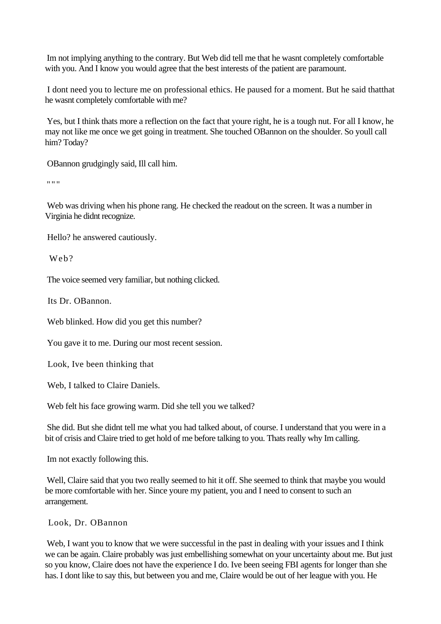Im not implying anything to the contrary. But Web did tell me that he wasnt completely comfortable with you. And I know you would agree that the best interests of the patient are paramount.

I dont need you to lecture me on professional ethics. He paused for a moment. But he said that that he wasnt completely comfortable with me?

 Yes, but I think thats more a reflection on the fact that youre right, he is a tough nut. For all I know, he may not like me once we get going in treatment. She touched OBannon on the shoulder. So youll call him? Today?

OBannon grudgingly said, Ill call him.

" " "

Web was driving when his phone rang. He checked the readout on the screen. It was a number in Virginia he didnt recognize.

Hello? he answered cautiously.

Web?

The voice seemed very familiar, but nothing clicked.

Its Dr. OBannon.

Web blinked. How did you get this number?

You gave it to me. During our most recent session.

Look, Ive been thinking that

Web, I talked to Claire Daniels.

Web felt his face growing warm. Did she tell you we talked?

 She did. But she didnt tell me what you had talked about, of course. I understand that you were in a bit of crisis and Claire tried to get hold of me before talking to you. Thats really why Im calling.

Im not exactly following this.

 Well, Claire said that you two really seemed to hit it off. She seemed to think that maybe you would be more comfortable with her. Since youre my patient, you and I need to consent to such an arrangement.

Look, Dr. OBannon

Web, I want you to know that we were successful in the past in dealing with your issues and I think we can be again. Claire probably was just embellishing somewhat on your uncertainty about me. But just so you know, Claire does not have the experience I do. Ive been seeing FBI agents for longer than she has. I dont like to say this, but between you and me, Claire would be out of her league with you. He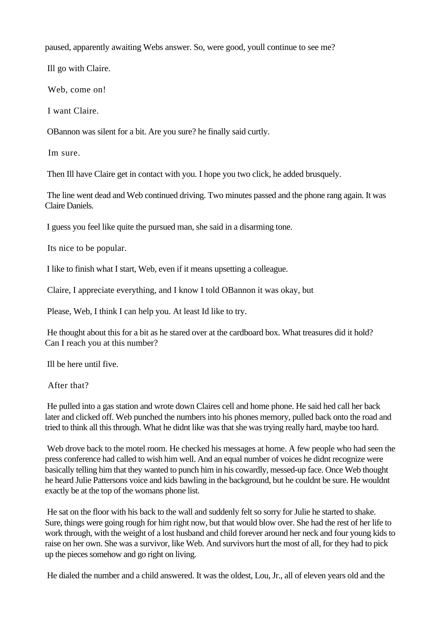paused, apparently awaiting Webs answer. So, were good, youll continue to see me?

Ill go with Claire.

Web, come on!

I want Claire.

OBannon was silent for a bit. Are you sure? he finally said curtly.

Im sure.

Then Ill have Claire get in contact with you. I hope you two click, he added brusquely.

 The line went dead and Web continued driving. Two minutes passed and the phone rang again. It was Claire Daniels.

I guess you feel like quite the pursued man, she said in a disarming tone.

Its nice to be popular.

I like to finish what I start, Web, even if it means upsetting a colleague.

Claire, I appreciate everything, and I know I told OBannon it was okay, but

Please, Web, I think I can help you. At least Id like to try.

 He thought about this for a bit as he stared over at the cardboard box. What treasures did it hold? Can I reach you at this number?

Ill be here until five.

After that?

 He pulled into a gas station and wrote down Claires cell and home phone. He said hed call her back later and clicked off. Web punched the numbers into his phones memory, pulled back onto the road and tried to think all this through. What he didnt like was that she was trying really hard, maybe too hard.

 Web drove back to the motel room. He checked his messages at home. A few people who had seen the press conference had called to wish him well. And an equal number of voices he didnt recognize were basically telling him that they wanted to punch him in his cowardly, messed-up face. Once Web thought he heard Julie Pattersons voice and kids bawling in the background, but he couldnt be sure. He wouldnt exactly be at the top of the womans phone list.

 He sat on the floor with his back to the wall and suddenly felt so sorry for Julie he started to shake. Sure, things were going rough for him right now, but that would blow over. She had the rest of her life to work through, with the weight of a lost husband and child forever around her neck and four young kids to raise on her own. She was a survivor, like Web. And survivors hurt the most of all, for they had to pick up the pieces somehow and go right on living.

He dialed the number and a child answered. It was the oldest, Lou, Jr., all of eleven years old and the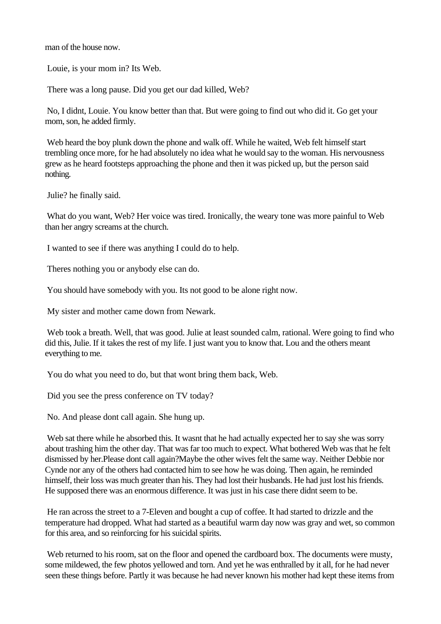man of the house now.

Louie, is your mom in? Its Web.

There was a long pause. Did you get our dad killed, Web?

 No, I didnt, Louie. You know better than that. But were going to find out who did it. Go get your mom, son, he added firmly.

 Web heard the boy plunk down the phone and walk off. While he waited, Web felt himself start trembling once more, for he had absolutely no idea what he would say to the woman. His nervousness grew as he heard footsteps approaching the phone and then it was picked up, but the person said nothing.

Julie? he finally said.

 What do you want, Web? Her voice was tired. Ironically, the weary tone was more painful to Web than her angry screams at the church.

I wanted to see if there was anything I could do to help.

Theres nothing you or anybody else can do.

You should have somebody with you. Its not good to be alone right now.

My sister and mother came down from Newark.

 Web took a breath. Well, that was good. Julie at least sounded calm, rational. Were going to find who did this, Julie. If it takes the rest of my life. I just want you to know that. Lou and the others meant everything to me.

You do what you need to do, but that wont bring them back, Web.

Did you see the press conference on TV today?

No. And please dont call again. She hung up.

Web sat there while he absorbed this. It wasnt that he had actually expected her to say she was sorry about trashing him the other day. That was far too much to expect. What bothered Web was that he felt dismissed by her.Please dont call again?Maybe the other wives felt the same way. Neither Debbie nor Cynde nor any of the others had contacted him to see how he was doing. Then again, he reminded himself, their loss was much greater than his. They had lost their husbands. He had just lost his friends. He supposed there was an enormous difference. It was just in his case there didnt seem to be.

 He ran across the street to a 7-Eleven and bought a cup of coffee. It had started to drizzle and the temperature had dropped. What had started as a beautiful warm day now was gray and wet, so common for this area, and so reinforcing for his suicidal spirits.

Web returned to his room, sat on the floor and opened the cardboard box. The documents were musty, some mildewed, the few photos yellowed and torn. And yet he was enthralled by it all, for he had never seen these things before. Partly it was because he had never known his mother had kept these items from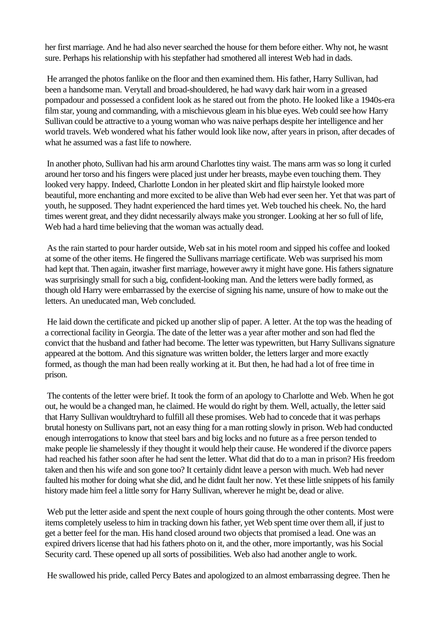her first marriage. And he had also never searched the house for them before either. Why not, he wasnt sure. Perhaps his relationship with his stepfather had smothered all interest Web had in dads.

 He arranged the photos fanlike on the floor and then examined them. His father, Harry Sullivan, had been a handsome man. Verytall and broad-shouldered, he had wavy dark hair worn in a greased pompadour and possessed a confident look as he stared out from the photo. He looked like a 1940s-era film star, young and commanding, with a mischievous gleam in his blue eyes. Web could see how Harry Sullivan could be attractive to a young woman who was naive perhaps despite her intelligence and her world travels. Web wondered what his father would look like now, after years in prison, after decades of what he assumed was a fast life to nowhere.

 In another photo, Sullivan had his arm around Charlottes tiny waist. The mans arm was so long it curled around her torso and his fingers were placed just under her breasts, maybe even touching them. They looked very happy. Indeed, Charlotte London in her pleated skirt and flip hairstyle looked more beautiful, more enchanting and more excited to be alive than Web had ever seen her. Yet that was part of youth, he supposed. They hadnt experienced the hard times yet. Web touched his cheek. No, the hard times werent great, and they didnt necessarily always make you stronger. Looking at her so full of life, Web had a hard time believing that the woman was actually dead.

 As the rain started to pour harder outside, Web sat in his motel room and sipped his coffee and looked at some of the other items. He fingered the Sullivans marriage certificate. Web was surprised his mom had kept that. Then again, itwasher first marriage, however awry it might have gone. His fathers signature was surprisingly small for such a big, confident-looking man. And the letters were badly formed, as though old Harry were embarrassed by the exercise of signing his name, unsure of how to make out the letters. An uneducated man, Web concluded.

 He laid down the certificate and picked up another slip of paper. A letter. At the top was the heading of a correctional facility in Georgia. The date of the letter was a year after mother and son had fled the convict that the husband and father had become. The letter was typewritten, but Harry Sullivans signature appeared at the bottom. And this signature was written bolder, the letters larger and more exactly formed, as though the man had been really working at it. But then, he had had a lot of free time in prison.

 The contents of the letter were brief. It took the form of an apology to Charlotte and Web. When he got out, he would be a changed man, he claimed. He would do right by them. Well, actually, the letter said that Harry Sullivan wouldtryhard to fulfill all these promises. Web had to concede that it was perhaps brutal honesty on Sullivans part, not an easy thing for a man rotting slowly in prison. Web had conducted enough interrogations to know that steel bars and big locks and no future as a free person tended to make people lie shamelessly if they thought it would help their cause. He wondered if the divorce papers had reached his father soon after he had sent the letter. What did that do to a man in prison? His freedom taken and then his wife and son gone too? It certainly didnt leave a person with much. Web had never faulted his mother for doing what she did, and he didnt fault her now. Yet these little snippets of his family history made him feel a little sorry for Harry Sullivan, wherever he might be, dead or alive.

Web put the letter aside and spent the next couple of hours going through the other contents. Most were items completely useless to him in tracking down his father, yet Web spent time over them all, if just to get a better feel for the man. His hand closed around two objects that promised a lead. One was an expired drivers license that had his fathers photo on it, and the other, more importantly, was his Social Security card. These opened up all sorts of possibilities. Web also had another angle to work.

He swallowed his pride, called Percy Bates and apologized to an almost embarrassing degree. Then he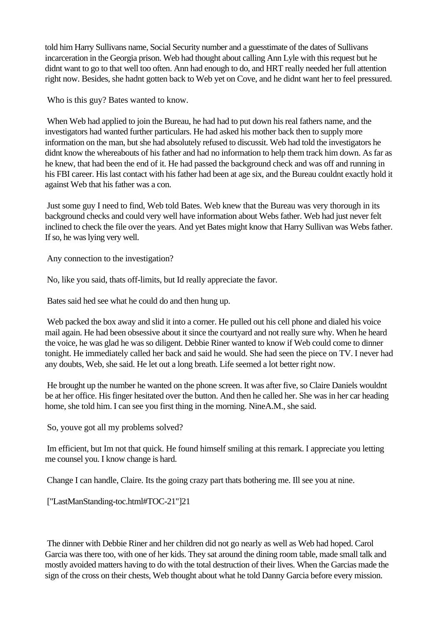told him Harry Sullivans name, Social Security number and a guesstimate of the dates of Sullivans incarceration in the Georgia prison. Web had thought about calling Ann Lyle with this request but he didnt want to go to that well too often. Ann had enough to do, and HRT really needed her full attention right now. Besides, she hadnt gotten back to Web yet on Cove, and he didnt want her to feel pressured.

Who is this guy? Bates wanted to know.

 When Web had applied to join the Bureau, he had had to put down his real fathers name, and the investigators had wanted further particulars. He had asked his mother back then to supply more information on the man, but she had absolutely refused to discussit. Web had told the investigators he didnt know the whereabouts of his father and had no information to help them track him down. As far as he knew, that had been the end of it. He had passed the background check and was off and running in his FBI career. His last contact with his father had been at age six, and the Bureau couldnt exactly hold it against Web that his father was a con.

 Just some guy I need to find, Web told Bates. Web knew that the Bureau was very thorough in its background checks and could very well have information about Webs father. Web had just never felt inclined to check the file over the years. And yet Bates might know that Harry Sullivan was Webs father. If so, he was lying very well.

Any connection to the investigation?

No, like you said, thats off-limits, but Id really appreciate the favor.

Bates said hed see what he could do and then hung up.

Web packed the box away and slid it into a corner. He pulled out his cell phone and dialed his voice mail again. He had been obsessive about it since the courtyard and not really sure why. When he heard the voice, he was glad he was so diligent. Debbie Riner wanted to know if Web could come to dinner tonight. He immediately called her back and said he would. She had seen the piece on TV. I never had any doubts, Web, she said. He let out a long breath. Life seemed a lot better right now.

 He brought up the number he wanted on the phone screen. It was after five, so Claire Daniels wouldnt be at her office. His finger hesitated over the button. And then he called her. She was in her car heading home, she told him. I can see you first thing in the morning. NineA.M., she said.

So, youve got all my problems solved?

 Im efficient, but Im not that quick. He found himself smiling at this remark. I appreciate you letting me counsel you. I know change is hard.

Change I can handle, Claire. Its the going crazy part thats bothering me. Ill see you at nine.

["LastManStanding-toc.html#TOC-21"]21

 The dinner with Debbie Riner and her children did not go nearly as well as Web had hoped. Carol Garcia was there too, with one of her kids. They sat around the dining room table, made small talk and mostly avoided matters having to do with the total destruction of their lives. When the Garcias made the sign of the cross on their chests, Web thought about what he told Danny Garcia before every mission.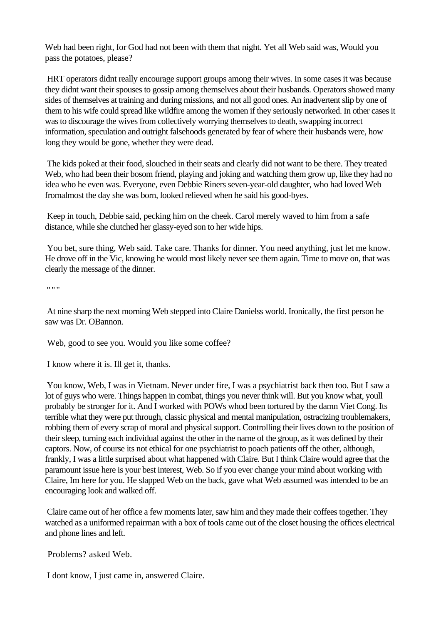Web had been right, for God had not been with them that night. Yet all Web said was. Would you pass the potatoes, please?

 HRT operators didnt really encourage support groups among their wives. In some cases it was because they didnt want their spouses to gossip among themselves about their husbands. Operators showed many sides of themselves at training and during missions, and not all good ones. An inadvertent slip by one of them to his wife could spread like wildfire among the women if they seriously networked. In other cases it was to discourage the wives from collectively worrying themselves to death, swapping incorrect information, speculation and outright falsehoods generated by fear of where their husbands were, how long they would be gone, whether they were dead.

 The kids poked at their food, slouched in their seats and clearly did not want to be there. They treated Web, who had been their bosom friend, playing and joking and watching them grow up, like they had no idea who he even was. Everyone, even Debbie Riners seven-year-old daughter, who had loved Web fromalmost the day she was born, looked relieved when he said his good-byes.

 Keep in touch, Debbie said, pecking him on the cheek. Carol merely waved to him from a safe distance, while she clutched her glassy-eyed son to her wide hips.

 You bet, sure thing, Web said. Take care. Thanks for dinner. You need anything, just let me know. He drove off in the Vic, knowing he would most likely never see them again. Time to move on, that was clearly the message of the dinner.

" " "

 At nine sharp the next morning Web stepped into Claire Danielss world. Ironically, the first person he saw was Dr. OBannon.

Web, good to see you. Would you like some coffee?

I know where it is. Ill get it, thanks.

 You know, Web, I was in Vietnam. Never under fire, I was a psychiatrist back then too. But I saw a lot of guys who were. Things happen in combat, things you never think will. But you know what, youll probably be stronger for it. And I worked with POWs whod been tortured by the damn Viet Cong. Its terrible what they were put through, classic physical and mental manipulation, ostracizing troublemakers, robbing them of every scrap of moral and physical support. Controlling their lives down to the position of their sleep, turning each individual against the other in the name of the group, as it was defined by their captors. Now, of course its not ethical for one psychiatrist to poach patients off the other, although, frankly, I was a little surprised about what happened with Claire. But I think Claire would agree that the paramount issue here is your best interest, Web. So if you ever change your mind about working with Claire, Im here for you. He slapped Web on the back, gave what Web assumed was intended to be an encouraging look and walked off.

 Claire came out of her office a few moments later, saw him and they made their coffees together. They watched as a uniformed repairman with a box of tools came out of the closet housing the offices electrical and phone lines and left.

Problems? asked Web.

I dont know, I just came in, answered Claire.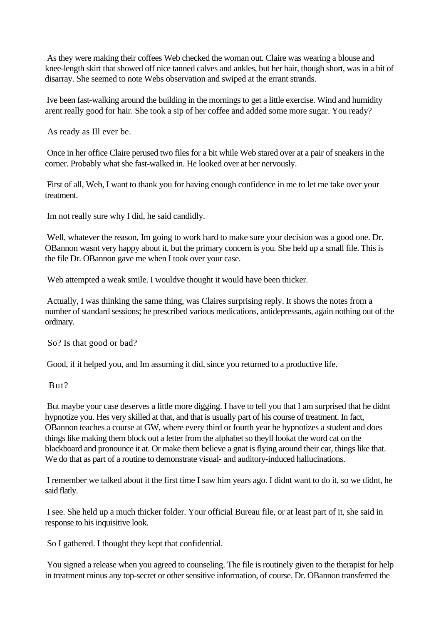As they were making their coffees Web checked the woman out. Claire was wearing a blouse and knee-length skirt that showed off nice tanned calves and ankles, but her hair, though short, was in a bit of disarray. She seemed to note Webs observation and swiped at the errant strands.

 Ive been fast-walking around the building in the mornings to get a little exercise. Wind and humidity arent really good for hair. She took a sip of her coffee and added some more sugar. You ready?

As ready as Ill ever be.

 Once in her office Claire perused two files for a bit while Web stared over at a pair of sneakers in the corner. Probably what she fast-walked in. He looked over at her nervously.

 First of all, Web, I want to thank you for having enough confidence in me to let me take over your treatment.

Im not really sure why I did, he said candidly.

 Well, whatever the reason, Im going to work hard to make sure your decision was a good one. Dr. OBannon wasnt very happy about it, but the primary concern is you. She held up a small file. This is the file Dr. OBannon gave me when I took over your case.

Web attempted a weak smile. I wouldve thought it would have been thicker.

 Actually, I was thinking the same thing, was Claires surprising reply. It shows the notes from a number of standard sessions; he prescribed various medications, antidepressants, again nothing out of the ordinary.

So? Is that good or bad?

Good, if it helped you, and Im assuming it did, since you returned to a productive life.

But?

 But maybe your case deserves a little more digging. I have to tell you that I am surprised that he didnt hypnotize you. Hes very skilled at that, and that is usually part of his course of treatment. In fact, OBannon teaches a course at GW, where every third or fourth year he hypnotizes a student and does things like making them block out a letter from the alphabet so theyll lookat the word cat on the blackboard and pronounce it at. Or make them believe a gnat is flying around their ear, things like that. We do that as part of a routine to demonstrate visual- and auditory-induced hallucinations.

 I remember we talked about it the first time I saw him years ago. I didnt want to do it, so we didnt, he said flatly.

 I see. She held up a much thicker folder. Your official Bureau file, or at least part of it, she said in response to his inquisitive look.

So I gathered. I thought they kept that confidential.

 You signed a release when you agreed to counseling. The file is routinely given to the therapist for help in treatment minus any top-secret or other sensitive information, of course. Dr. OBannon transferred the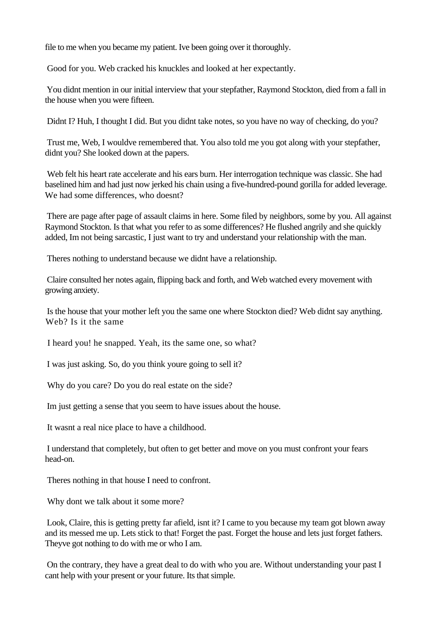file to me when you became my patient. Ive been going over it thoroughly.

Good for you. Web cracked his knuckles and looked at her expectantly.

 You didnt mention in our initial interview that your stepfather, Raymond Stockton, died from a fall in the house when you were fifteen.

Didnt I? Huh, I thought I did. But you didnt take notes, so you have no way of checking, do you?

 Trust me, Web, I wouldve remembered that. You also told me you got along with your stepfather, didnt you? She looked down at the papers.

 Web felt his heart rate accelerate and his ears burn. Her interrogation technique was classic. She had baselined him and had just now jerked his chain using a five-hundred-pound gorilla for added leverage. We had some differences, who doesnt?

 There are page after page of assault claims in here. Some filed by neighbors, some by you. All against Raymond Stockton. Is that what you refer to as some differences? He flushed angrily and she quickly added, Im not being sarcastic, I just want to try and understand your relationship with the man.

Theres nothing to understand because we didnt have a relationship.

 Claire consulted her notes again, flipping back and forth, and Web watched every movement with growing anxiety.

 Is the house that your mother left you the same one where Stockton died? Web didnt say anything. Web? Is it the same

I heard you! he snapped. Yeah, its the same one, so what?

I was just asking. So, do you think youre going to sell it?

Why do you care? Do you do real estate on the side?

Im just getting a sense that you seem to have issues about the house.

It wasnt a real nice place to have a childhood.

 I understand that completely, but often to get better and move on you must confront your fears head-on.

Theres nothing in that house I need to confront.

Why dont we talk about it some more?

 Look, Claire, this is getting pretty far afield, isnt it? I came to you because my team got blown away and its messed me up. Lets stick to that! Forget the past. Forget the house and lets just forget fathers. Theyve got nothing to do with me or who I am.

 On the contrary, they have a great deal to do with who you are. Without understanding your past I cant help with your present or your future. Its that simple.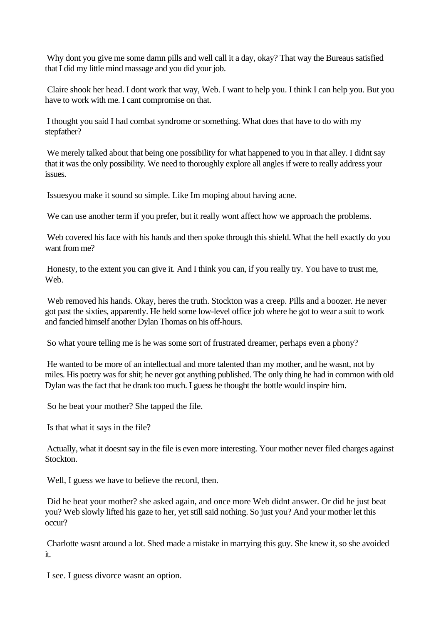Why dont you give me some damn pills and well call it a day, okay? That way the Bureaus satisfied that I did my little mind massage and you did your job.

 Claire shook her head. I dont work that way, Web. I want to help you. I think I can help you. But you have to work with me. I cant compromise on that.

 I thought you said I had combat syndrome or something. What does that have to do with my stepfather?

We merely talked about that being one possibility for what happened to you in that alley. I didnt say that it was the only possibility. We need to thoroughly explore all angles if were to really address your issues.

Issuesyou make it sound so simple. Like Im moping about having acne.

We can use another term if you prefer, but it really wont affect how we approach the problems.

 Web covered his face with his hands and then spoke through this shield. What the hell exactly do you want from me?

 Honesty, to the extent you can give it. And I think you can, if you really try. You have to trust me, Web.

 Web removed his hands. Okay, heres the truth. Stockton was a creep. Pills and a boozer. He never got past the sixties, apparently. He held some low-level office job where he got to wear a suit to work and fancied himself another Dylan Thomas on his off-hours.

So what youre telling me is he was some sort of frustrated dreamer, perhaps even a phony?

 He wanted to be more of an intellectual and more talented than my mother, and he wasnt, not by miles. His poetry was for shit; he never got anything published. The only thing he had in common with old Dylan was the fact that he drank too much. I guess he thought the bottle would inspire him.

So he beat your mother? She tapped the file.

Is that what it says in the file?

 Actually, what it doesnt say in the file is even more interesting. Your mother never filed charges against Stockton.

Well, I guess we have to believe the record, then.

 Did he beat your mother? she asked again, and once more Web didnt answer. Or did he just beat you? Web slowly lifted his gaze to her, yet still said nothing. So just you? And your mother let this occur?

 Charlotte wasnt around a lot. Shed made a mistake in marrying this guy. She knew it, so she avoided it.

I see. I guess divorce wasnt an option.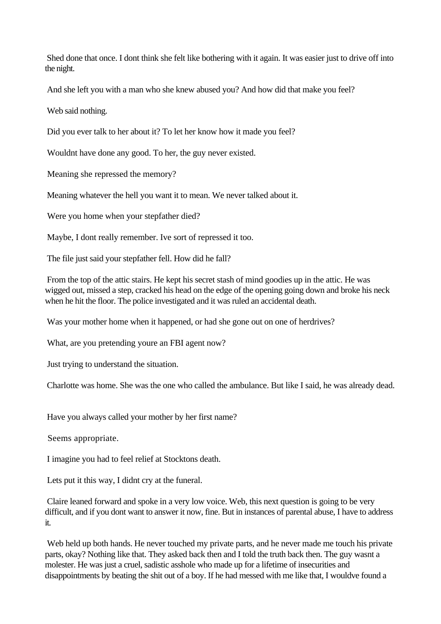Shed done that once. I dont think she felt like bothering with it again. It was easier just to drive off into the night.

And she left you with a man who she knew abused you? And how did that make you feel?

Web said nothing.

Did you ever talk to her about it? To let her know how it made you feel?

Wouldnt have done any good. To her, the guy never existed.

Meaning she repressed the memory?

Meaning whatever the hell you want it to mean. We never talked about it.

Were you home when your stepfather died?

Maybe, I dont really remember. Ive sort of repressed it too.

The file just said your stepfather fell. How did he fall?

 From the top of the attic stairs. He kept his secret stash of mind goodies up in the attic. He was wigged out, missed a step, cracked his head on the edge of the opening going down and broke his neck when he hit the floor. The police investigated and it was ruled an accidental death.

Was your mother home when it happened, or had she gone out on one of herdrives?

What, are you pretending youre an FBI agent now?

Just trying to understand the situation.

Charlotte was home. She was the one who called the ambulance. But like I said, he was already dead.

Have you always called your mother by her first name?

Seems appropriate.

I imagine you had to feel relief at Stocktons death.

Lets put it this way, I didnt cry at the funeral.

 Claire leaned forward and spoke in a very low voice. Web, this next question is going to be very difficult, and if you dont want to answer it now, fine. But in instances of parental abuse, I have to address it.

Web held up both hands. He never touched my private parts, and he never made me touch his private parts, okay? Nothing like that. They asked back then and I told the truth back then. The guy wasnt a molester. He was just a cruel, sadistic asshole who made up for a lifetime of insecurities and disappointments by beating the shit out of a boy. If he had messed with me like that, I wouldve found a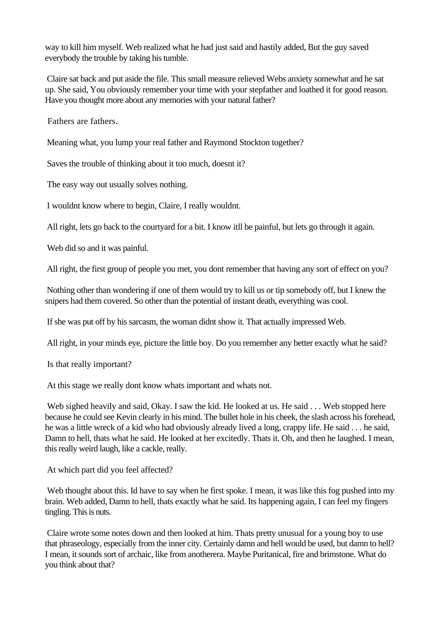way to kill him myself. Web realized what he had just said and hastily added, But the guy saved everybody the trouble by taking his tumble.

 Claire sat back and put aside the file. This small measure relieved Webs anxiety somewhat and he sat up. She said, You obviously remember your time with your stepfather and loathed it for good reason. Have you thought more about any memories with your natural father?

Fathers are fathers.

Meaning what, you lump your real father and Raymond Stockton together?

Saves the trouble of thinking about it too much, doesnt it?

The easy way out usually solves nothing.

I wouldnt know where to begin, Claire, I really wouldnt.

All right, lets go back to the courtyard for a bit. I know itll be painful, but lets go through it again.

Web did so and it was painful.

All right, the first group of people you met, you dont remember that having any sort of effect on you?

 Nothing other than wondering if one of them would try to kill us or tip somebody off, but I knew the snipers had them covered. So other than the potential of instant death, everything was cool.

If she was put off by his sarcasm, the woman didnt show it. That actually impressed Web.

All right, in your minds eye, picture the little boy. Do you remember any better exactly what he said?

Is that really important?

At this stage we really dont know whats important and whats not.

Web sighed heavily and said, Okay. I saw the kid. He looked at us. He said . . . Web stopped here because he could see Kevin clearly in his mind. The bullet hole in his cheek, the slash across his forehead, he was a little wreck of a kid who had obviously already lived a long, crappy life. He said . . . he said, Damn to hell, thats what he said. He looked at her excitedly. Thats it. Oh, and then he laughed. I mean, this really weird laugh, like a cackle, really.

At which part did you feel affected?

Web thought about this. Id have to say when he first spoke. I mean, it was like this fog pushed into my brain. Web added, Damn to hell, thats exactly what he said. Its happening again, I can feel my fingers tingling. This is nuts.

 Claire wrote some notes down and then looked at him. Thats pretty unusual for a young boy to use that phraseology, especially from the inner city. Certainly damn and hell would be used, but damn to hell? I mean, it sounds sort of archaic, like from anotherera. Maybe Puritanical, fire and brimstone. What do you think about that?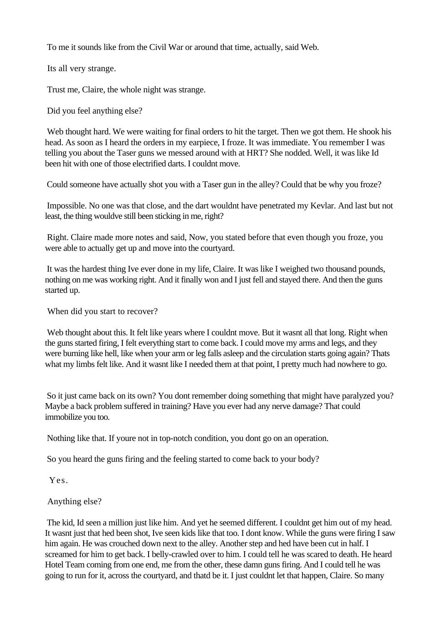To me it sounds like from the Civil War or around that time, actually, said Web.

Its all very strange.

Trust me, Claire, the whole night was strange.

Did you feel anything else?

Web thought hard. We were waiting for final orders to hit the target. Then we got them. He shook his head. As soon as I heard the orders in my earpiece, I froze. It was immediate. You remember I was telling you about the Taser guns we messed around with at HRT? She nodded. Well, it was like Id been hit with one of those electrified darts. I couldnt move.

Could someone have actually shot you with a Taser gun in the alley? Could that be why you froze?

 Impossible. No one was that close, and the dart wouldnt have penetrated my Kevlar. And last but not least, the thing wouldve still been sticking in me, right?

 Right. Claire made more notes and said, Now, you stated before that even though you froze, you were able to actually get up and move into the courtyard.

 It was the hardest thing Ive ever done in my life, Claire. It was like I weighed two thousand pounds, nothing on me was working right. And it finally won and I just fell and stayed there. And then the guns started up.

When did you start to recover?

Web thought about this. It felt like years where I couldnt move. But it wasnt all that long. Right when the guns started firing, I felt everything start to come back. I could move my arms and legs, and they were burning like hell, like when your arm or leg falls asleep and the circulation starts going again? Thats what my limbs felt like. And it wasnt like I needed them at that point, I pretty much had nowhere to go.

 So it just came back on its own? You dont remember doing something that might have paralyzed you? Maybe a back problem suffered in training? Have you ever had any nerve damage? That could immobilize you too.

Nothing like that. If youre not in top-notch condition, you dont go on an operation.

So you heard the guns firing and the feeling started to come back to your body?

Yes.

Anything else?

 The kid, Id seen a million just like him. And yet he seemed different. I couldnt get him out of my head. It wasnt just that hed been shot, Ive seen kids like that too. I dont know. While the guns were firing I saw him again. He was crouched down next to the alley. Another step and hed have been cut in half. I screamed for him to get back. I belly-crawled over to him. I could tell he was scared to death. He heard Hotel Team coming from one end, me from the other, these damn guns firing. And I could tell he was going to run for it, across the courtyard, and thatd be it. I just couldnt let that happen, Claire. So many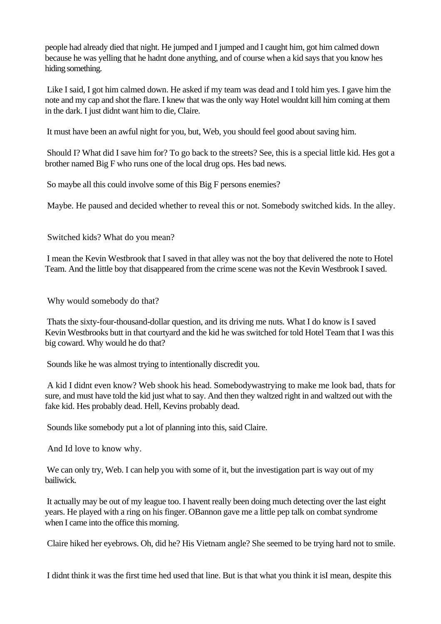people had already died that night. He jumped and I jumped and I caught him, got him calmed down because he was yelling that he hadnt done anything, and of course when a kid says that you know hes hiding something.

 Like I said, I got him calmed down. He asked if my team was dead and I told him yes. I gave him the note and my cap and shot the flare. I knew that was the only way Hotel wouldnt kill him coming at them in the dark. I just didnt want him to die, Claire.

It must have been an awful night for you, but, Web, you should feel good about saving him.

 Should I? What did I save him for? To go back to the streets? See, this is a special little kid. Hes got a brother named Big F who runs one of the local drug ops. Hes bad news.

So maybe all this could involve some of this Big F persons enemies?

Maybe. He paused and decided whether to reveal this or not. Somebody switched kids. In the alley.

Switched kids? What do you mean?

 I mean the Kevin Westbrook that I saved in that alley was not the boy that delivered the note to Hotel Team. And the little boy that disappeared from the crime scene was not the Kevin Westbrook I saved.

Why would somebody do that?

 Thats the sixty-four-thousand-dollar question, and its driving me nuts. What I do know is I saved Kevin Westbrooks butt in that courtyard and the kid he was switched for told Hotel Team that I was this big coward. Why would he do that?

Sounds like he was almost trying to intentionally discredit you.

 A kid I didnt even know? Web shook his head. Somebodywastrying to make me look bad, thats for sure, and must have told the kid just what to say. And then they waltzed right in and waltzed out with the fake kid. Hes probably dead. Hell, Kevins probably dead.

Sounds like somebody put a lot of planning into this, said Claire.

And Id love to know why.

We can only try, Web. I can help you with some of it, but the investigation part is way out of my bailiwick.

 It actually may be out of my league too. I havent really been doing much detecting over the last eight years. He played with a ring on his finger. OBannon gave me a little pep talk on combat syndrome when I came into the office this morning.

Claire hiked her eyebrows. Oh, did he? His Vietnam angle? She seemed to be trying hard not to smile.

I didnt think it was the first time hed used that line. But is that what you think it isI mean, despite this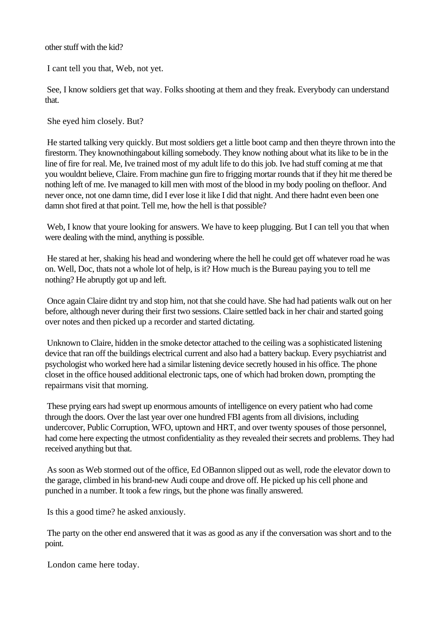other stuff with the kid?

I cant tell you that, Web, not yet.

 See, I know soldiers get that way. Folks shooting at them and they freak. Everybody can understand that.

She eyed him closely. But?

 He started talking very quickly. But most soldiers get a little boot camp and then theyre thrown into the firestorm. They knownothingabout killing somebody. They know nothing about what its like to be in the line of fire for real. Me, Ive trained most of my adult life to do this job. Ive had stuff coming at me that you wouldnt believe, Claire. From machine gun fire to frigging mortar rounds that if they hit me thered be nothing left of me. Ive managed to kill men with most of the blood in my body pooling on thefloor. And never once, not one damn time, did I ever lose it like I did that night. And there hadnt even been one damn shot fired at that point. Tell me, how the hell is that possible?

Web, I know that youre looking for answers. We have to keep plugging. But I can tell you that when were dealing with the mind, anything is possible.

 He stared at her, shaking his head and wondering where the hell he could get off whatever road he was on. Well, Doc, thats not a whole lot of help, is it? How much is the Bureau paying you to tell me nothing? He abruptly got up and left.

 Once again Claire didnt try and stop him, not that she could have. She had had patients walk out on her before, although never during their first two sessions. Claire settled back in her chair and started going over notes and then picked up a recorder and started dictating.

 Unknown to Claire, hidden in the smoke detector attached to the ceiling was a sophisticated listening device that ran off the buildings electrical current and also had a battery backup. Every psychiatrist and psychologist who worked here had a similar listening device secretly housed in his office. The phone closet in the office housed additional electronic taps, one of which had broken down, prompting the repairmans visit that morning.

 These prying ears had swept up enormous amounts of intelligence on every patient who had come through the doors. Over the last year over one hundred FBI agents from all divisions, including undercover, Public Corruption, WFO, uptown and HRT, and over twenty spouses of those personnel, had come here expecting the utmost confidentiality as they revealed their secrets and problems. They had received anything but that.

 As soon as Web stormed out of the office, Ed OBannon slipped out as well, rode the elevator down to the garage, climbed in his brand-new Audi coupe and drove off. He picked up his cell phone and punched in a number. It took a few rings, but the phone was finally answered.

Is this a good time? he asked anxiously.

 The party on the other end answered that it was as good as any if the conversation was short and to the point.

London came here today.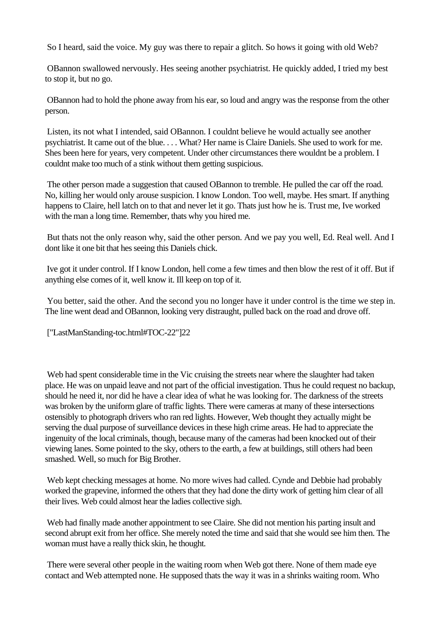So I heard, said the voice. My guy was there to repair a glitch. So hows it going with old Web?

 OBannon swallowed nervously. Hes seeing another psychiatrist. He quickly added, I tried my best to stop it, but no go.

 OBannon had to hold the phone away from his ear, so loud and angry was the response from the other person.

 Listen, its not what I intended, said OBannon. I couldnt believe he would actually see another psychiatrist. It came out of the blue. . . . What? Her name is Claire Daniels. She used to work for me. Shes been here for years, very competent. Under other circumstances there wouldnt be a problem. I couldnt make too much of a stink without them getting suspicious.

 The other person made a suggestion that caused OBannon to tremble. He pulled the car off the road. No, killing her would only arouse suspicion. I know London. Too well, maybe. Hes smart. If anything happens to Claire, hell latch on to that and never let it go. Thats just how he is. Trust me, Ive worked with the man a long time. Remember, thats why you hired me.

 But thats not the only reason why, said the other person. And we pay you well, Ed. Real well. And I dont like it one bit that hes seeing this Daniels chick.

 Ive got it under control. If I know London, hell come a few times and then blow the rest of it off. But if anything else comes of it, well know it. Ill keep on top of it.

 You better, said the other. And the second you no longer have it under control is the time we step in. The line went dead and OBannon, looking very distraught, pulled back on the road and drove off.

["LastManStanding-toc.html#TOC-22"]22

 Web had spent considerable time in the Vic cruising the streets near where the slaughter had taken place. He was on unpaid leave and not part of the official investigation. Thus he could request no backup, should he need it, nor did he have a clear idea of what he was looking for. The darkness of the streets was broken by the uniform glare of traffic lights. There were cameras at many of these intersections ostensibly to photograph drivers who ran red lights. However, Web thought they actually might be serving the dual purpose of surveillance devices in these high crime areas. He had to appreciate the ingenuity of the local criminals, though, because many of the cameras had been knocked out of their viewing lanes. Some pointed to the sky, others to the earth, a few at buildings, still others had been smashed. Well, so much for Big Brother.

 Web kept checking messages at home. No more wives had called. Cynde and Debbie had probably worked the grapevine, informed the others that they had done the dirty work of getting him clear of all their lives. Web could almost hear the ladies collective sigh.

 Web had finally made another appointment to see Claire. She did not mention his parting insult and second abrupt exit from her office. She merely noted the time and said that she would see him then. The woman must have a really thick skin, he thought.

 There were several other people in the waiting room when Web got there. None of them made eye contact and Web attempted none. He supposed thats the way it was in a shrinks waiting room. Who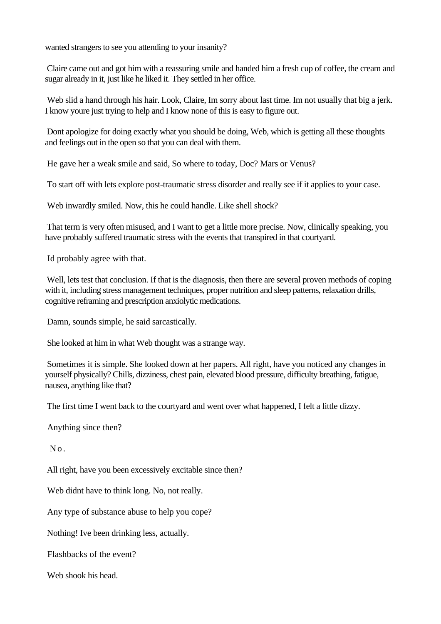wanted strangers to see you attending to your insanity?

 Claire came out and got him with a reassuring smile and handed him a fresh cup of coffee, the cream and sugar already in it, just like he liked it. They settled in her office.

Web slid a hand through his hair. Look, Claire, Im sorry about last time. Im not usually that big a jerk. I know youre just trying to help and I know none of this is easy to figure out.

 Dont apologize for doing exactly what you should be doing, Web, which is getting all these thoughts and feelings out in the open so that you can deal with them.

He gave her a weak smile and said, So where to today, Doc? Mars or Venus?

To start off with lets explore post-traumatic stress disorder and really see if it applies to your case.

Web inwardly smiled. Now, this he could handle. Like shell shock?

 That term is very often misused, and I want to get a little more precise. Now, clinically speaking, you have probably suffered traumatic stress with the events that transpired in that courtyard.

Id probably agree with that.

 Well, lets test that conclusion. If that is the diagnosis, then there are several proven methods of coping with it, including stress management techniques, proper nutrition and sleep patterns, relaxation drills, cognitive reframing and prescription anxiolytic medications.

Damn, sounds simple, he said sarcastically.

She looked at him in what Web thought was a strange way.

 Sometimes it is simple. She looked down at her papers. All right, have you noticed any changes in yourself physically? Chills, dizziness, chest pain, elevated blood pressure, difficulty breathing, fatigue, nausea, anything like that?

The first time I went back to the courtyard and went over what happened, I felt a little dizzy.

Anything since then?

No.

All right, have you been excessively excitable since then?

Web didnt have to think long. No, not really.

Any type of substance abuse to help you cope?

Nothing! Ive been drinking less, actually.

Flashbacks of the event?

Web shook his head.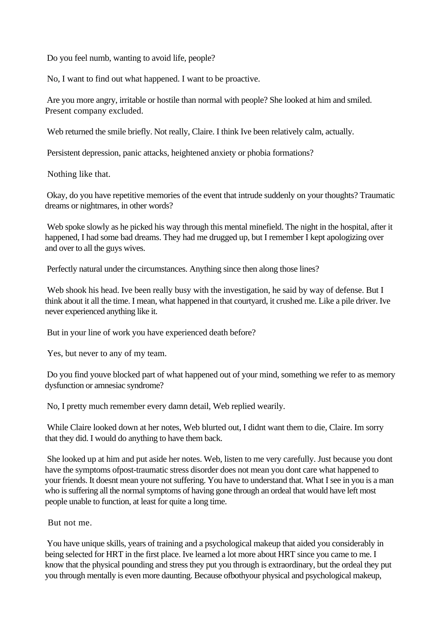Do you feel numb, wanting to avoid life, people?

No, I want to find out what happened. I want to be proactive.

 Are you more angry, irritable or hostile than normal with people? She looked at him and smiled. Present company excluded.

Web returned the smile briefly. Not really, Claire. I think Ive been relatively calm, actually.

Persistent depression, panic attacks, heightened anxiety or phobia formations?

Nothing like that.

 Okay, do you have repetitive memories of the event that intrude suddenly on your thoughts? Traumatic dreams or nightmares, in other words?

 Web spoke slowly as he picked his way through this mental minefield. The night in the hospital, after it happened, I had some bad dreams. They had me drugged up, but I remember I kept apologizing over and over to all the guys wives.

Perfectly natural under the circumstances. Anything since then along those lines?

Web shook his head. Ive been really busy with the investigation, he said by way of defense. But I think about it all the time. I mean, what happened in that courtyard, it crushed me. Like a pile driver. Ive never experienced anything like it.

But in your line of work you have experienced death before?

Yes, but never to any of my team.

 Do you find youve blocked part of what happened out of your mind, something we refer to as memory dysfunction or amnesiac syndrome?

No, I pretty much remember every damn detail, Web replied wearily.

 While Claire looked down at her notes, Web blurted out, I didnt want them to die, Claire. Im sorry that they did. I would do anything to have them back.

 She looked up at him and put aside her notes. Web, listen to me very carefully. Just because you dont have the symptoms ofpost-traumatic stress disorder does not mean you dont care what happened to your friends. It doesnt mean youre not suffering. You have to understand that. What I see in you is a man who is suffering all the normal symptoms of having gone through an ordeal that would have left most people unable to function, at least for quite a long time.

But not me.

 You have unique skills, years of training and a psychological makeup that aided you considerably in being selected for HRT in the first place. Ive learned a lot more about HRT since you came to me. I know that the physical pounding and stress they put you through is extraordinary, but the ordeal they put you through mentally is even more daunting. Because ofbothyour physical and psychological makeup,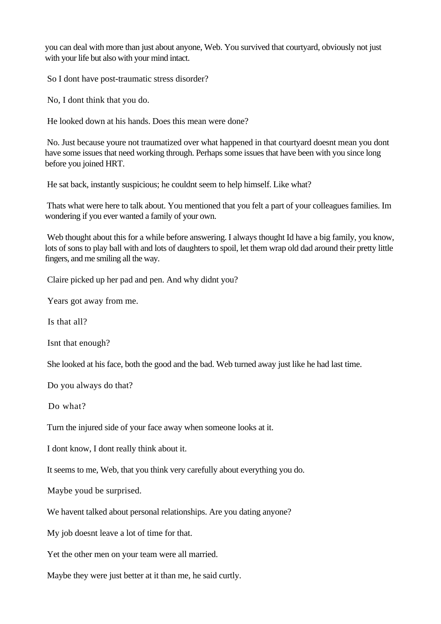you can deal with more than just about anyone, Web. You survived that courtyard, obviously not just with your life but also with your mind intact.

So I dont have post-traumatic stress disorder?

No, I dont think that you do.

He looked down at his hands. Does this mean were done?

 No. Just because youre not traumatized over what happened in that courtyard doesnt mean you dont have some issues that need working through. Perhaps some issues that have been with you since long before you joined HRT.

He sat back, instantly suspicious; he couldnt seem to help himself. Like what?

 Thats what were here to talk about. You mentioned that you felt a part of your colleagues families. Im wondering if you ever wanted a family of your own.

Web thought about this for a while before answering. I always thought Id have a big family, you know, lots of sons to play ball with and lots of daughters to spoil, let them wrap old dad around their pretty little fingers, and me smiling all the way.

Claire picked up her pad and pen. And why didnt you?

Years got away from me.

Is that all?

Isnt that enough?

She looked at his face, both the good and the bad. Web turned away just like he had last time.

Do you always do that?

Do what?

Turn the injured side of your face away when someone looks at it.

I dont know, I dont really think about it.

It seems to me, Web, that you think very carefully about everything you do.

Maybe youd be surprised.

We havent talked about personal relationships. Are you dating anyone?

My job doesnt leave a lot of time for that.

Yet the other men on your team were all married.

Maybe they were just better at it than me, he said curtly.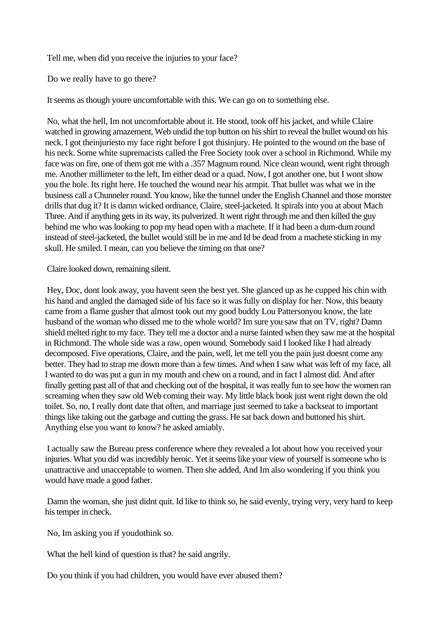Tell me, when did you receive the injuries to your face?

Do we really have to go there?

It seems as though youre uncomfortable with this. We can go on to something else.

 No, what the hell, Im not uncomfortable about it. He stood, took off his jacket, and while Claire watched in growing amazement, Web undid the top button on his shirt to reveal the bullet wound on his neck. I got theinjuriesto my face right before I got thisinjury. He pointed to the wound on the base of his neck. Some white supremacists called the Free Society took over a school in Richmond. While my face was on fire, one of them got me with a .357 Magnum round. Nice clean wound, went right through me. Another millimeter to the left, Im either dead or a quad. Now, I got another one, but I wont show you the hole. Its right here. He touched the wound near his armpit. That bullet was what we in the business call a Chunneler round. You know, like the tunnel under the English Channel and those monster drills that dug it? It is damn wicked ordnance, Claire, steel-jacketed. It spirals into you at about Mach Three. And if anything gets in its way, its pulverized. It went right through me and then killed the guy behind me who was looking to pop my head open with a machete. If it had been a dum-dum round instead of steel-jacketed, the bullet would still be in me and Id be dead from a machete sticking in my skull. He smiled. I mean, can you believe the timing on that one?

Claire looked down, remaining silent.

 Hey, Doc, dont look away, you havent seen the best yet. She glanced up as he cupped his chin with his hand and angled the damaged side of his face so it was fully on display for her. Now, this beauty came from a flame gusher that almost took out my good buddy Lou Patterson you know, the late husband of the woman who dissed me to the whole world? Im sure you saw that on TV, right? Damn shield melted right to my face. They tell me a doctor and a nurse fainted when they saw me at the hospital in Richmond. The whole side was a raw, open wound. Somebody said I looked like I had already decomposed. Five operations, Claire, and the pain, well, let me tell you the pain just doesnt come any better. They had to strap me down more than a few times. And when I saw what was left of my face, all I wanted to do was put a gun in my mouth and chew on a round, and in fact I almost did. And after finally getting past all of that and checking out of the hospital, it was really fun to see how the women ran screaming when they saw old Web coming their way. My little black book just went right down the old toilet. So, no, I really dont date that often, and marriage just seemed to take a backseat to important things like taking out the garbage and cutting the grass. He sat back down and buttoned his shirt. Anything else you want to know? he asked amiably.

 I actually saw the Bureau press conference where they revealed a lot about how you received your injuries. What you did was incredibly heroic. Yet it seems like your view of yourself is someone who is unattractive and unacceptable to women. Then she added, And Im also wondering if you think you would have made a good father.

 Damn the woman, she just didnt quit. Id like to think so, he said evenly, trying very, very hard to keep his temper in check.

No, Im asking you if youdothink so.

What the hell kind of question is that? he said angrily.

Do you think if you had children, you would have ever abused them?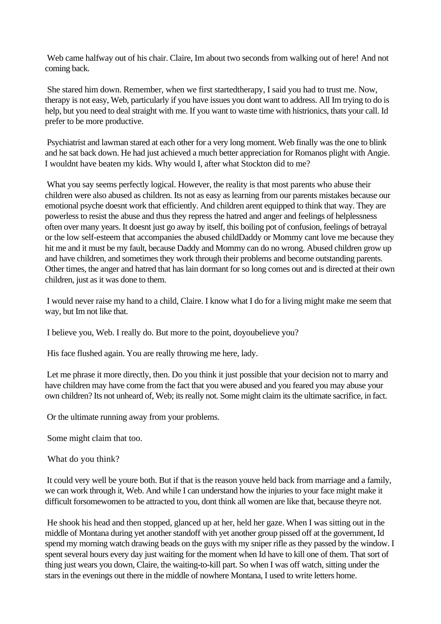Web came halfway out of his chair. Claire, Im about two seconds from walking out of here! And not coming back.

 She stared him down. Remember, when we first startedtherapy, I said you had to trust me. Now, therapy is not easy, Web, particularly if you have issues you dont want to address. All Im trying to do is help, but you need to deal straight with me. If you want to waste time with histrionics, thats your call. Id prefer to be more productive.

 Psychiatrist and lawman stared at each other for a very long moment. Web finally was the one to blink and he sat back down. He had just achieved a much better appreciation for Romanos plight with Angie. I wouldnt have beaten my kids. Why would I, after what Stockton did to me?

 What you say seems perfectly logical. However, the reality is that most parents who abuse their children were also abused as children. Its not as easy as learning from our parents mistakes because our emotional psyche doesnt work that efficiently. And children arent equipped to think that way. They are powerless to resist the abuse and thus they repress the hatred and anger and feelings of helplessness often over many years. It doesnt just go away by itself, this boiling pot of confusion, feelings of betrayal or the low self-esteem that accompanies the abused child Daddy or Mommy cant love me because they hit me and it must be my fault, because Daddy and Mommy can do no wrong. Abused children grow up and have children, and sometimes they work through their problems and become outstanding parents. Other times, the anger and hatred that has lain dormant for so long comes out and is directed at their own children, just as it was done to them.

 I would never raise my hand to a child, Claire. I know what I do for a living might make me seem that way, but Im not like that.

I believe you, Web. I really do. But more to the point, doyoubelieve you?

His face flushed again. You are really throwing me here, lady.

 Let me phrase it more directly, then. Do you think it just possible that your decision not to marry and have children may have come from the fact that you were abused and you feared you may abuse your own children? Its not unheard of, Web; its really not. Some might claim its the ultimate sacrifice, in fact.

Or the ultimate running away from your problems.

Some might claim that too.

What do you think?

 It could very well be youre both. But if that is the reason youve held back from marriage and a family, we can work through it, Web. And while I can understand how the injuries to your face might make it difficult forsomewomen to be attracted to you, dont think all women are like that, because theyre not.

 He shook his head and then stopped, glanced up at her, held her gaze. When I was sitting out in the middle of Montana during yet another standoff with yet another group pissed off at the government, Id spend my morning watch drawing beads on the guys with my sniper rifle as they passed by the window. I spent several hours every day just waiting for the moment when Id have to kill one of them. That sort of thing just wears you down, Claire, the waiting-to-kill part. So when I was off watch, sitting under the stars in the evenings out there in the middle of nowhere Montana, I used to write letters home.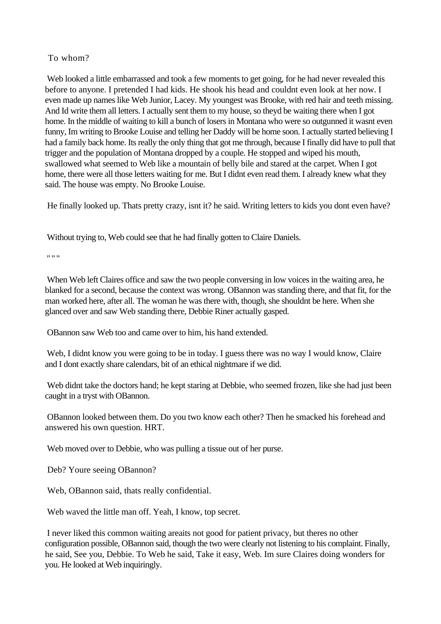# To whom?

Web looked a little embarrassed and took a few moments to get going, for he had never revealed this before to anyone. I pretended I had kids. He shook his head and couldnt even look at her now. I even made up names like Web Junior, Lacey. My youngest was Brooke, with red hair and teeth missing. And Id write them all letters. I actually sent them to my house, so theyd be waiting there when I got home. In the middle of waiting to kill a bunch of losers in Montana who were so outgunned it wasnt even funny, Im writing to Brooke Louise and telling her Daddy will be home soon. I actually started believing I had a family back home. Its really the only thing that got me through, because I finally did have to pull that trigger and the population of Montana dropped by a couple. He stopped and wiped his mouth, swallowed what seemed to Web like a mountain of belly bile and stared at the carpet. When I got home, there were all those letters waiting for me. But I didnt even read them. I already knew what they said. The house was empty. No Brooke Louise.

He finally looked up. Thats pretty crazy, isnt it? he said. Writing letters to kids you dont even have?

Without trying to, Web could see that he had finally gotten to Claire Daniels.

" " "

 When Web left Claires office and saw the two people conversing in low voices in the waiting area, he blanked for a second, because the context was wrong. OBannon was standing there, and that fit, for the man worked here, after all. The woman he was there with, though, she shouldnt be here. When she glanced over and saw Web standing there, Debbie Riner actually gasped.

OBannon saw Web too and came over to him, his hand extended.

Web, I didnt know you were going to be in today. I guess there was no way I would know, Claire and I dont exactly share calendars, bit of an ethical nightmare if we did.

 Web didnt take the doctors hand; he kept staring at Debbie, who seemed frozen, like she had just been caught in a tryst with OBannon.

 OBannon looked between them. Do you two know each other? Then he smacked his forehead and answered his own question. HRT.

Web moved over to Debbie, who was pulling a tissue out of her purse.

Deb? Youre seeing OBannon?

Web, OBannon said, thats really confidential.

Web waved the little man off. Yeah, I know, top secret.

I never liked this common waiting area its not good for patient privacy, but theres no other configuration possible, OBannon said, though the two were clearly not listening to his complaint. Finally, he said, See you, Debbie. To Web he said, Take it easy, Web. Im sure Claires doing wonders for you. He looked at Web inquiringly.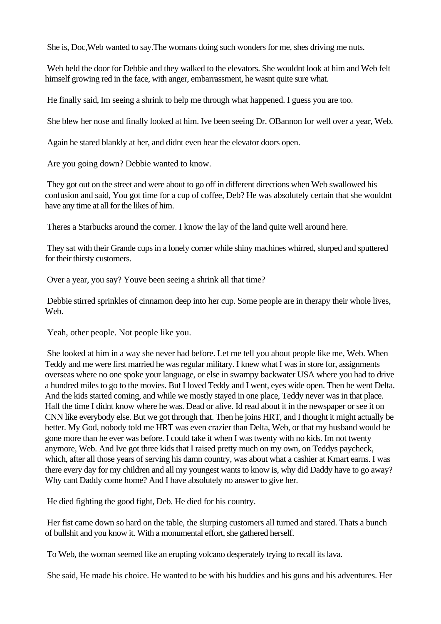She is, Doc,Web wanted to say.The womans doing such wonders for me, shes driving me nuts.

 Web held the door for Debbie and they walked to the elevators. She wouldnt look at him and Web felt himself growing red in the face, with anger, embarrassment, he wasnt quite sure what.

He finally said, Im seeing a shrink to help me through what happened. I guess you are too.

She blew her nose and finally looked at him. Ive been seeing Dr. OBannon for well over a year, Web.

Again he stared blankly at her, and didnt even hear the elevator doors open.

Are you going down? Debbie wanted to know.

 They got out on the street and were about to go off in different directions when Web swallowed his confusion and said, You got time for a cup of coffee, Deb? He was absolutely certain that she wouldnt have any time at all for the likes of him.

Theres a Starbucks around the corner. I know the lay of the land quite well around here.

 They sat with their Grande cups in a lonely corner while shiny machines whirred, slurped and sputtered for their thirsty customers.

Over a year, you say? Youve been seeing a shrink all that time?

 Debbie stirred sprinkles of cinnamon deep into her cup. Some people are in therapy their whole lives, Web.

Yeah, other people. Not people like you.

 She looked at him in a way she never had before. Let me tell you about people like me, Web. When Teddy and me were first married he was regular military. I knew what I was in store for, assignments overseas where no one spoke your language, or else in swampy backwater USA where you had to drive a hundred miles to go to the movies. But I loved Teddy and I went, eyes wide open. Then he went Delta. And the kids started coming, and while we mostly stayed in one place, Teddy never was in that place. Half the time I didnt know where he was. Dead or alive. Id read about it in the newspaper or see it on CNN like everybody else. But we got through that. Then he joins HRT, and I thought it might actually be better. My God, nobody told me HRT was even crazier than Delta, Web, or that my husband would be gone more than he ever was before. I could take it when I was twenty with no kids. Im not twenty anymore, Web. And Ive got three kids that I raised pretty much on my own, on Teddys paycheck, which, after all those years of serving his damn country, was about what a cashier at Kmart earns. I was there every day for my children and all my youngest wants to know is, why did Daddy have to go away? Why cant Daddy come home? And I have absolutely no answer to give her.

He died fighting the good fight, Deb. He died for his country.

 Her fist came down so hard on the table, the slurping customers all turned and stared. Thats a bunch of bullshit and you know it. With a monumental effort, she gathered herself.

To Web, the woman seemed like an erupting volcano desperately trying to recall its lava.

She said, He made his choice. He wanted to be with his buddies and his guns and his adventures. Her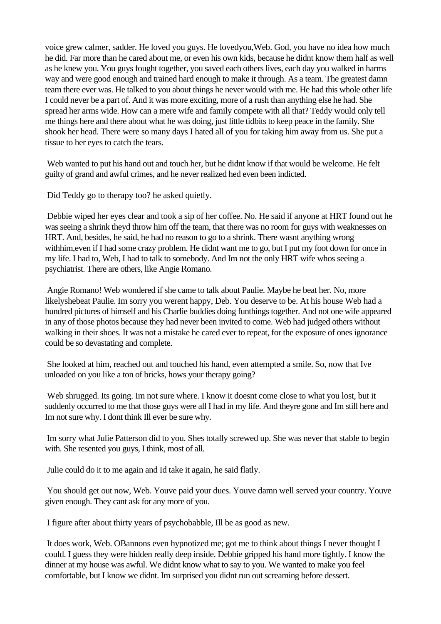voice grew calmer, sadder. He loved you guys. He lovedyou,Web. God, you have no idea how much he did. Far more than he cared about me, or even his own kids, because he didnt know them half as well as he knew you. You guys fought together, you saved each others lives, each day you walked in harms way and were good enough and trained hard enough to make it through. As a team. The greatest damn team there ever was. He talked to you about things he never would with me. He had this whole other life I could never be a part of. And it was more exciting, more of a rush than anything else he had. She spread her arms wide. How can a mere wife and family compete with all that? Teddy would only tell me things here and there about what he was doing, just little tidbits to keep peace in the family. She shook her head. There were so many days I hated all of you for taking him away from us. She put a tissue to her eyes to catch the tears.

 Web wanted to put his hand out and touch her, but he didnt know if that would be welcome. He felt guilty of grand and awful crimes, and he never realized hed even been indicted.

Did Teddy go to therapy too? he asked quietly.

 Debbie wiped her eyes clear and took a sip of her coffee. No. He said if anyone at HRT found out he was seeing a shrink theyd throw him off the team, that there was no room for guys with weaknesses on HRT. And, besides, he said, he had no reason to go to a shrink. There wasnt anything wrong withhim,even if I had some crazy problem. He didnt want me to go, but I put my foot down for once in my life. I had to, Web, I had to talk to somebody. And Im not the only HRT wife whos seeing a psychiatrist. There are others, like Angie Romano.

 Angie Romano! Web wondered if she came to talk about Paulie. Maybe he beat her. No, more likelyshebeat Paulie. Im sorry you werent happy, Deb. You deserve to be. At his house Web had a hundred pictures of himself and his Charlie buddies doing funthings together. And not one wife appeared in any of those photos because they had never been invited to come. Web had judged others without walking in their shoes. It was not a mistake he cared ever to repeat, for the exposure of ones ignorance could be so devastating and complete.

 She looked at him, reached out and touched his hand, even attempted a smile. So, now that Ive unloaded on you like a ton of bricks, hows your therapy going?

Web shrugged. Its going. Im not sure where. I know it doesnt come close to what you lost, but it suddenly occurred to me that those guys were all I had in my life. And theyre gone and Im still here and Im not sure why. I dont think Ill ever be sure why.

 Im sorry what Julie Patterson did to you. Shes totally screwed up. She was never that stable to begin with. She resented you guys, I think, most of all.

Julie could do it to me again and Id take it again, he said flatly.

 You should get out now, Web. Youve paid your dues. Youve damn well served your country. Youve given enough. They cant ask for any more of you.

I figure after about thirty years of psychobabble, Ill be as good as new.

 It does work, Web. OBannons even hypnotized me; got me to think about things I never thought I could. I guess they were hidden really deep inside. Debbie gripped his hand more tightly. I know the dinner at my house was awful. We didnt know what to say to you. We wanted to make you feel comfortable, but I know we didnt. Im surprised you didnt run out screaming before dessert.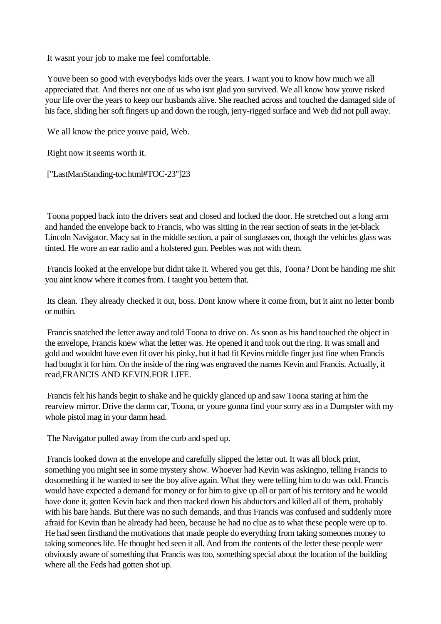It wasnt your job to make me feel comfortable.

 Youve been so good with everybodys kids over the years. I want you to know how much we all appreciated that. And theres not one of us who isnt glad you survived. We all know how youve risked your life over the years to keep our husbands alive. She reached across and touched the damaged side of his face, sliding her soft fingers up and down the rough, jerry-rigged surface and Web did not pull away.

We all know the price youve paid, Web.

Right now it seems worth it.

["LastManStanding-toc.html#TOC-23"]23

 Toona popped back into the drivers seat and closed and locked the door. He stretched out a long arm and handed the envelope back to Francis, who was sitting in the rear section of seats in the jet-black Lincoln Navigator. Macy sat in the middle section, a pair of sunglasses on, though the vehicles glass was tinted. He wore an ear radio and a holstered gun. Peebles was not with them.

 Francis looked at the envelope but didnt take it. Whered you get this, Toona? Dont be handing me shit you aint know where it comes from. I taught you bettern that.

 Its clean. They already checked it out, boss. Dont know where it come from, but it aint no letter bomb or nuthin.

 Francis snatched the letter away and told Toona to drive on. As soon as his hand touched the object in the envelope, Francis knew what the letter was. He opened it and took out the ring. It was small and gold and wouldnt have even fit over his pinky, but it had fit Kevins middle finger just fine when Francis had bought it for him. On the inside of the ring was engraved the names Kevin and Francis. Actually, it read,FRANCIS AND KEVIN.FOR LIFE.

 Francis felt his hands begin to shake and he quickly glanced up and saw Toona staring at him the rearview mirror. Drive the damn car, Toona, or youre gonna find your sorry ass in a Dumpster with my whole pistol mag in your damn head.

The Navigator pulled away from the curb and sped up.

 Francis looked down at the envelope and carefully slipped the letter out. It was all block print, something you might see in some mystery show. Whoever had Kevin was asking no, telling Francis to dosomething if he wanted to see the boy alive again. What they were telling him to do was odd. Francis would have expected a demand for money or for him to give up all or part of his territory and he would have done it, gotten Kevin back and then tracked down his abductors and killed all of them, probably with his bare hands. But there was no such demands, and thus Francis was confused and suddenly more afraid for Kevin than he already had been, because he had no clue as to what these people were up to. He had seen firsthand the motivations that made people do everything from taking someones money to taking someones life. He thought hed seen it all. And from the contents of the letter these people were obviously aware of something that Francis was too, something special about the location of the building where all the Feds had gotten shot up.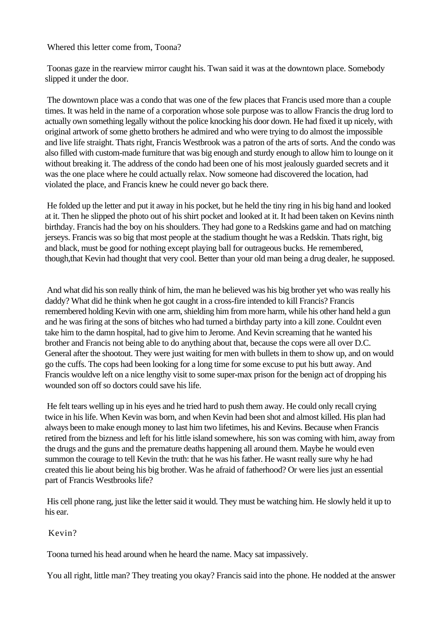Whered this letter come from, Toona?

 Toonas gaze in the rearview mirror caught his. Twan said it was at the downtown place. Somebody slipped it under the door.

 The downtown place was a condo that was one of the few places that Francis used more than a couple times. It was held in the name of a corporation whose sole purpose was to allow Francis the drug lord to actually own something legally without the police knocking his door down. He had fixed it up nicely, with original artwork of some ghetto brothers he admired and who were trying to do almost the impossible and live life straight. Thats right, Francis Westbrook was a patron of the arts of sorts. And the condo was also filled with custom-made furniture that was big enough and sturdy enough to allow him to lounge on it without breaking it. The address of the condo had been one of his most jealously guarded secrets and it was the one place where he could actually relax. Now someone had discovered the location, had violated the place, and Francis knew he could never go back there.

 He folded up the letter and put it away in his pocket, but he held the tiny ring in his big hand and looked at it. Then he slipped the photo out of his shirt pocket and looked at it. It had been taken on Kevins ninth birthday. Francis had the boy on his shoulders. They had gone to a Redskins game and had on matching jerseys. Francis was so big that most people at the stadium thought he was a Redskin. Thats right, big and black, must be good for nothing except playing ball for outrageous bucks. He remembered, though,that Kevin had thought that very cool. Better than your old man being a drug dealer, he supposed.

 And what did his son really think of him, the man he believed was his big brother yet who was really his daddy? What did he think when he got caught in a cross-fire intended to kill Francis? Francis remembered holding Kevin with one arm, shielding him from more harm, while his other hand held a gun and he was firing at the sons of bitches who had turned a birthday party into a kill zone. Couldnt even take him to the damn hospital, had to give him to Jerome. And Kevin screaming that he wanted his brother and Francis not being able to do anything about that, because the cops were all over D.C. General after the shootout. They were just waiting for men with bullets in them to show up, and on would go the cuffs. The cops had been looking for a long time for some excuse to put his butt away. And Francis wouldve left on a nice lengthy visit to some super-max prison for the benign act of dropping his wounded son off so doctors could save his life.

 He felt tears welling up in his eyes and he tried hard to push them away. He could only recall crying twice in his life. When Kevin was born, and when Kevin had been shot and almost killed. His plan had always been to make enough money to last him two lifetimes, his and Kevins. Because when Francis retired from the bizness and left for his little island somewhere, his son was coming with him, away from the drugs and the guns and the premature deaths happening all around them. Maybe he would even summon the courage to tell Kevin the truth: that he was his father. He wasnt really sure why he had created this lie about being his big brother. Was he afraid of fatherhood? Or were lies just an essential part of Francis Westbrooks life?

 His cell phone rang, just like the letter said it would. They must be watching him. He slowly held it up to his ear.

# Kevin?

Toona turned his head around when he heard the name. Macy sat impassively.

You all right, little man? They treating you okay? Francis said into the phone. He nodded at the answer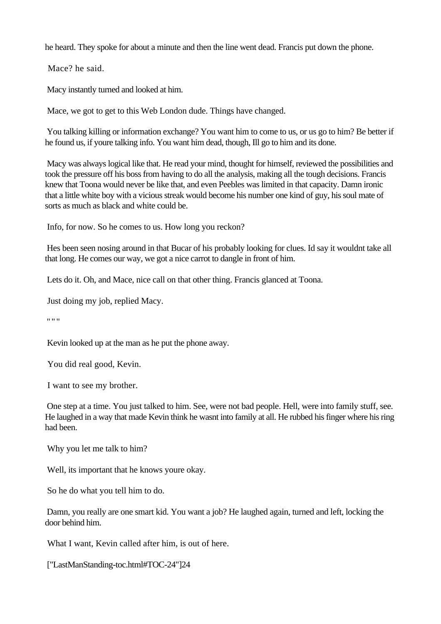he heard. They spoke for about a minute and then the line went dead. Francis put down the phone.

Mace? he said.

Macy instantly turned and looked at him.

Mace, we got to get to this Web London dude. Things have changed.

 You talking killing or information exchange? You want him to come to us, or us go to him? Be better if he found us, if youre talking info. You want him dead, though, Ill go to him and its done.

 Macy was always logical like that. He read your mind, thought for himself, reviewed the possibilities and took the pressure off his boss from having to do all the analysis, making all the tough decisions. Francis knew that Toona would never be like that, and even Peebles was limited in that capacity. Damn ironic that a little white boy with a vicious streak would become his number one kind of guy, his soul mate of sorts as much as black and white could be.

Info, for now. So he comes to us. How long you reckon?

 Hes been seen nosing around in that Bucar of his probably looking for clues. Id say it wouldnt take all that long. He comes our way, we got a nice carrot to dangle in front of him.

Lets do it. Oh, and Mace, nice call on that other thing. Francis glanced at Toona.

Just doing my job, replied Macy.

" " "

Kevin looked up at the man as he put the phone away.

You did real good, Kevin.

I want to see my brother.

 One step at a time. You just talked to him. See, were not bad people. Hell, were into family stuff, see. He laughed in a way that made Kevin think he wasnt into family at all. He rubbed his finger where his ring had been.

Why you let me talk to him?

Well, its important that he knows youre okay.

So he do what you tell him to do.

 Damn, you really are one smart kid. You want a job? He laughed again, turned and left, locking the door behind him.

What I want, Kevin called after him, is out of here.

["LastManStanding-toc.html#TOC-24"]24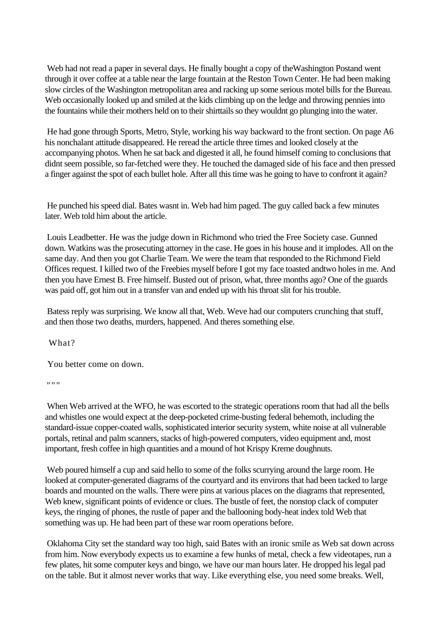Web had not read a paper in several days. He finally bought a copy of theWashington Postand went through it over coffee at a table near the large fountain at the Reston Town Center. He had been making slow circles of the Washington metropolitan area and racking up some serious motel bills for the Bureau. Web occasionally looked up and smiled at the kids climbing up on the ledge and throwing pennies into the fountains while their mothers held on to their shirttails so they wouldnt go plunging into the water.

 He had gone through Sports, Metro, Style, working his way backward to the front section. On page A6 his nonchalant attitude disappeared. He reread the article three times and looked closely at the accompanying photos. When he sat back and digested it all, he found himself coming to conclusions that didnt seem possible, so far-fetched were they. He touched the damaged side of his face and then pressed a finger against the spot of each bullet hole. After all this time was he going to have to confront it again?

 He punched his speed dial. Bates wasnt in. Web had him paged. The guy called back a few minutes later. Web told him about the article.

 Louis Leadbetter. He was the judge down in Richmond who tried the Free Society case. Gunned down. Watkins was the prosecuting attorney in the case. He goes in his house and it implodes. All on the same day. And then you got Charlie Team. We were the team that responded to the Richmond Field Offices request. I killed two of the Freebies myself before I got my face toasted andtwo holes in me. And then you have Ernest B. Free himself. Busted out of prison, what, three months ago? One of the guards was paid off, got him out in a transfer van and ended up with his throat slit for his trouble.

 Batess reply was surprising. We know all that, Web. Weve had our computers crunching that stuff, and then those two deaths, murders, happened. And theres something else.

What?

You better come on down.

" " "

 When Web arrived at the WFO, he was escorted to the strategic operations room that had all the bells and whistles one would expect at the deep-pocketed crime-busting federal behemoth, including the standard-issue copper-coated walls, sophisticated interior security system, white noise at all vulnerable portals, retinal and palm scanners, stacks of high-powered computers, video equipment and, most important, fresh coffee in high quantities and a mound of hot Krispy Kreme doughnuts.

 Web poured himself a cup and said hello to some of the folks scurrying around the large room. He looked at computer-generated diagrams of the courtyard and its environs that had been tacked to large boards and mounted on the walls. There were pins at various places on the diagrams that represented, Web knew, significant points of evidence or clues. The bustle of feet, the nonstop clack of computer keys, the ringing of phones, the rustle of paper and the ballooning body-heat index told Web that something was up. He had been part of these war room operations before.

 Oklahoma City set the standard way too high, said Bates with an ironic smile as Web sat down across from him. Now everybody expects us to examine a few hunks of metal, check a few videotapes, run a few plates, hit some computer keys and bingo, we have our man hours later. He dropped his legal pad on the table. But it almost never works that way. Like everything else, you need some breaks. Well,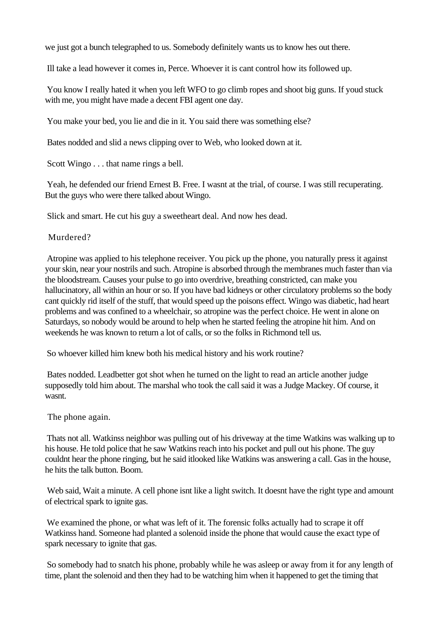we just got a bunch telegraphed to us. Somebody definitely wants us to know hes out there.

Ill take a lead however it comes in, Perce. Whoever it is cant control how its followed up.

 You know I really hated it when you left WFO to go climb ropes and shoot big guns. If youd stuck with me, you might have made a decent FBI agent one day.

You make your bed, you lie and die in it. You said there was something else?

Bates nodded and slid a news clipping over to Web, who looked down at it.

Scott Wingo . . . that name rings a bell.

Yeah, he defended our friend Ernest B. Free. I wasnt at the trial, of course. I was still recuperating. But the guys who were there talked about Wingo.

Slick and smart. He cut his guy a sweetheart deal. And now hes dead.

Murdered?

 Atropine was applied to his telephone receiver. You pick up the phone, you naturally press it against your skin, near your nostrils and such. Atropine is absorbed through the membranes much faster than via the bloodstream. Causes your pulse to go into overdrive, breathing constricted, can make you hallucinatory, all within an hour or so. If you have bad kidneys or other circulatory problems so the body cant quickly rid itself of the stuff, that would speed up the poisons effect. Wingo was diabetic, had heart problems and was confined to a wheelchair, so atropine was the perfect choice. He went in alone on Saturdays, so nobody would be around to help when he started feeling the atropine hit him. And on weekends he was known to return a lot of calls, or so the folks in Richmond tell us.

So whoever killed him knew both his medical history and his work routine?

 Bates nodded. Leadbetter got shot when he turned on the light to read an article another judge supposedly told him about. The marshal who took the call said it was a Judge Mackey. Of course, it wasnt.

#### The phone again.

 Thats not all. Watkinss neighbor was pulling out of his driveway at the time Watkins was walking up to his house. He told police that he saw Watkins reach into his pocket and pull out his phone. The guy couldnt hear the phone ringing, but he said itlooked like Watkins was answering a call. Gas in the house, he hits the talk button. Boom.

Web said, Wait a minute. A cell phone isnt like a light switch. It doesnt have the right type and amount of electrical spark to ignite gas.

 We examined the phone, or what was left of it. The forensic folks actually had to scrape it off Watkinss hand. Someone had planted a solenoid inside the phone that would cause the exact type of spark necessary to ignite that gas.

 So somebody had to snatch his phone, probably while he was asleep or away from it for any length of time, plant the solenoid and then they had to be watching him when it happened to get the timing that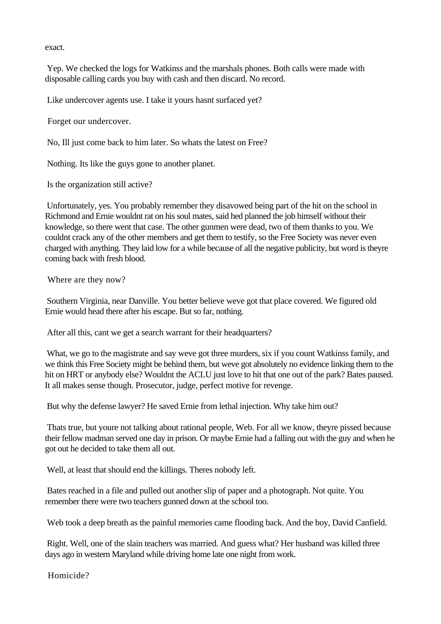exact.

 Yep. We checked the logs for Watkinss and the marshals phones. Both calls were made with disposable calling cards you buy with cash and then discard. No record.

Like undercover agents use. I take it yours hasnt surfaced yet?

Forget our undercover.

No, Ill just come back to him later. So whats the latest on Free?

Nothing. Its like the guys gone to another planet.

Is the organization still active?

 Unfortunately, yes. You probably remember they disavowed being part of the hit on the school in Richmond and Ernie wouldnt rat on his soul mates, said hed planned the job himself without their knowledge, so there went that case. The other gunmen were dead, two of them thanks to you. We couldnt crack any of the other members and get them to testify, so the Free Society was never even charged with anything. They laid low for a while because of all the negative publicity, but word is theyre coming back with fresh blood.

Where are they now?

 Southern Virginia, near Danville. You better believe weve got that place covered. We figured old Ernie would head there after his escape. But so far, nothing.

After all this, cant we get a search warrant for their headquarters?

 What, we go to the magistrate and say weve got three murders, six if you count Watkinss family, and we think this Free Society might be behind them, but weve got absolutely no evidence linking them to the hit on HRT or anybody else? Wouldnt the ACLU just love to hit that one out of the park? Bates paused. It all makes sense though. Prosecutor, judge, perfect motive for revenge.

But why the defense lawyer? He saved Ernie from lethal injection. Why take him out?

 Thats true, but youre not talking about rational people, Web. For all we know, theyre pissed because their fellow madman served one day in prison. Or maybe Ernie had a falling out with the guy and when he got out he decided to take them all out.

Well, at least that should end the killings. Theres nobody left.

 Bates reached in a file and pulled out another slip of paper and a photograph. Not quite. You remember there were two teachers gunned down at the school too.

Web took a deep breath as the painful memories came flooding back. And the boy, David Canfield.

 Right. Well, one of the slain teachers was married. And guess what? Her husband was killed three days ago in western Maryland while driving home late one night from work.

Homicide?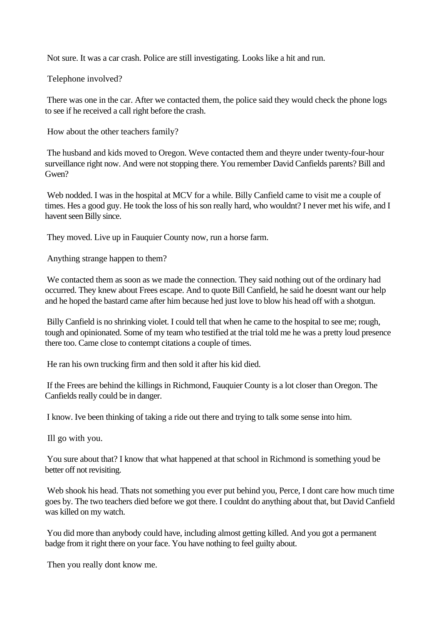Not sure. It was a car crash. Police are still investigating. Looks like a hit and run.

Telephone involved?

 There was one in the car. After we contacted them, the police said they would check the phone logs to see if he received a call right before the crash.

How about the other teachers family?

 The husband and kids moved to Oregon. Weve contacted them and theyre under twenty-four-hour surveillance right now. And were not stopping there. You remember David Canfields parents? Bill and Gwen?

 Web nodded. I was in the hospital at MCV for a while. Billy Canfield came to visit me a couple of times. Hes a good guy. He took the loss of his son really hard, who wouldnt? I never met his wife, and I havent seen Billy since.

They moved. Live up in Fauquier County now, run a horse farm.

Anything strange happen to them?

 We contacted them as soon as we made the connection. They said nothing out of the ordinary had occurred. They knew about Frees escape. And to quote Bill Canfield, he said he doesnt want our help and he hoped the bastard came after him because hed just love to blow his head off with a shotgun.

 Billy Canfield is no shrinking violet. I could tell that when he came to the hospital to see me; rough, tough and opinionated. Some of my team who testified at the trial told me he was a pretty loud presence there too. Came close to contempt citations a couple of times.

He ran his own trucking firm and then sold it after his kid died.

 If the Frees are behind the killings in Richmond, Fauquier County is a lot closer than Oregon. The Canfields really could be in danger.

I know. Ive been thinking of taking a ride out there and trying to talk some sense into him.

Ill go with you.

 You sure about that? I know that what happened at that school in Richmond is something youd be better off not revisiting.

 Web shook his head. Thats not something you ever put behind you, Perce, I dont care how much time goes by. The two teachers died before we got there. I couldnt do anything about that, but David Canfield was killed on my watch.

 You did more than anybody could have, including almost getting killed. And you got a permanent badge from it right there on your face. You have nothing to feel guilty about.

Then you really dont know me.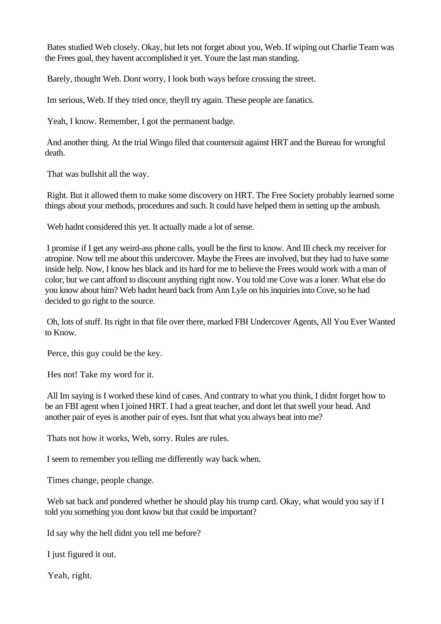Bates studied Web closely. Okay, but lets not forget about you, Web. If wiping out Charlie Team was the Frees goal, they havent accomplished it yet. Youre the last man standing.

Barely, thought Web. Dont worry, I look both ways before crossing the street.

Im serious, Web. If they tried once, theyll try again. These people are fanatics.

Yeah, I know. Remember, I got the permanent badge.

 And another thing. At the trial Wingo filed that countersuit against HRT and the Bureau for wrongful death.

That was bullshit all the way.

 Right. But it allowed them to make some discovery on HRT. The Free Society probably learned some things about your methods, procedures and such. It could have helped them in setting up the ambush.

Web hadnt considered this yet. It actually made a lot of sense.

 I promise if I get any weird-ass phone calls, youll be the first to know. And Ill check my receiver for atropine. Now tell me about this undercover. Maybe the Frees are involved, but they had to have some inside help. Now, I know hes black and its hard for me to believe the Frees would work with a man of color, but we cant afford to discount anything right now. You told me Cove was a loner. What else do you know about him? Web hadnt heard back from Ann Lyle on his inquiries into Cove, so he had decided to go right to the source.

 Oh, lots of stuff. Its right in that file over there, marked FBI Undercover Agents, All You Ever Wanted to Know.

Perce, this guy could be the key.

Hes not! Take my word for it.

 All Im saying is I worked these kind of cases. And contrary to what you think, I didnt forget how to be an FBI agent when I joined HRT. I had a great teacher, and dont let that swell your head. And another pair of eyes is another pair of eyes. Isnt that what you always beat into me?

Thats not how it works, Web, sorry. Rules are rules.

I seem to remember you telling me differently way back when.

Times change, people change.

Web sat back and pondered whether he should play his trump card. Okay, what would you say if I told you something you dont know but that could be important?

Id say why the hell didnt you tell me before?

I just figured it out.

Yeah, right.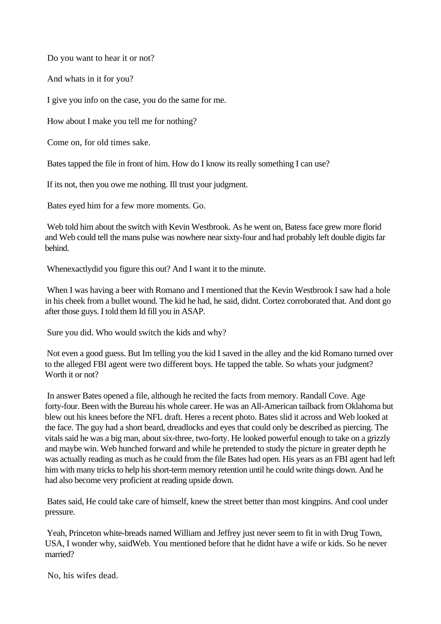Do you want to hear it or not?

And whats in it for you?

I give you info on the case, you do the same for me.

How about I make you tell me for nothing?

Come on, for old times sake.

Bates tapped the file in front of him. How do I know its really something I can use?

If its not, then you owe me nothing. Ill trust your judgment.

Bates eyed him for a few more moments. Go.

 Web told him about the switch with Kevin Westbrook. As he went on, Batess face grew more florid and Web could tell the mans pulse was nowhere near sixty-four and had probably left double digits far behind.

Whenexactlydid you figure this out? And I want it to the minute.

When I was having a beer with Romano and I mentioned that the Kevin Westbrook I saw had a hole in his cheek from a bullet wound. The kid he had, he said, didnt. Cortez corroborated that. And dont go after those guys. I told them Id fill you in ASAP.

Sure you did. Who would switch the kids and why?

 Not even a good guess. But Im telling you the kid I saved in the alley and the kid Romano turned over to the alleged FBI agent were two different boys. He tapped the table. So whats your judgment? Worth it or not?

 In answer Bates opened a file, although he recited the facts from memory. Randall Cove. Age forty-four. Been with the Bureau his whole career. He was an All-American tailback from Oklahoma but blew out his knees before the NFL draft. Heres a recent photo. Bates slid it across and Web looked at the face. The guy had a short beard, dreadlocks and eyes that could only be described as piercing. The vitals said he was a big man, about six-three, two-forty. He looked powerful enough to take on a grizzly and maybe win. Web hunched forward and while he pretended to study the picture in greater depth he was actually reading as much as he could from the file Bates had open. His years as an FBI agent had left him with many tricks to help his short-term memory retention until he could write things down. And he had also become very proficient at reading upside down.

 Bates said, He could take care of himself, knew the street better than most kingpins. And cool under pressure.

 Yeah, Princeton white-breads named William and Jeffrey just never seem to fit in with Drug Town, USA, I wonder why, saidWeb. You mentioned before that he didnt have a wife or kids. So he never married?

No, his wifes dead.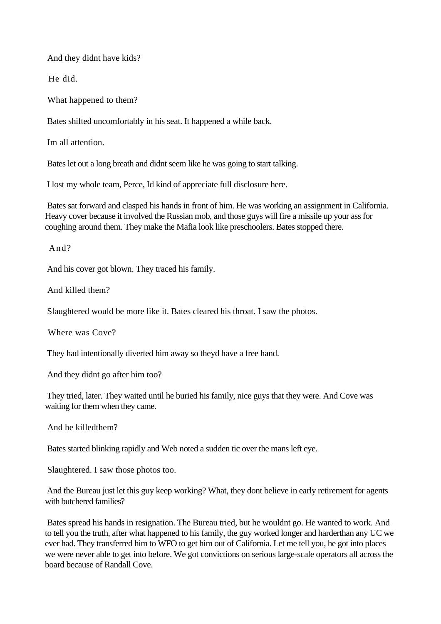And they didnt have kids?

He did.

What happened to them?

Bates shifted uncomfortably in his seat. It happened a while back.

Im all attention.

Bates let out a long breath and didnt seem like he was going to start talking.

I lost my whole team, Perce, Id kind of appreciate full disclosure here.

 Bates sat forward and clasped his hands in front of him. He was working an assignment in California. Heavy cover because it involved the Russian mob, and those guys will fire a missile up your ass for coughing around them. They make the Mafia look like preschoolers. Bates stopped there.

And?

And his cover got blown. They traced his family.

And killed them?

Slaughtered would be more like it. Bates cleared his throat. I saw the photos.

Where was Cove?

They had intentionally diverted him away so theyd have a free hand.

And they didnt go after him too?

 They tried, later. They waited until he buried his family, nice guys that they were. And Cove was waiting for them when they came.

And he killedthem?

Bates started blinking rapidly and Web noted a sudden tic over the mans left eye.

Slaughtered. I saw those photos too.

 And the Bureau just let this guy keep working? What, they dont believe in early retirement for agents with butchered families?

 Bates spread his hands in resignation. The Bureau tried, but he wouldnt go. He wanted to work. And to tell you the truth, after what happened to his family, the guy worked longer and harderthan any UC we ever had. They transferred him to WFO to get him out of California. Let me tell you, he got into places we were never able to get into before. We got convictions on serious large-scale operators all across the board because of Randall Cove.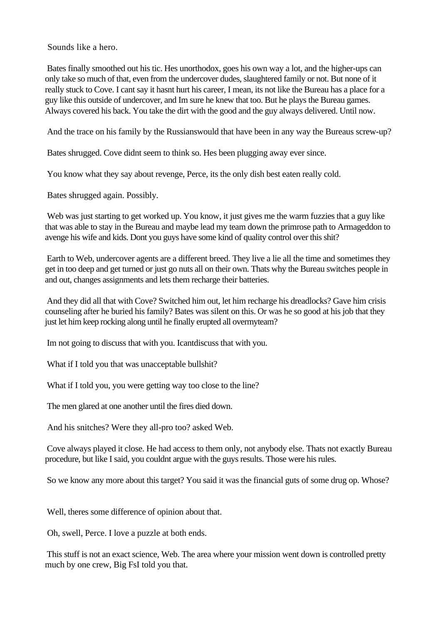Sounds like a hero.

 Bates finally smoothed out his tic. Hes unorthodox, goes his own way a lot, and the higher-ups can only take so much of that, even from the undercover dudes, slaughtered family or not. But none of it really stuck to Cove. I cant say it hasnt hurt his career, I mean, its not like the Bureau has a place for a guy like this outside of undercover, and Im sure he knew that too. But he plays the Bureau games. Always covered his back. You take the dirt with the good and the guy always delivered. Until now.

And the trace on his family by the Russians would that have been in any way the Bureaus screw-up?

Bates shrugged. Cove didnt seem to think so. Hes been plugging away ever since.

You know what they say about revenge, Perce, its the only dish best eaten really cold.

Bates shrugged again. Possibly.

Web was just starting to get worked up. You know, it just gives me the warm fuzzies that a guy like that was able to stay in the Bureau and maybe lead my team down the primrose path to Armageddon to avenge his wife and kids. Dont you guys have some kind of quality control over this shit?

 Earth to Web, undercover agents are a different breed. They live a lie all the time and sometimes they get in too deep and get turned or just go nuts all on their own. Thats why the Bureau switches people in and out, changes assignments and lets them recharge their batteries.

 And they did all that with Cove? Switched him out, let him recharge his dreadlocks? Gave him crisis counseling after he buried his family? Bates was silent on this. Or was he so good at his job that they just let him keep rocking along until he finally erupted all overmyteam?

Im not going to discuss that with you. Icantdiscuss that with you.

What if I told you that was unacceptable bullshit?

What if I told you, you were getting way too close to the line?

The men glared at one another until the fires died down.

And his snitches? Were they all-pro too? asked Web.

 Cove always played it close. He had access to them only, not anybody else. Thats not exactly Bureau procedure, but like I said, you couldnt argue with the guys results. Those were his rules.

So we know any more about this target? You said it was the financial guts of some drug op. Whose?

Well, theres some difference of opinion about that.

Oh, swell, Perce. I love a puzzle at both ends.

 This stuff is not an exact science, Web. The area where your mission went down is controlled pretty much by one crew, Big Fs I told you that.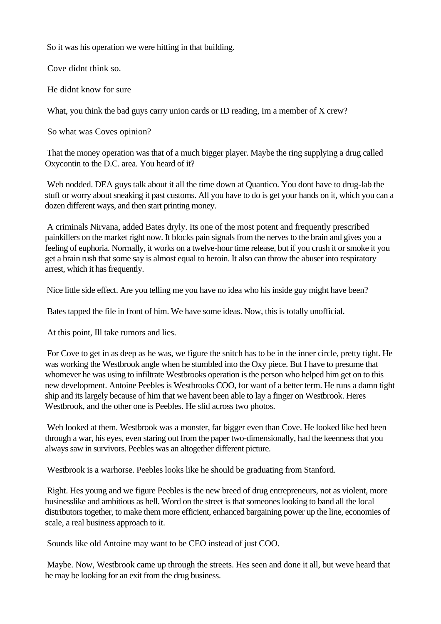So it was his operation we were hitting in that building.

Cove didnt think so.

He didnt know for sure

What, you think the bad guys carry union cards or ID reading. Im a member of X crew?

So what was Coves opinion?

 That the money operation was that of a much bigger player. Maybe the ring supplying a drug called Oxycontin to the D.C. area. You heard of it?

 Web nodded. DEA guys talk about it all the time down at Quantico. You dont have to drug-lab the stuff or worry about sneaking it past customs. All you have to do is get your hands on it, which you can a dozen different ways, and then start printing money.

 A criminals Nirvana, added Bates dryly. Its one of the most potent and frequently prescribed painkillers on the market right now. It blocks pain signals from the nerves to the brain and gives you a feeling of euphoria. Normally, it works on a twelve-hour time release, but if you crush it or smoke it you get a brain rush that some say is almost equal to heroin. It also can throw the abuser into respiratory arrest, which it has frequently.

Nice little side effect. Are you telling me you have no idea who his inside guy might have been?

Bates tapped the file in front of him. We have some ideas. Now, this is totally unofficial.

At this point, Ill take rumors and lies.

 For Cove to get in as deep as he was, we figure the snitch has to be in the inner circle, pretty tight. He was working the Westbrook angle when he stumbled into the Oxy piece. But I have to presume that whomever he was using to infiltrate Westbrooks operation is the person who helped him get on to this new development. Antoine Peebles is Westbrooks COO, for want of a better term. He runs a damn tight ship and its largely because of him that we havent been able to lay a finger on Westbrook. Heres Westbrook, and the other one is Peebles. He slid across two photos.

 Web looked at them. Westbrook was a monster, far bigger even than Cove. He looked like hed been through a war, his eyes, even staring out from the paper two-dimensionally, had the keenness that you always saw in survivors. Peebles was an altogether different picture.

Westbrook is a warhorse. Peebles looks like he should be graduating from Stanford.

 Right. Hes young and we figure Peebles is the new breed of drug entrepreneurs, not as violent, more businesslike and ambitious as hell. Word on the street is that someones looking to band all the local distributors together, to make them more efficient, enhanced bargaining power up the line, economies of scale, a real business approach to it.

Sounds like old Antoine may want to be CEO instead of just COO.

 Maybe. Now, Westbrook came up through the streets. Hes seen and done it all, but weve heard that he may be looking for an exit from the drug business.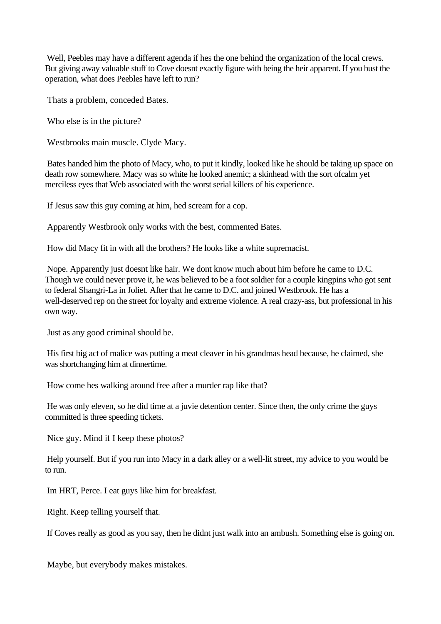Well, Peebles may have a different agenda if hes the one behind the organization of the local crews. But giving away valuable stuff to Cove doesnt exactly figure with being the heir apparent. If you bust the operation, what does Peebles have left to run?

Thats a problem, conceded Bates.

Who else is in the picture?

Westbrooks main muscle. Clyde Macy.

 Bates handed him the photo of Macy, who, to put it kindly, looked like he should be taking up space on death row somewhere. Macy was so white he looked anemic; a skinhead with the sort ofcalm yet merciless eyes that Web associated with the worst serial killers of his experience.

If Jesus saw this guy coming at him, hed scream for a cop.

Apparently Westbrook only works with the best, commented Bates.

How did Macy fit in with all the brothers? He looks like a white supremacist.

 Nope. Apparently just doesnt like hair. We dont know much about him before he came to D.C. Though we could never prove it, he was believed to be a foot soldier for a couple kingpins who got sent to federal Shangri-La in Joliet. After that he came to D.C. and joined Westbrook. He has a well-deserved rep on the street for loyalty and extreme violence. A real crazy-ass, but professional in his own way.

Just as any good criminal should be.

 His first big act of malice was putting a meat cleaver in his grandmas head because, he claimed, she was shortchanging him at dinnertime.

How come hes walking around free after a murder rap like that?

 He was only eleven, so he did time at a juvie detention center. Since then, the only crime the guys committed is three speeding tickets.

Nice guy. Mind if I keep these photos?

 Help yourself. But if you run into Macy in a dark alley or a well-lit street, my advice to you would be to run.

Im HRT, Perce. I eat guys like him for breakfast.

Right. Keep telling yourself that.

If Coves really as good as you say, then he didnt just walk into an ambush. Something else is going on.

Maybe, but everybody makes mistakes.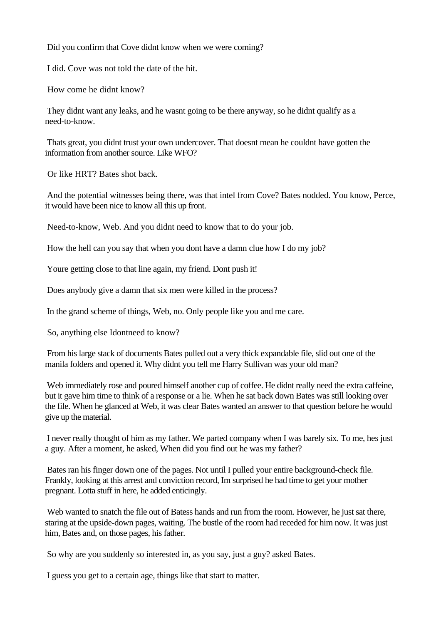Did you confirm that Cove didnt know when we were coming?

I did. Cove was not told the date of the hit.

How come he didnt know?

 They didnt want any leaks, and he wasnt going to be there anyway, so he didnt qualify as a need-to-know.

 Thats great, you didnt trust your own undercover. That doesnt mean he couldnt have gotten the information from another source. Like WFO?

Or like HRT? Bates shot back.

 And the potential witnesses being there, was that intel from Cove? Bates nodded. You know, Perce, it would have been nice to know all this up front.

Need-to-know, Web. And you didnt need to know that to do your job.

How the hell can you say that when you dont have a damn clue how I do my job?

Youre getting close to that line again, my friend. Dont push it!

Does anybody give a damn that six men were killed in the process?

In the grand scheme of things, Web, no. Only people like you and me care.

So, anything else Idontneed to know?

 From his large stack of documents Bates pulled out a very thick expandable file, slid out one of the manila folders and opened it. Why didnt you tell me Harry Sullivan was your old man?

 Web immediately rose and poured himself another cup of coffee. He didnt really need the extra caffeine, but it gave him time to think of a response or a lie. When he sat back down Bates was still looking over the file. When he glanced at Web, it was clear Bates wanted an answer to that question before he would give up the material.

 I never really thought of him as my father. We parted company when I was barely six. To me, hes just a guy. After a moment, he asked, When did you find out he was my father?

 Bates ran his finger down one of the pages. Not until I pulled your entire background-check file. Frankly, looking at this arrest and conviction record, Im surprised he had time to get your mother pregnant. Lotta stuff in here, he added enticingly.

 Web wanted to snatch the file out of Batess hands and run from the room. However, he just sat there, staring at the upside-down pages, waiting. The bustle of the room had receded for him now. It was just him, Bates and, on those pages, his father.

So why are you suddenly so interested in, as you say, just a guy? asked Bates.

I guess you get to a certain age, things like that start to matter.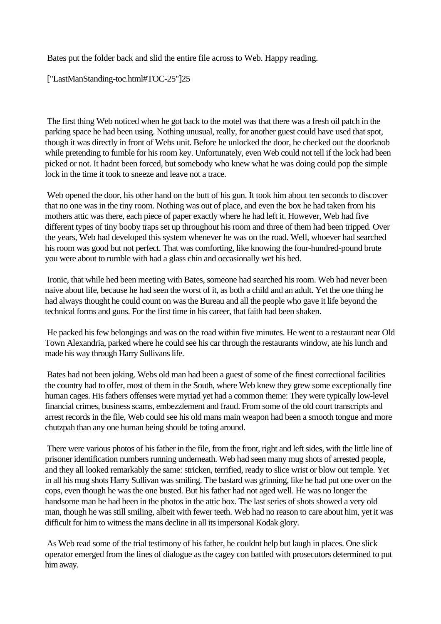Bates put the folder back and slid the entire file across to Web. Happy reading.

["LastManStanding-toc.html#TOC-25"]25

 The first thing Web noticed when he got back to the motel was that there was a fresh oil patch in the parking space he had been using. Nothing unusual, really, for another guest could have used that spot, though it was directly in front of Webs unit. Before he unlocked the door, he checked out the doorknob while pretending to fumble for his room key. Unfortunately, even Web could not tell if the lock had been picked or not. It hadnt been forced, but somebody who knew what he was doing could pop the simple lock in the time it took to sneeze and leave not a trace.

Web opened the door, his other hand on the butt of his gun. It took him about ten seconds to discover that no one was in the tiny room. Nothing was out of place, and even the box he had taken from his mothers attic was there, each piece of paper exactly where he had left it. However, Web had five different types of tiny booby traps set up throughout his room and three of them had been tripped. Over the years, Web had developed this system whenever he was on the road. Well, whoever had searched his room was good but not perfect. That was comforting, like knowing the four-hundred-pound brute you were about to rumble with had a glass chin and occasionally wet his bed.

 Ironic, that while hed been meeting with Bates, someone had searched his room. Web had never been naive about life, because he had seen the worst of it, as both a child and an adult. Yet the one thing he had always thought he could count on was the Bureau and all the people who gave it life beyond the technical forms and guns. For the first time in his career, that faith had been shaken.

 He packed his few belongings and was on the road within five minutes. He went to a restaurant near Old Town Alexandria, parked where he could see his car through the restaurants window, ate his lunch and made his way through Harry Sullivans life.

 Bates had not been joking. Webs old man had been a guest of some of the finest correctional facilities the country had to offer, most of them in the South, where Web knew they grew some exceptionally fine human cages. His fathers offenses were myriad yet had a common theme: They were typically low-level financial crimes, business scams, embezzlement and fraud. From some of the old court transcripts and arrest records in the file, Web could see his old mans main weapon had been a smooth tongue and more chutzpah than any one human being should be toting around.

 There were various photos of his father in the file, from the front, right and left sides, with the little line of prisoner identification numbers running underneath. Web had seen many mug shots of arrested people, and they all looked remarkably the same: stricken, terrified, ready to slice wrist or blow out temple. Yet in all his mug shots Harry Sullivan was smiling. The bastard was grinning, like he had put one over on the cops, even though he was the one busted. But his father had not aged well. He was no longer the handsome man he had been in the photos in the attic box. The last series of shots showed a very old man, though he was still smiling, albeit with fewer teeth. Web had no reason to care about him, yet it was difficult for him to witness the mans decline in all its impersonal Kodak glory.

 As Web read some of the trial testimony of his father, he couldnt help but laugh in places. One slick operator emerged from the lines of dialogue as the cagey con battled with prosecutors determined to put him away.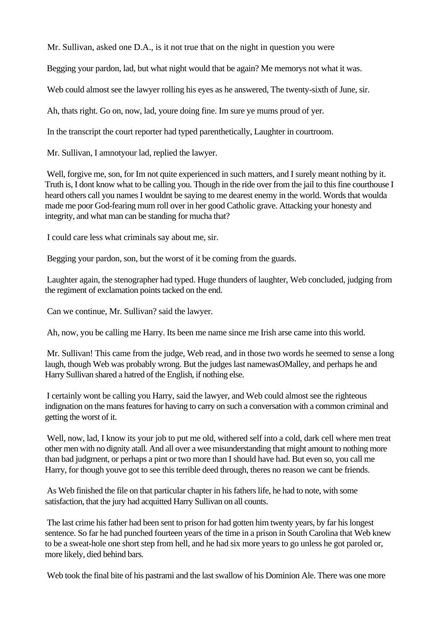Mr. Sullivan, asked one D.A., is it not true that on the night in question you were

Begging your pardon, lad, but what night would that be again? Me memorys not what it was.

Web could almost see the lawyer rolling his eyes as he answered. The twenty-sixth of June, sir.

Ah, thats right. Go on, now, lad, youre doing fine. Im sure ye mums proud of yer.

In the transcript the court reporter had typed parenthetically, Laughter in courtroom.

Mr. Sullivan, I amnotyour lad, replied the lawyer.

Well, forgive me, son, for Im not quite experienced in such matters, and I surely meant nothing by it. Truth is, I dont know what to be calling you. Though in the ride over from the jail to this fine courthouse I heard others call you names I wouldnt be saying to me dearest enemy in the world. Words that woulda made me poor God-fearing mum roll over in her good Catholic grave. Attacking your honesty and integrity, and what man can be standing for mucha that?

I could care less what criminals say about me, sir.

Begging your pardon, son, but the worst of it be coming from the guards.

 Laughter again, the stenographer had typed. Huge thunders of laughter, Web concluded, judging from the regiment of exclamation points tacked on the end.

Can we continue, Mr. Sullivan? said the lawyer.

Ah, now, you be calling me Harry. Its been me name since me Irish arse came into this world.

 Mr. Sullivan! This came from the judge, Web read, and in those two words he seemed to sense a long laugh, though Web was probably wrong. But the judges last namewasOMalley, and perhaps he and Harry Sullivan shared a hatred of the English, if nothing else.

 I certainly wont be calling you Harry, said the lawyer, and Web could almost see the righteous indignation on the mans features for having to carry on such a conversation with a common criminal and getting the worst of it.

 Well, now, lad, I know its your job to put me old, withered self into a cold, dark cell where men treat other men with no dignity atall. And all over a wee misunderstanding that might amount to nothing more than bad judgment, or perhaps a pint or two more than I should have had. But even so, you call me Harry, for though youve got to see this terrible deed through, theres no reason we cant be friends.

 As Web finished the file on that particular chapter in his fathers life, he had to note, with some satisfaction, that the jury had acquitted Harry Sullivan on all counts.

 The last crime his father had been sent to prison for had gotten him twenty years, by far his longest sentence. So far he had punched fourteen years of the time in a prison in South Carolina that Web knew to be a sweat-hole one short step from hell, and he had six more years to go unless he got paroled or, more likely, died behind bars.

Web took the final bite of his pastrami and the last swallow of his Dominion Ale. There was one more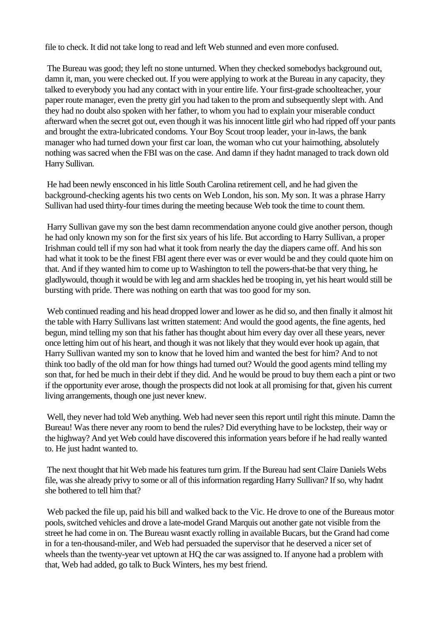file to check. It did not take long to read and left Web stunned and even more confused.

 The Bureau was good; they left no stone unturned. When they checked somebodys background out, damn it, man, you were checked out. If you were applying to work at the Bureau in any capacity, they talked to everybody you had any contact with in your entire life. Your first-grade schoolteacher, your paper route manager, even the pretty girl you had taken to the prom and subsequently slept with. And they had no doubt also spoken with her father, to whom you had to explain your miserable conduct afterward when the secret got out, even though it was his innocent little girl who had ripped off your pants and brought the extra-lubricated condoms. Your Boy Scout troop leader, your in-laws, the bank manager who had turned down your first car loan, the woman who cut your hair nothing, absolutely nothing was sacred when the FBI was on the case. And damn if they hadnt managed to track down old Harry Sullivan.

 He had been newly ensconced in his little South Carolina retirement cell, and he had given the background-checking agents his two cents on Web London, his son. My son. It was a phrase Harry Sullivan had used thirty-four times during the meeting because Web took the time to count them.

 Harry Sullivan gave my son the best damn recommendation anyone could give another person, though he had only known my son for the first six years of his life. But according to Harry Sullivan, a proper Irishman could tell if my son had what it took from nearly the day the diapers came off. And his son had what it took to be the finest FBI agent there ever was or ever would be and they could quote him on that. And if they wanted him to come up to Washington to tell the powers-that-be that very thing, he gladlywould, though it would be with leg and arm shackles hed be trooping in, yet his heart would still be bursting with pride. There was nothing on earth that was too good for my son.

 Web continued reading and his head dropped lower and lower as he did so, and then finally it almost hit the table with Harry Sullivans last written statement: And would the good agents, the fine agents, hed begun, mind telling my son that his father has thought about him every day over all these years, never once letting him out of his heart, and though it was not likely that they would ever hook up again, that Harry Sullivan wanted my son to know that he loved him and wanted the best for him? And to not think too badly of the old man for how things had turned out? Would the good agents mind telling my son that, for hed be much in their debt if they did. And he would be proud to buy them each a pint or two if the opportunity ever arose, though the prospects did not look at all promising for that, given his current living arrangements, though one just never knew.

 Well, they never had told Web anything. Web had never seen this report until right this minute. Damn the Bureau! Was there never any room to bend the rules? Did everything have to be lockstep, their way or the highway? And yet Web could have discovered this information years before if he had really wanted to. He just hadnt wanted to.

 The next thought that hit Web made his features turn grim. If the Bureau had sent Claire Daniels Webs file, was she already privy to some or all of this information regarding Harry Sullivan? If so, why hadnt she bothered to tell him that?

 Web packed the file up, paid his bill and walked back to the Vic. He drove to one of the Bureaus motor pools, switched vehicles and drove a late-model Grand Marquis out another gate not visible from the street he had come in on. The Bureau wasnt exactly rolling in available Bucars, but the Grand had come in for a ten-thousand-miler, and Web had persuaded the supervisor that he deserved a nicer set of wheels than the twenty-year vet uptown at HQ the car was assigned to. If anyone had a problem with that, Web had added, go talk to Buck Winters, hes my best friend.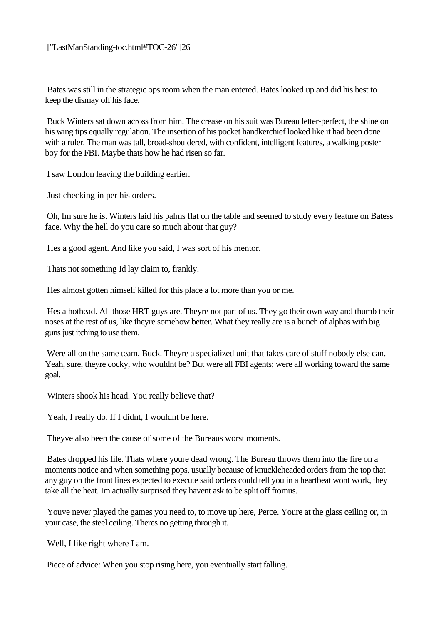### ["LastManStanding-toc.html#TOC-26"]26

 Bates was still in the strategic ops room when the man entered. Bates looked up and did his best to keep the dismay off his face.

 Buck Winters sat down across from him. The crease on his suit was Bureau letter-perfect, the shine on his wing tips equally regulation. The insertion of his pocket handkerchief looked like it had been done with a ruler. The man was tall, broad-shouldered, with confident, intelligent features, a walking poster boy for the FBI. Maybe thats how he had risen so far.

I saw London leaving the building earlier.

Just checking in per his orders.

 Oh, Im sure he is. Winters laid his palms flat on the table and seemed to study every feature on Batess face. Why the hell do you care so much about that guy?

Hes a good agent. And like you said, I was sort of his mentor.

Thats not something Id lay claim to, frankly.

Hes almost gotten himself killed for this place a lot more than you or me.

 Hes a hothead. All those HRT guys are. Theyre not part of us. They go their own way and thumb their noses at the rest of us, like theyre somehow better. What they really are is a bunch of alphas with big guns just itching to use them.

 Were all on the same team, Buck. Theyre a specialized unit that takes care of stuff nobody else can. Yeah, sure, theyre cocky, who wouldnt be? But were all FBI agents; were all working toward the same goal.

Winters shook his head. You really believe that?

Yeah, I really do. If I didnt, I wouldnt be here.

Theyve also been the cause of some of the Bureaus worst moments.

 Bates dropped his file. Thats where youre dead wrong. The Bureau throws them into the fire on a moments notice and when something pops, usually because of knuckleheaded orders from the top that any guy on the front lines expected to execute said orders could tell you in a heartbeat wont work, they take all the heat. Im actually surprised they havent ask to be split off fromus.

 Youve never played the games you need to, to move up here, Perce. Youre at the glass ceiling or, in your case, the steel ceiling. Theres no getting through it.

Well, I like right where I am.

Piece of advice: When you stop rising here, you eventually start falling.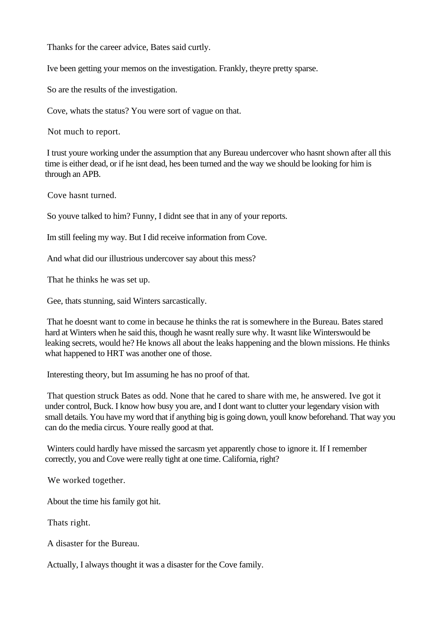Thanks for the career advice, Bates said curtly.

Ive been getting your memos on the investigation. Frankly, theyre pretty sparse.

So are the results of the investigation.

Cove, whats the status? You were sort of vague on that.

Not much to report.

 I trust youre working under the assumption that any Bureau undercover who hasnt shown after all this time is either dead, or if he isnt dead, hes been turned and the way we should be looking for him is through an APB.

Cove hasnt turned.

So youve talked to him? Funny, I didnt see that in any of your reports.

Im still feeling my way. But I did receive information from Cove.

And what did our illustrious undercover say about this mess?

That he thinks he was set up.

Gee, thats stunning, said Winters sarcastically.

 That he doesnt want to come in because he thinks the rat is somewhere in the Bureau. Bates stared hard at Winters when he said this, though he wasnt really sure why. It wasnt like Winterswould be leaking secrets, would he? He knows all about the leaks happening and the blown missions. He thinks what happened to HRT was another one of those.

Interesting theory, but Im assuming he has no proof of that.

 That question struck Bates as odd. None that he cared to share with me, he answered. Ive got it under control, Buck. I know how busy you are, and I dont want to clutter your legendary vision with small details. You have my word that if anything big is going down, youll know beforehand. That way you can do the media circus. Youre really good at that.

 Winters could hardly have missed the sarcasm yet apparently chose to ignore it. If I remember correctly, you and Cove were really tight at one time. California, right?

We worked together.

About the time his family got hit.

Thats right.

A disaster for the Bureau.

Actually, I always thought it was a disaster for the Cove family.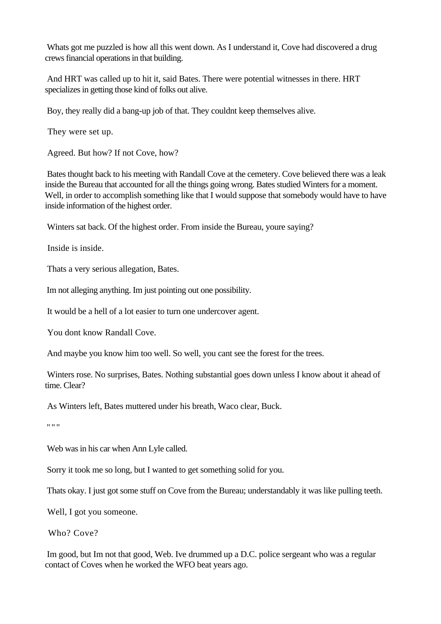Whats got me puzzled is how all this went down. As I understand it, Cove had discovered a drug crews financial operations in that building.

 And HRT was called up to hit it, said Bates. There were potential witnesses in there. HRT specializes in getting those kind of folks out alive.

Boy, they really did a bang-up job of that. They couldnt keep themselves alive.

They were set up.

Agreed. But how? If not Cove, how?

 Bates thought back to his meeting with Randall Cove at the cemetery. Cove believed there was a leak inside the Bureau that accounted for all the things going wrong. Bates studied Winters for a moment. Well, in order to accomplish something like that I would suppose that somebody would have to have inside information of the highest order.

Winters sat back. Of the highest order. From inside the Bureau, youre saying?

Inside is inside.

Thats a very serious allegation, Bates.

Im not alleging anything. Im just pointing out one possibility.

It would be a hell of a lot easier to turn one undercover agent.

You dont know Randall Cove.

And maybe you know him too well. So well, you cant see the forest for the trees.

 Winters rose. No surprises, Bates. Nothing substantial goes down unless I know about it ahead of time. Clear?

As Winters left, Bates muttered under his breath, Waco clear, Buck.

" " "

Web was in his car when Ann Lyle called.

Sorry it took me so long, but I wanted to get something solid for you.

Thats okay. I just got some stuff on Cove from the Bureau; understandably it was like pulling teeth.

Well, I got you someone.

Who? Cove?

 Im good, but Im not that good, Web. Ive drummed up a D.C. police sergeant who was a regular contact of Coves when he worked the WFO beat years ago.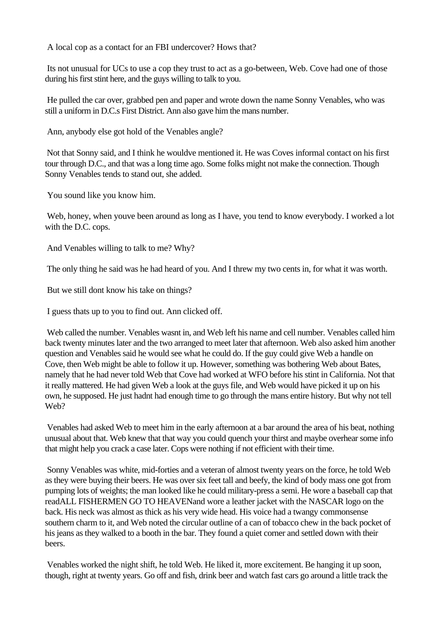A local cop as a contact for an FBI undercover? Hows that?

 Its not unusual for UCs to use a cop they trust to act as a go-between, Web. Cove had one of those during his first stint here, and the guys willing to talk to you.

 He pulled the car over, grabbed pen and paper and wrote down the name Sonny Venables, who was still a uniform in D.C.s First District. Ann also gave him the mans number.

Ann, anybody else got hold of the Venables angle?

 Not that Sonny said, and I think he wouldve mentioned it. He was Coves informal contact on his first tour through D.C., and that was a long time ago. Some folks might not make the connection. Though Sonny Venables tends to stand out, she added.

You sound like you know him.

 Web, honey, when youve been around as long as I have, you tend to know everybody. I worked a lot with the D.C. cops.

And Venables willing to talk to me? Why?

The only thing he said was he had heard of you. And I threw my two cents in, for what it was worth.

But we still dont know his take on things?

I guess thats up to you to find out. Ann clicked off.

 Web called the number. Venables wasnt in, and Web left his name and cell number. Venables called him back twenty minutes later and the two arranged to meet later that afternoon. Web also asked him another question and Venables said he would see what he could do. If the guy could give Web a handle on Cove, then Web might be able to follow it up. However, something was bothering Web about Bates, namely that he had never told Web that Cove had worked at WFO before his stint in California. Not that it really mattered. He had given Web a look at the guys file, and Web would have picked it up on his own, he supposed. He just hadnt had enough time to go through the mans entire history. But why not tell Web?

 Venables had asked Web to meet him in the early afternoon at a bar around the area of his beat, nothing unusual about that. Web knew that that way you could quench your thirst and maybe overhear some info that might help you crack a case later. Cops were nothing if not efficient with their time.

 Sonny Venables was white, mid-forties and a veteran of almost twenty years on the force, he told Web as they were buying their beers. He was over six feet tall and beefy, the kind of body mass one got from pumping lots of weights; the man looked like he could military-press a semi. He wore a baseball cap that readALL FISHERMEN GO TO HEAVENand wore a leather jacket with the NASCAR logo on the back. His neck was almost as thick as his very wide head. His voice had a twangy commonsense southern charm to it, and Web noted the circular outline of a can of tobacco chew in the back pocket of his jeans as they walked to a booth in the bar. They found a quiet corner and settled down with their beers.

 Venables worked the night shift, he told Web. He liked it, more excitement. Be hanging it up soon, though, right at twenty years. Go off and fish, drink beer and watch fast cars go around a little track the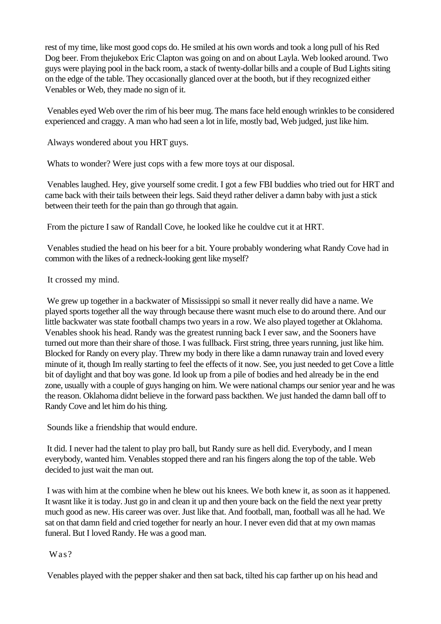rest of my time, like most good cops do. He smiled at his own words and took a long pull of his Red Dog beer. From thejukebox Eric Clapton was going on and on about Layla. Web looked around. Two guys were playing pool in the back room, a stack of twenty-dollar bills and a couple of Bud Lights siting on the edge of the table. They occasionally glanced over at the booth, but if they recognized either Venables or Web, they made no sign of it.

 Venables eyed Web over the rim of his beer mug. The mans face held enough wrinkles to be considered experienced and craggy. A man who had seen a lot in life, mostly bad, Web judged, just like him.

Always wondered about you HRT guys.

Whats to wonder? Were just cops with a few more toys at our disposal.

 Venables laughed. Hey, give yourself some credit. I got a few FBI buddies who tried out for HRT and came back with their tails between their legs. Said theyd rather deliver a damn baby with just a stick between their teeth for the pain than go through that again.

From the picture I saw of Randall Cove, he looked like he couldve cut it at HRT.

 Venables studied the head on his beer for a bit. Youre probably wondering what Randy Cove had in common with the likes of a redneck-looking gent like myself?

It crossed my mind.

 We grew up together in a backwater of Mississippi so small it never really did have a name. We played sports together all the way through because there wasnt much else to do around there. And our little backwater was state football champs two years in a row. We also played together at Oklahoma. Venables shook his head. Randy was the greatest running back I ever saw, and the Sooners have turned out more than their share of those. I was fullback. First string, three years running, just like him. Blocked for Randy on every play. Threw my body in there like a damn runaway train and loved every minute of it, though Im really starting to feel the effects of it now. See, you just needed to get Cove a little bit of daylight and that boy was gone. Id look up from a pile of bodies and hed already be in the end zone, usually with a couple of guys hanging on him. We were national champs our senior year and he was the reason. Oklahoma didnt believe in the forward pass backthen. We just handed the damn ball off to Randy Cove and let him do his thing.

Sounds like a friendship that would endure.

 It did. I never had the talent to play pro ball, but Randy sure as hell did. Everybody, and I mean everybody, wanted him. Venables stopped there and ran his fingers along the top of the table. Web decided to just wait the man out.

 I was with him at the combine when he blew out his knees. We both knew it, as soon as it happened. It wasnt like it is today. Just go in and clean it up and then youre back on the field the next year pretty much good as new. His career was over. Just like that. And football, man, football was all he had. We sat on that damn field and cried together for nearly an hour. I never even did that at my own mamas funeral. But I loved Randy. He was a good man.

# Was?

Venables played with the pepper shaker and then sat back, tilted his cap farther up on his head and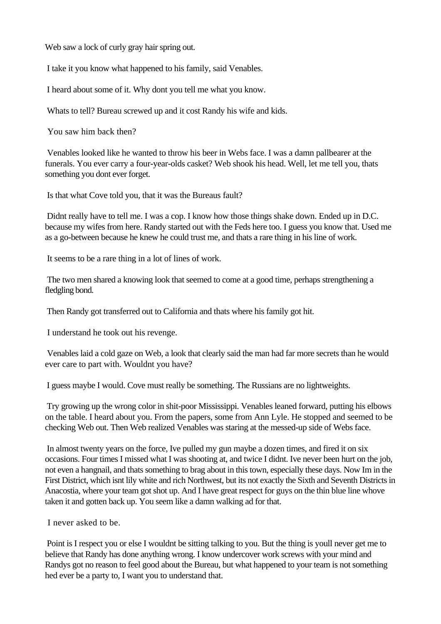Web saw a lock of curly gray hair spring out.

I take it you know what happened to his family, said Venables.

I heard about some of it. Why dont you tell me what you know.

Whats to tell? Bureau screwed up and it cost Randy his wife and kids.

You saw him back then?

 Venables looked like he wanted to throw his beer in Webs face. I was a damn pallbearer at the funerals. You ever carry a four-year-olds casket? Web shook his head. Well, let me tell you, thats something you dont ever forget.

Is that what Cove told you, that it was the Bureaus fault?

 Didnt really have to tell me. I was a cop. I know how those things shake down. Ended up in D.C. because my wifes from here. Randy started out with the Feds here too. I guess you know that. Used me as a go-between because he knew he could trust me, and thats a rare thing in his line of work.

It seems to be a rare thing in a lot of lines of work.

 The two men shared a knowing look that seemed to come at a good time, perhaps strengthening a fledgling bond.

Then Randy got transferred out to California and thats where his family got hit.

I understand he took out his revenge.

 Venables laid a cold gaze on Web, a look that clearly said the man had far more secrets than he would ever care to part with. Wouldnt you have?

I guess maybe I would. Cove must really be something. The Russians are no lightweights.

 Try growing up the wrong color in shit-poor Mississippi. Venables leaned forward, putting his elbows on the table. I heard about you. From the papers, some from Ann Lyle. He stopped and seemed to be checking Web out. Then Web realized Venables was staring at the messed-up side of Webs face.

 In almost twenty years on the force, Ive pulled my gun maybe a dozen times, and fired it on six occasions. Four times I missed what I was shooting at, and twice I didnt. Ive never been hurt on the job, not even a hangnail, and thats something to brag about in this town, especially these days. Now Im in the First District, which isnt lily white and rich Northwest, but its not exactly the Sixth and Seventh Districts in Anacostia, where your team got shot up. And I have great respect for guys on the thin blue line whove taken it and gotten back up. You seem like a damn walking ad for that.

I never asked to be.

 Point is I respect you or else I wouldnt be sitting talking to you. But the thing is youll never get me to believe that Randy has done anything wrong. I know undercover work screws with your mind and Randys got no reason to feel good about the Bureau, but what happened to your team is not something hed ever be a party to, I want you to understand that.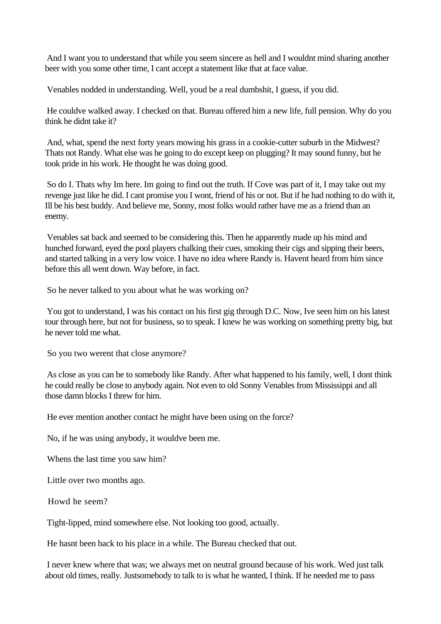And I want you to understand that while you seem sincere as hell and I wouldnt mind sharing another beer with you some other time, I cant accept a statement like that at face value.

Venables nodded in understanding. Well, youd be a real dumbshit, I guess, if you did.

 He couldve walked away. I checked on that. Bureau offered him a new life, full pension. Why do you think he didnt take it?

 And, what, spend the next forty years mowing his grass in a cookie-cutter suburb in the Midwest? Thats not Randy. What else was he going to do except keep on plugging? It may sound funny, but he took pride in his work. He thought he was doing good.

 So do I. Thats why Im here. Im going to find out the truth. If Cove was part of it, I may take out my revenge just like he did. I cant promise you I wont, friend of his or not. But if he had nothing to do with it, Ill be his best buddy. And believe me, Sonny, most folks would rather have me as a friend than an enemy.

 Venables sat back and seemed to be considering this. Then he apparently made up his mind and hunched forward, eyed the pool players chalking their cues, smoking their cigs and sipping their beers, and started talking in a very low voice. I have no idea where Randy is. Havent heard from him since before this all went down. Way before, in fact.

So he never talked to you about what he was working on?

 You got to understand, I was his contact on his first gig through D.C. Now, Ive seen him on his latest tour through here, but not for business, so to speak. I knew he was working on something pretty big, but he never told me what.

So you two werent that close anymore?

 As close as you can be to somebody like Randy. After what happened to his family, well, I dont think he could really be close to anybody again. Not even to old Sonny Venables from Mississippi and all those damn blocks I threw for him.

He ever mention another contact he might have been using on the force?

No, if he was using anybody, it wouldve been me.

Whens the last time you saw him?

Little over two months ago.

Howd he seem?

Tight-lipped, mind somewhere else. Not looking too good, actually.

He hasnt been back to his place in a while. The Bureau checked that out.

 I never knew where that was; we always met on neutral ground because of his work. Wed just talk about old times, really. Justsomebody to talk to is what he wanted, I think. If he needed me to pass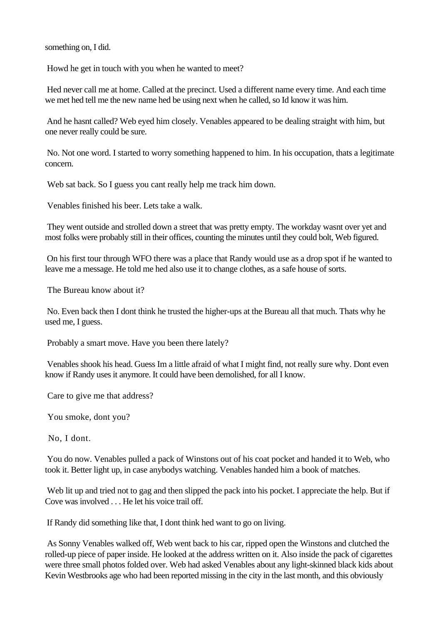something on, I did.

Howd he get in touch with you when he wanted to meet?

 Hed never call me at home. Called at the precinct. Used a different name every time. And each time we met hed tell me the new name hed be using next when he called, so Id know it was him.

 And he hasnt called? Web eyed him closely. Venables appeared to be dealing straight with him, but one never really could be sure.

 No. Not one word. I started to worry something happened to him. In his occupation, thats a legitimate concern.

Web sat back. So I guess you cant really help me track him down.

Venables finished his beer. Lets take a walk.

 They went outside and strolled down a street that was pretty empty. The workday wasnt over yet and most folks were probably still in their offices, counting the minutes until they could bolt, Web figured.

 On his first tour through WFO there was a place that Randy would use as a drop spot if he wanted to leave me a message. He told me hed also use it to change clothes, as a safe house of sorts.

The Bureau know about it?

 No. Even back then I dont think he trusted the higher-ups at the Bureau all that much. Thats why he used me, I guess.

Probably a smart move. Have you been there lately?

 Venables shook his head. Guess Im a little afraid of what I might find, not really sure why. Dont even know if Randy uses it anymore. It could have been demolished, for all I know.

Care to give me that address?

You smoke, dont you?

No, I dont.

 You do now. Venables pulled a pack of Winstons out of his coat pocket and handed it to Web, who took it. Better light up, in case anybodys watching. Venables handed him a book of matches.

Web lit up and tried not to gag and then slipped the pack into his pocket. I appreciate the help. But if Cove was involved . . . He let his voice trail off.

If Randy did something like that, I dont think hed want to go on living.

 As Sonny Venables walked off, Web went back to his car, ripped open the Winstons and clutched the rolled-up piece of paper inside. He looked at the address written on it. Also inside the pack of cigarettes were three small photos folded over. Web had asked Venables about any light-skinned black kids about Kevin Westbrooks age who had been reported missing in the city in the last month, and this obviously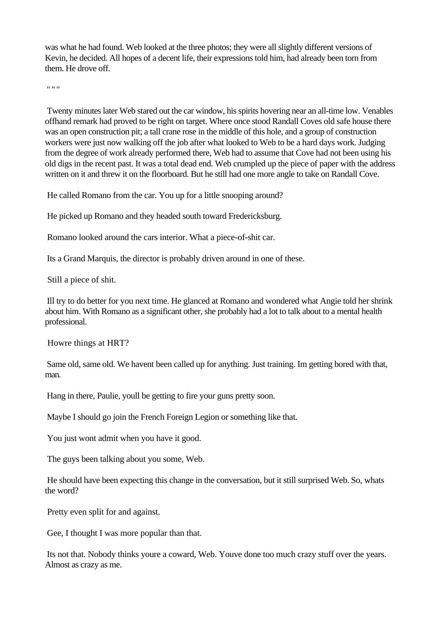was what he had found. Web looked at the three photos; they were all slightly different versions of Kevin, he decided. All hopes of a decent life, their expressions told him, had already been torn from them. He drove off.

" " "

 Twenty minutes later Web stared out the car window, his spirits hovering near an all-time low. Venables offhand remark had proved to be right on target. Where once stood Randall Coves old safe house there was an open construction pit; a tall crane rose in the middle of this hole, and a group of construction workers were just now walking off the job after what looked to Web to be a hard days work. Judging from the degree of work already performed there, Web had to assume that Cove had not been using his old digs in the recent past. It was a total dead end. Web crumpled up the piece of paper with the address written on it and threw it on the floorboard. But he still had one more angle to take on Randall Cove.

He called Romano from the car. You up for a little snooping around?

He picked up Romano and they headed south toward Fredericksburg.

Romano looked around the cars interior. What a piece-of-shit car.

Its a Grand Marquis, the director is probably driven around in one of these.

Still a piece of shit.

 Ill try to do better for you next time. He glanced at Romano and wondered what Angie told her shrink about him. With Romano as a significant other, she probably had a lot to talk about to a mental health professional.

Howre things at HRT?

 Same old, same old. We havent been called up for anything. Just training. Im getting bored with that, man.

Hang in there, Paulie, youll be getting to fire your guns pretty soon.

Maybe I should go join the French Foreign Legion or something like that.

You just wont admit when you have it good.

The guys been talking about you some, Web.

 He should have been expecting this change in the conversation, but it still surprised Web. So, whats the word?

Pretty even split for and against.

Gee, I thought I was more popular than that.

 Its not that. Nobody thinks youre a coward, Web. Youve done too much crazy stuff over the years. Almost as crazy as me.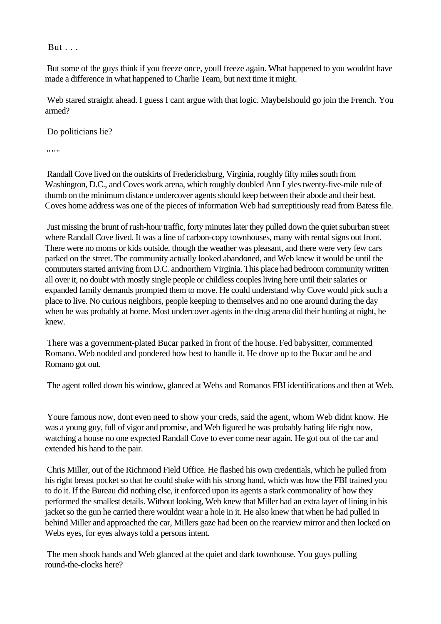But . . .

 But some of the guys think if you freeze once, youll freeze again. What happened to you wouldnt have made a difference in what happened to Charlie Team, but next time it might.

Web stared straight ahead. I guess I cant argue with that logic. MaybeIshould go join the French. You armed?

Do politicians lie?

" " "

 Randall Cove lived on the outskirts of Fredericksburg, Virginia, roughly fifty miles south from Washington, D.C., and Coves work arena, which roughly doubled Ann Lyles twenty-five-mile rule of thumb on the minimum distance undercover agents should keep between their abode and their beat. Coves home address was one of the pieces of information Web had surreptitiously read from Batess file.

 Just missing the brunt of rush-hour traffic, forty minutes later they pulled down the quiet suburban street where Randall Cove lived. It was a line of carbon-copy townhouses, many with rental signs out front. There were no moms or kids outside, though the weather was pleasant, and there were very few cars parked on the street. The community actually looked abandoned, and Web knew it would be until the commuters started arriving from D.C. andnorthern Virginia. This place had bedroom community written all over it, no doubt with mostly single people or childless couples living here until their salaries or expanded family demands prompted them to move. He could understand why Cove would pick such a place to live. No curious neighbors, people keeping to themselves and no one around during the day when he was probably at home. Most undercover agents in the drug arena did their hunting at night, he knew.

 There was a government-plated Bucar parked in front of the house. Fed babysitter, commented Romano. Web nodded and pondered how best to handle it. He drove up to the Bucar and he and Romano got out.

The agent rolled down his window, glanced at Webs and Romanos FBI identifications and then at Web.

 Youre famous now, dont even need to show your creds, said the agent, whom Web didnt know. He was a young guy, full of vigor and promise, and Web figured he was probably hating life right now, watching a house no one expected Randall Cove to ever come near again. He got out of the car and extended his hand to the pair.

 Chris Miller, out of the Richmond Field Office. He flashed his own credentials, which he pulled from his right breast pocket so that he could shake with his strong hand, which was how the FBI trained you to do it. If the Bureau did nothing else, it enforced upon its agents a stark commonality of how they performed the smallest details. Without looking, Web knew that Miller had an extra layer of lining in his jacket so the gun he carried there wouldnt wear a hole in it. He also knew that when he had pulled in behind Miller and approached the car, Millers gaze had been on the rearview mirror and then locked on Webs eyes, for eyes always told a persons intent.

 The men shook hands and Web glanced at the quiet and dark townhouse. You guys pulling round-the-clocks here?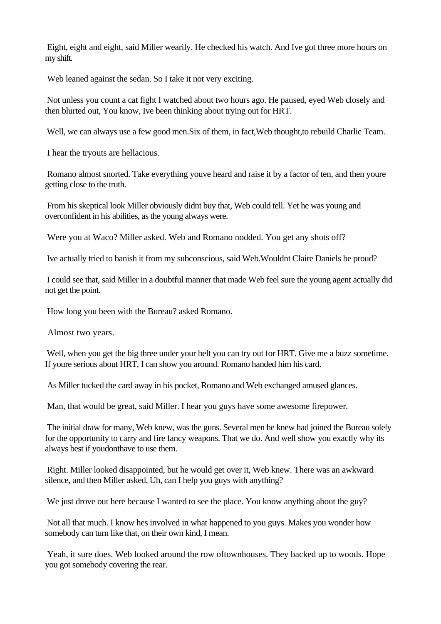Eight, eight and eight, said Miller wearily. He checked his watch. And Ive got three more hours on my shift.

Web leaned against the sedan. So I take it not very exciting.

 Not unless you count a cat fight I watched about two hours ago. He paused, eyed Web closely and then blurted out, You know, Ive been thinking about trying out for HRT.

Well, we can always use a few good men.Six of them, in fact,Web thought,to rebuild Charlie Team.

I hear the tryouts are hellacious.

 Romano almost snorted. Take everything youve heard and raise it by a factor of ten, and then youre getting close to the truth.

 From his skeptical look Miller obviously didnt buy that, Web could tell. Yet he was young and overconfident in his abilities, as the young always were.

Were you at Waco? Miller asked. Web and Romano nodded. You get any shots off?

Ive actually tried to banish it from my subconscious, said Web.Wouldnt Claire Daniels be proud?

 I could see that, said Miller in a doubtful manner that made Web feel sure the young agent actually did not get the point.

How long you been with the Bureau? asked Romano.

Almost two years.

 Well, when you get the big three under your belt you can try out for HRT. Give me a buzz sometime. If youre serious about HRT, I can show you around. Romano handed him his card.

As Miller tucked the card away in his pocket, Romano and Web exchanged amused glances.

Man, that would be great, said Miller. I hear you guys have some awesome firepower.

 The initial draw for many, Web knew, was the guns. Several men he knew had joined the Bureau solely for the opportunity to carry and fire fancy weapons. That we do. And well show you exactly why its always best if youdonthave to use them.

 Right. Miller looked disappointed, but he would get over it, Web knew. There was an awkward silence, and then Miller asked, Uh, can I help you guys with anything?

We just drove out here because I wanted to see the place. You know anything about the guy?

 Not all that much. I know hes involved in what happened to you guys. Makes you wonder how somebody can turn like that, on their own kind, I mean.

 Yeah, it sure does. Web looked around the row oftownhouses. They backed up to woods. Hope you got somebody covering the rear.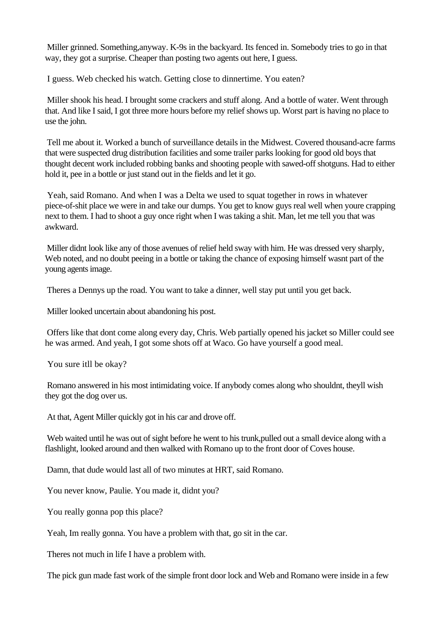Miller grinned. Something,anyway. K-9s in the backyard. Its fenced in. Somebody tries to go in that way, they got a surprise. Cheaper than posting two agents out here, I guess.

I guess. Web checked his watch. Getting close to dinnertime. You eaten?

 Miller shook his head. I brought some crackers and stuff along. And a bottle of water. Went through that. And like I said, I got three more hours before my relief shows up. Worst part is having no place to use the john.

 Tell me about it. Worked a bunch of surveillance details in the Midwest. Covered thousand-acre farms that were suspected drug distribution facilities and some trailer parks looking for good old boys that thought decent work included robbing banks and shooting people with sawed-off shotguns. Had to either hold it, pee in a bottle or just stand out in the fields and let it go.

 Yeah, said Romano. And when I was a Delta we used to squat together in rows in whatever piece-of-shit place we were in and take our dumps. You get to know guys real well when youre crapping next to them. I had to shoot a guy once right when I was taking a shit. Man, let me tell you that was awkward.

 Miller didnt look like any of those avenues of relief held sway with him. He was dressed very sharply, Web noted, and no doubt peeing in a bottle or taking the chance of exposing himself wasnt part of the young agents image.

Theres a Dennys up the road. You want to take a dinner, well stay put until you get back.

Miller looked uncertain about abandoning his post.

 Offers like that dont come along every day, Chris. Web partially opened his jacket so Miller could see he was armed. And yeah, I got some shots off at Waco. Go have yourself a good meal.

You sure itll be okay?

 Romano answered in his most intimidating voice. If anybody comes along who shouldnt, theyll wish they got the dog over us.

At that, Agent Miller quickly got in his car and drove off.

Web waited until he was out of sight before he went to his trunk, pulled out a small device along with a flashlight, looked around and then walked with Romano up to the front door of Coves house.

Damn, that dude would last all of two minutes at HRT, said Romano.

You never know, Paulie. You made it, didnt you?

You really gonna pop this place?

Yeah, Im really gonna. You have a problem with that, go sit in the car.

Theres not much in life I have a problem with.

The pick gun made fast work of the simple front door lock and Web and Romano were inside in a few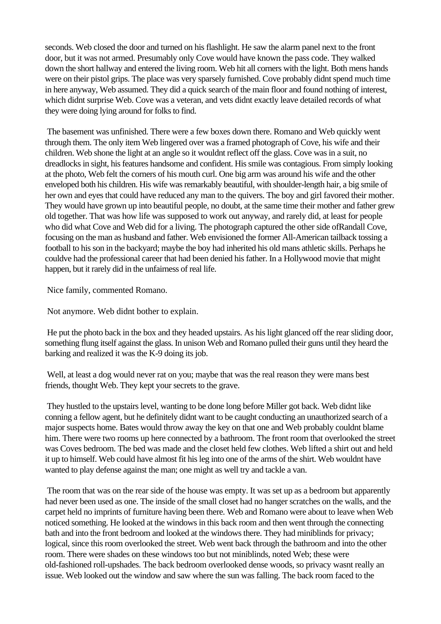seconds. Web closed the door and turned on his flashlight. He saw the alarm panel next to the front door, but it was not armed. Presumably only Cove would have known the pass code. They walked down the short hallway and entered the living room. Web hit all corners with the light. Both mens hands were on their pistol grips. The place was very sparsely furnished. Cove probably didnt spend much time in here anyway, Web assumed. They did a quick search of the main floor and found nothing of interest, which didnt surprise Web. Cove was a veteran, and vets didnt exactly leave detailed records of what they were doing lying around for folks to find.

 The basement was unfinished. There were a few boxes down there. Romano and Web quickly went through them. The only item Web lingered over was a framed photograph of Cove, his wife and their children. Web shone the light at an angle so it wouldnt reflect off the glass. Cove was in a suit, no dreadlocks in sight, his features handsome and confident. His smile was contagious. From simply looking at the photo, Web felt the corners of his mouth curl. One big arm was around his wife and the other enveloped both his children. His wife was remarkably beautiful, with shoulder-length hair, a big smile of her own and eyes that could have reduced any man to the quivers. The boy and girl favored their mother. They would have grown up into beautiful people, no doubt, at the same time their mother and father grew old together. That was how life was supposed to work out anyway, and rarely did, at least for people who did what Cove and Web did for a living. The photograph captured the other side ofRandall Cove, focusing on the man as husband and father. Web envisioned the former All-American tailback tossing a football to his son in the backyard; maybe the boy had inherited his old mans athletic skills. Perhaps he couldve had the professional career that had been denied his father. In a Hollywood movie that might happen, but it rarely did in the unfairness of real life.

Nice family, commented Romano.

Not anymore. Web didnt bother to explain.

 He put the photo back in the box and they headed upstairs. As his light glanced off the rear sliding door, something flung itself against the glass. In unison Web and Romano pulled their guns until they heard the barking and realized it was the K-9 doing its job.

 Well, at least a dog would never rat on you; maybe that was the real reason they were mans best friends, thought Web. They kept your secrets to the grave.

 They hustled to the upstairs level, wanting to be done long before Miller got back. Web didnt like conning a fellow agent, but he definitely didnt want to be caught conducting an unauthorized search of a major suspects home. Bates would throw away the key on that one and Web probably couldnt blame him. There were two rooms up here connected by a bathroom. The front room that overlooked the street was Coves bedroom. The bed was made and the closet held few clothes. Web lifted a shirt out and held it up to himself. Web could have almost fit his leg into one of the arms of the shirt. Web wouldnt have wanted to play defense against the man; one might as well try and tackle a van.

 The room that was on the rear side of the house was empty. It was set up as a bedroom but apparently had never been used as one. The inside of the small closet had no hanger scratches on the walls, and the carpet held no imprints of furniture having been there. Web and Romano were about to leave when Web noticed something. He looked at the windows in this back room and then went through the connecting bath and into the front bedroom and looked at the windows there. They had miniblinds for privacy; logical, since this room overlooked the street. Web went back through the bathroom and into the other room. There were shades on these windows too but not miniblinds, noted Web; these were old-fashioned roll-upshades. The back bedroom overlooked dense woods, so privacy wasnt really an issue. Web looked out the window and saw where the sun was falling. The back room faced to the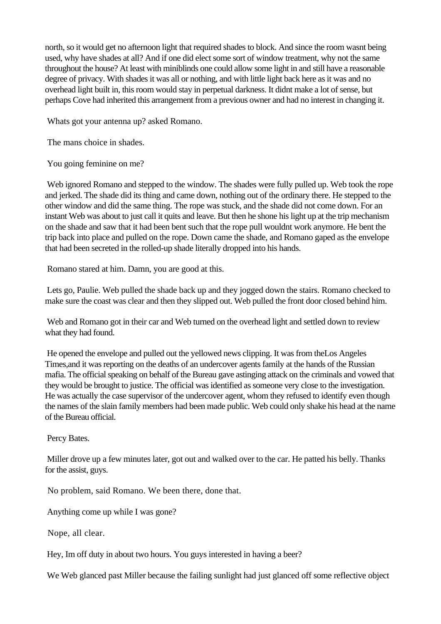north, so it would get no afternoon light that required shades to block. And since the room wasnt being used, why have shades at all? And if one did elect some sort of window treatment, why not the same throughout the house? At least with miniblinds one could allow some light in and still have a reasonable degree of privacy. With shades it was all or nothing, and with little light back here as it was and no overhead light built in, this room would stay in perpetual darkness. It didnt make a lot of sense, but perhaps Cove had inherited this arrangement from a previous owner and had no interest in changing it.

Whats got your antenna up? asked Romano.

The mans choice in shades.

You going feminine on me?

 Web ignored Romano and stepped to the window. The shades were fully pulled up. Web took the rope and jerked. The shade did its thing and came down, nothing out of the ordinary there. He stepped to the other window and did the same thing. The rope was stuck, and the shade did not come down. For an instant Web was about to just call it quits and leave. But then he shone his light up at the trip mechanism on the shade and saw that it had been bent such that the rope pull wouldnt work anymore. He bent the trip back into place and pulled on the rope. Down came the shade, and Romano gaped as the envelope that had been secreted in the rolled-up shade literally dropped into his hands.

Romano stared at him. Damn, you are good at this.

 Lets go, Paulie. Web pulled the shade back up and they jogged down the stairs. Romano checked to make sure the coast was clear and then they slipped out. Web pulled the front door closed behind him.

Web and Romano got in their car and Web turned on the overhead light and settled down to review what they had found.

 He opened the envelope and pulled out the yellowed news clipping. It was from theLos Angeles Times,and it was reporting on the deaths of an undercover agents family at the hands of the Russian mafia. The official speaking on behalf of the Bureau gave astinging attack on the criminals and vowed that they would be brought to justice. The official was identified as someone very close to the investigation. He was actually the case supervisor of the undercover agent, whom they refused to identify even though the names of the slain family members had been made public. Web could only shake his head at the name of the Bureau official.

## Percy Bates.

 Miller drove up a few minutes later, got out and walked over to the car. He patted his belly. Thanks for the assist, guys.

No problem, said Romano. We been there, done that.

Anything come up while I was gone?

Nope, all clear.

Hey, Im off duty in about two hours. You guys interested in having a beer?

We Web glanced past Miller because the failing sunlight had just glanced off some reflective object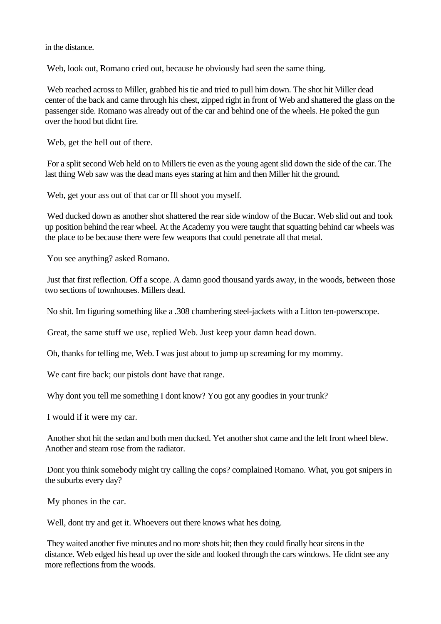in the distance.

Web, look out, Romano cried out, because he obviously had seen the same thing.

 Web reached across to Miller, grabbed his tie and tried to pull him down. The shot hit Miller dead center of the back and came through his chest, zipped right in front of Web and shattered the glass on the passenger side. Romano was already out of the car and behind one of the wheels. He poked the gun over the hood but didnt fire.

Web, get the hell out of there.

 For a split second Web held on to Millers tie even as the young agent slid down the side of the car. The last thing Web saw was the dead mans eyes staring at him and then Miller hit the ground.

Web, get your ass out of that car or Ill shoot you myself.

Wed ducked down as another shot shattered the rear side window of the Bucar. Web slid out and took up position behind the rear wheel. At the Academy you were taught that squatting behind car wheels was the place to be because there were few weapons that could penetrate all that metal.

You see anything? asked Romano.

 Just that first reflection. Off a scope. A damn good thousand yards away, in the woods, between those two sections of townhouses. Millers dead.

No shit. Im figuring something like a .308 chambering steel-jackets with a Litton ten-powerscope.

Great, the same stuff we use, replied Web. Just keep your damn head down.

Oh, thanks for telling me, Web. I was just about to jump up screaming for my mommy.

We cant fire back; our pistols dont have that range.

Why dont you tell me something I dont know? You got any goodies in your trunk?

I would if it were my car.

 Another shot hit the sedan and both men ducked. Yet another shot came and the left front wheel blew. Another and steam rose from the radiator.

 Dont you think somebody might try calling the cops? complained Romano. What, you got snipers in the suburbs every day?

My phones in the car.

Well, dont try and get it. Whoevers out there knows what hes doing.

 They waited another five minutes and no more shots hit; then they could finally hear sirens in the distance. Web edged his head up over the side and looked through the cars windows. He didnt see any more reflections from the woods.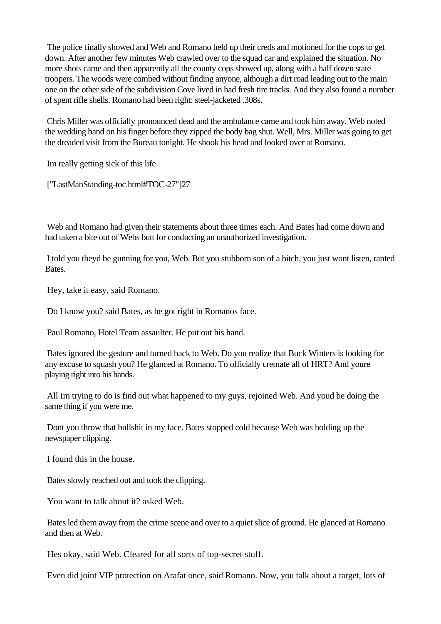The police finally showed and Web and Romano held up their creds and motioned for the cops to get down. After another few minutes Web crawled over to the squad car and explained the situation. No more shots came and then apparently all the county cops showed up, along with a half dozen state troopers. The woods were combed without finding anyone, although a dirt road leading out to the main one on the other side of the subdivision Cove lived in had fresh tire tracks. And they also found a number of spent rifle shells. Romano had been right: steel-jacketed .308s.

 Chris Miller was officially pronounced dead and the ambulance came and took him away. Web noted the wedding band on his finger before they zipped the body bag shut. Well, Mrs. Miller was going to get the dreaded visit from the Bureau tonight. He shook his head and looked over at Romano.

Im really getting sick of this life.

["LastManStanding-toc.html#TOC-27"]27

 Web and Romano had given their statements about three times each. And Bates had come down and had taken a bite out of Webs butt for conducting an unauthorized investigation.

 I told you theyd be gunning for you, Web. But you stubborn son of a bitch, you just wont listen, ranted Bates.

Hey, take it easy, said Romano.

Do I know you? said Bates, as he got right in Romanos face.

Paul Romano, Hotel Team assaulter. He put out his hand.

 Bates ignored the gesture and turned back to Web. Do you realize that Buck Winters is looking for any excuse to squash you? He glanced at Romano. To officially cremate all of HRT? And youre playing right into his hands.

 All Im trying to do is find out what happened to my guys, rejoined Web. And youd be doing the same thing if you were me.

 Dont you throw that bullshit in my face. Bates stopped cold because Web was holding up the newspaper clipping.

I found this in the house.

Bates slowly reached out and took the clipping.

You want to talk about it? asked Web.

 Bates led them away from the crime scene and over to a quiet slice of ground. He glanced at Romano and then at Web.

Hes okay, said Web. Cleared for all sorts of top-secret stuff.

Even did joint VIP protection on Arafat once, said Romano. Now, you talk about a target, lots of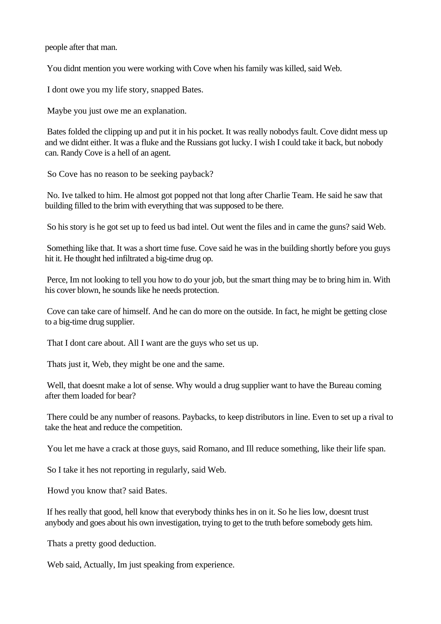people after that man.

You didnt mention you were working with Cove when his family was killed, said Web.

I dont owe you my life story, snapped Bates.

Maybe you just owe me an explanation.

 Bates folded the clipping up and put it in his pocket. It was really nobodys fault. Cove didnt mess up and we didnt either. It was a fluke and the Russians got lucky. I wish I could take it back, but nobody can. Randy Cove is a hell of an agent.

So Cove has no reason to be seeking payback?

 No. Ive talked to him. He almost got popped not that long after Charlie Team. He said he saw that building filled to the brim with everything that was supposed to be there.

So his story is he got set up to feed us bad intel. Out went the files and in came the guns? said Web.

 Something like that. It was a short time fuse. Cove said he was in the building shortly before you guys hit it. He thought hed infiltrated a big-time drug op.

 Perce, Im not looking to tell you how to do your job, but the smart thing may be to bring him in. With his cover blown, he sounds like he needs protection.

 Cove can take care of himself. And he can do more on the outside. In fact, he might be getting close to a big-time drug supplier.

That I dont care about. All I want are the guys who set us up.

Thats just it, Web, they might be one and the same.

 Well, that doesnt make a lot of sense. Why would a drug supplier want to have the Bureau coming after them loaded for bear?

 There could be any number of reasons. Paybacks, to keep distributors in line. Even to set up a rival to take the heat and reduce the competition.

You let me have a crack at those guys, said Romano, and Ill reduce something, like their life span.

So I take it hes not reporting in regularly, said Web.

Howd you know that? said Bates.

 If hes really that good, hell know that everybody thinks hes in on it. So he lies low, doesnt trust anybody and goes about his own investigation, trying to get to the truth before somebody gets him.

Thats a pretty good deduction.

Web said, Actually, Im just speaking from experience.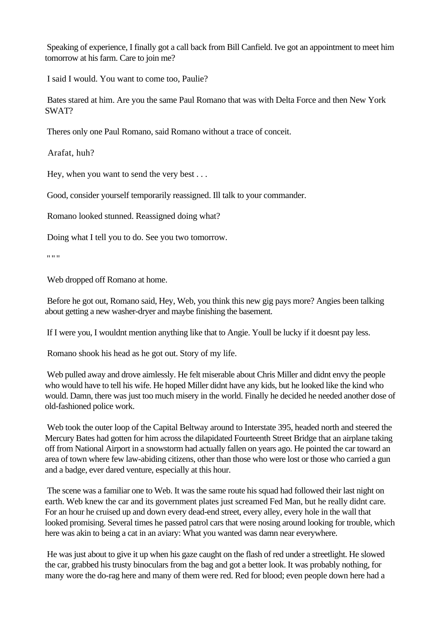Speaking of experience, I finally got a call back from Bill Canfield. Ive got an appointment to meet him tomorrow at his farm. Care to join me?

I said I would. You want to come too, Paulie?

 Bates stared at him. Are you the same Paul Romano that was with Delta Force and then New York SWAT?

Theres only one Paul Romano, said Romano without a trace of conceit.

Arafat, huh?

Hey, when you want to send the very best . . .

Good, consider yourself temporarily reassigned. Ill talk to your commander.

Romano looked stunned. Reassigned doing what?

Doing what I tell you to do. See you two tomorrow.

" " "

Web dropped off Romano at home.

 Before he got out, Romano said, Hey, Web, you think this new gig pays more? Angies been talking about getting a new washer-dryer and maybe finishing the basement.

If I were you, I wouldnt mention anything like that to Angie. Youll be lucky if it doesnt pay less.

Romano shook his head as he got out. Story of my life.

 Web pulled away and drove aimlessly. He felt miserable about Chris Miller and didnt envy the people who would have to tell his wife. He hoped Miller didnt have any kids, but he looked like the kind who would. Damn, there was just too much misery in the world. Finally he decided he needed another dose of old-fashioned police work.

 Web took the outer loop of the Capital Beltway around to Interstate 395, headed north and steered the Mercury Bates had gotten for him across the dilapidated Fourteenth Street Bridge that an airplane taking off from National Airport in a snowstorm had actually fallen on years ago. He pointed the car toward an area of town where few law-abiding citizens, other than those who were lost or those who carried a gun and a badge, ever dared venture, especially at this hour.

 The scene was a familiar one to Web. It was the same route his squad had followed their last night on earth. Web knew the car and its government plates just screamed Fed Man, but he really didnt care. For an hour he cruised up and down every dead-end street, every alley, every hole in the wall that looked promising. Several times he passed patrol cars that were nosing around looking for trouble, which here was akin to being a cat in an aviary: What you wanted was damn near everywhere.

 He was just about to give it up when his gaze caught on the flash of red under a streetlight. He slowed the car, grabbed his trusty binoculars from the bag and got a better look. It was probably nothing, for many wore the do-rag here and many of them were red. Red for blood; even people down here had a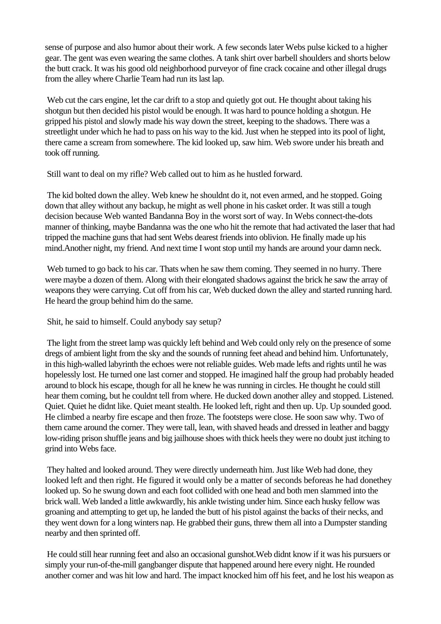sense of purpose and also humor about their work. A few seconds later Webs pulse kicked to a higher gear. The gent was even wearing the same clothes. A tank shirt over barbell shoulders and shorts below the butt crack. It was his good old neighborhood purveyor of fine crack cocaine and other illegal drugs from the alley where Charlie Team had run its last lap.

Web cut the cars engine, let the car drift to a stop and quietly got out. He thought about taking his shotgun but then decided his pistol would be enough. It was hard to pounce holding a shotgun. He gripped his pistol and slowly made his way down the street, keeping to the shadows. There was a streetlight under which he had to pass on his way to the kid. Just when he stepped into its pool of light, there came a scream from somewhere. The kid looked up, saw him. Web swore under his breath and took off running.

Still want to deal on my rifle? Web called out to him as he hustled forward.

 The kid bolted down the alley. Web knew he shouldnt do it, not even armed, and he stopped. Going down that alley without any backup, he might as well phone in his casket order. It was still a tough decision because Web wanted Bandanna Boy in the worst sort of way. In Webs connect-the-dots manner of thinking, maybe Bandanna was the one who hit the remote that had activated the laser that had tripped the machine guns that had sent Webs dearest friends into oblivion. He finally made up his mind.Another night, my friend. And next time I wont stop until my hands are around your damn neck.

Web turned to go back to his car. Thats when he saw them coming. They seemed in no hurry. There were maybe a dozen of them. Along with their elongated shadows against the brick he saw the array of weapons they were carrying. Cut off from his car, Web ducked down the alley and started running hard. He heard the group behind him do the same.

Shit, he said to himself. Could anybody say setup?

 The light from the street lamp was quickly left behind and Web could only rely on the presence of some dregs of ambient light from the sky and the sounds of running feet ahead and behind him. Unfortunately, in this high-walled labyrinth the echoes were not reliable guides. Web made lefts and rights until he was hopelessly lost. He turned one last corner and stopped. He imagined half the group had probably headed around to block his escape, though for all he knew he was running in circles. He thought he could still hear them coming, but he couldnt tell from where. He ducked down another alley and stopped. Listened. Quiet. Quiet he didnt like. Quiet meant stealth. He looked left, right and then up. Up. Up sounded good. He climbed a nearby fire escape and then froze. The footsteps were close. He soon saw why. Two of them came around the corner. They were tall, lean, with shaved heads and dressed in leather and baggy low-riding prison shuffle jeans and big jailhouse shoes with thick heels they were no doubt just itching to grind into Webs face.

 They halted and looked around. They were directly underneath him. Just like Web had done, they looked left and then right. He figured it would only be a matter of seconds before as he had done they looked up. So he swung down and each foot collided with one head and both men slammed into the brick wall. Web landed a little awkwardly, his ankle twisting under him. Since each husky fellow was groaning and attempting to get up, he landed the butt of his pistol against the backs of their necks, and they went down for a long winters nap. He grabbed their guns, threw them all into a Dumpster standing nearby and then sprinted off.

 He could still hear running feet and also an occasional gunshot.Web didnt know if it was his pursuers or simply your run-of-the-mill gangbanger dispute that happened around here every night. He rounded another corner and was hit low and hard. The impact knocked him off his feet, and he lost his weapon as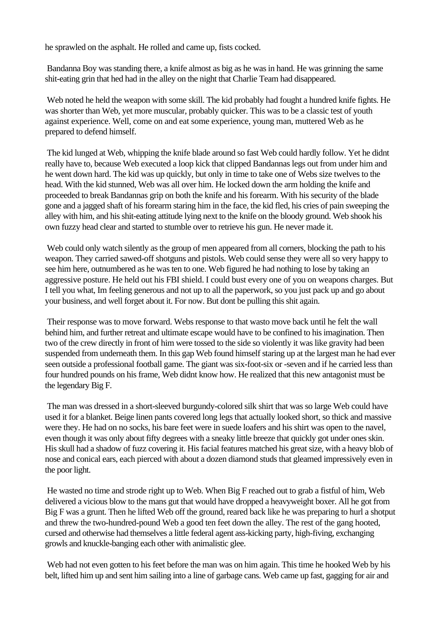he sprawled on the asphalt. He rolled and came up, fists cocked.

 Bandanna Boy was standing there, a knife almost as big as he was in hand. He was grinning the same shit-eating grin that hed had in the alley on the night that Charlie Team had disappeared.

 Web noted he held the weapon with some skill. The kid probably had fought a hundred knife fights. He was shorter than Web, yet more muscular, probably quicker. This was to be a classic test of youth against experience. Well, come on and eat some experience, young man, muttered Web as he prepared to defend himself.

 The kid lunged at Web, whipping the knife blade around so fast Web could hardly follow. Yet he didnt really have to, because Web executed a loop kick that clipped Bandannas legs out from under him and he went down hard. The kid was up quickly, but only in time to take one of Webs size twelves to the head. With the kid stunned, Web was all over him. He locked down the arm holding the knife and proceeded to break Bandannas grip on both the knife and his forearm. With his security of the blade gone and a jagged shaft of his forearm staring him in the face, the kid fled, his cries of pain sweeping the alley with him, and his shit-eating attitude lying next to the knife on the bloody ground. Web shook his own fuzzy head clear and started to stumble over to retrieve his gun. He never made it.

Web could only watch silently as the group of men appeared from all corners, blocking the path to his weapon. They carried sawed-off shotguns and pistols. Web could sense they were all so very happy to see him here, outnumbered as he was ten to one. Web figured he had nothing to lose by taking an aggressive posture. He held out his FBI shield. I could bust every one of you on weapons charges. But I tell you what, Im feeling generous and not up to all the paperwork, so you just pack up and go about your business, and well forget about it. For now. But dont be pulling this shit again.

 Their response was to move forward. Webs response to that wasto move back until he felt the wall behind him, and further retreat and ultimate escape would have to be confined to his imagination. Then two of the crew directly in front of him were tossed to the side so violently it was like gravity had been suspended from underneath them. In this gap Web found himself staring up at the largest man he had ever seen outside a professional football game. The giant was six-foot-six or -seven and if he carried less than four hundred pounds on his frame, Web didnt know how. He realized that this new antagonist must be the legendary Big F.

 The man was dressed in a short-sleeved burgundy-colored silk shirt that was so large Web could have used it for a blanket. Beige linen pants covered long legs that actually looked short, so thick and massive were they. He had on no socks, his bare feet were in suede loafers and his shirt was open to the navel, even though it was only about fifty degrees with a sneaky little breeze that quickly got under ones skin. His skull had a shadow of fuzz covering it. His facial features matched his great size, with a heavy blob of nose and conical ears, each pierced with about a dozen diamond studs that gleamed impressively even in the poor light.

 He wasted no time and strode right up to Web. When Big F reached out to grab a fistful of him, Web delivered a vicious blow to the mans gut that would have dropped a heavyweight boxer. All he got from Big F was a grunt. Then he lifted Web off the ground, reared back like he was preparing to hurl a shotput and threw the two-hundred-pound Web a good ten feet down the alley. The rest of the gang hooted, cursed and otherwise had themselves a little federal agent ass-kicking party, high-fiving, exchanging growls and knuckle-banging each other with animalistic glee.

Web had not even gotten to his feet before the man was on him again. This time he hooked Web by his belt, lifted him up and sent him sailing into a line of garbage cans. Web came up fast, gagging for air and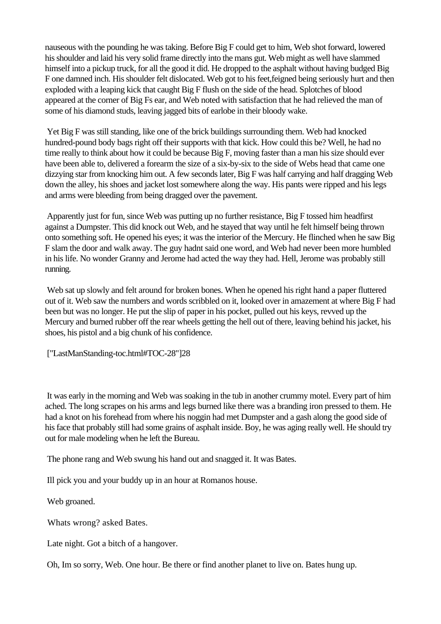nauseous with the pounding he was taking. Before Big F could get to him, Web shot forward, lowered his shoulder and laid his very solid frame directly into the mans gut. Web might as well have slammed himself into a pickup truck, for all the good it did. He dropped to the asphalt without having budged Big F one damned inch. His shoulder felt dislocated. Web got to his feet,feigned being seriously hurt and then exploded with a leaping kick that caught Big F flush on the side of the head. Splotches of blood appeared at the corner of Big Fs ear, and Web noted with satisfaction that he had relieved the man of some of his diamond studs, leaving jagged bits of earlobe in their bloody wake.

 Yet Big F was still standing, like one of the brick buildings surrounding them. Web had knocked hundred-pound body bags right off their supports with that kick. How could this be? Well, he had no time really to think about how it could be because Big F, moving faster than a man his size should ever have been able to, delivered a forearm the size of a six-by-six to the side of Webs head that came one dizzying star from knocking him out. A few seconds later, Big F was half carrying and half dragging Web down the alley, his shoes and jacket lost somewhere along the way. His pants were ripped and his legs and arms were bleeding from being dragged over the pavement.

 Apparently just for fun, since Web was putting up no further resistance, Big F tossed him headfirst against a Dumpster. This did knock out Web, and he stayed that way until he felt himself being thrown onto something soft. He opened his eyes; it was the interior of the Mercury. He flinched when he saw Big F slam the door and walk away. The guy hadnt said one word, and Web had never been more humbled in his life. No wonder Granny and Jerome had acted the way they had. Hell, Jerome was probably still running.

Web sat up slowly and felt around for broken bones. When he opened his right hand a paper fluttered out of it. Web saw the numbers and words scribbled on it, looked over in amazement at where Big F had been but was no longer. He put the slip of paper in his pocket, pulled out his keys, revved up the Mercury and burned rubber off the rear wheels getting the hell out of there, leaving behind his jacket, his shoes, his pistol and a big chunk of his confidence.

["LastManStanding-toc.html#TOC-28"]28

 It was early in the morning and Web was soaking in the tub in another crummy motel. Every part of him ached. The long scrapes on his arms and legs burned like there was a branding iron pressed to them. He had a knot on his forehead from where his noggin had met Dumpster and a gash along the good side of his face that probably still had some grains of asphalt inside. Boy, he was aging really well. He should try out for male modeling when he left the Bureau.

The phone rang and Web swung his hand out and snagged it. It was Bates.

Ill pick you and your buddy up in an hour at Romanos house.

Web groaned.

Whats wrong? asked Bates.

Late night. Got a bitch of a hangover.

Oh, Im so sorry, Web. One hour. Be there or find another planet to live on. Bates hung up.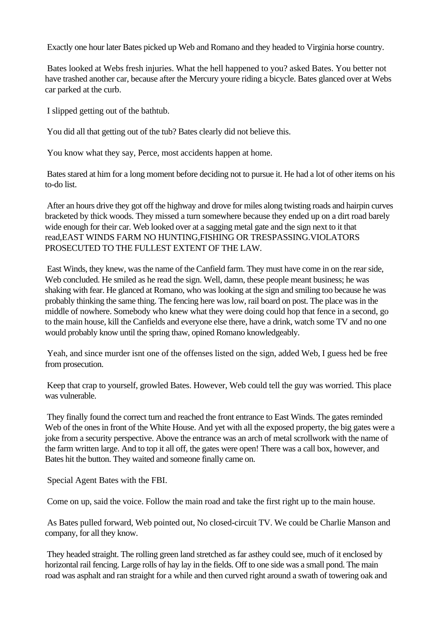Exactly one hour later Bates picked up Web and Romano and they headed to Virginia horse country.

 Bates looked at Webs fresh injuries. What the hell happened to you? asked Bates. You better not have trashed another car, because after the Mercury youre riding a bicycle. Bates glanced over at Webs car parked at the curb.

I slipped getting out of the bathtub.

You did all that getting out of the tub? Bates clearly did not believe this.

You know what they say, Perce, most accidents happen at home.

 Bates stared at him for a long moment before deciding not to pursue it. He had a lot of other items on his to-do list.

 After an hours drive they got off the highway and drove for miles along twisting roads and hairpin curves bracketed by thick woods. They missed a turn somewhere because they ended up on a dirt road barely wide enough for their car. Web looked over at a sagging metal gate and the sign next to it that read,EAST WINDS FARM NO HUNTING,FISHING OR TRESPASSING.VIOLATORS PROSECUTED TO THE FULLEST EXTENT OF THE LAW.

 East Winds, they knew, was the name of the Canfield farm. They must have come in on the rear side, Web concluded. He smiled as he read the sign. Well, damn, these people meant business; he was shaking with fear. He glanced at Romano, who was looking at the sign and smiling too because he was probably thinking the same thing. The fencing here was low, rail board on post. The place was in the middle of nowhere. Somebody who knew what they were doing could hop that fence in a second, go to the main house, kill the Canfields and everyone else there, have a drink, watch some TV and no one would probably know until the spring thaw, opined Romano knowledgeably.

 Yeah, and since murder isnt one of the offenses listed on the sign, added Web, I guess hed be free from prosecution.

 Keep that crap to yourself, growled Bates. However, Web could tell the guy was worried. This place was vulnerable.

 They finally found the correct turn and reached the front entrance to East Winds. The gates reminded Web of the ones in front of the White House. And yet with all the exposed property, the big gates were a joke from a security perspective. Above the entrance was an arch of metal scrollwork with the name of the farm written large. And to top it all off, the gates were open! There was a call box, however, and Bates hit the button. They waited and someone finally came on.

Special Agent Bates with the FBI.

Come on up, said the voice. Follow the main road and take the first right up to the main house.

 As Bates pulled forward, Web pointed out, No closed-circuit TV. We could be Charlie Manson and company, for all they know.

 They headed straight. The rolling green land stretched as far asthey could see, much of it enclosed by horizontal rail fencing. Large rolls of hay lay in the fields. Off to one side was a small pond. The main road was asphalt and ran straight for a while and then curved right around a swath of towering oak and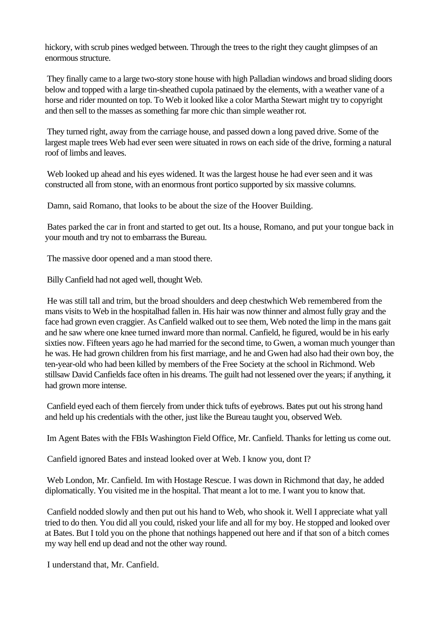hickory, with scrub pines wedged between. Through the trees to the right they caught glimpses of an enormous structure.

 They finally came to a large two-story stone house with high Palladian windows and broad sliding doors below and topped with a large tin-sheathed cupola patinaed by the elements, with a weather vane of a horse and rider mounted on top. To Web it looked like a color Martha Stewart might try to copyright and then sell to the masses as something far more chic than simple weather rot.

 They turned right, away from the carriage house, and passed down a long paved drive. Some of the largest maple trees Web had ever seen were situated in rows on each side of the drive, forming a natural roof of limbs and leaves.

 Web looked up ahead and his eyes widened. It was the largest house he had ever seen and it was constructed all from stone, with an enormous front portico supported by six massive columns.

Damn, said Romano, that looks to be about the size of the Hoover Building.

 Bates parked the car in front and started to get out. Its a house, Romano, and put your tongue back in your mouth and try not to embarrass the Bureau.

The massive door opened and a man stood there.

Billy Canfield had not aged well, thought Web.

 He was still tall and trim, but the broad shoulders and deep chestwhich Web remembered from the mans visits to Web in the hospital had fallen in. His hair was now thinner and almost fully gray and the face had grown even craggier. As Canfield walked out to see them, Web noted the limp in the mans gait and he saw where one knee turned inward more than normal. Canfield, he figured, would be in his early sixties now. Fifteen years ago he had married for the second time, to Gwen, a woman much younger than he was. He had grown children from his first marriage, and he and Gwen had also had their own boy, the ten-year-old who had been killed by members of the Free Society at the school in Richmond. Web stillsaw David Canfields face often in his dreams. The guilt had not lessened over the years; if anything, it had grown more intense.

 Canfield eyed each of them fiercely from under thick tufts of eyebrows. Bates put out his strong hand and held up his credentials with the other, just like the Bureau taught you, observed Web.

Im Agent Bates with the FBIs Washington Field Office, Mr. Canfield. Thanks for letting us come out.

Canfield ignored Bates and instead looked over at Web. I know you, dont I?

 Web London, Mr. Canfield. Im with Hostage Rescue. I was down in Richmond that day, he added diplomatically. You visited me in the hospital. That meant a lot to me. I want you to know that.

 Canfield nodded slowly and then put out his hand to Web, who shook it. Well I appreciate what yall tried to do then. You did all you could, risked your life and all for my boy. He stopped and looked over at Bates. But I told you on the phone that nothings happened out here and if that son of a bitch comes my way hell end up dead and not the other way round.

I understand that, Mr. Canfield.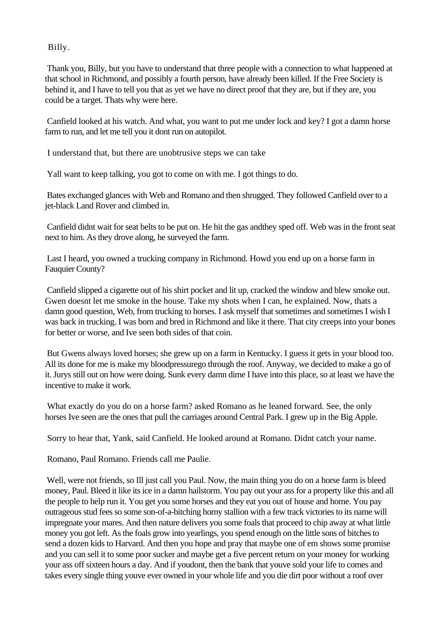## Billy.

 Thank you, Billy, but you have to understand that three people with a connection to what happened at that school in Richmond, and possibly a fourth person, have already been killed. If the Free Society is behind it, and I have to tell you that as yet we have no direct proof that they are, but if they are, you could be a target. Thats why were here.

 Canfield looked at his watch. And what, you want to put me under lock and key? I got a damn horse farm to run, and let me tell you it dont run on autopilot.

I understand that, but there are unobtrusive steps we can take

Yall want to keep talking, you got to come on with me. I got things to do.

 Bates exchanged glances with Web and Romano and then shrugged. They followed Canfield over to a jet-black Land Rover and climbed in.

 Canfield didnt wait for seat belts to be put on. He hit the gas andthey sped off. Web was in the front seat next to him. As they drove along, he surveyed the farm.

 Last I heard, you owned a trucking company in Richmond. Howd you end up on a horse farm in Fauquier County?

 Canfield slipped a cigarette out of his shirt pocket and lit up, cracked the window and blew smoke out. Gwen doesnt let me smoke in the house. Take my shots when I can, he explained. Now, thats a damn good question, Web, from trucking to horses. I ask myself that sometimes and sometimes I wish I was back in trucking. I was born and bred in Richmond and like it there. That city creeps into your bones for better or worse, and Ive seen both sides of that coin.

 But Gwens always loved horses; she grew up on a farm in Kentucky. I guess it gets in your blood too. All its done for me is make my bloodpressurego through the roof. Anyway, we decided to make a go of it. Jurys still out on how were doing. Sunk every damn dime I have into this place, so at least we have the incentive to make it work.

 What exactly do you do on a horse farm? asked Romano as he leaned forward. See, the only horses Ive seen are the ones that pull the carriages around Central Park. I grew up in the Big Apple.

Sorry to hear that, Yank, said Canfield. He looked around at Romano. Didnt catch your name.

Romano, Paul Romano. Friends call me Paulie.

Well, were not friends, so Ill just call you Paul. Now, the main thing you do on a horse farm is bleed money, Paul. Bleed it like its ice in a damn hailstorm. You pay out your ass for a property like this and all the people to help run it. You get you some horses and they eat you out of house and home. You pay outrageous stud fees so some son-of-a-bitching horny stallion with a few track victories to its name will impregnate your mares. And then nature delivers you some foals that proceed to chip away at what little money you got left. As the foals grow into yearlings, you spend enough on the little sons of bitches to send a dozen kids to Harvard. And then you hope and pray that maybe one of em shows some promise and you can sell it to some poor sucker and maybe get a five percent return on your money for working your ass off sixteen hours a day. And if youdont, then the bank that youve sold your life to comes and takes every single thing youve ever owned in your whole life and you die dirt poor without a roof over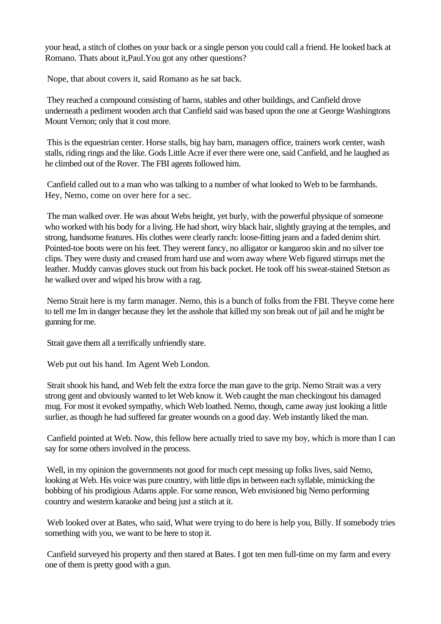your head, a stitch of clothes on your back or a single person you could call a friend. He looked back at Romano. Thats about it,Paul.You got any other questions?

Nope, that about covers it, said Romano as he sat back.

 They reached a compound consisting of barns, stables and other buildings, and Canfield drove underneath a pediment wooden arch that Canfield said was based upon the one at George Washingtons Mount Vernon; only that it cost more.

 This is the equestrian center. Horse stalls, big hay barn, managers office, trainers work center, wash stalls, riding rings and the like. Gods Little Acre if ever there were one, said Canfield, and he laughed as he climbed out of the Rover. The FBI agents followed him.

 Canfield called out to a man who was talking to a number of what looked to Web to be farmhands. Hey, Nemo, come on over here for a sec.

 The man walked over. He was about Webs height, yet burly, with the powerful physique of someone who worked with his body for a living. He had short, wiry black hair, slightly graying at the temples, and strong, handsome features. His clothes were clearly ranch: loose-fitting jeans and a faded denim shirt. Pointed-toe boots were on his feet. They werent fancy, no alligator or kangaroo skin and no silver toe clips. They were dusty and creased from hard use and worn away where Web figured stirrups met the leather. Muddy canvas gloves stuck out from his back pocket. He took off his sweat-stained Stetson as he walked over and wiped his brow with a rag.

 Nemo Strait here is my farm manager. Nemo, this is a bunch of folks from the FBI. Theyve come here to tell me Im in danger because they let the asshole that killed my son break out of jail and he might be gunning for me.

Strait gave them all a terrifically unfriendly stare.

Web put out his hand. Im Agent Web London.

 Strait shook his hand, and Web felt the extra force the man gave to the grip. Nemo Strait was a very strong gent and obviously wanted to let Web know it. Web caught the man checkingout his damaged mug. For most it evoked sympathy, which Web loathed. Nemo, though, came away just looking a little surlier, as though he had suffered far greater wounds on a good day. Web instantly liked the man.

 Canfield pointed at Web. Now, this fellow here actually tried to save my boy, which is more than I can say for some others involved in the process.

 Well, in my opinion the governments not good for much cept messing up folks lives, said Nemo, looking at Web. His voice was pure country, with little dips in between each syllable, mimicking the bobbing of his prodigious Adams apple. For some reason, Web envisioned big Nemo performing country and western karaoke and being just a stitch at it.

Web looked over at Bates, who said, What were trying to do here is help you, Billy. If somebody tries something with you, we want to be here to stop it.

 Canfield surveyed his property and then stared at Bates. I got ten men full-time on my farm and every one of them is pretty good with a gun.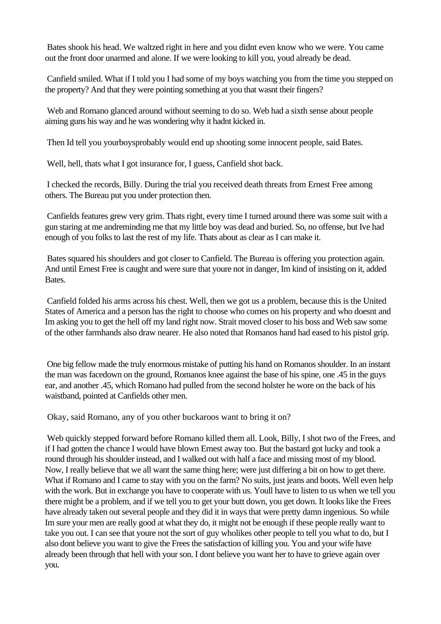Bates shook his head. We waltzed right in here and you didnt even know who we were. You came out the front door unarmed and alone. If we were looking to kill you, youd already be dead.

 Canfield smiled. What if I told you I had some of my boys watching you from the time you stepped on the property? And that they were pointing something at you that wasnt their fingers?

 Web and Romano glanced around without seeming to do so. Web had a sixth sense about people aiming guns his way and he was wondering why it hadnt kicked in.

Then Id tell you yourboysprobably would end up shooting some innocent people, said Bates.

Well, hell, thats what I got insurance for, I guess, Canfield shot back.

 I checked the records, Billy. During the trial you received death threats from Ernest Free among others. The Bureau put you under protection then.

 Canfields features grew very grim. Thats right, every time I turned around there was some suit with a gun staring at me andreminding me that my little boy was dead and buried. So, no offense, but Ive had enough of you folks to last the rest of my life. Thats about as clear as I can make it.

 Bates squared his shoulders and got closer to Canfield. The Bureau is offering you protection again. And until Ernest Free is caught and were sure that youre not in danger, Im kind of insisting on it, added Bates.

 Canfield folded his arms across his chest. Well, then we got us a problem, because this is the United States of America and a person has the right to choose who comes on his property and who doesnt and Im asking you to get the hell off my land right now. Strait moved closer to his boss and Web saw some of the other farmhands also draw nearer. He also noted that Romanos hand had eased to his pistol grip.

 One big fellow made the truly enormous mistake of putting his hand on Romanos shoulder. In an instant the man was facedown on the ground, Romanos knee against the base of his spine, one .45 in the guys ear, and another .45, which Romano had pulled from the second holster he wore on the back of his waistband, pointed at Canfields other men.

Okay, said Romano, any of you other buckaroos want to bring it on?

 Web quickly stepped forward before Romano killed them all. Look, Billy, I shot two of the Frees, and if I had gotten the chance I would have blown Ernest away too. But the bastard got lucky and took a round through his shoulder instead, and I walked out with half a face and missing most of my blood. Now, I really believe that we all want the same thing here; were just differing a bit on how to get there. What if Romano and I came to stay with you on the farm? No suits, just jeans and boots. Well even help with the work. But in exchange you have to cooperate with us. Youll have to listen to us when we tell you there might be a problem, and if we tell you to get your butt down, you get down. It looks like the Frees have already taken out several people and they did it in ways that were pretty damn ingenious. So while Im sure your men are really good at what they do, it might not be enough if these people really want to take you out. I can see that youre not the sort of guy wholikes other people to tell you what to do, but I also dont believe you want to give the Frees the satisfaction of killing you. You and your wife have already been through that hell with your son. I dont believe you want her to have to grieve again over you.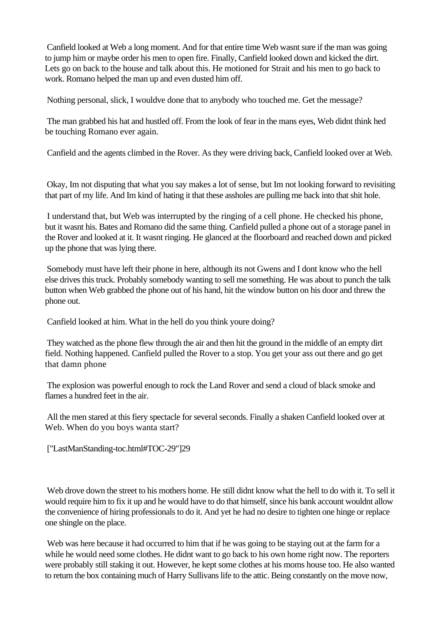Canfield looked at Web a long moment. And for that entire time Web wasnt sure if the man was going to jump him or maybe order his men to open fire. Finally, Canfield looked down and kicked the dirt. Lets go on back to the house and talk about this. He motioned for Strait and his men to go back to work. Romano helped the man up and even dusted him off.

Nothing personal, slick, I wouldve done that to anybody who touched me. Get the message?

 The man grabbed his hat and hustled off. From the look of fear in the mans eyes, Web didnt think hed be touching Romano ever again.

Canfield and the agents climbed in the Rover. As they were driving back, Canfield looked over at Web.

 Okay, Im not disputing that what you say makes a lot of sense, but Im not looking forward to revisiting that part of my life. And Im kind of hating it that these assholes are pulling me back into that shit hole.

 I understand that, but Web was interrupted by the ringing of a cell phone. He checked his phone, but it wasnt his. Bates and Romano did the same thing. Canfield pulled a phone out of a storage panel in the Rover and looked at it. It wasnt ringing. He glanced at the floorboard and reached down and picked up the phone that was lying there.

 Somebody must have left their phone in here, although its not Gwens and I dont know who the hell else drives this truck. Probably somebody wanting to sell me something. He was about to punch the talk button when Web grabbed the phone out of his hand, hit the window button on his door and threw the phone out.

Canfield looked at him. What in the hell do you think youre doing?

 They watched as the phone flew through the air and then hit the ground in the middle of an empty dirt field. Nothing happened. Canfield pulled the Rover to a stop. You get your ass out there and go get that damn phone

 The explosion was powerful enough to rock the Land Rover and send a cloud of black smoke and flames a hundred feet in the air.

 All the men stared at this fiery spectacle for several seconds. Finally a shaken Canfield looked over at Web. When do you boys wanta start?

["LastManStanding-toc.html#TOC-29"]29

Web drove down the street to his mothers home. He still didnt know what the hell to do with it. To sell it would require him to fix it up and he would have to do that himself, since his bank account wouldnt allow the convenience of hiring professionals to do it. And yet he had no desire to tighten one hinge or replace one shingle on the place.

Web was here because it had occurred to him that if he was going to be staying out at the farm for a while he would need some clothes. He didnt want to go back to his own home right now. The reporters were probably still staking it out. However, he kept some clothes at his moms house too. He also wanted to return the box containing much of Harry Sullivans life to the attic. Being constantly on the move now,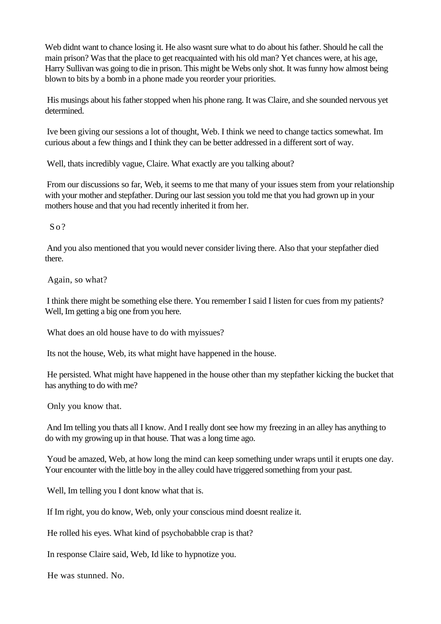Web didnt want to chance losing it. He also wasnt sure what to do about his father. Should he call the main prison? Was that the place to get reacquainted with his old man? Yet chances were, at his age, Harry Sullivan was going to die in prison. This might be Webs only shot. It was funny how almost being blown to bits by a bomb in a phone made you reorder your priorities.

 His musings about his father stopped when his phone rang. It was Claire, and she sounded nervous yet determined.

 Ive been giving our sessions a lot of thought, Web. I think we need to change tactics somewhat. Im curious about a few things and I think they can be better addressed in a different sort of way.

Well, thats incredibly vague, Claire. What exactly are you talking about?

 From our discussions so far, Web, it seems to me that many of your issues stem from your relationship with your mother and stepfather. During our last session you told me that you had grown up in your mothers house and that you had recently inherited it from her.

So?

 And you also mentioned that you would never consider living there. Also that your stepfather died there.

Again, so what?

 I think there might be something else there. You remember I said I listen for cues from my patients? Well, Im getting a big one from you here.

What does an old house have to do with myissues?

Its not the house, Web, its what might have happened in the house.

 He persisted. What might have happened in the house other than my stepfather kicking the bucket that has anything to do with me?

Only you know that.

 And Im telling you thats all I know. And I really dont see how my freezing in an alley has anything to do with my growing up in that house. That was a long time ago.

 Youd be amazed, Web, at how long the mind can keep something under wraps until it erupts one day. Your encounter with the little boy in the alley could have triggered something from your past.

Well, Im telling you I dont know what that is.

If Im right, you do know, Web, only your conscious mind doesnt realize it.

He rolled his eyes. What kind of psychobabble crap is that?

In response Claire said, Web, Id like to hypnotize you.

He was stunned. No.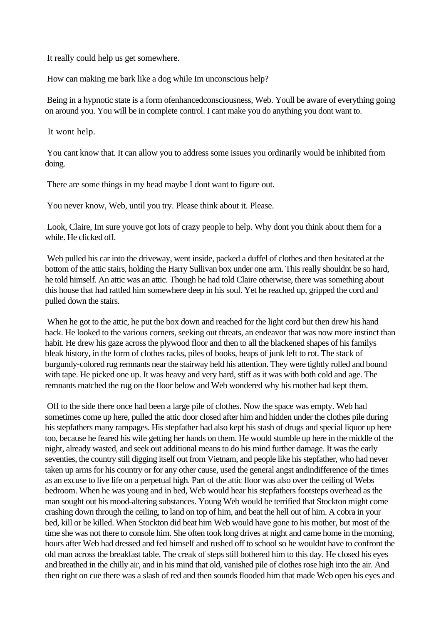It really could help us get somewhere.

How can making me bark like a dog while Im unconscious help?

 Being in a hypnotic state is a form ofenhancedconsciousness, Web. Youll be aware of everything going on around you. You will be in complete control. I cant make you do anything you dont want to.

It wont help.

 You cant know that. It can allow you to address some issues you ordinarily would be inhibited from doing.

There are some things in my head maybe I dont want to figure out.

You never know, Web, until you try. Please think about it. Please.

 Look, Claire, Im sure youve got lots of crazy people to help. Why dont you think about them for a while. He clicked off.

 Web pulled his car into the driveway, went inside, packed a duffel of clothes and then hesitated at the bottom of the attic stairs, holding the Harry Sullivan box under one arm. This really shouldnt be so hard, he told himself. An attic was an attic. Though he had told Claire otherwise, there was something about this house that had rattled him somewhere deep in his soul. Yet he reached up, gripped the cord and pulled down the stairs.

 When he got to the attic, he put the box down and reached for the light cord but then drew his hand back. He looked to the various corners, seeking out threats, an endeavor that was now more instinct than habit. He drew his gaze across the plywood floor and then to all the blackened shapes of his familys bleak history, in the form of clothes racks, piles of books, heaps of junk left to rot. The stack of burgundy-colored rug remnants near the stairway held his attention. They were tightly rolled and bound with tape. He picked one up. It was heavy and very hard, stiff as it was with both cold and age. The remnants matched the rug on the floor below and Web wondered why his mother had kept them.

 Off to the side there once had been a large pile of clothes. Now the space was empty. Web had sometimes come up here, pulled the attic door closed after him and hidden under the clothes pile during his stepfathers many rampages. His stepfather had also kept his stash of drugs and special liquor up here too, because he feared his wife getting her hands on them. He would stumble up here in the middle of the night, already wasted, and seek out additional means to do his mind further damage. It was the early seventies, the country still digging itself out from Vietnam, and people like his stepfather, who had never taken up arms for his country or for any other cause, used the general angst andindifference of the times as an excuse to live life on a perpetual high. Part of the attic floor was also over the ceiling of Webs bedroom. When he was young and in bed, Web would hear his stepfathers footsteps overhead as the man sought out his mood-altering substances. Young Web would be terrified that Stockton might come crashing down through the ceiling, to land on top of him, and beat the hell out of him. A cobra in your bed, kill or be killed. When Stockton did beat him Web would have gone to his mother, but most of the time she was not there to console him. She often took long drives at night and came home in the morning, hours after Web had dressed and fed himself and rushed off to school so he wouldnt have to confront the old man across the breakfast table. The creak of steps still bothered him to this day. He closed his eyes and breathed in the chilly air, and in his mind that old, vanished pile of clothes rose high into the air. And then right on cue there was a slash of red and then sounds flooded him that made Web open his eyes and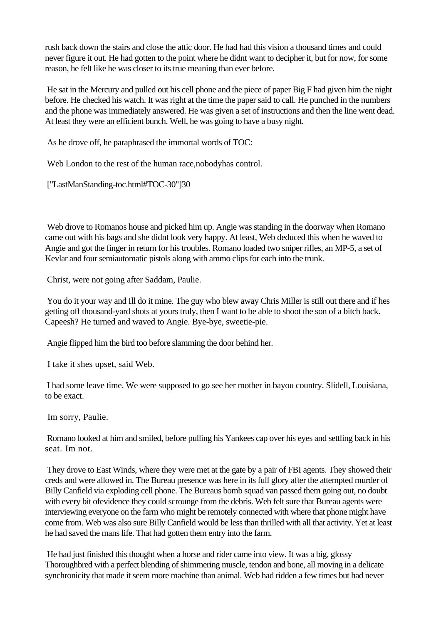rush back down the stairs and close the attic door. He had had this vision a thousand times and could never figure it out. He had gotten to the point where he didnt want to decipher it, but for now, for some reason, he felt like he was closer to its true meaning than ever before.

 He sat in the Mercury and pulled out his cell phone and the piece of paper Big F had given him the night before. He checked his watch. It was right at the time the paper said to call. He punched in the numbers and the phone was immediately answered. He was given a set of instructions and then the line went dead. At least they were an efficient bunch. Well, he was going to have a busy night.

As he drove off, he paraphrased the immortal words of TOC:

Web London to the rest of the human race,nobodyhas control.

["LastManStanding-toc.html#TOC-30"]30

 Web drove to Romanos house and picked him up. Angie was standing in the doorway when Romano came out with his bags and she didnt look very happy. At least, Web deduced this when he waved to Angie and got the finger in return for his troubles. Romano loaded two sniper rifles, an MP-5, a set of Kevlar and four semiautomatic pistols along with ammo clips for each into the trunk.

Christ, were not going after Saddam, Paulie.

 You do it your way and Ill do it mine. The guy who blew away Chris Miller is still out there and if hes getting off thousand-yard shots at yours truly, then I want to be able to shoot the son of a bitch back. Capeesh? He turned and waved to Angie. Bye-bye, sweetie-pie.

Angie flipped him the bird too before slamming the door behind her.

I take it shes upset, said Web.

 I had some leave time. We were supposed to go see her mother in bayou country. Slidell, Louisiana, to be exact.

Im sorry, Paulie.

 Romano looked at him and smiled, before pulling his Yankees cap over his eyes and settling back in his seat. Im not.

 They drove to East Winds, where they were met at the gate by a pair of FBI agents. They showed their creds and were allowed in. The Bureau presence was here in its full glory after the attempted murder of Billy Canfield via exploding cell phone. The Bureaus bomb squad van passed them going out, no doubt with every bit ofevidence they could scrounge from the debris. Web felt sure that Bureau agents were interviewing everyone on the farm who might be remotely connected with where that phone might have come from. Web was also sure Billy Canfield would be less than thrilled with all that activity. Yet at least he had saved the mans life. That had gotten them entry into the farm.

 He had just finished this thought when a horse and rider came into view. It was a big, glossy Thoroughbred with a perfect blending of shimmering muscle, tendon and bone, all moving in a delicate synchronicity that made it seem more machine than animal. Web had ridden a few times but had never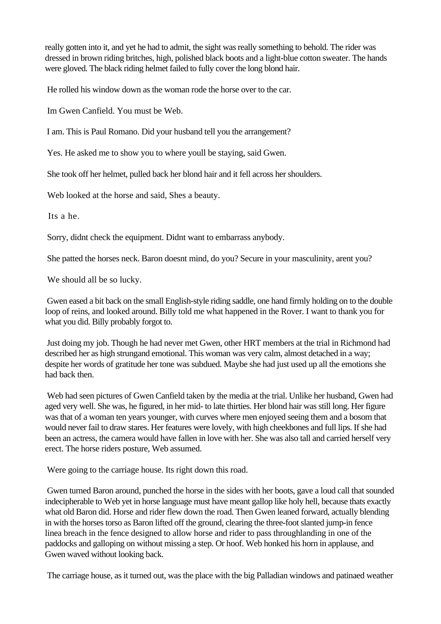really gotten into it, and yet he had to admit, the sight was really something to behold. The rider was dressed in brown riding britches, high, polished black boots and a light-blue cotton sweater. The hands were gloved. The black riding helmet failed to fully cover the long blond hair.

He rolled his window down as the woman rode the horse over to the car.

Im Gwen Canfield. You must be Web.

I am. This is Paul Romano. Did your husband tell you the arrangement?

Yes. He asked me to show you to where youll be staying, said Gwen.

She took off her helmet, pulled back her blond hair and it fell across her shoulders.

Web looked at the horse and said, Shes a beauty.

Its a he.

Sorry, didnt check the equipment. Didnt want to embarrass anybody.

She patted the horses neck. Baron doesnt mind, do you? Secure in your masculinity, arent you?

We should all be so lucky.

 Gwen eased a bit back on the small English-style riding saddle, one hand firmly holding on to the double loop of reins, and looked around. Billy told me what happened in the Rover. I want to thank you for what you did. Billy probably forgot to.

 Just doing my job. Though he had never met Gwen, other HRT members at the trial in Richmond had described her as high strungand emotional. This woman was very calm, almost detached in a way; despite her words of gratitude her tone was subdued. Maybe she had just used up all the emotions she had back then.

 Web had seen pictures of Gwen Canfield taken by the media at the trial. Unlike her husband, Gwen had aged very well. She was, he figured, in her mid- to late thirties. Her blond hair was still long. Her figure was that of a woman ten years younger, with curves where men enjoyed seeing them and a bosom that would never fail to draw stares. Her features were lovely, with high cheekbones and full lips. If she had been an actress, the camera would have fallen in love with her. She was also tall and carried herself very erect. The horse riders posture, Web assumed.

Were going to the carriage house. Its right down this road.

 Gwen turned Baron around, punched the horse in the sides with her boots, gave a loud call that sounded indecipherable to Web yet in horse language must have meant gallop like holy hell, because thats exactly what old Baron did. Horse and rider flew down the road. Then Gwen leaned forward, actually blending in with the horses torso as Baron lifted off the ground, clearing the three-foot slanted jump-in fence line a breach in the fence designed to allow horse and rider to pass through landing in one of the paddocks and galloping on without missing a step. Or hoof. Web honked his horn in applause, and Gwen waved without looking back.

The carriage house, as it turned out, was the place with the big Palladian windows and patinaed weather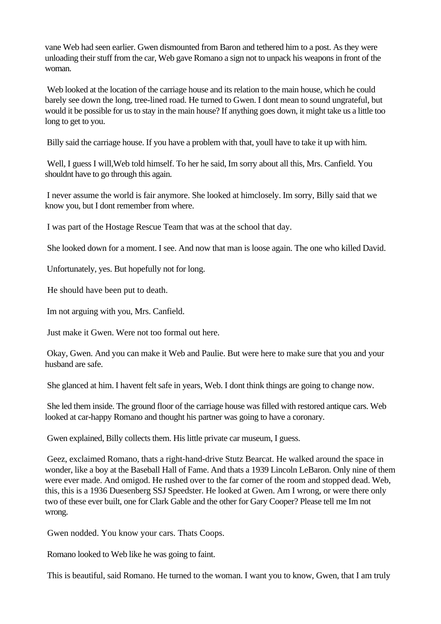vane Web had seen earlier. Gwen dismounted from Baron and tethered him to a post. As they were unloading their stuff from the car, Web gave Romano a sign not to unpack his weapons in front of the woman.

Web looked at the location of the carriage house and its relation to the main house, which he could barely see down the long, tree-lined road. He turned to Gwen. I dont mean to sound ungrateful, but would it be possible for us to stay in the main house? If anything goes down, it might take us a little too long to get to you.

Billy said the carriage house. If you have a problem with that, youll have to take it up with him.

 Well, I guess I will,Web told himself. To her he said, Im sorry about all this, Mrs. Canfield. You shouldnt have to go through this again.

 I never assume the world is fair anymore. She looked at himclosely. Im sorry, Billy said that we know you, but I dont remember from where.

I was part of the Hostage Rescue Team that was at the school that day.

She looked down for a moment. I see. And now that man is loose again. The one who killed David.

Unfortunately, yes. But hopefully not for long.

He should have been put to death.

Im not arguing with you, Mrs. Canfield.

Just make it Gwen. Were not too formal out here.

 Okay, Gwen. And you can make it Web and Paulie. But were here to make sure that you and your husband are safe.

She glanced at him. I havent felt safe in years, Web. I dont think things are going to change now.

 She led them inside. The ground floor of the carriage house was filled with restored antique cars. Web looked at car-happy Romano and thought his partner was going to have a coronary.

Gwen explained, Billy collects them. His little private car museum, I guess.

 Geez, exclaimed Romano, thats a right-hand-drive Stutz Bearcat. He walked around the space in wonder, like a boy at the Baseball Hall of Fame. And thats a 1939 Lincoln LeBaron. Only nine of them were ever made. And omigod. He rushed over to the far corner of the room and stopped dead. Web, this, this is a 1936 Duesenberg SSJ Speedster. He looked at Gwen. Am I wrong, or were there only two of these ever built, one for Clark Gable and the other for Gary Cooper? Please tell me Im not wrong.

Gwen nodded. You know your cars. Thats Coops.

Romano looked to Web like he was going to faint.

This is beautiful, said Romano. He turned to the woman. I want you to know, Gwen, that I am truly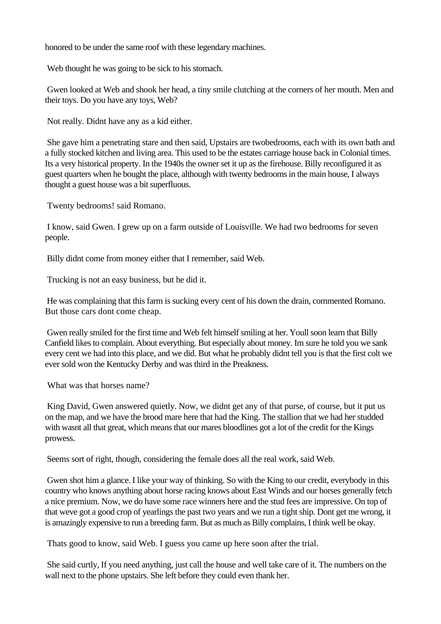honored to be under the same roof with these legendary machines.

Web thought he was going to be sick to his stomach.

 Gwen looked at Web and shook her head, a tiny smile clutching at the corners of her mouth. Men and their toys. Do you have any toys, Web?

Not really. Didnt have any as a kid either.

 She gave him a penetrating stare and then said, Upstairs are twobedrooms, each with its own bath and a fully stocked kitchen and living area. This used to be the estates carriage house back in Colonial times. Its a very historical property. In the 1940s the owner set it up as the firehouse. Billy reconfigured it as guest quarters when he bought the place, although with twenty bedrooms in the main house, I always thought a guest house was a bit superfluous.

Twenty bedrooms! said Romano.

 I know, said Gwen. I grew up on a farm outside of Louisville. We had two bedrooms for seven people.

Billy didnt come from money either that I remember, said Web.

Trucking is not an easy business, but he did it.

 He was complaining that this farm is sucking every cent of his down the drain, commented Romano. But those cars dont come cheap.

 Gwen really smiled for the first time and Web felt himself smiling at her. Youll soon learn that Billy Canfield likes to complain. About everything. But especially about money. Im sure he told you we sank every cent we had into this place, and we did. But what he probably didnt tell you is that the first colt we ever sold won the Kentucky Derby and was third in the Preakness.

What was that horses name?

 King David, Gwen answered quietly. Now, we didnt get any of that purse, of course, but it put us on the map, and we have the brood mare here that had the King. The stallion that we had her studded with wasnt all that great, which means that our mares bloodlines got a lot of the credit for the Kings prowess.

Seems sort of right, though, considering the female does all the real work, said Web.

 Gwen shot him a glance. I like your way of thinking. So with the King to our credit, everybody in this country who knows anything about horse racing knows about East Winds and our horses generally fetch a nice premium. Now, we do have some race winners here and the stud fees are impressive. On top of that weve got a good crop of yearlings the past two years and we run a tight ship. Dont get me wrong, it is amazingly expensive to run a breeding farm. But as much as Billy complains, I think well be okay.

Thats good to know, said Web. I guess you came up here soon after the trial.

 She said curtly, If you need anything, just call the house and well take care of it. The numbers on the wall next to the phone upstairs. She left before they could even thank her.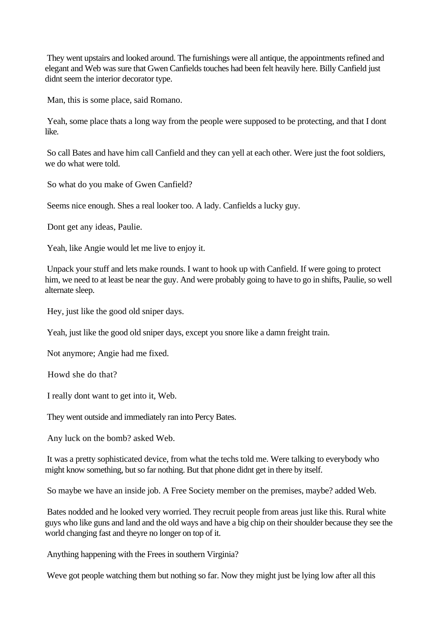They went upstairs and looked around. The furnishings were all antique, the appointments refined and elegant and Web was sure that Gwen Canfields touches had been felt heavily here. Billy Canfield just didnt seem the interior decorator type.

Man, this is some place, said Romano.

 Yeah, some place thats a long way from the people were supposed to be protecting, and that I dont like.

 So call Bates and have him call Canfield and they can yell at each other. Were just the foot soldiers, we do what were told.

So what do you make of Gwen Canfield?

Seems nice enough. Shes a real looker too. A lady. Canfields a lucky guy.

Dont get any ideas, Paulie.

Yeah, like Angie would let me live to enjoy it.

 Unpack your stuff and lets make rounds. I want to hook up with Canfield. If were going to protect him, we need to at least be near the guy. And were probably going to have to go in shifts, Paulie, so well alternate sleep.

Hey, just like the good old sniper days.

Yeah, just like the good old sniper days, except you snore like a damn freight train.

Not anymore; Angie had me fixed.

Howd she do that?

I really dont want to get into it, Web.

They went outside and immediately ran into Percy Bates.

Any luck on the bomb? asked Web.

 It was a pretty sophisticated device, from what the techs told me. Were talking to everybody who might know something, but so far nothing. But that phone didnt get in there by itself.

So maybe we have an inside job. A Free Society member on the premises, maybe? added Web.

 Bates nodded and he looked very worried. They recruit people from areas just like this. Rural white guys who like guns and land and the old ways and have a big chip on their shoulder because they see the world changing fast and theyre no longer on top of it.

Anything happening with the Frees in southern Virginia?

Weve got people watching them but nothing so far. Now they might just be lying low after all this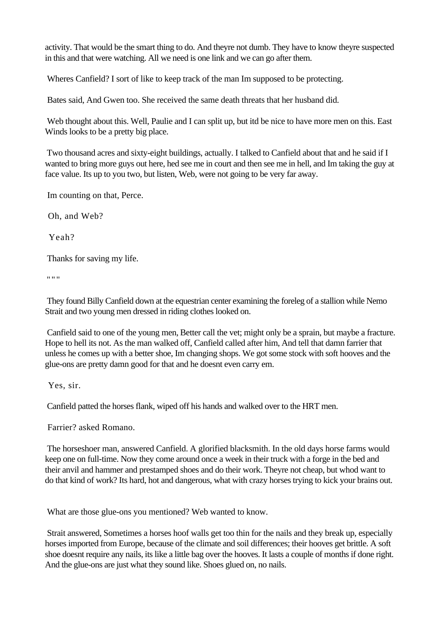activity. That would be the smart thing to do. And theyre not dumb. They have to know theyre suspected in this and that were watching. All we need is one link and we can go after them.

Wheres Canfield? I sort of like to keep track of the man Im supposed to be protecting.

Bates said, And Gwen too. She received the same death threats that her husband did.

Web thought about this. Well, Paulie and I can split up, but itd be nice to have more men on this. East Winds looks to be a pretty big place.

 Two thousand acres and sixty-eight buildings, actually. I talked to Canfield about that and he said if I wanted to bring more guys out here, hed see me in court and then see me in hell, and Im taking the guy at face value. Its up to you two, but listen, Web, were not going to be very far away.

Im counting on that, Perce.

Oh, and Web?

Yeah?

Thanks for saving my life.

" " "

 They found Billy Canfield down at the equestrian center examining the foreleg of a stallion while Nemo Strait and two young men dressed in riding clothes looked on.

 Canfield said to one of the young men, Better call the vet; might only be a sprain, but maybe a fracture. Hope to hell its not. As the man walked off, Canfield called after him, And tell that damn farrier that unless he comes up with a better shoe, Im changing shops. We got some stock with soft hooves and the glue-ons are pretty damn good for that and he doesnt even carry em.

Yes, sir.

Canfield patted the horses flank, wiped off his hands and walked over to the HRT men.

Farrier? asked Romano.

 The horseshoer man, answered Canfield. A glorified blacksmith. In the old days horse farms would keep one on full-time. Now they come around once a week in their truck with a forge in the bed and their anvil and hammer and prestamped shoes and do their work. Theyre not cheap, but whod want to do that kind of work? Its hard, hot and dangerous, what with crazy horses trying to kick your brains out.

What are those glue-ons you mentioned? Web wanted to know.

 Strait answered, Sometimes a horses hoof walls get too thin for the nails and they break up, especially horses imported from Europe, because of the climate and soil differences; their hooves get brittle. A soft shoe doesnt require any nails, its like a little bag over the hooves. It lasts a couple of months if done right. And the glue-ons are just what they sound like. Shoes glued on, no nails.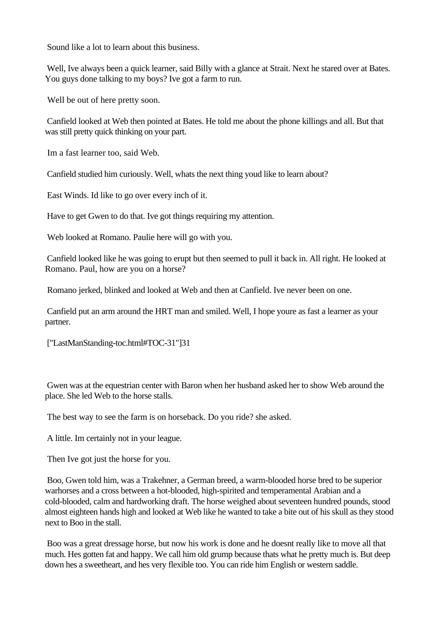Sound like a lot to learn about this business.

 Well, Ive always been a quick learner, said Billy with a glance at Strait. Next he stared over at Bates. You guys done talking to my boys? Ive got a farm to run.

Well be out of here pretty soon.

 Canfield looked at Web then pointed at Bates. He told me about the phone killings and all. But that was still pretty quick thinking on your part.

Im a fast learner too, said Web.

Canfield studied him curiously. Well, whats the next thing youd like to learn about?

East Winds. Id like to go over every inch of it.

Have to get Gwen to do that. Ive got things requiring my attention.

Web looked at Romano. Paulie here will go with you.

 Canfield looked like he was going to erupt but then seemed to pull it back in. All right. He looked at Romano. Paul, how are you on a horse?

Romano jerked, blinked and looked at Web and then at Canfield. Ive never been on one.

 Canfield put an arm around the HRT man and smiled. Well, I hope youre as fast a learner as your partner.

["LastManStanding-toc.html#TOC-31"]31

 Gwen was at the equestrian center with Baron when her husband asked her to show Web around the place. She led Web to the horse stalls.

The best way to see the farm is on horseback. Do you ride? she asked.

A little. Im certainly not in your league.

Then Ive got just the horse for you.

 Boo, Gwen told him, was a Trakehner, a German breed, a warm-blooded horse bred to be superior warhorses and a cross between a hot-blooded, high-spirited and temperamental Arabian and a cold-blooded, calm and hardworking draft. The horse weighed about seventeen hundred pounds, stood almost eighteen hands high and looked at Web like he wanted to take a bite out of his skull as they stood next to Boo in the stall.

 Boo was a great dressage horse, but now his work is done and he doesnt really like to move all that much. Hes gotten fat and happy. We call him old grump because thats what he pretty much is. But deep down hes a sweetheart, and hes very flexible too. You can ride him English or western saddle.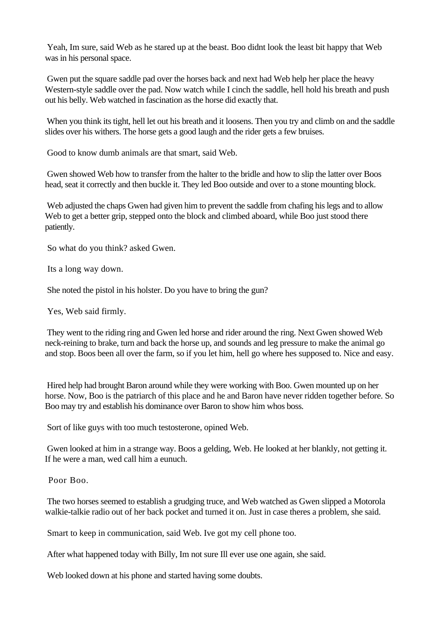Yeah, Im sure, said Web as he stared up at the beast. Boo didnt look the least bit happy that Web was in his personal space.

Gwen put the square saddle pad over the horses back and next had Web help her place the heavy Western-style saddle over the pad. Now watch while I cinch the saddle, hell hold his breath and push out his belly. Web watched in fascination as the horse did exactly that.

When you think its tight, hell let out his breath and it loosens. Then you try and climb on and the saddle slides over his withers. The horse gets a good laugh and the rider gets a few bruises.

Good to know dumb animals are that smart, said Web.

 Gwen showed Web how to transfer from the halter to the bridle and how to slip the latter over Boos head, seat it correctly and then buckle it. They led Boo outside and over to a stone mounting block.

Web adjusted the chaps Gwen had given him to prevent the saddle from chafing his legs and to allow Web to get a better grip, stepped onto the block and climbed aboard, while Boo just stood there patiently.

So what do you think? asked Gwen.

Its a long way down.

She noted the pistol in his holster. Do you have to bring the gun?

Yes, Web said firmly.

 They went to the riding ring and Gwen led horse and rider around the ring. Next Gwen showed Web neck-reining to brake, turn and back the horse up, and sounds and leg pressure to make the animal go and stop. Boos been all over the farm, so if you let him, hell go where hes supposed to. Nice and easy.

 Hired help had brought Baron around while they were working with Boo. Gwen mounted up on her horse. Now, Boo is the patriarch of this place and he and Baron have never ridden together before. So Boo may try and establish his dominance over Baron to show him whos boss.

Sort of like guys with too much testosterone, opined Web.

 Gwen looked at him in a strange way. Boos a gelding, Web. He looked at her blankly, not getting it. If he were a man, wed call him a eunuch.

Poor Boo.

 The two horses seemed to establish a grudging truce, and Web watched as Gwen slipped a Motorola walkie-talkie radio out of her back pocket and turned it on. Just in case theres a problem, she said.

Smart to keep in communication, said Web. Ive got my cell phone too.

After what happened today with Billy, Im not sure Ill ever use one again, she said.

Web looked down at his phone and started having some doubts.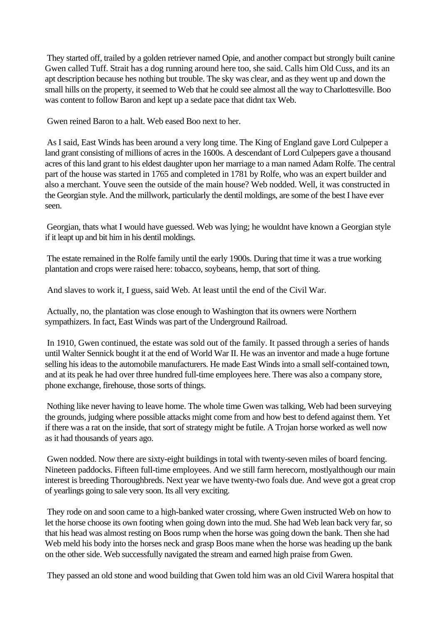They started off, trailed by a golden retriever named Opie, and another compact but strongly built canine Gwen called Tuff. Strait has a dog running around here too, she said. Calls him Old Cuss, and its an apt description because hes nothing but trouble. The sky was clear, and as they went up and down the small hills on the property, it seemed to Web that he could see almost all the way to Charlottesville. Boo was content to follow Baron and kept up a sedate pace that didnt tax Web.

Gwen reined Baron to a halt. Web eased Boo next to her.

 As I said, East Winds has been around a very long time. The King of England gave Lord Culpeper a land grant consisting of millions of acres in the 1600s. A descendant of Lord Culpepers gave a thousand acres of this land grant to his eldest daughter upon her marriage to a man named Adam Rolfe. The central part of the house was started in 1765 and completed in 1781 by Rolfe, who was an expert builder and also a merchant. Youve seen the outside of the main house? Web nodded. Well, it was constructed in the Georgian style. And the millwork, particularly the dentil moldings, are some of the best I have ever seen.

 Georgian, thats what I would have guessed. Web was lying; he wouldnt have known a Georgian style if it leapt up and bit him in his dentil moldings.

 The estate remained in the Rolfe family until the early 1900s. During that time it was a true working plantation and crops were raised here: tobacco, soybeans, hemp, that sort of thing.

And slaves to work it, I guess, said Web. At least until the end of the Civil War.

 Actually, no, the plantation was close enough to Washington that its owners were Northern sympathizers. In fact, East Winds was part of the Underground Railroad.

 In 1910, Gwen continued, the estate was sold out of the family. It passed through a series of hands until Walter Sennick bought it at the end of World War II. He was an inventor and made a huge fortune selling his ideas to the automobile manufacturers. He made East Winds into a small self-contained town, and at its peak he had over three hundred full-time employees here. There was also a company store, phone exchange, firehouse, those sorts of things.

 Nothing like never having to leave home. The whole time Gwen was talking, Web had been surveying the grounds, judging where possible attacks might come from and how best to defend against them. Yet if there was a rat on the inside, that sort of strategy might be futile. A Trojan horse worked as well now as it had thousands of years ago.

 Gwen nodded. Now there are sixty-eight buildings in total with twenty-seven miles of board fencing. Nineteen paddocks. Fifteen full-time employees. And we still farm here corn, mostly although our main interest is breeding Thoroughbreds. Next year we have twenty-two foals due. And weve got a great crop of yearlings going to sale very soon. Its all very exciting.

 They rode on and soon came to a high-banked water crossing, where Gwen instructed Web on how to let the horse choose its own footing when going down into the mud. She had Web lean back very far, so that his head was almost resting on Boos rump when the horse was going down the bank. Then she had Web meld his body into the horses neck and grasp Boos mane when the horse was heading up the bank on the other side. Web successfully navigated the stream and earned high praise from Gwen.

They passed an old stone and wood building that Gwen told him was an old Civil Warera hospital that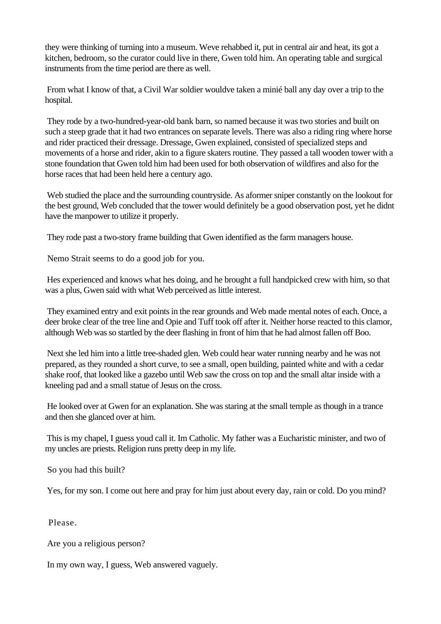they were thinking of turning into a museum. Weve rehabbed it, put in central air and heat, its got a kitchen, bedroom, so the curator could live in there, Gwen told him. An operating table and surgical instruments from the time period are there as well.

 From what I know of that, a Civil War soldier wouldve taken a minié ball any day over a trip to the hospital.

 They rode by a two-hundred-year-old bank barn, so named because it was two stories and built on such a steep grade that it had two entrances on separate levels. There was also a riding ring where horse and rider practiced their dressage. Dressage, Gwen explained, consisted of specialized steps and movements of a horse and rider, akin to a figure skaters routine. They passed a tall wooden tower with a stone foundation that Gwen told him had been used for both observation of wildfires and also for the horse races that had been held here a century ago.

 Web studied the place and the surrounding countryside. As aformer sniper constantly on the lookout for the best ground, Web concluded that the tower would definitely be a good observation post, yet he didnt have the manpower to utilize it properly.

They rode past a two-story frame building that Gwen identified as the farm managers house.

Nemo Strait seems to do a good job for you.

 Hes experienced and knows what hes doing, and he brought a full handpicked crew with him, so that was a plus, Gwen said with what Web perceived as little interest.

 They examined entry and exit points in the rear grounds and Web made mental notes of each. Once, a deer broke clear of the tree line and Opie and Tuff took off after it. Neither horse reacted to this clamor, although Web was so startled by the deer flashing in front of him that he had almost fallen off Boo.

 Next she led him into a little tree-shaded glen. Web could hear water running nearby and he was not prepared, as they rounded a short curve, to see a small, open building, painted white and with a cedar shake roof, that looked like a gazebo until Web saw the cross on top and the small altar inside with a kneeling pad and a small statue of Jesus on the cross.

 He looked over at Gwen for an explanation. She was staring at the small temple as though in a trance and then she glanced over at him.

 This is my chapel, I guess youd call it. Im Catholic. My father was a Eucharistic minister, and two of my uncles are priests. Religion runs pretty deep in my life.

So you had this built?

Yes, for my son. I come out here and pray for him just about every day, rain or cold. Do you mind?

Please.

Are you a religious person?

In my own way, I guess, Web answered vaguely.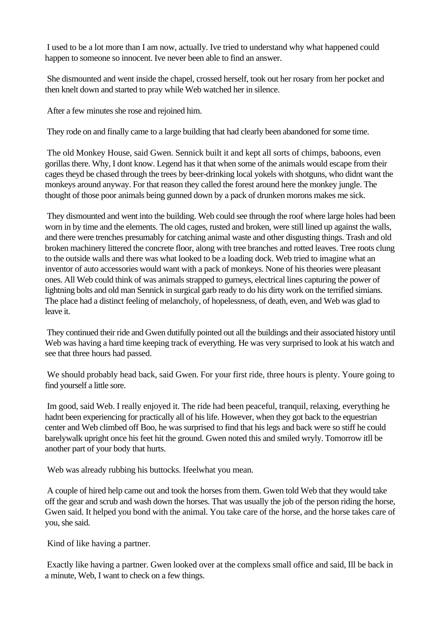I used to be a lot more than I am now, actually. Ive tried to understand why what happened could happen to someone so innocent. Ive never been able to find an answer.

 She dismounted and went inside the chapel, crossed herself, took out her rosary from her pocket and then knelt down and started to pray while Web watched her in silence.

After a few minutes she rose and rejoined him.

They rode on and finally came to a large building that had clearly been abandoned for some time.

 The old Monkey House, said Gwen. Sennick built it and kept all sorts of chimps, baboons, even gorillas there. Why, I dont know. Legend has it that when some of the animals would escape from their cages theyd be chased through the trees by beer-drinking local yokels with shotguns, who didnt want the monkeys around anyway. For that reason they called the forest around here the monkey jungle. The thought of those poor animals being gunned down by a pack of drunken morons makes me sick.

 They dismounted and went into the building. Web could see through the roof where large holes had been worn in by time and the elements. The old cages, rusted and broken, were still lined up against the walls, and there were trenches presumably for catching animal waste and other disgusting things. Trash and old broken machinery littered the concrete floor, along with tree branches and rotted leaves. Tree roots clung to the outside walls and there was what looked to be a loading dock. Web tried to imagine what an inventor of auto accessories would want with a pack of monkeys. None of his theories were pleasant ones. All Web could think of was animals strapped to gurneys, electrical lines capturing the power of lightning bolts and old man Sennick in surgical garb ready to do his dirty work on the terrified simians. The place had a distinct feeling of melancholy, of hopelessness, of death, even, and Web was glad to leave it.

 They continued their ride and Gwen dutifully pointed out all the buildings and their associated history until Web was having a hard time keeping track of everything. He was very surprised to look at his watch and see that three hours had passed.

 We should probably head back, said Gwen. For your first ride, three hours is plenty. Youre going to find yourself a little sore.

 Im good, said Web. I really enjoyed it. The ride had been peaceful, tranquil, relaxing, everything he hadnt been experiencing for practically all of his life. However, when they got back to the equestrian center and Web climbed off Boo, he was surprised to find that his legs and back were so stiff he could barelywalk upright once his feet hit the ground. Gwen noted this and smiled wryly. Tomorrow itll be another part of your body that hurts.

Web was already rubbing his buttocks. Ifeelwhat you mean.

 A couple of hired help came out and took the horses from them. Gwen told Web that they would take off the gear and scrub and wash down the horses. That was usually the job of the person riding the horse, Gwen said. It helped you bond with the animal. You take care of the horse, and the horse takes care of you, she said.

Kind of like having a partner.

 Exactly like having a partner. Gwen looked over at the complexs small office and said, Ill be back in a minute, Web, I want to check on a few things.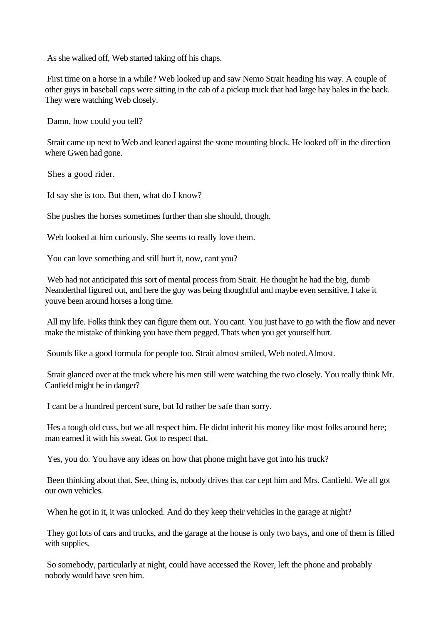As she walked off, Web started taking off his chaps.

 First time on a horse in a while? Web looked up and saw Nemo Strait heading his way. A couple of other guys in baseball caps were sitting in the cab of a pickup truck that had large hay bales in the back. They were watching Web closely.

Damn, how could you tell?

 Strait came up next to Web and leaned against the stone mounting block. He looked off in the direction where Gwen had gone.

Shes a good rider.

Id say she is too. But then, what do I know?

She pushes the horses sometimes further than she should, though.

Web looked at him curiously. She seems to really love them.

You can love something and still hurt it, now, cant you?

Web had not anticipated this sort of mental process from Strait. He thought he had the big, dumb Neanderthal figured out, and here the guy was being thoughtful and maybe even sensitive. I take it youve been around horses a long time.

 All my life. Folks think they can figure them out. You cant. You just have to go with the flow and never make the mistake of thinking you have them pegged. Thats when you get yourself hurt.

Sounds like a good formula for people too. Strait almost smiled, Web noted.Almost.

 Strait glanced over at the truck where his men still were watching the two closely. You really think Mr. Canfield might be in danger?

I cant be a hundred percent sure, but Id rather be safe than sorry.

 Hes a tough old cuss, but we all respect him. He didnt inherit his money like most folks around here; man earned it with his sweat. Got to respect that.

Yes, you do. You have any ideas on how that phone might have got into his truck?

 Been thinking about that. See, thing is, nobody drives that car cept him and Mrs. Canfield. We all got our own vehicles.

When he got in it, it was unlocked. And do they keep their vehicles in the garage at night?

 They got lots of cars and trucks, and the garage at the house is only two bays, and one of them is filled with supplies.

 So somebody, particularly at night, could have accessed the Rover, left the phone and probably nobody would have seen him.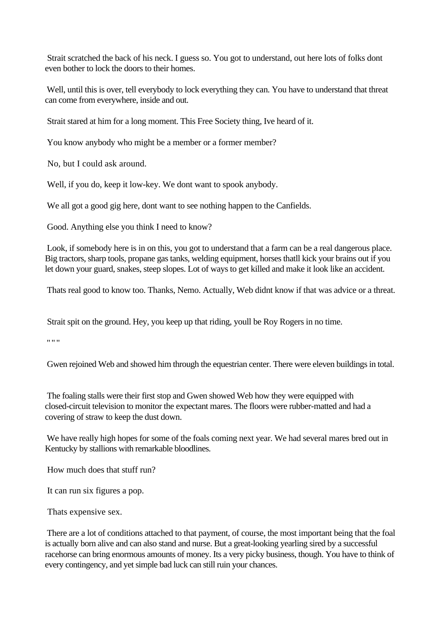Strait scratched the back of his neck. I guess so. You got to understand, out here lots of folks dont even bother to lock the doors to their homes.

 Well, until this is over, tell everybody to lock everything they can. You have to understand that threat can come from everywhere, inside and out.

Strait stared at him for a long moment. This Free Society thing, Ive heard of it.

You know anybody who might be a member or a former member?

No, but I could ask around.

Well, if you do, keep it low-key. We dont want to spook anybody.

We all got a good gig here, dont want to see nothing happen to the Canfields.

Good. Anything else you think I need to know?

 Look, if somebody here is in on this, you got to understand that a farm can be a real dangerous place. Big tractors, sharp tools, propane gas tanks, welding equipment, horses thatll kick your brains out if you let down your guard, snakes, steep slopes. Lot of ways to get killed and make it look like an accident.

Thats real good to know too. Thanks, Nemo. Actually, Web didnt know if that was advice or a threat.

Strait spit on the ground. Hey, you keep up that riding, youll be Roy Rogers in no time.

" " "

Gwen rejoined Web and showed him through the equestrian center. There were eleven buildings in total.

 The foaling stalls were their first stop and Gwen showed Web how they were equipped with closed-circuit television to monitor the expectant mares. The floors were rubber-matted and had a covering of straw to keep the dust down.

 We have really high hopes for some of the foals coming next year. We had several mares bred out in Kentucky by stallions with remarkable bloodlines.

How much does that stuff run?

It can run six figures a pop.

Thats expensive sex.

 There are a lot of conditions attached to that payment, of course, the most important being that the foal is actually born alive and can also stand and nurse. But a great-looking yearling sired by a successful racehorse can bring enormous amounts of money. Its a very picky business, though. You have to think of every contingency, and yet simple bad luck can still ruin your chances.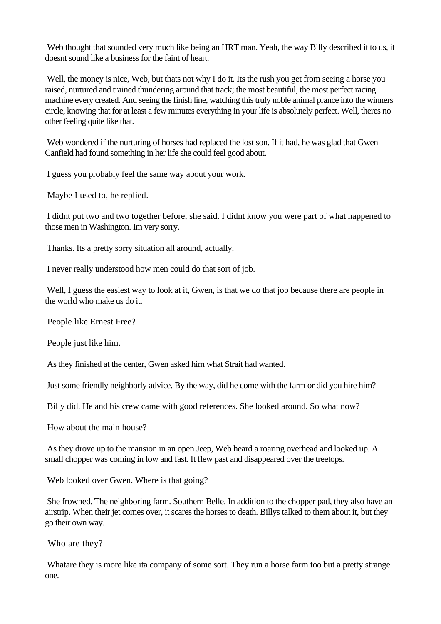Web thought that sounded very much like being an HRT man. Yeah, the way Billy described it to us, it doesnt sound like a business for the faint of heart.

Well, the money is nice. Web, but thats not why I do it. Its the rush you get from seeing a horse you raised, nurtured and trained thundering around that track; the most beautiful, the most perfect racing machine every created. And seeing the finish line, watching this truly noble animal prance into the winners circle, knowing that for at least a few minutes everything in your life is absolutely perfect. Well, theres no other feeling quite like that.

Web wondered if the nurturing of horses had replaced the lost son. If it had, he was glad that Gwen Canfield had found something in her life she could feel good about.

I guess you probably feel the same way about your work.

Maybe I used to, he replied.

 I didnt put two and two together before, she said. I didnt know you were part of what happened to those men in Washington. Im very sorry.

Thanks. Its a pretty sorry situation all around, actually.

I never really understood how men could do that sort of job.

Well, I guess the easiest way to look at it, Gwen, is that we do that job because there are people in the world who make us do it.

People like Ernest Free?

People just like him.

As they finished at the center, Gwen asked him what Strait had wanted.

Just some friendly neighborly advice. By the way, did he come with the farm or did you hire him?

Billy did. He and his crew came with good references. She looked around. So what now?

How about the main house?

 As they drove up to the mansion in an open Jeep, Web heard a roaring overhead and looked up. A small chopper was coming in low and fast. It flew past and disappeared over the treetops.

Web looked over Gwen. Where is that going?

 She frowned. The neighboring farm. Southern Belle. In addition to the chopper pad, they also have an airstrip. When their jet comes over, it scares the horses to death. Billys talked to them about it, but they go their own way.

Who are they?

Whatare they is more like it a company of some sort. They run a horse farm too but a pretty strange one.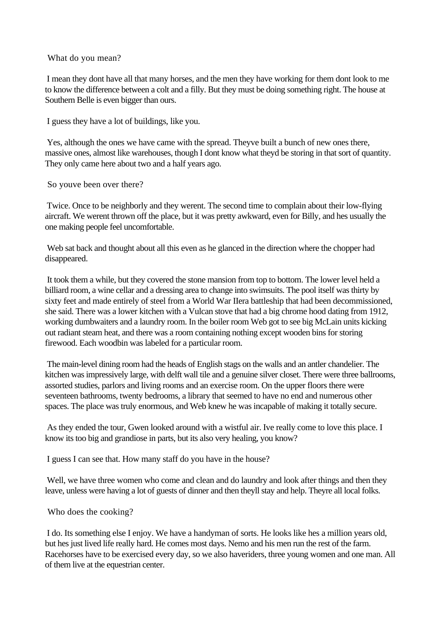What do you mean?

 I mean they dont have all that many horses, and the men they have working for them dont look to me to know the difference between a colt and a filly. But they must be doing something right. The house at Southern Belle is even bigger than ours.

I guess they have a lot of buildings, like you.

 Yes, although the ones we have came with the spread. Theyve built a bunch of new ones there, massive ones, almost like warehouses, though I dont know what theyd be storing in that sort of quantity. They only came here about two and a half years ago.

So youve been over there?

 Twice. Once to be neighborly and they werent. The second time to complain about their low-flying aircraft. We werent thrown off the place, but it was pretty awkward, even for Billy, and hes usually the one making people feel uncomfortable.

 Web sat back and thought about all this even as he glanced in the direction where the chopper had disappeared.

 It took them a while, but they covered the stone mansion from top to bottom. The lower level held a billiard room, a wine cellar and a dressing area to change into swimsuits. The pool itself was thirty by sixty feet and made entirely of steel from a World War II era battleship that had been decommissioned, she said. There was a lower kitchen with a Vulcan stove that had a big chrome hood dating from 1912, working dumbwaiters and a laundry room. In the boiler room Web got to see big McLain units kicking out radiant steam heat, and there was a room containing nothing except wooden bins for storing firewood. Each woodbin was labeled for a particular room.

 The main-level dining room had the heads of English stags on the walls and an antler chandelier. The kitchen was impressively large, with delft wall tile and a genuine silver closet. There were three ballrooms, assorted studies, parlors and living rooms and an exercise room. On the upper floors there were seventeen bathrooms, twenty bedrooms, a library that seemed to have no end and numerous other spaces. The place was truly enormous, and Web knew he was incapable of making it totally secure.

 As they ended the tour, Gwen looked around with a wistful air. Ive really come to love this place. I know its too big and grandiose in parts, but its also very healing, you know?

I guess I can see that. How many staff do you have in the house?

 Well, we have three women who come and clean and do laundry and look after things and then they leave, unless were having a lot of guests of dinner and then theyll stay and help. Theyre all local folks.

Who does the cooking?

 I do. Its something else I enjoy. We have a handyman of sorts. He looks like hes a million years old, but hes just lived life really hard. He comes most days. Nemo and his men run the rest of the farm. Racehorses have to be exercised every day, so we also haveriders, three young women and one man. All of them live at the equestrian center.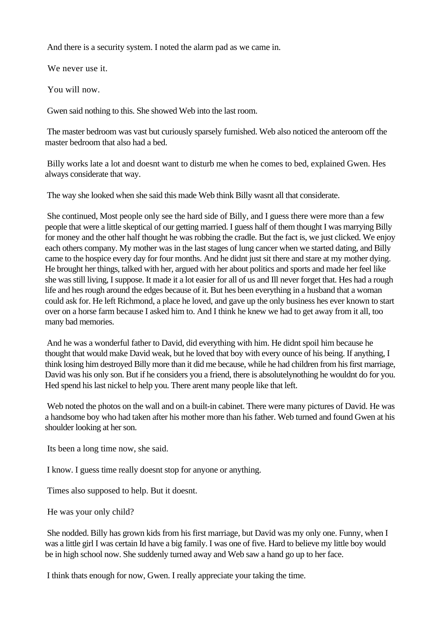And there is a security system. I noted the alarm pad as we came in.

We never use it.

You will now.

Gwen said nothing to this. She showed Web into the last room.

 The master bedroom was vast but curiously sparsely furnished. Web also noticed the anteroom off the master bedroom that also had a bed.

 Billy works late a lot and doesnt want to disturb me when he comes to bed, explained Gwen. Hes always considerate that way.

The way she looked when she said this made Web think Billy wasnt all that considerate.

 She continued, Most people only see the hard side of Billy, and I guess there were more than a few people that were a little skeptical of our getting married. I guess half of them thought I was marrying Billy for money and the other half thought he was robbing the cradle. But the fact is, we just clicked. We enjoy each others company. My mother was in the last stages of lung cancer when we started dating, and Billy came to the hospice every day for four months. And he didnt just sit there and stare at my mother dying. He brought her things, talked with her, argued with her about politics and sports and made her feel like she was still living, I suppose. It made it a lot easier for all of us and Ill never forget that. Hes had a rough life and hes rough around the edges because of it. But hes been everything in a husband that a woman could ask for. He left Richmond, a place he loved, and gave up the only business hes ever known to start over on a horse farm because I asked him to. And I think he knew we had to get away from it all, too many bad memories.

 And he was a wonderful father to David, did everything with him. He didnt spoil him because he thought that would make David weak, but he loved that boy with every ounce of his being. If anything, I think losing him destroyed Billy more than it did me because, while he had children from his first marriage, David was his only son. But if he considers you a friend, there is absolutelynothing he wouldnt do for you. Hed spend his last nickel to help you. There arent many people like that left.

 Web noted the photos on the wall and on a built-in cabinet. There were many pictures of David. He was a handsome boy who had taken after his mother more than his father. Web turned and found Gwen at his shoulder looking at her son.

Its been a long time now, she said.

I know. I guess time really doesnt stop for anyone or anything.

Times also supposed to help. But it doesnt.

He was your only child?

 She nodded. Billy has grown kids from his first marriage, but David was my only one. Funny, when I was a little girl I was certain Id have a big family. I was one of five. Hard to believe my little boy would be in high school now. She suddenly turned away and Web saw a hand go up to her face.

I think thats enough for now, Gwen. I really appreciate your taking the time.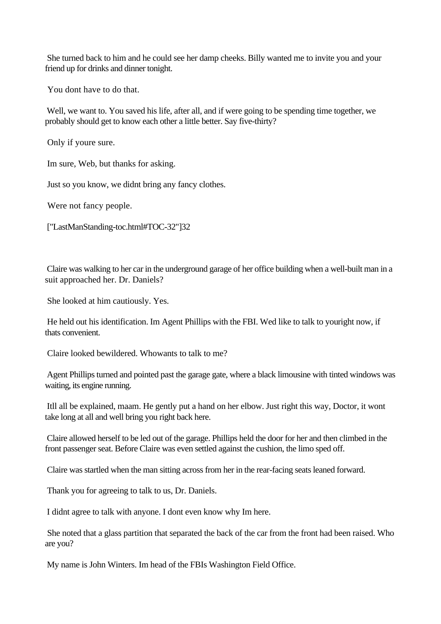She turned back to him and he could see her damp cheeks. Billy wanted me to invite you and your friend up for drinks and dinner tonight.

You dont have to do that.

Well, we want to. You saved his life, after all, and if were going to be spending time together, we probably should get to know each other a little better. Say five-thirty?

Only if youre sure.

Im sure, Web, but thanks for asking.

Just so you know, we didnt bring any fancy clothes.

Were not fancy people.

["LastManStanding-toc.html#TOC-32"]32

 Claire was walking to her car in the underground garage of her office building when a well-built man in a suit approached her. Dr. Daniels?

She looked at him cautiously. Yes.

 He held out his identification. Im Agent Phillips with the FBI. Wed like to talk to youright now, if thats convenient.

Claire looked bewildered. Whowants to talk to me?

 Agent Phillips turned and pointed past the garage gate, where a black limousine with tinted windows was waiting, its engine running.

 Itll all be explained, maam. He gently put a hand on her elbow. Just right this way, Doctor, it wont take long at all and well bring you right back here.

 Claire allowed herself to be led out of the garage. Phillips held the door for her and then climbed in the front passenger seat. Before Claire was even settled against the cushion, the limo sped off.

Claire was startled when the man sitting across from her in the rear-facing seats leaned forward.

Thank you for agreeing to talk to us, Dr. Daniels.

I didnt agree to talk with anyone. I dont even know why Im here.

 She noted that a glass partition that separated the back of the car from the front had been raised. Who are you?

My name is John Winters. Im head of the FBIs Washington Field Office.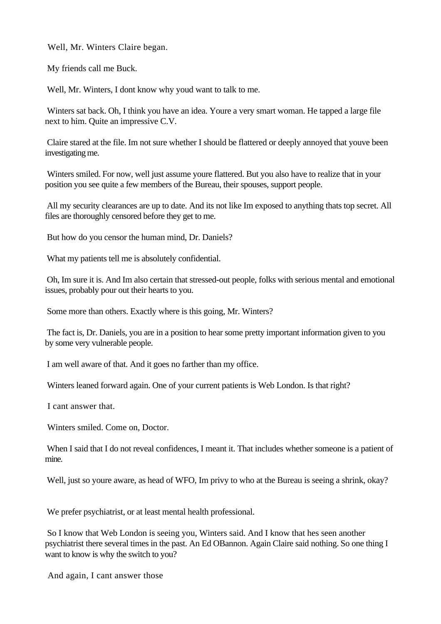Well, Mr. Winters Claire began.

My friends call me Buck.

Well, Mr. Winters, I dont know why youd want to talk to me.

 Winters sat back. Oh, I think you have an idea. Youre a very smart woman. He tapped a large file next to him. Quite an impressive C.V.

 Claire stared at the file. Im not sure whether I should be flattered or deeply annoyed that youve been investigating me.

 Winters smiled. For now, well just assume youre flattered. But you also have to realize that in your position you see quite a few members of the Bureau, their spouses, support people.

 All my security clearances are up to date. And its not like Im exposed to anything thats top secret. All files are thoroughly censored before they get to me.

But how do you censor the human mind, Dr. Daniels?

What my patients tell me is absolutely confidential.

 Oh, Im sure it is. And Im also certain that stressed-out people, folks with serious mental and emotional issues, probably pour out their hearts to you.

Some more than others. Exactly where is this going, Mr. Winters?

 The fact is, Dr. Daniels, you are in a position to hear some pretty important information given to you by some very vulnerable people.

I am well aware of that. And it goes no farther than my office.

Winters leaned forward again. One of your current patients is Web London. Is that right?

I cant answer that.

Winters smiled. Come on, Doctor.

When I said that I do not reveal confidences, I meant it. That includes whether someone is a patient of mine.

Well, just so youre aware, as head of WFO, Im privy to who at the Bureau is seeing a shrink, okay?

We prefer psychiatrist, or at least mental health professional.

 So I know that Web London is seeing you, Winters said. And I know that hes seen another psychiatrist there several times in the past. An Ed OBannon. Again Claire said nothing. So one thing I want to know is why the switch to you?

And again, I cant answer those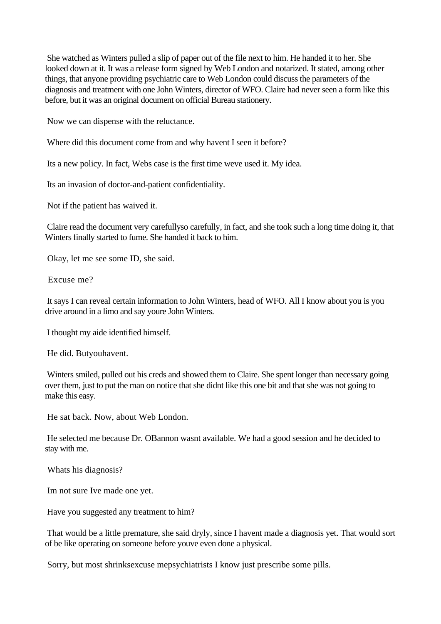She watched as Winters pulled a slip of paper out of the file next to him. He handed it to her. She looked down at it. It was a release form signed by Web London and notarized. It stated, among other things, that anyone providing psychiatric care to Web London could discuss the parameters of the diagnosis and treatment with one John Winters, director of WFO. Claire had never seen a form like this before, but it was an original document on official Bureau stationery.

Now we can dispense with the reluctance.

Where did this document come from and why havent I seen it before?

Its a new policy. In fact, Webs case is the first time weve used it. My idea.

Its an invasion of doctor-and-patient confidentiality.

Not if the patient has waived it.

Claire read the document very carefully so carefully, in fact, and she took such a long time doing it, that Winters finally started to fume. She handed it back to him.

Okay, let me see some ID, she said.

Excuse me?

 It says I can reveal certain information to John Winters, head of WFO. All I know about you is you drive around in a limo and say youre John Winters.

I thought my aide identified himself.

He did. Butyouhavent.

 Winters smiled, pulled out his creds and showed them to Claire. She spent longer than necessary going over them, just to put the man on notice that she didnt like this one bit and that she was not going to make this easy.

He sat back. Now, about Web London.

 He selected me because Dr. OBannon wasnt available. We had a good session and he decided to stay with me.

Whats his diagnosis?

Im not sure Ive made one yet.

Have you suggested any treatment to him?

 That would be a little premature, she said dryly, since I havent made a diagnosis yet. That would sort of be like operating on someone before youve even done a physical.

Sorry, but most shrinks excuse me psychiatrists I know just prescribe some pills.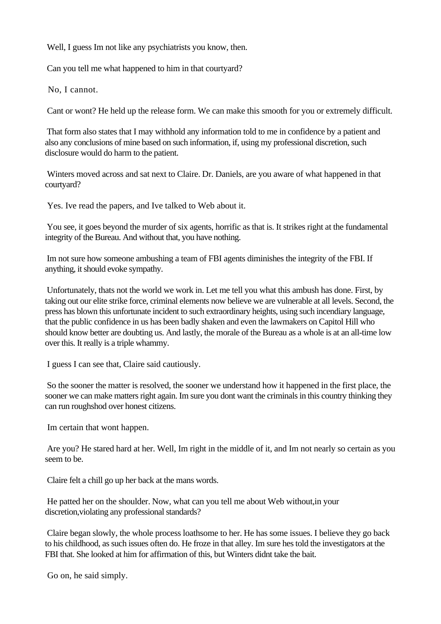Well, I guess Im not like any psychiatrists you know, then.

Can you tell me what happened to him in that courtyard?

No, I cannot.

Cant or wont? He held up the release form. We can make this smooth for you or extremely difficult.

 That form also states that I may withhold any information told to me in confidence by a patient and also any conclusions of mine based on such information, if, using my professional discretion, such disclosure would do harm to the patient.

 Winters moved across and sat next to Claire. Dr. Daniels, are you aware of what happened in that courtyard?

Yes. Ive read the papers, and Ive talked to Web about it.

 You see, it goes beyond the murder of six agents, horrific as that is. It strikes right at the fundamental integrity of the Bureau. And without that, you have nothing.

 Im not sure how someone ambushing a team of FBI agents diminishes the integrity of the FBI. If anything, it should evoke sympathy.

 Unfortunately, thats not the world we work in. Let me tell you what this ambush has done. First, by taking out our elite strike force, criminal elements now believe we are vulnerable at all levels. Second, the press has blown this unfortunate incident to such extraordinary heights, using such incendiary language, that the public confidence in us has been badly shaken and even the lawmakers on Capitol Hill who should know better are doubting us. And lastly, the morale of the Bureau as a whole is at an all-time low over this. It really is a triple whammy.

I guess I can see that, Claire said cautiously.

 So the sooner the matter is resolved, the sooner we understand how it happened in the first place, the sooner we can make matters right again. Im sure you dont want the criminals in this country thinking they can run roughshod over honest citizens.

Im certain that wont happen.

 Are you? He stared hard at her. Well, Im right in the middle of it, and Im not nearly so certain as you seem to be.

Claire felt a chill go up her back at the mans words.

 He patted her on the shoulder. Now, what can you tell me about Web without,in your discretion,violating any professional standards?

 Claire began slowly, the whole process loathsome to her. He has some issues. I believe they go back to his childhood, as such issues often do. He froze in that alley. Im sure hes told the investigators at the FBI that. She looked at him for affirmation of this, but Winters didnt take the bait.

Go on, he said simply.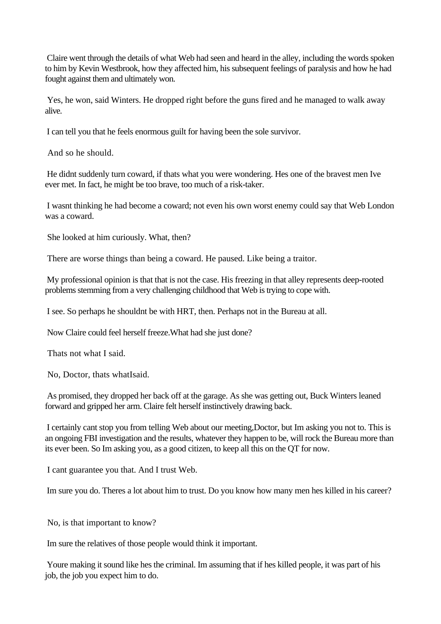Claire went through the details of what Web had seen and heard in the alley, including the words spoken to him by Kevin Westbrook, how they affected him, his subsequent feelings of paralysis and how he had fought against them and ultimately won.

 Yes, he won, said Winters. He dropped right before the guns fired and he managed to walk away alive.

I can tell you that he feels enormous guilt for having been the sole survivor.

And so he should.

 He didnt suddenly turn coward, if thats what you were wondering. Hes one of the bravest men Ive ever met. In fact, he might be too brave, too much of a risk-taker.

 I wasnt thinking he had become a coward; not even his own worst enemy could say that Web London was a coward.

She looked at him curiously. What, then?

There are worse things than being a coward. He paused. Like being a traitor.

 My professional opinion is that that is not the case. His freezing in that alley represents deep-rooted problems stemming from a very challenging childhood that Web is trying to cope with.

I see. So perhaps he shouldnt be with HRT, then. Perhaps not in the Bureau at all.

Now Claire could feel herself freeze.What had she just done?

Thats not what I said.

No, Doctor, thats whatIsaid.

 As promised, they dropped her back off at the garage. As she was getting out, Buck Winters leaned forward and gripped her arm. Claire felt herself instinctively drawing back.

 I certainly cant stop you from telling Web about our meeting,Doctor, but Im asking you not to. This is an ongoing FBI investigation and the results, whatever they happen to be, will rock the Bureau more than its ever been. So Im asking you, as a good citizen, to keep all this on the QT for now.

I cant guarantee you that. And I trust Web.

Im sure you do. Theres a lot about him to trust. Do you know how many men hes killed in his career?

No, is that important to know?

Im sure the relatives of those people would think it important.

 Youre making it sound like hes the criminal. Im assuming that if hes killed people, it was part of his job, the job you expect him to do.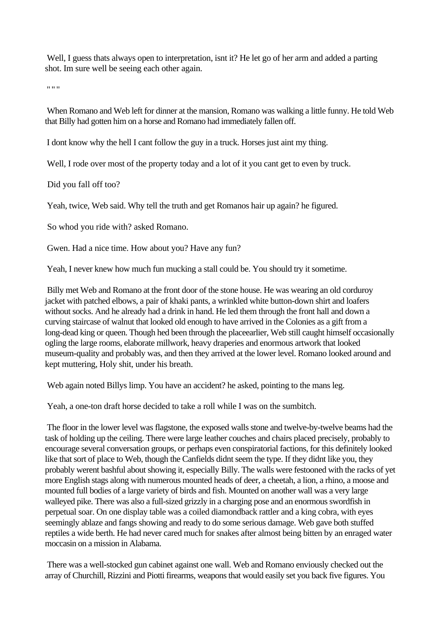Well, I guess thats always open to interpretation, isnt it? He let go of her arm and added a parting shot. Im sure well be seeing each other again.

" " "

 When Romano and Web left for dinner at the mansion, Romano was walking a little funny. He told Web that Billy had gotten him on a horse and Romano had immediately fallen off.

I dont know why the hell I cant follow the guy in a truck. Horses just aint my thing.

Well, I rode over most of the property today and a lot of it you cant get to even by truck.

Did you fall off too?

Yeah, twice, Web said. Why tell the truth and get Romanos hair up again? he figured.

So whod you ride with? asked Romano.

Gwen. Had a nice time. How about you? Have any fun?

Yeah, I never knew how much fun mucking a stall could be. You should try it sometime.

 Billy met Web and Romano at the front door of the stone house. He was wearing an old corduroy jacket with patched elbows, a pair of khaki pants, a wrinkled white button-down shirt and loafers without socks. And he already had a drink in hand. He led them through the front hall and down a curving staircase of walnut that looked old enough to have arrived in the Colonies as a gift from a long-dead king or queen. Though hed been through the placeearlier, Web still caught himself occasionally ogling the large rooms, elaborate millwork, heavy draperies and enormous artwork that looked museum-quality and probably was, and then they arrived at the lower level. Romano looked around and kept muttering, Holy shit, under his breath.

Web again noted Billys limp. You have an accident? he asked, pointing to the mans leg.

Yeah, a one-ton draft horse decided to take a roll while I was on the sumbitch.

 The floor in the lower level was flagstone, the exposed walls stone and twelve-by-twelve beams had the task of holding up the ceiling. There were large leather couches and chairs placed precisely, probably to encourage several conversation groups, or perhaps even conspiratorial factions, for this definitely looked like that sort of place to Web, though the Canfields didnt seem the type. If they didnt like you, they probably werent bashful about showing it, especially Billy. The walls were festooned with the racks of yet more English stags along with numerous mounted heads of deer, a cheetah, a lion, a rhino, a moose and mounted full bodies of a large variety of birds and fish. Mounted on another wall was a very large walleyed pike. There was also a full-sized grizzly in a charging pose and an enormous swordfish in perpetual soar. On one display table was a coiled diamondback rattler and a king cobra, with eyes seemingly ablaze and fangs showing and ready to do some serious damage. Web gave both stuffed reptiles a wide berth. He had never cared much for snakes after almost being bitten by an enraged water moccasin on a mission in Alabama.

 There was a well-stocked gun cabinet against one wall. Web and Romano enviously checked out the array of Churchill, Rizzini and Piotti firearms, weapons that would easily set you back five figures. You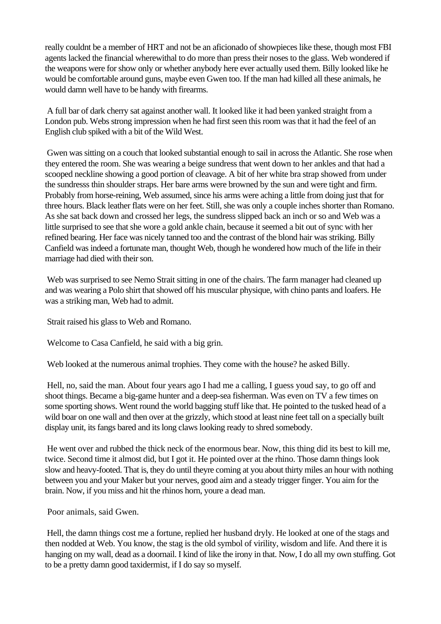really couldnt be a member of HRT and not be an aficionado of showpieces like these, though most FBI agents lacked the financial wherewithal to do more than press their noses to the glass. Web wondered if the weapons were for show only or whether anybody here ever actually used them. Billy looked like he would be comfortable around guns, maybe even Gwen too. If the man had killed all these animals, he would damn well have to be handy with firearms.

 A full bar of dark cherry sat against another wall. It looked like it had been yanked straight from a London pub. Webs strong impression when he had first seen this room was that it had the feel of an English club spiked with a bit of the Wild West.

 Gwen was sitting on a couch that looked substantial enough to sail in across the Atlantic. She rose when they entered the room. She was wearing a beige sundress that went down to her ankles and that had a scooped neckline showing a good portion of cleavage. A bit of her white bra strap showed from under the sundresss thin shoulder straps. Her bare arms were browned by the sun and were tight and firm. Probably from horse-reining, Web assumed, since his arms were aching a little from doing just that for three hours. Black leather flats were on her feet. Still, she was only a couple inches shorter than Romano. As she sat back down and crossed her legs, the sundress slipped back an inch or so and Web was a little surprised to see that she wore a gold ankle chain, because it seemed a bit out of sync with her refined bearing. Her face was nicely tanned too and the contrast of the blond hair was striking. Billy Canfield was indeed a fortunate man, thought Web, though he wondered how much of the life in their marriage had died with their son.

Web was surprised to see Nemo Strait sitting in one of the chairs. The farm manager had cleaned up and was wearing a Polo shirt that showed off his muscular physique, with chino pants and loafers. He was a striking man, Web had to admit.

Strait raised his glass to Web and Romano.

Welcome to Casa Canfield, he said with a big grin.

Web looked at the numerous animal trophies. They come with the house? he asked Billy.

 Hell, no, said the man. About four years ago I had me a calling, I guess youd say, to go off and shoot things. Became a big-game hunter and a deep-sea fisherman. Was even on TV a few times on some sporting shows. Went round the world bagging stuff like that. He pointed to the tusked head of a wild boar on one wall and then over at the grizzly, which stood at least nine feet tall on a specially built display unit, its fangs bared and its long claws looking ready to shred somebody.

 He went over and rubbed the thick neck of the enormous bear. Now, this thing did its best to kill me, twice. Second time it almost did, but I got it. He pointed over at the rhino. Those damn things look slow and heavy-footed. That is, they do until theyre coming at you about thirty miles an hour with nothing between you and your Maker but your nerves, good aim and a steady trigger finger. You aim for the brain. Now, if you miss and hit the rhinos horn, youre a dead man.

Poor animals, said Gwen.

 Hell, the damn things cost me a fortune, replied her husband dryly. He looked at one of the stags and then nodded at Web. You know, the stag is the old symbol of virility, wisdom and life. And there it is hanging on my wall, dead as a doornail. I kind of like the irony in that. Now, I do all my own stuffing. Got to be a pretty damn good taxidermist, if I do say so myself.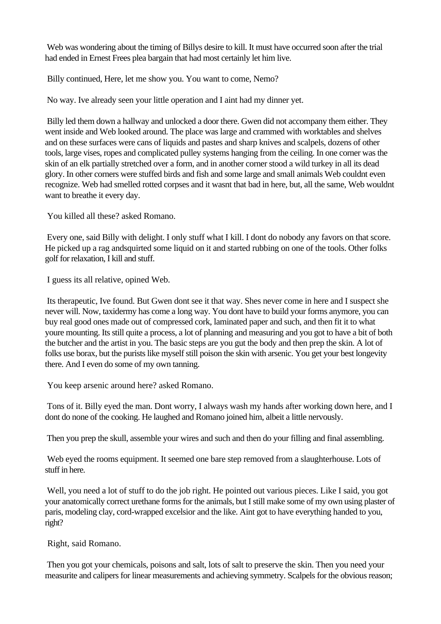Web was wondering about the timing of Billys desire to kill. It must have occurred soon after the trial had ended in Ernest Frees plea bargain that had most certainly let him live.

Billy continued, Here, let me show you. You want to come, Nemo?

No way. Ive already seen your little operation and I aint had my dinner yet.

 Billy led them down a hallway and unlocked a door there. Gwen did not accompany them either. They went inside and Web looked around. The place was large and crammed with worktables and shelves and on these surfaces were cans of liquids and pastes and sharp knives and scalpels, dozens of other tools, large vises, ropes and complicated pulley systems hanging from the ceiling. In one corner was the skin of an elk partially stretched over a form, and in another corner stood a wild turkey in all its dead glory. In other corners were stuffed birds and fish and some large and small animals Web couldnt even recognize. Web had smelled rotted corpses and it wasnt that bad in here, but, all the same, Web wouldnt want to breathe it every day.

You killed all these? asked Romano.

 Every one, said Billy with delight. I only stuff what I kill. I dont do nobody any favors on that score. He picked up a rag andsquirted some liquid on it and started rubbing on one of the tools. Other folks golf for relaxation, I kill and stuff.

I guess its all relative, opined Web.

 Its therapeutic, Ive found. But Gwen dont see it that way. Shes never come in here and I suspect she never will. Now, taxidermy has come a long way. You dont have to build your forms anymore, you can buy real good ones made out of compressed cork, laminated paper and such, and then fit it to what youre mounting. Its still quite a process, a lot of planning and measuring and you got to have a bit of both the butcher and the artist in you. The basic steps are you gut the body and then prep the skin. A lot of folks use borax, but the purists like myself still poison the skin with arsenic. You get your best longevity there. And I even do some of my own tanning.

You keep arsenic around here? asked Romano.

 Tons of it. Billy eyed the man. Dont worry, I always wash my hands after working down here, and I dont do none of the cooking. He laughed and Romano joined him, albeit a little nervously.

Then you prep the skull, assemble your wires and such and then do your filling and final assembling.

Web eyed the rooms equipment. It seemed one bare step removed from a slaughterhouse. Lots of stuff in here.

Well, you need a lot of stuff to do the job right. He pointed out various pieces. Like I said, you got your anatomically correct urethane forms for the animals, but I still make some of my own using plaster of paris, modeling clay, cord-wrapped excelsior and the like. Aint got to have everything handed to you, right?

Right, said Romano.

 Then you got your chemicals, poisons and salt, lots of salt to preserve the skin. Then you need your measurite and calipers for linear measurements and achieving symmetry. Scalpels for the obvious reason;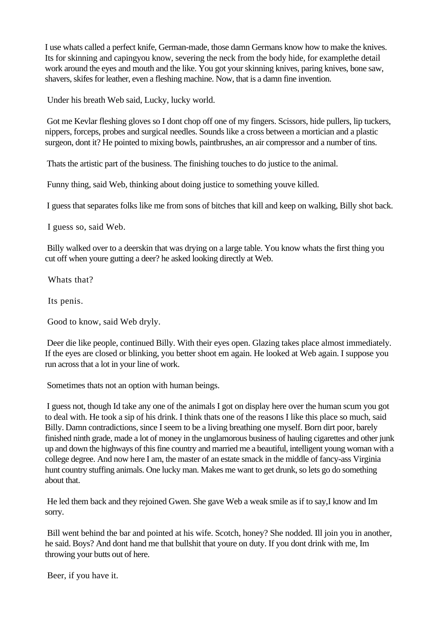I use whats called a perfect knife, German-made, those damn Germans know how to make the knives. Its for skinning and caping you know, severing the neck from the body hide, for example the detail work around the eyes and mouth and the like. You got your skinning knives, paring knives, bone saw, shavers, skifes for leather, even a fleshing machine. Now, that is a damn fine invention.

Under his breath Web said, Lucky, lucky world.

 Got me Kevlar fleshing gloves so I dont chop off one of my fingers. Scissors, hide pullers, lip tuckers, nippers, forceps, probes and surgical needles. Sounds like a cross between a mortician and a plastic surgeon, dont it? He pointed to mixing bowls, paintbrushes, an air compressor and a number of tins.

Thats the artistic part of the business. The finishing touches to do justice to the animal.

Funny thing, said Web, thinking about doing justice to something youve killed.

I guess that separates folks like me from sons of bitches that kill and keep on walking, Billy shot back.

I guess so, said Web.

 Billy walked over to a deerskin that was drying on a large table. You know whats the first thing you cut off when youre gutting a deer? he asked looking directly at Web.

Whats that?

Its penis.

Good to know, said Web dryly.

 Deer die like people, continued Billy. With their eyes open. Glazing takes place almost immediately. If the eyes are closed or blinking, you better shoot em again. He looked at Web again. I suppose you run across that a lot in your line of work.

Sometimes thats not an option with human beings.

 I guess not, though Id take any one of the animals I got on display here over the human scum you got to deal with. He took a sip of his drink. I think thats one of the reasons I like this place so much, said Billy. Damn contradictions, since I seem to be a living breathing one myself. Born dirt poor, barely finished ninth grade, made a lot of money in the unglamorous business of hauling cigarettes and other junk up and down the highways of this fine country and married me a beautiful, intelligent young woman with a college degree. And now here I am, the master of an estate smack in the middle of fancy-ass Virginia hunt country stuffing animals. One lucky man. Makes me want to get drunk, so lets go do something about that.

 He led them back and they rejoined Gwen. She gave Web a weak smile as if to say,I know and Im sorry.

 Bill went behind the bar and pointed at his wife. Scotch, honey? She nodded. Ill join you in another, he said. Boys? And dont hand me that bullshit that youre on duty. If you dont drink with me, Im throwing your butts out of here.

Beer, if you have it.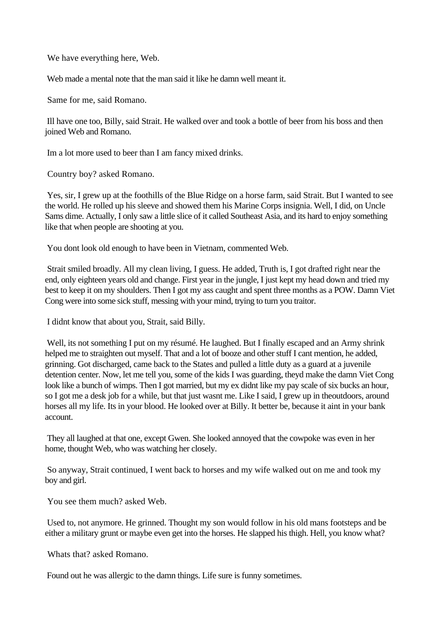We have everything here, Web.

Web made a mental note that the man said it like he damn well meant it.

Same for me, said Romano.

 Ill have one too, Billy, said Strait. He walked over and took a bottle of beer from his boss and then joined Web and Romano.

Im a lot more used to beer than I am fancy mixed drinks.

Country boy? asked Romano.

 Yes, sir, I grew up at the foothills of the Blue Ridge on a horse farm, said Strait. But I wanted to see the world. He rolled up his sleeve and showed them his Marine Corps insignia. Well, I did, on Uncle Sams dime. Actually, I only saw a little slice of it called Southeast Asia, and its hard to enjoy something like that when people are shooting at you.

You dont look old enough to have been in Vietnam, commented Web.

 Strait smiled broadly. All my clean living, I guess. He added, Truth is, I got drafted right near the end, only eighteen years old and change. First year in the jungle, I just kept my head down and tried my best to keep it on my shoulders. Then I got my ass caught and spent three months as a POW. Damn Viet Cong were into some sick stuff, messing with your mind, trying to turn you traitor.

I didnt know that about you, Strait, said Billy.

 Well, its not something I put on my résumé. He laughed. But I finally escaped and an Army shrink helped me to straighten out myself. That and a lot of booze and other stuff I cant mention, he added, grinning. Got discharged, came back to the States and pulled a little duty as a guard at a juvenile detention center. Now, let me tell you, some of the kids I was guarding, theyd make the damn Viet Cong look like a bunch of wimps. Then I got married, but my ex didnt like my pay scale of six bucks an hour, so I got me a desk job for a while, but that just wasnt me. Like I said, I grew up in theoutdoors, around horses all my life. Its in your blood. He looked over at Billy. It better be, because it aint in your bank account.

 They all laughed at that one, except Gwen. She looked annoyed that the cowpoke was even in her home, thought Web, who was watching her closely.

 So anyway, Strait continued, I went back to horses and my wife walked out on me and took my boy and girl.

You see them much? asked Web.

 Used to, not anymore. He grinned. Thought my son would follow in his old mans footsteps and be either a military grunt or maybe even get into the horses. He slapped his thigh. Hell, you know what?

Whats that? asked Romano.

Found out he was allergic to the damn things. Life sure is funny sometimes.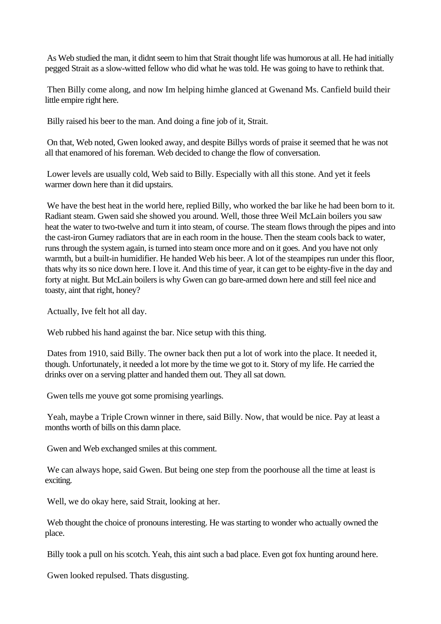As Web studied the man, it didnt seem to him that Strait thought life was humorous at all. He had initially pegged Strait as a slow-witted fellow who did what he was told. He was going to have to rethink that.

Then Billy come along, and now Im helping him he glanced at Gwen and Ms. Canfield build their little empire right here.

Billy raised his beer to the man. And doing a fine job of it, Strait.

 On that, Web noted, Gwen looked away, and despite Billys words of praise it seemed that he was not all that enamored of his foreman. Web decided to change the flow of conversation.

 Lower levels are usually cold, Web said to Billy. Especially with all this stone. And yet it feels warmer down here than it did upstairs.

 We have the best heat in the world here, replied Billy, who worked the bar like he had been born to it. Radiant steam. Gwen said she showed you around. Well, those three Weil McLain boilers you saw heat the water to two-twelve and turn it into steam, of course. The steam flows through the pipes and into the cast-iron Gurney radiators that are in each room in the house. Then the steam cools back to water, runs through the system again, is turned into steam once more and on it goes. And you have not only warmth, but a built-in humidifier. He handed Web his beer. A lot of the steampipes run under this floor, thats why its so nice down here. I love it. And this time of year, it can get to be eighty-five in the day and forty at night. But McLain boilers is why Gwen can go bare-armed down here and still feel nice and toasty, aint that right, honey?

Actually, Ive felt hot all day.

Web rubbed his hand against the bar. Nice setup with this thing.

 Dates from 1910, said Billy. The owner back then put a lot of work into the place. It needed it, though. Unfortunately, it needed a lot more by the time we got to it. Story of my life. He carried the drinks over on a serving platter and handed them out. They all sat down.

Gwen tells me youve got some promising yearlings.

 Yeah, maybe a Triple Crown winner in there, said Billy. Now, that would be nice. Pay at least a months worth of bills on this damn place.

Gwen and Web exchanged smiles at this comment.

 We can always hope, said Gwen. But being one step from the poorhouse all the time at least is exciting.

Well, we do okay here, said Strait, looking at her.

 Web thought the choice of pronouns interesting. He was starting to wonder who actually owned the place.

Billy took a pull on his scotch. Yeah, this aint such a bad place. Even got fox hunting around here.

Gwen looked repulsed. Thats disgusting.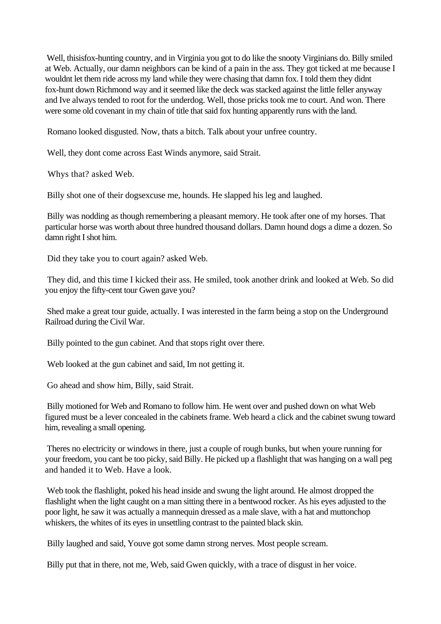Well, thisisfox-hunting country, and in Virginia you got to do like the snooty Virginians do. Billy smiled at Web. Actually, our damn neighbors can be kind of a pain in the ass. They got ticked at me because I wouldnt let them ride across my land while they were chasing that damn fox. I told them they didnt fox-hunt down Richmond way and it seemed like the deck was stacked against the little feller anyway and Ive always tended to root for the underdog. Well, those pricks took me to court. And won. There were some old covenant in my chain of title that said fox hunting apparently runs with the land.

Romano looked disgusted. Now, thats a bitch. Talk about your unfree country.

Well, they dont come across East Winds anymore, said Strait.

Whys that? asked Web.

Billy shot one of their dogs excuse me, hounds. He slapped his leg and laughed.

 Billy was nodding as though remembering a pleasant memory. He took after one of my horses. That particular horse was worth about three hundred thousand dollars. Damn hound dogs a dime a dozen. So damn right I shot him.

Did they take you to court again? asked Web.

 They did, and this time I kicked their ass. He smiled, took another drink and looked at Web. So did you enjoy the fifty-cent tour Gwen gave you?

 Shed make a great tour guide, actually. I was interested in the farm being a stop on the Underground Railroad during the Civil War.

Billy pointed to the gun cabinet. And that stops right over there.

Web looked at the gun cabinet and said, Im not getting it.

Go ahead and show him, Billy, said Strait.

 Billy motioned for Web and Romano to follow him. He went over and pushed down on what Web figured must be a lever concealed in the cabinets frame. Web heard a click and the cabinet swung toward him, revealing a small opening.

 Theres no electricity or windows in there, just a couple of rough bunks, but when youre running for your freedom, you cant be too picky, said Billy. He picked up a flashlight that was hanging on a wall peg and handed it to Web. Have a look.

 Web took the flashlight, poked his head inside and swung the light around. He almost dropped the flashlight when the light caught on a man sitting there in a bentwood rocker. As his eyes adjusted to the poor light, he saw it was actually a mannequin dressed as a male slave, with a hat and muttonchop whiskers, the whites of its eyes in unsettling contrast to the painted black skin.

Billy laughed and said, Youve got some damn strong nerves. Most people scream.

Billy put that in there, not me, Web, said Gwen quickly, with a trace of disgust in her voice.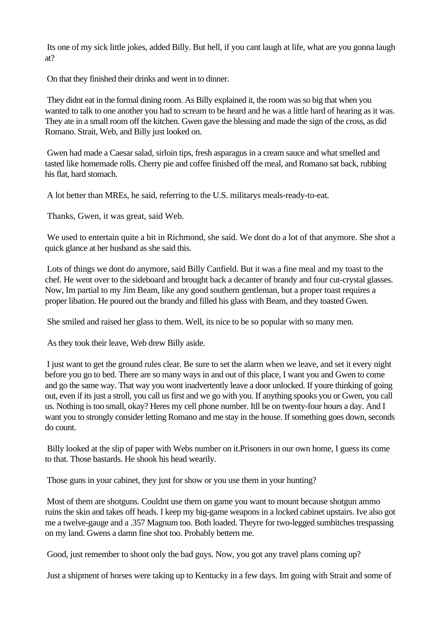Its one of my sick little jokes, added Billy. But hell, if you cant laugh at life, what are you gonna laugh at?

On that they finished their drinks and went in to dinner.

 They didnt eat in the formal dining room. As Billy explained it, the room was so big that when you wanted to talk to one another you had to scream to be heard and he was a little hard of hearing as it was. They ate in a small room off the kitchen. Gwen gave the blessing and made the sign of the cross, as did Romano. Strait, Web, and Billy just looked on.

 Gwen had made a Caesar salad, sirloin tips, fresh asparagus in a cream sauce and what smelled and tasted like homemade rolls. Cherry pie and coffee finished off the meal, and Romano sat back, rubbing his flat, hard stomach.

A lot better than MREs, he said, referring to the U.S. militarys meals-ready-to-eat.

Thanks, Gwen, it was great, said Web.

 We used to entertain quite a bit in Richmond, she said. We dont do a lot of that anymore. She shot a quick glance at her husband as she said this.

 Lots of things we dont do anymore, said Billy Canfield. But it was a fine meal and my toast to the chef. He went over to the sideboard and brought back a decanter of brandy and four cut-crystal glasses. Now, Im partial to my Jim Beam, like any good southern gentleman, but a proper toast requires a proper libation. He poured out the brandy and filled his glass with Beam, and they toasted Gwen.

She smiled and raised her glass to them. Well, its nice to be so popular with so many men.

As they took their leave, Web drew Billy aside.

 I just want to get the ground rules clear. Be sure to set the alarm when we leave, and set it every night before you go to bed. There are so many ways in and out of this place, I want you and Gwen to come and go the same way. That way you wont inadvertently leave a door unlocked. If youre thinking of going out, even if its just a stroll, you call us first and we go with you. If anything spooks you or Gwen, you call us. Nothing is too small, okay? Heres my cell phone number. Itll be on twenty-four hours a day. And I want you to strongly consider letting Romano and me stay in the house. If something goes down, seconds do count.

 Billy looked at the slip of paper with Webs number on it.Prisoners in our own home, I guess its come to that. Those bastards. He shook his head wearily.

Those guns in your cabinet, they just for show or you use them in your hunting?

 Most of them are shotguns. Couldnt use them on game you want to mount because shotgun ammo ruins the skin and takes off heads. I keep my big-game weapons in a locked cabinet upstairs. Ive also got me a twelve-gauge and a .357 Magnum too. Both loaded. Theyre for two-legged sumbitches trespassing on my land. Gwens a damn fine shot too. Probably bettern me.

Good, just remember to shoot only the bad guys. Now, you got any travel plans coming up?

Just a shipment of horses were taking up to Kentucky in a few days. Im going with Strait and some of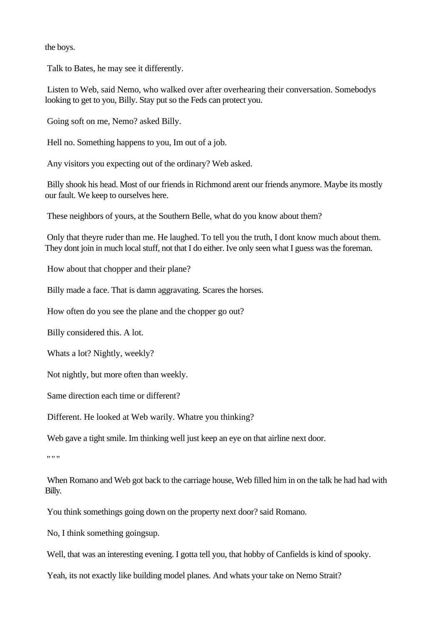the boys.

Talk to Bates, he may see it differently.

 Listen to Web, said Nemo, who walked over after overhearing their conversation. Somebodys looking to get to you, Billy. Stay put so the Feds can protect you.

Going soft on me, Nemo? asked Billy.

Hell no. Something happens to you, Im out of a job.

Any visitors you expecting out of the ordinary? Web asked.

 Billy shook his head. Most of our friends in Richmond arent our friends anymore. Maybe its mostly our fault. We keep to ourselves here.

These neighbors of yours, at the Southern Belle, what do you know about them?

 Only that theyre ruder than me. He laughed. To tell you the truth, I dont know much about them. They dont join in much local stuff, not that I do either. Ive only seen what I guess was the foreman.

How about that chopper and their plane?

Billy made a face. That is damn aggravating. Scares the horses.

How often do you see the plane and the chopper go out?

Billy considered this. A lot.

Whats a lot? Nightly, weekly?

Not nightly, but more often than weekly.

Same direction each time or different?

Different. He looked at Web warily. Whatre you thinking?

Web gave a tight smile. Im thinking well just keep an eye on that airline next door.

" " "

 When Romano and Web got back to the carriage house, Web filled him in on the talk he had had with Billy.

You think somethings going down on the property next door? said Romano.

No, I think something goingsup.

Well, that was an interesting evening. I gotta tell you, that hobby of Canfields is kind of spooky.

Yeah, its not exactly like building model planes. And whats your take on Nemo Strait?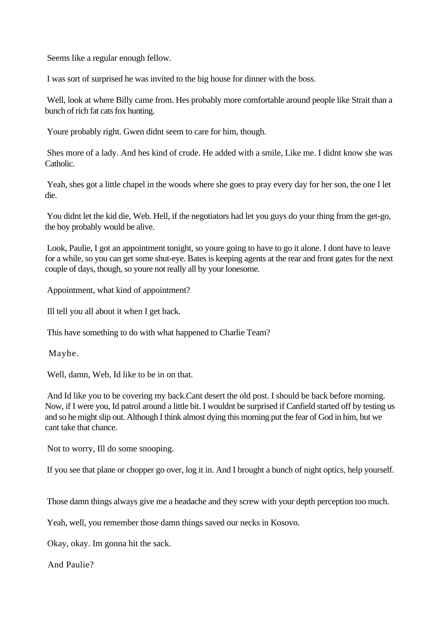Seems like a regular enough fellow.

I was sort of surprised he was invited to the big house for dinner with the boss.

 Well, look at where Billy came from. Hes probably more comfortable around people like Strait than a bunch of rich fat cats fox hunting.

Youre probably right. Gwen didnt seem to care for him, though.

 Shes more of a lady. And hes kind of crude. He added with a smile, Like me. I didnt know she was Catholic.

 Yeah, shes got a little chapel in the woods where she goes to pray every day for her son, the one I let die.

 You didnt let the kid die, Web. Hell, if the negotiators had let you guys do your thing from the get-go, the boy probably would be alive.

 Look, Paulie, I got an appointment tonight, so youre going to have to go it alone. I dont have to leave for a while, so you can get some shut-eye. Bates is keeping agents at the rear and front gates for the next couple of days, though, so youre not really all by your lonesome.

Appointment, what kind of appointment?

Ill tell you all about it when I get back.

This have something to do with what happened to Charlie Team?

Maybe.

Well, damn, Web, Id like to be in on that.

 And Id like you to be covering my back.Cant desert the old post. I should be back before morning. Now, if I were you, Id patrol around a little bit. I wouldnt be surprised if Canfield started off by testing us and so he might slip out. Although I think almost dying this morning put the fear of God in him, but we cant take that chance.

Not to worry, Ill do some snooping.

If you see that plane or chopper go over, log it in. And I brought a bunch of night optics, help yourself.

Those damn things always give me a headache and they screw with your depth perception too much.

Yeah, well, you remember those damn things saved our necks in Kosovo.

Okay, okay. Im gonna hit the sack.

And Paulie?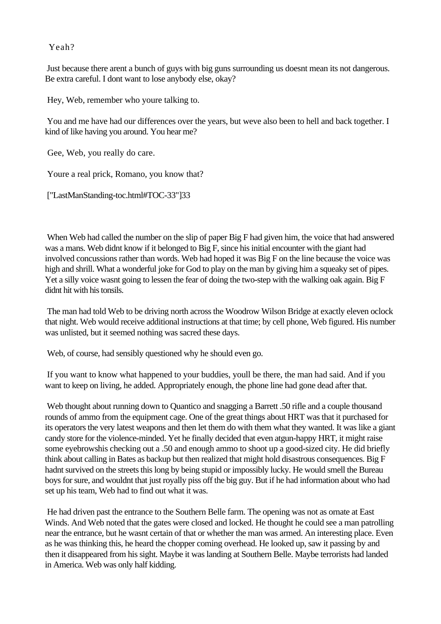## Yeah?

 Just because there arent a bunch of guys with big guns surrounding us doesnt mean its not dangerous. Be extra careful. I dont want to lose anybody else, okay?

Hey, Web, remember who youre talking to.

 You and me have had our differences over the years, but weve also been to hell and back together. I kind of like having you around. You hear me?

Gee, Web, you really do care.

Youre a real prick, Romano, you know that?

["LastManStanding-toc.html#TOC-33"]33

 When Web had called the number on the slip of paper Big F had given him, the voice that had answered was a mans. Web didnt know if it belonged to Big F, since his initial encounter with the giant had involved concussions rather than words. Web had hoped it was Big F on the line because the voice was high and shrill. What a wonderful joke for God to play on the man by giving him a squeaky set of pipes. Yet a silly voice wasnt going to lessen the fear of doing the two-step with the walking oak again. Big F didnt hit with his tonsils.

 The man had told Web to be driving north across the Woodrow Wilson Bridge at exactly eleven oclock that night. Web would receive additional instructions at that time; by cell phone, Web figured. His number was unlisted, but it seemed nothing was sacred these days.

Web, of course, had sensibly questioned why he should even go.

 If you want to know what happened to your buddies, youll be there, the man had said. And if you want to keep on living, he added. Appropriately enough, the phone line had gone dead after that.

Web thought about running down to Quantico and snagging a Barrett .50 rifle and a couple thousand rounds of ammo from the equipment cage. One of the great things about HRT was that it purchased for its operators the very latest weapons and then let them do with them what they wanted. It was like a giant candy store for the violence-minded. Yet he finally decided that even atgun-happy HRT, it might raise some eyebrows his checking out a .50 and enough ammo to shoot up a good-sized city. He did briefly think about calling in Bates as backup but then realized that might hold disastrous consequences. Big F hadnt survived on the streets this long by being stupid or impossibly lucky. He would smell the Bureau boys for sure, and wouldnt that just royally piss off the big guy. But if he had information about who had set up his team, Web had to find out what it was.

 He had driven past the entrance to the Southern Belle farm. The opening was not as ornate at East Winds. And Web noted that the gates were closed and locked. He thought he could see a man patrolling near the entrance, but he wasnt certain of that or whether the man was armed. An interesting place. Even as he was thinking this, he heard the chopper coming overhead. He looked up, saw it passing by and then it disappeared from his sight. Maybe it was landing at Southern Belle. Maybe terrorists had landed in America. Web was only half kidding.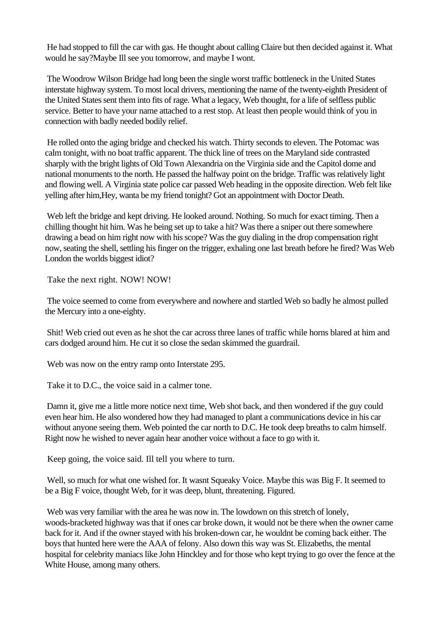He had stopped to fill the car with gas. He thought about calling Claire but then decided against it. What would he say?Maybe Ill see you tomorrow, and maybe I wont.

 The Woodrow Wilson Bridge had long been the single worst traffic bottleneck in the United States interstate highway system. To most local drivers, mentioning the name of the twenty-eighth President of the United States sent them into fits of rage. What a legacy, Web thought, for a life of selfless public service. Better to have your name attached to a rest stop. At least then people would think of you in connection with badly needed bodily relief.

 He rolled onto the aging bridge and checked his watch. Thirty seconds to eleven. The Potomac was calm tonight, with no boat traffic apparent. The thick line of trees on the Maryland side contrasted sharply with the bright lights of Old Town Alexandria on the Virginia side and the Capitol dome and national monuments to the north. He passed the halfway point on the bridge. Traffic was relatively light and flowing well. A Virginia state police car passed Web heading in the opposite direction. Web felt like yelling after him,Hey, wanta be my friend tonight? Got an appointment with Doctor Death.

 Web left the bridge and kept driving. He looked around. Nothing. So much for exact timing. Then a chilling thought hit him. Was he being set up to take a hit? Was there a sniper out there somewhere drawing a bead on him right now with his scope? Was the guy dialing in the drop compensation right now, seating the shell, settling his finger on the trigger, exhaling one last breath before he fired? Was Web London the worlds biggest idiot?

Take the next right. NOW! NOW!

 The voice seemed to come from everywhere and nowhere and startled Web so badly he almost pulled the Mercury into a one-eighty.

 Shit! Web cried out even as he shot the car across three lanes of traffic while horns blared at him and cars dodged around him. He cut it so close the sedan skimmed the guardrail.

Web was now on the entry ramp onto Interstate 295.

Take it to D.C., the voice said in a calmer tone.

 Damn it, give me a little more notice next time, Web shot back, and then wondered if the guy could even hear him. He also wondered how they had managed to plant a communications device in his car without anyone seeing them. Web pointed the car north to D.C. He took deep breaths to calm himself. Right now he wished to never again hear another voice without a face to go with it.

Keep going, the voice said. Ill tell you where to turn.

 Well, so much for what one wished for. It wasnt Squeaky Voice. Maybe this was Big F. It seemed to be a Big F voice, thought Web, for it was deep, blunt, threatening. Figured.

 Web was very familiar with the area he was now in. The lowdown on this stretch of lonely, woods-bracketed highway was that if ones car broke down, it would not be there when the owner came back for it. And if the owner stayed with his broken-down car, he wouldnt be coming back either. The boys that hunted here were the AAA of felony. Also down this way was St. Elizabeths, the mental hospital for celebrity maniacs like John Hinckley and for those who kept trying to go over the fence at the White House, among many others.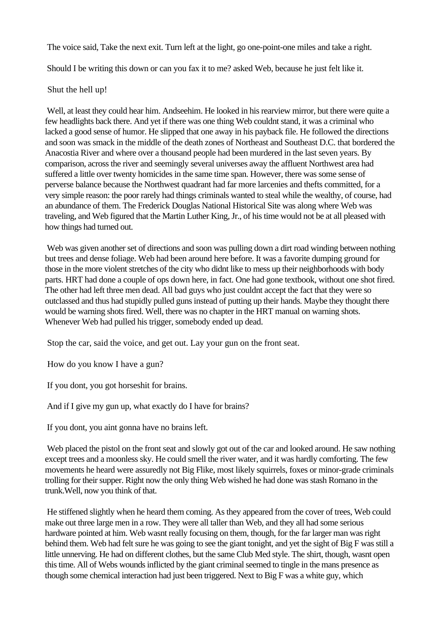The voice said, Take the next exit. Turn left at the light, go one-point-one miles and take a right.

Should I be writing this down or can you fax it to me? asked Web, because he just felt like it.

## Shut the hell up!

Well, at least they could hear him. And seehim. He looked in his rearview mirror, but there were quite a few headlights back there. And yet if there was one thing Web couldnt stand, it was a criminal who lacked a good sense of humor. He slipped that one away in his payback file. He followed the directions and soon was smack in the middle of the death zones of Northeast and Southeast D.C. that bordered the Anacostia River and where over a thousand people had been murdered in the last seven years. By comparison, across the river and seemingly several universes away the affluent Northwest area had suffered a little over twenty homicides in the same time span. However, there was some sense of perverse balance because the Northwest quadrant had far more larcenies and thefts committed, for a very simple reason: the poor rarely had things criminals wanted to steal while the wealthy, of course, had an abundance of them. The Frederick Douglas National Historical Site was along where Web was traveling, and Web figured that the Martin Luther King, Jr., of his time would not be at all pleased with how things had turned out.

Web was given another set of directions and soon was pulling down a dirt road winding between nothing but trees and dense foliage. Web had been around here before. It was a favorite dumping ground for those in the more violent stretches of the city who didnt like to mess up their neighborhoods with body parts. HRT had done a couple of ops down here, in fact. One had gone textbook, without one shot fired. The other had left three men dead. All bad guys who just couldnt accept the fact that they were so outclassed and thus had stupidly pulled guns instead of putting up their hands. Maybe they thought there would be warning shots fired. Well, there was no chapter in the HRT manual on warning shots. Whenever Web had pulled his trigger, somebody ended up dead.

Stop the car, said the voice, and get out. Lay your gun on the front seat.

How do you know I have a gun?

If you dont, you got horseshit for brains.

And if I give my gun up, what exactly do I have for brains?

If you dont, you aint gonna have no brains left.

 Web placed the pistol on the front seat and slowly got out of the car and looked around. He saw nothing except trees and a moonless sky. He could smell the river water, and it was hardly comforting. The few movements he heard were assuredly not Big F like, most likely squirrels, foxes or minor-grade criminals trolling for their supper. Right now the only thing Web wished he had done was stash Romano in the trunk.Well, now you think of that.

 He stiffened slightly when he heard them coming. As they appeared from the cover of trees, Web could make out three large men in a row. They were all taller than Web, and they all had some serious hardware pointed at him. Web wasnt really focusing on them, though, for the far larger man was right behind them. Web had felt sure he was going to see the giant tonight, and yet the sight of Big F was still a little unnerving. He had on different clothes, but the same Club Med style. The shirt, though, wasnt open this time. All of Webs wounds inflicted by the giant criminal seemed to tingle in the mans presence as though some chemical interaction had just been triggered. Next to Big F was a white guy, which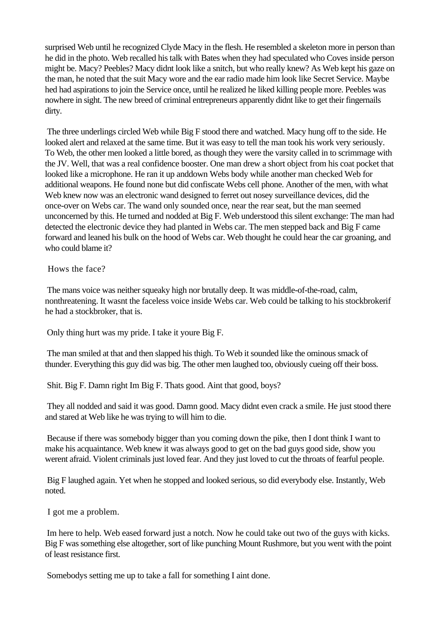surprised Web until he recognized Clyde Macy in the flesh. He resembled a skeleton more in person than he did in the photo. Web recalled his talk with Bates when they had speculated who Coves inside person might be. Macy? Peebles? Macy didnt look like a snitch, but who really knew? As Web kept his gaze on the man, he noted that the suit Macy wore and the ear radio made him look like Secret Service. Maybe hed had aspirations to join the Service once, until he realized he liked killing people more. Peebles was nowhere in sight. The new breed of criminal entrepreneurs apparently didnt like to get their fingernails dirty.

 The three underlings circled Web while Big F stood there and watched. Macy hung off to the side. He looked alert and relaxed at the same time. But it was easy to tell the man took his work very seriously. To Web, the other men looked a little bored, as though they were the varsity called in to scrimmage with the JV. Well, that was a real confidence booster. One man drew a short object from his coat pocket that looked like a microphone. He ran it up anddown Webs body while another man checked Web for additional weapons. He found none but did confiscate Webs cell phone. Another of the men, with what Web knew now was an electronic wand designed to ferret out nosey surveillance devices, did the once-over on Webs car. The wand only sounded once, near the rear seat, but the man seemed unconcerned by this. He turned and nodded at Big F. Web understood this silent exchange: The man had detected the electronic device they had planted in Webs car. The men stepped back and Big F came forward and leaned his bulk on the hood of Webs car. Web thought he could hear the car groaning, and who could blame it?

Hows the face?

 The mans voice was neither squeaky high nor brutally deep. It was middle-of-the-road, calm, nonthreatening. It wasnt the faceless voice inside Webs car. Web could be talking to his stockbrokerif he had a stockbroker, that is.

Only thing hurt was my pride. I take it youre Big F.

 The man smiled at that and then slapped his thigh. To Web it sounded like the ominous smack of thunder. Everything this guy did was big. The other men laughed too, obviously cueing off their boss.

Shit. Big F. Damn right Im Big F. Thats good. Aint that good, boys?

 They all nodded and said it was good. Damn good. Macy didnt even crack a smile. He just stood there and stared at Web like he was trying to will him to die.

 Because if there was somebody bigger than you coming down the pike, then I dont think I want to make his acquaintance. Web knew it was always good to get on the bad guys good side, show you werent afraid. Violent criminals just loved fear. And they just loved to cut the throats of fearful people.

 Big F laughed again. Yet when he stopped and looked serious, so did everybody else. Instantly, Web noted.

I got me a problem.

 Im here to help. Web eased forward just a notch. Now he could take out two of the guys with kicks. Big F was something else altogether, sort of like punching Mount Rushmore, but you went with the point of least resistance first.

Somebodys setting me up to take a fall for something I aint done.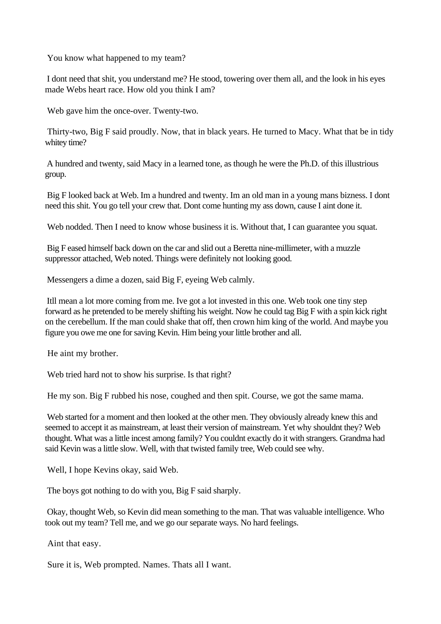You know what happened to my team?

 I dont need that shit, you understand me? He stood, towering over them all, and the look in his eyes made Webs heart race. How old you think I am?

Web gave him the once-over. Twenty-two.

 Thirty-two, Big F said proudly. Now, that in black years. He turned to Macy. What that be in tidy whitey time?

 A hundred and twenty, said Macy in a learned tone, as though he were the Ph.D. of this illustrious group.

 Big F looked back at Web. Im a hundred and twenty. Im an old man in a young mans bizness. I dont need this shit. You go tell your crew that. Dont come hunting my ass down, cause I aint done it.

Web nodded. Then I need to know whose business it is. Without that, I can guarantee you squat.

 Big F eased himself back down on the car and slid out a Beretta nine-millimeter, with a muzzle suppressor attached, Web noted. Things were definitely not looking good.

Messengers a dime a dozen, said Big F, eyeing Web calmly.

 Itll mean a lot more coming from me. Ive got a lot invested in this one. Web took one tiny step forward as he pretended to be merely shifting his weight. Now he could tag Big F with a spin kick right on the cerebellum. If the man could shake that off, then crown him king of the world. And maybe you figure you owe me one for saving Kevin. Him being your little brother and all.

He aint my brother.

Web tried hard not to show his surprise. Is that right?

He my son. Big F rubbed his nose, coughed and then spit. Course, we got the same mama.

 Web started for a moment and then looked at the other men. They obviously already knew this and seemed to accept it as mainstream, at least their version of mainstream. Yet why shouldnt they? Web thought. What was a little incest among family? You couldnt exactly do it with strangers. Grandma had said Kevin was a little slow. Well, with that twisted family tree, Web could see why.

Well, I hope Kevins okay, said Web.

The boys got nothing to do with you, Big F said sharply.

 Okay, thought Web, so Kevin did mean something to the man. That was valuable intelligence. Who took out my team? Tell me, and we go our separate ways. No hard feelings.

Aint that easy.

Sure it is, Web prompted. Names. Thats all I want.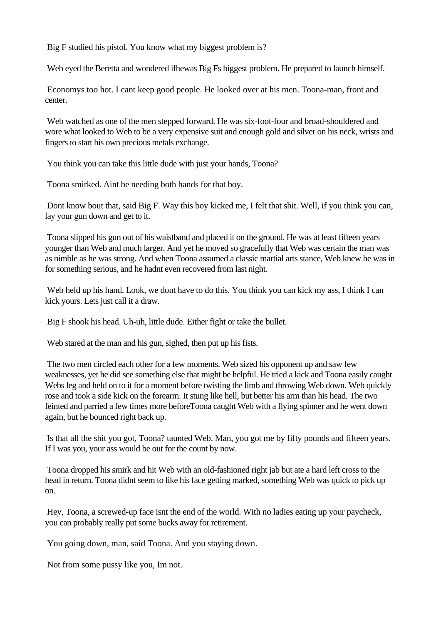Big F studied his pistol. You know what my biggest problem is?

Web eyed the Beretta and wondered ifhewas Big Fs biggest problem. He prepared to launch himself.

 Economys too hot. I cant keep good people. He looked over at his men. Toona-man, front and center.

 Web watched as one of the men stepped forward. He was six-foot-four and broad-shouldered and wore what looked to Web to be a very expensive suit and enough gold and silver on his neck, wrists and fingers to start his own precious metals exchange.

You think you can take this little dude with just your hands, Toona?

Toona smirked. Aint be needing both hands for that boy.

 Dont know bout that, said Big F. Way this boy kicked me, I felt that shit. Well, if you think you can, lay your gun down and get to it.

 Toona slipped his gun out of his waistband and placed it on the ground. He was at least fifteen years younger than Web and much larger. And yet he moved so gracefully that Web was certain the man was as nimble as he was strong. And when Toona assumed a classic martial arts stance, Web knew he was in for something serious, and he hadnt even recovered from last night.

 Web held up his hand. Look, we dont have to do this. You think you can kick my ass, I think I can kick yours. Lets just call it a draw.

Big F shook his head. Uh-uh, little dude. Either fight or take the bullet.

Web stared at the man and his gun, sighed, then put up his fists.

 The two men circled each other for a few moments. Web sized his opponent up and saw few weaknesses, yet he did see something else that might be helpful. He tried a kick and Toona easily caught Webs leg and held on to it for a moment before twisting the limb and throwing Web down. Web quickly rose and took a side kick on the forearm. It stung like hell, but better his arm than his head. The two feinted and parried a few times more beforeToona caught Web with a flying spinner and he went down again, but he bounced right back up.

 Is that all the shit you got, Toona? taunted Web. Man, you got me by fifty pounds and fifteen years. If I was you, your ass would be out for the count by now.

 Toona dropped his smirk and hit Web with an old-fashioned right jab but ate a hard left cross to the head in return. Toona didnt seem to like his face getting marked, something Web was quick to pick up on.

 Hey, Toona, a screwed-up face isnt the end of the world. With no ladies eating up your paycheck, you can probably really put some bucks away for retirement.

You going down, man, said Toona. And you staying down.

Not from some pussy like you, Im not.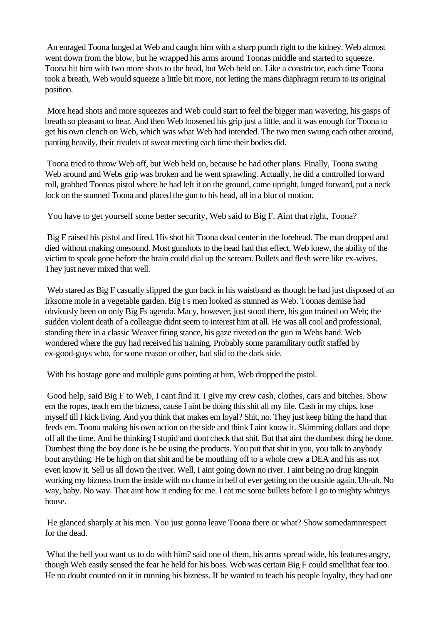An enraged Toona lunged at Web and caught him with a sharp punch right to the kidney. Web almost went down from the blow, but he wrapped his arms around Toonas middle and started to squeeze. Toona hit him with two more shots to the head, but Web held on. Like a constrictor, each time Toona took a breath, Web would squeeze a little bit more, not letting the mans diaphragm return to its original position.

 More head shots and more squeezes and Web could start to feel the bigger man wavering, his gasps of breath so pleasant to hear. And then Web loosened his grip just a little, and it was enough for Toona to get his own clench on Web, which was what Web had intended. The two men swung each other around, panting heavily, their rivulets of sweat meeting each time their bodies did.

 Toona tried to throw Web off, but Web held on, because he had other plans. Finally, Toona swung Web around and Webs grip was broken and he went sprawling. Actually, he did a controlled forward roll, grabbed Toonas pistol where he had left it on the ground, came upright, lunged forward, put a neck lock on the stunned Toona and placed the gun to his head, all in a blur of motion.

You have to get yourself some better security, Web said to Big F. Aint that right, Toona?

 Big F raised his pistol and fired. His shot hit Toona dead center in the forehead. The man dropped and died without making onesound. Most gunshots to the head had that effect, Web knew, the ability of the victim to speak gone before the brain could dial up the scream. Bullets and flesh were like ex-wives. They just never mixed that well.

Web stared as Big F casually slipped the gun back in his waistband as though he had just disposed of an irksome mole in a vegetable garden. Big Fs men looked as stunned as Web. Toonas demise had obviously been on only Big Fs agenda. Macy, however, just stood there, his gun trained on Web; the sudden violent death of a colleague didnt seem to interest him at all. He was all cool and professional, standing there in a classic Weaver firing stance, his gaze riveted on the gun in Webs hand. Web wondered where the guy had received his training. Probably some paramilitary outfit staffed by ex-good-guys who, for some reason or other, had slid to the dark side.

With his hostage gone and multiple guns pointing at him, Web dropped the pistol.

 Good help, said Big F to Web, I cant find it. I give my crew cash, clothes, cars and bitches. Show em the ropes, teach em the bizness, cause I aint be doing this shit all my life. Cash in my chips, lose myself till I kick living. And you think that makes em loyal? Shit, no. They just keep biting the hand that feeds em. Toona making his own action on the side and think I aint know it. Skimming dollars and dope off all the time. And he thinking I stupid and dont check that shit. But that aint the dumbest thing he done. Dumbest thing the boy done is he be using the products. You put that shit in you, you talk to anybody bout anything. He be high on that shit and he be mouthing off to a whole crew a DEA and his ass not even know it. Sell us all down the river. Well, I aint going down no river. I aint being no drug kingpin working my bizness from the inside with no chance in hell of ever getting on the outside again. Uh-uh. No way, baby. No way. That aint how it ending for me. I eat me some bullets before I go to mighty whiteys house.

 He glanced sharply at his men. You just gonna leave Toona there or what? Show somedamnrespect for the dead.

 What the hell you want us to do with him? said one of them, his arms spread wide, his features angry, though Web easily sensed the fear he held for his boss. Web was certain Big F could smellthat fear too. He no doubt counted on it in running his bizness. If he wanted to teach his people loyalty, they had one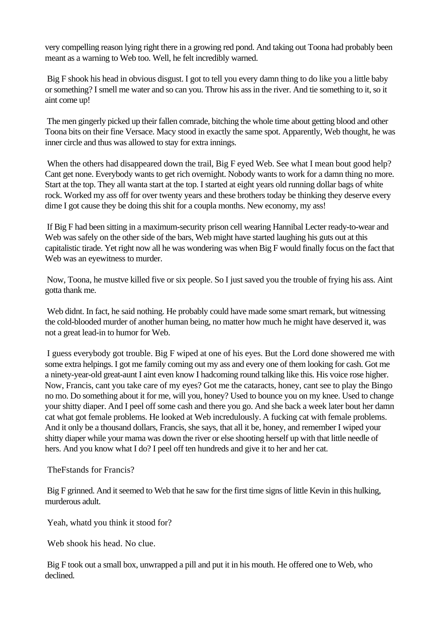very compelling reason lying right there in a growing red pond. And taking out Toona had probably been meant as a warning to Web too. Well, he felt incredibly warned.

 Big F shook his head in obvious disgust. I got to tell you every damn thing to do like you a little baby or something? I smell me water and so can you. Throw his ass in the river. And tie something to it, so it aint come up!

 The men gingerly picked up their fallen comrade, bitching the whole time about getting blood and other Toona bits on their fine Versace. Macy stood in exactly the same spot. Apparently, Web thought, he was inner circle and thus was allowed to stay for extra innings.

When the others had disappeared down the trail, Big F eyed Web. See what I mean bout good help? Cant get none. Everybody wants to get rich overnight. Nobody wants to work for a damn thing no more. Start at the top. They all wanta start at the top. I started at eight years old running dollar bags of white rock. Worked my ass off for over twenty years and these brothers today be thinking they deserve every dime I got cause they be doing this shit for a coupla months. New economy, my ass!

 If Big F had been sitting in a maximum-security prison cell wearing Hannibal Lecter ready-to-wear and Web was safely on the other side of the bars, Web might have started laughing his guts out at this capitalistic tirade. Yet right now all he was wondering was when Big F would finally focus on the fact that Web was an eyewitness to murder.

 Now, Toona, he mustve killed five or six people. So I just saved you the trouble of frying his ass. Aint gotta thank me.

Web didnt. In fact, he said nothing. He probably could have made some smart remark, but witnessing the cold-blooded murder of another human being, no matter how much he might have deserved it, was not a great lead-in to humor for Web.

 I guess everybody got trouble. Big F wiped at one of his eyes. But the Lord done showered me with some extra helpings. I got me family coming out my ass and every one of them looking for cash. Got me a ninety-year-old great-aunt I aint even know I hadcoming round talking like this. His voice rose higher. Now, Francis, cant you take care of my eyes? Got me the cataracts, honey, cant see to play the Bingo no mo. Do something about it for me, will you, honey? Used to bounce you on my knee. Used to change your shitty diaper. And I peel off some cash and there you go. And she back a week later bout her damn cat what got female problems. He looked at Web incredulously. A fucking cat with female problems. And it only be a thousand dollars, Francis, she says, that all it be, honey, and remember I wiped your shitty diaper while your mama was down the river or else shooting herself up with that little needle of hers. And you know what I do? I peel off ten hundreds and give it to her and her cat.

TheFstands for Francis?

 Big F grinned. And it seemed to Web that he saw for the first time signs of little Kevin in this hulking, murderous adult.

Yeah, whatd you think it stood for?

Web shook his head. No clue.

 Big F took out a small box, unwrapped a pill and put it in his mouth. He offered one to Web, who declined.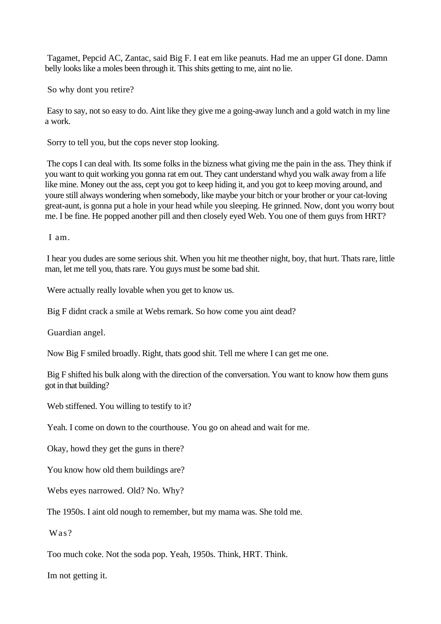Tagamet, Pepcid AC, Zantac, said Big F. I eat em like peanuts. Had me an upper GI done. Damn belly looks like a moles been through it. This shits getting to me, aint no lie.

So why dont you retire?

 Easy to say, not so easy to do. Aint like they give me a going-away lunch and a gold watch in my line a work.

Sorry to tell you, but the cops never stop looking.

 The cops I can deal with. Its some folks in the bizness what giving me the pain in the ass. They think if you want to quit working you gonna rat em out. They cant understand whyd you walk away from a life like mine. Money out the ass, cept you got to keep hiding it, and you got to keep moving around, and youre still always wondering when somebody, like maybe your bitch or your brother or your cat-loving great-aunt, is gonna put a hole in your head while you sleeping. He grinned. Now, dont you worry bout me. I be fine. He popped another pill and then closely eyed Web. You one of them guys from HRT?

I am.

 I hear you dudes are some serious shit. When you hit me theother night, boy, that hurt. Thats rare, little man, let me tell you, thats rare. You guys must be some bad shit.

Were actually really lovable when you get to know us.

Big F didnt crack a smile at Webs remark. So how come you aint dead?

Guardian angel.

Now Big F smiled broadly. Right, thats good shit. Tell me where I can get me one.

 Big F shifted his bulk along with the direction of the conversation. You want to know how them guns got in that building?

Web stiffened. You willing to testify to it?

Yeah. I come on down to the courthouse. You go on ahead and wait for me.

Okay, howd they get the guns in there?

You know how old them buildings are?

Webs eyes narrowed. Old? No. Why?

The 1950s. I aint old nough to remember, but my mama was. She told me.

W<sub>as</sub>?

Too much coke. Not the soda pop. Yeah, 1950s. Think, HRT. Think.

Im not getting it.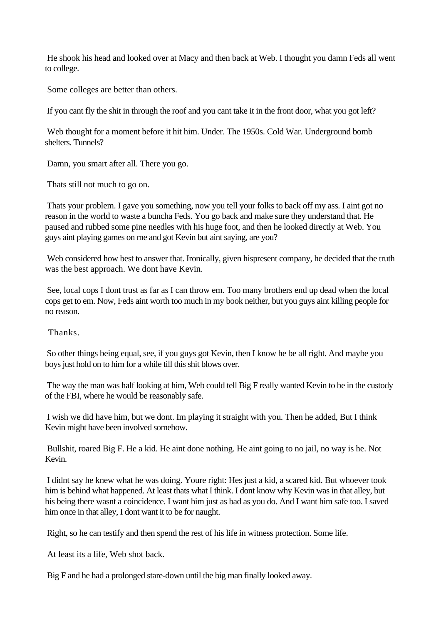He shook his head and looked over at Macy and then back at Web. I thought you damn Feds all went to college.

Some colleges are better than others.

If you cant fly the shit in through the roof and you cant take it in the front door, what you got left?

 Web thought for a moment before it hit him. Under. The 1950s. Cold War. Underground bomb shelters. Tunnels?

Damn, you smart after all. There you go.

Thats still not much to go on.

 Thats your problem. I gave you something, now you tell your folks to back off my ass. I aint got no reason in the world to waste a buncha Feds. You go back and make sure they understand that. He paused and rubbed some pine needles with his huge foot, and then he looked directly at Web. You guys aint playing games on me and got Kevin but aint saying, are you?

Web considered how best to answer that. Ironically, given hispresent company, he decided that the truth was the best approach. We dont have Kevin.

 See, local cops I dont trust as far as I can throw em. Too many brothers end up dead when the local cops get to em. Now, Feds aint worth too much in my book neither, but you guys aint killing people for no reason.

Thanks.

 So other things being equal, see, if you guys got Kevin, then I know he be all right. And maybe you boys just hold on to him for a while till this shit blows over.

 The way the man was half looking at him, Web could tell Big F really wanted Kevin to be in the custody of the FBI, where he would be reasonably safe.

 I wish we did have him, but we dont. Im playing it straight with you. Then he added, But I think Kevin might have been involved somehow.

 Bullshit, roared Big F. He a kid. He aint done nothing. He aint going to no jail, no way is he. Not Kevin.

 I didnt say he knew what he was doing. Youre right: Hes just a kid, a scared kid. But whoever took him is behind what happened. At least thats what I think. I dont know why Kevin was in that alley, but his being there wasnt a coincidence. I want him just as bad as you do. And I want him safe too. I saved him once in that alley, I dont want it to be for naught.

Right, so he can testify and then spend the rest of his life in witness protection. Some life.

At least its a life, Web shot back.

Big F and he had a prolonged stare-down until the big man finally looked away.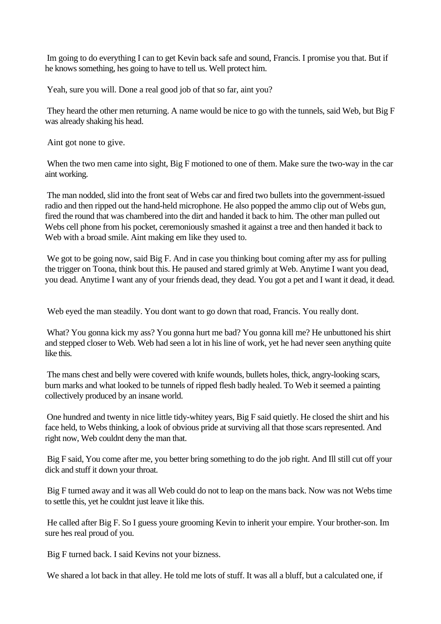Im going to do everything I can to get Kevin back safe and sound, Francis. I promise you that. But if he knows something, hes going to have to tell us. Well protect him.

Yeah, sure you will. Done a real good job of that so far, aint you?

 They heard the other men returning. A name would be nice to go with the tunnels, said Web, but Big F was already shaking his head.

Aint got none to give.

 When the two men came into sight, Big F motioned to one of them. Make sure the two-way in the car aint working.

 The man nodded, slid into the front seat of Webs car and fired two bullets into the government-issued radio and then ripped out the hand-held microphone. He also popped the ammo clip out of Webs gun, fired the round that was chambered into the dirt and handed it back to him. The other man pulled out Webs cell phone from his pocket, ceremoniously smashed it against a tree and then handed it back to Web with a broad smile. Aint making em like they used to.

We got to be going now, said Big F. And in case you thinking bout coming after my ass for pulling the trigger on Toona, think bout this. He paused and stared grimly at Web. Anytime I want you dead, you dead. Anytime I want any of your friends dead, they dead. You got a pet and I want it dead, it dead.

Web eyed the man steadily. You dont want to go down that road, Francis. You really dont.

 What? You gonna kick my ass? You gonna hurt me bad? You gonna kill me? He unbuttoned his shirt and stepped closer to Web. Web had seen a lot in his line of work, yet he had never seen anything quite like this.

 The mans chest and belly were covered with knife wounds, bullets holes, thick, angry-looking scars, burn marks and what looked to be tunnels of ripped flesh badly healed. To Web it seemed a painting collectively produced by an insane world.

 One hundred and twenty in nice little tidy-whitey years, Big F said quietly. He closed the shirt and his face held, to Webs thinking, a look of obvious pride at surviving all that those scars represented. And right now, Web couldnt deny the man that.

 Big F said, You come after me, you better bring something to do the job right. And Ill still cut off your dick and stuff it down your throat.

 Big F turned away and it was all Web could do not to leap on the mans back. Now was not Webs time to settle this, yet he couldnt just leave it like this.

 He called after Big F. So I guess youre grooming Kevin to inherit your empire. Your brother-son. Im sure hes real proud of you.

Big F turned back. I said Kevins not your bizness.

We shared a lot back in that alley. He told me lots of stuff. It was all a bluff, but a calculated one, if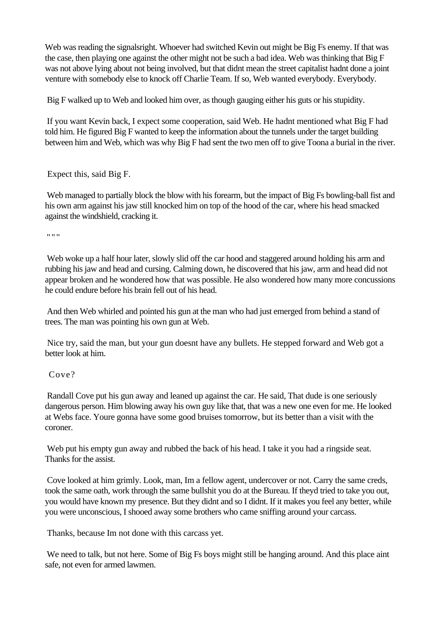Web was reading the signalsright. Whoever had switched Kevin out might be Big Fs enemy. If that was the case, then playing one against the other might not be such a bad idea. Web was thinking that Big F was not above lying about not being involved, but that didnt mean the street capitalist hadnt done a joint venture with somebody else to knock off Charlie Team. If so, Web wanted everybody. Everybody.

Big F walked up to Web and looked him over, as though gauging either his guts or his stupidity.

 If you want Kevin back, I expect some cooperation, said Web. He hadnt mentioned what Big F had told him. He figured Big F wanted to keep the information about the tunnels under the target building between him and Web, which was why Big F had sent the two men off to give Toona a burial in the river.

Expect this, said Big F.

Web managed to partially block the blow with his forearm, but the impact of Big Fs bowling-ball fist and his own arm against his jaw still knocked him on top of the hood of the car, where his head smacked against the windshield, cracking it.

" " "

Web woke up a half hour later, slowly slid off the car hood and staggered around holding his arm and rubbing his jaw and head and cursing. Calming down, he discovered that his jaw, arm and head did not appear broken and he wondered how that was possible. He also wondered how many more concussions he could endure before his brain fell out of his head.

 And then Web whirled and pointed his gun at the man who had just emerged from behind a stand of trees. The man was pointing his own gun at Web.

 Nice try, said the man, but your gun doesnt have any bullets. He stepped forward and Web got a better look at him.

## Cove?

 Randall Cove put his gun away and leaned up against the car. He said, That dude is one seriously dangerous person. Him blowing away his own guy like that, that was a new one even for me. He looked at Webs face. Youre gonna have some good bruises tomorrow, but its better than a visit with the coroner.

Web put his empty gun away and rubbed the back of his head. I take it you had a ringside seat. Thanks for the assist.

 Cove looked at him grimly. Look, man, Im a fellow agent, undercover or not. Carry the same creds, took the same oath, work through the same bullshit you do at the Bureau. If theyd tried to take you out, you would have known my presence. But they didnt and so I didnt. If it makes you feel any better, while you were unconscious, I shooed away some brothers who came sniffing around your carcass.

Thanks, because Im not done with this carcass yet.

 We need to talk, but not here. Some of Big Fs boys might still be hanging around. And this place aint safe, not even for armed lawmen.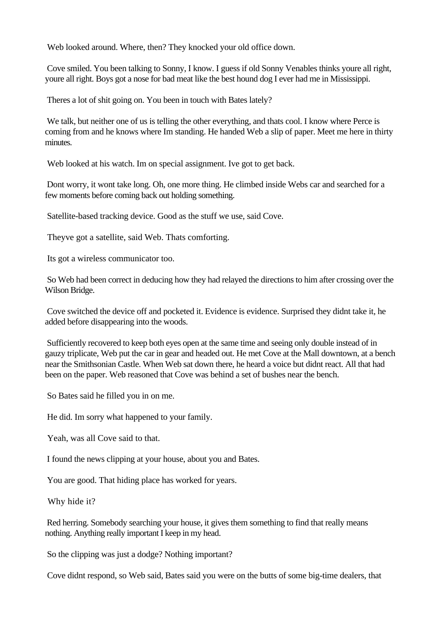Web looked around. Where, then? They knocked your old office down.

 Cove smiled. You been talking to Sonny, I know. I guess if old Sonny Venables thinks youre all right, youre all right. Boys got a nose for bad meat like the best hound dog I ever had me in Mississippi.

Theres a lot of shit going on. You been in touch with Bates lately?

We talk, but neither one of us is telling the other everything, and thats cool. I know where Perce is coming from and he knows where Im standing. He handed Web a slip of paper. Meet me here in thirty minutes.

Web looked at his watch. Im on special assignment. Ive got to get back.

 Dont worry, it wont take long. Oh, one more thing. He climbed inside Webs car and searched for a few moments before coming back out holding something.

Satellite-based tracking device. Good as the stuff we use, said Cove.

Theyve got a satellite, said Web. Thats comforting.

Its got a wireless communicator too.

 So Web had been correct in deducing how they had relayed the directions to him after crossing over the Wilson Bridge.

 Cove switched the device off and pocketed it. Evidence is evidence. Surprised they didnt take it, he added before disappearing into the woods.

 Sufficiently recovered to keep both eyes open at the same time and seeing only double instead of in gauzy triplicate, Web put the car in gear and headed out. He met Cove at the Mall downtown, at a bench near the Smithsonian Castle. When Web sat down there, he heard a voice but didnt react. All that had been on the paper. Web reasoned that Cove was behind a set of bushes near the bench.

So Bates said he filled you in on me.

He did. Im sorry what happened to your family.

Yeah, was all Cove said to that.

I found the news clipping at your house, about you and Bates.

You are good. That hiding place has worked for years.

Why hide it?

Red herring. Somebody searching your house, it gives them something to find that really means nothing. Anything really important I keep in my head.

So the clipping was just a dodge? Nothing important?

Cove didnt respond, so Web said, Bates said you were on the butts of some big-time dealers, that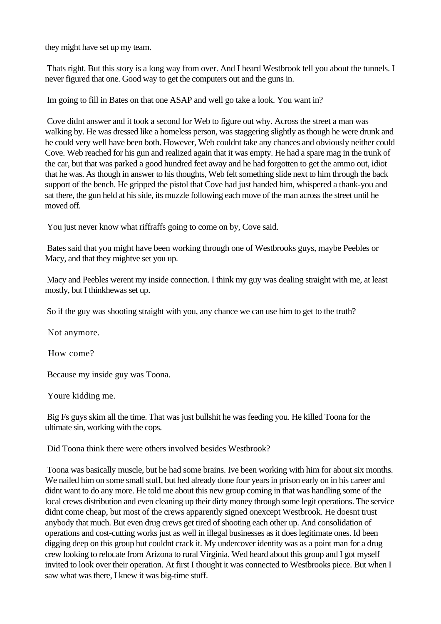they might have set up my team.

 Thats right. But this story is a long way from over. And I heard Westbrook tell you about the tunnels. I never figured that one. Good way to get the computers out and the guns in.

Im going to fill in Bates on that one ASAP and well go take a look. You want in?

 Cove didnt answer and it took a second for Web to figure out why. Across the street a man was walking by. He was dressed like a homeless person, was staggering slightly as though he were drunk and he could very well have been both. However, Web couldnt take any chances and obviously neither could Cove. Web reached for his gun and realized again that it was empty. He had a spare mag in the trunk of the car, but that was parked a good hundred feet away and he had forgotten to get the ammo out, idiot that he was. As though in answer to his thoughts, Web felt something slide next to him through the back support of the bench. He gripped the pistol that Cove had just handed him, whispered a thank-you and sat there, the gun held at his side, its muzzle following each move of the man across the street until he moved off.

You just never know what riffraffs going to come on by, Cove said.

 Bates said that you might have been working through one of Westbrooks guys, maybe Peebles or Macy, and that they mightve set you up.

 Macy and Peebles werent my inside connection. I think my guy was dealing straight with me, at least mostly, but I thinkhewas set up.

So if the guy was shooting straight with you, any chance we can use him to get to the truth?

Not anymore.

How come?

Because my inside guy was Toona.

Youre kidding me.

 Big Fs guys skim all the time. That was just bullshit he was feeding you. He killed Toona for the ultimate sin, working with the cops.

Did Toona think there were others involved besides Westbrook?

 Toona was basically muscle, but he had some brains. Ive been working with him for about six months. We nailed him on some small stuff, but hed already done four years in prison early on in his career and didnt want to do any more. He told me about this new group coming in that was handling some of the local crews distribution and even cleaning up their dirty money through some legit operations. The service didnt come cheap, but most of the crews apparently signed on except Westbrook. He doesnt trust anybody that much. But even drug crews get tired of shooting each other up. And consolidation of operations and cost-cutting works just as well in illegal businesses as it does legitimate ones. Id been digging deep on this group but couldnt crack it. My undercover identity was as a point man for a drug crew looking to relocate from Arizona to rural Virginia. Wed heard about this group and I got myself invited to look over their operation. At first I thought it was connected to Westbrooks piece. But when I saw what was there, I knew it was big-time stuff.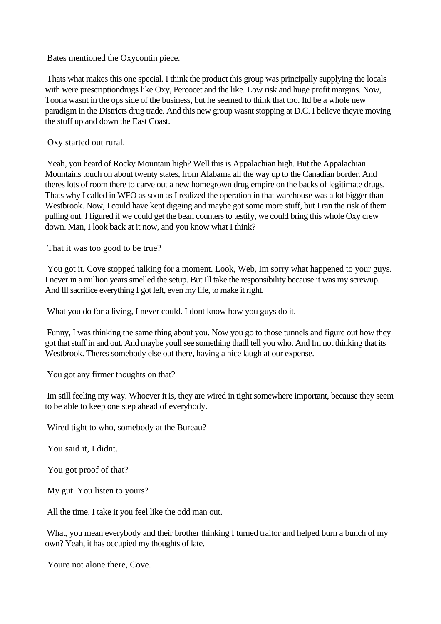Bates mentioned the Oxycontin piece.

 Thats what makes this one special. I think the product this group was principally supplying the locals with were prescriptiondrugs like Oxy, Percocet and the like. Low risk and huge profit margins. Now, Toona wasnt in the ops side of the business, but he seemed to think that too. Itd be a whole new paradigm in the Districts drug trade. And this new group wasnt stopping at D.C. I believe theyre moving the stuff up and down the East Coast.

Oxy started out rural.

 Yeah, you heard of Rocky Mountain high? Well this is Appalachian high. But the Appalachian Mountains touch on about twenty states, from Alabama all the way up to the Canadian border. And theres lots of room there to carve out a new homegrown drug empire on the backs of legitimate drugs. Thats why I called in WFO as soon as I realized the operation in that warehouse was a lot bigger than Westbrook. Now, I could have kept digging and maybe got some more stuff, but I ran the risk of them pulling out. I figured if we could get the bean counters to testify, we could bring this whole Oxy crew down. Man, I look back at it now, and you know what I think?

That it was too good to be true?

 You got it. Cove stopped talking for a moment. Look, Web, Im sorry what happened to your guys. I never in a million years smelled the setup. But Ill take the responsibility because it was my screwup. And Ill sacrifice everything I got left, even my life, to make it right.

What you do for a living, I never could. I dont know how you guys do it.

 Funny, I was thinking the same thing about you. Now you go to those tunnels and figure out how they got that stuff in and out. And maybe youll see something thatll tell you who. And Im not thinking that its Westbrook. Theres somebody else out there, having a nice laugh at our expense.

You got any firmer thoughts on that?

 Im still feeling my way. Whoever it is, they are wired in tight somewhere important, because they seem to be able to keep one step ahead of everybody.

Wired tight to who, somebody at the Bureau?

You said it, I didnt.

You got proof of that?

My gut. You listen to yours?

All the time. I take it you feel like the odd man out.

 What, you mean everybody and their brother thinking I turned traitor and helped burn a bunch of my own? Yeah, it has occupied my thoughts of late.

Youre not alone there, Cove.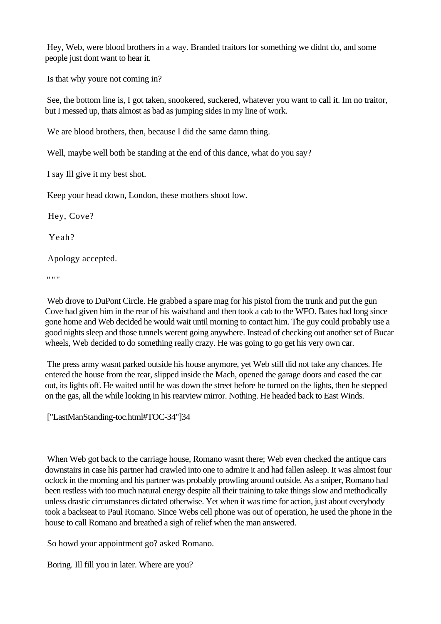Hey, Web, were blood brothers in a way. Branded traitors for something we didnt do, and some people just dont want to hear it.

Is that why youre not coming in?

 See, the bottom line is, I got taken, snookered, suckered, whatever you want to call it. Im no traitor, but I messed up, thats almost as bad as jumping sides in my line of work.

We are blood brothers, then, because I did the same damn thing.

Well, maybe well both be standing at the end of this dance, what do you say?

I say Ill give it my best shot.

Keep your head down, London, these mothers shoot low.

Hey, Cove?

Yeah?

Apology accepted.

" " "

 Web drove to DuPont Circle. He grabbed a spare mag for his pistol from the trunk and put the gun Cove had given him in the rear of his waistband and then took a cab to the WFO. Bates had long since gone home and Web decided he would wait until morning to contact him. The guy could probably use a good nights sleep and those tunnels werent going anywhere. Instead of checking out another set of Bucar wheels, Web decided to do something really crazy. He was going to go get his very own car.

 The press army wasnt parked outside his house anymore, yet Web still did not take any chances. He entered the house from the rear, slipped inside the Mach, opened the garage doors and eased the car out, its lights off. He waited until he was down the street before he turned on the lights, then he stepped on the gas, all the while looking in his rearview mirror. Nothing. He headed back to East Winds.

["LastManStanding-toc.html#TOC-34"]34

 When Web got back to the carriage house, Romano wasnt there; Web even checked the antique cars downstairs in case his partner had crawled into one to admire it and had fallen asleep. It was almost four oclock in the morning and his partner was probably prowling around outside. As a sniper, Romano had been restless with too much natural energy despite all their training to take things slow and methodically unless drastic circumstances dictated otherwise. Yet when it was time for action, just about everybody took a backseat to Paul Romano. Since Webs cell phone was out of operation, he used the phone in the house to call Romano and breathed a sigh of relief when the man answered.

So howd your appointment go? asked Romano.

Boring. Ill fill you in later. Where are you?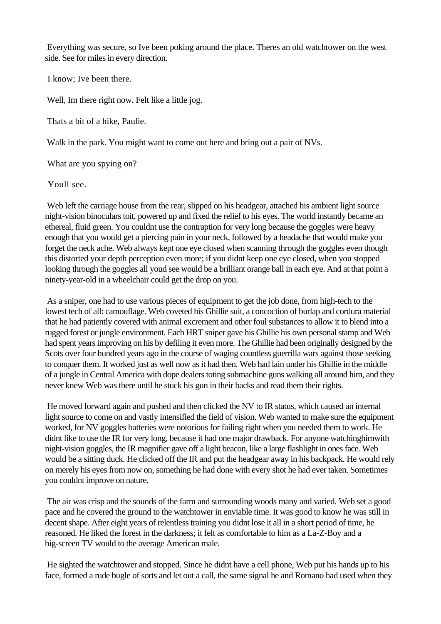Everything was secure, so Ive been poking around the place. Theres an old watchtower on the west side. See for miles in every direction.

I know; Ive been there.

Well, Im there right now. Felt like a little jog.

Thats a bit of a hike, Paulie.

Walk in the park. You might want to come out here and bring out a pair of NVs.

What are you spying on?

Youll see.

Web left the carriage house from the rear, slipped on his headgear, attached his ambient light source night-vision binoculars toit, powered up and fixed the relief to his eyes. The world instantly became an ethereal, fluid green. You couldnt use the contraption for very long because the goggles were heavy enough that you would get a piercing pain in your neck, followed by a headache that would make you forget the neck ache. Web always kept one eye closed when scanning through the goggles even though this distorted your depth perception even more; if you didnt keep one eye closed, when you stopped looking through the goggles all youd see would be a brilliant orange ball in each eye. And at that point a ninety-year-old in a wheelchair could get the drop on you.

 As a sniper, one had to use various pieces of equipment to get the job done, from high-tech to the lowest tech of all: camouflage. Web coveted his Ghillie suit, a concoction of burlap and cordura material that he had patiently covered with animal excrement and other foul substances to allow it to blend into a rugged forest or jungle environment. Each HRT sniper gave his Ghillie his own personal stamp and Web had spent years improving on his by defiling it even more. The Ghillie had been originally designed by the Scots over four hundred years ago in the course of waging countless guerrilla wars against those seeking to conquer them. It worked just as well now as it had then. Web had lain under his Ghillie in the middle of a jungle in Central America with dope dealers toting submachine guns walking all around him, and they never knew Web was there until he stuck his gun in their backs and read them their rights.

 He moved forward again and pushed and then clicked the NV to IR status, which caused an internal light source to come on and vastly intensified the field of vision. Web wanted to make sure the equipment worked, for NV goggles batteries were notorious for failing right when you needed them to work. He didnt like to use the IR for very long, because it had one major drawback. For anyone watchinghimwith night-vision goggles, the IR magnifier gave off a light beacon, like a large flashlight in ones face. Web would be a sitting duck. He clicked off the IR and put the headgear away in his backpack. He would rely on merely his eyes from now on, something he had done with every shot he had ever taken. Sometimes you couldnt improve on nature.

 The air was crisp and the sounds of the farm and surrounding woods many and varied. Web set a good pace and he covered the ground to the watchtower in enviable time. It was good to know he was still in decent shape. After eight years of relentless training you didnt lose it all in a short period of time, he reasoned. He liked the forest in the darkness; it felt as comfortable to him as a La-Z-Boy and a big-screen TV would to the average American male.

 He sighted the watchtower and stopped. Since he didnt have a cell phone, Web put his hands up to his face, formed a rude bugle of sorts and let out a call, the same signal he and Romano had used when they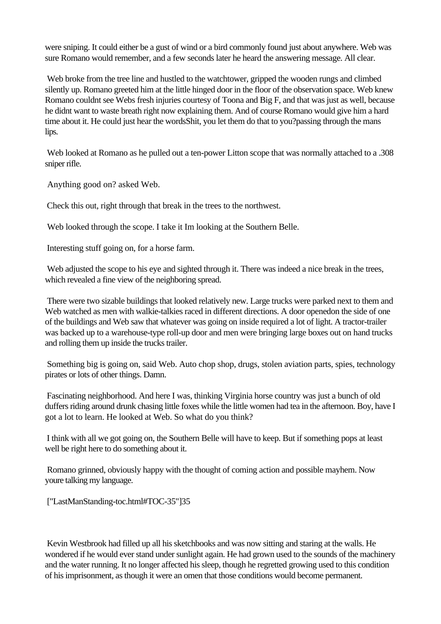were sniping. It could either be a gust of wind or a bird commonly found just about anywhere. Web was sure Romano would remember, and a few seconds later he heard the answering message. All clear.

 Web broke from the tree line and hustled to the watchtower, gripped the wooden rungs and climbed silently up. Romano greeted him at the little hinged door in the floor of the observation space. Web knew Romano couldnt see Webs fresh injuries courtesy of Toona and Big F, and that was just as well, because he didnt want to waste breath right now explaining them. And of course Romano would give him a hard time about it. He could just hear the words Shit, you let them do that to you?passing through the mans lips.

 Web looked at Romano as he pulled out a ten-power Litton scope that was normally attached to a .308 sniper rifle.

Anything good on? asked Web.

Check this out, right through that break in the trees to the northwest.

Web looked through the scope. I take it Im looking at the Southern Belle.

Interesting stuff going on, for a horse farm.

Web adjusted the scope to his eye and sighted through it. There was indeed a nice break in the trees, which revealed a fine view of the neighboring spread.

 There were two sizable buildings that looked relatively new. Large trucks were parked next to them and Web watched as men with walkie-talkies raced in different directions. A door openedon the side of one of the buildings and Web saw that whatever was going on inside required a lot of light. A tractor-trailer was backed up to a warehouse-type roll-up door and men were bringing large boxes out on hand trucks and rolling them up inside the trucks trailer.

 Something big is going on, said Web. Auto chop shop, drugs, stolen aviation parts, spies, technology pirates or lots of other things. Damn.

 Fascinating neighborhood. And here I was, thinking Virginia horse country was just a bunch of old duffers riding around drunk chasing little foxes while the little women had tea in the afternoon. Boy, have I got a lot to learn. He looked at Web. So what do you think?

 I think with all we got going on, the Southern Belle will have to keep. But if something pops at least well be right here to do something about it.

 Romano grinned, obviously happy with the thought of coming action and possible mayhem. Now youre talking my language.

["LastManStanding-toc.html#TOC-35"]35

 Kevin Westbrook had filled up all his sketchbooks and was now sitting and staring at the walls. He wondered if he would ever stand under sunlight again. He had grown used to the sounds of the machinery and the water running. It no longer affected his sleep, though he regretted growing used to this condition of his imprisonment, as though it were an omen that those conditions would become permanent.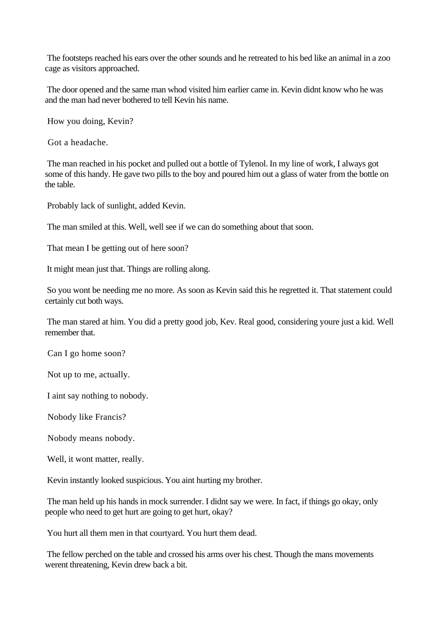The footsteps reached his ears over the other sounds and he retreated to his bed like an animal in a zoo cage as visitors approached.

 The door opened and the same man whod visited him earlier came in. Kevin didnt know who he was and the man had never bothered to tell Kevin his name.

How you doing, Kevin?

Got a headache.

 The man reached in his pocket and pulled out a bottle of Tylenol. In my line of work, I always got some of this handy. He gave two pills to the boy and poured him out a glass of water from the bottle on the table.

Probably lack of sunlight, added Kevin.

The man smiled at this. Well, well see if we can do something about that soon.

That mean I be getting out of here soon?

It might mean just that. Things are rolling along.

 So you wont be needing me no more. As soon as Kevin said this he regretted it. That statement could certainly cut both ways.

 The man stared at him. You did a pretty good job, Kev. Real good, considering youre just a kid. Well remember that.

Can I go home soon?

Not up to me, actually.

I aint say nothing to nobody.

Nobody like Francis?

Nobody means nobody.

Well, it wont matter, really.

Kevin instantly looked suspicious. You aint hurting my brother.

 The man held up his hands in mock surrender. I didnt say we were. In fact, if things go okay, only people who need to get hurt are going to get hurt, okay?

You hurt all them men in that courtyard. You hurt them dead.

 The fellow perched on the table and crossed his arms over his chest. Though the mans movements werent threatening, Kevin drew back a bit.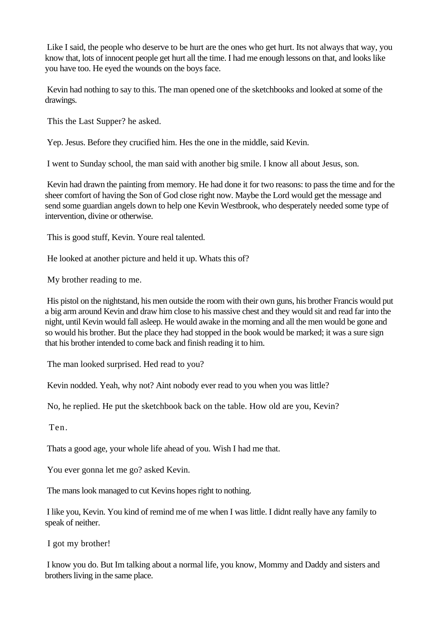Like I said, the people who deserve to be hurt are the ones who get hurt. Its not always that way, you know that, lots of innocent people get hurt all the time. I had me enough lessons on that, and looks like you have too. He eyed the wounds on the boys face.

 Kevin had nothing to say to this. The man opened one of the sketchbooks and looked at some of the drawings.

This the Last Supper? he asked.

Yep. Jesus. Before they crucified him. Hes the one in the middle, said Kevin.

I went to Sunday school, the man said with another big smile. I know all about Jesus, son.

 Kevin had drawn the painting from memory. He had done it for two reasons: to pass the time and for the sheer comfort of having the Son of God close right now. Maybe the Lord would get the message and send some guardian angels down to help one Kevin Westbrook, who desperately needed some type of intervention, divine or otherwise.

This is good stuff, Kevin. Youre real talented.

He looked at another picture and held it up. Whats this of?

My brother reading to me.

His pistol on the nightstand, his men outside the room with their own guns, his brother Francis would put a big arm around Kevin and draw him close to his massive chest and they would sit and read far into the night, until Kevin would fall asleep. He would awake in the morning and all the men would be gone and so would his brother. But the place they had stopped in the book would be marked; it was a sure sign that his brother intended to come back and finish reading it to him.

The man looked surprised. Hed read to you?

Kevin nodded. Yeah, why not? Aint nobody ever read to you when you was little?

No, he replied. He put the sketchbook back on the table. How old are you, Kevin?

Ten.

Thats a good age, your whole life ahead of you. Wish I had me that.

You ever gonna let me go? asked Kevin.

The mans look managed to cut Kevins hopes right to nothing.

 I like you, Kevin. You kind of remind me of me when I was little. I didnt really have any family to speak of neither.

I got my brother!

 I know you do. But Im talking about a normal life, you know, Mommy and Daddy and sisters and brothers living in the same place.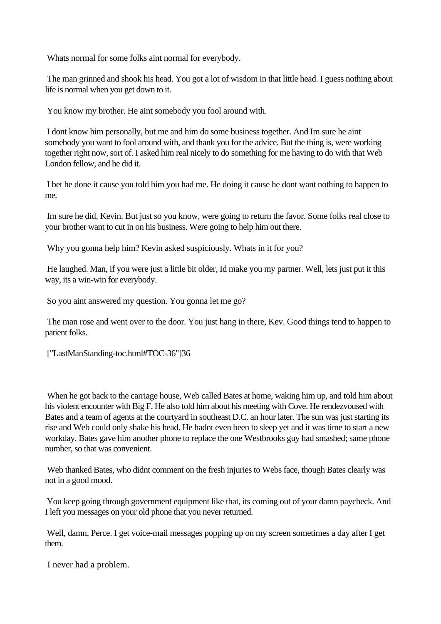Whats normal for some folks aint normal for everybody.

 The man grinned and shook his head. You got a lot of wisdom in that little head. I guess nothing about life is normal when you get down to it.

You know my brother. He aint somebody you fool around with.

 I dont know him personally, but me and him do some business together. And Im sure he aint somebody you want to fool around with, and thank you for the advice. But the thing is, were working together right now, sort of. I asked him real nicely to do something for me having to do with that Web London fellow, and he did it.

 I bet he done it cause you told him you had me. He doing it cause he dont want nothing to happen to me.

 Im sure he did, Kevin. But just so you know, were going to return the favor. Some folks real close to your brother want to cut in on his business. Were going to help him out there.

Why you gonna help him? Kevin asked suspiciously. Whats in it for you?

 He laughed. Man, if you were just a little bit older, Id make you my partner. Well, lets just put it this way, its a win-win for everybody.

So you aint answered my question. You gonna let me go?

 The man rose and went over to the door. You just hang in there, Kev. Good things tend to happen to patient folks.

["LastManStanding-toc.html#TOC-36"]36

 When he got back to the carriage house, Web called Bates at home, waking him up, and told him about his violent encounter with Big F. He also told him about his meeting with Cove. He rendezvoused with Bates and a team of agents at the courtyard in southeast D.C. an hour later. The sun was just starting its rise and Web could only shake his head. He hadnt even been to sleep yet and it was time to start a new workday. Bates gave him another phone to replace the one Westbrooks guy had smashed; same phone number, so that was convenient.

 Web thanked Bates, who didnt comment on the fresh injuries to Webs face, though Bates clearly was not in a good mood.

 You keep going through government equipment like that, its coming out of your damn paycheck. And I left you messages on your old phone that you never returned.

 Well, damn, Perce. I get voice-mail messages popping up on my screen sometimes a day after I get them.

I never had a problem.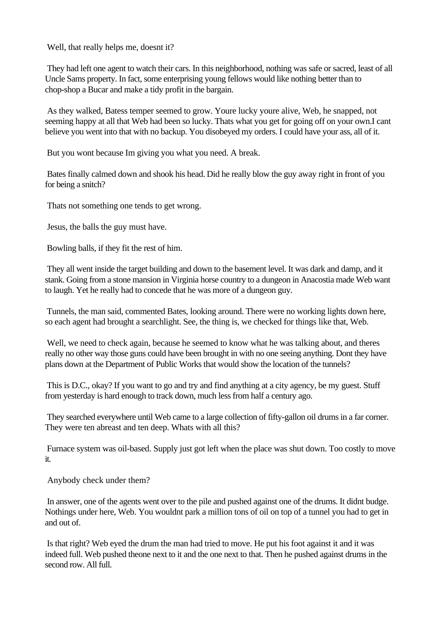Well, that really helps me, doesnt it?

 They had left one agent to watch their cars. In this neighborhood, nothing was safe or sacred, least of all Uncle Sams property. In fact, some enterprising young fellows would like nothing better than to chop-shop a Bucar and make a tidy profit in the bargain.

 As they walked, Batess temper seemed to grow. Youre lucky youre alive, Web, he snapped, not seeming happy at all that Web had been so lucky. Thats what you get for going off on your own.I cant believe you went into that with no backup. You disobeyed my orders. I could have your ass, all of it.

But you wont because Im giving you what you need. A break.

 Bates finally calmed down and shook his head. Did he really blow the guy away right in front of you for being a snitch?

Thats not something one tends to get wrong.

Jesus, the balls the guy must have.

Bowling balls, if they fit the rest of him.

 They all went inside the target building and down to the basement level. It was dark and damp, and it stank. Going from a stone mansion in Virginia horse country to a dungeon in Anacostia made Web want to laugh. Yet he really had to concede that he was more of a dungeon guy.

 Tunnels, the man said, commented Bates, looking around. There were no working lights down here, so each agent had brought a searchlight. See, the thing is, we checked for things like that, Web.

 Well, we need to check again, because he seemed to know what he was talking about, and theres really no other way those guns could have been brought in with no one seeing anything. Dont they have plans down at the Department of Public Works that would show the location of the tunnels?

 This is D.C., okay? If you want to go and try and find anything at a city agency, be my guest. Stuff from yesterday is hard enough to track down, much less from half a century ago.

 They searched everywhere until Web came to a large collection of fifty-gallon oil drums in a far corner. They were ten abreast and ten deep. Whats with all this?

 Furnace system was oil-based. Supply just got left when the place was shut down. Too costly to move it.

Anybody check under them?

 In answer, one of the agents went over to the pile and pushed against one of the drums. It didnt budge. Nothings under here, Web. You wouldnt park a million tons of oil on top of a tunnel you had to get in and out of.

 Is that right? Web eyed the drum the man had tried to move. He put his foot against it and it was indeed full. Web pushed theone next to it and the one next to that. Then he pushed against drums in the second row. All full.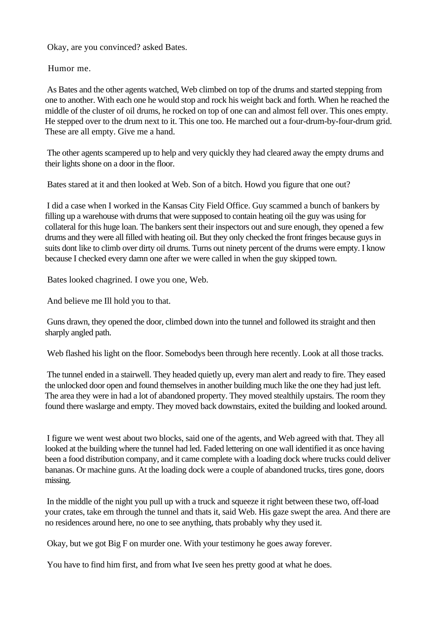Okay, are you convinced? asked Bates.

Humor me.

 As Bates and the other agents watched, Web climbed on top of the drums and started stepping from one to another. With each one he would stop and rock his weight back and forth. When he reached the middle of the cluster of oil drums, he rocked on top of one can and almost fell over. This ones empty. He stepped over to the drum next to it. This one too. He marched out a four-drum-by-four-drum grid. These are all empty. Give me a hand.

 The other agents scampered up to help and very quickly they had cleared away the empty drums and their lights shone on a door in the floor.

Bates stared at it and then looked at Web. Son of a bitch. Howd you figure that one out?

 I did a case when I worked in the Kansas City Field Office. Guy scammed a bunch of bankers by filling up a warehouse with drums that were supposed to contain heating oil the guy was using for collateral for this huge loan. The bankers sent their inspectors out and sure enough, they opened a few drums and they were all filled with heating oil. But they only checked the front fringes because guys in suits dont like to climb over dirty oil drums. Turns out ninety percent of the drums were empty. I know because I checked every damn one after we were called in when the guy skipped town.

Bates looked chagrined. I owe you one, Web.

And believe me Ill hold you to that.

 Guns drawn, they opened the door, climbed down into the tunnel and followed its straight and then sharply angled path.

Web flashed his light on the floor. Somebodys been through here recently. Look at all those tracks.

 The tunnel ended in a stairwell. They headed quietly up, every man alert and ready to fire. They eased the unlocked door open and found themselves in another building much like the one they had just left. The area they were in had a lot of abandoned property. They moved stealthily upstairs. The room they found there waslarge and empty. They moved back downstairs, exited the building and looked around.

 I figure we went west about two blocks, said one of the agents, and Web agreed with that. They all looked at the building where the tunnel had led. Faded lettering on one wall identified it as once having been a food distribution company, and it came complete with a loading dock where trucks could deliver bananas. Or machine guns. At the loading dock were a couple of abandoned trucks, tires gone, doors missing.

 In the middle of the night you pull up with a truck and squeeze it right between these two, off-load your crates, take em through the tunnel and thats it, said Web. His gaze swept the area. And there are no residences around here, no one to see anything, thats probably why they used it.

Okay, but we got Big F on murder one. With your testimony he goes away forever.

You have to find him first, and from what Ive seen hes pretty good at what he does.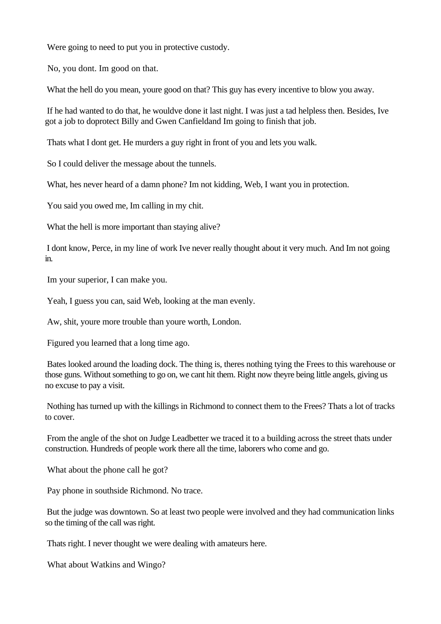Were going to need to put you in protective custody.

No, you dont. Im good on that.

What the hell do you mean, youre good on that? This guy has every incentive to blow you away.

 If he had wanted to do that, he wouldve done it last night. I was just a tad helpless then. Besides, Ive got a job to doprotect Billy and Gwen Canfieldand Im going to finish that job.

Thats what I dont get. He murders a guy right in front of you and lets you walk.

So I could deliver the message about the tunnels.

What, hes never heard of a damn phone? Im not kidding, Web, I want you in protection.

You said you owed me, Im calling in my chit.

What the hell is more important than staying alive?

 I dont know, Perce, in my line of work Ive never really thought about it very much. And Im not going in.

Im your superior, I can make you.

Yeah, I guess you can, said Web, looking at the man evenly.

Aw, shit, youre more trouble than youre worth, London.

Figured you learned that a long time ago.

 Bates looked around the loading dock. The thing is, theres nothing tying the Frees to this warehouse or those guns. Without something to go on, we cant hit them. Right now theyre being little angels, giving us no excuse to pay a visit.

 Nothing has turned up with the killings in Richmond to connect them to the Frees? Thats a lot of tracks to cover.

 From the angle of the shot on Judge Leadbetter we traced it to a building across the street thats under construction. Hundreds of people work there all the time, laborers who come and go.

What about the phone call he got?

Pay phone in southside Richmond. No trace.

 But the judge was downtown. So at least two people were involved and they had communication links so the timing of the call was right.

Thats right. I never thought we were dealing with amateurs here.

What about Watkins and Wingo?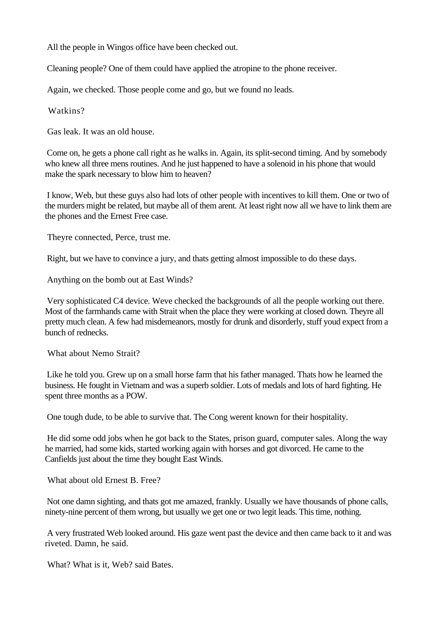All the people in Wingos office have been checked out.

Cleaning people? One of them could have applied the atropine to the phone receiver.

Again, we checked. Those people come and go, but we found no leads.

Watkins?

Gas leak. It was an old house.

 Come on, he gets a phone call right as he walks in. Again, its split-second timing. And by somebody who knew all three mens routines. And he just happened to have a solenoid in his phone that would make the spark necessary to blow him to heaven?

 I know, Web, but these guys also had lots of other people with incentives to kill them. One or two of the murders might be related, but maybe all of them arent. At least right now all we have to link them are the phones and the Ernest Free case.

Theyre connected, Perce, trust me.

Right, but we have to convince a jury, and thats getting almost impossible to do these days.

Anything on the bomb out at East Winds?

 Very sophisticated C4 device. Weve checked the backgrounds of all the people working out there. Most of the farmhands came with Strait when the place they were working at closed down. Theyre all pretty much clean. A few had misdemeanors, mostly for drunk and disorderly, stuff youd expect from a bunch of rednecks.

What about Nemo Strait?

 Like he told you. Grew up on a small horse farm that his father managed. Thats how he learned the business. He fought in Vietnam and was a superb soldier. Lots of medals and lots of hard fighting. He spent three months as a POW.

One tough dude, to be able to survive that. The Cong werent known for their hospitality.

 He did some odd jobs when he got back to the States, prison guard, computer sales. Along the way he married, had some kids, started working again with horses and got divorced. He came to the Canfields just about the time they bought East Winds.

What about old Ernest B. Free?

 Not one damn sighting, and thats got me amazed, frankly. Usually we have thousands of phone calls, ninety-nine percent of them wrong, but usually we get one or two legit leads. This time, nothing.

 A very frustrated Web looked around. His gaze went past the device and then came back to it and was riveted. Damn, he said.

What? What is it, Web? said Bates.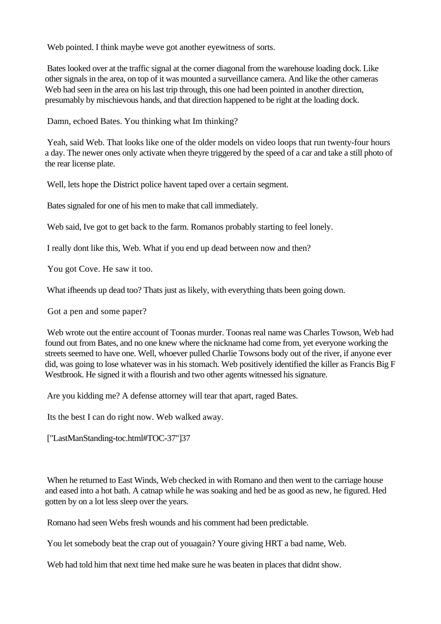Web pointed. I think maybe weve got another eyewitness of sorts.

 Bates looked over at the traffic signal at the corner diagonal from the warehouse loading dock. Like other signals in the area, on top of it was mounted a surveillance camera. And like the other cameras Web had seen in the area on his last trip through, this one had been pointed in another direction, presumably by mischievous hands, and that direction happened to be right at the loading dock.

Damn, echoed Bates. You thinking what Im thinking?

 Yeah, said Web. That looks like one of the older models on video loops that run twenty-four hours a day. The newer ones only activate when theyre triggered by the speed of a car and take a still photo of the rear license plate.

Well, lets hope the District police havent taped over a certain segment.

Bates signaled for one of his men to make that call immediately.

Web said, Ive got to get back to the farm. Romanos probably starting to feel lonely.

I really dont like this, Web. What if you end up dead between now and then?

You got Cove. He saw it too.

What ifheends up dead too? Thats just as likely, with everything thats been going down.

Got a pen and some paper?

Web wrote out the entire account of Toonas murder. Toonas real name was Charles Towson, Web had found out from Bates, and no one knew where the nickname had come from, yet everyone working the streets seemed to have one. Well, whoever pulled Charlie Towsons body out of the river, if anyone ever did, was going to lose whatever was in his stomach. Web positively identified the killer as Francis Big F Westbrook. He signed it with a flourish and two other agents witnessed his signature.

Are you kidding me? A defense attorney will tear that apart, raged Bates.

Its the best I can do right now. Web walked away.

["LastManStanding-toc.html#TOC-37"]37

 When he returned to East Winds, Web checked in with Romano and then went to the carriage house and eased into a hot bath. A catnap while he was soaking and hed be as good as new, he figured. Hed gotten by on a lot less sleep over the years.

Romano had seen Webs fresh wounds and his comment had been predictable.

You let somebody beat the crap out of youagain? Youre giving HRT a bad name, Web.

Web had told him that next time hed make sure he was beaten in places that didnt show.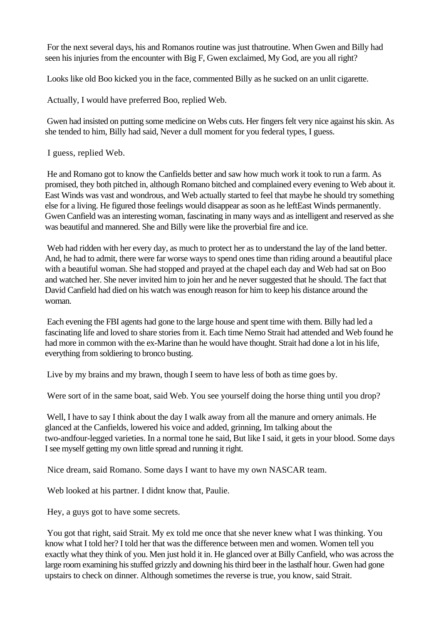For the next several days, his and Romanos routine was just that routine. When Gwen and Billy had seen his injuries from the encounter with Big F, Gwen exclaimed, My God, are you all right?

Looks like old Boo kicked you in the face, commented Billy as he sucked on an unlit cigarette.

Actually, I would have preferred Boo, replied Web.

 Gwen had insisted on putting some medicine on Webs cuts. Her fingers felt very nice against his skin. As she tended to him, Billy had said, Never a dull moment for you federal types, I guess.

I guess, replied Web.

 He and Romano got to know the Canfields better and saw how much work it took to run a farm. As promised, they both pitched in, although Romano bitched and complained every evening to Web about it. East Winds was vast and wondrous, and Web actually started to feel that maybe he should try something else for a living. He figured those feelings would disappear as soon as he leftEast Winds permanently. Gwen Canfield was an interesting woman, fascinating in many ways and as intelligent and reserved as she was beautiful and mannered. She and Billy were like the proverbial fire and ice.

Web had ridden with her every day, as much to protect her as to understand the lay of the land better. And, he had to admit, there were far worse ways to spend ones time than riding around a beautiful place with a beautiful woman. She had stopped and prayed at the chapel each day and Web had sat on Boo and watched her. She never invited him to join her and he never suggested that he should. The fact that David Canfield had died on his watch was enough reason for him to keep his distance around the woman.

 Each evening the FBI agents had gone to the large house and spent time with them. Billy had led a fascinating life and loved to share stories from it. Each time Nemo Strait had attended and Web found he had more in common with the ex-Marine than he would have thought. Strait had done a lot in his life, everything from soldiering to bronco busting.

Live by my brains and my brawn, though I seem to have less of both as time goes by.

Were sort of in the same boat, said Web. You see yourself doing the horse thing until you drop?

 Well, I have to say I think about the day I walk away from all the manure and ornery animals. He glanced at the Canfields, lowered his voice and added, grinning, Im talking about the two-andfour-legged varieties. In a normal tone he said, But like I said, it gets in your blood. Some days I see myself getting my own little spread and running it right.

Nice dream, said Romano. Some days I want to have my own NASCAR team.

Web looked at his partner. I didnt know that, Paulie.

Hey, a guys got to have some secrets.

 You got that right, said Strait. My ex told me once that she never knew what I was thinking. You know what I told her? I told her that was the difference between men and women. Women tell you exactly what they think of you. Men just hold it in. He glanced over at Billy Canfield, who was across the large room examining his stuffed grizzly and downing his third beer in the lasthalf hour. Gwen had gone upstairs to check on dinner. Although sometimes the reverse is true, you know, said Strait.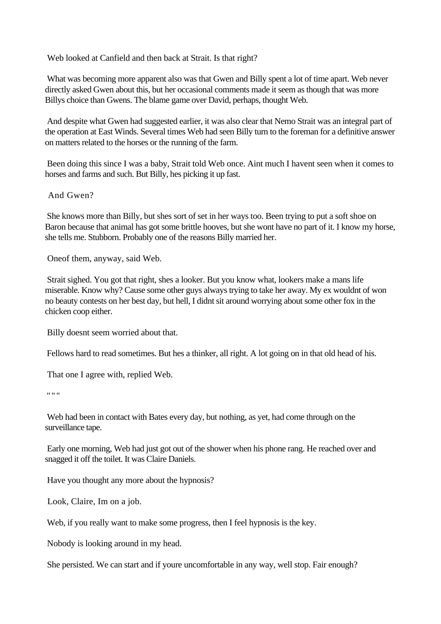Web looked at Canfield and then back at Strait. Is that right?

 What was becoming more apparent also was that Gwen and Billy spent a lot of time apart. Web never directly asked Gwen about this, but her occasional comments made it seem as though that was more Billys choice than Gwens. The blame game over David, perhaps, thought Web.

 And despite what Gwen had suggested earlier, it was also clear that Nemo Strait was an integral part of the operation at East Winds. Several times Web had seen Billy turn to the foreman for a definitive answer on matters related to the horses or the running of the farm.

 Been doing this since I was a baby, Strait told Web once. Aint much I havent seen when it comes to horses and farms and such. But Billy, hes picking it up fast.

And Gwen?

 She knows more than Billy, but shes sort of set in her ways too. Been trying to put a soft shoe on Baron because that animal has got some brittle hooves, but she wont have no part of it. I know my horse, she tells me. Stubborn. Probably one of the reasons Billy married her.

Oneof them, anyway, said Web.

 Strait sighed. You got that right, shes a looker. But you know what, lookers make a mans life miserable. Know why? Cause some other guys always trying to take her away. My ex wouldnt of won no beauty contests on her best day, but hell, I didnt sit around worrying about some other fox in the chicken coop either.

Billy doesnt seem worried about that.

Fellows hard to read sometimes. But hes a thinker, all right. A lot going on in that old head of his.

That one I agree with, replied Web.

" " "

 Web had been in contact with Bates every day, but nothing, as yet, had come through on the surveillance tape.

 Early one morning, Web had just got out of the shower when his phone rang. He reached over and snagged it off the toilet. It was Claire Daniels.

Have you thought any more about the hypnosis?

Look, Claire, Im on a job.

Web, if you really want to make some progress, then I feel hypnosis is the key.

Nobody is looking around in my head.

She persisted. We can start and if youre uncomfortable in any way, well stop. Fair enough?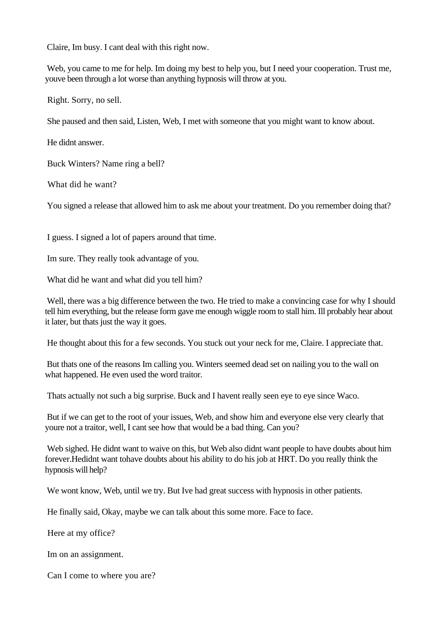Claire, Im busy. I cant deal with this right now.

Web, you came to me for help. Im doing my best to help you, but I need your cooperation. Trust me, youve been through a lot worse than anything hypnosis will throw at you.

Right. Sorry, no sell.

She paused and then said, Listen, Web, I met with someone that you might want to know about.

He didnt answer.

Buck Winters? Name ring a bell?

What did he want?

You signed a release that allowed him to ask me about your treatment. Do you remember doing that?

I guess. I signed a lot of papers around that time.

Im sure. They really took advantage of you.

What did he want and what did you tell him?

 Well, there was a big difference between the two. He tried to make a convincing case for why I should tell him everything, but the release form gave me enough wiggle room to stall him. Ill probably hear about it later, but thats just the way it goes.

He thought about this for a few seconds. You stuck out your neck for me, Claire. I appreciate that.

 But thats one of the reasons Im calling you. Winters seemed dead set on nailing you to the wall on what happened. He even used the word traitor.

Thats actually not such a big surprise. Buck and I havent really seen eye to eye since Waco.

 But if we can get to the root of your issues, Web, and show him and everyone else very clearly that youre not a traitor, well, I cant see how that would be a bad thing. Can you?

 Web sighed. He didnt want to waive on this, but Web also didnt want people to have doubts about him forever.Hedidnt want tohave doubts about his ability to do his job at HRT. Do you really think the hypnosis will help?

We wont know, Web, until we try. But Ive had great success with hypnosis in other patients.

He finally said, Okay, maybe we can talk about this some more. Face to face.

Here at my office?

Im on an assignment.

Can I come to where you are?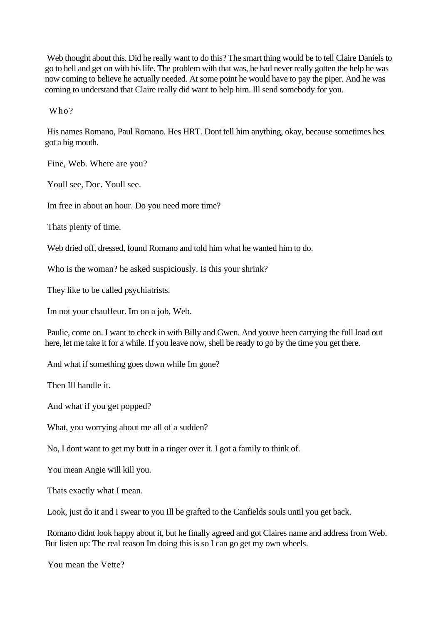Web thought about this. Did he really want to do this? The smart thing would be to tell Claire Daniels to go to hell and get on with his life. The problem with that was, he had never really gotten the help he was now coming to believe he actually needed. At some point he would have to pay the piper. And he was coming to understand that Claire really did want to help him. Ill send somebody for you.

Who?

 His names Romano, Paul Romano. Hes HRT. Dont tell him anything, okay, because sometimes hes got a big mouth.

Fine, Web. Where are you?

Youll see, Doc. Youll see.

Im free in about an hour. Do you need more time?

Thats plenty of time.

Web dried off, dressed, found Romano and told him what he wanted him to do.

Who is the woman? he asked suspiciously. Is this your shrink?

They like to be called psychiatrists.

Im not your chauffeur. Im on a job, Web.

 Paulie, come on. I want to check in with Billy and Gwen. And youve been carrying the full load out here, let me take it for a while. If you leave now, shell be ready to go by the time you get there.

And what if something goes down while Im gone?

Then Ill handle it.

And what if you get popped?

What, you worrying about me all of a sudden?

No, I dont want to get my butt in a ringer over it. I got a family to think of.

You mean Angie will kill you.

Thats exactly what I mean.

Look, just do it and I swear to you Ill be grafted to the Canfields souls until you get back.

 Romano didnt look happy about it, but he finally agreed and got Claires name and address from Web. But listen up: The real reason Im doing this is so I can go get my own wheels.

You mean the Vette?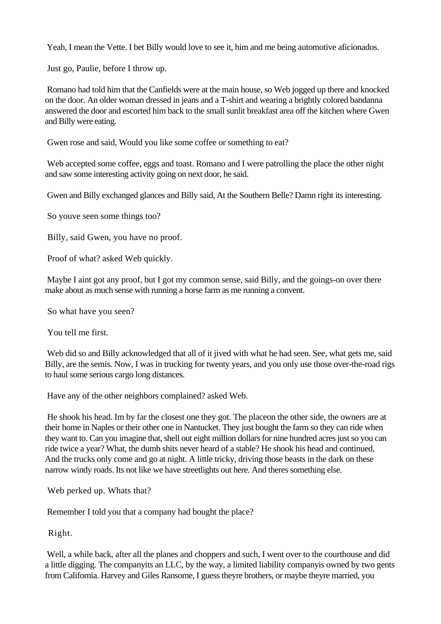Yeah, I mean the Vette. I bet Billy would love to see it, him and me being automotive aficionados.

Just go, Paulie, before I throw up.

 Romano had told him that the Canfields were at the main house, so Web jogged up there and knocked on the door. An older woman dressed in jeans and a T-shirt and wearing a brightly colored bandanna answered the door and escorted him back to the small sunlit breakfast area off the kitchen where Gwen and Billy were eating.

Gwen rose and said, Would you like some coffee or something to eat?

Web accepted some coffee, eggs and toast. Romano and I were patrolling the place the other night and saw some interesting activity going on next door, he said.

Gwen and Billy exchanged glances and Billy said, At the Southern Belle? Damn right its interesting.

So youve seen some things too?

Billy, said Gwen, you have no proof.

Proof of what? asked Web quickly.

Maybe I aint got any proof, but I got my common sense, said Billy, and the goings-on over there make about as much sense with running a horse farm as me running a convent.

So what have you seen?

You tell me first.

Web did so and Billy acknowledged that all of it jived with what he had seen. See, what gets me, said Billy, are the semis. Now, I was in trucking for twenty years, and you only use those over-the-road rigs to haul some serious cargo long distances.

Have any of the other neighbors complained? asked Web.

 He shook his head. Im by far the closest one they got. The placeon the other side, the owners are at their home in Naples or their other one in Nantucket. They just bought the farm so they can ride when they want to. Can you imagine that, shell out eight million dollars for nine hundred acres just so you can ride twice a year? What, the dumb shits never heard of a stable? He shook his head and continued, And the trucks only come and go at night. A little tricky, driving those beasts in the dark on these narrow windy roads. Its not like we have streetlights out here. And theres something else.

Web perked up. Whats that?

Remember I told you that a company had bought the place?

Right.

 Well, a while back, after all the planes and choppers and such, I went over to the courthouse and did a little digging. The company its an LLC, by the way, a limited liability company is owned by two gents from California. Harvey and Giles Ransome, I guess theyre brothers, or maybe theyre married, you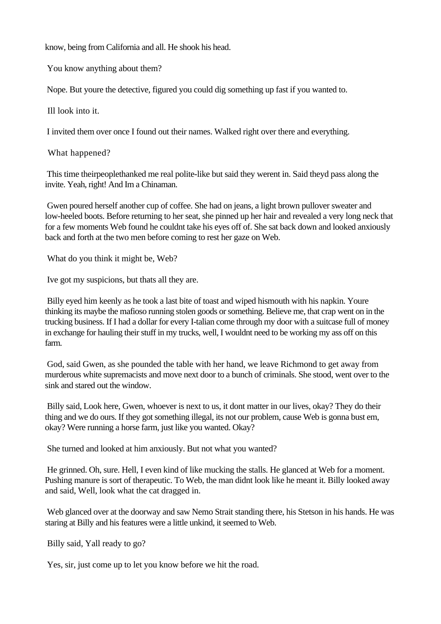know, being from California and all. He shook his head.

You know anything about them?

Nope. But youre the detective, figured you could dig something up fast if you wanted to.

Ill look into it.

I invited them over once I found out their names. Walked right over there and everything.

What happened?

 This time theirpeoplethanked me real polite-like but said they werent in. Said theyd pass along the invite. Yeah, right! And Im a Chinaman.

 Gwen poured herself another cup of coffee. She had on jeans, a light brown pullover sweater and low-heeled boots. Before returning to her seat, she pinned up her hair and revealed a very long neck that for a few moments Web found he couldnt take his eyes off of. She sat back down and looked anxiously back and forth at the two men before coming to rest her gaze on Web.

What do you think it might be, Web?

Ive got my suspicions, but thats all they are.

 Billy eyed him keenly as he took a last bite of toast and wiped hismouth with his napkin. Youre thinking its maybe the mafioso running stolen goods or something. Believe me, that crap went on in the trucking business. If I had a dollar for every I-talian come through my door with a suitcase full of money in exchange for hauling their stuff in my trucks, well, I wouldnt need to be working my ass off on this farm.

 God, said Gwen, as she pounded the table with her hand, we leave Richmond to get away from murderous white supremacists and move next door to a bunch of criminals. She stood, went over to the sink and stared out the window.

 Billy said, Look here, Gwen, whoever is next to us, it dont matter in our lives, okay? They do their thing and we do ours. If they got something illegal, its not our problem, cause Web is gonna bust em, okay? Were running a horse farm, just like you wanted. Okay?

She turned and looked at him anxiously. But not what you wanted?

 He grinned. Oh, sure. Hell, I even kind of like mucking the stalls. He glanced at Web for a moment. Pushing manure is sort of therapeutic. To Web, the man didnt look like he meant it. Billy looked away and said, Well, look what the cat dragged in.

 Web glanced over at the doorway and saw Nemo Strait standing there, his Stetson in his hands. He was staring at Billy and his features were a little unkind, it seemed to Web.

Billy said, Yall ready to go?

Yes, sir, just come up to let you know before we hit the road.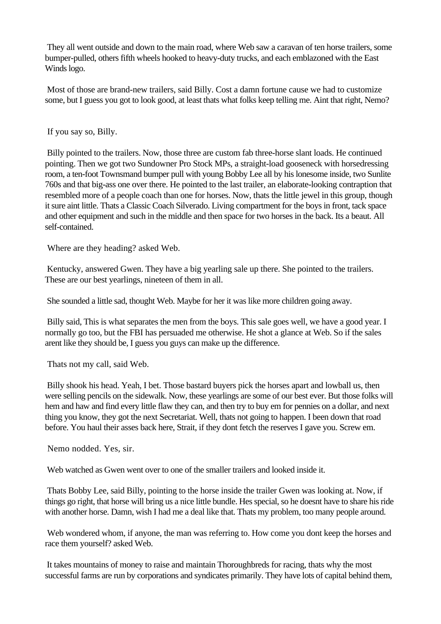They all went outside and down to the main road, where Web saw a caravan of ten horse trailers, some bumper-pulled, others fifth wheels hooked to heavy-duty trucks, and each emblazoned with the East Winds logo.

 Most of those are brand-new trailers, said Billy. Cost a damn fortune cause we had to customize some, but I guess you got to look good, at least thats what folks keep telling me. Aint that right, Nemo?

If you say so, Billy.

 Billy pointed to the trailers. Now, those three are custom fab three-horse slant loads. He continued pointing. Then we got two Sundowner Pro Stock MPs, a straight-load gooseneck with horsedressing room, a ten-foot Townsmand bumper pull with young Bobby Lee all by his lonesome inside, two Sunlite 760s and that big-ass one over there. He pointed to the last trailer, an elaborate-looking contraption that resembled more of a people coach than one for horses. Now, thats the little jewel in this group, though it sure aint little. Thats a Classic Coach Silverado. Living compartment for the boys in front, tack space and other equipment and such in the middle and then space for two horses in the back. Its a beaut. All self-contained.

Where are they heading? asked Web.

 Kentucky, answered Gwen. They have a big yearling sale up there. She pointed to the trailers. These are our best yearlings, nineteen of them in all.

She sounded a little sad, thought Web. Maybe for her it was like more children going away.

 Billy said, This is what separates the men from the boys. This sale goes well, we have a good year. I normally go too, but the FBI has persuaded me otherwise. He shot a glance at Web. So if the sales arent like they should be, I guess you guys can make up the difference.

Thats not my call, said Web.

 Billy shook his head. Yeah, I bet. Those bastard buyers pick the horses apart and lowball us, then were selling pencils on the sidewalk. Now, these yearlings are some of our best ever. But those folks will hem and haw and find every little flaw they can, and then try to buy em for pennies on a dollar, and next thing you know, they got the next Secretariat. Well, thats not going to happen. I been down that road before. You haul their asses back here, Strait, if they dont fetch the reserves I gave you. Screw em.

Nemo nodded. Yes, sir.

Web watched as Gwen went over to one of the smaller trailers and looked inside it.

 Thats Bobby Lee, said Billy, pointing to the horse inside the trailer Gwen was looking at. Now, if things go right, that horse will bring us a nice little bundle. Hes special, so he doesnt have to share his ride with another horse. Damn, wish I had me a deal like that. Thats my problem, too many people around.

 Web wondered whom, if anyone, the man was referring to. How come you dont keep the horses and race them yourself? asked Web.

 It takes mountains of money to raise and maintain Thoroughbreds for racing, thats why the most successful farms are run by corporations and syndicates primarily. They have lots of capital behind them,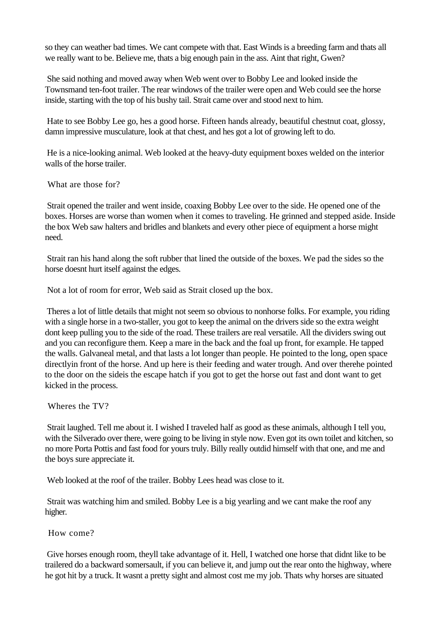so they can weather bad times. We cant compete with that. East Winds is a breeding farm and thats all we really want to be. Believe me, thats a big enough pain in the ass. Aint that right, Gwen?

 She said nothing and moved away when Web went over to Bobby Lee and looked inside the Townsmand ten-foot trailer. The rear windows of the trailer were open and Web could see the horse inside, starting with the top of his bushy tail. Strait came over and stood next to him.

 Hate to see Bobby Lee go, hes a good horse. Fifteen hands already, beautiful chestnut coat, glossy, damn impressive musculature, look at that chest, and hes got a lot of growing left to do.

 He is a nice-looking animal. Web looked at the heavy-duty equipment boxes welded on the interior walls of the horse trailer.

What are those for?

 Strait opened the trailer and went inside, coaxing Bobby Lee over to the side. He opened one of the boxes. Horses are worse than women when it comes to traveling. He grinned and stepped aside. Inside the box Web saw halters and bridles and blankets and every other piece of equipment a horse might need.

 Strait ran his hand along the soft rubber that lined the outside of the boxes. We pad the sides so the horse doesnt hurt itself against the edges.

Not a lot of room for error, Web said as Strait closed up the box.

 Theres a lot of little details that might not seem so obvious to nonhorse folks. For example, you riding with a single horse in a two-staller, you got to keep the animal on the drivers side so the extra weight dont keep pulling you to the side of the road. These trailers are real versatile. All the dividers swing out and you can reconfigure them. Keep a mare in the back and the foal up front, for example. He tapped the walls. Galvaneal metal, and that lasts a lot longer than people. He pointed to the long, open space directlyin front of the horse. And up here is their feeding and water trough. And over there he pointed to the door on the side is the escape hatch if you got to get the horse out fast and dont want to get kicked in the process.

Wheres the TV?

 Strait laughed. Tell me about it. I wished I traveled half as good as these animals, although I tell you, with the Silverado over there, were going to be living in style now. Even got its own toilet and kitchen, so no more Porta Pottis and fast food for yours truly. Billy really outdid himself with that one, and me and the boys sure appreciate it.

Web looked at the roof of the trailer. Bobby Lees head was close to it.

 Strait was watching him and smiled. Bobby Lee is a big yearling and we cant make the roof any higher.

How come?

 Give horses enough room, theyll take advantage of it. Hell, I watched one horse that didnt like to be trailered do a backward somersault, if you can believe it, and jump out the rear onto the highway, where he got hit by a truck. It wasnt a pretty sight and almost cost me my job. Thats why horses are situated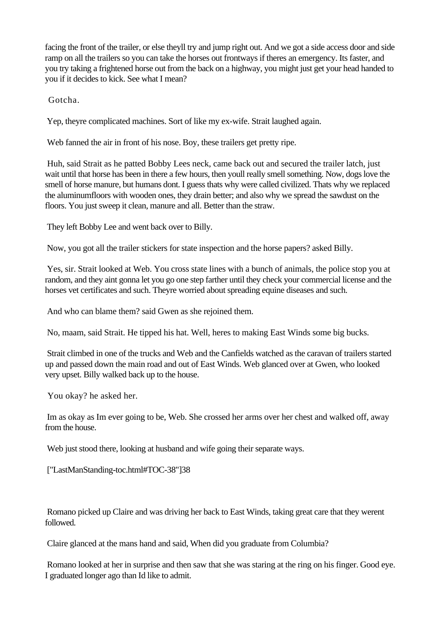facing the front of the trailer, or else theyll try and jump right out. And we got a side access door and side ramp on all the trailers so you can take the horses out frontways if theres an emergency. Its faster, and you try taking a frightened horse out from the back on a highway, you might just get your head handed to you if it decides to kick. See what I mean?

Gotcha.

Yep, theyre complicated machines. Sort of like my ex-wife. Strait laughed again.

Web fanned the air in front of his nose. Boy, these trailers get pretty ripe.

 Huh, said Strait as he patted Bobby Lees neck, came back out and secured the trailer latch, just wait until that horse has been in there a few hours, then youll really smell something. Now, dogs love the smell of horse manure, but humans dont. I guess thats why were called civilized. Thats why we replaced the aluminumfloors with wooden ones, they drain better; and also why we spread the sawdust on the floors. You just sweep it clean, manure and all. Better than the straw.

They left Bobby Lee and went back over to Billy.

Now, you got all the trailer stickers for state inspection and the horse papers? asked Billy.

 Yes, sir. Strait looked at Web. You cross state lines with a bunch of animals, the police stop you at random, and they aint gonna let you go one step farther until they check your commercial license and the horses vet certificates and such. Theyre worried about spreading equine diseases and such.

And who can blame them? said Gwen as she rejoined them.

No, maam, said Strait. He tipped his hat. Well, heres to making East Winds some big bucks.

 Strait climbed in one of the trucks and Web and the Canfields watched as the caravan of trailers started up and passed down the main road and out of East Winds. Web glanced over at Gwen, who looked very upset. Billy walked back up to the house.

You okay? he asked her.

 Im as okay as Im ever going to be, Web. She crossed her arms over her chest and walked off, away from the house.

Web just stood there, looking at husband and wife going their separate ways.

["LastManStanding-toc.html#TOC-38"]38

 Romano picked up Claire and was driving her back to East Winds, taking great care that they werent followed.

Claire glanced at the mans hand and said, When did you graduate from Columbia?

 Romano looked at her in surprise and then saw that she was staring at the ring on his finger. Good eye. I graduated longer ago than Id like to admit.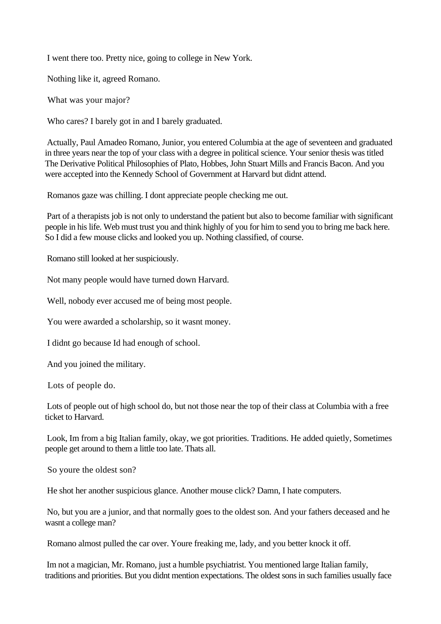I went there too. Pretty nice, going to college in New York.

Nothing like it, agreed Romano.

What was your major?

Who cares? I barely got in and I barely graduated.

 Actually, Paul Amadeo Romano, Junior, you entered Columbia at the age of seventeen and graduated in three years near the top of your class with a degree in political science. Your senior thesis was titled The Derivative Political Philosophies of Plato, Hobbes, John Stuart Mills and Francis Bacon. And you were accepted into the Kennedy School of Government at Harvard but didnt attend.

Romanos gaze was chilling. I dont appreciate people checking me out.

 Part of a therapists job is not only to understand the patient but also to become familiar with significant people in his life. Web must trust you and think highly of you for him to send you to bring me back here. So I did a few mouse clicks and looked you up. Nothing classified, of course.

Romano still looked at her suspiciously.

Not many people would have turned down Harvard.

Well, nobody ever accused me of being most people.

You were awarded a scholarship, so it wasnt money.

I didnt go because Id had enough of school.

And you joined the military.

Lots of people do.

 Lots of people out of high school do, but not those near the top of their class at Columbia with a free ticket to Harvard.

 Look, Im from a big Italian family, okay, we got priorities. Traditions. He added quietly, Sometimes people get around to them a little too late. Thats all.

So youre the oldest son?

He shot her another suspicious glance. Another mouse click? Damn, I hate computers.

 No, but you are a junior, and that normally goes to the oldest son. And your fathers deceased and he wasnt a college man?

Romano almost pulled the car over. Youre freaking me, lady, and you better knock it off.

 Im not a magician, Mr. Romano, just a humble psychiatrist. You mentioned large Italian family, traditions and priorities. But you didnt mention expectations. The oldest sons in such families usually face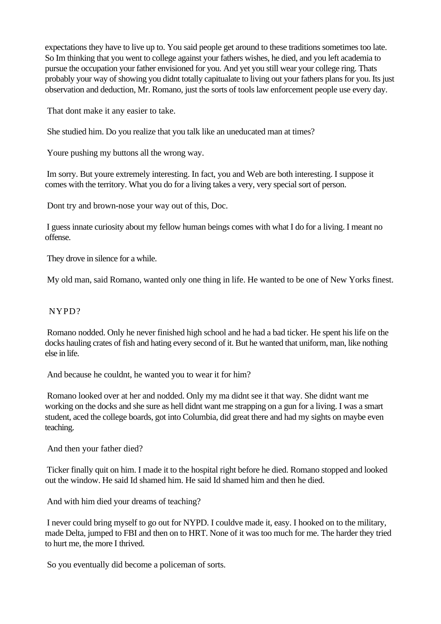expectations they have to live up to. You said people get around to these traditions sometimes too late. So Im thinking that you went to college against your fathers wishes, he died, and you left academia to pursue the occupation your father envisioned for you. And yet you still wear your college ring. Thats probably your way of showing you didnt totally capitualate to living out your fathers plans for you. Its just observation and deduction, Mr. Romano, just the sorts of tools law enforcement people use every day.

That dont make it any easier to take.

She studied him. Do you realize that you talk like an uneducated man at times?

Youre pushing my buttons all the wrong way.

 Im sorry. But youre extremely interesting. In fact, you and Web are both interesting. I suppose it comes with the territory. What you do for a living takes a very, very special sort of person.

Dont try and brown-nose your way out of this, Doc.

 I guess innate curiosity about my fellow human beings comes with what I do for a living. I meant no offense.

They drove in silence for a while.

My old man, said Romano, wanted only one thing in life. He wanted to be one of New Yorks finest.

## NYPD?

 Romano nodded. Only he never finished high school and he had a bad ticker. He spent his life on the docks hauling crates of fish and hating every second of it. But he wanted that uniform, man, like nothing else in life.

And because he couldnt, he wanted you to wear it for him?

 Romano looked over at her and nodded. Only my ma didnt see it that way. She didnt want me working on the docks and she sure as hell didnt want me strapping on a gun for a living. I was a smart student, aced the college boards, got into Columbia, did great there and had my sights on maybe even teaching.

And then your father died?

 Ticker finally quit on him. I made it to the hospital right before he died. Romano stopped and looked out the window. He said Id shamed him. He said Id shamed him and then he died.

And with him died your dreams of teaching?

 I never could bring myself to go out for NYPD. I couldve made it, easy. I hooked on to the military, made Delta, jumped to FBI and then on to HRT. None of it was too much for me. The harder they tried to hurt me, the more I thrived.

So you eventually did become a policeman of sorts.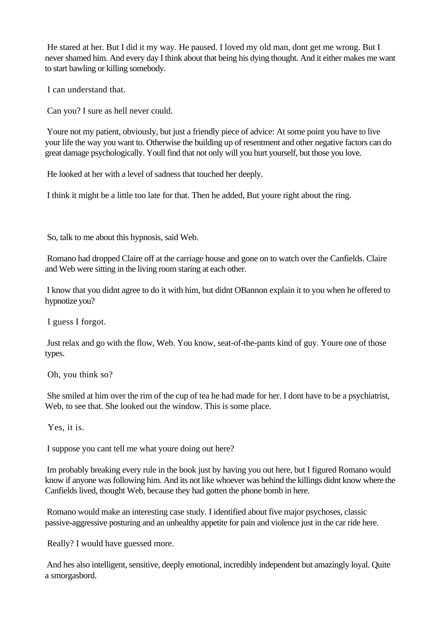He stared at her. But I did it my way. He paused. I loved my old man, dont get me wrong. But I never shamed him. And every day I think about that being his dying thought. And it either makes me want to start bawling or killing somebody.

I can understand that.

Can you? I sure as hell never could.

 Youre not my patient, obviously, but just a friendly piece of advice: At some point you have to live your life the way you want to. Otherwise the building up of resentment and other negative factors can do great damage psychologically. Youll find that not only will you hurt yourself, but those you love.

He looked at her with a level of sadness that touched her deeply.

I think it might be a little too late for that. Then he added, But youre right about the ring.

So, talk to me about this hypnosis, said Web.

 Romano had dropped Claire off at the carriage house and gone on to watch over the Canfields. Claire and Web were sitting in the living room staring at each other.

 I know that you didnt agree to do it with him, but didnt OBannon explain it to you when he offered to hypnotize you?

I guess I forgot.

 Just relax and go with the flow, Web. You know, seat-of-the-pants kind of guy. Youre one of those types.

Oh, you think so?

 She smiled at him over the rim of the cup of tea he had made for her. I dont have to be a psychiatrist, Web, to see that. She looked out the window. This is some place.

Yes, it is.

I suppose you cant tell me what youre doing out here?

 Im probably breaking every rule in the book just by having you out here, but I figured Romano would know if anyone was following him. And its not like whoever was behind the killings didnt know where the Canfields lived, thought Web, because they had gotten the phone bomb in here.

 Romano would make an interesting case study. I identified about five major psychoses, classic passive-aggressive posturing and an unhealthy appetite for pain and violence just in the car ride here.

Really? I would have guessed more.

 And hes also intelligent, sensitive, deeply emotional, incredibly independent but amazingly loyal. Quite a smorgasbord.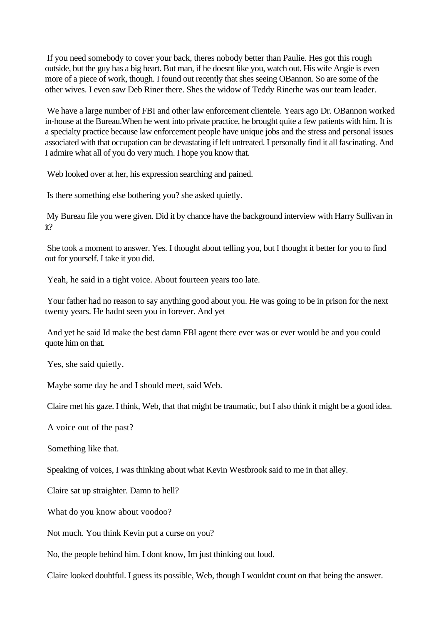If you need somebody to cover your back, theres nobody better than Paulie. Hes got this rough outside, but the guy has a big heart. But man, if he doesnt like you, watch out. His wife Angie is even more of a piece of work, though. I found out recently that shes seeing OBannon. So are some of the other wives. I even saw Deb Riner there. Shes the widow of Teddy Rinerhe was our team leader.

 We have a large number of FBI and other law enforcement clientele. Years ago Dr. OBannon worked in-house at the Bureau.When he went into private practice, he brought quite a few patients with him. It is a specialty practice because law enforcement people have unique jobs and the stress and personal issues associated with that occupation can be devastating if left untreated. I personally find it all fascinating. And I admire what all of you do very much. I hope you know that.

Web looked over at her, his expression searching and pained.

Is there something else bothering you? she asked quietly.

 My Bureau file you were given. Did it by chance have the background interview with Harry Sullivan in it?

 She took a moment to answer. Yes. I thought about telling you, but I thought it better for you to find out for yourself. I take it you did.

Yeah, he said in a tight voice. About fourteen years too late.

 Your father had no reason to say anything good about you. He was going to be in prison for the next twenty years. He hadnt seen you in forever. And yet

 And yet he said Id make the best damn FBI agent there ever was or ever would be and you could quote him on that.

Yes, she said quietly.

Maybe some day he and I should meet, said Web.

Claire met his gaze. I think, Web, that that might be traumatic, but I also think it might be a good idea.

A voice out of the past?

Something like that.

Speaking of voices, I was thinking about what Kevin Westbrook said to me in that alley.

Claire sat up straighter. Damn to hell?

What do you know about voodoo?

Not much. You think Kevin put a curse on you?

No, the people behind him. I dont know, Im just thinking out loud.

Claire looked doubtful. I guess its possible, Web, though I wouldnt count on that being the answer.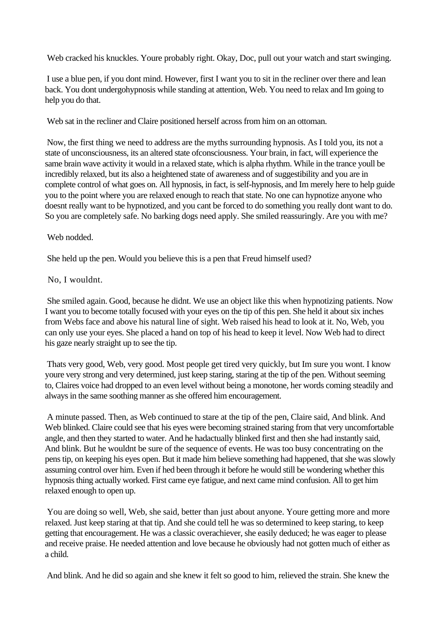Web cracked his knuckles. Youre probably right. Okay, Doc, pull out your watch and start swinging.

 I use a blue pen, if you dont mind. However, first I want you to sit in the recliner over there and lean back. You dont undergohypnosis while standing at attention, Web. You need to relax and Im going to help you do that.

Web sat in the recliner and Claire positioned herself across from him on an ottoman.

 Now, the first thing we need to address are the myths surrounding hypnosis. As I told you, its not a state of unconsciousness, its an altered state ofconsciousness. Your brain, in fact, will experience the same brain wave activity it would in a relaxed state, which is alpha rhythm. While in the trance youll be incredibly relaxed, but its also a heightened state of awareness and of suggestibility and you are in complete control of what goes on. All hypnosis, in fact, is self-hypnosis, and Im merely here to help guide you to the point where you are relaxed enough to reach that state. No one can hypnotize anyone who doesnt really want to be hypnotized, and you cant be forced to do something you really dont want to do. So you are completely safe. No barking dogs need apply. She smiled reassuringly. Are you with me?

## Web nodded.

She held up the pen. Would you believe this is a pen that Freud himself used?

## No, I wouldnt.

 She smiled again. Good, because he didnt. We use an object like this when hypnotizing patients. Now I want you to become totally focused with your eyes on the tip of this pen. She held it about six inches from Webs face and above his natural line of sight. Web raised his head to look at it. No, Web, you can only use your eyes. She placed a hand on top of his head to keep it level. Now Web had to direct his gaze nearly straight up to see the tip.

 Thats very good, Web, very good. Most people get tired very quickly, but Im sure you wont. I know youre very strong and very determined, just keep staring, staring at the tip of the pen. Without seeming to, Claires voice had dropped to an even level without being a monotone, her words coming steadily and always in the same soothing manner as she offered him encouragement.

 A minute passed. Then, as Web continued to stare at the tip of the pen, Claire said, And blink. And Web blinked. Claire could see that his eyes were becoming strained staring from that very uncomfortable angle, and then they started to water. And he hadactually blinked first and then she had instantly said, And blink. But he wouldnt be sure of the sequence of events. He was too busy concentrating on the pens tip, on keeping his eyes open. But it made him believe something had happened, that she was slowly assuming control over him. Even if hed been through it before he would still be wondering whether this hypnosis thing actually worked. First came eye fatigue, and next came mind confusion. All to get him relaxed enough to open up.

 You are doing so well, Web, she said, better than just about anyone. Youre getting more and more relaxed. Just keep staring at that tip. And she could tell he was so determined to keep staring, to keep getting that encouragement. He was a classic overachiever, she easily deduced; he was eager to please and receive praise. He needed attention and love because he obviously had not gotten much of either as a child.

And blink. And he did so again and she knew it felt so good to him, relieved the strain. She knew the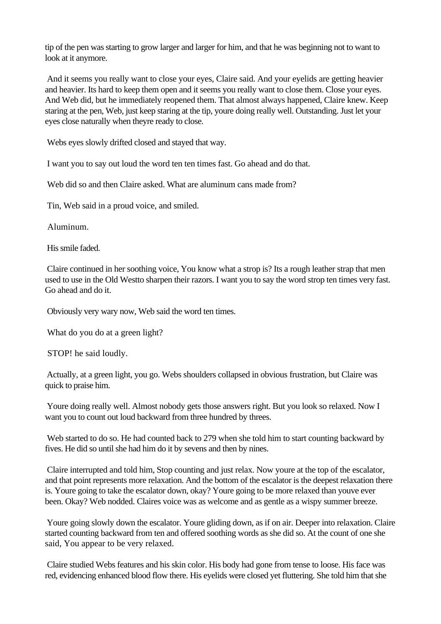tip of the pen was starting to grow larger and larger for him, and that he was beginning not to want to look at it anymore.

 And it seems you really want to close your eyes, Claire said. And your eyelids are getting heavier and heavier. Its hard to keep them open and it seems you really want to close them. Close your eyes. And Web did, but he immediately reopened them. That almost always happened, Claire knew. Keep staring at the pen, Web, just keep staring at the tip, youre doing really well. Outstanding. Just let your eyes close naturally when theyre ready to close.

Webs eyes slowly drifted closed and stayed that way.

I want you to say out loud the word ten ten times fast. Go ahead and do that.

Web did so and then Claire asked. What are aluminum cans made from?

Tin, Web said in a proud voice, and smiled.

Aluminum.

His smile faded.

 Claire continued in her soothing voice, You know what a strop is? Its a rough leather strap that men used to use in the Old Westto sharpen their razors. I want you to say the word strop ten times very fast. Go ahead and do it.

Obviously very wary now, Web said the word ten times.

What do you do at a green light?

STOP! he said loudly.

 Actually, at a green light, you go. Webs shoulders collapsed in obvious frustration, but Claire was quick to praise him.

 Youre doing really well. Almost nobody gets those answers right. But you look so relaxed. Now I want you to count out loud backward from three hundred by threes.

Web started to do so. He had counted back to 279 when she told him to start counting backward by fives. He did so until she had him do it by sevens and then by nines.

 Claire interrupted and told him, Stop counting and just relax. Now youre at the top of the escalator, and that point represents more relaxation. And the bottom of the escalator is the deepest relaxation there is. Youre going to take the escalator down, okay? Youre going to be more relaxed than youve ever been. Okay? Web nodded. Claires voice was as welcome and as gentle as a wispy summer breeze.

 Youre going slowly down the escalator. Youre gliding down, as if on air. Deeper into relaxation. Claire started counting backward from ten and offered soothing words as she did so. At the count of one she said, You appear to be very relaxed.

 Claire studied Webs features and his skin color. His body had gone from tense to loose. His face was red, evidencing enhanced blood flow there. His eyelids were closed yet fluttering. She told him that she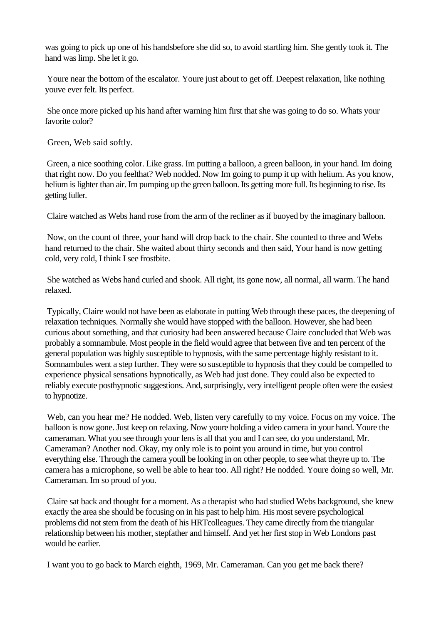was going to pick up one of his hands before she did so, to avoid startling him. She gently took it. The hand was limp. She let it go.

 Youre near the bottom of the escalator. Youre just about to get off. Deepest relaxation, like nothing youve ever felt. Its perfect.

 She once more picked up his hand after warning him first that she was going to do so. Whats your favorite color?

Green, Web said softly.

 Green, a nice soothing color. Like grass. Im putting a balloon, a green balloon, in your hand. Im doing that right now. Do you feelthat? Web nodded. Now Im going to pump it up with helium. As you know, helium is lighter than air. Im pumping up the green balloon. Its getting more full. Its beginning to rise. Its getting fuller.

Claire watched as Webs hand rose from the arm of the recliner as if buoyed by the imaginary balloon.

 Now, on the count of three, your hand will drop back to the chair. She counted to three and Webs hand returned to the chair. She waited about thirty seconds and then said, Your hand is now getting cold, very cold, I think I see frostbite.

 She watched as Webs hand curled and shook. All right, its gone now, all normal, all warm. The hand relaxed.

 Typically, Claire would not have been as elaborate in putting Web through these paces, the deepening of relaxation techniques. Normally she would have stopped with the balloon. However, she had been curious about something, and that curiosity had been answered because Claire concluded that Web was probably a somnambule. Most people in the field would agree that between five and ten percent of the general population was highly susceptible to hypnosis, with the same percentage highly resistant to it. Somnambules went a step further. They were so susceptible to hypnosis that they could be compelled to experience physical sensations hypnotically, as Web had just done. They could also be expected to reliably execute posthypnotic suggestions. And, surprisingly, very intelligent people often were the easiest to hypnotize.

 Web, can you hear me? He nodded. Web, listen very carefully to my voice. Focus on my voice. The balloon is now gone. Just keep on relaxing. Now youre holding a video camera in your hand. Youre the cameraman. What you see through your lens is all that you and I can see, do you understand, Mr. Cameraman? Another nod. Okay, my only role is to point you around in time, but you control everything else. Through the camera youll be looking in on other people, to see what theyre up to. The camera has a microphone, so well be able to hear too. All right? He nodded. Youre doing so well, Mr. Cameraman. Im so proud of you.

 Claire sat back and thought for a moment. As a therapist who had studied Webs background, she knew exactly the area she should be focusing on in his past to help him. His most severe psychological problems did not stem from the death of his HRTcolleagues. They came directly from the triangular relationship between his mother, stepfather and himself. And yet her first stop in Web Londons past would be earlier.

I want you to go back to March eighth, 1969, Mr. Cameraman. Can you get me back there?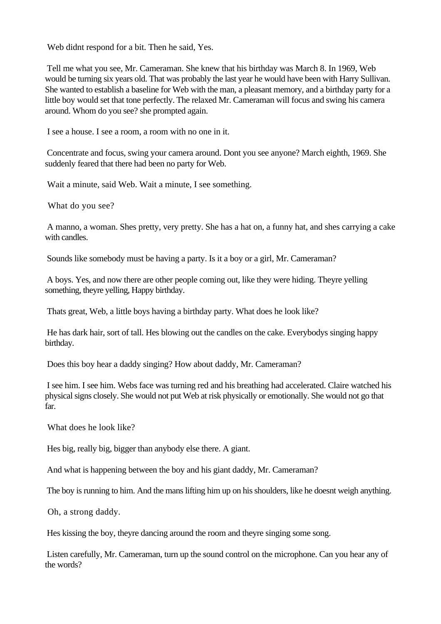Web didnt respond for a bit. Then he said. Yes.

 Tell me what you see, Mr. Cameraman. She knew that his birthday was March 8. In 1969, Web would be turning six years old. That was probably the last year he would have been with Harry Sullivan. She wanted to establish a baseline for Web with the man, a pleasant memory, and a birthday party for a little boy would set that tone perfectly. The relaxed Mr. Cameraman will focus and swing his camera around. Whom do you see? she prompted again.

I see a house. I see a room, a room with no one in it.

 Concentrate and focus, swing your camera around. Dont you see anyone? March eighth, 1969. She suddenly feared that there had been no party for Web.

Wait a minute, said Web. Wait a minute, I see something.

What do you see?

 A manno, a woman. Shes pretty, very pretty. She has a hat on, a funny hat, and shes carrying a cake with candles.

Sounds like somebody must be having a party. Is it a boy or a girl, Mr. Cameraman?

 A boys. Yes, and now there are other people coming out, like they were hiding. Theyre yelling something, theyre yelling, Happy birthday.

Thats great, Web, a little boys having a birthday party. What does he look like?

 He has dark hair, sort of tall. Hes blowing out the candles on the cake. Everybodys singing happy birthday.

Does this boy hear a daddy singing? How about daddy, Mr. Cameraman?

 I see him. I see him. Webs face was turning red and his breathing had accelerated. Claire watched his physical signs closely. She would not put Web at risk physically or emotionally. She would not go that far.

What does he look like?

Hes big, really big, bigger than anybody else there. A giant.

And what is happening between the boy and his giant daddy, Mr. Cameraman?

The boy is running to him. And the mans lifting him up on his shoulders, like he doesnt weigh anything.

Oh, a strong daddy.

Hes kissing the boy, theyre dancing around the room and theyre singing some song.

 Listen carefully, Mr. Cameraman, turn up the sound control on the microphone. Can you hear any of the words?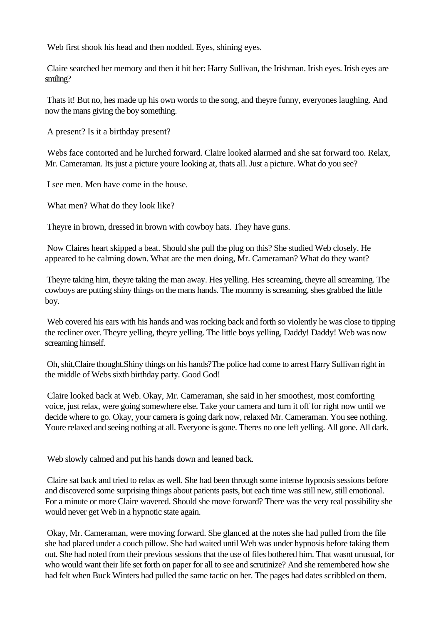Web first shook his head and then nodded. Eyes, shining eyes.

 Claire searched her memory and then it hit her: Harry Sullivan, the Irishman. Irish eyes. Irish eyes are smiling?

 Thats it! But no, hes made up his own words to the song, and theyre funny, everyones laughing. And now the mans giving the boy something.

A present? Is it a birthday present?

 Webs face contorted and he lurched forward. Claire looked alarmed and she sat forward too. Relax, Mr. Cameraman. Its just a picture youre looking at, thats all. Just a picture. What do you see?

I see men. Men have come in the house.

What men? What do they look like?

Theyre in brown, dressed in brown with cowboy hats. They have guns.

 Now Claires heart skipped a beat. Should she pull the plug on this? She studied Web closely. He appeared to be calming down. What are the men doing, Mr. Cameraman? What do they want?

 Theyre taking him, theyre taking the man away. Hes yelling. Hes screaming, theyre all screaming. The cowboys are putting shiny things on the mans hands. The mommy is screaming, shes grabbed the little boy.

Web covered his ears with his hands and was rocking back and forth so violently he was close to tipping the recliner over. Theyre yelling, theyre yelling. The little boys yelling, Daddy! Daddy! Web was now screaming himself.

 Oh, shit,Claire thought.Shiny things on his hands?The police had come to arrest Harry Sullivan right in the middle of Webs sixth birthday party. Good God!

 Claire looked back at Web. Okay, Mr. Cameraman, she said in her smoothest, most comforting voice, just relax, were going somewhere else. Take your camera and turn it off for right now until we decide where to go. Okay, your camera is going dark now, relaxed Mr. Cameraman. You see nothing. Youre relaxed and seeing nothing at all. Everyone is gone. Theres no one left yelling. All gone. All dark.

Web slowly calmed and put his hands down and leaned back.

 Claire sat back and tried to relax as well. She had been through some intense hypnosis sessions before and discovered some surprising things about patients pasts, but each time was still new, still emotional. For a minute or more Claire wavered. Should she move forward? There was the very real possibility she would never get Web in a hypnotic state again.

 Okay, Mr. Cameraman, were moving forward. She glanced at the notes she had pulled from the file she had placed under a couch pillow. She had waited until Web was under hypnosis before taking them out. She had noted from their previous sessions that the use of files bothered him. That wasnt unusual, for who would want their life set forth on paper for all to see and scrutinize? And she remembered how she had felt when Buck Winters had pulled the same tactic on her. The pages had dates scribbled on them.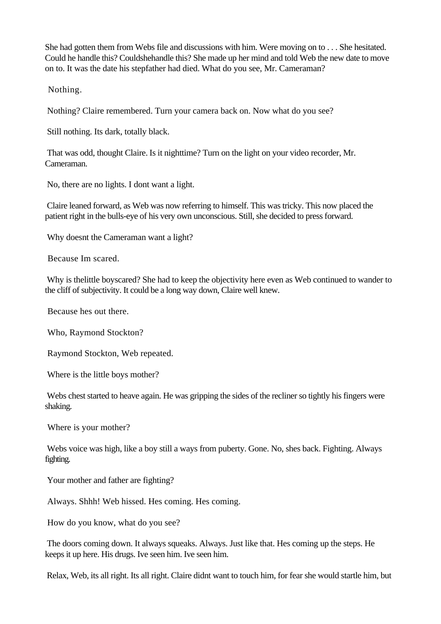She had gotten them from Webs file and discussions with him. Were moving on to . . . She hesitated. Could he handle this? Couldshehandle this? She made up her mind and told Web the new date to move on to. It was the date his stepfather had died. What do you see, Mr. Cameraman?

Nothing.

Nothing? Claire remembered. Turn your camera back on. Now what do you see?

Still nothing. Its dark, totally black.

 That was odd, thought Claire. Is it nighttime? Turn on the light on your video recorder, Mr. Cameraman.

No, there are no lights. I dont want a light.

 Claire leaned forward, as Web was now referring to himself. This was tricky. This now placed the patient right in the bulls-eye of his very own unconscious. Still, she decided to press forward.

Why doesnt the Cameraman want a light?

Because Im scared.

 Why is thelittle boyscared? She had to keep the objectivity here even as Web continued to wander to the cliff of subjectivity. It could be a long way down, Claire well knew.

Because hes out there.

Who, Raymond Stockton?

Raymond Stockton, Web repeated.

Where is the little boys mother?

 Webs chest started to heave again. He was gripping the sides of the recliner so tightly his fingers were shaking.

Where is your mother?

 Webs voice was high, like a boy still a ways from puberty. Gone. No, shes back. Fighting. Always fighting.

Your mother and father are fighting?

Always. Shhh! Web hissed. Hes coming. Hes coming.

How do you know, what do you see?

 The doors coming down. It always squeaks. Always. Just like that. Hes coming up the steps. He keeps it up here. His drugs. Ive seen him. Ive seen him.

Relax, Web, its all right. Its all right. Claire didnt want to touch him, for fear she would startle him, but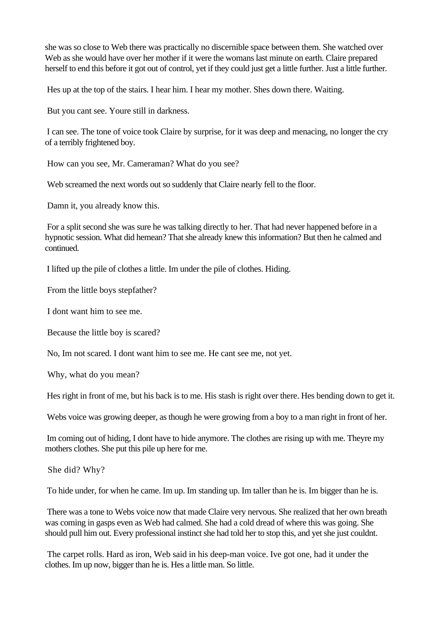she was so close to Web there was practically no discernible space between them. She watched over Web as she would have over her mother if it were the womans last minute on earth. Claire prepared herself to end this before it got out of control, yet if they could just get a little further. Just a little further.

Hes up at the top of the stairs. I hear him. I hear my mother. Shes down there. Waiting.

But you cant see. Youre still in darkness.

 I can see. The tone of voice took Claire by surprise, for it was deep and menacing, no longer the cry of a terribly frightened boy.

How can you see, Mr. Cameraman? What do you see?

Web screamed the next words out so suddenly that Claire nearly fell to the floor.

Damn it, you already know this.

 For a split second she was sure he was talking directly to her. That had never happened before in a hypnotic session. What did hemean? That she already knew this information? But then he calmed and continued.

I lifted up the pile of clothes a little. Im under the pile of clothes. Hiding.

From the little boys stepfather?

I dont want him to see me.

Because the little boy is scared?

No, Im not scared. I dont want him to see me. He cant see me, not yet.

Why, what do you mean?

Hes right in front of me, but his back is to me. His stash is right over there. Hes bending down to get it.

Webs voice was growing deeper, as though he were growing from a boy to a man right in front of her.

 Im coming out of hiding, I dont have to hide anymore. The clothes are rising up with me. Theyre my mothers clothes. She put this pile up here for me.

She did? Why?

To hide under, for when he came. Im up. Im standing up. Im taller than he is. Im bigger than he is.

 There was a tone to Webs voice now that made Claire very nervous. She realized that her own breath was coming in gasps even as Web had calmed. She had a cold dread of where this was going. She should pull him out. Every professional instinct she had told her to stop this, and yet she just couldnt.

 The carpet rolls. Hard as iron, Web said in his deep-man voice. Ive got one, had it under the clothes. Im up now, bigger than he is. Hes a little man. So little.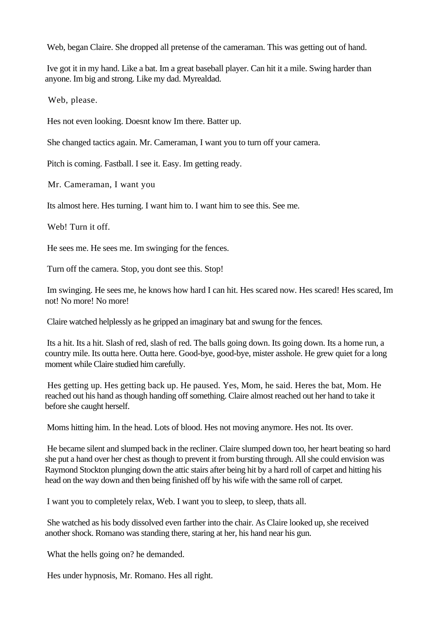Web, began Claire. She dropped all pretense of the cameraman. This was getting out of hand.

 Ive got it in my hand. Like a bat. Im a great baseball player. Can hit it a mile. Swing harder than anyone. Im big and strong. Like my dad. Myrealdad.

Web, please.

Hes not even looking. Doesnt know Im there. Batter up.

She changed tactics again. Mr. Cameraman, I want you to turn off your camera.

Pitch is coming. Fastball. I see it. Easy. Im getting ready.

Mr. Cameraman, I want you

Its almost here. Hes turning. I want him to. I want him to see this. See me.

Web! Turn it off.

He sees me. He sees me. Im swinging for the fences.

Turn off the camera. Stop, you dont see this. Stop!

Im swinging. He sees me, he knows how hard I can hit. Hes scared now. Hes scared! Hes scared, Im not! No more! No more!

Claire watched helplessly as he gripped an imaginary bat and swung for the fences.

 Its a hit. Its a hit. Slash of red, slash of red. The balls going down. Its going down. Its a home run, a country mile. Its outta here. Outta here. Good-bye, good-bye, mister asshole. He grew quiet for a long moment while Claire studied him carefully.

 Hes getting up. Hes getting back up. He paused. Yes, Mom, he said. Heres the bat, Mom. He reached out his hand as though handing off something. Claire almost reached out her hand to take it before she caught herself.

Moms hitting him. In the head. Lots of blood. Hes not moving anymore. Hes not. Its over.

 He became silent and slumped back in the recliner. Claire slumped down too, her heart beating so hard she put a hand over her chest as though to prevent it from bursting through. All she could envision was Raymond Stockton plunging down the attic stairs after being hit by a hard roll of carpet and hitting his head on the way down and then being finished off by his wife with the same roll of carpet.

I want you to completely relax, Web. I want you to sleep, to sleep, thats all.

 She watched as his body dissolved even farther into the chair. As Claire looked up, she received another shock. Romano was standing there, staring at her, his hand near his gun.

What the hells going on? he demanded.

Hes under hypnosis, Mr. Romano. Hes all right.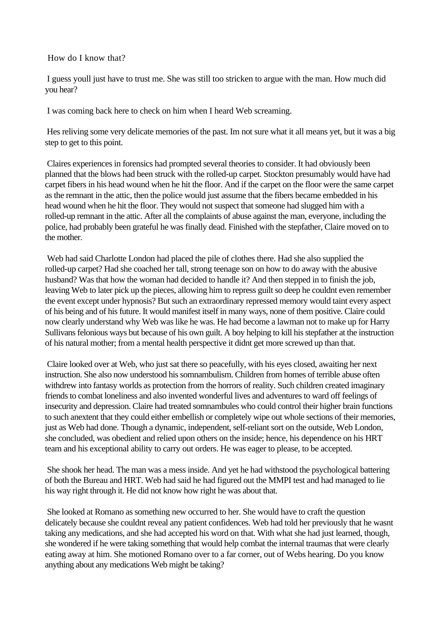## How do I know that?

 I guess youll just have to trust me. She was still too stricken to argue with the man. How much did you hear?

I was coming back here to check on him when I heard Web screaming.

 Hes reliving some very delicate memories of the past. Im not sure what it all means yet, but it was a big step to get to this point.

 Claires experiences in forensics had prompted several theories to consider. It had obviously been planned that the blows had been struck with the rolled-up carpet. Stockton presumably would have had carpet fibers in his head wound when he hit the floor. And if the carpet on the floor were the same carpet as the remnant in the attic, then the police would just assume that the fibers became embedded in his head wound when he hit the floor. They would not suspect that someone had slugged him with a rolled-up remnant in the attic. After all the complaints of abuse against the man, everyone, including the police, had probably been grateful he was finally dead. Finished with the stepfather, Claire moved on to the mother.

 Web had said Charlotte London had placed the pile of clothes there. Had she also supplied the rolled-up carpet? Had she coached her tall, strong teenage son on how to do away with the abusive husband? Was that how the woman had decided to handle it? And then stepped in to finish the job, leaving Web to later pick up the pieces, allowing him to repress guilt so deep he couldnt even remember the event except under hypnosis? But such an extraordinary repressed memory would taint every aspect of his being and of his future. It would manifest itself in many ways, none of them positive. Claire could now clearly understand why Web was like he was. He had become a lawman not to make up for Harry Sullivans felonious ways but because of his own guilt. A boy helping to kill his stepfather at the instruction of his natural mother; from a mental health perspective it didnt get more screwed up than that.

 Claire looked over at Web, who just sat there so peacefully, with his eyes closed, awaiting her next instruction. She also now understood his somnambulism. Children from homes of terrible abuse often withdrew into fantasy worlds as protection from the horrors of reality. Such children created imaginary friends to combat loneliness and also invented wonderful lives and adventures to ward off feelings of insecurity and depression. Claire had treated somnambules who could control their higher brain functions to such anextent that they could either embellish or completely wipe out whole sections of their memories, just as Web had done. Though a dynamic, independent, self-reliant sort on the outside, Web London, she concluded, was obedient and relied upon others on the inside; hence, his dependence on his HRT team and his exceptional ability to carry out orders. He was eager to please, to be accepted.

 She shook her head. The man was a mess inside. And yet he had withstood the psychological battering of both the Bureau and HRT. Web had said he had figured out the MMPI test and had managed to lie his way right through it. He did not know how right he was about that.

 She looked at Romano as something new occurred to her. She would have to craft the question delicately because she couldnt reveal any patient confidences. Web had told her previously that he wasnt taking any medications, and she had accepted his word on that. With what she had just learned, though, she wondered if he were taking something that would help combat the internal traumas that were clearly eating away at him. She motioned Romano over to a far corner, out of Webs hearing. Do you know anything about any medications Web might be taking?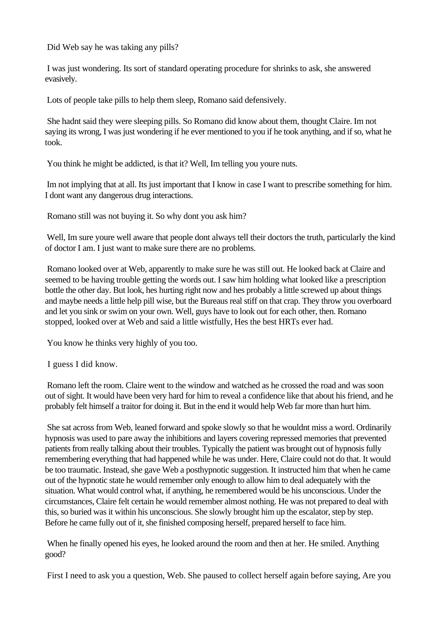Did Web say he was taking any pills?

 I was just wondering. Its sort of standard operating procedure for shrinks to ask, she answered evasively.

Lots of people take pills to help them sleep, Romano said defensively.

 She hadnt said they were sleeping pills. So Romano did know about them, thought Claire. Im not saying its wrong, I was just wondering if he ever mentioned to you if he took anything, and if so, what he took.

You think he might be addicted, is that it? Well, Im telling you youre nuts.

Im not implying that at all. Its just important that I know in case I want to prescribe something for him. I dont want any dangerous drug interactions.

Romano still was not buying it. So why dont you ask him?

 Well, Im sure youre well aware that people dont always tell their doctors the truth, particularly the kind of doctor I am. I just want to make sure there are no problems.

 Romano looked over at Web, apparently to make sure he was still out. He looked back at Claire and seemed to be having trouble getting the words out. I saw him holding what looked like a prescription bottle the other day. But look, hes hurting right now and hes probably a little screwed up about things and maybe needs a little help pill wise, but the Bureaus real stiff on that crap. They throw you overboard and let you sink or swim on your own. Well, guys have to look out for each other, then. Romano stopped, looked over at Web and said a little wistfully, Hes the best HRTs ever had.

You know he thinks very highly of you too.

I guess I did know.

 Romano left the room. Claire went to the window and watched as he crossed the road and was soon out of sight. It would have been very hard for him to reveal a confidence like that about his friend, and he probably felt himself a traitor for doing it. But in the end it would help Web far more than hurt him.

 She sat across from Web, leaned forward and spoke slowly so that he wouldnt miss a word. Ordinarily hypnosis was used to pare away the inhibitions and layers covering repressed memories that prevented patients from really talking about their troubles. Typically the patient was brought out of hypnosis fully remembering everything that had happened while he was under. Here, Claire could not do that. It would be too traumatic. Instead, she gave Web a posthypnotic suggestion. It instructed him that when he came out of the hypnotic state he would remember only enough to allow him to deal adequately with the situation. What would control what, if anything, he remembered would be his unconscious. Under the circumstances, Claire felt certain he would remember almost nothing. He was not prepared to deal with this, so buried was it within his unconscious. She slowly brought him up the escalator, step by step. Before he came fully out of it, she finished composing herself, prepared herself to face him.

 When he finally opened his eyes, he looked around the room and then at her. He smiled. Anything good?

First I need to ask you a question, Web. She paused to collect herself again before saying, Are you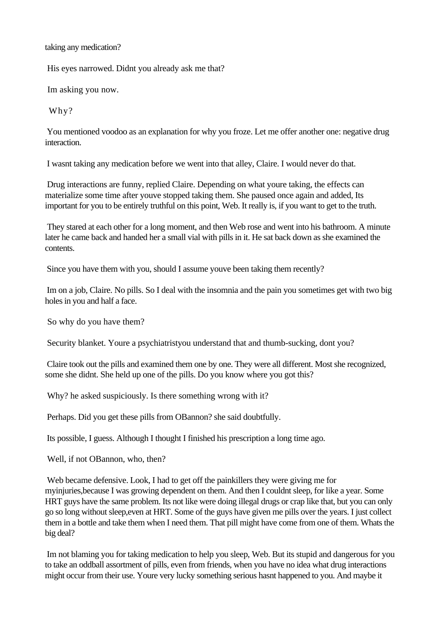taking any medication?

His eyes narrowed. Didnt you already ask me that?

Im asking you now.

Why?

 You mentioned voodoo as an explanation for why you froze. Let me offer another one: negative drug interaction.

I wasnt taking any medication before we went into that alley, Claire. I would never do that.

 Drug interactions are funny, replied Claire. Depending on what youre taking, the effects can materialize some time after youve stopped taking them. She paused once again and added, Its important for you to be entirely truthful on this point, Web. It really is, if you want to get to the truth.

 They stared at each other for a long moment, and then Web rose and went into his bathroom. A minute later he came back and handed her a small vial with pills in it. He sat back down as she examined the contents.

Since you have them with you, should I assume youve been taking them recently?

 Im on a job, Claire. No pills. So I deal with the insomnia and the pain you sometimes get with two big holes in you and half a face.

So why do you have them?

Security blanket. Youre a psychiatristyou understand that and thumb-sucking, dont you?

 Claire took out the pills and examined them one by one. They were all different. Most she recognized, some she didnt. She held up one of the pills. Do you know where you got this?

Why? he asked suspiciously. Is there something wrong with it?

Perhaps. Did you get these pills from OBannon? she said doubtfully.

Its possible, I guess. Although I thought I finished his prescription a long time ago.

Well, if not OBannon, who, then?

 Web became defensive. Look, I had to get off the painkillers they were giving me for myinjuries,because I was growing dependent on them. And then I couldnt sleep, for like a year. Some HRT guys have the same problem. Its not like were doing illegal drugs or crap like that, but you can only go so long without sleep,even at HRT. Some of the guys have given me pills over the years. I just collect them in a bottle and take them when I need them. That pill might have come from one of them. Whats the big deal?

 Im not blaming you for taking medication to help you sleep, Web. But its stupid and dangerous for you to take an oddball assortment of pills, even from friends, when you have no idea what drug interactions might occur from their use. Youre very lucky something serious hasnt happened to you. And maybe it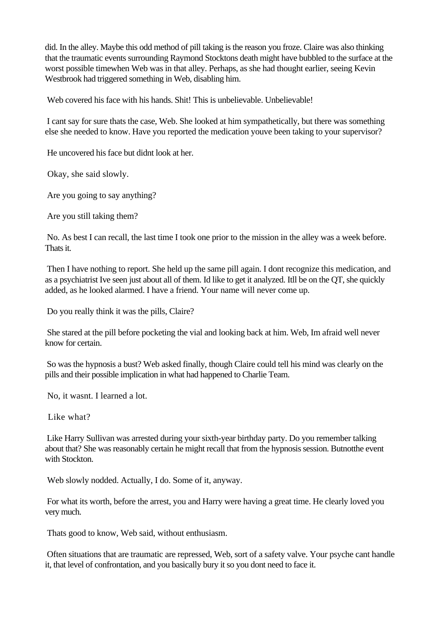did. In the alley. Maybe this odd method of pill taking is the reason you froze. Claire was also thinking that the traumatic events surrounding Raymond Stocktons death might have bubbled to the surface at the worst possible time when Web was in that alley. Perhaps, as she had thought earlier, seeing Kevin Westbrook had triggered something in Web, disabling him.

Web covered his face with his hands. Shit! This is unbelievable. Unbelievable!

 I cant say for sure thats the case, Web. She looked at him sympathetically, but there was something else she needed to know. Have you reported the medication youve been taking to your supervisor?

He uncovered his face but didnt look at her.

Okay, she said slowly.

Are you going to say anything?

Are you still taking them?

 No. As best I can recall, the last time I took one prior to the mission in the alley was a week before. Thats it.

 Then I have nothing to report. She held up the same pill again. I dont recognize this medication, and as a psychiatrist Ive seen just about all of them. Id like to get it analyzed. Itll be on the QT, she quickly added, as he looked alarmed. I have a friend. Your name will never come up.

Do you really think it was the pills, Claire?

 She stared at the pill before pocketing the vial and looking back at him. Web, Im afraid well never know for certain.

 So was the hypnosis a bust? Web asked finally, though Claire could tell his mind was clearly on the pills and their possible implication in what had happened to Charlie Team.

No, it wasnt. I learned a lot.

Like what?

 Like Harry Sullivan was arrested during your sixth-year birthday party. Do you remember talking about that? She was reasonably certain he might recall that from the hypnosis session. Butnotthe event with Stockton.

Web slowly nodded. Actually, I do. Some of it, anyway.

 For what its worth, before the arrest, you and Harry were having a great time. He clearly loved you very much.

Thats good to know, Web said, without enthusiasm.

 Often situations that are traumatic are repressed, Web, sort of a safety valve. Your psyche cant handle it, that level of confrontation, and you basically bury it so you dont need to face it.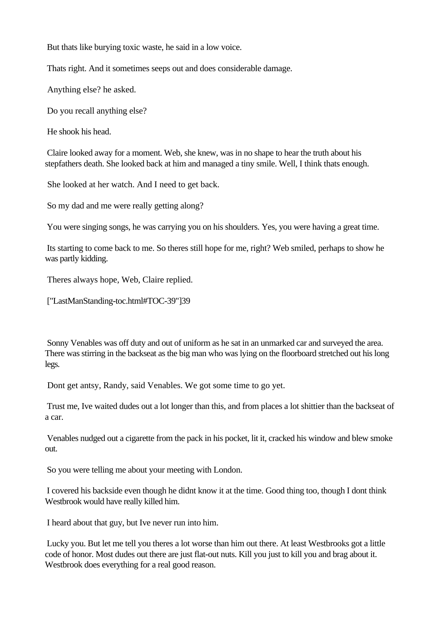But thats like burying toxic waste, he said in a low voice.

Thats right. And it sometimes seeps out and does considerable damage.

Anything else? he asked.

Do you recall anything else?

He shook his head.

 Claire looked away for a moment. Web, she knew, was in no shape to hear the truth about his stepfathers death. She looked back at him and managed a tiny smile. Well, I think thats enough.

She looked at her watch. And I need to get back.

So my dad and me were really getting along?

You were singing songs, he was carrying you on his shoulders. Yes, you were having a great time.

 Its starting to come back to me. So theres still hope for me, right? Web smiled, perhaps to show he was partly kidding.

Theres always hope, Web, Claire replied.

["LastManStanding-toc.html#TOC-39"]39

 Sonny Venables was off duty and out of uniform as he sat in an unmarked car and surveyed the area. There was stirring in the backseat as the big man who was lying on the floorboard stretched out his long legs.

Dont get antsy, Randy, said Venables. We got some time to go yet.

 Trust me, Ive waited dudes out a lot longer than this, and from places a lot shittier than the backseat of a car.

 Venables nudged out a cigarette from the pack in his pocket, lit it, cracked his window and blew smoke out.

So you were telling me about your meeting with London.

 I covered his backside even though he didnt know it at the time. Good thing too, though I dont think Westbrook would have really killed him.

I heard about that guy, but Ive never run into him.

 Lucky you. But let me tell you theres a lot worse than him out there. At least Westbrooks got a little code of honor. Most dudes out there are just flat-out nuts. Kill you just to kill you and brag about it. Westbrook does everything for a real good reason.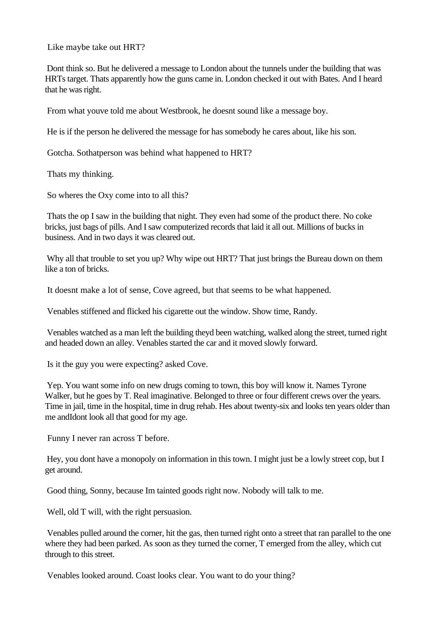Like maybe take out HRT?

 Dont think so. But he delivered a message to London about the tunnels under the building that was HRTs target. Thats apparently how the guns came in. London checked it out with Bates. And I heard that he was right.

From what youve told me about Westbrook, he doesnt sound like a message boy.

He is if the person he delivered the message for has somebody he cares about, like his son.

Gotcha. Sothatperson was behind what happened to HRT?

Thats my thinking.

So wheres the Oxy come into to all this?

 Thats the op I saw in the building that night. They even had some of the product there. No coke bricks, just bags of pills. And I saw computerized records that laid it all out. Millions of bucks in business. And in two days it was cleared out.

 Why all that trouble to set you up? Why wipe out HRT? That just brings the Bureau down on them like a ton of bricks.

It doesnt make a lot of sense, Cove agreed, but that seems to be what happened.

Venables stiffened and flicked his cigarette out the window. Show time, Randy.

 Venables watched as a man left the building theyd been watching, walked along the street, turned right and headed down an alley. Venables started the car and it moved slowly forward.

Is it the guy you were expecting? asked Cove.

 Yep. You want some info on new drugs coming to town, this boy will know it. Names Tyrone Walker, but he goes by T. Real imaginative. Belonged to three or four different crews over the years. Time in jail, time in the hospital, time in drug rehab. Hes about twenty-six and looks ten years older than me andIdont look all that good for my age.

Funny I never ran across T before.

Hey, you dont have a monopoly on information in this town. I might just be a lowly street cop, but I get around.

Good thing, Sonny, because Im tainted goods right now. Nobody will talk to me.

Well, old T will, with the right persuasion.

 Venables pulled around the corner, hit the gas, then turned right onto a street that ran parallel to the one where they had been parked. As soon as they turned the corner, T emerged from the alley, which cut through to this street.

Venables looked around. Coast looks clear. You want to do your thing?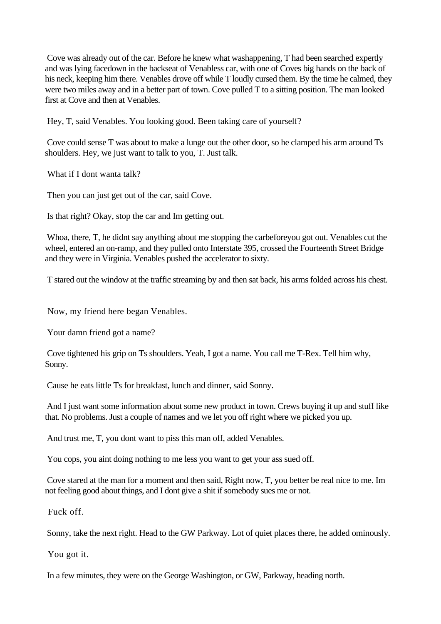Cove was already out of the car. Before he knew what washappening, T had been searched expertly and was lying facedown in the backseat of Venabless car, with one of Coves big hands on the back of his neck, keeping him there. Venables drove off while T loudly cursed them. By the time he calmed, they were two miles away and in a better part of town. Cove pulled T to a sitting position. The man looked first at Cove and then at Venables.

Hey, T, said Venables. You looking good. Been taking care of yourself?

 Cove could sense T was about to make a lunge out the other door, so he clamped his arm around Ts shoulders. Hey, we just want to talk to you, T. Just talk.

What if I dont wanta talk?

Then you can just get out of the car, said Cove.

Is that right? Okay, stop the car and Im getting out.

 Whoa, there, T, he didnt say anything about me stopping the carbeforeyou got out. Venables cut the wheel, entered an on-ramp, and they pulled onto Interstate 395, crossed the Fourteenth Street Bridge and they were in Virginia. Venables pushed the accelerator to sixty.

T stared out the window at the traffic streaming by and then sat back, his arms folded across his chest.

Now, my friend here began Venables.

Your damn friend got a name?

 Cove tightened his grip on Ts shoulders. Yeah, I got a name. You call me T-Rex. Tell him why, Sonny.

Cause he eats little Ts for breakfast, lunch and dinner, said Sonny.

 And I just want some information about some new product in town. Crews buying it up and stuff like that. No problems. Just a couple of names and we let you off right where we picked you up.

And trust me, T, you dont want to piss this man off, added Venables.

You cops, you aint doing nothing to me less you want to get your ass sued off.

 Cove stared at the man for a moment and then said, Right now, T, you better be real nice to me. Im not feeling good about things, and I dont give a shit if somebody sues me or not.

Fuck off.

Sonny, take the next right. Head to the GW Parkway. Lot of quiet places there, he added ominously.

You got it.

In a few minutes, they were on the George Washington, or GW, Parkway, heading north.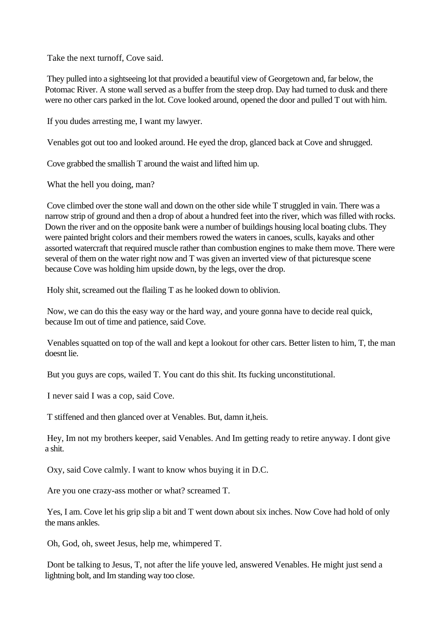Take the next turnoff, Cove said.

 They pulled into a sightseeing lot that provided a beautiful view of Georgetown and, far below, the Potomac River. A stone wall served as a buffer from the steep drop. Day had turned to dusk and there were no other cars parked in the lot. Cove looked around, opened the door and pulled T out with him.

If you dudes arresting me, I want my lawyer.

Venables got out too and looked around. He eyed the drop, glanced back at Cove and shrugged.

Cove grabbed the smallish T around the waist and lifted him up.

What the hell you doing, man?

 Cove climbed over the stone wall and down on the other side while T struggled in vain. There was a narrow strip of ground and then a drop of about a hundred feet into the river, which was filled with rocks. Down the river and on the opposite bank were a number of buildings housing local boating clubs. They were painted bright colors and their members rowed the waters in canoes, sculls, kayaks and other assorted watercraft that required muscle rather than combustion engines to make them move. There were several of them on the water right now and T was given an inverted view of that picturesque scene because Cove was holding him upside down, by the legs, over the drop.

Holy shit, screamed out the flailing T as he looked down to oblivion.

 Now, we can do this the easy way or the hard way, and youre gonna have to decide real quick, because Im out of time and patience, said Cove.

 Venables squatted on top of the wall and kept a lookout for other cars. Better listen to him, T, the man doesnt lie.

But you guys are cops, wailed T. You cant do this shit. Its fucking unconstitutional.

I never said I was a cop, said Cove.

T stiffened and then glanced over at Venables. But, damn it,heis.

 Hey, Im not my brothers keeper, said Venables. And Im getting ready to retire anyway. I dont give a shit.

Oxy, said Cove calmly. I want to know whos buying it in D.C.

Are you one crazy-ass mother or what? screamed T.

 Yes, I am. Cove let his grip slip a bit and T went down about six inches. Now Cove had hold of only the mans ankles.

Oh, God, oh, sweet Jesus, help me, whimpered T.

 Dont be talking to Jesus, T, not after the life youve led, answered Venables. He might just send a lightning bolt, and Im standing way too close.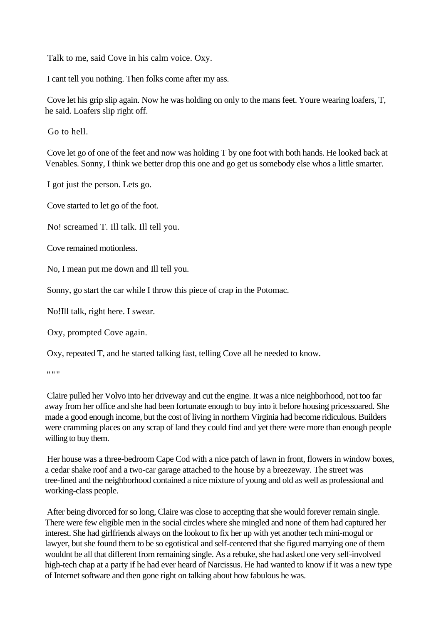Talk to me, said Cove in his calm voice. Oxy.

I cant tell you nothing. Then folks come after my ass.

 Cove let his grip slip again. Now he was holding on only to the mans feet. Youre wearing loafers, T, he said. Loafers slip right off.

Go to hell.

 Cove let go of one of the feet and now was holding T by one foot with both hands. He looked back at Venables. Sonny, I think we better drop this one and go get us somebody else whos a little smarter.

I got just the person. Lets go.

Cove started to let go of the foot.

No! screamed T. Ill talk. Ill tell you.

Cove remained motionless.

No, I mean put me down and Ill tell you.

Sonny, go start the car while I throw this piece of crap in the Potomac.

No!Ill talk, right here. I swear.

Oxy, prompted Cove again.

Oxy, repeated T, and he started talking fast, telling Cove all he needed to know.

" " "

 Claire pulled her Volvo into her driveway and cut the engine. It was a nice neighborhood, not too far away from her office and she had been fortunate enough to buy into it before housing pricessoared. She made a good enough income, but the cost of living in northern Virginia had become ridiculous. Builders were cramming places on any scrap of land they could find and yet there were more than enough people willing to buy them.

Her house was a three-bedroom Cape Cod with a nice patch of lawn in front, flowers in window boxes, a cedar shake roof and a two-car garage attached to the house by a breezeway. The street was tree-lined and the neighborhood contained a nice mixture of young and old as well as professional and working-class people.

 After being divorced for so long, Claire was close to accepting that she would forever remain single. There were few eligible men in the social circles where she mingled and none of them had captured her interest. She had girlfriends always on the lookout to fix her up with yet another tech mini-mogul or lawyer, but she found them to be so egotistical and self-centered that she figured marrying one of them wouldnt be all that different from remaining single. As a rebuke, she had asked one very self-involved high-tech chap at a party if he had ever heard of Narcissus. He had wanted to know if it was a new type of Internet software and then gone right on talking about how fabulous he was.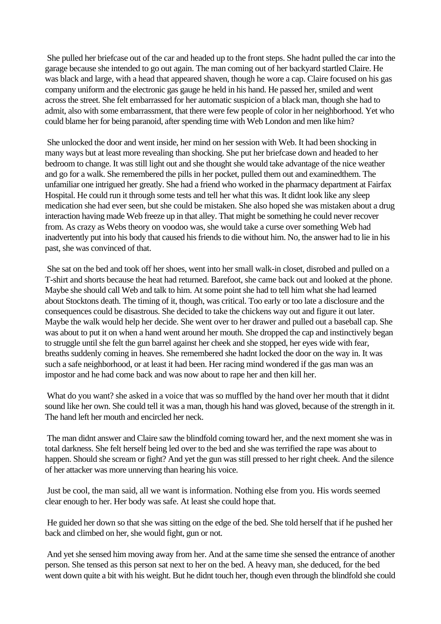She pulled her briefcase out of the car and headed up to the front steps. She hadnt pulled the car into the garage because she intended to go out again. The man coming out of her backyard startled Claire. He was black and large, with a head that appeared shaven, though he wore a cap. Claire focused on his gas company uniform and the electronic gas gauge he held in his hand. He passed her, smiled and went across the street. She felt embarrassed for her automatic suspicion of a black man, though she had to admit, also with some embarrassment, that there were few people of color in her neighborhood. Yet who could blame her for being paranoid, after spending time with Web London and men like him?

 She unlocked the door and went inside, her mind on her session with Web. It had been shocking in many ways but at least more revealing than shocking. She put her briefcase down and headed to her bedroom to change. It was still light out and she thought she would take advantage of the nice weather and go for a walk. She remembered the pills in her pocket, pulled them out and examinedthem. The unfamiliar one intrigued her greatly. She had a friend who worked in the pharmacy department at Fairfax Hospital. He could run it through some tests and tell her what this was. It didnt look like any sleep medication she had ever seen, but she could be mistaken. She also hoped she was mistaken about a drug interaction having made Web freeze up in that alley. That might be something he could never recover from. As crazy as Webs theory on voodoo was, she would take a curse over something Web had inadvertently put into his body that caused his friends to die without him. No, the answer had to lie in his past, she was convinced of that.

 She sat on the bed and took off her shoes, went into her small walk-in closet, disrobed and pulled on a T-shirt and shorts because the heat had returned. Barefoot, she came back out and looked at the phone. Maybe she should call Web and talk to him. At some point she had to tell him what she had learned about Stocktons death. The timing of it, though, was critical. Too early or too late a disclosure and the consequences could be disastrous. She decided to take the chickens way out and figure it out later. Maybe the walk would help her decide. She went over to her drawer and pulled out a baseball cap. She was about to put it on when a hand went around her mouth. She dropped the cap and instinctively began to struggle until she felt the gun barrel against her cheek and she stopped, her eyes wide with fear, breaths suddenly coming in heaves. She remembered she hadnt locked the door on the way in. It was such a safe neighborhood, or at least it had been. Her racing mind wondered if the gas man was an impostor and he had come back and was now about to rape her and then kill her.

 What do you want? she asked in a voice that was so muffled by the hand over her mouth that it didnt sound like her own. She could tell it was a man, though his hand was gloved, because of the strength in it. The hand left her mouth and encircled her neck.

 The man didnt answer and Claire saw the blindfold coming toward her, and the next moment she was in total darkness. She felt herself being led over to the bed and she was terrified the rape was about to happen. Should she scream or fight? And yet the gun was still pressed to her right cheek. And the silence of her attacker was more unnerving than hearing his voice.

 Just be cool, the man said, all we want is information. Nothing else from you. His words seemed clear enough to her. Her body was safe. At least she could hope that.

 He guided her down so that she was sitting on the edge of the bed. She told herself that if he pushed her back and climbed on her, she would fight, gun or not.

 And yet she sensed him moving away from her. And at the same time she sensed the entrance of another person. She tensed as this person sat next to her on the bed. A heavy man, she deduced, for the bed went down quite a bit with his weight. But he didnt touch her, though even through the blindfold she could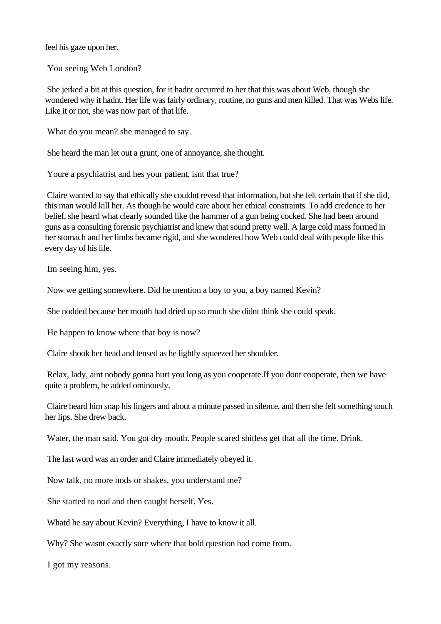feel his gaze upon her.

You seeing Web London?

 She jerked a bit at this question, for it hadnt occurred to her that this was about Web, though she wondered why it hadnt. Her life was fairly ordinary, routine, no guns and men killed. That was Webs life. Like it or not, she was now part of that life.

What do you mean? she managed to say.

She heard the man let out a grunt, one of annoyance, she thought.

Youre a psychiatrist and hes your patient, isnt that true?

 Claire wanted to say that ethically she couldnt reveal that information, but she felt certain that if she did, this man would kill her. As though he would care about her ethical constraints. To add credence to her belief, she heard what clearly sounded like the hammer of a gun being cocked. She had been around guns as a consulting forensic psychiatrist and knew that sound pretty well. A large cold mass formed in her stomach and her limbs became rigid, and she wondered how Web could deal with people like this every day of his life.

Im seeing him, yes.

Now we getting somewhere. Did he mention a boy to you, a boy named Kevin?

She nodded because her mouth had dried up so much she didnt think she could speak.

He happen to know where that boy is now?

Claire shook her head and tensed as he lightly squeezed her shoulder.

 Relax, lady, aint nobody gonna hurt you long as you cooperate.If you dont cooperate, then we have quite a problem, he added ominously.

 Claire heard him snap his fingers and about a minute passed in silence, and then she felt something touch her lips. She drew back.

Water, the man said. You got dry mouth. People scared shitless get that all the time. Drink.

The last word was an order and Claire immediately obeyed it.

Now talk, no more nods or shakes, you understand me?

She started to nod and then caught herself. Yes.

Whatd he say about Kevin? Everything, I have to know it all.

Why? She wasnt exactly sure where that bold question had come from.

I got my reasons.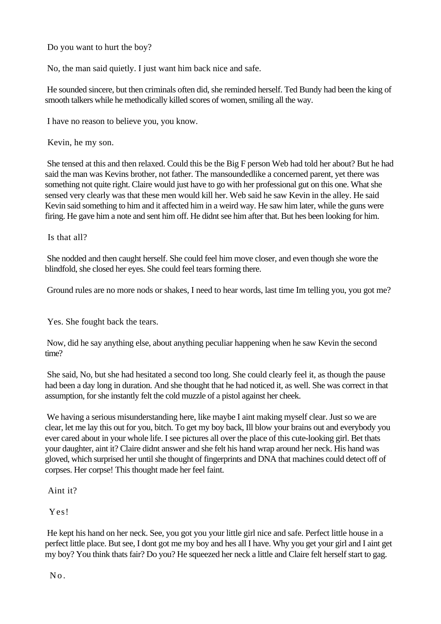Do you want to hurt the boy?

No, the man said quietly. I just want him back nice and safe.

 He sounded sincere, but then criminals often did, she reminded herself. Ted Bundy had been the king of smooth talkers while he methodically killed scores of women, smiling all the way.

I have no reason to believe you, you know.

Kevin, he my son.

 She tensed at this and then relaxed. Could this be the Big F person Web had told her about? But he had said the man was Kevins brother, not father. The mansoundedlike a concerned parent, yet there was something not quite right. Claire would just have to go with her professional gut on this one. What she sensed very clearly was that these men would kill her. Web said he saw Kevin in the alley. He said Kevin said something to him and it affected him in a weird way. He saw him later, while the guns were firing. He gave him a note and sent him off. He didnt see him after that. But hes been looking for him.

Is that all?

 She nodded and then caught herself. She could feel him move closer, and even though she wore the blindfold, she closed her eyes. She could feel tears forming there.

Ground rules are no more nods or shakes, I need to hear words, last time Im telling you, you got me?

Yes. She fought back the tears.

 Now, did he say anything else, about anything peculiar happening when he saw Kevin the second time?

 She said, No, but she had hesitated a second too long. She could clearly feel it, as though the pause had been a day long in duration. And she thought that he had noticed it, as well. She was correct in that assumption, for she instantly felt the cold muzzle of a pistol against her cheek.

We having a serious misunderstanding here, like maybe I aint making myself clear. Just so we are clear, let me lay this out for you, bitch. To get my boy back, Ill blow your brains out and everybody you ever cared about in your whole life. I see pictures all over the place of this cute-looking girl. Bet thats your daughter, aint it? Claire didnt answer and she felt his hand wrap around her neck. His hand was gloved, which surprised her until she thought of fingerprints and DNA that machines could detect off of corpses. Her corpse! This thought made her feel faint.

Aint it?

Yes!

 He kept his hand on her neck. See, you got you your little girl nice and safe. Perfect little house in a perfect little place. But see, I dont got me my boy and hes all I have. Why you get your girl and I aint get my boy? You think thats fair? Do you? He squeezed her neck a little and Claire felt herself start to gag.

No.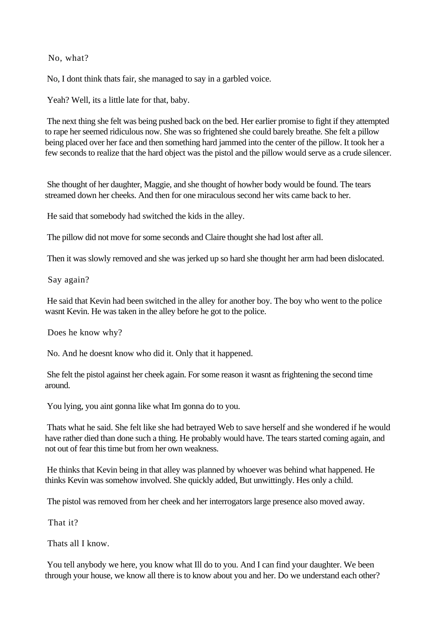No, what?

No, I dont think thats fair, she managed to say in a garbled voice.

Yeah? Well, its a little late for that, baby.

 The next thing she felt was being pushed back on the bed. Her earlier promise to fight if they attempted to rape her seemed ridiculous now. She was so frightened she could barely breathe. She felt a pillow being placed over her face and then something hard jammed into the center of the pillow. It took her a few seconds to realize that the hard object was the pistol and the pillow would serve as a crude silencer.

 She thought of her daughter, Maggie, and she thought of howher body would be found. The tears streamed down her cheeks. And then for one miraculous second her wits came back to her.

He said that somebody had switched the kids in the alley.

The pillow did not move for some seconds and Claire thought she had lost after all.

Then it was slowly removed and she was jerked up so hard she thought her arm had been dislocated.

Say again?

 He said that Kevin had been switched in the alley for another boy. The boy who went to the police wasnt Kevin. He was taken in the alley before he got to the police.

Does he know why?

No. And he doesnt know who did it. Only that it happened.

 She felt the pistol against her cheek again. For some reason it wasnt as frightening the second time around.

You lying, you aint gonna like what Im gonna do to you.

 Thats what he said. She felt like she had betrayed Web to save herself and she wondered if he would have rather died than done such a thing. He probably would have. The tears started coming again, and not out of fear this time but from her own weakness.

 He thinks that Kevin being in that alley was planned by whoever was behind what happened. He thinks Kevin was somehow involved. She quickly added, But unwittingly. Hes only a child.

The pistol was removed from her cheek and her interrogators large presence also moved away.

That it?

Thats all I know.

 You tell anybody we here, you know what Ill do to you. And I can find your daughter. We been through your house, we know all there is to know about you and her. Do we understand each other?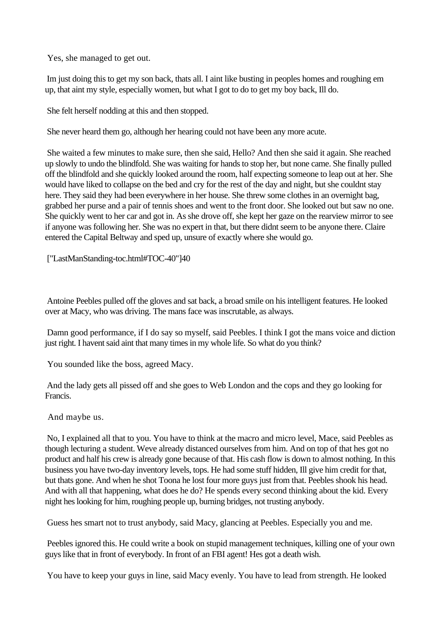Yes, she managed to get out.

 Im just doing this to get my son back, thats all. I aint like busting in peoples homes and roughing em up, that aint my style, especially women, but what I got to do to get my boy back, Ill do.

She felt herself nodding at this and then stopped.

She never heard them go, although her hearing could not have been any more acute.

 She waited a few minutes to make sure, then she said, Hello? And then she said it again. She reached up slowly to undo the blindfold. She was waiting for hands to stop her, but none came. She finally pulled off the blindfold and she quickly looked around the room, half expecting someone to leap out at her. She would have liked to collapse on the bed and cry for the rest of the day and night, but she couldnt stay here. They said they had been everywhere in her house. She threw some clothes in an overnight bag, grabbed her purse and a pair of tennis shoes and went to the front door. She looked out but saw no one. She quickly went to her car and got in. As she drove off, she kept her gaze on the rearview mirror to see if anyone was following her. She was no expert in that, but there didnt seem to be anyone there. Claire entered the Capital Beltway and sped up, unsure of exactly where she would go.

["LastManStanding-toc.html#TOC-40"]40

 Antoine Peebles pulled off the gloves and sat back, a broad smile on his intelligent features. He looked over at Macy, who was driving. The mans face was inscrutable, as always.

 Damn good performance, if I do say so myself, said Peebles. I think I got the mans voice and diction just right. I havent said aint that many times in my whole life. So what do you think?

You sounded like the boss, agreed Macy.

 And the lady gets all pissed off and she goes to Web London and the cops and they go looking for Francis.

And maybe us.

 No, I explained all that to you. You have to think at the macro and micro level, Mace, said Peebles as though lecturing a student. Weve already distanced ourselves from him. And on top of that hes got no product and half his crew is already gone because of that. His cash flow is down to almost nothing. In this business you have two-day inventory levels, tops. He had some stuff hidden, Ill give him credit for that, but thats gone. And when he shot Toona he lost four more guys just from that. Peebles shook his head. And with all that happening, what does he do? He spends every second thinking about the kid. Every night hes looking for him, roughing people up, burning bridges, not trusting anybody.

Guess hes smart not to trust anybody, said Macy, glancing at Peebles. Especially you and me.

 Peebles ignored this. He could write a book on stupid management techniques, killing one of your own guys like that in front of everybody. In front of an FBI agent! Hes got a death wish.

You have to keep your guys in line, said Macy evenly. You have to lead from strength. He looked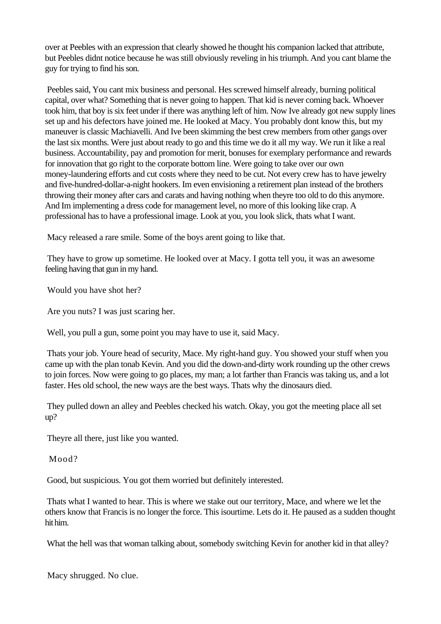over at Peebles with an expression that clearly showed he thought his companion lacked that attribute, but Peebles didnt notice because he was still obviously reveling in his triumph. And you cant blame the guy for trying to find his son.

 Peebles said, You cant mix business and personal. Hes screwed himself already, burning political capital, over what? Something that is never going to happen. That kid is never coming back. Whoever took him, that boy is six feet under if there was anything left of him. Now Ive already got new supply lines set up and his defectors have joined me. He looked at Macy. You probably dont know this, but my maneuver is classic Machiavelli. And Ive been skimming the best crew members from other gangs over the last six months. Were just about ready to go and this time we do it all my way. We run it like a real business. Accountability, pay and promotion for merit, bonuses for exemplary performance and rewards for innovation that go right to the corporate bottom line. Were going to take over our own money-laundering efforts and cut costs where they need to be cut. Not every crew has to have jewelry and five-hundred-dollar-a-night hookers. Im even envisioning a retirement plan instead of the brothers throwing their money after cars and carats and having nothing when theyre too old to do this anymore. And Im implementing a dress code for management level, no more of this looking like crap. A professional has to have a professional image. Look at you, you look slick, thats what I want.

Macy released a rare smile. Some of the boys arent going to like that.

 They have to grow up sometime. He looked over at Macy. I gotta tell you, it was an awesome feeling having that gun in my hand.

Would you have shot her?

Are you nuts? I was just scaring her.

Well, you pull a gun, some point you may have to use it, said Macy.

 Thats your job. Youre head of security, Mace. My right-hand guy. You showed your stuff when you came up with the plan tonab Kevin. And you did the down-and-dirty work rounding up the other crews to join forces. Now were going to go places, my man; a lot farther than Francis was taking us, and a lot faster. Hes old school, the new ways are the best ways. Thats why the dinosaurs died.

 They pulled down an alley and Peebles checked his watch. Okay, you got the meeting place all set up?

Theyre all there, just like you wanted.

Mood?

Good, but suspicious. You got them worried but definitely interested.

 Thats what I wanted to hear. This is where we stake out our territory, Mace, and where we let the others know that Francis is no longer the force. This isourtime. Lets do it. He paused as a sudden thought hit him.

What the hell was that woman talking about, somebody switching Kevin for another kid in that alley?

Macy shrugged. No clue.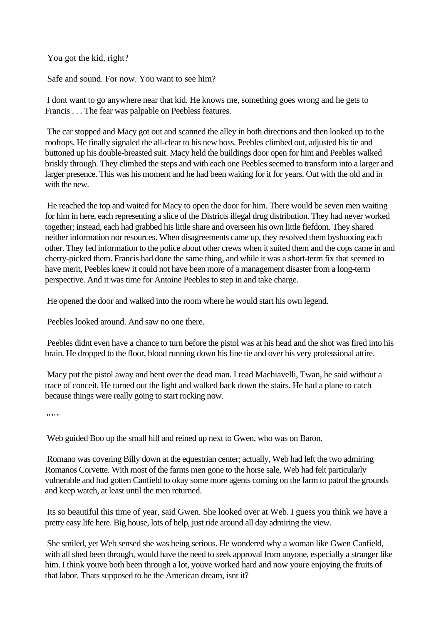You got the kid, right?

Safe and sound. For now. You want to see him?

 I dont want to go anywhere near that kid. He knows me, something goes wrong and he gets to Francis . . . The fear was palpable on Peebless features.

 The car stopped and Macy got out and scanned the alley in both directions and then looked up to the rooftops. He finally signaled the all-clear to his new boss. Peebles climbed out, adjusted his tie and buttoned up his double-breasted suit. Macy held the buildings door open for him and Peebles walked briskly through. They climbed the steps and with each one Peebles seemed to transform into a larger and larger presence. This was his moment and he had been waiting for it for years. Out with the old and in with the new.

 He reached the top and waited for Macy to open the door for him. There would be seven men waiting for him in here, each representing a slice of the Districts illegal drug distribution. They had never worked together; instead, each had grabbed his little share and overseen his own little fiefdom. They shared neither information nor resources. When disagreements came up, they resolved them byshooting each other. They fed information to the police about other crews when it suited them and the cops came in and cherry-picked them. Francis had done the same thing, and while it was a short-term fix that seemed to have merit, Peebles knew it could not have been more of a management disaster from a long-term perspective. And it was time for Antoine Peebles to step in and take charge.

He opened the door and walked into the room where he would start his own legend.

Peebles looked around. And saw no one there.

 Peebles didnt even have a chance to turn before the pistol was at his head and the shot was fired into his brain. He dropped to the floor, blood running down his fine tie and over his very professional attire.

 Macy put the pistol away and bent over the dead man. I read Machiavelli, Twan, he said without a trace of conceit. He turned out the light and walked back down the stairs. He had a plane to catch because things were really going to start rocking now.

" " "

Web guided Boo up the small hill and reined up next to Gwen, who was on Baron.

 Romano was covering Billy down at the equestrian center; actually, Web had left the two admiring Romanos Corvette. With most of the farms men gone to the horse sale, Web had felt particularly vulnerable and had gotten Canfield to okay some more agents coming on the farm to patrol the grounds and keep watch, at least until the men returned.

 Its so beautiful this time of year, said Gwen. She looked over at Web. I guess you think we have a pretty easy life here. Big house, lots of help, just ride around all day admiring the view.

 She smiled, yet Web sensed she was being serious. He wondered why a woman like Gwen Canfield, with all shed been through, would have the need to seek approval from anyone, especially a stranger like him. I think youve both been through a lot, youve worked hard and now youre enjoying the fruits of that labor. Thats supposed to be the American dream, isnt it?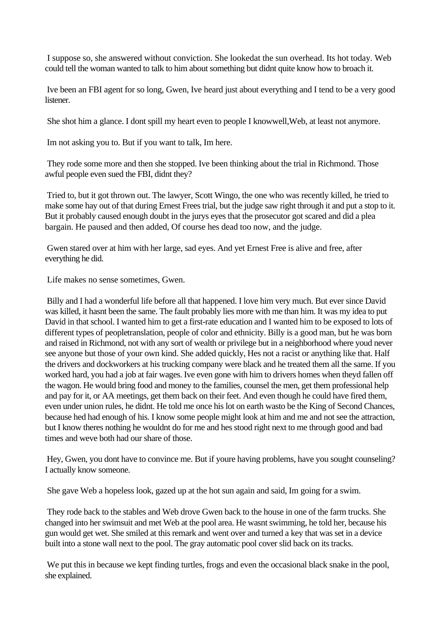I suppose so, she answered without conviction. She lookedat the sun overhead. Its hot today. Web could tell the woman wanted to talk to him about something but didnt quite know how to broach it.

 Ive been an FBI agent for so long, Gwen, Ive heard just about everything and I tend to be a very good listener.

She shot him a glance. I dont spill my heart even to people I knowwell,Web, at least not anymore.

Im not asking you to. But if you want to talk, Im here.

 They rode some more and then she stopped. Ive been thinking about the trial in Richmond. Those awful people even sued the FBI, didnt they?

 Tried to, but it got thrown out. The lawyer, Scott Wingo, the one who was recently killed, he tried to make some hay out of that during Ernest Frees trial, but the judge saw right through it and put a stop to it. But it probably caused enough doubt in the jurys eyes that the prosecutor got scared and did a plea bargain. He paused and then added, Of course hes dead too now, and the judge.

 Gwen stared over at him with her large, sad eyes. And yet Ernest Free is alive and free, after everything he did.

Life makes no sense sometimes, Gwen.

 Billy and I had a wonderful life before all that happened. I love him very much. But ever since David was killed, it hasnt been the same. The fault probably lies more with me than him. It was my idea to put David in that school. I wanted him to get a first-rate education and I wanted him to be exposed to lots of different types of people translation, people of color and ethnicity. Billy is a good man, but he was born and raised in Richmond, not with any sort of wealth or privilege but in a neighborhood where youd never see anyone but those of your own kind. She added quickly, Hes not a racist or anything like that. Half the drivers and dockworkers at his trucking company were black and he treated them all the same. If you worked hard, you had a job at fair wages. Ive even gone with him to drivers homes when theyd fallen off the wagon. He would bring food and money to the families, counsel the men, get them professional help and pay for it, or AA meetings, get them back on their feet. And even though he could have fired them, even under union rules, he didnt. He told me once his lot on earth wasto be the King of Second Chances, because hed had enough of his. I know some people might look at him and me and not see the attraction, but I know theres nothing he wouldnt do for me and hes stood right next to me through good and bad times and weve both had our share of those.

 Hey, Gwen, you dont have to convince me. But if youre having problems, have you sought counseling? I actually know someone.

She gave Web a hopeless look, gazed up at the hot sun again and said, Im going for a swim.

 They rode back to the stables and Web drove Gwen back to the house in one of the farm trucks. She changed into her swimsuit and met Web at the pool area. He wasnt swimming, he told her, because his gun would get wet. She smiled at this remark and went over and turned a key that was set in a device built into a stone wall next to the pool. The gray automatic pool cover slid back on its tracks.

We put this in because we kept finding turtles, frogs and even the occasional black snake in the pool, she explained.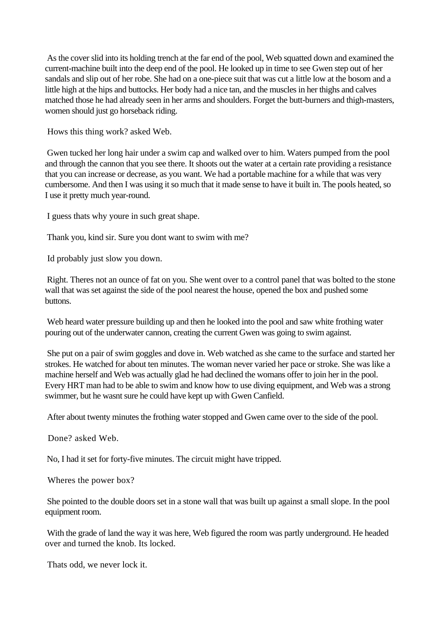As the cover slid into its holding trench at the far end of the pool, Web squatted down and examined the current-machine built into the deep end of the pool. He looked up in time to see Gwen step out of her sandals and slip out of her robe. She had on a one-piece suit that was cut a little low at the bosom and a little high at the hips and buttocks. Her body had a nice tan, and the muscles in her thighs and calves matched those he had already seen in her arms and shoulders. Forget the butt-burners and thigh-masters, women should just go horseback riding.

Hows this thing work? asked Web.

 Gwen tucked her long hair under a swim cap and walked over to him. Waters pumped from the pool and through the cannon that you see there. It shoots out the water at a certain rate providing a resistance that you can increase or decrease, as you want. We had a portable machine for a while that was very cumbersome. And then I was using it so much that it made sense to have it built in. The pools heated, so I use it pretty much year-round.

I guess thats why youre in such great shape.

Thank you, kind sir. Sure you dont want to swim with me?

Id probably just slow you down.

 Right. Theres not an ounce of fat on you. She went over to a control panel that was bolted to the stone wall that was set against the side of the pool nearest the house, opened the box and pushed some buttons.

 Web heard water pressure building up and then he looked into the pool and saw white frothing water pouring out of the underwater cannon, creating the current Gwen was going to swim against.

 She put on a pair of swim goggles and dove in. Web watched as she came to the surface and started her strokes. He watched for about ten minutes. The woman never varied her pace or stroke. She was like a machine herself and Web was actually glad he had declined the womans offer to join her in the pool. Every HRT man had to be able to swim and know how to use diving equipment, and Web was a strong swimmer, but he wasnt sure he could have kept up with Gwen Canfield.

After about twenty minutes the frothing water stopped and Gwen came over to the side of the pool.

Done? asked Web.

No, I had it set for forty-five minutes. The circuit might have tripped.

Wheres the power box?

 She pointed to the double doors set in a stone wall that was built up against a small slope. In the pool equipment room.

 With the grade of land the way it was here, Web figured the room was partly underground. He headed over and turned the knob. Its locked.

Thats odd, we never lock it.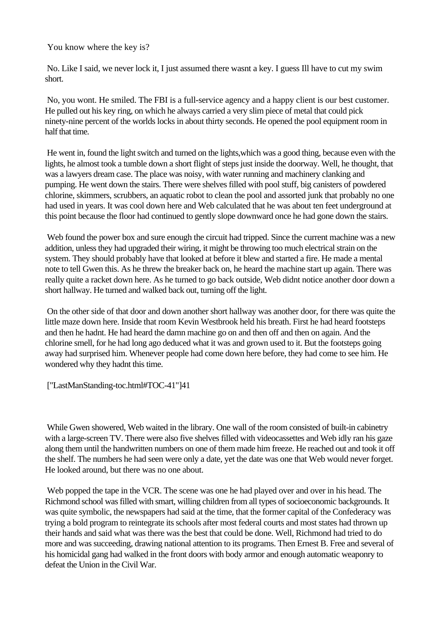You know where the key is?

 No. Like I said, we never lock it, I just assumed there wasnt a key. I guess Ill have to cut my swim short.

 No, you wont. He smiled. The FBI is a full-service agency and a happy client is our best customer. He pulled out his key ring, on which he always carried a very slim piece of metal that could pick ninety-nine percent of the worlds locks in about thirty seconds. He opened the pool equipment room in half that time.

 He went in, found the light switch and turned on the lights,which was a good thing, because even with the lights, he almost took a tumble down a short flight of steps just inside the doorway. Well, he thought, that was a lawyers dream case. The place was noisy, with water running and machinery clanking and pumping. He went down the stairs. There were shelves filled with pool stuff, big canisters of powdered chlorine, skimmers, scrubbers, an aquatic robot to clean the pool and assorted junk that probably no one had used in years. It was cool down here and Web calculated that he was about ten feet underground at this point because the floor had continued to gently slope downward once he had gone down the stairs.

Web found the power box and sure enough the circuit had tripped. Since the current machine was a new addition, unless they had upgraded their wiring, it might be throwing too much electrical strain on the system. They should probably have that looked at before it blew and started a fire. He made a mental note to tell Gwen this. As he threw the breaker back on, he heard the machine start up again. There was really quite a racket down here. As he turned to go back outside, Web didnt notice another door down a short hallway. He turned and walked back out, turning off the light.

 On the other side of that door and down another short hallway was another door, for there was quite the little maze down here. Inside that room Kevin Westbrook held his breath. First he had heard footsteps and then he hadnt. He had heard the damn machine go on and then off and then on again. And the chlorine smell, for he had long ago deduced what it was and grown used to it. But the footsteps going away had surprised him. Whenever people had come down here before, they had come to see him. He wondered why they hadnt this time.

["LastManStanding-toc.html#TOC-41"]41

 While Gwen showered, Web waited in the library. One wall of the room consisted of built-in cabinetry with a large-screen TV. There were also five shelves filled with videocassettes and Web idly ran his gaze along them until the handwritten numbers on one of them made him freeze. He reached out and took it off the shelf. The numbers he had seen were only a date, yet the date was one that Web would never forget. He looked around, but there was no one about.

Web popped the tape in the VCR. The scene was one he had played over and over in his head. The Richmond school was filled with smart, willing children from all types of socioeconomic backgrounds. It was quite symbolic, the newspapers had said at the time, that the former capital of the Confederacy was trying a bold program to reintegrate its schools after most federal courts and most states had thrown up their hands and said what was there was the best that could be done. Well, Richmond had tried to do more and was succeeding, drawing national attention to its programs. Then Ernest B. Free and several of his homicidal gang had walked in the front doors with body armor and enough automatic weaponry to defeat the Union in the Civil War.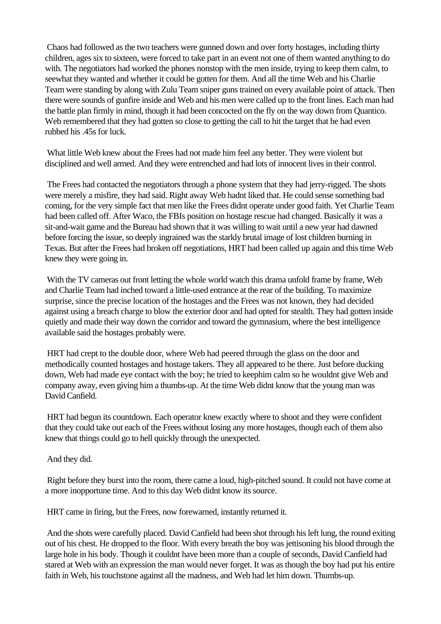Chaos had followed as the two teachers were gunned down and over forty hostages, including thirty children, ages six to sixteen, were forced to take part in an event not one of them wanted anything to do with. The negotiators had worked the phones nonstop with the men inside, trying to keep them calm, to seewhat they wanted and whether it could be gotten for them. And all the time Web and his Charlie Team were standing by along with Zulu Team sniper guns trained on every available point of attack. Then there were sounds of gunfire inside and Web and his men were called up to the front lines. Each man had the battle plan firmly in mind, though it had been concocted on the fly on the way down from Quantico. Web remembered that they had gotten so close to getting the call to hit the target that he had even rubbed his .45s for luck.

 What little Web knew about the Frees had not made him feel any better. They were violent but disciplined and well armed. And they were entrenched and had lots of innocent lives in their control.

 The Frees had contacted the negotiators through a phone system that they had jerry-rigged. The shots were merely a misfire, they had said. Right away Web hadnt liked that. He could sense something bad coming, for the very simple fact that men like the Frees didnt operate under good faith. Yet Charlie Team had been called off. After Waco, the FBIs position on hostage rescue had changed. Basically it was a sit-and-wait game and the Bureau had shown that it was willing to wait until a new year had dawned before forcing the issue, so deeply ingrained was the starkly brutal image of lost children burning in Texas. But after the Frees had broken off negotiations, HRT had been called up again and this time Web knew they were going in.

 With the TV cameras out front letting the whole world watch this drama unfold frame by frame, Web and Charlie Team had inched toward a little-used entrance at the rear of the building. To maximize surprise, since the precise location of the hostages and the Frees was not known, they had decided against using a breach charge to blow the exterior door and had opted for stealth. They had gotten inside quietly and made their way down the corridor and toward the gymnasium, where the best intelligence available said the hostages probably were.

 HRT had crept to the double door, where Web had peered through the glass on the door and methodically counted hostages and hostage takers. They all appeared to be there. Just before ducking down, Web had made eye contact with the boy; he tried to keephim calm so he wouldnt give Web and company away, even giving him a thumbs-up. At the time Web didnt know that the young man was David Canfield.

 HRT had begun its countdown. Each operator knew exactly where to shoot and they were confident that they could take out each of the Frees without losing any more hostages, though each of them also knew that things could go to hell quickly through the unexpected.

## And they did.

 Right before they burst into the room, there came a loud, high-pitched sound. It could not have come at a more inopportune time. And to this day Web didnt know its source.

HRT came in firing, but the Frees, now forewarned, instantly returned it.

 And the shots were carefully placed. David Canfield had been shot through his left lung, the round exiting out of his chest. He dropped to the floor. With every breath the boy was jettisoning his blood through the large hole in his body. Though it couldnt have been more than a couple of seconds, David Canfield had stared at Web with an expression the man would never forget. It was as though the boy had put his entire faith in Web, his touchstone against all the madness, and Web had let him down. Thumbs-up.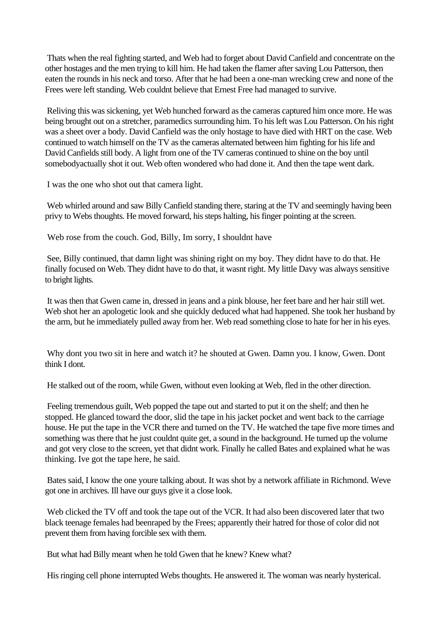Thats when the real fighting started, and Web had to forget about David Canfield and concentrate on the other hostages and the men trying to kill him. He had taken the flamer after saving Lou Patterson, then eaten the rounds in his neck and torso. After that he had been a one-man wrecking crew and none of the Frees were left standing. Web couldnt believe that Ernest Free had managed to survive.

 Reliving this was sickening, yet Web hunched forward as the cameras captured him once more. He was being brought out on a stretcher, paramedics surrounding him. To his left was Lou Patterson. On his right was a sheet over a body. David Canfield was the only hostage to have died with HRT on the case. Web continued to watch himself on the TV as the cameras alternated between him fighting for his life and David Canfields still body. A light from one of the TV cameras continued to shine on the boy until somebodyactually shot it out. Web often wondered who had done it. And then the tape went dark.

I was the one who shot out that camera light.

Web whirled around and saw Billy Canfield standing there, staring at the TV and seemingly having been privy to Webs thoughts. He moved forward, his steps halting, his finger pointing at the screen.

Web rose from the couch. God, Billy, Im sorry, I shouldnt have

 See, Billy continued, that damn light was shining right on my boy. They didnt have to do that. He finally focused on Web. They didnt have to do that, it wasnt right. My little Davy was always sensitive to bright lights.

 It was then that Gwen came in, dressed in jeans and a pink blouse, her feet bare and her hair still wet. Web shot her an apologetic look and she quickly deduced what had happened. She took her husband by the arm, but he immediately pulled away from her. Web read something close to hate for her in his eyes.

 Why dont you two sit in here and watch it? he shouted at Gwen. Damn you. I know, Gwen. Dont think I dont.

He stalked out of the room, while Gwen, without even looking at Web, fled in the other direction.

 Feeling tremendous guilt, Web popped the tape out and started to put it on the shelf; and then he stopped. He glanced toward the door, slid the tape in his jacket pocket and went back to the carriage house. He put the tape in the VCR there and turned on the TV. He watched the tape five more times and something was there that he just couldnt quite get, a sound in the background. He turned up the volume and got very close to the screen, yet that didnt work. Finally he called Bates and explained what he was thinking. Ive got the tape here, he said.

 Bates said, I know the one youre talking about. It was shot by a network affiliate in Richmond. Weve got one in archives. Ill have our guys give it a close look.

 Web clicked the TV off and took the tape out of the VCR. It had also been discovered later that two black teenage females had beenraped by the Frees; apparently their hatred for those of color did not prevent them from having forcible sex with them.

But what had Billy meant when he told Gwen that he knew? Knew what?

His ringing cell phone interrupted Webs thoughts. He answered it. The woman was nearly hysterical.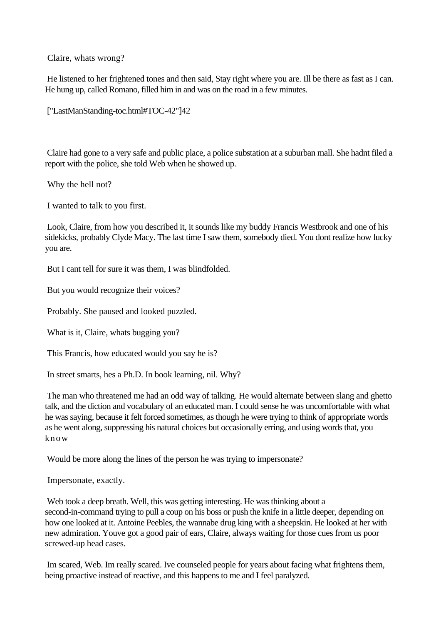Claire, whats wrong?

 He listened to her frightened tones and then said, Stay right where you are. Ill be there as fast as I can. He hung up, called Romano, filled him in and was on the road in a few minutes.

["LastManStanding-toc.html#TOC-42"]42

 Claire had gone to a very safe and public place, a police substation at a suburban mall. She hadnt filed a report with the police, she told Web when he showed up.

Why the hell not?

I wanted to talk to you first.

 Look, Claire, from how you described it, it sounds like my buddy Francis Westbrook and one of his sidekicks, probably Clyde Macy. The last time I saw them, somebody died. You dont realize how lucky you are.

But I cant tell for sure it was them, I was blindfolded.

But you would recognize their voices?

Probably. She paused and looked puzzled.

What is it, Claire, whats bugging you?

This Francis, how educated would you say he is?

In street smarts, hes a Ph.D. In book learning, nil. Why?

 The man who threatened me had an odd way of talking. He would alternate between slang and ghetto talk, and the diction and vocabulary of an educated man. I could sense he was uncomfortable with what he was saying, because it felt forced sometimes, as though he were trying to think of appropriate words as he went along, suppressing his natural choices but occasionally erring, and using words that, you know

Would be more along the lines of the person he was trying to impersonate?

Impersonate, exactly.

 Web took a deep breath. Well, this was getting interesting. He was thinking about a second-in-command trying to pull a coup on his boss or push the knife in a little deeper, depending on how one looked at it. Antoine Peebles, the wannabe drug king with a sheepskin. He looked at her with new admiration. Youve got a good pair of ears, Claire, always waiting for those cues from us poor screwed-up head cases.

 Im scared, Web. Im really scared. Ive counseled people for years about facing what frightens them, being proactive instead of reactive, and this happens to me and I feel paralyzed.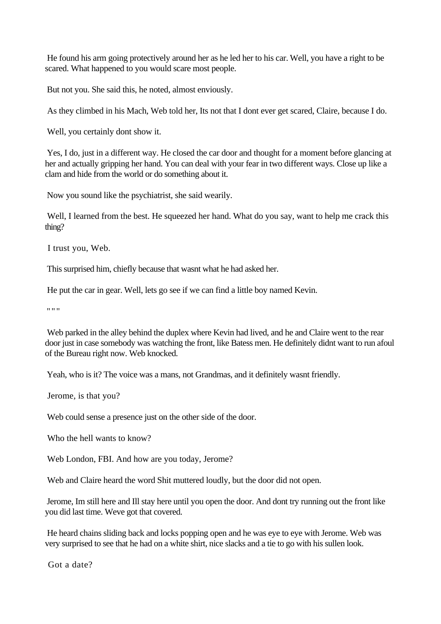He found his arm going protectively around her as he led her to his car. Well, you have a right to be scared. What happened to you would scare most people.

But not you. She said this, he noted, almost enviously.

As they climbed in his Mach, Web told her, Its not that I dont ever get scared, Claire, because I do.

Well, you certainly dont show it.

 Yes, I do, just in a different way. He closed the car door and thought for a moment before glancing at her and actually gripping her hand. You can deal with your fear in two different ways. Close up like a clam and hide from the world or do something about it.

Now you sound like the psychiatrist, she said wearily.

 Well, I learned from the best. He squeezed her hand. What do you say, want to help me crack this thing?

I trust you, Web.

This surprised him, chiefly because that wasnt what he had asked her.

He put the car in gear. Well, lets go see if we can find a little boy named Kevin.

" " "

 Web parked in the alley behind the duplex where Kevin had lived, and he and Claire went to the rear door just in case somebody was watching the front, like Batess men. He definitely didnt want to run afoul of the Bureau right now. Web knocked.

Yeah, who is it? The voice was a mans, not Grandmas, and it definitely wasnt friendly.

Jerome, is that you?

Web could sense a presence just on the other side of the door.

Who the hell wants to know?

Web London, FBI. And how are you today, Jerome?

Web and Claire heard the word Shit muttered loudly, but the door did not open.

 Jerome, Im still here and Ill stay here until you open the door. And dont try running out the front like you did last time. Weve got that covered.

 He heard chains sliding back and locks popping open and he was eye to eye with Jerome. Web was very surprised to see that he had on a white shirt, nice slacks and a tie to go with his sullen look.

Got a date?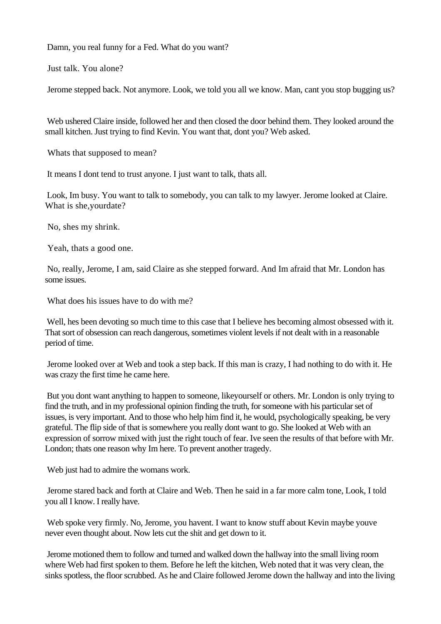Damn, you real funny for a Fed. What do you want?

Just talk. You alone?

Jerome stepped back. Not anymore. Look, we told you all we know. Man, cant you stop bugging us?

 Web ushered Claire inside, followed her and then closed the door behind them. They looked around the small kitchen. Just trying to find Kevin. You want that, dont you? Web asked.

Whats that supposed to mean?

It means I dont tend to trust anyone. I just want to talk, thats all.

 Look, Im busy. You want to talk to somebody, you can talk to my lawyer. Jerome looked at Claire. What is she,yourdate?

No, shes my shrink.

Yeah, thats a good one.

 No, really, Jerome, I am, said Claire as she stepped forward. And Im afraid that Mr. London has some issues.

What does his issues have to do with me?

 Well, hes been devoting so much time to this case that I believe hes becoming almost obsessed with it. That sort of obsession can reach dangerous, sometimes violent levels if not dealt with in a reasonable period of time.

 Jerome looked over at Web and took a step back. If this man is crazy, I had nothing to do with it. He was crazy the first time he came here.

 But you dont want anything to happen to someone, likeyourself or others. Mr. London is only trying to find the truth, and in my professional opinion finding the truth, for someone with his particular set of issues, is very important. And to those who help him find it, he would, psychologically speaking, be very grateful. The flip side of that is somewhere you really dont want to go. She looked at Web with an expression of sorrow mixed with just the right touch of fear. Ive seen the results of that before with Mr. London; thats one reason why Im here. To prevent another tragedy.

Web just had to admire the womans work.

 Jerome stared back and forth at Claire and Web. Then he said in a far more calm tone, Look, I told you all I know. I really have.

 Web spoke very firmly. No, Jerome, you havent. I want to know stuff about Kevin maybe youve never even thought about. Now lets cut the shit and get down to it.

 Jerome motioned them to follow and turned and walked down the hallway into the small living room where Web had first spoken to them. Before he left the kitchen, Web noted that it was very clean, the sinks spotless, the floor scrubbed. As he and Claire followed Jerome down the hallway and into the living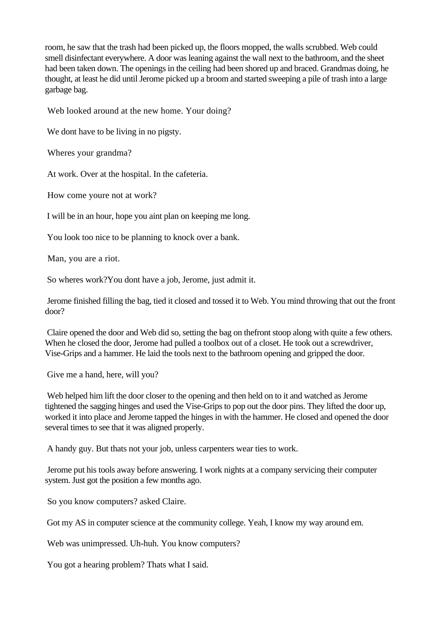room, he saw that the trash had been picked up, the floors mopped, the walls scrubbed. Web could smell disinfectant everywhere. A door was leaning against the wall next to the bathroom, and the sheet had been taken down. The openings in the ceiling had been shored up and braced. Grandmas doing, he thought, at least he did until Jerome picked up a broom and started sweeping a pile of trash into a large garbage bag.

Web looked around at the new home. Your doing?

We dont have to be living in no pigsty.

Wheres your grandma?

At work. Over at the hospital. In the cafeteria.

How come youre not at work?

I will be in an hour, hope you aint plan on keeping me long.

You look too nice to be planning to knock over a bank.

Man, you are a riot.

So wheres work?You dont have a job, Jerome, just admit it.

 Jerome finished filling the bag, tied it closed and tossed it to Web. You mind throwing that out the front door?

 Claire opened the door and Web did so, setting the bag on thefront stoop along with quite a few others. When he closed the door, Jerome had pulled a toolbox out of a closet. He took out a screwdriver, Vise-Grips and a hammer. He laid the tools next to the bathroom opening and gripped the door.

Give me a hand, here, will you?

 Web helped him lift the door closer to the opening and then held on to it and watched as Jerome tightened the sagging hinges and used the Vise-Grips to pop out the door pins. They lifted the door up, worked it into place and Jerome tapped the hinges in with the hammer. He closed and opened the door several times to see that it was aligned properly.

A handy guy. But thats not your job, unless carpenters wear ties to work.

 Jerome put his tools away before answering. I work nights at a company servicing their computer system. Just got the position a few months ago.

So you know computers? asked Claire.

Got my AS in computer science at the community college. Yeah, I know my way around em.

Web was unimpressed. Uh-huh. You know computers?

You got a hearing problem? Thats what I said.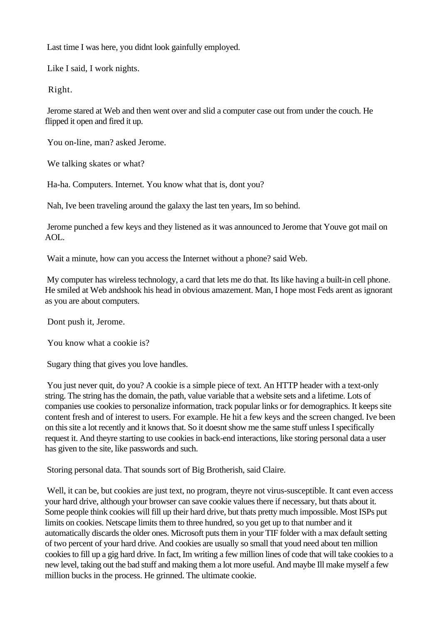Last time I was here, you didnt look gainfully employed.

Like I said, I work nights.

Right.

 Jerome stared at Web and then went over and slid a computer case out from under the couch. He flipped it open and fired it up.

You on-line, man? asked Jerome.

We talking skates or what?

Ha-ha. Computers. Internet. You know what that is, dont you?

Nah, Ive been traveling around the galaxy the last ten years, Im so behind.

 Jerome punched a few keys and they listened as it was announced to Jerome that Youve got mail on AOL.

Wait a minute, how can you access the Internet without a phone? said Web.

 My computer has wireless technology, a card that lets me do that. Its like having a built-in cell phone. He smiled at Web andshook his head in obvious amazement. Man, I hope most Feds arent as ignorant as you are about computers.

Dont push it, Jerome.

You know what a cookie is?

Sugary thing that gives you love handles.

 You just never quit, do you? A cookie is a simple piece of text. An HTTP header with a text-only string. The string has the domain, the path, value variable that a website sets and a lifetime. Lots of companies use cookies to personalize information, track popular links or for demographics. It keeps site content fresh and of interest to users. For example. He hit a few keys and the screen changed. Ive been on this site a lot recently and it knows that. So it doesnt show me the same stuff unless I specifically request it. And theyre starting to use cookies in back-end interactions, like storing personal data a user has given to the site, like passwords and such.

Storing personal data. That sounds sort of Big Brotherish, said Claire.

 Well, it can be, but cookies are just text, no program, theyre not virus-susceptible. It cant even access your hard drive, although your browser can save cookie values there if necessary, but thats about it. Some people think cookies will fill up their hard drive, but thats pretty much impossible. Most ISPs put limits on cookies. Netscape limits them to three hundred, so you get up to that number and it automatically discards the older ones. Microsoft puts them in your TIF folder with a max default setting of two percent of your hard drive. And cookies are usually so small that youd need about ten million cookies to fill up a gig hard drive. In fact, Im writing a few million lines of code that will take cookies to a new level, taking out the bad stuff and making them a lot more useful. And maybe Ill make myself a few million bucks in the process. He grinned. The ultimate cookie.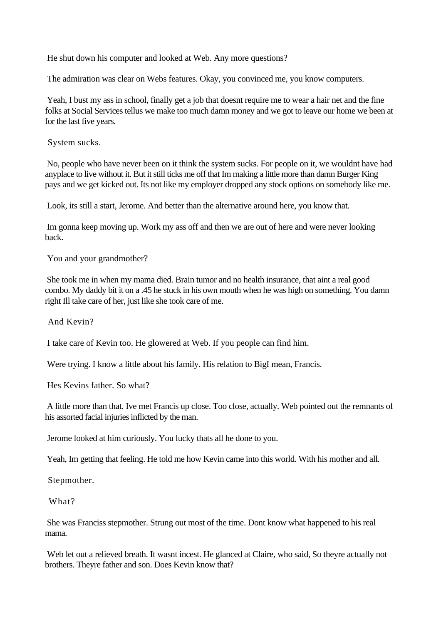He shut down his computer and looked at Web. Any more questions?

The admiration was clear on Webs features. Okay, you convinced me, you know computers.

 Yeah, I bust my ass in school, finally get a job that doesnt require me to wear a hair net and the fine folks at Social Services tellus we make too much damn money and we got to leave our home we been at for the last five years.

System sucks.

 No, people who have never been on it think the system sucks. For people on it, we wouldnt have had anyplace to live without it. But it still ticks me off that Im making a little more than damn Burger King pays and we get kicked out. Its not like my employer dropped any stock options on somebody like me.

Look, its still a start, Jerome. And better than the alternative around here, you know that.

 Im gonna keep moving up. Work my ass off and then we are out of here and were never looking back.

You and your grandmother?

 She took me in when my mama died. Brain tumor and no health insurance, that aint a real good combo. My daddy bit it on a .45 he stuck in his own mouth when he was high on something. You damn right Ill take care of her, just like she took care of me.

And Kevin?

I take care of Kevin too. He glowered at Web. If you people can find him.

Were trying. I know a little about his family. His relation to Big I mean, Francis.

Hes Kevins father. So what?

 A little more than that. Ive met Francis up close. Too close, actually. Web pointed out the remnants of his assorted facial injuries inflicted by the man.

Jerome looked at him curiously. You lucky thats all he done to you.

Yeah, Im getting that feeling. He told me how Kevin came into this world. With his mother and all.

Stepmother.

What?

 She was Franciss stepmother. Strung out most of the time. Dont know what happened to his real mama.

 Web let out a relieved breath. It wasnt incest. He glanced at Claire, who said, So theyre actually not brothers. Theyre father and son. Does Kevin know that?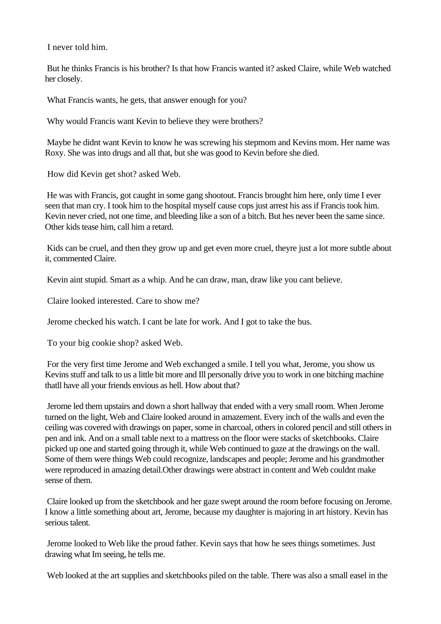I never told him.

 But he thinks Francis is his brother? Is that how Francis wanted it? asked Claire, while Web watched her closely.

What Francis wants, he gets, that answer enough for you?

Why would Francis want Kevin to believe they were brothers?

 Maybe he didnt want Kevin to know he was screwing his stepmom and Kevins mom. Her name was Roxy. She was into drugs and all that, but she was good to Kevin before she died.

How did Kevin get shot? asked Web.

 He was with Francis, got caught in some gang shootout. Francis brought him here, only time I ever seen that man cry. I took him to the hospital myself cause cops just arrest his ass if Francis took him. Kevin never cried, not one time, and bleeding like a son of a bitch. But hes never been the same since. Other kids tease him, call him a retard.

 Kids can be cruel, and then they grow up and get even more cruel, theyre just a lot more subtle about it, commented Claire.

Kevin aint stupid. Smart as a whip. And he can draw, man, draw like you cant believe.

Claire looked interested. Care to show me?

Jerome checked his watch. I cant be late for work. And I got to take the bus.

To your big cookie shop? asked Web.

 For the very first time Jerome and Web exchanged a smile. I tell you what, Jerome, you show us Kevins stuff and talk to us a little bit more and Ill personally drive you to work in one bitching machine thatll have all your friends envious as hell. How about that?

 Jerome led them upstairs and down a short hallway that ended with a very small room. When Jerome turned on the light, Web and Claire looked around in amazement. Every inch of the walls and even the ceiling was covered with drawings on paper, some in charcoal, others in colored pencil and still others in pen and ink. And on a small table next to a mattress on the floor were stacks of sketchbooks. Claire picked up one and started going through it, while Web continued to gaze at the drawings on the wall. Some of them were things Web could recognize, landscapes and people; Jerome and his grandmother were reproduced in amazing detail.Other drawings were abstract in content and Web couldnt make sense of them.

 Claire looked up from the sketchbook and her gaze swept around the room before focusing on Jerome. I know a little something about art, Jerome, because my daughter is majoring in art history. Kevin has serious talent.

 Jerome looked to Web like the proud father. Kevin says that how he sees things sometimes. Just drawing what Im seeing, he tells me.

Web looked at the art supplies and sketchbooks piled on the table. There was also a small easel in the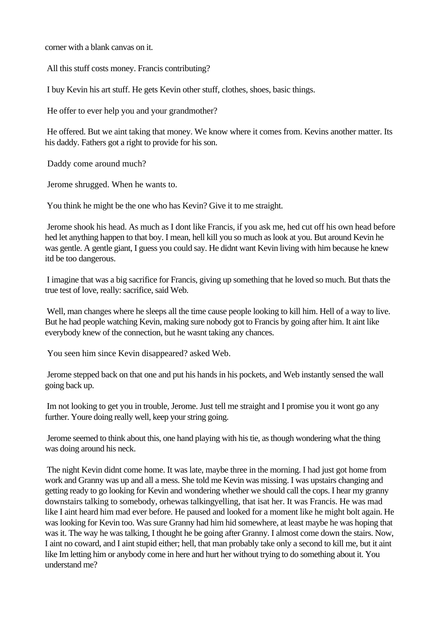corner with a blank canvas on it.

All this stuff costs money. Francis contributing?

I buy Kevin his art stuff. He gets Kevin other stuff, clothes, shoes, basic things.

He offer to ever help you and your grandmother?

 He offered. But we aint taking that money. We know where it comes from. Kevins another matter. Its his daddy. Fathers got a right to provide for his son.

Daddy come around much?

Jerome shrugged. When he wants to.

You think he might be the one who has Kevin? Give it to me straight.

 Jerome shook his head. As much as I dont like Francis, if you ask me, hed cut off his own head before hed let anything happen to that boy. I mean, hell kill you so much as look at you. But around Kevin he was gentle. A gentle giant, I guess you could say. He didnt want Kevin living with him because he knew itd be too dangerous.

 I imagine that was a big sacrifice for Francis, giving up something that he loved so much. But thats the true test of love, really: sacrifice, said Web.

 Well, man changes where he sleeps all the time cause people looking to kill him. Hell of a way to live. But he had people watching Kevin, making sure nobody got to Francis by going after him. It aint like everybody knew of the connection, but he wasnt taking any chances.

You seen him since Kevin disappeared? asked Web.

 Jerome stepped back on that one and put his hands in his pockets, and Web instantly sensed the wall going back up.

 Im not looking to get you in trouble, Jerome. Just tell me straight and I promise you it wont go any further. Youre doing really well, keep your string going.

 Jerome seemed to think about this, one hand playing with his tie, as though wondering what the thing was doing around his neck.

 The night Kevin didnt come home. It was late, maybe three in the morning. I had just got home from work and Granny was up and all a mess. She told me Kevin was missing. I was upstairs changing and getting ready to go looking for Kevin and wondering whether we should call the cops. I hear my granny downstairs talking to somebody, orhewas talking yelling, that is at her. It was Francis. He was mad like I aint heard him mad ever before. He paused and looked for a moment like he might bolt again. He was looking for Kevin too. Was sure Granny had him hid somewhere, at least maybe he was hoping that was it. The way he was talking, I thought he be going after Granny. I almost come down the stairs. Now, I aint no coward, and I aint stupid either; hell, that man probably take only a second to kill me, but it aint like Im letting him or anybody come in here and hurt her without trying to do something about it. You understand me?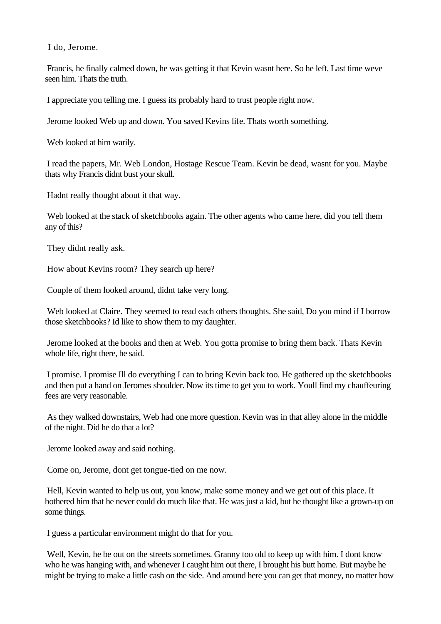I do, Jerome.

 Francis, he finally calmed down, he was getting it that Kevin wasnt here. So he left. Last time weve seen him. Thats the truth

I appreciate you telling me. I guess its probably hard to trust people right now.

Jerome looked Web up and down. You saved Kevins life. Thats worth something.

Web looked at him warily.

 I read the papers, Mr. Web London, Hostage Rescue Team. Kevin be dead, wasnt for you. Maybe thats why Francis didnt bust your skull.

Hadnt really thought about it that way.

 Web looked at the stack of sketchbooks again. The other agents who came here, did you tell them any of this?

They didnt really ask.

How about Kevins room? They search up here?

Couple of them looked around, didnt take very long.

 Web looked at Claire. They seemed to read each others thoughts. She said, Do you mind if I borrow those sketchbooks? Id like to show them to my daughter.

 Jerome looked at the books and then at Web. You gotta promise to bring them back. Thats Kevin whole life, right there, he said.

 I promise. I promise Ill do everything I can to bring Kevin back too. He gathered up the sketchbooks and then put a hand on Jeromes shoulder. Now its time to get you to work. Youll find my chauffeuring fees are very reasonable.

 As they walked downstairs, Web had one more question. Kevin was in that alley alone in the middle of the night. Did he do that a lot?

Jerome looked away and said nothing.

Come on, Jerome, dont get tongue-tied on me now.

 Hell, Kevin wanted to help us out, you know, make some money and we get out of this place. It bothered him that he never could do much like that. He was just a kid, but he thought like a grown-up on some things.

I guess a particular environment might do that for you.

 Well, Kevin, he be out on the streets sometimes. Granny too old to keep up with him. I dont know who he was hanging with, and whenever I caught him out there, I brought his butt home. But maybe he might be trying to make a little cash on the side. And around here you can get that money, no matter how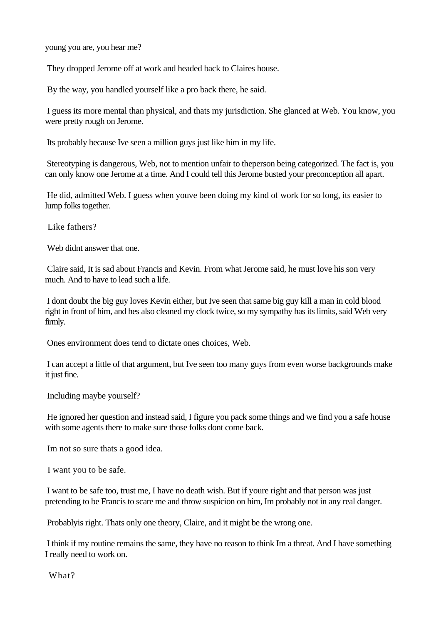young you are, you hear me?

They dropped Jerome off at work and headed back to Claires house.

By the way, you handled yourself like a pro back there, he said.

 I guess its more mental than physical, and thats my jurisdiction. She glanced at Web. You know, you were pretty rough on Jerome.

Its probably because Ive seen a million guys just like him in my life.

 Stereotyping is dangerous, Web, not to mention unfair to theperson being categorized. The fact is, you can only know one Jerome at a time. And I could tell this Jerome busted your preconception all apart.

 He did, admitted Web. I guess when youve been doing my kind of work for so long, its easier to lump folks together.

Like fathers?

Web didnt answer that one.

 Claire said, It is sad about Francis and Kevin. From what Jerome said, he must love his son very much. And to have to lead such a life.

 I dont doubt the big guy loves Kevin either, but Ive seen that same big guy kill a man in cold blood right in front of him, and hes also cleaned my clock twice, so my sympathy has its limits, said Web very firmly.

Ones environment does tend to dictate ones choices, Web.

 I can accept a little of that argument, but Ive seen too many guys from even worse backgrounds make it just fine.

Including maybe yourself?

 He ignored her question and instead said, I figure you pack some things and we find you a safe house with some agents there to make sure those folks dont come back.

Im not so sure thats a good idea.

I want you to be safe.

 I want to be safe too, trust me, I have no death wish. But if youre right and that person was just pretending to be Francis to scare me and throw suspicion on him, Im probably not in any real danger.

Probablyis right. Thats only one theory, Claire, and it might be the wrong one.

 I think if my routine remains the same, they have no reason to think Im a threat. And I have something I really need to work on.

What?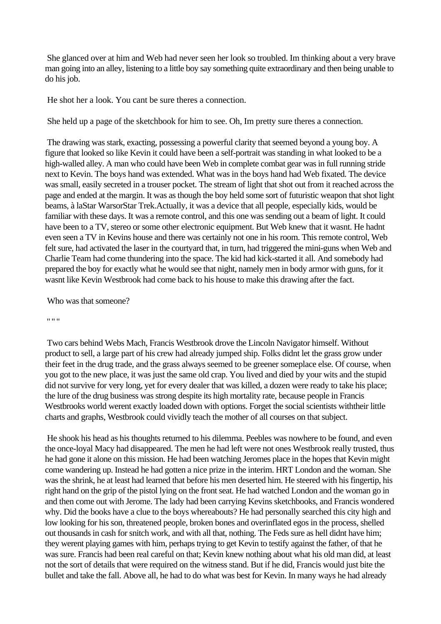She glanced over at him and Web had never seen her look so troubled. Im thinking about a very brave man going into an alley, listening to a little boy say something quite extraordinary and then being unable to do his job.

He shot her a look. You cant be sure theres a connection.

She held up a page of the sketchbook for him to see. Oh, Im pretty sure theres a connection.

 The drawing was stark, exacting, possessing a powerful clarity that seemed beyond a young boy. A figure that looked so like Kevin it could have been a self-portrait was standing in what looked to be a high-walled alley. A man who could have been Web in complete combat gear was in full running stride next to Kevin. The boys hand was extended. What was in the boys hand had Web fixated. The device was small, easily secreted in a trouser pocket. The stream of light that shot out from it reached across the page and ended at the margin. It was as though the boy held some sort of futuristic weapon that shot light beams, à laStar WarsorStar Trek.Actually, it was a device that all people, especially kids, would be familiar with these days. It was a remote control, and this one was sending out a beam of light. It could have been to a TV, stereo or some other electronic equipment. But Web knew that it wasnt. He hadnt even seen a TV in Kevins house and there was certainly not one in his room. This remote control, Web felt sure, had activated the laser in the courtyard that, in turn, had triggered the mini-guns when Web and Charlie Team had come thundering into the space. The kid had kick-started it all. And somebody had prepared the boy for exactly what he would see that night, namely men in body armor with guns, for it wasnt like Kevin Westbrook had come back to his house to make this drawing after the fact.

Who was that someone?

" " "

 Two cars behind Webs Mach, Francis Westbrook drove the Lincoln Navigator himself. Without product to sell, a large part of his crew had already jumped ship. Folks didnt let the grass grow under their feet in the drug trade, and the grass always seemed to be greener someplace else. Of course, when you got to the new place, it was just the same old crap. You lived and died by your wits and the stupid did not survive for very long, yet for every dealer that was killed, a dozen were ready to take his place; the lure of the drug business was strong despite its high mortality rate, because people in Francis Westbrooks world werent exactly loaded down with options. Forget the social scientists withtheir little charts and graphs, Westbrook could vividly teach the mother of all courses on that subject.

 He shook his head as his thoughts returned to his dilemma. Peebles was nowhere to be found, and even the once-loyal Macy had disappeared. The men he had left were not ones Westbrook really trusted, thus he had gone it alone on this mission. He had been watching Jeromes place in the hopes that Kevin might come wandering up. Instead he had gotten a nice prize in the interim. HRT London and the woman. She was the shrink, he at least had learned that before his men deserted him. He steered with his fingertip, his right hand on the grip of the pistol lying on the front seat. He had watched London and the woman go in and then come out with Jerome. The lady had been carrying Kevins sketchbooks, and Francis wondered why. Did the books have a clue to the boys whereabouts? He had personally searched this city high and low looking for his son, threatened people, broken bones and overinflated egos in the process, shelled out thousands in cash for snitch work, and with all that, nothing. The Feds sure as hell didnt have him; they werent playing games with him, perhaps trying to get Kevin to testify against the father, of that he was sure. Francis had been real careful on that; Kevin knew nothing about what his old man did, at least not the sort of details that were required on the witness stand. But if he did, Francis would just bite the bullet and take the fall. Above all, he had to do what was best for Kevin. In many ways he had already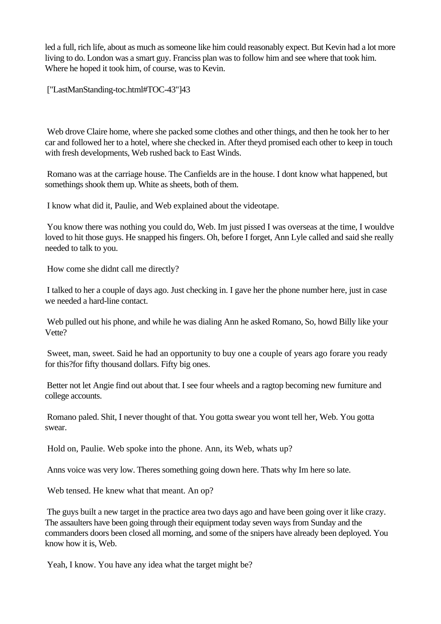led a full, rich life, about as much as someone like him could reasonably expect. But Kevin had a lot more living to do. London was a smart guy. Franciss plan was to follow him and see where that took him. Where he hoped it took him, of course, was to Kevin.

["LastManStanding-toc.html#TOC-43"]43

 Web drove Claire home, where she packed some clothes and other things, and then he took her to her car and followed her to a hotel, where she checked in. After theyd promised each other to keep in touch with fresh developments, Web rushed back to East Winds.

 Romano was at the carriage house. The Canfields are in the house. I dont know what happened, but somethings shook them up. White as sheets, both of them.

I know what did it, Paulie, and Web explained about the videotape.

 You know there was nothing you could do, Web. Im just pissed I was overseas at the time, I wouldve loved to hit those guys. He snapped his fingers. Oh, before I forget, Ann Lyle called and said she really needed to talk to you.

How come she didnt call me directly?

 I talked to her a couple of days ago. Just checking in. I gave her the phone number here, just in case we needed a hard-line contact.

 Web pulled out his phone, and while he was dialing Ann he asked Romano, So, howd Billy like your Vette?

Sweet, man, sweet. Said he had an opportunity to buy one a couple of years ago for are you ready for this? for fifty thousand dollars. Fifty big ones.

 Better not let Angie find out about that. I see four wheels and a ragtop becoming new furniture and college accounts.

 Romano paled. Shit, I never thought of that. You gotta swear you wont tell her, Web. You gotta swear.

Hold on, Paulie. Web spoke into the phone. Ann, its Web, whats up?

Anns voice was very low. Theres something going down here. Thats why Im here so late.

Web tensed. He knew what that meant. An op?

 The guys built a new target in the practice area two days ago and have been going over it like crazy. The assaulters have been going through their equipment today seven ways from Sunday and the commanders doors been closed all morning, and some of the snipers have already been deployed. You know how it is, Web.

Yeah, I know. You have any idea what the target might be?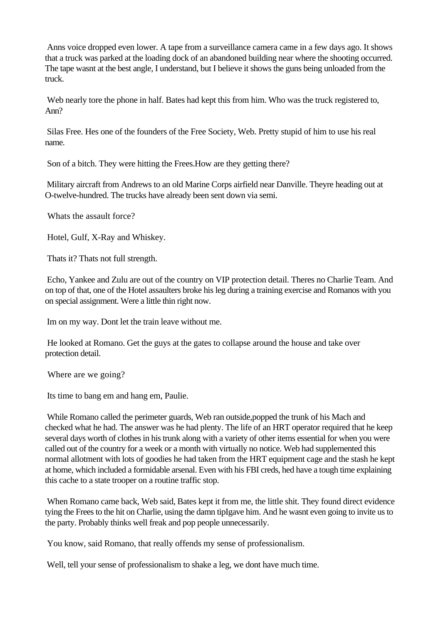Anns voice dropped even lower. A tape from a surveillance camera came in a few days ago. It shows that a truck was parked at the loading dock of an abandoned building near where the shooting occurred. The tape wasnt at the best angle, I understand, but I believe it shows the guns being unloaded from the truck.

Web nearly tore the phone in half. Bates had kept this from him. Who was the truck registered to, Ann?

 Silas Free. Hes one of the founders of the Free Society, Web. Pretty stupid of him to use his real name.

Son of a bitch. They were hitting the Frees. How are they getting there?

 Military aircraft from Andrews to an old Marine Corps airfield near Danville. Theyre heading out at O-twelve-hundred. The trucks have already been sent down via semi.

Whats the assault force?

Hotel, Gulf, X-Ray and Whiskey.

Thats it? Thats not full strength.

 Echo, Yankee and Zulu are out of the country on VIP protection detail. Theres no Charlie Team. And on top of that, one of the Hotel assaulters broke his leg during a training exercise and Romanos with you on special assignment. Were a little thin right now.

Im on my way. Dont let the train leave without me.

 He looked at Romano. Get the guys at the gates to collapse around the house and take over protection detail.

Where are we going?

Its time to bang em and hang em, Paulie.

 While Romano called the perimeter guards, Web ran outside,popped the trunk of his Mach and checked what he had. The answer was he had plenty. The life of an HRT operator required that he keep several days worth of clothes in his trunk along with a variety of other items essential for when you were called out of the country for a week or a month with virtually no notice. Web had supplemented this normal allotment with lots of goodies he had taken from the HRT equipment cage and the stash he kept at home, which included a formidable arsenal. Even with his FBI creds, hed have a tough time explaining this cache to a state trooper on a routine traffic stop.

 When Romano came back, Web said, Bates kept it from me, the little shit. They found direct evidence tying the Frees to the hit on Charlie, using the damn tipIgave him. And he wasnt even going to invite us to the party. Probably thinks well freak and pop people unnecessarily.

You know, said Romano, that really offends my sense of professionalism.

Well, tell your sense of professionalism to shake a leg, we dont have much time.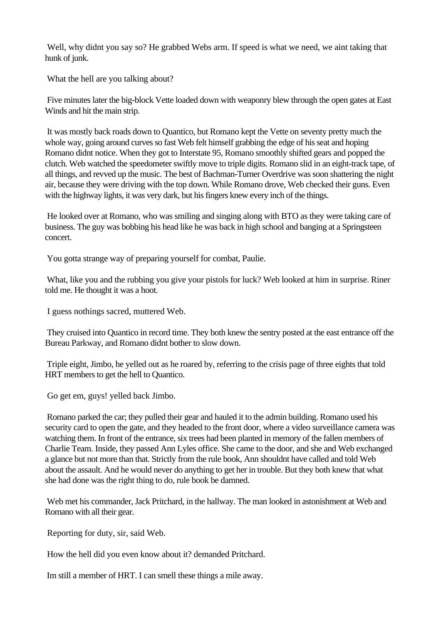Well, why didnt you say so? He grabbed Webs arm. If speed is what we need, we aint taking that hunk of junk.

What the hell are you talking about?

 Five minutes later the big-block Vette loaded down with weaponry blew through the open gates at East Winds and hit the main strip.

 It was mostly back roads down to Quantico, but Romano kept the Vette on seventy pretty much the whole way, going around curves so fast Web felt himself grabbing the edge of his seat and hoping Romano didnt notice. When they got to Interstate 95, Romano smoothly shifted gears and popped the clutch. Web watched the speedometer swiftly move to triple digits. Romano slid in an eight-track tape, of all things, and revved up the music. The best of Bachman-Turner Overdrive was soon shattering the night air, because they were driving with the top down. While Romano drove, Web checked their guns. Even with the highway lights, it was very dark, but his fingers knew every inch of the things.

 He looked over at Romano, who was smiling and singing along with BTO as they were taking care of business. The guy was bobbing his head like he was back in high school and banging at a Springsteen concert.

You gotta strange way of preparing yourself for combat, Paulie.

What, like you and the rubbing you give your pistols for luck? Web looked at him in surprise. Riner told me. He thought it was a hoot.

I guess nothings sacred, muttered Web.

 They cruised into Quantico in record time. They both knew the sentry posted at the east entrance off the Bureau Parkway, and Romano didnt bother to slow down.

 Triple eight, Jimbo, he yelled out as he roared by, referring to the crisis page of three eights that told HRT members to get the hell to Quantico.

Go get em, guys! yelled back Jimbo.

 Romano parked the car; they pulled their gear and hauled it to the admin building. Romano used his security card to open the gate, and they headed to the front door, where a video surveillance camera was watching them. In front of the entrance, six trees had been planted in memory of the fallen members of Charlie Team. Inside, they passed Ann Lyles office. She came to the door, and she and Web exchanged a glance but not more than that. Strictly from the rule book, Ann shouldnt have called and told Web about the assault. And he would never do anything to get her in trouble. But they both knew that what she had done was the right thing to do, rule book be damned.

 Web met his commander, Jack Pritchard, in the hallway. The man looked in astonishment at Web and Romano with all their gear.

Reporting for duty, sir, said Web.

How the hell did you even know about it? demanded Pritchard.

Im still a member of HRT. I can smell these things a mile away.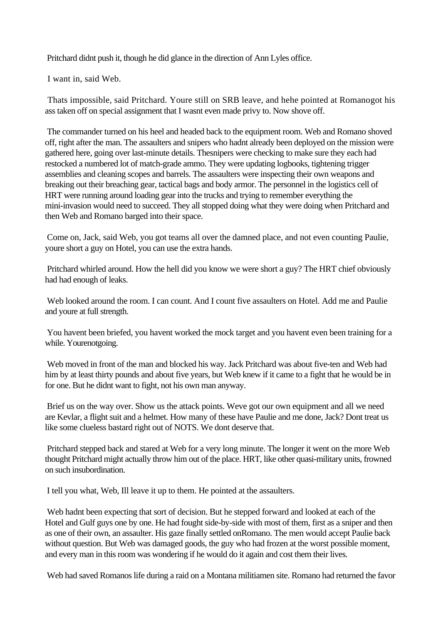Pritchard didnt push it, though he did glance in the direction of Ann Lyles office.

I want in, said Web.

Thats impossible, said Pritchard. Youre still on SRB leave, and he he pointed at Romano got his ass taken off on special assignment that I wasnt even made privy to. Now shove off.

 The commander turned on his heel and headed back to the equipment room. Web and Romano shoved off, right after the man. The assaulters and snipers who hadnt already been deployed on the mission were gathered here, going over last-minute details. Thesnipers were checking to make sure they each had restocked a numbered lot of match-grade ammo. They were updating logbooks, tightening trigger assemblies and cleaning scopes and barrels. The assaulters were inspecting their own weapons and breaking out their breaching gear, tactical bags and body armor. The personnel in the logistics cell of HRT were running around loading gear into the trucks and trying to remember everything the mini-invasion would need to succeed. They all stopped doing what they were doing when Pritchard and then Web and Romano barged into their space.

 Come on, Jack, said Web, you got teams all over the damned place, and not even counting Paulie, youre short a guy on Hotel, you can use the extra hands.

 Pritchard whirled around. How the hell did you know we were short a guy? The HRT chief obviously had had enough of leaks.

Web looked around the room. I can count. And I count five assaulters on Hotel. Add me and Paulie and youre at full strength.

 You havent been briefed, you havent worked the mock target and you havent even been training for a while. Yourenotgoing.

 Web moved in front of the man and blocked his way. Jack Pritchard was about five-ten and Web had him by at least thirty pounds and about five years, but Web knew if it came to a fight that he would be in for one. But he didnt want to fight, not his own man anyway.

 Brief us on the way over. Show us the attack points. Weve got our own equipment and all we need are Kevlar, a flight suit and a helmet. How many of these have Paulie and me done, Jack? Dont treat us like some clueless bastard right out of NOTS. We dont deserve that.

 Pritchard stepped back and stared at Web for a very long minute. The longer it went on the more Web thought Pritchard might actually throw him out of the place. HRT, like other quasi-military units, frowned on such insubordination.

I tell you what, Web, Ill leave it up to them. He pointed at the assaulters.

 Web hadnt been expecting that sort of decision. But he stepped forward and looked at each of the Hotel and Gulf guys one by one. He had fought side-by-side with most of them, first as a sniper and then as one of their own, an assaulter. His gaze finally settled onRomano. The men would accept Paulie back without question. But Web was damaged goods, the guy who had frozen at the worst possible moment, and every man in this room was wondering if he would do it again and cost them their lives.

Web had saved Romanos life during a raid on a Montana militiamen site. Romano had returned the favor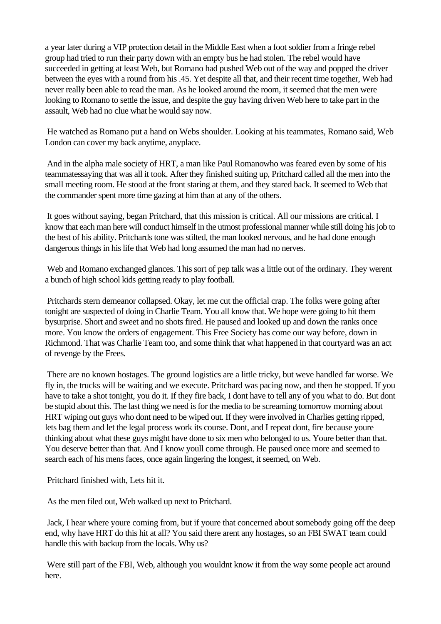a year later during a VIP protection detail in the Middle East when a foot soldier from a fringe rebel group had tried to run their party down with an empty bus he had stolen. The rebel would have succeeded in getting at least Web, but Romano had pushed Web out of the way and popped the driver between the eyes with a round from his .45. Yet despite all that, and their recent time together, Web had never really been able to read the man. As he looked around the room, it seemed that the men were looking to Romano to settle the issue, and despite the guy having driven Web here to take part in the assault, Web had no clue what he would say now.

 He watched as Romano put a hand on Webs shoulder. Looking at his teammates, Romano said, Web London can cover my back anytime, anyplace.

 And in the alpha male society of HRT, a man like Paul Romanowho was feared even by some of his teammates saying that was all it took. After they finished suiting up, Pritchard called all the men into the small meeting room. He stood at the front staring at them, and they stared back. It seemed to Web that the commander spent more time gazing at him than at any of the others.

 It goes without saying, began Pritchard, that this mission is critical. All our missions are critical. I know that each man here will conduct himself in the utmost professional manner while still doing his job to the best of his ability. Pritchards tone was stilted, the man looked nervous, and he had done enough dangerous things in his life that Web had long assumed the man had no nerves.

 Web and Romano exchanged glances. This sort of pep talk was a little out of the ordinary. They werent a bunch of high school kids getting ready to play football.

 Pritchards stern demeanor collapsed. Okay, let me cut the official crap. The folks were going after tonight are suspected of doing in Charlie Team. You all know that. We hope were going to hit them bysurprise. Short and sweet and no shots fired. He paused and looked up and down the ranks once more. You know the orders of engagement. This Free Society has come our way before, down in Richmond. That was Charlie Team too, and some think that what happened in that courtyard was an act of revenge by the Frees.

 There are no known hostages. The ground logistics are a little tricky, but weve handled far worse. We fly in, the trucks will be waiting and we execute. Pritchard was pacing now, and then he stopped. If you have to take a shot tonight, you do it. If they fire back, I dont have to tell any of you what to do. But dont be stupid about this. The last thing we need is for the media to be screaming tomorrow morning about HRT wiping out guys who dont need to be wiped out. If they were involved in Charlies getting ripped, lets bag them and let the legal process work its course. Dont, and I repeat dont, fire because youre thinking about what these guys might have done to six men who belonged to us. Youre better than that. You deserve better than that. And I know youll come through. He paused once more and seemed to search each of his mens faces, once again lingering the longest, it seemed, on Web.

Pritchard finished with, Lets hit it.

As the men filed out, Web walked up next to Pritchard.

 Jack, I hear where youre coming from, but if youre that concerned about somebody going off the deep end, why have HRT do this hit at all? You said there arent any hostages, so an FBI SWAT team could handle this with backup from the locals. Why us?

 Were still part of the FBI, Web, although you wouldnt know it from the way some people act around here.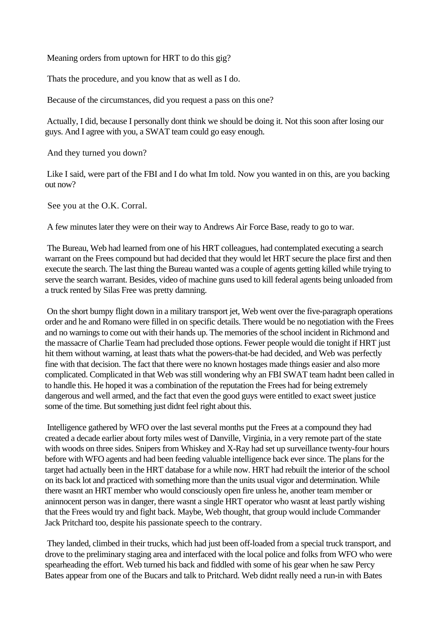Meaning orders from uptown for HRT to do this gig?

Thats the procedure, and you know that as well as I do.

Because of the circumstances, did you request a pass on this one?

 Actually, I did, because I personally dont think we should be doing it. Not this soon after losing our guys. And I agree with you, a SWAT team could go easy enough.

And they turned you down?

 Like I said, were part of the FBI and I do what Im told. Now you wanted in on this, are you backing out now?

See you at the O.K. Corral.

A few minutes later they were on their way to Andrews Air Force Base, ready to go to war.

 The Bureau, Web had learned from one of his HRT colleagues, had contemplated executing a search warrant on the Frees compound but had decided that they would let HRT secure the place first and then execute the search. The last thing the Bureau wanted was a couple of agents getting killed while trying to serve the search warrant. Besides, video of machine guns used to kill federal agents being unloaded from a truck rented by Silas Free was pretty damning.

 On the short bumpy flight down in a military transport jet, Web went over the five-paragraph operations order and he and Romano were filled in on specific details. There would be no negotiation with the Frees and no warnings to come out with their hands up. The memories of the school incident in Richmond and the massacre of Charlie Team had precluded those options. Fewer people would die tonight if HRT just hit them without warning, at least thats what the powers-that-be had decided, and Web was perfectly fine with that decision. The fact that there were no known hostages made things easier and also more complicated. Complicated in that Web was still wondering why an FBI SWAT team hadnt been called in to handle this. He hoped it was a combination of the reputation the Frees had for being extremely dangerous and well armed, and the fact that even the good guys were entitled to exact sweet justice some of the time. But something just didnt feel right about this.

 Intelligence gathered by WFO over the last several months put the Frees at a compound they had created a decade earlier about forty miles west of Danville, Virginia, in a very remote part of the state with woods on three sides. Snipers from Whiskey and X-Ray had set up surveillance twenty-four hours before with WFO agents and had been feeding valuable intelligence back ever since. The plans for the target had actually been in the HRT database for a while now. HRT had rebuilt the interior of the school on its back lot and practiced with something more than the units usual vigor and determination. While there wasnt an HRT member who would consciously open fire unless he, another team member or aninnocent person was in danger, there wasnt a single HRT operator who wasnt at least partly wishing that the Frees would try and fight back. Maybe, Web thought, that group would include Commander Jack Pritchard too, despite his passionate speech to the contrary.

 They landed, climbed in their trucks, which had just been off-loaded from a special truck transport, and drove to the preliminary staging area and interfaced with the local police and folks from WFO who were spearheading the effort. Web turned his back and fiddled with some of his gear when he saw Percy Bates appear from one of the Bucars and talk to Pritchard. Web didnt really need a run-in with Bates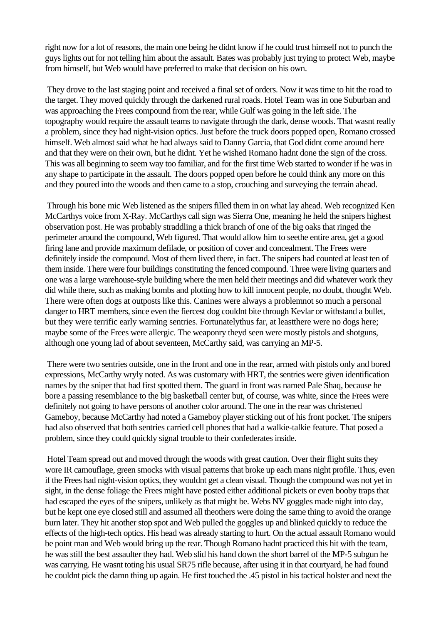right now for a lot of reasons, the main one being he didnt know if he could trust himself not to punch the guys lights out for not telling him about the assault. Bates was probably just trying to protect Web, maybe from himself, but Web would have preferred to make that decision on his own.

 They drove to the last staging point and received a final set of orders. Now it was time to hit the road to the target. They moved quickly through the darkened rural roads. Hotel Team was in one Suburban and was approaching the Frees compound from the rear, while Gulf was going in the left side. The topography would require the assault teams to navigate through the dark, dense woods. That wasnt really a problem, since they had night-vision optics. Just before the truck doors popped open, Romano crossed himself. Web almost said what he had always said to Danny Garcia, that God didnt come around here and that they were on their own, but he didnt. Yet he wished Romano hadnt done the sign of the cross. This was all beginning to seem way too familiar, and for the first time Web started to wonder if he was in any shape to participate in the assault. The doors popped open before he could think any more on this and they poured into the woods and then came to a stop, crouching and surveying the terrain ahead.

 Through his bone mic Web listened as the snipers filled them in on what lay ahead. Web recognized Ken McCarthys voice from X-Ray. McCarthys call sign was Sierra One, meaning he held the snipers highest observation post. He was probably straddling a thick branch of one of the big oaks that ringed the perimeter around the compound, Web figured. That would allow him to seethe entire area, get a good firing lane and provide maximum defilade, or position of cover and concealment. The Frees were definitely inside the compound. Most of them lived there, in fact. The snipers had counted at least ten of them inside. There were four buildings constituting the fenced compound. Three were living quarters and one was a large warehouse-style building where the men held their meetings and did whatever work they did while there, such as making bombs and plotting how to kill innocent people, no doubt, thought Web. There were often dogs at outposts like this. Canines were always a problem not so much a personal danger to HRT members, since even the fiercest dog couldnt bite through Kevlar or withstand a bullet, but they were terrific early warning sentries. Fortunately thus far, at least there were no dogs here; maybe some of the Frees were allergic. The weaponry theyd seen were mostly pistols and shotguns, although one young lad of about seventeen, McCarthy said, was carrying an MP-5.

 There were two sentries outside, one in the front and one in the rear, armed with pistols only and bored expressions, McCarthy wryly noted. As was customary with HRT, the sentries were given identification names by the sniper that had first spotted them. The guard in front was named Pale Shaq, because he bore a passing resemblance to the big basketball center but, of course, was white, since the Frees were definitely not going to have persons of another color around. The one in the rear was christened Gameboy, because McCarthy had noted a Gameboy player sticking out of his front pocket. The snipers had also observed that both sentries carried cell phones that had a walkie-talkie feature. That posed a problem, since they could quickly signal trouble to their confederates inside.

 Hotel Team spread out and moved through the woods with great caution. Over their flight suits they wore IR camouflage, green smocks with visual patterns that broke up each mans night profile. Thus, even if the Frees had night-vision optics, they wouldnt get a clean visual. Though the compound was not yet in sight, in the dense foliage the Frees might have posted either additional pickets or even booby traps that had escaped the eyes of the snipers, unlikely as that might be. Webs NV goggles made night into day, but he kept one eye closed still and assumed all theothers were doing the same thing to avoid the orange burn later. They hit another stop spot and Web pulled the goggles up and blinked quickly to reduce the effects of the high-tech optics. His head was already starting to hurt. On the actual assault Romano would be point man and Web would bring up the rear. Though Romano hadnt practiced this hit with the team, he was still the best assaulter they had. Web slid his hand down the short barrel of the MP-5 subgun he was carrying. He wasnt toting his usual SR75 rifle because, after using it in that courtyard, he had found he couldnt pick the damn thing up again. He first touched the .45 pistol in his tactical holster and next the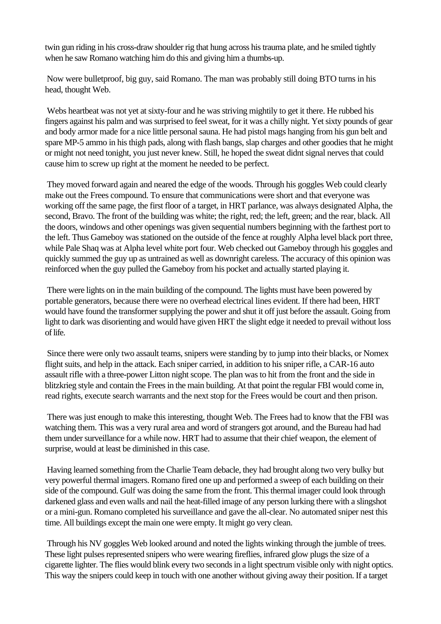twin gun riding in his cross-draw shoulder rig that hung across his trauma plate, and he smiled tightly when he saw Romano watching him do this and giving him a thumbs-up.

 Now were bulletproof, big guy, said Romano. The man was probably still doing BTO turns in his head, thought Web.

Webs heartbeat was not yet at sixty-four and he was striving mightily to get it there. He rubbed his fingers against his palm and was surprised to feel sweat, for it was a chilly night. Yet sixty pounds of gear and body armor made for a nice little personal sauna. He had pistol mags hanging from his gun belt and spare MP-5 ammo in his thigh pads, along with flash bangs, slap charges and other goodies that he might or might not need tonight, you just never knew. Still, he hoped the sweat didnt signal nerves that could cause him to screw up right at the moment he needed to be perfect.

 They moved forward again and neared the edge of the woods. Through his goggles Web could clearly make out the Frees compound. To ensure that communications were short and that everyone was working off the same page, the first floor of a target, in HRT parlance, was always designated Alpha, the second, Bravo. The front of the building was white; the right, red; the left, green; and the rear, black. All the doors, windows and other openings was given sequential numbers beginning with the farthest port to the left. Thus Gameboy was stationed on the outside of the fence at roughly Alpha level black port three, while Pale Shaq was at Alpha level white port four. Web checked out Gameboy through his goggles and quickly summed the guy up as untrained as well as downright careless. The accuracy of this opinion was reinforced when the guy pulled the Gameboy from his pocket and actually started playing it.

 There were lights on in the main building of the compound. The lights must have been powered by portable generators, because there were no overhead electrical lines evident. If there had been, HRT would have found the transformer supplying the power and shut it off just before the assault. Going from light to dark was disorienting and would have given HRT the slight edge it needed to prevail without loss of life.

 Since there were only two assault teams, snipers were standing by to jump into their blacks, or Nomex flight suits, and help in the attack. Each sniper carried, in addition to his sniper rifle, a CAR-16 auto assault rifle with a three-power Litton night scope. The plan was to hit from the front and the side in blitzkrieg style and contain the Frees in the main building. At that point the regular FBI would come in, read rights, execute search warrants and the next stop for the Frees would be court and then prison.

 There was just enough to make this interesting, thought Web. The Frees had to know that the FBI was watching them. This was a very rural area and word of strangers got around, and the Bureau had had them under surveillance for a while now. HRT had to assume that their chief weapon, the element of surprise, would at least be diminished in this case.

 Having learned something from the Charlie Team debacle, they had brought along two very bulky but very powerful thermal imagers. Romano fired one up and performed a sweep of each building on their side of the compound. Gulf was doing the same from the front. This thermal imager could look through darkened glass and even walls and nail the heat-filled image of any person lurking there with a slingshot or a mini-gun. Romano completed his surveillance and gave the all-clear. No automated sniper nest this time. All buildings except the main one were empty. It might go very clean.

 Through his NV goggles Web looked around and noted the lights winking through the jumble of trees. These light pulses represented snipers who were wearing fireflies, infrared glow plugs the size of a cigarette lighter. The flies would blink every two seconds in a light spectrum visible only with night optics. This way the snipers could keep in touch with one another without giving away their position. If a target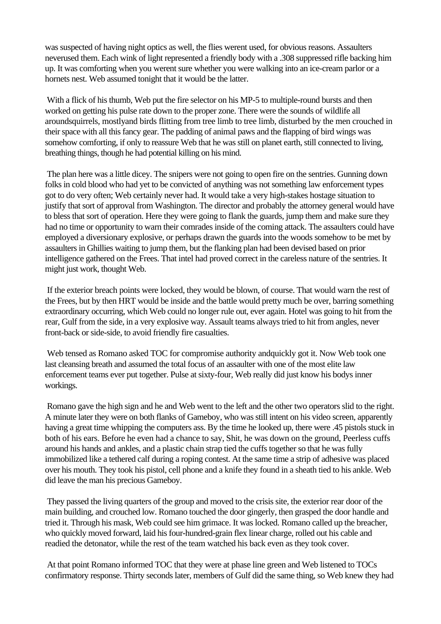was suspected of having night optics as well, the flies werent used, for obvious reasons. Assaulters neverused them. Each wink of light represented a friendly body with a .308 suppressed rifle backing him up. It was comforting when you werent sure whether you were walking into an ice-cream parlor or a hornets nest. Web assumed tonight that it would be the latter.

 With a flick of his thumb, Web put the fire selector on his MP-5 to multiple-round bursts and then worked on getting his pulse rate down to the proper zone. There were the sounds of wildlife all around squirrels, mostly and birds flitting from tree limb to tree limb, disturbed by the men crouched in their space with all this fancy gear. The padding of animal paws and the flapping of bird wings was somehow comforting, if only to reassure Web that he was still on planet earth, still connected to living, breathing things, though he had potential killing on his mind.

 The plan here was a little dicey. The snipers were not going to open fire on the sentries. Gunning down folks in cold blood who had yet to be convicted of anything was not something law enforcement types got to do very often; Web certainly never had. It would take a very high-stakes hostage situation to justify that sort of approval from Washington. The director and probably the attorney general would have to bless that sort of operation. Here they were going to flank the guards, jump them and make sure they had no time or opportunity to warn their comrades inside of the coming attack. The assaulters could have employed a diversionary explosive, or perhaps drawn the guards into the woods somehow to be met by assaulters in Ghillies waiting to jump them, but the flanking plan had been devised based on prior intelligence gathered on the Frees. That intel had proved correct in the careless nature of the sentries. It might just work, thought Web.

 If the exterior breach points were locked, they would be blown, of course. That would warn the rest of the Frees, but by then HRT would be inside and the battle would pretty much be over, barring something extraordinary occurring, which Web could no longer rule out, ever again. Hotel was going to hit from the rear, Gulf from the side, in a very explosive way. Assault teams always tried to hit from angles, never front-back or side-side, to avoid friendly fire casualties.

Web tensed as Romano asked TOC for compromise authority andquickly got it. Now Web took one last cleansing breath and assumed the total focus of an assaulter with one of the most elite law enforcement teams ever put together. Pulse at sixty-four, Web really did just know his bodys inner workings.

 Romano gave the high sign and he and Web went to the left and the other two operators slid to the right. A minute later they were on both flanks of Gameboy, who was still intent on his video screen, apparently having a great time whipping the computers ass. By the time he looked up, there were .45 pistols stuck in both of his ears. Before he even had a chance to say, Shit, he was down on the ground, Peerless cuffs around his hands and ankles, and a plastic chain strap tied the cuffs together so that he was fully immobilized like a tethered calf during a roping contest. At the same time a strip of adhesive was placed over his mouth. They took his pistol, cell phone and a knife they found in a sheath tied to his ankle. Web did leave the man his precious Gameboy.

 They passed the living quarters of the group and moved to the crisis site, the exterior rear door of the main building, and crouched low. Romano touched the door gingerly, then grasped the door handle and tried it. Through his mask, Web could see him grimace. It was locked. Romano called up the breacher, who quickly moved forward, laid his four-hundred-grain flex linear charge, rolled out his cable and readied the detonator, while the rest of the team watched his back even as they took cover.

 At that point Romano informed TOC that they were at phase line green and Web listened to TOCs confirmatory response. Thirty seconds later, members of Gulf did the same thing, so Web knew they had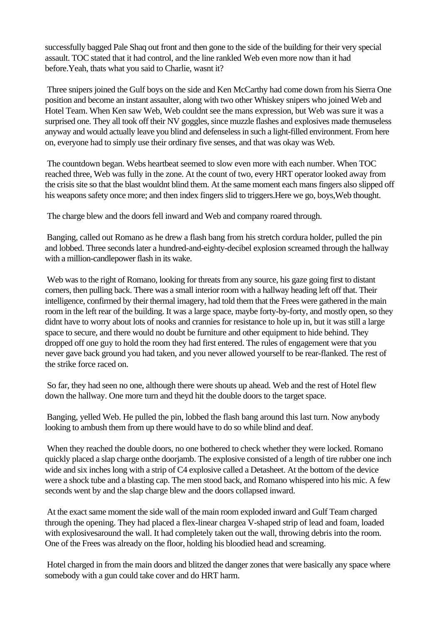successfully bagged Pale Shaq out front and then gone to the side of the building for their very special assault. TOC stated that it had control, and the line rankled Web even more now than it had before.Yeah, thats what you said to Charlie, wasnt it?

 Three snipers joined the Gulf boys on the side and Ken McCarthy had come down from his Sierra One position and become an instant assaulter, along with two other Whiskey snipers who joined Web and Hotel Team. When Ken saw Web, Web couldnt see the mans expression, but Web was sure it was a surprised one. They all took off their NV goggles, since muzzle flashes and explosives made themuseless anyway and would actually leave you blind and defenseless in such a light-filled environment. From here on, everyone had to simply use their ordinary five senses, and that was okay was Web.

 The countdown began. Webs heartbeat seemed to slow even more with each number. When TOC reached three, Web was fully in the zone. At the count of two, every HRT operator looked away from the crisis site so that the blast wouldnt blind them. At the same moment each mans fingers also slipped off his weapons safety once more; and then index fingers slid to triggers.Here we go, boys,Web thought.

The charge blew and the doors fell inward and Web and company roared through.

 Banging, called out Romano as he drew a flash bang from his stretch cordura holder, pulled the pin and lobbed. Three seconds later a hundred-and-eighty-decibel explosion screamed through the hallway with a million-candlepower flash in its wake.

Web was to the right of Romano, looking for threats from any source, his gaze going first to distant corners, then pulling back. There was a small interior room with a hallway heading left off that. Their intelligence, confirmed by their thermal imagery, had told them that the Frees were gathered in the main room in the left rear of the building. It was a large space, maybe forty-by-forty, and mostly open, so they didnt have to worry about lots of nooks and crannies for resistance to hole up in, but it was still a large space to secure, and there would no doubt be furniture and other equipment to hide behind. They dropped off one guy to hold the room they had first entered. The rules of engagement were that you never gave back ground you had taken, and you never allowed yourself to be rear-flanked. The rest of the strike force raced on.

 So far, they had seen no one, although there were shouts up ahead. Web and the rest of Hotel flew down the hallway. One more turn and theyd hit the double doors to the target space.

 Banging, yelled Web. He pulled the pin, lobbed the flash bang around this last turn. Now anybody looking to ambush them from up there would have to do so while blind and deaf.

 When they reached the double doors, no one bothered to check whether they were locked. Romano quickly placed a slap charge onthe doorjamb. The explosive consisted of a length of tire rubber one inch wide and six inches long with a strip of C4 explosive called a Detasheet. At the bottom of the device were a shock tube and a blasting cap. The men stood back, and Romano whispered into his mic. A few seconds went by and the slap charge blew and the doors collapsed inward.

 At the exact same moment the side wall of the main room exploded inward and Gulf Team charged through the opening. They had placed a flex-linear charge a V-shaped strip of lead and foam, loaded with explosives around the wall. It had completely taken out the wall, throwing debris into the room. One of the Frees was already on the floor, holding his bloodied head and screaming.

 Hotel charged in from the main doors and blitzed the danger zones that were basically any space where somebody with a gun could take cover and do HRT harm.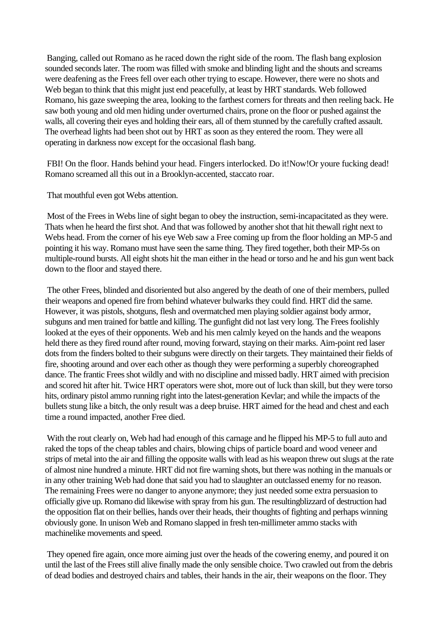Banging, called out Romano as he raced down the right side of the room. The flash bang explosion sounded seconds later. The room was filled with smoke and blinding light and the shouts and screams were deafening as the Frees fell over each other trying to escape. However, there were no shots and Web began to think that this might just end peacefully, at least by HRT standards. Web followed Romano, his gaze sweeping the area, looking to the farthest corners for threats and then reeling back. He saw both young and old men hiding under overturned chairs, prone on the floor or pushed against the walls, all covering their eyes and holding their ears, all of them stunned by the carefully crafted assault. The overhead lights had been shot out by HRT as soon as they entered the room. They were all operating in darkness now except for the occasional flash bang.

FBI! On the floor. Hands behind your head. Fingers interlocked. Do it!Now! Or youre fucking dead! Romano screamed all this out in a Brooklyn-accented, staccato roar.

That mouthful even got Webs attention.

 Most of the Frees in Webs line of sight began to obey the instruction, semi-incapacitated as they were. Thats when he heard the first shot. And that was followed by another shot that hit thewall right next to Webs head. From the corner of his eye Web saw a Free coming up from the floor holding an MP-5 and pointing it his way. Romano must have seen the same thing. They fired together, both their MP-5s on multiple-round bursts. All eight shots hit the man either in the head or torso and he and his gun went back down to the floor and stayed there.

 The other Frees, blinded and disoriented but also angered by the death of one of their members, pulled their weapons and opened fire from behind whatever bulwarks they could find. HRT did the same. However, it was pistols, shotguns, flesh and overmatched men playing soldier against body armor, subguns and men trained for battle and killing. The gunfight did not last very long. The Frees foolishly looked at the eyes of their opponents. Web and his men calmly keyed on the hands and the weapons held there as they fired round after round, moving forward, staying on their marks. Aim-point red laser dots from the finders bolted to their subguns were directly on their targets. They maintained their fields of fire, shooting around and over each other as though they were performing a superbly choreographed dance. The frantic Frees shot wildly and with no discipline and missed badly. HRT aimed with precision and scored hit after hit. Twice HRT operators were shot, more out of luck than skill, but they were torso hits, ordinary pistol ammo running right into the latest-generation Kevlar; and while the impacts of the bullets stung like a bitch, the only result was a deep bruise. HRT aimed for the head and chest and each time a round impacted, another Free died.

 With the rout clearly on, Web had had enough of this carnage and he flipped his MP-5 to full auto and raked the tops of the cheap tables and chairs, blowing chips of particle board and wood veneer and strips of metal into the air and filling the opposite walls with lead as his weapon threw out slugs at the rate of almost nine hundred a minute. HRT did not fire warning shots, but there was nothing in the manuals or in any other training Web had done that said you had to slaughter an outclassed enemy for no reason. The remaining Frees were no danger to anyone anymore; they just needed some extra persuasion to officially give up. Romano did likewise with spray from his gun. The resultingblizzard of destruction had the opposition flat on their bellies, hands over their heads, their thoughts of fighting and perhaps winning obviously gone. In unison Web and Romano slapped in fresh ten-millimeter ammo stacks with machinelike movements and speed.

 They opened fire again, once more aiming just over the heads of the cowering enemy, and poured it on until the last of the Frees still alive finally made the only sensible choice. Two crawled out from the debris of dead bodies and destroyed chairs and tables, their hands in the air, their weapons on the floor. They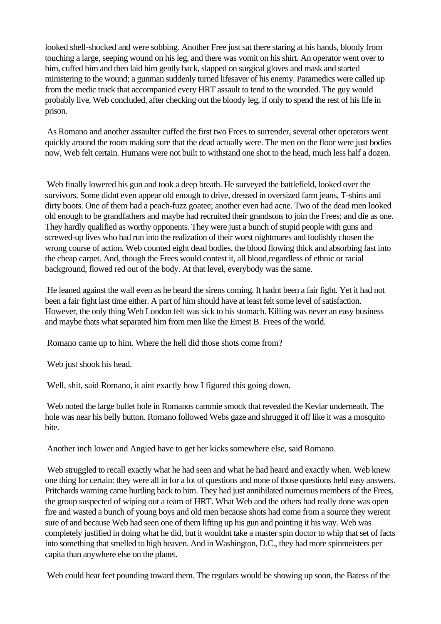looked shell-shocked and were sobbing. Another Free just sat there staring at his hands, bloody from touching a large, seeping wound on his leg, and there was vomit on his shirt. An operator went over to him, cuffed him and then laid him gently back, slapped on surgical gloves and mask and started ministering to the wound; a gunman suddenly turned lifesaver of his enemy. Paramedics were called up from the medic truck that accompanied every HRT assault to tend to the wounded. The guy would probably live, Web concluded, after checking out the bloody leg, if only to spend the rest of his life in prison.

 As Romano and another assaulter cuffed the first two Frees to surrender, several other operators went quickly around the room making sure that the dead actually were. The men on the floor were just bodies now, Web felt certain. Humans were not built to withstand one shot to the head, much less half a dozen.

 Web finally lowered his gun and took a deep breath. He surveyed the battlefield, looked over the survivors. Some didnt even appear old enough to drive, dressed in oversized farm jeans, T-shirts and dirty boots. One of them had a peach-fuzz goatee; another even had acne. Two of the dead men looked old enough to be grandfathers and maybe had recruited their grandsons to join the Frees; and die as one. They hardly qualified as worthy opponents. They were just a bunch of stupid people with guns and screwed-up lives who had run into the realization of their worst nightmares and foolishly chosen the wrong course of action. Web counted eight dead bodies, the blood flowing thick and absorbing fast into the cheap carpet. And, though the Frees would contest it, all blood,regardless of ethnic or racial background, flowed red out of the body. At that level, everybody was the same.

 He leaned against the wall even as he heard the sirens coming. It hadnt been a fair fight. Yet it had not been a fair fight last time either. A part of him should have at least felt some level of satisfaction. However, the only thing Web London felt was sick to his stomach. Killing was never an easy business and maybe thats what separated him from men like the Ernest B. Frees of the world.

Romano came up to him. Where the hell did those shots come from?

Web just shook his head.

Well, shit, said Romano, it aint exactly how I figured this going down.

 Web noted the large bullet hole in Romanos cammie smock that revealed the Kevlar underneath. The hole was near his belly button. Romano followed Webs gaze and shrugged it off like it was a mosquito bite.

Another inch lower and Angied have to get her kicks somewhere else, said Romano.

 Web struggled to recall exactly what he had seen and what he had heard and exactly when. Web knew one thing for certain: they were all in for a lot of questions and none of those questions held easy answers. Pritchards warning came hurtling back to him. They had just annihilated numerous members of the Frees, the group suspected of wiping out a team of HRT. What Web and the others had really done was open fire and wasted a bunch of young boys and old men because shots had come from a source they werent sure of and because Web had seen one of them lifting up his gun and pointing it his way. Web was completely justified in doing what he did, but it wouldnt take a master spin doctor to whip that set of facts into something that smelled to high heaven. And in Washington, D.C., they had more spinmeisters per capita than anywhere else on the planet.

Web could hear feet pounding toward them. The regulars would be showing up soon, the Batess of the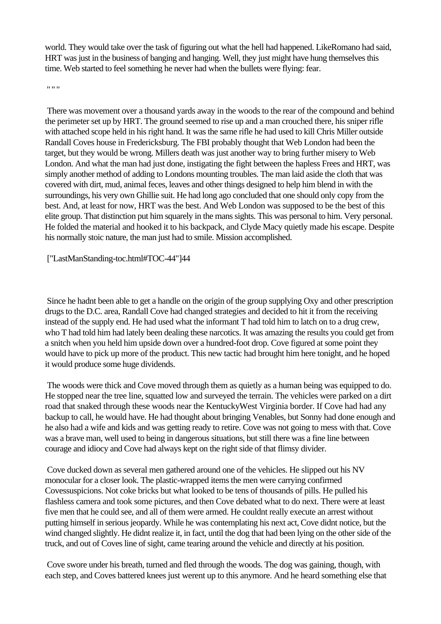world. They would take over the task of figuring out what the hell had happened. LikeRomano had said, HRT was just in the business of banging and hanging. Well, they just might have hung themselves this time. Web started to feel something he never had when the bullets were flying: fear.

" " "

 There was movement over a thousand yards away in the woods to the rear of the compound and behind the perimeter set up by HRT. The ground seemed to rise up and a man crouched there, his sniper rifle with attached scope held in his right hand. It was the same rifle he had used to kill Chris Miller outside Randall Coves house in Fredericksburg. The FBI probably thought that Web London had been the target, but they would be wrong. Millers death was just another way to bring further misery to Web London. And what the man had just done, instigating the fight between the hapless Frees and HRT, was simply another method of adding to Londons mounting troubles. The man laid aside the cloth that was covered with dirt, mud, animal feces, leaves and other things designed to help him blend in with the surroundings, his very own Ghillie suit. He had long ago concluded that one should only copy from the best. And, at least for now, HRT was the best. And Web London was supposed to be the best of this elite group. That distinction put him squarely in the mans sights. This was personal to him. Very personal. He folded the material and hooked it to his backpack, and Clyde Macy quietly made his escape. Despite his normally stoic nature, the man just had to smile. Mission accomplished.

["LastManStanding-toc.html#TOC-44"]44

 Since he hadnt been able to get a handle on the origin of the group supplying Oxy and other prescription drugs to the D.C. area, Randall Cove had changed strategies and decided to hit it from the receiving instead of the supply end. He had used what the informant T had told him to latch on to a drug crew, who T had told him had lately been dealing these narcotics. It was amazing the results you could get from a snitch when you held him upside down over a hundred-foot drop. Cove figured at some point they would have to pick up more of the product. This new tactic had brought him here tonight, and he hoped it would produce some huge dividends.

 The woods were thick and Cove moved through them as quietly as a human being was equipped to do. He stopped near the tree line, squatted low and surveyed the terrain. The vehicles were parked on a dirt road that snaked through these woods near the Kentucky West Virginia border. If Cove had had any backup to call, he would have. He had thought about bringing Venables, but Sonny had done enough and he also had a wife and kids and was getting ready to retire. Cove was not going to mess with that. Cove was a brave man, well used to being in dangerous situations, but still there was a fine line between courage and idiocy and Cove had always kept on the right side of that flimsy divider.

 Cove ducked down as several men gathered around one of the vehicles. He slipped out his NV monocular for a closer look. The plastic-wrapped items the men were carrying confirmed Covessuspicions. Not coke bricks but what looked to be tens of thousands of pills. He pulled his flashless camera and took some pictures, and then Cove debated what to do next. There were at least five men that he could see, and all of them were armed. He couldnt really execute an arrest without putting himself in serious jeopardy. While he was contemplating his next act, Cove didnt notice, but the wind changed slightly. He didnt realize it, in fact, until the dog that had been lying on the other side of the truck, and out of Coves line of sight, came tearing around the vehicle and directly at his position.

 Cove swore under his breath, turned and fled through the woods. The dog was gaining, though, with each step, and Coves battered knees just werent up to this anymore. And he heard something else that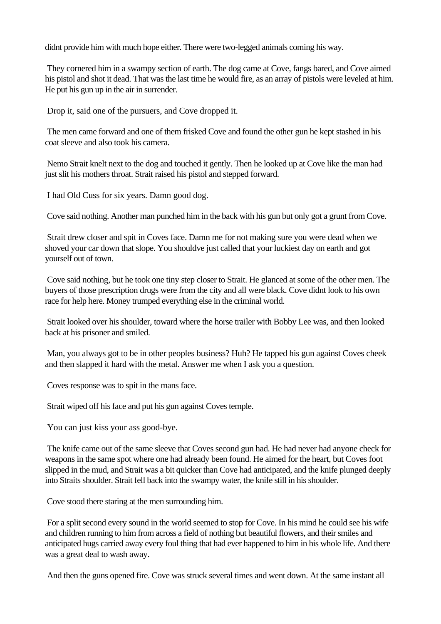didnt provide him with much hope either. There were two-legged animals coming his way.

 They cornered him in a swampy section of earth. The dog came at Cove, fangs bared, and Cove aimed his pistol and shot it dead. That was the last time he would fire, as an array of pistols were leveled at him. He put his gun up in the air in surrender.

Drop it, said one of the pursuers, and Cove dropped it.

 The men came forward and one of them frisked Cove and found the other gun he kept stashed in his coat sleeve and also took his camera.

 Nemo Strait knelt next to the dog and touched it gently. Then he looked up at Cove like the man had just slit his mothers throat. Strait raised his pistol and stepped forward.

I had Old Cuss for six years. Damn good dog.

Cove said nothing. Another man punched him in the back with his gun but only got a grunt from Cove.

 Strait drew closer and spit in Coves face. Damn me for not making sure you were dead when we shoved your car down that slope. You shouldve just called that your luckiest day on earth and got yourself out of town.

 Cove said nothing, but he took one tiny step closer to Strait. He glanced at some of the other men. The buyers of those prescription drugs were from the city and all were black. Cove didnt look to his own race for help here. Money trumped everything else in the criminal world.

 Strait looked over his shoulder, toward where the horse trailer with Bobby Lee was, and then looked back at his prisoner and smiled.

 Man, you always got to be in other peoples business? Huh? He tapped his gun against Coves cheek and then slapped it hard with the metal. Answer me when I ask you a question.

Coves response was to spit in the mans face.

Strait wiped off his face and put his gun against Coves temple.

You can just kiss your ass good-bye.

 The knife came out of the same sleeve that Coves second gun had. He had never had anyone check for weapons in the same spot where one had already been found. He aimed for the heart, but Coves foot slipped in the mud, and Strait was a bit quicker than Cove had anticipated, and the knife plunged deeply into Straits shoulder. Strait fell back into the swampy water, the knife still in his shoulder.

Cove stood there staring at the men surrounding him.

 For a split second every sound in the world seemed to stop for Cove. In his mind he could see his wife and children running to him from across a field of nothing but beautiful flowers, and their smiles and anticipated hugs carried away every foul thing that had ever happened to him in his whole life. And there was a great deal to wash away.

And then the guns opened fire. Cove was struck several times and went down. At the same instant all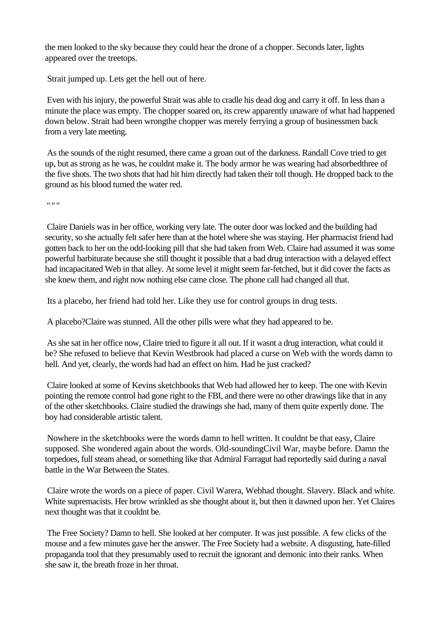the men looked to the sky because they could hear the drone of a chopper. Seconds later, lights appeared over the treetops.

Strait jumped up. Lets get the hell out of here.

 Even with his injury, the powerful Strait was able to cradle his dead dog and carry it off. In less than a minute the place was empty. The chopper soared on, its crew apparently unaware of what had happened down below. Strait had been wrong the chopper was merely ferrying a group of businessmen back from a very late meeting.

 As the sounds of the night resumed, there came a groan out of the darkness. Randall Cove tried to get up, but as strong as he was, he couldnt make it. The body armor he was wearing had absorbedthree of the five shots. The two shots that had hit him directly had taken their toll though. He dropped back to the ground as his blood turned the water red.

" " "

 Claire Daniels was in her office, working very late. The outer door was locked and the building had security, so she actually felt safer here than at the hotel where she was staying. Her pharmacist friend had gotten back to her on the odd-looking pill that she had taken from Web. Claire had assumed it was some powerful barbiturate because she still thought it possible that a bad drug interaction with a delayed effect had incapacitated Web in that alley. At some level it might seem far-fetched, but it did cover the facts as she knew them, and right now nothing else came close. The phone call had changed all that.

Its a placebo, her friend had told her. Like they use for control groups in drug tests.

A placebo?Claire was stunned. All the other pills were what they had appeared to be.

 As she sat in her office now, Claire tried to figure it all out. If it wasnt a drug interaction, what could it be? She refused to believe that Kevin Westbrook had placed a curse on Web with the words damn to hell. And yet, clearly, the words had had an effect on him. Had he just cracked?

 Claire looked at some of Kevins sketchbooks that Web had allowed her to keep. The one with Kevin pointing the remote control had gone right to the FBI, and there were no other drawings like that in any of the other sketchbooks. Claire studied the drawings she had, many of them quite expertly done. The boy had considerable artistic talent.

 Nowhere in the sketchbooks were the words damn to hell written. It couldnt be that easy, Claire supposed. She wondered again about the words. Old-sounding Civil War, maybe before. Damn the torpedoes, full steam ahead, or something like that Admiral Farragut had reportedly said during a naval battle in the War Between the States.

 Claire wrote the words on a piece of paper. Civil Warera, Webhad thought. Slavery. Black and white. White supremacists. Her brow wrinkled as she thought about it, but then it dawned upon her. Yet Claires next thought was that it couldnt be.

 The Free Society? Damn to hell. She looked at her computer. It was just possible. A few clicks of the mouse and a few minutes gave her the answer. The Free Society had a website. A disgusting, hate-filled propaganda tool that they presumably used to recruit the ignorant and demonic into their ranks. When she saw it, the breath froze in her throat.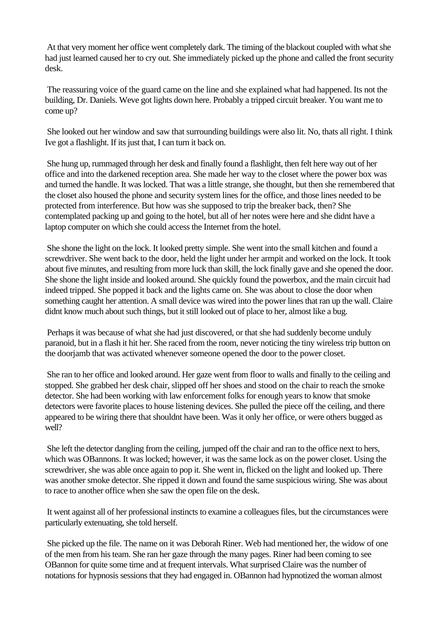At that very moment her office went completely dark. The timing of the blackout coupled with what she had just learned caused her to cry out. She immediately picked up the phone and called the front security desk.

 The reassuring voice of the guard came on the line and she explained what had happened. Its not the building, Dr. Daniels. Weve got lights down here. Probably a tripped circuit breaker. You want me to come up?

 She looked out her window and saw that surrounding buildings were also lit. No, thats all right. I think Ive got a flashlight. If its just that, I can turn it back on.

 She hung up, rummaged through her desk and finally found a flashlight, then felt here way out of her office and into the darkened reception area. She made her way to the closet where the power box was and turned the handle. It was locked. That was a little strange, she thought, but then she remembered that the closet also housed the phone and security system lines for the office, and those lines needed to be protected from interference. But how was she supposed to trip the breaker back, then? She contemplated packing up and going to the hotel, but all of her notes were here and she didnt have a laptop computer on which she could access the Internet from the hotel.

 She shone the light on the lock. It looked pretty simple. She went into the small kitchen and found a screwdriver. She went back to the door, held the light under her armpit and worked on the lock. It took about five minutes, and resulting from more luck than skill, the lock finally gave and she opened the door. She shone the light inside and looked around. She quickly found the powerbox, and the main circuit had indeed tripped. She popped it back and the lights came on. She was about to close the door when something caught her attention. A small device was wired into the power lines that ran up the wall. Claire didnt know much about such things, but it still looked out of place to her, almost like a bug.

 Perhaps it was because of what she had just discovered, or that she had suddenly become unduly paranoid, but in a flash it hit her. She raced from the room, never noticing the tiny wireless trip button on the doorjamb that was activated whenever someone opened the door to the power closet.

 She ran to her office and looked around. Her gaze went from floor to walls and finally to the ceiling and stopped. She grabbed her desk chair, slipped off her shoes and stood on the chair to reach the smoke detector. She had been working with law enforcement folks for enough years to know that smoke detectors were favorite places to house listening devices. She pulled the piece off the ceiling, and there appeared to be wiring there that shouldnt have been. Was it only her office, or were others bugged as well?

 She left the detector dangling from the ceiling, jumped off the chair and ran to the office next to hers, which was OBannons. It was locked; however, it was the same lock as on the power closet. Using the screwdriver, she was able once again to pop it. She went in, flicked on the light and looked up. There was another smoke detector. She ripped it down and found the same suspicious wiring. She was about to race to another office when she saw the open file on the desk.

 It went against all of her professional instincts to examine a colleagues files, but the circumstances were particularly extenuating, she told herself.

 She picked up the file. The name on it was Deborah Riner. Web had mentioned her, the widow of one of the men from his team. She ran her gaze through the many pages. Riner had been coming to see OBannon for quite some time and at frequent intervals. What surprised Claire was the number of notations for hypnosis sessions that they had engaged in. OBannon had hypnotized the woman almost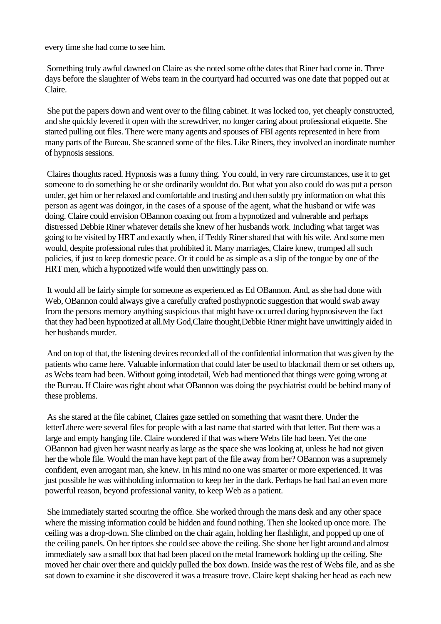every time she had come to see him.

 Something truly awful dawned on Claire as she noted some ofthe dates that Riner had come in. Three days before the slaughter of Webs team in the courtyard had occurred was one date that popped out at Claire.

 She put the papers down and went over to the filing cabinet. It was locked too, yet cheaply constructed, and she quickly levered it open with the screwdriver, no longer caring about professional etiquette. She started pulling out files. There were many agents and spouses of FBI agents represented in here from many parts of the Bureau. She scanned some of the files. Like Riners, they involved an inordinate number of hypnosis sessions.

 Claires thoughts raced. Hypnosis was a funny thing. You could, in very rare circumstances, use it to get someone to do something he or she ordinarily wouldnt do. But what you also could do was put a person under, get him or her relaxed and comfortable and trusting and then subtly pry information on what this person as agent was doing or, in the cases of a spouse of the agent, what the husband or wife was doing. Claire could envision OBannon coaxing out from a hypnotized and vulnerable and perhaps distressed Debbie Riner whatever details she knew of her husbands work. Including what target was going to be visited by HRT and exactly when, if Teddy Riner shared that with his wife. And some men would, despite professional rules that prohibited it. Many marriages, Claire knew, trumped all such policies, if just to keep domestic peace. Or it could be as simple as a slip of the tongue by one of the HRT men, which a hypnotized wife would then unwittingly pass on.

 It would all be fairly simple for someone as experienced as Ed OBannon. And, as she had done with Web, OBannon could always give a carefully crafted posthypnotic suggestion that would swab away from the persons memory anything suspicious that might have occurred during hypnosis even the fact that they had been hypnotized at all.My God,Claire thought,Debbie Riner might have unwittingly aided in her husbands murder.

 And on top of that, the listening devices recorded all of the confidential information that was given by the patients who came here. Valuable information that could later be used to blackmail them or set others up, as Webs team had been. Without going intodetail, Web had mentioned that things were going wrong at the Bureau. If Claire was right about what OBannon was doing the psychiatrist could be behind many of these problems.

 As she stared at the file cabinet, Claires gaze settled on something that wasnt there. Under the letterLthere were several files for people with a last name that started with that letter. But there was a large and empty hanging file. Claire wondered if that was where Webs file had been. Yet the one OBannon had given her wasnt nearly as large as the space she was looking at, unless he had not given her the whole file. Would the man have kept part of the file away from her? OBannon was a supremely confident, even arrogant man, she knew. In his mind no one was smarter or more experienced. It was just possible he was withholding information to keep her in the dark. Perhaps he had had an even more powerful reason, beyond professional vanity, to keep Web as a patient.

 She immediately started scouring the office. She worked through the mans desk and any other space where the missing information could be hidden and found nothing. Then she looked up once more. The ceiling was a drop-down. She climbed on the chair again, holding her flashlight, and popped up one of the ceiling panels. On her tiptoes she could see above the ceiling. She shone her light around and almost immediately saw a small box that had been placed on the metal framework holding up the ceiling. She moved her chair over there and quickly pulled the box down. Inside was the rest of Webs file, and as she sat down to examine it she discovered it was a treasure trove. Claire kept shaking her head as each new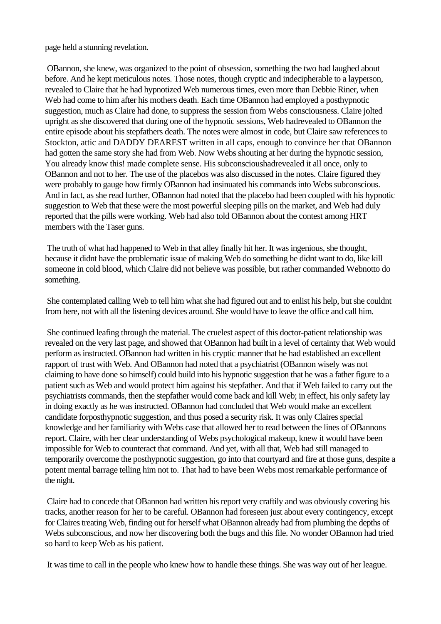page held a stunning revelation.

 OBannon, she knew, was organized to the point of obsession, something the two had laughed about before. And he kept meticulous notes. Those notes, though cryptic and indecipherable to a layperson, revealed to Claire that he had hypnotized Web numerous times, even more than Debbie Riner, when Web had come to him after his mothers death. Each time OBannon had employed a posthypnotic suggestion, much as Claire had done, to suppress the session from Webs consciousness. Claire jolted upright as she discovered that during one of the hypnotic sessions, Web hadrevealed to OBannon the entire episode about his stepfathers death. The notes were almost in code, but Claire saw references to Stockton, attic and DADDY DEAREST written in all caps, enough to convince her that OBannon had gotten the same story she had from Web. Now Webs shouting at her during the hypnotic session, You already know this! made complete sense. His subconscioushadrevealed it all once, only to OBannon and not to her. The use of the placebos was also discussed in the notes. Claire figured they were probably to gauge how firmly OBannon had insinuated his commands into Webs subconscious. And in fact, as she read further, OBannon had noted that the placebo had been coupled with his hypnotic suggestion to Web that these were the most powerful sleeping pills on the market, and Web had duly reported that the pills were working. Web had also told OBannon about the contest among HRT members with the Taser guns.

 The truth of what had happened to Web in that alley finally hit her. It was ingenious, she thought, because it didnt have the problematic issue of making Web do something he didnt want to do, like kill someone in cold blood, which Claire did not believe was possible, but rather commanded Webnotto do something.

 She contemplated calling Web to tell him what she had figured out and to enlist his help, but she couldnt from here, not with all the listening devices around. She would have to leave the office and call him.

 She continued leafing through the material. The cruelest aspect of this doctor-patient relationship was revealed on the very last page, and showed that OBannon had built in a level of certainty that Web would perform as instructed. OBannon had written in his cryptic manner that he had established an excellent rapport of trust with Web. And OBannon had noted that a psychiatrist (OBannon wisely was not claiming to have done so himself) could build into his hypnotic suggestion that he was a father figure to a patient such as Web and would protect him against his stepfather. And that if Web failed to carry out the psychiatrists commands, then the stepfather would come back and kill Web; in effect, his only safety lay in doing exactly as he was instructed. OBannon had concluded that Web would make an excellent candidate forposthypnotic suggestion, and thus posed a security risk. It was only Claires special knowledge and her familiarity with Webs case that allowed her to read between the lines of OBannons report. Claire, with her clear understanding of Webs psychological makeup, knew it would have been impossible for Web to counteract that command. And yet, with all that, Web had still managed to temporarily overcome the posthypnotic suggestion, go into that courtyard and fire at those guns, despite a potent mental barrage telling him not to. That had to have been Webs most remarkable performance of the night.

 Claire had to concede that OBannon had written his report very craftily and was obviously covering his tracks, another reason for her to be careful. OBannon had foreseen just about every contingency, except for Claires treating Web, finding out for herself what OBannon already had from plumbing the depths of Webs subconscious, and now her discovering both the bugs and this file. No wonder OBannon had tried so hard to keep Web as his patient.

It was time to call in the people who knew how to handle these things. She was way out of her league.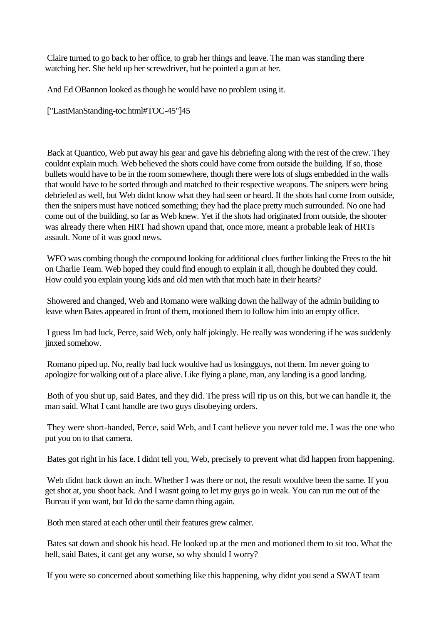Claire turned to go back to her office, to grab her things and leave. The man was standing there watching her. She held up her screwdriver, but he pointed a gun at her.

And Ed OBannon looked as though he would have no problem using it.

["LastManStanding-toc.html#TOC-45"]45

 Back at Quantico, Web put away his gear and gave his debriefing along with the rest of the crew. They couldnt explain much. Web believed the shots could have come from outside the building. If so, those bullets would have to be in the room somewhere, though there were lots of slugs embedded in the walls that would have to be sorted through and matched to their respective weapons. The snipers were being debriefed as well, but Web didnt know what they had seen or heard. If the shots had come from outside, then the snipers must have noticed something; they had the place pretty much surrounded. No one had come out of the building, so far as Web knew. Yet if the shots had originated from outside, the shooter was already there when HRT had shown up and that, once more, meant a probable leak of HRTs assault. None of it was good news.

 WFO was combing though the compound looking for additional clues further linking the Frees to the hit on Charlie Team. Web hoped they could find enough to explain it all, though he doubted they could. How could you explain young kids and old men with that much hate in their hearts?

 Showered and changed, Web and Romano were walking down the hallway of the admin building to leave when Bates appeared in front of them, motioned them to follow him into an empty office.

 I guess Im bad luck, Perce, said Web, only half jokingly. He really was wondering if he was suddenly jinxed somehow.

 Romano piped up. No, really bad luck wouldve had us losingguys, not them. Im never going to apologize for walking out of a place alive. Like flying a plane, man, any landing is a good landing.

 Both of you shut up, said Bates, and they did. The press will rip us on this, but we can handle it, the man said. What I cant handle are two guys disobeying orders.

 They were short-handed, Perce, said Web, and I cant believe you never told me. I was the one who put you on to that camera.

Bates got right in his face. I didnt tell you, Web, precisely to prevent what did happen from happening.

 Web didnt back down an inch. Whether I was there or not, the result wouldve been the same. If you get shot at, you shoot back. And I wasnt going to let my guys go in weak. You can run me out of the Bureau if you want, but Id do the same damn thing again.

Both men stared at each other until their features grew calmer.

 Bates sat down and shook his head. He looked up at the men and motioned them to sit too. What the hell, said Bates, it cant get any worse, so why should I worry?

If you were so concerned about something like this happening, why didnt you send a SWAT team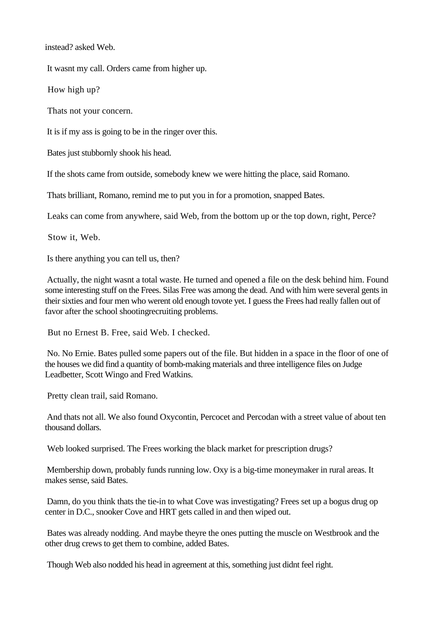instead? asked Web.

It wasnt my call. Orders came from higher up.

How high up?

Thats not your concern.

It is if my ass is going to be in the ringer over this.

Bates just stubbornly shook his head.

If the shots came from outside, somebody knew we were hitting the place, said Romano.

Thats brilliant, Romano, remind me to put you in for a promotion, snapped Bates.

Leaks can come from anywhere, said Web, from the bottom up or the top down, right, Perce?

Stow it, Web.

Is there anything you can tell us, then?

 Actually, the night wasnt a total waste. He turned and opened a file on the desk behind him. Found some interesting stuff on the Frees. Silas Free was among the dead. And with him were several gents in their sixties and four men who werent old enough tovote yet. I guess the Frees had really fallen out of favor after the school shooting recruiting problems.

But no Ernest B. Free, said Web. I checked.

 No. No Ernie. Bates pulled some papers out of the file. But hidden in a space in the floor of one of the houses we did find a quantity of bomb-making materials and three intelligence files on Judge Leadbetter, Scott Wingo and Fred Watkins.

Pretty clean trail, said Romano.

 And thats not all. We also found Oxycontin, Percocet and Percodan with a street value of about ten thousand dollars.

Web looked surprised. The Frees working the black market for prescription drugs?

 Membership down, probably funds running low. Oxy is a big-time moneymaker in rural areas. It makes sense, said Bates.

 Damn, do you think thats the tie-in to what Cove was investigating? Frees set up a bogus drug op center in D.C., snooker Cove and HRT gets called in and then wiped out.

 Bates was already nodding. And maybe theyre the ones putting the muscle on Westbrook and the other drug crews to get them to combine, added Bates.

Though Web also nodded his head in agreement at this, something just didnt feel right.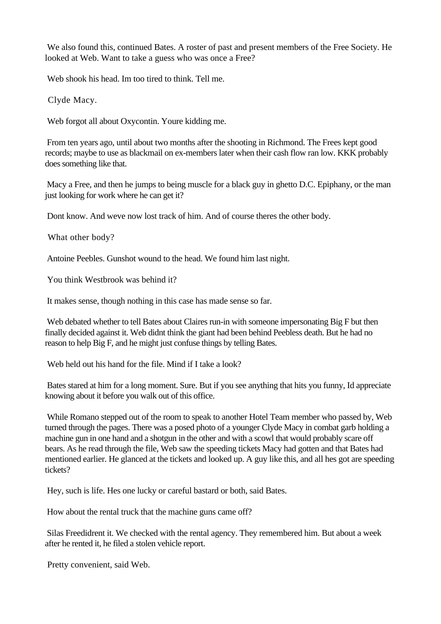We also found this, continued Bates. A roster of past and present members of the Free Society. He looked at Web. Want to take a guess who was once a Free?

Web shook his head. Im too tired to think. Tell me.

Clyde Macy.

Web forgot all about Oxycontin. Youre kidding me.

 From ten years ago, until about two months after the shooting in Richmond. The Frees kept good records; maybe to use as blackmail on ex-members later when their cash flow ran low. KKK probably does something like that.

 Macy a Free, and then he jumps to being muscle for a black guy in ghetto D.C. Epiphany, or the man just looking for work where he can get it?

Dont know. And weve now lost track of him. And of course theres the other body.

What other body?

Antoine Peebles. Gunshot wound to the head. We found him last night.

You think Westbrook was behind it?

It makes sense, though nothing in this case has made sense so far.

Web debated whether to tell Bates about Claires run-in with someone impersonating Big F but then finally decided against it. Web didnt think the giant had been behind Peebless death. But he had no reason to help Big F, and he might just confuse things by telling Bates.

Web held out his hand for the file. Mind if I take a look?

 Bates stared at him for a long moment. Sure. But if you see anything that hits you funny, Id appreciate knowing about it before you walk out of this office.

 While Romano stepped out of the room to speak to another Hotel Team member who passed by, Web turned through the pages. There was a posed photo of a younger Clyde Macy in combat garb holding a machine gun in one hand and a shotgun in the other and with a scowl that would probably scare off bears. As he read through the file, Web saw the speeding tickets Macy had gotten and that Bates had mentioned earlier. He glanced at the tickets and looked up. A guy like this, and all hes got are speeding tickets?

Hey, such is life. Hes one lucky or careful bastard or both, said Bates.

How about the rental truck that the machine guns came off?

 Silas Freedidrent it. We checked with the rental agency. They remembered him. But about a week after he rented it, he filed a stolen vehicle report.

Pretty convenient, said Web.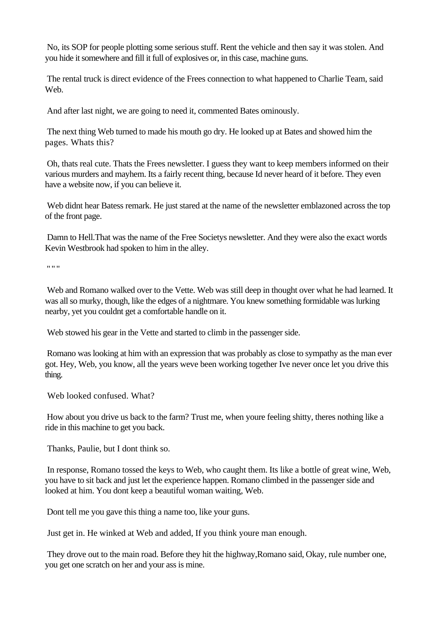No, its SOP for people plotting some serious stuff. Rent the vehicle and then say it was stolen. And you hide it somewhere and fill it full of explosives or, in this case, machine guns.

 The rental truck is direct evidence of the Frees connection to what happened to Charlie Team, said Web.

And after last night, we are going to need it, commented Bates ominously.

 The next thing Web turned to made his mouth go dry. He looked up at Bates and showed him the pages. Whats this?

 Oh, thats real cute. Thats the Frees newsletter. I guess they want to keep members informed on their various murders and mayhem. Its a fairly recent thing, because Id never heard of it before. They even have a website now, if you can believe it.

 Web didnt hear Batess remark. He just stared at the name of the newsletter emblazoned across the top of the front page.

 Damn to Hell.That was the name of the Free Societys newsletter. And they were also the exact words Kevin Westbrook had spoken to him in the alley.

" " " "

 Web and Romano walked over to the Vette. Web was still deep in thought over what he had learned. It was all so murky, though, like the edges of a nightmare. You knew something formidable was lurking nearby, yet you couldnt get a comfortable handle on it.

Web stowed his gear in the Vette and started to climb in the passenger side.

 Romano was looking at him with an expression that was probably as close to sympathy as the man ever got. Hey, Web, you know, all the years weve been working together Ive never once let you drive this thing.

Web looked confused. What?

 How about you drive us back to the farm? Trust me, when youre feeling shitty, theres nothing like a ride in this machine to get you back.

Thanks, Paulie, but I dont think so.

 In response, Romano tossed the keys to Web, who caught them. Its like a bottle of great wine, Web, you have to sit back and just let the experience happen. Romano climbed in the passenger side and looked at him. You dont keep a beautiful woman waiting, Web.

Dont tell me you gave this thing a name too, like your guns.

Just get in. He winked at Web and added, If you think youre man enough.

 They drove out to the main road. Before they hit the highway,Romano said, Okay, rule number one, you get one scratch on her and your ass is mine.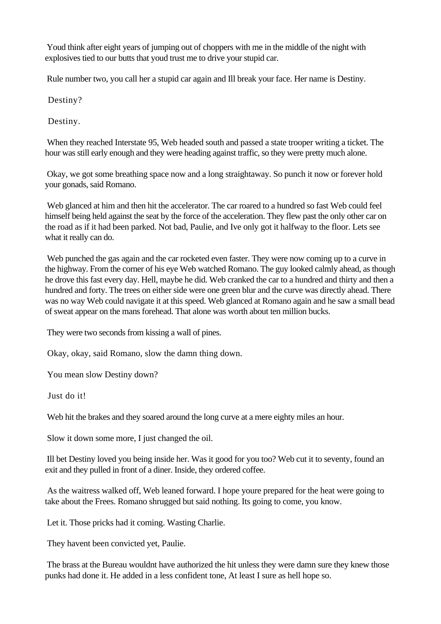Youd think after eight years of jumping out of choppers with me in the middle of the night with explosives tied to our butts that youd trust me to drive your stupid car.

Rule number two, you call her a stupid car again and Ill break your face. Her name is Destiny.

Destiny?

Destiny.

 When they reached Interstate 95, Web headed south and passed a state trooper writing a ticket. The hour was still early enough and they were heading against traffic, so they were pretty much alone.

 Okay, we got some breathing space now and a long straightaway. So punch it now or forever hold your gonads, said Romano.

 Web glanced at him and then hit the accelerator. The car roared to a hundred so fast Web could feel himself being held against the seat by the force of the acceleration. They flew past the only other car on the road as if it had been parked. Not bad, Paulie, and Ive only got it halfway to the floor. Lets see what it really can do.

 Web punched the gas again and the car rocketed even faster. They were now coming up to a curve in the highway. From the corner of his eye Web watched Romano. The guy looked calmly ahead, as though he drove this fast every day. Hell, maybe he did. Web cranked the car to a hundred and thirty and then a hundred and forty. The trees on either side were one green blur and the curve was directly ahead. There was no way Web could navigate it at this speed. Web glanced at Romano again and he saw a small bead of sweat appear on the mans forehead. That alone was worth about ten million bucks.

They were two seconds from kissing a wall of pines.

Okay, okay, said Romano, slow the damn thing down.

You mean slow Destiny down?

Just do it!

Web hit the brakes and they soared around the long curve at a mere eighty miles an hour.

Slow it down some more, I just changed the oil.

 Ill bet Destiny loved you being inside her. Was it good for you too? Web cut it to seventy, found an exit and they pulled in front of a diner. Inside, they ordered coffee.

 As the waitress walked off, Web leaned forward. I hope youre prepared for the heat were going to take about the Frees. Romano shrugged but said nothing. Its going to come, you know.

Let it. Those pricks had it coming. Wasting Charlie.

They havent been convicted yet, Paulie.

 The brass at the Bureau wouldnt have authorized the hit unless they were damn sure they knew those punks had done it. He added in a less confident tone, At least I sure as hell hope so.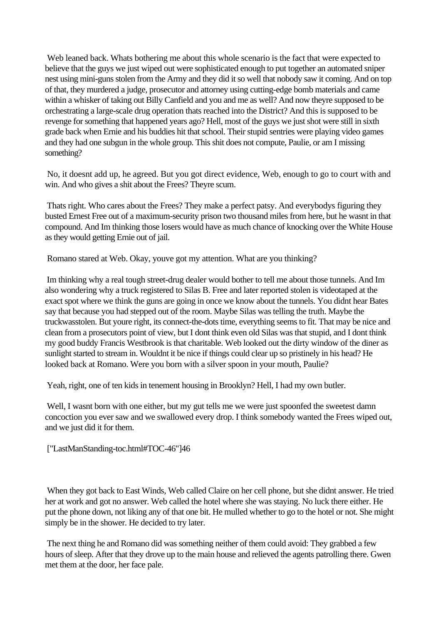Web leaned back. Whats bothering me about this whole scenario is the fact that were expected to believe that the guys we just wiped out were sophisticated enough to put together an automated sniper nest using mini-guns stolen from the Army and they did it so well that nobody saw it coming. And on top of that, they murdered a judge, prosecutor and attorney using cutting-edge bomb materials and came within a whisker of taking out Billy Canfield and you and me as well? And now theyre supposed to be orchestrating a large-scale drug operation thats reached into the District? And this is supposed to be revenge for something that happened years ago? Hell, most of the guys we just shot were still in sixth grade back when Ernie and his buddies hit that school. Their stupid sentries were playing video games and they had one subgun in the whole group. This shit does not compute, Paulie, or am I missing something?

 No, it doesnt add up, he agreed. But you got direct evidence, Web, enough to go to court with and win. And who gives a shit about the Frees? Theyre scum.

 Thats right. Who cares about the Frees? They make a perfect patsy. And everybodys figuring they busted Ernest Free out of a maximum-security prison two thousand miles from here, but he wasnt in that compound. And Im thinking those losers would have as much chance of knocking over the White House as they would getting Ernie out of jail.

Romano stared at Web. Okay, youve got my attention. What are you thinking?

 Im thinking why a real tough street-drug dealer would bother to tell me about those tunnels. And Im also wondering why a truck registered to Silas B. Free and later reported stolen is videotaped at the exact spot where we think the guns are going in once we know about the tunnels. You didnt hear Bates say that because you had stepped out of the room. Maybe Silas was telling the truth. Maybe the truckwasstolen. But youre right, its connect-the-dots time, everything seems to fit. That may be nice and clean from a prosecutors point of view, but I dont think even old Silas was that stupid, and I dont think my good buddy Francis Westbrook is that charitable. Web looked out the dirty window of the diner as sunlight started to stream in. Wouldnt it be nice if things could clear up so pristinely in his head? He looked back at Romano. Were you born with a silver spoon in your mouth, Paulie?

Yeah, right, one of ten kids in tenement housing in Brooklyn? Hell, I had my own butler.

 Well, I wasnt born with one either, but my gut tells me we were just spoonfed the sweetest damn concoction you ever saw and we swallowed every drop. I think somebody wanted the Frees wiped out, and we just did it for them.

["LastManStanding-toc.html#TOC-46"]46

 When they got back to East Winds, Web called Claire on her cell phone, but she didnt answer. He tried her at work and got no answer. Web called the hotel where she was staying. No luck there either. He put the phone down, not liking any of that one bit. He mulled whether to go to the hotel or not. She might simply be in the shower. He decided to try later.

 The next thing he and Romano did was something neither of them could avoid: They grabbed a few hours of sleep. After that they drove up to the main house and relieved the agents patrolling there. Gwen met them at the door, her face pale.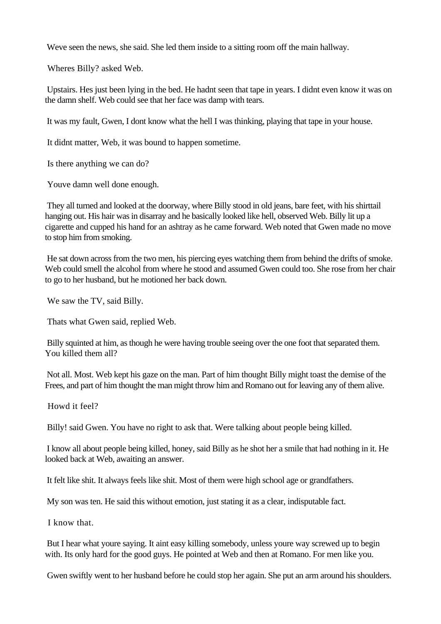Weve seen the news, she said. She led them inside to a sitting room off the main hallway.

Wheres Billy? asked Web.

 Upstairs. Hes just been lying in the bed. He hadnt seen that tape in years. I didnt even know it was on the damn shelf. Web could see that her face was damp with tears.

It was my fault, Gwen, I dont know what the hell I was thinking, playing that tape in your house.

It didnt matter, Web, it was bound to happen sometime.

Is there anything we can do?

Youve damn well done enough.

 They all turned and looked at the doorway, where Billy stood in old jeans, bare feet, with his shirttail hanging out. His hair was in disarray and he basically looked like hell, observed Web. Billy lit up a cigarette and cupped his hand for an ashtray as he came forward. Web noted that Gwen made no move to stop him from smoking.

 He sat down across from the two men, his piercing eyes watching them from behind the drifts of smoke. Web could smell the alcohol from where he stood and assumed Gwen could too. She rose from her chair to go to her husband, but he motioned her back down.

We saw the TV, said Billy.

Thats what Gwen said, replied Web.

 Billy squinted at him, as though he were having trouble seeing over the one foot that separated them. You killed them all?

 Not all. Most. Web kept his gaze on the man. Part of him thought Billy might toast the demise of the Frees, and part of him thought the man might throw him and Romano out for leaving any of them alive.

Howd it feel?

Billy! said Gwen. You have no right to ask that. Were talking about people being killed.

 I know all about people being killed, honey, said Billy as he shot her a smile that had nothing in it. He looked back at Web, awaiting an answer.

It felt like shit. It always feels like shit. Most of them were high school age or grandfathers.

My son was ten. He said this without emotion, just stating it as a clear, indisputable fact.

I know that.

 But I hear what youre saying. It aint easy killing somebody, unless youre way screwed up to begin with. Its only hard for the good guys. He pointed at Web and then at Romano. For men like you.

Gwen swiftly went to her husband before he could stop her again. She put an arm around his shoulders.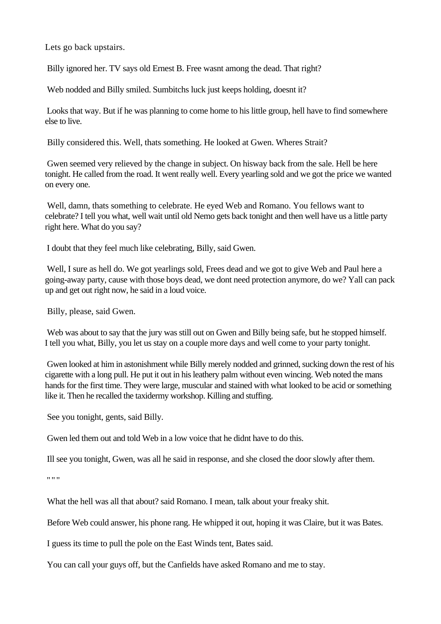Lets go back upstairs.

Billy ignored her. TV says old Ernest B. Free wasnt among the dead. That right?

Web nodded and Billy smiled. Sumbitchs luck just keeps holding, doesnt it?

 Looks that way. But if he was planning to come home to his little group, hell have to find somewhere else to live.

Billy considered this. Well, thats something. He looked at Gwen. Wheres Strait?

 Gwen seemed very relieved by the change in subject. On hisway back from the sale. Hell be here tonight. He called from the road. It went really well. Every yearling sold and we got the price we wanted on every one.

 Well, damn, thats something to celebrate. He eyed Web and Romano. You fellows want to celebrate? I tell you what, well wait until old Nemo gets back tonight and then well have us a little party right here. What do you say?

I doubt that they feel much like celebrating, Billy, said Gwen.

 Well, I sure as hell do. We got yearlings sold, Frees dead and we got to give Web and Paul here a going-away party, cause with those boys dead, we dont need protection anymore, do we? Yall can pack up and get out right now, he said in a loud voice.

Billy, please, said Gwen.

Web was about to say that the jury was still out on Gwen and Billy being safe, but he stopped himself. I tell you what, Billy, you let us stay on a couple more days and well come to your party tonight.

 Gwen looked at him in astonishment while Billy merely nodded and grinned, sucking down the rest of his cigarette with a long pull. He put it out in his leathery palm without even wincing. Web noted the mans hands for the first time. They were large, muscular and stained with what looked to be acid or something like it. Then he recalled the taxidermy workshop. Killing and stuffing.

See you tonight, gents, said Billy.

Gwen led them out and told Web in a low voice that he didnt have to do this.

Ill see you tonight, Gwen, was all he said in response, and she closed the door slowly after them.

" " "

What the hell was all that about? said Romano. I mean, talk about your freaky shit.

Before Web could answer, his phone rang. He whipped it out, hoping it was Claire, but it was Bates.

I guess its time to pull the pole on the East Winds tent, Bates said.

You can call your guys off, but the Canfields have asked Romano and me to stay.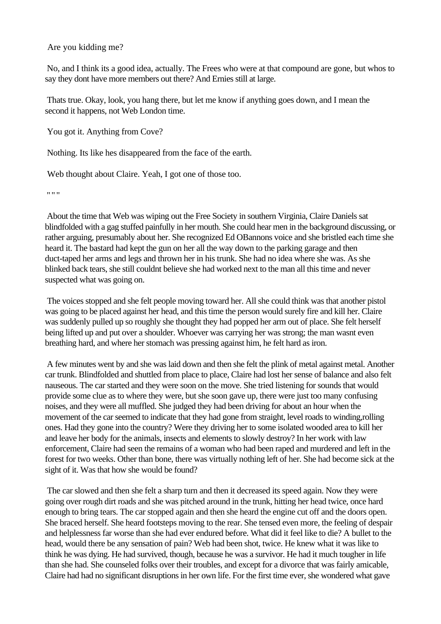## Are you kidding me?

 No, and I think its a good idea, actually. The Frees who were at that compound are gone, but whos to say they dont have more members out there? And Ernies still at large.

 Thats true. Okay, look, you hang there, but let me know if anything goes down, and I mean the second it happens, not Web London time.

You got it. Anything from Cove?

Nothing. Its like hes disappeared from the face of the earth.

Web thought about Claire. Yeah, I got one of those too.

" " "

 About the time that Web was wiping out the Free Society in southern Virginia, Claire Daniels sat blindfolded with a gag stuffed painfully in her mouth. She could hear men in the background discussing, or rather arguing, presumably about her. She recognized Ed OBannons voice and she bristled each time she heard it. The bastard had kept the gun on her all the way down to the parking garage and then duct-taped her arms and legs and thrown her in his trunk. She had no idea where she was. As she blinked back tears, she still couldnt believe she had worked next to the man all this time and never suspected what was going on.

 The voices stopped and she felt people moving toward her. All she could think was that another pistol was going to be placed against her head, and this time the person would surely fire and kill her. Claire was suddenly pulled up so roughly she thought they had popped her arm out of place. She felt herself being lifted up and put over a shoulder. Whoever was carrying her was strong; the man wasnt even breathing hard, and where her stomach was pressing against him, he felt hard as iron.

 A few minutes went by and she was laid down and then she felt the plink of metal against metal. Another car trunk. Blindfolded and shuttled from place to place, Claire had lost her sense of balance and also felt nauseous. The car started and they were soon on the move. She tried listening for sounds that would provide some clue as to where they were, but she soon gave up, there were just too many confusing noises, and they were all muffled. She judged they had been driving for about an hour when the movement of the car seemed to indicate that they had gone from straight, level roads to winding,rolling ones. Had they gone into the country? Were they driving her to some isolated wooded area to kill her and leave her body for the animals, insects and elements to slowly destroy? In her work with law enforcement, Claire had seen the remains of a woman who had been raped and murdered and left in the forest for two weeks. Other than bone, there was virtually nothing left of her. She had become sick at the sight of it. Was that how she would be found?

 The car slowed and then she felt a sharp turn and then it decreased its speed again. Now they were going over rough dirt roads and she was pitched around in the trunk, hitting her head twice, once hard enough to bring tears. The car stopped again and then she heard the engine cut off and the doors open. She braced herself. She heard footsteps moving to the rear. She tensed even more, the feeling of despair and helplessness far worse than she had ever endured before. What did it feel like to die? A bullet to the head, would there be any sensation of pain? Web had been shot, twice. He knew what it was like to think he was dying. He had survived, though, because he was a survivor. He had it much tougher in life than she had. She counseled folks over their troubles, and except for a divorce that was fairly amicable, Claire had had no significant disruptions in her own life. For the first time ever, she wondered what gave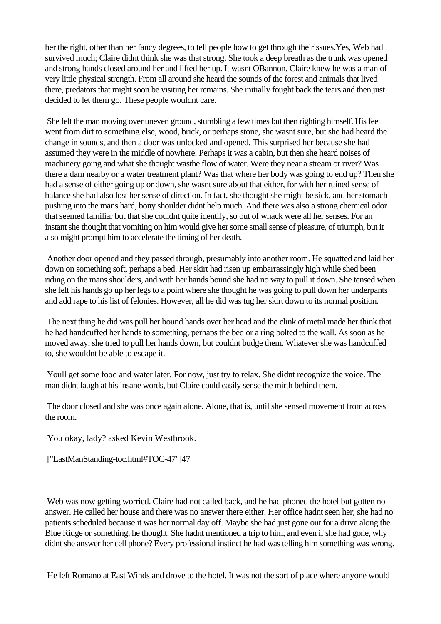her the right, other than her fancy degrees, to tell people how to get through theirissues.Yes, Web had survived much; Claire didnt think she was that strong. She took a deep breath as the trunk was opened and strong hands closed around her and lifted her up. It wasnt OBannon. Claire knew he was a man of very little physical strength. From all around she heard the sounds of the forest and animals that lived there, predators that might soon be visiting her remains. She initially fought back the tears and then just decided to let them go. These people wouldnt care.

 She felt the man moving over uneven ground, stumbling a few times but then righting himself. His feet went from dirt to something else, wood, brick, or perhaps stone, she wasnt sure, but she had heard the change in sounds, and then a door was unlocked and opened. This surprised her because she had assumed they were in the middle of nowhere. Perhaps it was a cabin, but then she heard noises of machinery going and what she thought wasthe flow of water. Were they near a stream or river? Was there a dam nearby or a water treatment plant? Was that where her body was going to end up? Then she had a sense of either going up or down, she wasnt sure about that either, for with her ruined sense of balance she had also lost her sense of direction. In fact, she thought she might be sick, and her stomach pushing into the mans hard, bony shoulder didnt help much. And there was also a strong chemical odor that seemed familiar but that she couldnt quite identify, so out of whack were all her senses. For an instant she thought that vomiting on him would give her some small sense of pleasure, of triumph, but it also might prompt him to accelerate the timing of her death.

 Another door opened and they passed through, presumably into another room. He squatted and laid her down on something soft, perhaps a bed. Her skirt had risen up embarrassingly high while shed been riding on the mans shoulders, and with her hands bound she had no way to pull it down. She tensed when she felt his hands go up her legs to a point where she thought he was going to pull down her underpants and add rape to his list of felonies. However, all he did was tug her skirt down to its normal position.

 The next thing he did was pull her bound hands over her head and the clink of metal made her think that he had handcuffed her hands to something, perhaps the bed or a ring bolted to the wall. As soon as he moved away, she tried to pull her hands down, but couldnt budge them. Whatever she was handcuffed to, she wouldnt be able to escape it.

 Youll get some food and water later. For now, just try to relax. She didnt recognize the voice. The man didnt laugh at his insane words, but Claire could easily sense the mirth behind them.

 The door closed and she was once again alone. Alone, that is, until she sensed movement from across the room.

You okay, lady? asked Kevin Westbrook.

["LastManStanding-toc.html#TOC-47"]47

Web was now getting worried. Claire had not called back, and he had phoned the hotel but gotten no answer. He called her house and there was no answer there either. Her office hadnt seen her; she had no patients scheduled because it was her normal day off. Maybe she had just gone out for a drive along the Blue Ridge or something, he thought. She hadnt mentioned a trip to him, and even if she had gone, why didnt she answer her cell phone? Every professional instinct he had was telling him something was wrong.

He left Romano at East Winds and drove to the hotel. It was not the sort of place where anyone would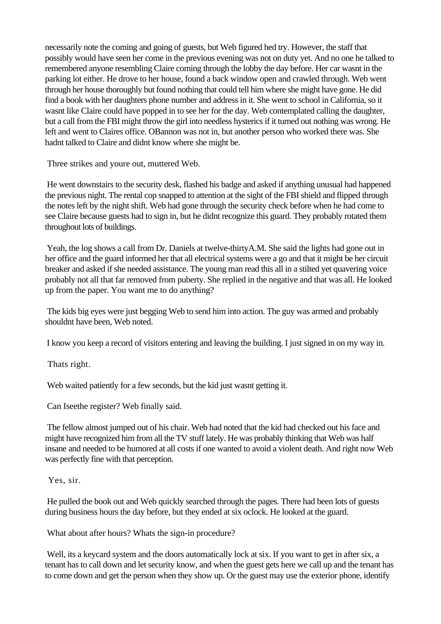necessarily note the coming and going of guests, but Web figured hed try. However, the staff that possibly would have seen her come in the previous evening was not on duty yet. And no one he talked to remembered anyone resembling Claire coming through the lobby the day before. Her car wasnt in the parking lot either. He drove to her house, found a back window open and crawled through. Web went through her house thoroughly but found nothing that could tell him where she might have gone. He did find a book with her daughters phone number and address in it. She went to school in California, so it wasnt like Claire could have popped in to see her for the day. Web contemplated calling the daughter, but a call from the FBI might throw the girl into needless hysterics if it turned out nothing was wrong. He left and went to Claires office. OBannon was not in, but another person who worked there was. She hadnt talked to Claire and didnt know where she might be.

Three strikes and youre out, muttered Web.

 He went downstairs to the security desk, flashed his badge and asked if anything unusual had happened the previous night. The rental cop snapped to attention at the sight of the FBI shield and flipped through the notes left by the night shift. Web had gone through the security check before when he had come to see Claire because guests had to sign in, but he didnt recognize this guard. They probably rotated them throughout lots of buildings.

 Yeah, the log shows a call from Dr. Daniels at twelve-thirtyA.M. She said the lights had gone out in her office and the guard informed her that all electrical systems were a go and that it might be her circuit breaker and asked if she needed assistance. The young man read this all in a stilted yet quavering voice probably not all that far removed from puberty. She replied in the negative and that was all. He looked up from the paper. You want me to do anything?

 The kids big eyes were just begging Web to send him into action. The guy was armed and probably shouldnt have been, Web noted.

I know you keep a record of visitors entering and leaving the building. I just signed in on my way in.

Thats right.

Web waited patiently for a few seconds, but the kid just wasnt getting it.

Can Iseethe register? Web finally said.

 The fellow almost jumped out of his chair. Web had noted that the kid had checked out his face and might have recognized him from all the TV stuff lately. He was probably thinking that Web was half insane and needed to be humored at all costs if one wanted to avoid a violent death. And right now Web was perfectly fine with that perception.

Yes, sir.

 He pulled the book out and Web quickly searched through the pages. There had been lots of guests during business hours the day before, but they ended at six oclock. He looked at the guard.

What about after hours? Whats the sign-in procedure?

 Well, its a keycard system and the doors automatically lock at six. If you want to get in after six, a tenant has to call down and let security know, and when the guest gets here we call up and the tenant has to come down and get the person when they show up. Or the guest may use the exterior phone, identify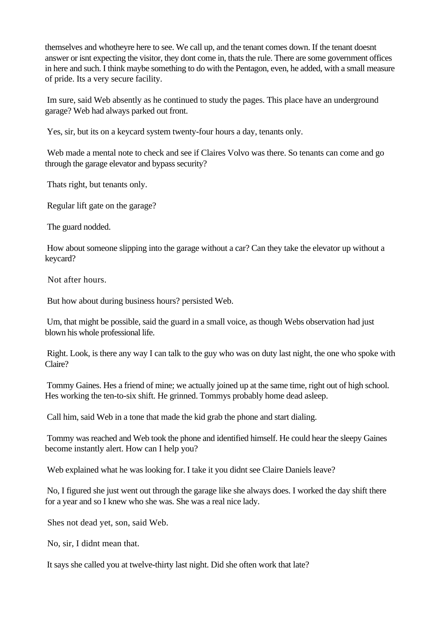themselves and whotheyre here to see. We call up, and the tenant comes down. If the tenant doesnt answer or isnt expecting the visitor, they dont come in, thats the rule. There are some government offices in here and such. I think maybe something to do with the Pentagon, even, he added, with a small measure of pride. Its a very secure facility.

 Im sure, said Web absently as he continued to study the pages. This place have an underground garage? Web had always parked out front.

Yes, sir, but its on a keycard system twenty-four hours a day, tenants only.

Web made a mental note to check and see if Claires Volvo was there. So tenants can come and go through the garage elevator and bypass security?

Thats right, but tenants only.

Regular lift gate on the garage?

The guard nodded.

 How about someone slipping into the garage without a car? Can they take the elevator up without a keycard?

Not after hours.

But how about during business hours? persisted Web.

 Um, that might be possible, said the guard in a small voice, as though Webs observation had just blown his whole professional life.

 Right. Look, is there any way I can talk to the guy who was on duty last night, the one who spoke with Claire?

 Tommy Gaines. Hes a friend of mine; we actually joined up at the same time, right out of high school. Hes working the ten-to-six shift. He grinned. Tommys probably home dead asleep.

Call him, said Web in a tone that made the kid grab the phone and start dialing.

 Tommy was reached and Web took the phone and identified himself. He could hear the sleepy Gaines become instantly alert. How can I help you?

Web explained what he was looking for. I take it you didnt see Claire Daniels leave?

 No, I figured she just went out through the garage like she always does. I worked the day shift there for a year and so I knew who she was. She was a real nice lady.

Shes not dead yet, son, said Web.

No, sir, I didnt mean that.

It says she called you at twelve-thirty last night. Did she often work that late?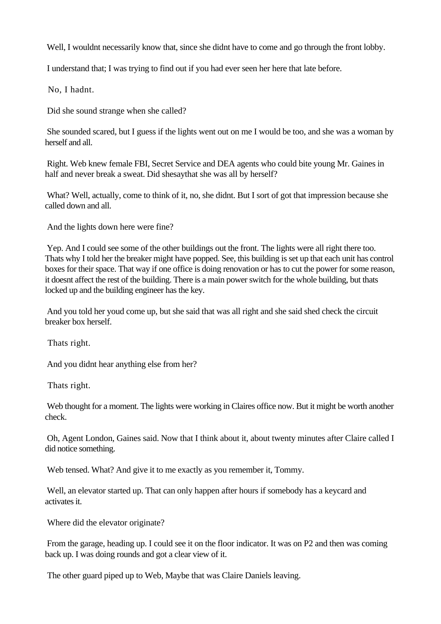Well, I wouldnt necessarily know that, since she didnt have to come and go through the front lobby.

I understand that; I was trying to find out if you had ever seen her here that late before.

No, I hadnt.

Did she sound strange when she called?

 She sounded scared, but I guess if the lights went out on me I would be too, and she was a woman by herself and all.

 Right. Web knew female FBI, Secret Service and DEA agents who could bite young Mr. Gaines in half and never break a sweat. Did shesaythat she was all by herself?

 What? Well, actually, come to think of it, no, she didnt. But I sort of got that impression because she called down and all.

And the lights down here were fine?

 Yep. And I could see some of the other buildings out the front. The lights were all right there too. Thats why I told her the breaker might have popped. See, this building is set up that each unit has control boxes for their space. That way if one office is doing renovation or has to cut the power for some reason, it doesnt affect the rest of the building. There is a main power switch for the whole building, but thats locked up and the building engineer has the key.

 And you told her youd come up, but she said that was all right and she said shed check the circuit breaker box herself.

Thats right.

And you didnt hear anything else from her?

Thats right.

 Web thought for a moment. The lights were working in Claires office now. But it might be worth another check.

 Oh, Agent London, Gaines said. Now that I think about it, about twenty minutes after Claire called I did notice something.

Web tensed. What? And give it to me exactly as you remember it, Tommy.

 Well, an elevator started up. That can only happen after hours if somebody has a keycard and activates it.

Where did the elevator originate?

 From the garage, heading up. I could see it on the floor indicator. It was on P2 and then was coming back up. I was doing rounds and got a clear view of it.

The other guard piped up to Web, Maybe that was Claire Daniels leaving.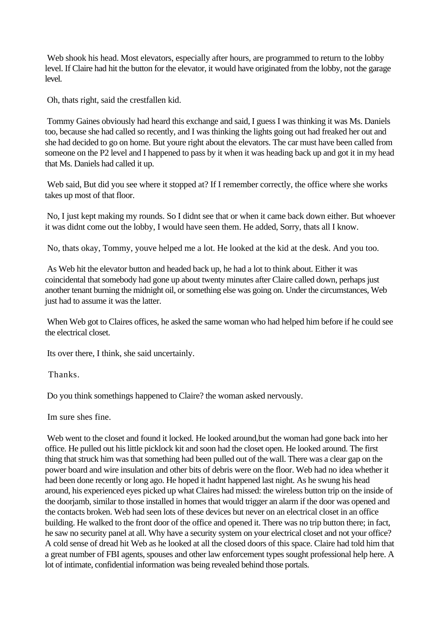Web shook his head. Most elevators, especially after hours, are programmed to return to the lobby level. If Claire had hit the button for the elevator, it would have originated from the lobby, not the garage level.

Oh, thats right, said the crestfallen kid.

 Tommy Gaines obviously had heard this exchange and said, I guess I was thinking it was Ms. Daniels too, because she had called so recently, and I was thinking the lights going out had freaked her out and she had decided to go on home. But youre right about the elevators. The car must have been called from someone on the P2 level and I happened to pass by it when it was heading back up and got it in my head that Ms. Daniels had called it up.

Web said, But did you see where it stopped at? If I remember correctly, the office where she works takes up most of that floor.

 No, I just kept making my rounds. So I didnt see that or when it came back down either. But whoever it was didnt come out the lobby, I would have seen them. He added, Sorry, thats all I know.

No, thats okay, Tommy, youve helped me a lot. He looked at the kid at the desk. And you too.

 As Web hit the elevator button and headed back up, he had a lot to think about. Either it was coincidental that somebody had gone up about twenty minutes after Claire called down, perhaps just another tenant burning the midnight oil, or something else was going on. Under the circumstances, Web just had to assume it was the latter.

 When Web got to Claires offices, he asked the same woman who had helped him before if he could see the electrical closet.

Its over there, I think, she said uncertainly.

Thanks.

Do you think somethings happened to Claire? the woman asked nervously.

Im sure shes fine.

 Web went to the closet and found it locked. He looked around,but the woman had gone back into her office. He pulled out his little picklock kit and soon had the closet open. He looked around. The first thing that struck him was that something had been pulled out of the wall. There was a clear gap on the power board and wire insulation and other bits of debris were on the floor. Web had no idea whether it had been done recently or long ago. He hoped it hadnt happened last night. As he swung his head around, his experienced eyes picked up what Claires had missed: the wireless button trip on the inside of the doorjamb, similar to those installed in homes that would trigger an alarm if the door was opened and the contacts broken. Web had seen lots of these devices but never on an electrical closet in an office building. He walked to the front door of the office and opened it. There was no trip button there; in fact, he saw no security panel at all. Why have a security system on your electrical closet and not your office? A cold sense of dread hit Web as he looked at all the closed doors of this space. Claire had told him that a great number of FBI agents, spouses and other law enforcement types sought professional help here. A lot of intimate, confidential information was being revealed behind those portals.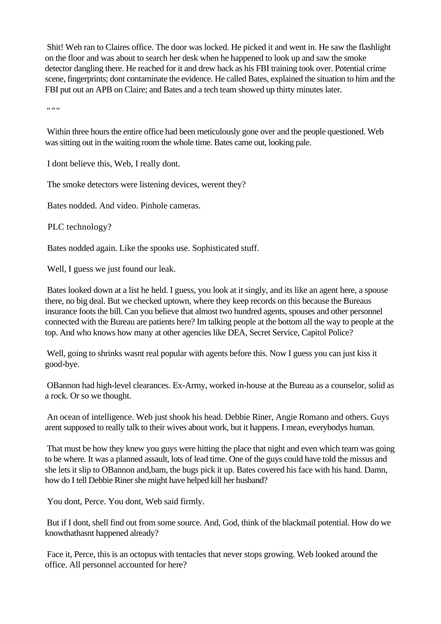Shit! Web ran to Claires office. The door was locked. He picked it and went in. He saw the flashlight on the floor and was about to search her desk when he happened to look up and saw the smoke detector dangling there. He reached for it and drew back as his FBI training took over. Potential crime scene, fingerprints; dont contaminate the evidence. He called Bates, explained the situation to him and the FBI put out an APB on Claire; and Bates and a tech team showed up thirty minutes later.

" " "

 Within three hours the entire office had been meticulously gone over and the people questioned. Web was sitting out in the waiting room the whole time. Bates came out, looking pale.

I dont believe this, Web, I really dont.

The smoke detectors were listening devices, werent they?

Bates nodded. And video. Pinhole cameras.

PLC technology?

Bates nodded again. Like the spooks use. Sophisticated stuff.

Well, I guess we just found our leak.

 Bates looked down at a list he held. I guess, you look at it singly, and its like an agent here, a spouse there, no big deal. But we checked uptown, where they keep records on this because the Bureaus insurance foots the bill. Can you believe that almost two hundred agents, spouses and other personnel connected with the Bureau are patients here? Im talking people at the bottom all the way to people at the top. And who knows how many at other agencies like DEA, Secret Service, Capitol Police?

 Well, going to shrinks wasnt real popular with agents before this. Now I guess you can just kiss it good-bye.

 OBannon had high-level clearances. Ex-Army, worked in-house at the Bureau as a counselor, solid as a rock. Or so we thought.

 An ocean of intelligence. Web just shook his head. Debbie Riner, Angie Romano and others. Guys arent supposed to really talk to their wives about work, but it happens. I mean, everybodys human.

 That must be how they knew you guys were hitting the place that night and even which team was going to be where. It was a planned assault, lots of lead time. One of the guys could have told the missus and she lets it slip to OBannon and,bam, the bugs pick it up. Bates covered his face with his hand. Damn, how do I tell Debbie Riner she might have helped kill her husband?

You dont, Perce. You dont, Web said firmly.

 But if I dont, shell find out from some source. And, God, think of the blackmail potential. How do we knowthathasnt happened already?

 Face it, Perce, this is an octopus with tentacles that never stops growing. Web looked around the office. All personnel accounted for here?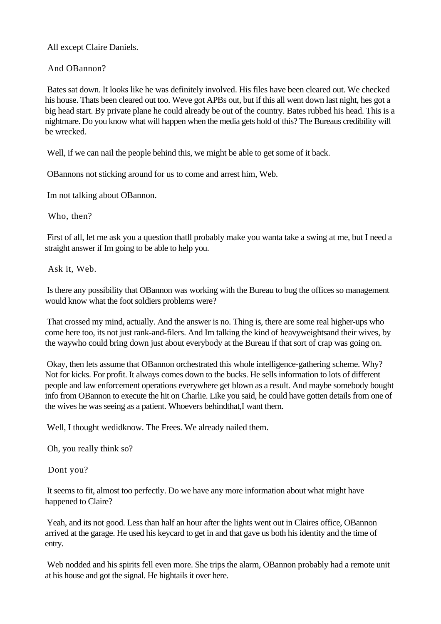All except Claire Daniels.

And OBannon?

 Bates sat down. It looks like he was definitely involved. His files have been cleared out. We checked his house. Thats been cleared out too. Weve got APBs out, but if this all went down last night, hes got a big head start. By private plane he could already be out of the country. Bates rubbed his head. This is a nightmare. Do you know what will happen when the media gets hold of this? The Bureaus credibility will be wrecked.

Well, if we can nail the people behind this, we might be able to get some of it back.

OBannons not sticking around for us to come and arrest him, Web.

Im not talking about OBannon.

Who, then?

 First of all, let me ask you a question thatll probably make you wanta take a swing at me, but I need a straight answer if Im going to be able to help you.

Ask it, Web.

 Is there any possibility that OBannon was working with the Bureau to bug the offices so management would know what the foot soldiers problems were?

 That crossed my mind, actually. And the answer is no. Thing is, there are some real higher-ups who come here too, its not just rank-and-filers. And Im talking the kind of heavyweights and their wives, by the waywho could bring down just about everybody at the Bureau if that sort of crap was going on.

 Okay, then lets assume that OBannon orchestrated this whole intelligence-gathering scheme. Why? Not for kicks. For profit. It always comes down to the bucks. He sells information to lots of different people and law enforcement operations everywhere get blown as a result. And maybe somebody bought info from OBannon to execute the hit on Charlie. Like you said, he could have gotten details from one of the wives he was seeing as a patient. Whoevers behindthat,I want them.

Well, I thought wedidknow. The Frees. We already nailed them.

Oh, you really think so?

Dont you?

 It seems to fit, almost too perfectly. Do we have any more information about what might have happened to Claire?

 Yeah, and its not good. Less than half an hour after the lights went out in Claires office, OBannon arrived at the garage. He used his keycard to get in and that gave us both his identity and the time of entry.

Web nodded and his spirits fell even more. She trips the alarm, OBannon probably had a remote unit at his house and got the signal. He hightails it over here.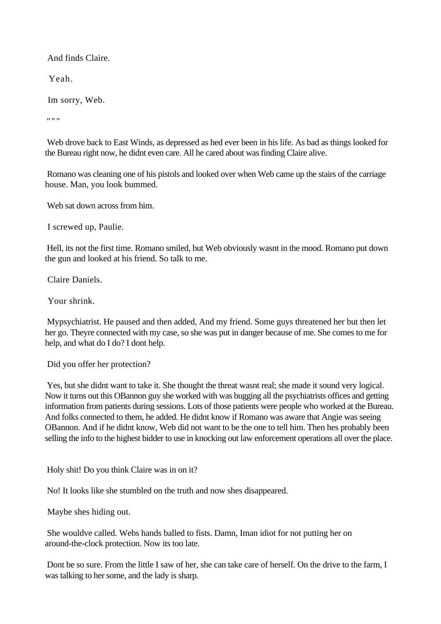And finds Claire.

Yeah.

Im sorry, Web.

" " "

 Web drove back to East Winds, as depressed as hed ever been in his life. As bad as things looked for the Bureau right now, he didnt even care. All he cared about was finding Claire alive.

 Romano was cleaning one of his pistols and looked over when Web came up the stairs of the carriage house. Man, you look bummed.

Web sat down across from him.

I screwed up, Paulie.

 Hell, its not the first time. Romano smiled, but Web obviously wasnt in the mood. Romano put down the gun and looked at his friend. So talk to me.

Claire Daniels.

Your shrink.

 Mypsychiatrist. He paused and then added, And my friend. Some guys threatened her but then let her go. Theyre connected with my case, so she was put in danger because of me. She comes to me for help, and what do I do? I dont help.

Did you offer her protection?

 Yes, but she didnt want to take it. She thought the threat wasnt real; she made it sound very logical. Now it turns out this OBannon guy she worked with was bugging all the psychiatrists offices and getting information from patients during sessions. Lots of those patients were people who worked at the Bureau. And folks connected to them, he added. He didnt know if Romano was aware that Angie was seeing OBannon. And if he didnt know, Web did not want to be the one to tell him. Then hes probably been selling the info to the highest bidder to use in knocking out law enforcement operations all over the place.

Holy shit! Do you think Claire was in on it?

No! It looks like she stumbled on the truth and now shes disappeared.

Maybe shes hiding out.

 She wouldve called. Webs hands balled to fists. Damn, Iman idiot for not putting her on around-the-clock protection. Now its too late.

Dont be so sure. From the little I saw of her, she can take care of herself. On the drive to the farm, I was talking to her some, and the lady is sharp.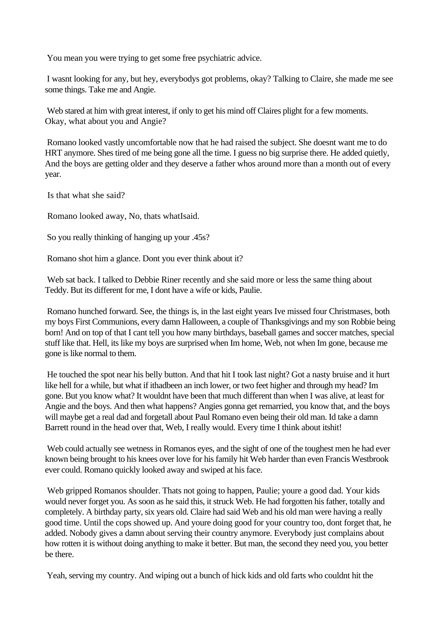You mean you were trying to get some free psychiatric advice.

 I wasnt looking for any, but hey, everybodys got problems, okay? Talking to Claire, she made me see some things. Take me and Angie.

Web stared at him with great interest, if only to get his mind off Claires plight for a few moments. Okay, what about you and Angie?

 Romano looked vastly uncomfortable now that he had raised the subject. She doesnt want me to do HRT anymore. Shes tired of me being gone all the time. I guess no big surprise there. He added quietly, And the boys are getting older and they deserve a father whos around more than a month out of every year.

Is that what she said?

Romano looked away, No, thats whatIsaid.

So you really thinking of hanging up your .45s?

Romano shot him a glance. Dont you ever think about it?

 Web sat back. I talked to Debbie Riner recently and she said more or less the same thing about Teddy. But its different for me, I dont have a wife or kids, Paulie.

 Romano hunched forward. See, the things is, in the last eight years Ive missed four Christmases, both my boys First Communions, every damn Halloween, a couple of Thanksgivings and my son Robbie being born! And on top of that I cant tell you how many birthdays, baseball games and soccer matches, special stuff like that. Hell, its like my boys are surprised when Im home, Web, not when Im gone, because me gone is like normal to them.

 He touched the spot near his belly button. And that hit I took last night? Got a nasty bruise and it hurt like hell for a while, but what if ithadbeen an inch lower, or two feet higher and through my head? Im gone. But you know what? It wouldnt have been that much different than when I was alive, at least for Angie and the boys. And then what happens? Angies gonna get remarried, you know that, and the boys will maybe get a real dad and forgetall about Paul Romano even being their old man. Id take a damn Barrett round in the head over that, Web, I really would. Every time I think about it shit!

 Web could actually see wetness in Romanos eyes, and the sight of one of the toughest men he had ever known being brought to his knees over love for his family hit Web harder than even Francis Westbrook ever could. Romano quickly looked away and swiped at his face.

 Web gripped Romanos shoulder. Thats not going to happen, Paulie; youre a good dad. Your kids would never forget you. As soon as he said this, it struck Web. He had forgotten his father, totally and completely. A birthday party, six years old. Claire had said Web and his old man were having a really good time. Until the cops showed up. And youre doing good for your country too, dont forget that, he added. Nobody gives a damn about serving their country anymore. Everybody just complains about how rotten it is without doing anything to make it better. But man, the second they need you, you better be there.

Yeah, serving my country. And wiping out a bunch of hick kids and old farts who couldnt hit the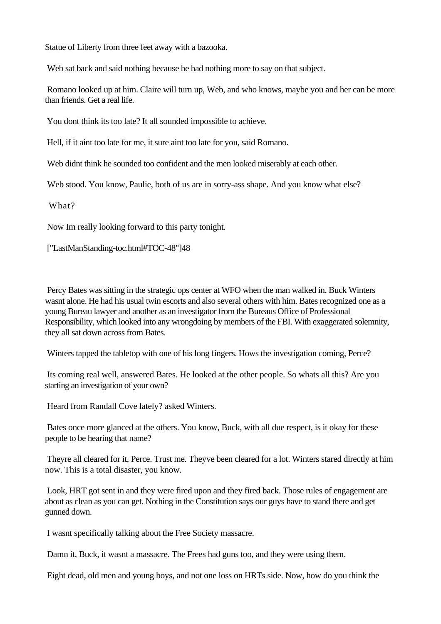Statue of Liberty from three feet away with a bazooka.

Web sat back and said nothing because he had nothing more to say on that subject.

 Romano looked up at him. Claire will turn up, Web, and who knows, maybe you and her can be more than friends. Get a real life.

You dont think its too late? It all sounded impossible to achieve.

Hell, if it aint too late for me, it sure aint too late for you, said Romano.

Web didnt think he sounded too confident and the men looked miserably at each other.

Web stood. You know, Paulie, both of us are in sorry-ass shape. And you know what else?

What?

Now Im really looking forward to this party tonight.

["LastManStanding-toc.html#TOC-48"]48

 Percy Bates was sitting in the strategic ops center at WFO when the man walked in. Buck Winters wasnt alone. He had his usual twin escorts and also several others with him. Bates recognized one as a young Bureau lawyer and another as an investigator from the Bureaus Office of Professional Responsibility, which looked into any wrongdoing by members of the FBI. With exaggerated solemnity, they all sat down across from Bates.

Winters tapped the tabletop with one of his long fingers. Hows the investigation coming, Perce?

 Its coming real well, answered Bates. He looked at the other people. So whats all this? Are you starting an investigation of your own?

Heard from Randall Cove lately? asked Winters.

 Bates once more glanced at the others. You know, Buck, with all due respect, is it okay for these people to be hearing that name?

 Theyre all cleared for it, Perce. Trust me. Theyve been cleared for a lot. Winters stared directly at him now. This is a total disaster, you know.

 Look, HRT got sent in and they were fired upon and they fired back. Those rules of engagement are about as clean as you can get. Nothing in the Constitution says our guys have to stand there and get gunned down.

I wasnt specifically talking about the Free Society massacre.

Damn it, Buck, it wasnt a massacre. The Frees had guns too, and they were using them.

Eight dead, old men and young boys, and not one loss on HRTs side. Now, how do you think the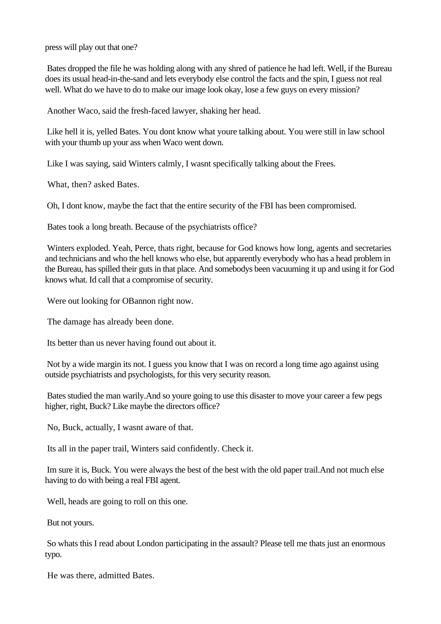press will play out that one?

 Bates dropped the file he was holding along with any shred of patience he had left. Well, if the Bureau does its usual head-in-the-sand and lets everybody else control the facts and the spin, I guess not real well. What do we have to do to make our image look okay, lose a few guys on every mission?

Another Waco, said the fresh-faced lawyer, shaking her head.

 Like hell it is, yelled Bates. You dont know what youre talking about. You were still in law school with your thumb up your ass when Waco went down.

Like I was saying, said Winters calmly, I wasnt specifically talking about the Frees.

What, then? asked Bates.

Oh, I dont know, maybe the fact that the entire security of the FBI has been compromised.

Bates took a long breath. Because of the psychiatrists office?

 Winters exploded. Yeah, Perce, thats right, because for God knows how long, agents and secretaries and technicians and who the hell knows who else, but apparently everybody who has a head problem in the Bureau, has spilled their guts in that place. And somebodys been vacuuming it up and using it for God knows what. Id call that a compromise of security.

Were out looking for OBannon right now.

The damage has already been done.

Its better than us never having found out about it.

 Not by a wide margin its not. I guess you know that I was on record a long time ago against using outside psychiatrists and psychologists, for this very security reason.

 Bates studied the man warily.And so youre going to use this disaster to move your career a few pegs higher, right, Buck? Like maybe the directors office?

No, Buck, actually, I wasnt aware of that.

Its all in the paper trail, Winters said confidently. Check it.

 Im sure it is, Buck. You were always the best of the best with the old paper trail.And not much else having to do with being a real FBI agent.

Well, heads are going to roll on this one.

But not yours.

 So whats this I read about London participating in the assault? Please tell me thats just an enormous typo.

He was there, admitted Bates.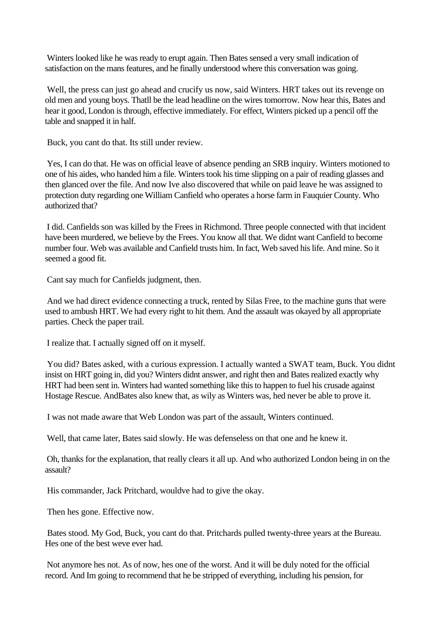Winters looked like he was ready to erupt again. Then Bates sensed a very small indication of satisfaction on the mans features, and he finally understood where this conversation was going.

 Well, the press can just go ahead and crucify us now, said Winters. HRT takes out its revenge on old men and young boys. Thatll be the lead headline on the wires tomorrow. Now hear this, Bates and hear it good, London is through, effective immediately. For effect, Winters picked up a pencil off the table and snapped it in half.

Buck, you cant do that. Its still under review.

 Yes, I can do that. He was on official leave of absence pending an SRB inquiry. Winters motioned to one of his aides, who handed him a file. Winters took his time slipping on a pair of reading glasses and then glanced over the file. And now Ive also discovered that while on paid leave he was assigned to protection duty regarding one William Canfield who operates a horse farm in Fauquier County. Who authorized that?

 I did. Canfields son was killed by the Frees in Richmond. Three people connected with that incident have been murdered, we believe by the Frees. You know all that. We didnt want Canfield to become number four. Web was available and Canfield trusts him. In fact, Web saved his life. And mine. So it seemed a good fit.

Cant say much for Canfields judgment, then.

 And we had direct evidence connecting a truck, rented by Silas Free, to the machine guns that were used to ambush HRT. We had every right to hit them. And the assault was okayed by all appropriate parties. Check the paper trail.

I realize that. I actually signed off on it myself.

 You did? Bates asked, with a curious expression. I actually wanted a SWAT team, Buck. You didnt insist on HRT going in, did you? Winters didnt answer, and right then and Bates realized exactly why HRT had been sent in. Winters had wanted something like this to happen to fuel his crusade against Hostage Rescue. AndBates also knew that, as wily as Winters was, hed never be able to prove it.

I was not made aware that Web London was part of the assault, Winters continued.

Well, that came later, Bates said slowly. He was defenseless on that one and he knew it.

 Oh, thanks for the explanation, that really clears it all up. And who authorized London being in on the assault?

His commander, Jack Pritchard, wouldve had to give the okay.

Then hes gone. Effective now.

 Bates stood. My God, Buck, you cant do that. Pritchards pulled twenty-three years at the Bureau. Hes one of the best weve ever had.

 Not anymore hes not. As of now, hes one of the worst. And it will be duly noted for the official record. And Im going to recommend that he be stripped of everything, including his pension, for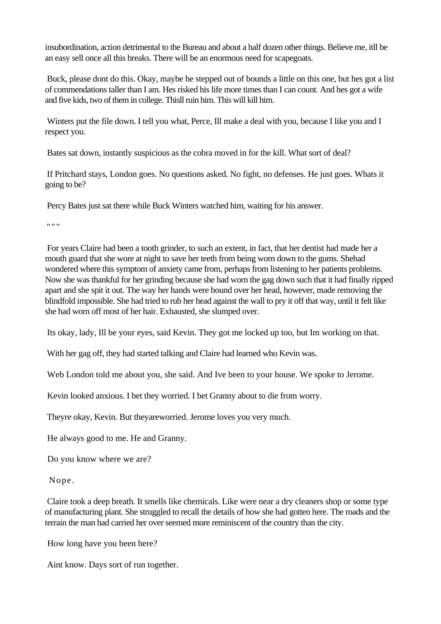insubordination, action detrimental to the Bureau and about a half dozen other things. Believe me, itll be an easy sell once all this breaks. There will be an enormous need for scapegoats.

 Buck, please dont do this. Okay, maybe he stepped out of bounds a little on this one, but hes got a list of commendations taller than I am. Hes risked his life more times than I can count. And hes got a wife and five kids, two of them in college. Thisll ruin him. This will kill him.

 Winters put the file down. I tell you what, Perce, Ill make a deal with you, because I like you and I respect you.

Bates sat down, instantly suspicious as the cobra moved in for the kill. What sort of deal?

 If Pritchard stays, London goes. No questions asked. No fight, no defenses. He just goes. Whats it going to be?

Percy Bates just sat there while Buck Winters watched him, waiting for his answer.

" " "

 For years Claire had been a tooth grinder, to such an extent, in fact, that her dentist had made her a mouth guard that she wore at night to save her teeth from being worn down to the gums. Shehad wondered where this symptom of anxiety came from, perhaps from listening to her patients problems. Now she was thankful for her grinding because she had worn the gag down such that it had finally ripped apart and she spit it out. The way her hands were bound over her head, however, made removing the blindfold impossible. She had tried to rub her head against the wall to pry it off that way, until it felt like she had worn off most of her hair. Exhausted, she slumped over.

Its okay, lady, Ill be your eyes, said Kevin. They got me locked up too, but Im working on that.

With her gag off, they had started talking and Claire had learned who Kevin was.

Web London told me about you, she said. And Ive been to your house. We spoke to Jerome.

Kevin looked anxious. I bet they worried. I bet Granny about to die from worry.

Theyre okay, Kevin. But theyareworried. Jerome loves you very much.

He always good to me. He and Granny.

Do you know where we are?

Nope.

 Claire took a deep breath. It smells like chemicals. Like were near a dry cleaners shop or some type of manufacturing plant. She struggled to recall the details of how she had gotten here. The roads and the terrain the man had carried her over seemed more reminiscent of the country than the city.

How long have you been here?

Aint know. Days sort of run together.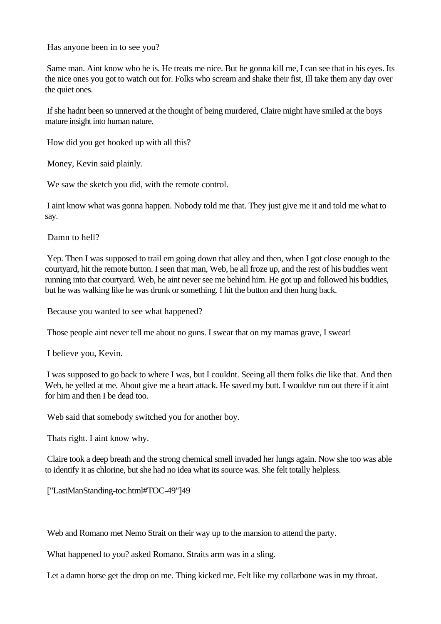Has anyone been in to see you?

 Same man. Aint know who he is. He treats me nice. But he gonna kill me, I can see that in his eyes. Its the nice ones you got to watch out for. Folks who scream and shake their fist, Ill take them any day over the quiet ones.

 If she hadnt been so unnerved at the thought of being murdered, Claire might have smiled at the boys mature insight into human nature.

How did you get hooked up with all this?

Money, Kevin said plainly.

We saw the sketch you did, with the remote control.

 I aint know what was gonna happen. Nobody told me that. They just give me it and told me what to say.

Damn to hell?

 Yep. Then I was supposed to trail em going down that alley and then, when I got close enough to the courtyard, hit the remote button. I seen that man, Web, he all froze up, and the rest of his buddies went running into that courtyard. Web, he aint never see me behind him. He got up and followed his buddies, but he was walking like he was drunk or something. I hit the button and then hung back.

Because you wanted to see what happened?

Those people aint never tell me about no guns. I swear that on my mamas grave, I swear!

I believe you, Kevin.

 I was supposed to go back to where I was, but I couldnt. Seeing all them folks die like that. And then Web, he yelled at me. About give me a heart attack. He saved my butt. I wouldve run out there if it aint for him and then I be dead too.

Web said that somebody switched you for another boy.

Thats right. I aint know why.

 Claire took a deep breath and the strong chemical smell invaded her lungs again. Now she too was able to identify it as chlorine, but she had no idea what its source was. She felt totally helpless.

["LastManStanding-toc.html#TOC-49"]49

Web and Romano met Nemo Strait on their way up to the mansion to attend the party.

What happened to you? asked Romano. Straits arm was in a sling.

Let a damn horse get the drop on me. Thing kicked me. Felt like my collarbone was in my throat.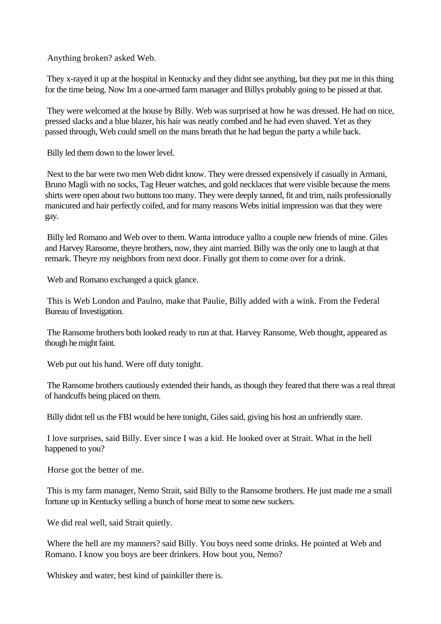Anything broken? asked Web.

 They x-rayed it up at the hospital in Kentucky and they didnt see anything, but they put me in this thing for the time being. Now Im a one-armed farm manager and Billys probably going to be pissed at that.

 They were welcomed at the house by Billy. Web was surprised at how he was dressed. He had on nice, pressed slacks and a blue blazer, his hair was neatly combed and he had even shaved. Yet as they passed through, Web could smell on the mans breath that he had begun the party a while back.

Billy led them down to the lower level.

 Next to the bar were two men Web didnt know. They were dressed expensively if casually in Armani, Bruno Magli with no socks, Tag Heuer watches, and gold necklaces that were visible because the mens shirts were open about two buttons too many. They were deeply tanned, fit and trim, nails professionally manicured and hair perfectly coifed, and for many reasons Webs initial impression was that they were gay.

 Billy led Romano and Web over to them. Wanta introduce yallto a couple new friends of mine. Giles and Harvey Ransome, theyre brothers, now, they aint married. Billy was the only one to laugh at that remark. Theyre my neighbors from next door. Finally got them to come over for a drink.

Web and Romano exchanged a quick glance.

This is Web London and Paul no, make that Paulie, Billy added with a wink. From the Federal Bureau of Investigation.

 The Ransome brothers both looked ready to run at that. Harvey Ransome, Web thought, appeared as though he might faint.

Web put out his hand. Were off duty tonight.

 The Ransome brothers cautiously extended their hands, as though they feared that there was a real threat of handcuffs being placed on them.

Billy didnt tell us the FBI would be here tonight, Giles said, giving his host an unfriendly stare.

 I love surprises, said Billy. Ever since I was a kid. He looked over at Strait. What in the hell happened to you?

Horse got the better of me.

 This is my farm manager, Nemo Strait, said Billy to the Ransome brothers. He just made me a small fortune up in Kentucky selling a bunch of horse meat to some new suckers.

We did real well, said Strait quietly.

 Where the hell are my manners? said Billy. You boys need some drinks. He pointed at Web and Romano. I know you boys are beer drinkers. How bout you, Nemo?

Whiskey and water, best kind of painkiller there is.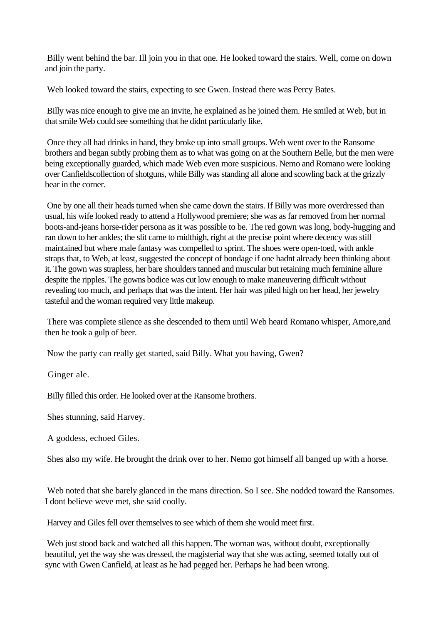Billy went behind the bar. Ill join you in that one. He looked toward the stairs. Well, come on down and join the party.

Web looked toward the stairs, expecting to see Gwen. Instead there was Percy Bates.

 Billy was nice enough to give me an invite, he explained as he joined them. He smiled at Web, but in that smile Web could see something that he didnt particularly like.

 Once they all had drinks in hand, they broke up into small groups. Web went over to the Ransome brothers and began subtly probing them as to what was going on at the Southern Belle, but the men were being exceptionally guarded, which made Web even more suspicious. Nemo and Romano were looking over Canfieldscollection of shotguns, while Billy was standing all alone and scowling back at the grizzly bear in the corner.

 One by one all their heads turned when she came down the stairs. If Billy was more overdressed than usual, his wife looked ready to attend a Hollywood premiere; she was as far removed from her normal boots-and-jeans horse-rider persona as it was possible to be. The red gown was long, body-hugging and ran down to her ankles; the slit came to midthigh, right at the precise point where decency was still maintained but where male fantasy was compelled to sprint. The shoes were open-toed, with ankle straps that, to Web, at least, suggested the concept of bondage if one hadnt already been thinking about it. The gown was strapless, her bare shoulders tanned and muscular but retaining much feminine allure despite the ripples. The gowns bodice was cut low enough to make maneuvering difficult without revealing too much, and perhaps that was the intent. Her hair was piled high on her head, her jewelry tasteful and the woman required very little makeup.

 There was complete silence as she descended to them until Web heard Romano whisper, Amore,and then he took a gulp of beer.

Now the party can really get started, said Billy. What you having, Gwen?

Ginger ale.

Billy filled this order. He looked over at the Ransome brothers.

Shes stunning, said Harvey.

A goddess, echoed Giles.

Shes also my wife. He brought the drink over to her. Nemo got himself all banged up with a horse.

Web noted that she barely glanced in the mans direction. So I see. She nodded toward the Ransomes. I dont believe weve met, she said coolly.

Harvey and Giles fell over themselves to see which of them she would meet first.

 Web just stood back and watched all this happen. The woman was, without doubt, exceptionally beautiful, yet the way she was dressed, the magisterial way that she was acting, seemed totally out of sync with Gwen Canfield, at least as he had pegged her. Perhaps he had been wrong.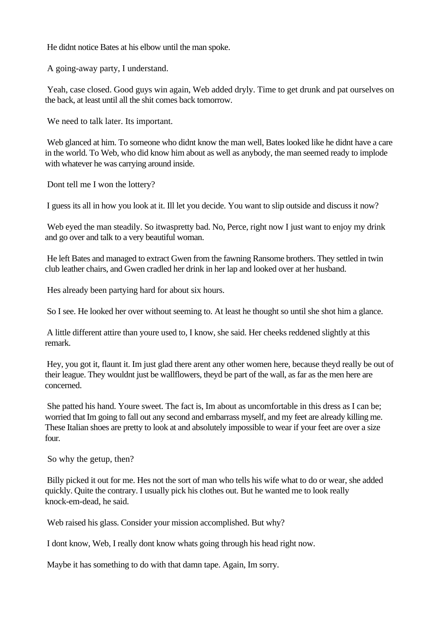He didnt notice Bates at his elbow until the man spoke.

A going-away party, I understand.

 Yeah, case closed. Good guys win again, Web added dryly. Time to get drunk and pat ourselves on the back, at least until all the shit comes back tomorrow.

We need to talk later. Its important.

Web glanced at him. To someone who didnt know the man well, Bates looked like he didnt have a care in the world. To Web, who did know him about as well as anybody, the man seemed ready to implode with whatever he was carrying around inside.

Dont tell me I won the lottery?

I guess its all in how you look at it. Ill let you decide. You want to slip outside and discuss it now?

Web eyed the man steadily. So itwaspretty bad. No, Perce, right now I just want to enjoy my drink and go over and talk to a very beautiful woman.

 He left Bates and managed to extract Gwen from the fawning Ransome brothers. They settled in twin club leather chairs, and Gwen cradled her drink in her lap and looked over at her husband.

Hes already been partying hard for about six hours.

So I see. He looked her over without seeming to. At least he thought so until she shot him a glance.

 A little different attire than youre used to, I know, she said. Her cheeks reddened slightly at this remark.

 Hey, you got it, flaunt it. Im just glad there arent any other women here, because theyd really be out of their league. They wouldnt just be wallflowers, theyd be part of the wall, as far as the men here are concerned.

 She patted his hand. Youre sweet. The fact is, Im about as uncomfortable in this dress as I can be; worried that Im going to fall out any second and embarrass myself, and my feet are already killing me. These Italian shoes are pretty to look at and absolutely impossible to wear if your feet are over a size four.

So why the getup, then?

 Billy picked it out for me. Hes not the sort of man who tells his wife what to do or wear, she added quickly. Quite the contrary. I usually pick his clothes out. But he wanted me to look really knock-em-dead, he said.

Web raised his glass. Consider your mission accomplished. But why?

I dont know, Web, I really dont know whats going through his head right now.

Maybe it has something to do with that damn tape. Again, Im sorry.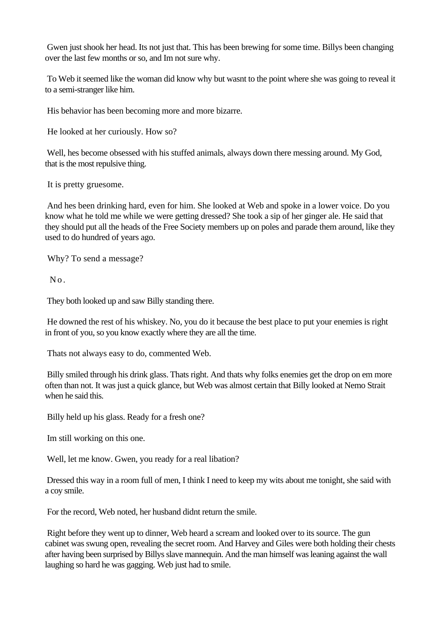Gwen just shook her head. Its not just that. This has been brewing for some time. Billys been changing over the last few months or so, and Im not sure why.

 To Web it seemed like the woman did know why but wasnt to the point where she was going to reveal it to a semi-stranger like him.

His behavior has been becoming more and more bizarre.

He looked at her curiously. How so?

 Well, hes become obsessed with his stuffed animals, always down there messing around. My God, that is the most repulsive thing.

It is pretty gruesome.

 And hes been drinking hard, even for him. She looked at Web and spoke in a lower voice. Do you know what he told me while we were getting dressed? She took a sip of her ginger ale. He said that they should put all the heads of the Free Society members up on poles and parade them around, like they used to do hundred of years ago.

Why? To send a message?

No.

They both looked up and saw Billy standing there.

 He downed the rest of his whiskey. No, you do it because the best place to put your enemies is right in front of you, so you know exactly where they are all the time.

Thats not always easy to do, commented Web.

 Billy smiled through his drink glass. Thats right. And thats why folks enemies get the drop on em more often than not. It was just a quick glance, but Web was almost certain that Billy looked at Nemo Strait when he said this.

Billy held up his glass. Ready for a fresh one?

Im still working on this one.

Well, let me know. Gwen, you ready for a real libation?

 Dressed this way in a room full of men, I think I need to keep my wits about me tonight, she said with a coy smile.

For the record, Web noted, her husband didnt return the smile.

 Right before they went up to dinner, Web heard a scream and looked over to its source. The gun cabinet was swung open, revealing the secret room. And Harvey and Giles were both holding their chests after having been surprised by Billys slave mannequin. And the man himself was leaning against the wall laughing so hard he was gagging. Web just had to smile.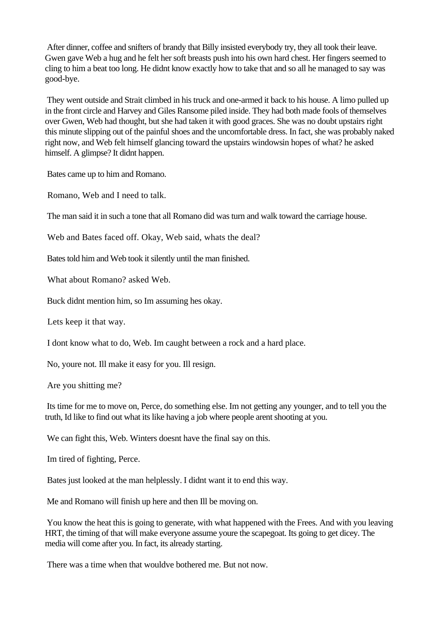After dinner, coffee and snifters of brandy that Billy insisted everybody try, they all took their leave. Gwen gave Web a hug and he felt her soft breasts push into his own hard chest. Her fingers seemed to cling to him a beat too long. He didnt know exactly how to take that and so all he managed to say was good-bye.

 They went outside and Strait climbed in his truck and one-armed it back to his house. A limo pulled up in the front circle and Harvey and Giles Ransome piled inside. They had both made fools of themselves over Gwen, Web had thought, but she had taken it with good graces. She was no doubt upstairs right this minute slipping out of the painful shoes and the uncomfortable dress. In fact, she was probably naked right now, and Web felt himself glancing toward the upstairs windowsin hopes of what? he asked himself. A glimpse? It didnt happen.

Bates came up to him and Romano.

Romano, Web and I need to talk.

The man said it in such a tone that all Romano did was turn and walk toward the carriage house.

Web and Bates faced off. Okay, Web said, whats the deal?

Bates told him and Web took it silently until the man finished.

What about Romano? asked Web.

Buck didnt mention him, so Im assuming hes okay.

Lets keep it that way.

I dont know what to do, Web. Im caught between a rock and a hard place.

No, youre not. Ill make it easy for you. Ill resign.

Are you shitting me?

 Its time for me to move on, Perce, do something else. Im not getting any younger, and to tell you the truth, Id like to find out what its like having a job where people arent shooting at you.

We can fight this, Web. Winters doesnt have the final say on this.

Im tired of fighting, Perce.

Bates just looked at the man helplessly. I didnt want it to end this way.

Me and Romano will finish up here and then Ill be moving on.

 You know the heat this is going to generate, with what happened with the Frees. And with you leaving HRT, the timing of that will make everyone assume youre the scapegoat. Its going to get dicey. The media will come after you. In fact, its already starting.

There was a time when that wouldve bothered me. But not now.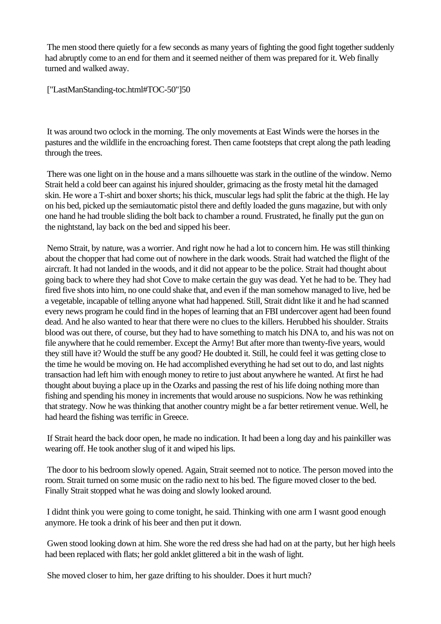The men stood there quietly for a few seconds as many years of fighting the good fight together suddenly had abruptly come to an end for them and it seemed neither of them was prepared for it. Web finally turned and walked away.

["LastManStanding-toc.html#TOC-50"]50

 It was around two oclock in the morning. The only movements at East Winds were the horses in the pastures and the wildlife in the encroaching forest. Then came footsteps that crept along the path leading through the trees.

 There was one light on in the house and a mans silhouette was stark in the outline of the window. Nemo Strait held a cold beer can against his injured shoulder, grimacing as the frosty metal hit the damaged skin. He wore a T-shirt and boxer shorts; his thick, muscular legs had split the fabric at the thigh. He lay on his bed, picked up the semiautomatic pistol there and deftly loaded the guns magazine, but with only one hand he had trouble sliding the bolt back to chamber a round. Frustrated, he finally put the gun on the nightstand, lay back on the bed and sipped his beer.

 Nemo Strait, by nature, was a worrier. And right now he had a lot to concern him. He was still thinking about the chopper that had come out of nowhere in the dark woods. Strait had watched the flight of the aircraft. It had not landed in the woods, and it did not appear to be the police. Strait had thought about going back to where they had shot Cove to make certain the guy was dead. Yet he had to be. They had fired five shots into him, no one could shake that, and even if the man somehow managed to live, hed be a vegetable, incapable of telling anyone what had happened. Still, Strait didnt like it and he had scanned every news program he could find in the hopes of learning that an FBI undercover agent had been found dead. And he also wanted to hear that there were no clues to the killers. Herubbed his shoulder. Straits blood was out there, of course, but they had to have something to match his DNA to, and his was not on file anywhere that he could remember. Except the Army! But after more than twenty-five years, would they still have it? Would the stuff be any good? He doubted it. Still, he could feel it was getting close to the time he would be moving on. He had accomplished everything he had set out to do, and last nights transaction had left him with enough money to retire to just about anywhere he wanted. At first he had thought about buying a place up in the Ozarks and passing the rest of his life doing nothing more than fishing and spending his money in increments that would arouse no suspicions. Now he was rethinking that strategy. Now he was thinking that another country might be a far better retirement venue. Well, he had heard the fishing was terrific in Greece.

 If Strait heard the back door open, he made no indication. It had been a long day and his painkiller was wearing off. He took another slug of it and wiped his lips.

 The door to his bedroom slowly opened. Again, Strait seemed not to notice. The person moved into the room. Strait turned on some music on the radio next to his bed. The figure moved closer to the bed. Finally Strait stopped what he was doing and slowly looked around.

 I didnt think you were going to come tonight, he said. Thinking with one arm I wasnt good enough anymore. He took a drink of his beer and then put it down.

 Gwen stood looking down at him. She wore the red dress she had had on at the party, but her high heels had been replaced with flats; her gold anklet glittered a bit in the wash of light.

She moved closer to him, her gaze drifting to his shoulder. Does it hurt much?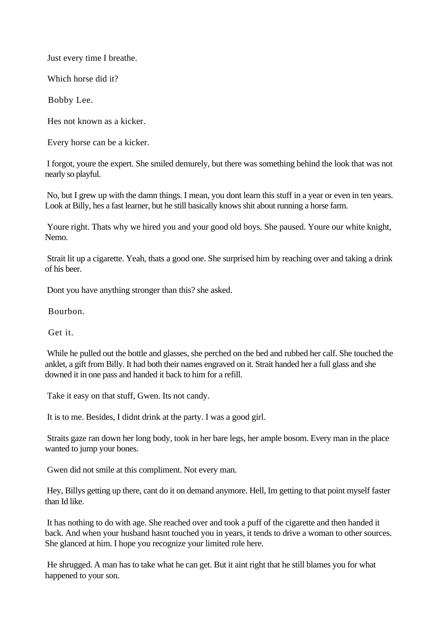Just every time I breathe.

Which horse did it?

Bobby Lee.

Hes not known as a kicker.

Every horse can be a kicker.

 I forgot, youre the expert. She smiled demurely, but there was something behind the look that was not nearly so playful.

 No, but I grew up with the damn things. I mean, you dont learn this stuff in a year or even in ten years. Look at Billy, hes a fast learner, but he still basically knows shit about running a horse farm.

 Youre right. Thats why we hired you and your good old boys. She paused. Youre our white knight, Nemo.

 Strait lit up a cigarette. Yeah, thats a good one. She surprised him by reaching over and taking a drink of his beer.

Dont you have anything stronger than this? she asked.

Bourbon.

Get it.

 While he pulled out the bottle and glasses, she perched on the bed and rubbed her calf. She touched the anklet, a gift from Billy. It had both their names engraved on it. Strait handed her a full glass and she downed it in one pass and handed it back to him for a refill.

Take it easy on that stuff, Gwen. Its not candy.

It is to me. Besides, I didnt drink at the party. I was a good girl.

 Straits gaze ran down her long body, took in her bare legs, her ample bosom. Every man in the place wanted to jump your bones.

Gwen did not smile at this compliment. Not every man.

 Hey, Billys getting up there, cant do it on demand anymore. Hell, Im getting to that point myself faster than Id like.

 It has nothing to do with age. She reached over and took a puff of the cigarette and then handed it back. And when your husband hasnt touched you in years, it tends to drive a woman to other sources. She glanced at him. I hope you recognize your limited role here.

 He shrugged. A man has to take what he can get. But it aint right that he still blames you for what happened to your son.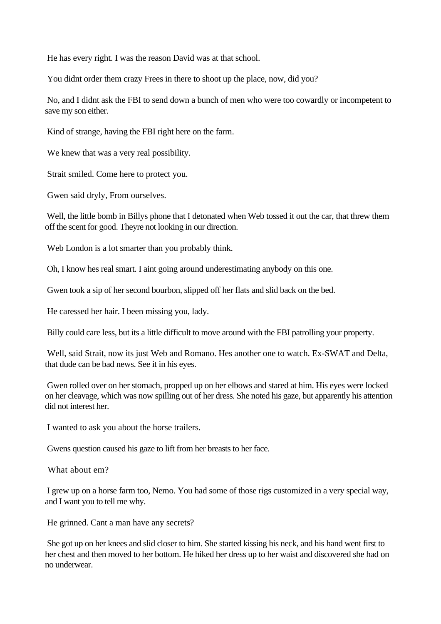He has every right. I was the reason David was at that school.

You didnt order them crazy Frees in there to shoot up the place, now, did you?

 No, and I didnt ask the FBI to send down a bunch of men who were too cowardly or incompetent to save my son either.

Kind of strange, having the FBI right here on the farm.

We knew that was a very real possibility.

Strait smiled. Come here to protect you.

Gwen said dryly, From ourselves.

 Well, the little bomb in Billys phone that I detonated when Web tossed it out the car, that threw them off the scent for good. Theyre not looking in our direction.

Web London is a lot smarter than you probably think.

Oh, I know hes real smart. I aint going around underestimating anybody on this one.

Gwen took a sip of her second bourbon, slipped off her flats and slid back on the bed.

He caressed her hair. I been missing you, lady.

Billy could care less, but its a little difficult to move around with the FBI patrolling your property.

 Well, said Strait, now its just Web and Romano. Hes another one to watch. Ex-SWAT and Delta, that dude can be bad news. See it in his eyes.

 Gwen rolled over on her stomach, propped up on her elbows and stared at him. His eyes were locked on her cleavage, which was now spilling out of her dress. She noted his gaze, but apparently his attention did not interest her.

I wanted to ask you about the horse trailers.

Gwens question caused his gaze to lift from her breasts to her face.

What about em?

 I grew up on a horse farm too, Nemo. You had some of those rigs customized in a very special way, and I want you to tell me why.

He grinned. Cant a man have any secrets?

 She got up on her knees and slid closer to him. She started kissing his neck, and his hand went first to her chest and then moved to her bottom. He hiked her dress up to her waist and discovered she had on no underwear.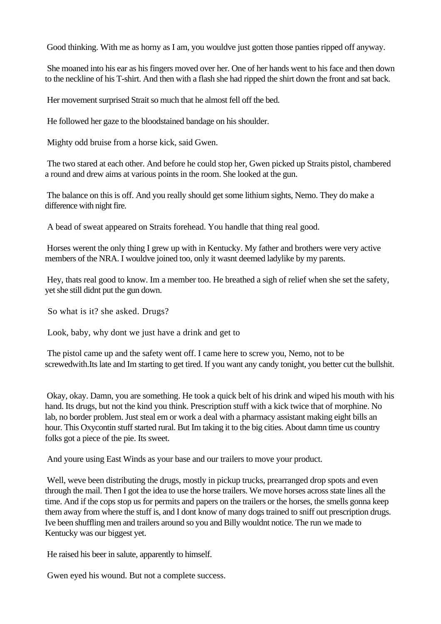Good thinking. With me as horny as I am, you wouldve just gotten those panties ripped off anyway.

 She moaned into his ear as his fingers moved over her. One of her hands went to his face and then down to the neckline of his T-shirt. And then with a flash she had ripped the shirt down the front and sat back.

Her movement surprised Strait so much that he almost fell off the bed.

He followed her gaze to the bloodstained bandage on his shoulder.

Mighty odd bruise from a horse kick, said Gwen.

 The two stared at each other. And before he could stop her, Gwen picked up Straits pistol, chambered a round and drew aims at various points in the room. She looked at the gun.

 The balance on this is off. And you really should get some lithium sights, Nemo. They do make a difference with night fire.

A bead of sweat appeared on Straits forehead. You handle that thing real good.

 Horses werent the only thing I grew up with in Kentucky. My father and brothers were very active members of the NRA. I wouldve joined too, only it wasnt deemed ladylike by my parents.

 Hey, thats real good to know. Im a member too. He breathed a sigh of relief when she set the safety, yet she still didnt put the gun down.

So what is it? she asked. Drugs?

Look, baby, why dont we just have a drink and get to

 The pistol came up and the safety went off. I came here to screw you, Nemo, not to be screwedwith.Its late and Im starting to get tired. If you want any candy tonight, you better cut the bullshit.

 Okay, okay. Damn, you are something. He took a quick belt of his drink and wiped his mouth with his hand. Its drugs, but not the kind you think. Prescription stuff with a kick twice that of morphine. No lab, no border problem. Just steal em or work a deal with a pharmacy assistant making eight bills an hour. This Oxycontin stuff started rural. But Im taking it to the big cities. About damn time us country folks got a piece of the pie. Its sweet.

And youre using East Winds as your base and our trailers to move your product.

 Well, weve been distributing the drugs, mostly in pickup trucks, prearranged drop spots and even through the mail. Then I got the idea to use the horse trailers. We move horses across state lines all the time. And if the cops stop us for permits and papers on the trailers or the horses, the smells gonna keep them away from where the stuff is, and I dont know of many dogs trained to sniff out prescription drugs. Ive been shuffling men and trailers around so you and Billy wouldnt notice. The run we made to Kentucky was our biggest yet.

He raised his beer in salute, apparently to himself.

Gwen eyed his wound. But not a complete success.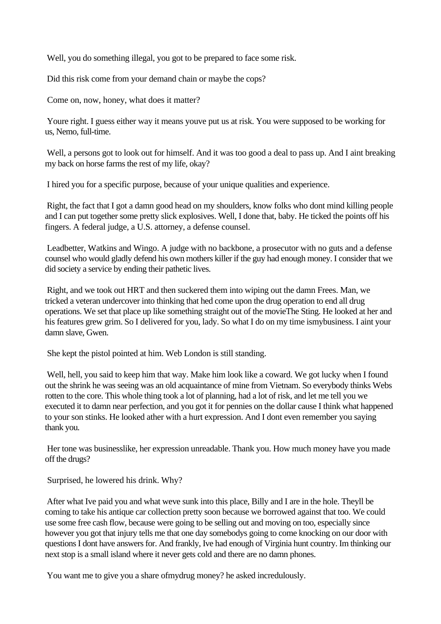Well, you do something illegal, you got to be prepared to face some risk.

Did this risk come from your demand chain or maybe the cops?

Come on, now, honey, what does it matter?

 Youre right. I guess either way it means youve put us at risk. You were supposed to be working for us, Nemo, full-time.

 Well, a persons got to look out for himself. And it was too good a deal to pass up. And I aint breaking my back on horse farms the rest of my life, okay?

I hired you for a specific purpose, because of your unique qualities and experience.

 Right, the fact that I got a damn good head on my shoulders, know folks who dont mind killing people and I can put together some pretty slick explosives. Well, I done that, baby. He ticked the points off his fingers. A federal judge, a U.S. attorney, a defense counsel.

 Leadbetter, Watkins and Wingo. A judge with no backbone, a prosecutor with no guts and a defense counsel who would gladly defend his own mothers killer if the guy had enough money. I consider that we did society a service by ending their pathetic lives.

 Right, and we took out HRT and then suckered them into wiping out the damn Frees. Man, we tricked a veteran undercover into thinking that hed come upon the drug operation to end all drug operations. We set that place up like something straight out of the movieThe Sting. He looked at her and his features grew grim. So I delivered for you, lady. So what I do on my time ismybusiness. I aint your damn slave, Gwen.

She kept the pistol pointed at him. Web London is still standing.

 Well, hell, you said to keep him that way. Make him look like a coward. We got lucky when I found out the shrink he was seeing was an old acquaintance of mine from Vietnam. So everybody thinks Webs rotten to the core. This whole thing took a lot of planning, had a lot of risk, and let me tell you we executed it to damn near perfection, and you got it for pennies on the dollar cause I think what happened to your son stinks. He looked ather with a hurt expression. And I dont even remember you saying thank you.

 Her tone was businesslike, her expression unreadable. Thank you. How much money have you made off the drugs?

Surprised, he lowered his drink. Why?

 After what Ive paid you and what weve sunk into this place, Billy and I are in the hole. Theyll be coming to take his antique car collection pretty soon because we borrowed against that too. We could use some free cash flow, because were going to be selling out and moving on too, especially since however you got that injury tells me that one day somebodys going to come knocking on our door with questions I dont have answers for. And frankly, Ive had enough of Virginia hunt country. Im thinking our next stop is a small island where it never gets cold and there are no damn phones.

You want me to give you a share ofmydrug money? he asked incredulously.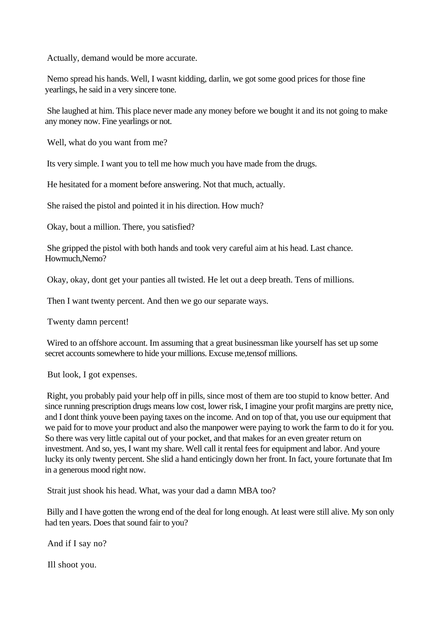Actually, demand would be more accurate.

 Nemo spread his hands. Well, I wasnt kidding, darlin, we got some good prices for those fine yearlings, he said in a very sincere tone.

 She laughed at him. This place never made any money before we bought it and its not going to make any money now. Fine yearlings or not.

Well, what do you want from me?

Its very simple. I want you to tell me how much you have made from the drugs.

He hesitated for a moment before answering. Not that much, actually.

She raised the pistol and pointed it in his direction. How much?

Okay, bout a million. There, you satisfied?

 She gripped the pistol with both hands and took very careful aim at his head. Last chance. Howmuch,Nemo?

Okay, okay, dont get your panties all twisted. He let out a deep breath. Tens of millions.

Then I want twenty percent. And then we go our separate ways.

Twenty damn percent!

 Wired to an offshore account. Im assuming that a great businessman like yourself has set up some secret accounts somewhere to hide your millions. Excuse me,tensof millions.

But look, I got expenses.

 Right, you probably paid your help off in pills, since most of them are too stupid to know better. And since running prescription drugs means low cost, lower risk, I imagine your profit margins are pretty nice, and I dont think youve been paying taxes on the income. And on top of that, you use our equipment that we paid for to move your product and also the manpower were paying to work the farm to do it for you. So there was very little capital out of your pocket, and that makes for an even greater return on investment. And so, yes, I want my share. Well call it rental fees for equipment and labor. And youre lucky its only twenty percent. She slid a hand enticingly down her front. In fact, youre fortunate that Im in a generous mood right now.

Strait just shook his head. What, was your dad a damn MBA too?

 Billy and I have gotten the wrong end of the deal for long enough. At least were still alive. My son only had ten years. Does that sound fair to you?

And if I say no?

Ill shoot you.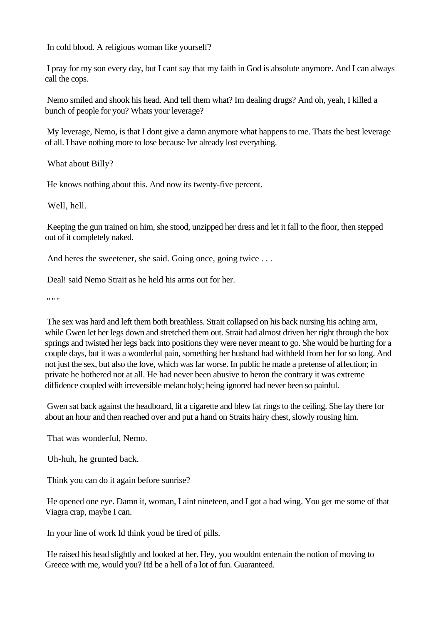In cold blood. A religious woman like yourself?

 I pray for my son every day, but I cant say that my faith in God is absolute anymore. And I can always call the cops.

 Nemo smiled and shook his head. And tell them what? Im dealing drugs? And oh, yeah, I killed a bunch of people for you? Whats your leverage?

 My leverage, Nemo, is that I dont give a damn anymore what happens to me. Thats the best leverage of all. I have nothing more to lose because Ive already lost everything.

What about Billy?

He knows nothing about this. And now its twenty-five percent.

Well, hell.

 Keeping the gun trained on him, she stood, unzipped her dress and let it fall to the floor, then stepped out of it completely naked.

And heres the sweetener, she said. Going once, going twice ...

Deal! said Nemo Strait as he held his arms out for her.

" " "

 The sex was hard and left them both breathless. Strait collapsed on his back nursing his aching arm, while Gwen let her legs down and stretched them out. Strait had almost driven her right through the box springs and twisted her legs back into positions they were never meant to go. She would be hurting for a couple days, but it was a wonderful pain, something her husband had withheld from her for so long. And not just the sex, but also the love, which was far worse. In public he made a pretense of affection; in private he bothered not at all. He had never been abusive to her on the contrary it was extreme diffidence coupled with irreversible melancholy; being ignored had never been so painful.

 Gwen sat back against the headboard, lit a cigarette and blew fat rings to the ceiling. She lay there for about an hour and then reached over and put a hand on Straits hairy chest, slowly rousing him.

That was wonderful, Nemo.

Uh-huh, he grunted back.

Think you can do it again before sunrise?

 He opened one eye. Damn it, woman, I aint nineteen, and I got a bad wing. You get me some of that Viagra crap, maybe I can.

In your line of work Id think youd be tired of pills.

 He raised his head slightly and looked at her. Hey, you wouldnt entertain the notion of moving to Greece with me, would you? Itd be a hell of a lot of fun. Guaranteed.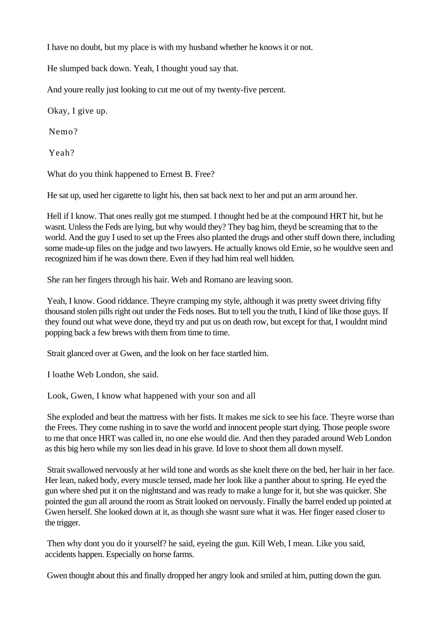I have no doubt, but my place is with my husband whether he knows it or not.

He slumped back down. Yeah, I thought youd say that.

And youre really just looking to cut me out of my twenty-five percent.

Okay, I give up.

Nemo?

Yeah?

What do you think happened to Ernest B. Free?

He sat up, used her cigarette to light his, then sat back next to her and put an arm around her.

 Hell if I know. That ones really got me stumped. I thought hed be at the compound HRT hit, but he wasnt. Unless the Feds are lying, but why would they? They bag him, theyd be screaming that to the world. And the guy I used to set up the Frees also planted the drugs and other stuff down there, including some made-up files on the judge and two lawyers. He actually knows old Ernie, so he wouldve seen and recognized him if he was down there. Even if they had him real well hidden.

She ran her fingers through his hair. Web and Romano are leaving soon.

 Yeah, I know. Good riddance. Theyre cramping my style, although it was pretty sweet driving fifty thousand stolen pills right out under the Feds noses. But to tell you the truth, I kind of like those guys. If they found out what weve done, theyd try and put us on death row, but except for that, I wouldnt mind popping back a few brews with them from time to time.

Strait glanced over at Gwen, and the look on her face startled him.

I loathe Web London, she said.

Look, Gwen, I know what happened with your son and all

 She exploded and beat the mattress with her fists. It makes me sick to see his face. Theyre worse than the Frees. They come rushing in to save the world and innocent people start dying. Those people swore to me that once HRT was called in, no one else would die. And then they paraded around Web London as this big hero while my son lies dead in his grave. Id love to shoot them all down myself.

 Strait swallowed nervously at her wild tone and words as she knelt there on the bed, her hair in her face. Her lean, naked body, every muscle tensed, made her look like a panther about to spring. He eyed the gun where shed put it on the nightstand and was ready to make a lunge for it, but she was quicker. She pointed the gun all around the room as Strait looked on nervously. Finally the barrel ended up pointed at Gwen herself. She looked down at it, as though she wasnt sure what it was. Her finger eased closer to the trigger.

 Then why dont you do it yourself? he said, eyeing the gun. Kill Web, I mean. Like you said, accidents happen. Especially on horse farms.

Gwen thought about this and finally dropped her angry look and smiled at him, putting down the gun.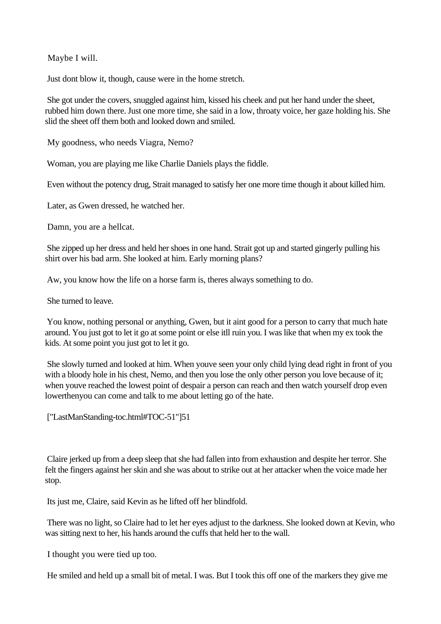Maybe I will.

Just dont blow it, though, cause were in the home stretch.

 She got under the covers, snuggled against him, kissed his cheek and put her hand under the sheet, rubbed him down there. Just one more time, she said in a low, throaty voice, her gaze holding his. She slid the sheet off them both and looked down and smiled.

My goodness, who needs Viagra, Nemo?

Woman, you are playing me like Charlie Daniels plays the fiddle.

Even without the potency drug, Strait managed to satisfy her one more time though it about killed him.

Later, as Gwen dressed, he watched her.

Damn, you are a hellcat.

 She zipped up her dress and held her shoes in one hand. Strait got up and started gingerly pulling his shirt over his bad arm. She looked at him. Early morning plans?

Aw, you know how the life on a horse farm is, theres always something to do.

She turned to leave.

 You know, nothing personal or anything, Gwen, but it aint good for a person to carry that much hate around. You just got to let it go at some point or else itll ruin you. I was like that when my ex took the kids. At some point you just got to let it go.

 She slowly turned and looked at him. When youve seen your only child lying dead right in front of you with a bloody hole in his chest, Nemo, and then you lose the only other person you love because of it; when youve reached the lowest point of despair a person can reach and then watch yourself drop even lower thenyou can come and talk to me about letting go of the hate.

["LastManStanding-toc.html#TOC-51"]51

 Claire jerked up from a deep sleep that she had fallen into from exhaustion and despite her terror. She felt the fingers against her skin and she was about to strike out at her attacker when the voice made her stop.

Its just me, Claire, said Kevin as he lifted off her blindfold.

 There was no light, so Claire had to let her eyes adjust to the darkness. She looked down at Kevin, who was sitting next to her, his hands around the cuffs that held her to the wall.

I thought you were tied up too.

He smiled and held up a small bit of metal. I was. But I took this off one of the markers they give me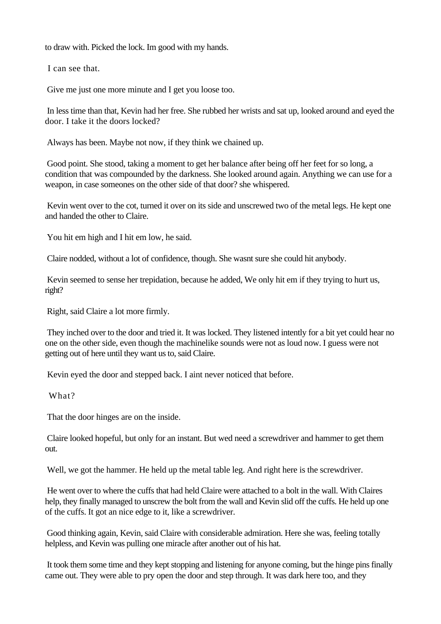to draw with. Picked the lock. Im good with my hands.

I can see that.

Give me just one more minute and I get you loose too.

 In less time than that, Kevin had her free. She rubbed her wrists and sat up, looked around and eyed the door. I take it the doors locked?

Always has been. Maybe not now, if they think we chained up.

 Good point. She stood, taking a moment to get her balance after being off her feet for so long, a condition that was compounded by the darkness. She looked around again. Anything we can use for a weapon, in case someones on the other side of that door? she whispered.

 Kevin went over to the cot, turned it over on its side and unscrewed two of the metal legs. He kept one and handed the other to Claire.

You hit em high and I hit em low, he said.

Claire nodded, without a lot of confidence, though. She wasnt sure she could hit anybody.

 Kevin seemed to sense her trepidation, because he added, We only hit em if they trying to hurt us, right?

Right, said Claire a lot more firmly.

 They inched over to the door and tried it. It was locked. They listened intently for a bit yet could hear no one on the other side, even though the machinelike sounds were not as loud now. I guess were not getting out of here until they want us to, said Claire.

Kevin eyed the door and stepped back. I aint never noticed that before.

What?

That the door hinges are on the inside.

 Claire looked hopeful, but only for an instant. But wed need a screwdriver and hammer to get them out.

Well, we got the hammer. He held up the metal table leg. And right here is the screwdriver.

 He went over to where the cuffs that had held Claire were attached to a bolt in the wall. With Claires help, they finally managed to unscrew the bolt from the wall and Kevin slid off the cuffs. He held up one of the cuffs. It got an nice edge to it, like a screwdriver.

 Good thinking again, Kevin, said Claire with considerable admiration. Here she was, feeling totally helpless, and Kevin was pulling one miracle after another out of his hat.

 It took them some time and they kept stopping and listening for anyone coming, but the hinge pins finally came out. They were able to pry open the door and step through. It was dark here too, and they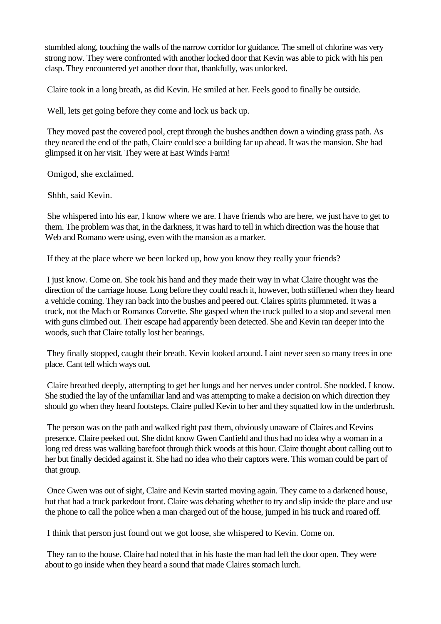stumbled along, touching the walls of the narrow corridor for guidance. The smell of chlorine was very strong now. They were confronted with another locked door that Kevin was able to pick with his pen clasp. They encountered yet another door that, thankfully, was unlocked.

Claire took in a long breath, as did Kevin. He smiled at her. Feels good to finally be outside.

Well, lets get going before they come and lock us back up.

 They moved past the covered pool, crept through the bushes andthen down a winding grass path. As they neared the end of the path, Claire could see a building far up ahead. It was the mansion. She had glimpsed it on her visit. They were at East Winds Farm!

Omigod, she exclaimed.

Shhh, said Kevin.

 She whispered into his ear, I know where we are. I have friends who are here, we just have to get to them. The problem was that, in the darkness, it was hard to tell in which direction was the house that Web and Romano were using, even with the mansion as a marker.

If they at the place where we been locked up, how you know they really your friends?

 I just know. Come on. She took his hand and they made their way in what Claire thought was the direction of the carriage house. Long before they could reach it, however, both stiffened when they heard a vehicle coming. They ran back into the bushes and peered out. Claires spirits plummeted. It was a truck, not the Mach or Romanos Corvette. She gasped when the truck pulled to a stop and several men with guns climbed out. Their escape had apparently been detected. She and Kevin ran deeper into the woods, such that Claire totally lost her bearings.

 They finally stopped, caught their breath. Kevin looked around. I aint never seen so many trees in one place. Cant tell which ways out.

 Claire breathed deeply, attempting to get her lungs and her nerves under control. She nodded. I know. She studied the lay of the unfamiliar land and was attempting to make a decision on which direction they should go when they heard footsteps. Claire pulled Kevin to her and they squatted low in the underbrush.

 The person was on the path and walked right past them, obviously unaware of Claires and Kevins presence. Claire peeked out. She didnt know Gwen Canfield and thus had no idea why a woman in a long red dress was walking barefoot through thick woods at this hour. Claire thought about calling out to her but finally decided against it. She had no idea who their captors were. This woman could be part of that group.

 Once Gwen was out of sight, Claire and Kevin started moving again. They came to a darkened house, but that had a truck parkedout front. Claire was debating whether to try and slip inside the place and use the phone to call the police when a man charged out of the house, jumped in his truck and roared off.

I think that person just found out we got loose, she whispered to Kevin. Come on.

 They ran to the house. Claire had noted that in his haste the man had left the door open. They were about to go inside when they heard a sound that made Claires stomach lurch.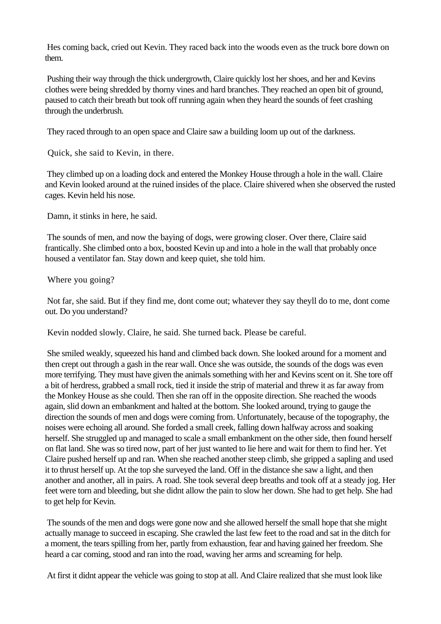Hes coming back, cried out Kevin. They raced back into the woods even as the truck bore down on them.

 Pushing their way through the thick undergrowth, Claire quickly lost her shoes, and her and Kevins clothes were being shredded by thorny vines and hard branches. They reached an open bit of ground, paused to catch their breath but took off running again when they heard the sounds of feet crashing through the underbrush.

They raced through to an open space and Claire saw a building loom up out of the darkness.

Quick, she said to Kevin, in there.

 They climbed up on a loading dock and entered the Monkey House through a hole in the wall. Claire and Kevin looked around at the ruined insides of the place. Claire shivered when she observed the rusted cages. Kevin held his nose.

Damn, it stinks in here, he said.

 The sounds of men, and now the baying of dogs, were growing closer. Over there, Claire said frantically. She climbed onto a box, boosted Kevin up and into a hole in the wall that probably once housed a ventilator fan. Stay down and keep quiet, she told him.

Where you going?

 Not far, she said. But if they find me, dont come out; whatever they say theyll do to me, dont come out. Do you understand?

Kevin nodded slowly. Claire, he said. She turned back. Please be careful.

 She smiled weakly, squeezed his hand and climbed back down. She looked around for a moment and then crept out through a gash in the rear wall. Once she was outside, the sounds of the dogs was even more terrifying. They must have given the animals something with her and Kevins scent on it. She tore off a bit of herdress, grabbed a small rock, tied it inside the strip of material and threw it as far away from the Monkey House as she could. Then she ran off in the opposite direction. She reached the woods again, slid down an embankment and halted at the bottom. She looked around, trying to gauge the direction the sounds of men and dogs were coming from. Unfortunately, because of the topography, the noises were echoing all around. She forded a small creek, falling down halfway across and soaking herself. She struggled up and managed to scale a small embankment on the other side, then found herself on flat land. She was so tired now, part of her just wanted to lie here and wait for them to find her. Yet Claire pushed herself up and ran. When she reached another steep climb, she gripped a sapling and used it to thrust herself up. At the top she surveyed the land. Off in the distance she saw a light, and then another and another, all in pairs. A road. She took several deep breaths and took off at a steady jog. Her feet were torn and bleeding, but she didnt allow the pain to slow her down. She had to get help. She had to get help for Kevin.

 The sounds of the men and dogs were gone now and she allowed herself the small hope that she might actually manage to succeed in escaping. She crawled the last few feet to the road and sat in the ditch for a moment, the tears spilling from her, partly from exhaustion, fear and having gained her freedom. She heard a car coming, stood and ran into the road, waving her arms and screaming for help.

At first it didnt appear the vehicle was going to stop at all. And Claire realized that she must look like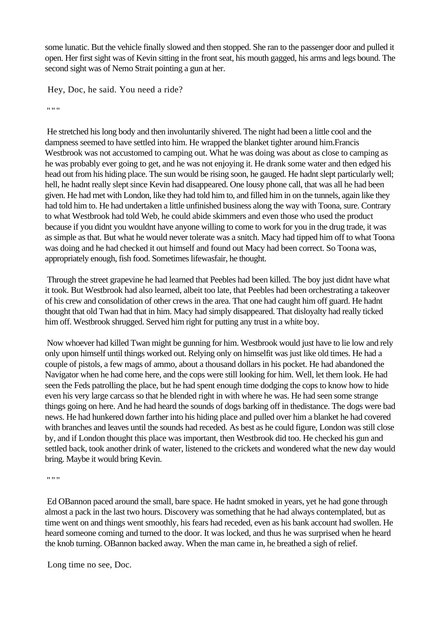some lunatic. But the vehicle finally slowed and then stopped. She ran to the passenger door and pulled it open. Her first sight was of Kevin sitting in the front seat, his mouth gagged, his arms and legs bound. The second sight was of Nemo Strait pointing a gun at her.

Hey, Doc, he said. You need a ride?

" " "

 He stretched his long body and then involuntarily shivered. The night had been a little cool and the dampness seemed to have settled into him. He wrapped the blanket tighter around him.Francis Westbrook was not accustomed to camping out. What he was doing was about as close to camping as he was probably ever going to get, and he was not enjoying it. He drank some water and then edged his head out from his hiding place. The sun would be rising soon, he gauged. He hadnt slept particularly well; hell, he hadnt really slept since Kevin had disappeared. One lousy phone call, that was all he had been given. He had met with London, like they had told him to, and filled him in on the tunnels, again like they had told him to. He had undertaken a little unfinished business along the way with Toona, sure. Contrary to what Westbrook had told Web, he could abide skimmers and even those who used the product because if you didnt you wouldnt have anyone willing to come to work for you in the drug trade, it was as simple as that. But what he would never tolerate was a snitch. Macy had tipped him off to what Toona was doing and he had checked it out himself and found out Macy had been correct. So Toona was, appropriately enough, fish food. Sometimes lifewasfair, he thought.

 Through the street grapevine he had learned that Peebles had been killed. The boy just didnt have what it took. But Westbrook had also learned, albeit too late, that Peebles had been orchestrating a takeover of his crew and consolidation of other crews in the area. That one had caught him off guard. He hadnt thought that old Twan had that in him. Macy had simply disappeared. That disloyalty had really ticked him off. Westbrook shrugged. Served him right for putting any trust in a white boy.

 Now whoever had killed Twan might be gunning for him. Westbrook would just have to lie low and rely only upon himself until things worked out. Relying only on himselfit was just like old times. He had a couple of pistols, a few mags of ammo, about a thousand dollars in his pocket. He had abandoned the Navigator when he had come here, and the cops were still looking for him. Well, let them look. He had seen the Feds patrolling the place, but he had spent enough time dodging the cops to know how to hide even his very large carcass so that he blended right in with where he was. He had seen some strange things going on here. And he had heard the sounds of dogs barking off in thedistance. The dogs were bad news. He had hunkered down farther into his hiding place and pulled over him a blanket he had covered with branches and leaves until the sounds had receded. As best as he could figure, London was still close by, and if London thought this place was important, then Westbrook did too. He checked his gun and settled back, took another drink of water, listened to the crickets and wondered what the new day would bring. Maybe it would bring Kevin.

" " "

 Ed OBannon paced around the small, bare space. He hadnt smoked in years, yet he had gone through almost a pack in the last two hours. Discovery was something that he had always contemplated, but as time went on and things went smoothly, his fears had receded, even as his bank account had swollen. He heard someone coming and turned to the door. It was locked, and thus he was surprised when he heard the knob turning. OBannon backed away. When the man came in, he breathed a sigh of relief.

Long time no see, Doc.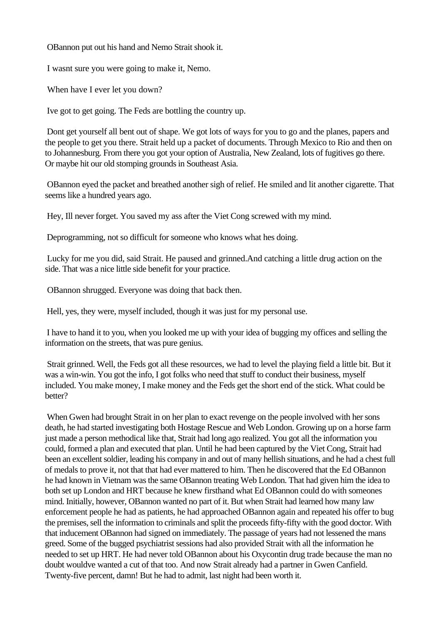OBannon put out his hand and Nemo Strait shook it.

I wasnt sure you were going to make it, Nemo.

When have I ever let you down?

Ive got to get going. The Feds are bottling the country up.

 Dont get yourself all bent out of shape. We got lots of ways for you to go and the planes, papers and the people to get you there. Strait held up a packet of documents. Through Mexico to Rio and then on to Johannesburg. From there you got your option of Australia, New Zealand, lots of fugitives go there. Or maybe hit our old stomping grounds in Southeast Asia.

 OBannon eyed the packet and breathed another sigh of relief. He smiled and lit another cigarette. That seems like a hundred years ago.

Hey, Ill never forget. You saved my ass after the Viet Cong screwed with my mind.

Deprogramming, not so difficult for someone who knows what hes doing.

 Lucky for me you did, said Strait. He paused and grinned.And catching a little drug action on the side. That was a nice little side benefit for your practice.

OBannon shrugged. Everyone was doing that back then.

Hell, yes, they were, myself included, though it was just for my personal use.

 I have to hand it to you, when you looked me up with your idea of bugging my offices and selling the information on the streets, that was pure genius.

 Strait grinned. Well, the Feds got all these resources, we had to level the playing field a little bit. But it was a win-win. You got the info, I got folks who need that stuff to conduct their business, myself included. You make money, I make money and the Feds get the short end of the stick. What could be better?

 When Gwen had brought Strait in on her plan to exact revenge on the people involved with her sons death, he had started investigating both Hostage Rescue and Web London. Growing up on a horse farm just made a person methodical like that, Strait had long ago realized. You got all the information you could, formed a plan and executed that plan. Until he had been captured by the Viet Cong, Strait had been an excellent soldier, leading his company in and out of many hellish situations, and he had a chest full of medals to prove it, not that that had ever mattered to him. Then he discovered that the Ed OBannon he had known in Vietnam was the same OBannon treating Web London. That had given him the idea to both set up London and HRT because he knew firsthand what Ed OBannon could do with someones mind. Initially, however, OBannon wanted no part of it. But when Strait had learned how many law enforcement people he had as patients, he had approached OBannon again and repeated his offer to bug the premises, sell the information to criminals and split the proceeds fifty-fifty with the good doctor. With that inducement OBannon had signed on immediately. The passage of years had not lessened the mans greed. Some of the bugged psychiatrist sessions had also provided Strait with all the information he needed to set up HRT. He had never told OBannon about his Oxycontin drug trade because the man no doubt wouldve wanted a cut of that too. And now Strait already had a partner in Gwen Canfield. Twenty-five percent, damn! But he had to admit, last night had been worth it.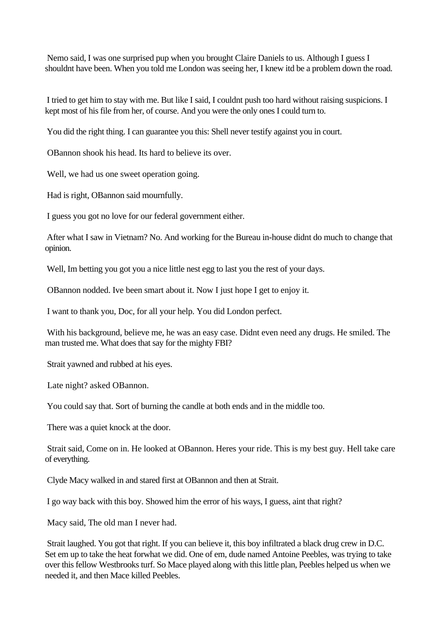Nemo said, I was one surprised pup when you brought Claire Daniels to us. Although I guess I shouldnt have been. When you told me London was seeing her, I knew itd be a problem down the road.

 I tried to get him to stay with me. But like I said, I couldnt push too hard without raising suspicions. I kept most of his file from her, of course. And you were the only ones I could turn to.

You did the right thing. I can guarantee you this: Shell never testify against you in court.

OBannon shook his head. Its hard to believe its over.

Well, we had us one sweet operation going.

Had is right, OBannon said mournfully.

I guess you got no love for our federal government either.

 After what I saw in Vietnam? No. And working for the Bureau in-house didnt do much to change that opinion.

Well, Im betting you got you a nice little nest egg to last you the rest of your days.

OBannon nodded. Ive been smart about it. Now I just hope I get to enjoy it.

I want to thank you, Doc, for all your help. You did London perfect.

 With his background, believe me, he was an easy case. Didnt even need any drugs. He smiled. The man trusted me. What does that say for the mighty FBI?

Strait yawned and rubbed at his eyes.

Late night? asked OBannon.

You could say that. Sort of burning the candle at both ends and in the middle too.

There was a quiet knock at the door.

 Strait said, Come on in. He looked at OBannon. Heres your ride. This is my best guy. Hell take care of everything.

Clyde Macy walked in and stared first at OBannon and then at Strait.

I go way back with this boy. Showed him the error of his ways, I guess, aint that right?

Macy said, The old man I never had.

 Strait laughed. You got that right. If you can believe it, this boy infiltrated a black drug crew in D.C. Set em up to take the heat forwhat we did. One of em, dude named Antoine Peebles, was trying to take over this fellow Westbrooks turf. So Mace played along with this little plan, Peebles helped us when we needed it, and then Mace killed Peebles.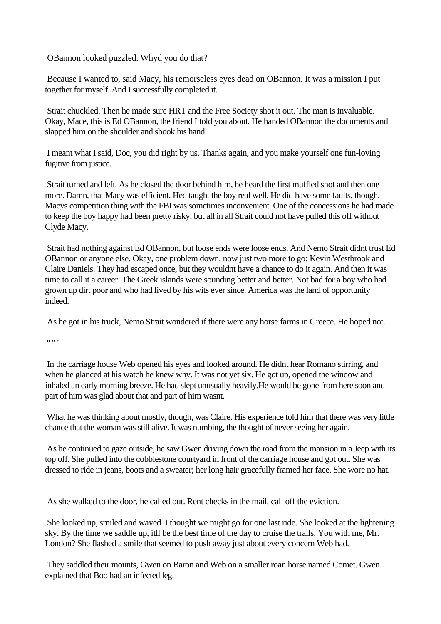OBannon looked puzzled. Whyd you do that?

 Because I wanted to, said Macy, his remorseless eyes dead on OBannon. It was a mission I put together for myself. And I successfully completed it.

 Strait chuckled. Then he made sure HRT and the Free Society shot it out. The man is invaluable. Okay, Mace, this is Ed OBannon, the friend I told you about. He handed OBannon the documents and slapped him on the shoulder and shook his hand.

 I meant what I said, Doc, you did right by us. Thanks again, and you make yourself one fun-loving fugitive from justice.

 Strait turned and left. As he closed the door behind him, he heard the first muffled shot and then one more. Damn, that Macy was efficient. Hed taught the boy real well. He did have some faults, though. Macys competition thing with the FBI was sometimes inconvenient. One of the concessions he had made to keep the boy happy had been pretty risky, but all in all Strait could not have pulled this off without Clyde Macy.

 Strait had nothing against Ed OBannon, but loose ends were loose ends. And Nemo Strait didnt trust Ed OBannon or anyone else. Okay, one problem down, now just two more to go: Kevin Westbrook and Claire Daniels. They had escaped once, but they wouldnt have a chance to do it again. And then it was time to call it a career. The Greek islands were sounding better and better. Not bad for a boy who had grown up dirt poor and who had lived by his wits ever since. America was the land of opportunity indeed.

As he got in his truck, Nemo Strait wondered if there were any horse farms in Greece. He hoped not.

" " "

 In the carriage house Web opened his eyes and looked around. He didnt hear Romano stirring, and when he glanced at his watch he knew why. It was not yet six. He got up, opened the window and inhaled an early morning breeze. He had slept unusually heavily.He would be gone from here soon and part of him was glad about that and part of him wasnt.

 What he was thinking about mostly, though, was Claire. His experience told him that there was very little chance that the woman was still alive. It was numbing, the thought of never seeing her again.

 As he continued to gaze outside, he saw Gwen driving down the road from the mansion in a Jeep with its top off. She pulled into the cobblestone courtyard in front of the carriage house and got out. She was dressed to ride in jeans, boots and a sweater; her long hair gracefully framed her face. She wore no hat.

As she walked to the door, he called out. Rent checks in the mail, call off the eviction.

 She looked up, smiled and waved. I thought we might go for one last ride. She looked at the lightening sky. By the time we saddle up, itll be the best time of the day to cruise the trails. You with me, Mr. London? She flashed a smile that seemed to push away just about every concern Web had.

 They saddled their mounts, Gwen on Baron and Web on a smaller roan horse named Comet. Gwen explained that Boo had an infected leg.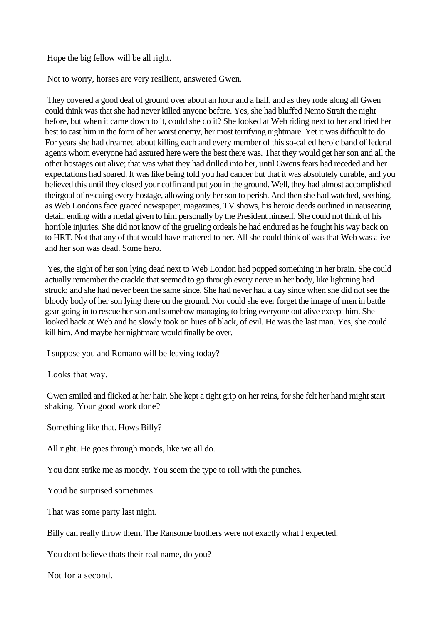Hope the big fellow will be all right.

Not to worry, horses are very resilient, answered Gwen.

 They covered a good deal of ground over about an hour and a half, and as they rode along all Gwen could think was that she had never killed anyone before. Yes, she had bluffed Nemo Strait the night before, but when it came down to it, could she do it? She looked at Web riding next to her and tried her best to cast him in the form of her worst enemy, her most terrifying nightmare. Yet it was difficult to do. For years she had dreamed about killing each and every member of this so-called heroic band of federal agents whom everyone had assured here were the best there was. That they would get her son and all the other hostages out alive; that was what they had drilled into her, until Gwens fears had receded and her expectations had soared. It was like being told you had cancer but that it was absolutely curable, and you believed this until they closed your coffin and put you in the ground. Well, they had almost accomplished theirgoal of rescuing every hostage, allowing only her son to perish. And then she had watched, seething, as Web Londons face graced newspaper, magazines, TV shows, his heroic deeds outlined in nauseating detail, ending with a medal given to him personally by the President himself. She could not think of his horrible injuries. She did not know of the grueling ordeals he had endured as he fought his way back on to HRT. Not that any of that would have mattered to her. All she could think of was that Web was alive and her son was dead. Some hero.

 Yes, the sight of her son lying dead next to Web London had popped something in her brain. She could actually remember the crackle that seemed to go through every nerve in her body, like lightning had struck; and she had never been the same since. She had never had a day since when she did not see the bloody body of her son lying there on the ground. Nor could she ever forget the image of men in battle gear going in to rescue her son and somehow managing to bring everyone out alive except him. She looked back at Web and he slowly took on hues of black, of evil. He was the last man. Yes, she could kill him. And maybe her nightmare would finally be over.

I suppose you and Romano will be leaving today?

Looks that way.

 Gwen smiled and flicked at her hair. She kept a tight grip on her reins, for she felt her hand might start shaking. Your good work done?

Something like that. Hows Billy?

All right. He goes through moods, like we all do.

You dont strike me as moody. You seem the type to roll with the punches.

Youd be surprised sometimes.

That was some party last night.

Billy can really throw them. The Ransome brothers were not exactly what I expected.

You dont believe thats their real name, do you?

Not for a second.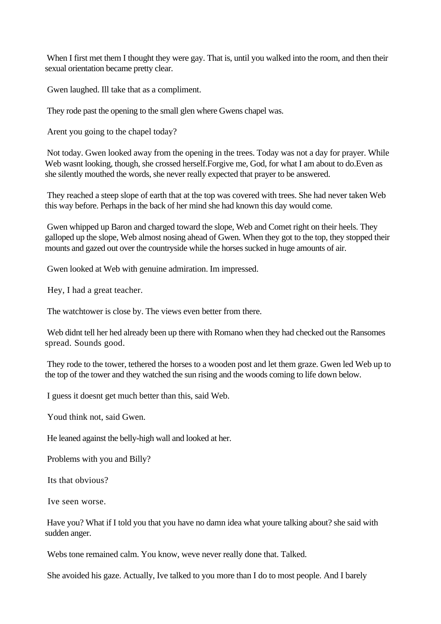When I first met them I thought they were gay. That is, until you walked into the room, and then their sexual orientation became pretty clear.

Gwen laughed. Ill take that as a compliment.

They rode past the opening to the small glen where Gwens chapel was.

Arent you going to the chapel today?

 Not today. Gwen looked away from the opening in the trees. Today was not a day for prayer. While Web wasnt looking, though, she crossed herself. Forgive me, God, for what I am about to do. Even as she silently mouthed the words, she never really expected that prayer to be answered.

 They reached a steep slope of earth that at the top was covered with trees. She had never taken Web this way before. Perhaps in the back of her mind she had known this day would come.

 Gwen whipped up Baron and charged toward the slope, Web and Comet right on their heels. They galloped up the slope, Web almost nosing ahead of Gwen. When they got to the top, they stopped their mounts and gazed out over the countryside while the horses sucked in huge amounts of air.

Gwen looked at Web with genuine admiration. Im impressed.

Hey, I had a great teacher.

The watchtower is close by. The views even better from there.

 Web didnt tell her hed already been up there with Romano when they had checked out the Ransomes spread. Sounds good.

 They rode to the tower, tethered the horses to a wooden post and let them graze. Gwen led Web up to the top of the tower and they watched the sun rising and the woods coming to life down below.

I guess it doesnt get much better than this, said Web.

Youd think not, said Gwen.

He leaned against the belly-high wall and looked at her.

Problems with you and Billy?

Its that obvious?

Ive seen worse.

 Have you? What if I told you that you have no damn idea what youre talking about? she said with sudden anger.

Webs tone remained calm. You know, weve never really done that. Talked.

She avoided his gaze. Actually, Ive talked to you more than I do to most people. And I barely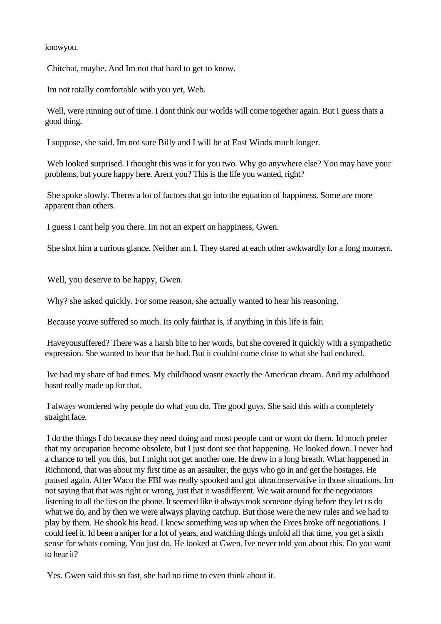knowyou.

Chitchat, maybe. And Im not that hard to get to know.

Im not totally comfortable with you yet, Web.

Well, were running out of time. I dont think our worlds will come together again. But I guess thats a good thing.

I suppose, she said. Im not sure Billy and I will be at East Winds much longer.

Web looked surprised. I thought this was it for you two. Why go anywhere else? You may have your problems, but youre happy here. Arent you? This is the life you wanted, right?

 She spoke slowly. Theres a lot of factors that go into the equation of happiness. Some are more apparent than others.

I guess I cant help you there. Im not an expert on happiness, Gwen.

She shot him a curious glance. Neither am I. They stared at each other awkwardly for a long moment.

Well, you deserve to be happy, Gwen.

Why? she asked quickly. For some reason, she actually wanted to hear his reasoning.

Because youve suffered so much. Its only fair that is, if anything in this life is fair.

 Haveyousuffered? There was a harsh bite to her words, but she covered it quickly with a sympathetic expression. She wanted to hear that he had. But it couldnt come close to what she had endured.

 Ive had my share of bad times. My childhood wasnt exactly the American dream. And my adulthood hasnt really made up for that.

 I always wondered why people do what you do. The good guys. She said this with a completely straight face.

 I do the things I do because they need doing and most people cant or wont do them. Id much prefer that my occupation become obsolete, but I just dont see that happening. He looked down. I never had a chance to tell you this, but I might not get another one. He drew in a long breath. What happened in Richmond, that was about my first time as an assaulter, the guys who go in and get the hostages. He paused again. After Waco the FBI was really spooked and got ultraconservative in those situations. Im not saying that that was right or wrong, just that it wasdifferent. We wait around for the negotiators listening to all the lies on the phone. It seemed like it always took someone dying before they let us do what we do, and by then we were always playing catchup. But those were the new rules and we had to play by them. He shook his head. I knew something was up when the Frees broke off negotiations. I could feel it. Id been a sniper for a lot of years, and watching things unfold all that time, you get a sixth sense for whats coming. You just do. He looked at Gwen. Ive never told you about this. Do you want to hear it?

Yes. Gwen said this so fast, she had no time to even think about it.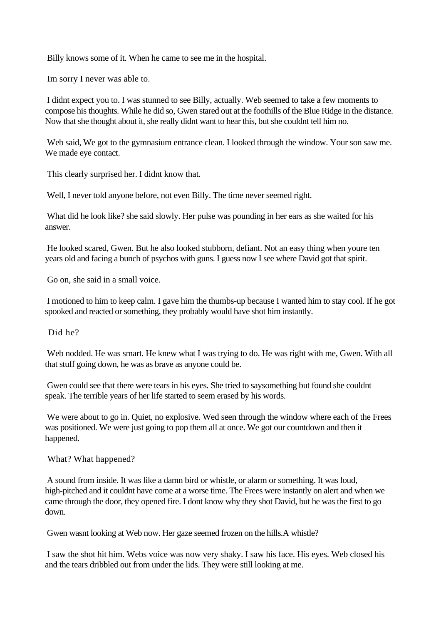Billy knows some of it. When he came to see me in the hospital.

Im sorry I never was able to.

 I didnt expect you to. I was stunned to see Billy, actually. Web seemed to take a few moments to compose his thoughts. While he did so, Gwen stared out at the foothills of the Blue Ridge in the distance. Now that she thought about it, she really didnt want to hear this, but she couldnt tell him no.

 Web said, We got to the gymnasium entrance clean. I looked through the window. Your son saw me. We made eye contact.

This clearly surprised her. I didnt know that.

Well, I never told anyone before, not even Billy. The time never seemed right.

 What did he look like? she said slowly. Her pulse was pounding in her ears as she waited for his answer.

 He looked scared, Gwen. But he also looked stubborn, defiant. Not an easy thing when youre ten years old and facing a bunch of psychos with guns. I guess now I see where David got that spirit.

Go on, she said in a small voice.

 I motioned to him to keep calm. I gave him the thumbs-up because I wanted him to stay cool. If he got spooked and reacted or something, they probably would have shot him instantly.

Did he?

Web nodded. He was smart. He knew what I was trying to do. He was right with me, Gwen. With all that stuff going down, he was as brave as anyone could be.

 Gwen could see that there were tears in his eyes. She tried to saysomething but found she couldnt speak. The terrible years of her life started to seem erased by his words.

We were about to go in. Quiet, no explosive. Wed seen through the window where each of the Frees was positioned. We were just going to pop them all at once. We got our countdown and then it happened.

What? What happened?

 A sound from inside. It was like a damn bird or whistle, or alarm or something. It was loud, high-pitched and it couldnt have come at a worse time. The Frees were instantly on alert and when we came through the door, they opened fire. I dont know why they shot David, but he was the first to go down.

Gwen wasnt looking at Web now. Her gaze seemed frozen on the hills.A whistle?

 I saw the shot hit him. Webs voice was now very shaky. I saw his face. His eyes. Web closed his and the tears dribbled out from under the lids. They were still looking at me.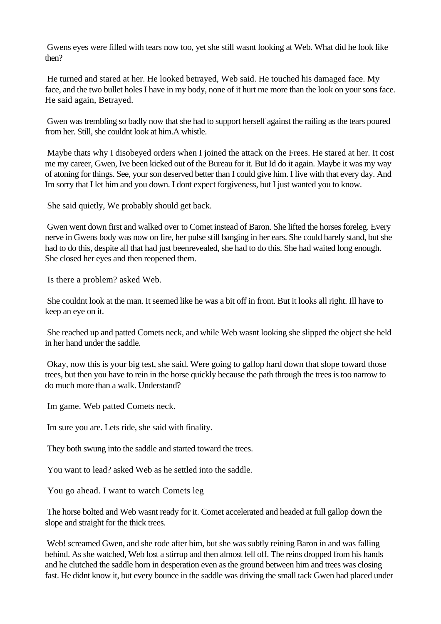Gwens eyes were filled with tears now too, yet she still wasnt looking at Web. What did he look like then?

 He turned and stared at her. He looked betrayed, Web said. He touched his damaged face. My face, and the two bullet holes I have in my body, none of it hurt me more than the look on your sons face. He said again, Betrayed.

 Gwen was trembling so badly now that she had to support herself against the railing as the tears poured from her. Still, she couldnt look at him.A whistle.

 Maybe thats why I disobeyed orders when I joined the attack on the Frees. He stared at her. It cost me my career, Gwen, Ive been kicked out of the Bureau for it. But Id do it again. Maybe it was my way of atoning for things. See, your son deserved better than I could give him. I live with that every day. And Im sorry that I let him and you down. I dont expect forgiveness, but I just wanted you to know.

She said quietly, We probably should get back.

 Gwen went down first and walked over to Comet instead of Baron. She lifted the horses foreleg. Every nerve in Gwens body was now on fire, her pulse still banging in her ears. She could barely stand, but she had to do this, despite all that had just beenrevealed, she had to do this. She had waited long enough. She closed her eyes and then reopened them.

Is there a problem? asked Web.

 She couldnt look at the man. It seemed like he was a bit off in front. But it looks all right. Ill have to keep an eye on it.

 She reached up and patted Comets neck, and while Web wasnt looking she slipped the object she held in her hand under the saddle.

 Okay, now this is your big test, she said. Were going to gallop hard down that slope toward those trees, but then you have to rein in the horse quickly because the path through the trees is too narrow to do much more than a walk. Understand?

Im game. Web patted Comets neck.

Im sure you are. Lets ride, she said with finality.

They both swung into the saddle and started toward the trees.

You want to lead? asked Web as he settled into the saddle.

You go ahead. I want to watch Comets leg

 The horse bolted and Web wasnt ready for it. Comet accelerated and headed at full gallop down the slope and straight for the thick trees.

 Web! screamed Gwen, and she rode after him, but she was subtly reining Baron in and was falling behind. As she watched, Web lost a stirrup and then almost fell off. The reins dropped from his hands and he clutched the saddle horn in desperation even as the ground between him and trees was closing fast. He didnt know it, but every bounce in the saddle was driving the small tack Gwen had placed under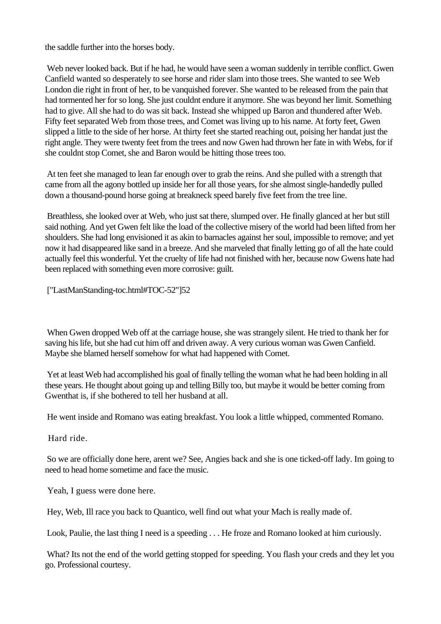the saddle further into the horses body.

 Web never looked back. But if he had, he would have seen a woman suddenly in terrible conflict. Gwen Canfield wanted so desperately to see horse and rider slam into those trees. She wanted to see Web London die right in front of her, to be vanquished forever. She wanted to be released from the pain that had tormented her for so long. She just couldnt endure it anymore. She was beyond her limit. Something had to give. All she had to do was sit back. Instead she whipped up Baron and thundered after Web. Fifty feet separated Web from those trees, and Comet was living up to his name. At forty feet, Gwen slipped a little to the side of her horse. At thirty feet she started reaching out, poising her handat just the right angle. They were twenty feet from the trees and now Gwen had thrown her fate in with Webs, for if she couldnt stop Comet, she and Baron would be hitting those trees too.

 At ten feet she managed to lean far enough over to grab the reins. And she pulled with a strength that came from all the agony bottled up inside her for all those years, for she almost single-handedly pulled down a thousand-pound horse going at breakneck speed barely five feet from the tree line.

 Breathless, she looked over at Web, who just sat there, slumped over. He finally glanced at her but still said nothing. And yet Gwen felt like the load of the collective misery of the world had been lifted from her shoulders. She had long envisioned it as akin to barnacles against her soul, impossible to remove; and yet now it had disappeared like sand in a breeze. And she marveled that finally letting go of all the hate could actually feel this wonderful. Yet the cruelty of life had not finished with her, because now Gwens hate had been replaced with something even more corrosive: guilt.

["LastManStanding-toc.html#TOC-52"]52

 When Gwen dropped Web off at the carriage house, she was strangely silent. He tried to thank her for saving his life, but she had cut him off and driven away. A very curious woman was Gwen Canfield. Maybe she blamed herself somehow for what had happened with Comet.

 Yet at least Web had accomplished his goal of finally telling the woman what he had been holding in all these years. He thought about going up and telling Billy too, but maybe it would be better coming from Gwen that is, if she bothered to tell her husband at all.

He went inside and Romano was eating breakfast. You look a little whipped, commented Romano.

Hard ride.

 So we are officially done here, arent we? See, Angies back and she is one ticked-off lady. Im going to need to head home sometime and face the music.

Yeah, I guess were done here.

Hey, Web, Ill race you back to Quantico, well find out what your Mach is really made of.

Look, Paulie, the last thing I need is a speeding . . . He froze and Romano looked at him curiously.

 What? Its not the end of the world getting stopped for speeding. You flash your creds and they let you go. Professional courtesy.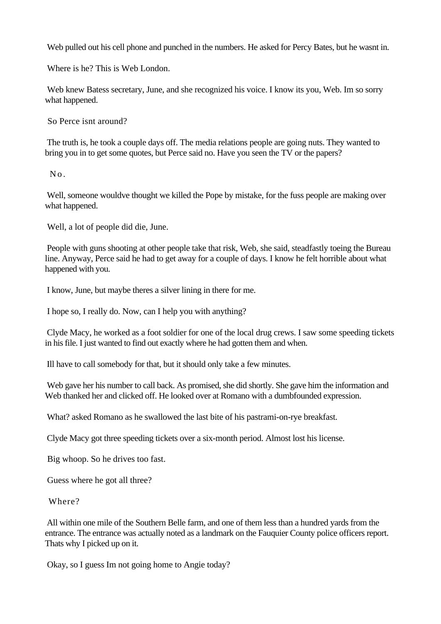Web pulled out his cell phone and punched in the numbers. He asked for Percy Bates, but he wasnt in.

Where is he? This is Web London.

 Web knew Batess secretary, June, and she recognized his voice. I know its you, Web. Im so sorry what happened.

So Perce isnt around?

 The truth is, he took a couple days off. The media relations people are going nuts. They wanted to bring you in to get some quotes, but Perce said no. Have you seen the TV or the papers?

 $No.$ 

 Well, someone wouldve thought we killed the Pope by mistake, for the fuss people are making over what happened.

Well, a lot of people did die, June.

 People with guns shooting at other people take that risk, Web, she said, steadfastly toeing the Bureau line. Anyway, Perce said he had to get away for a couple of days. I know he felt horrible about what happened with you.

I know, June, but maybe theres a silver lining in there for me.

I hope so, I really do. Now, can I help you with anything?

 Clyde Macy, he worked as a foot soldier for one of the local drug crews. I saw some speeding tickets in his file. I just wanted to find out exactly where he had gotten them and when.

Ill have to call somebody for that, but it should only take a few minutes.

Web gave her his number to call back. As promised, she did shortly. She gave him the information and Web thanked her and clicked off. He looked over at Romano with a dumbfounded expression.

What? asked Romano as he swallowed the last bite of his pastrami-on-rye breakfast.

Clyde Macy got three speeding tickets over a six-month period. Almost lost his license.

Big whoop. So he drives too fast.

Guess where he got all three?

Where?

 All within one mile of the Southern Belle farm, and one of them less than a hundred yards from the entrance. The entrance was actually noted as a landmark on the Fauquier County police officers report. Thats why I picked up on it.

Okay, so I guess Im not going home to Angie today?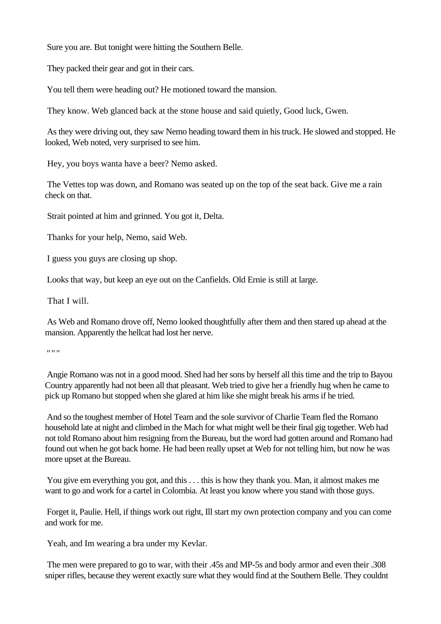Sure you are. But tonight were hitting the Southern Belle.

They packed their gear and got in their cars.

You tell them were heading out? He motioned toward the mansion.

They know. Web glanced back at the stone house and said quietly, Good luck, Gwen.

 As they were driving out, they saw Nemo heading toward them in his truck. He slowed and stopped. He looked, Web noted, very surprised to see him.

Hey, you boys wanta have a beer? Nemo asked.

 The Vettes top was down, and Romano was seated up on the top of the seat back. Give me a rain check on that.

Strait pointed at him and grinned. You got it, Delta.

Thanks for your help, Nemo, said Web.

I guess you guys are closing up shop.

Looks that way, but keep an eye out on the Canfields. Old Ernie is still at large.

That I will.

 As Web and Romano drove off, Nemo looked thoughtfully after them and then stared up ahead at the mansion. Apparently the hellcat had lost her nerve.

" " "

 Angie Romano was not in a good mood. Shed had her sons by herself all this time and the trip to Bayou Country apparently had not been all that pleasant. Web tried to give her a friendly hug when he came to pick up Romano but stopped when she glared at him like she might break his arms if he tried.

 And so the toughest member of Hotel Team and the sole survivor of Charlie Team fled the Romano household late at night and climbed in the Mach for what might well be their final gig together. Web had not told Romano about him resigning from the Bureau, but the word had gotten around and Romano had found out when he got back home. He had been really upset at Web for not telling him, but now he was more upset at the Bureau.

 You give em everything you got, and this . . . this is how they thank you. Man, it almost makes me want to go and work for a cartel in Colombia. At least you know where you stand with those guys.

 Forget it, Paulie. Hell, if things work out right, Ill start my own protection company and you can come and work for me.

Yeah, and Im wearing a bra under my Kevlar.

 The men were prepared to go to war, with their .45s and MP-5s and body armor and even their .308 sniper rifles, because they werent exactly sure what they would find at the Southern Belle. They couldnt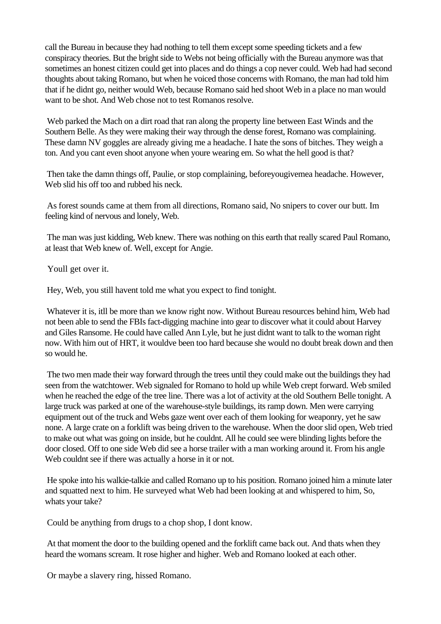call the Bureau in because they had nothing to tell them except some speeding tickets and a few conspiracy theories. But the bright side to Webs not being officially with the Bureau anymore was that sometimes an honest citizen could get into places and do things a cop never could. Web had had second thoughts about taking Romano, but when he voiced those concerns with Romano, the man had told him that if he didnt go, neither would Web, because Romano said hed shoot Web in a place no man would want to be shot. And Web chose not to test Romanos resolve.

 Web parked the Mach on a dirt road that ran along the property line between East Winds and the Southern Belle. As they were making their way through the dense forest, Romano was complaining. These damn NV goggles are already giving me a headache. I hate the sons of bitches. They weigh a ton. And you cant even shoot anyone when youre wearing em. So what the hell good is that?

 Then take the damn things off, Paulie, or stop complaining, beforeyougivemea headache. However, Web slid his off too and rubbed his neck.

 As forest sounds came at them from all directions, Romano said, No snipers to cover our butt. Im feeling kind of nervous and lonely, Web.

 The man was just kidding, Web knew. There was nothing on this earth that really scared Paul Romano, at least that Web knew of. Well, except for Angie.

Youll get over it.

Hey, Web, you still havent told me what you expect to find tonight.

 Whatever it is, itll be more than we know right now. Without Bureau resources behind him, Web had not been able to send the FBIs fact-digging machine into gear to discover what it could about Harvey and Giles Ransome. He could have called Ann Lyle, but he just didnt want to talk to the woman right now. With him out of HRT, it wouldve been too hard because she would no doubt break down and then so would he.

 The two men made their way forward through the trees until they could make out the buildings they had seen from the watchtower. Web signaled for Romano to hold up while Web crept forward. Web smiled when he reached the edge of the tree line. There was a lot of activity at the old Southern Belle tonight. A large truck was parked at one of the warehouse-style buildings, its ramp down. Men were carrying equipment out of the truck and Webs gaze went over each of them looking for weaponry, yet he saw none. A large crate on a forklift was being driven to the warehouse. When the door slid open, Web tried to make out what was going on inside, but he couldnt. All he could see were blinding lights before the door closed. Off to one side Web did see a horse trailer with a man working around it. From his angle Web couldnt see if there was actually a horse in it or not.

 He spoke into his walkie-talkie and called Romano up to his position. Romano joined him a minute later and squatted next to him. He surveyed what Web had been looking at and whispered to him, So, whats your take?

Could be anything from drugs to a chop shop, I dont know.

 At that moment the door to the building opened and the forklift came back out. And thats when they heard the womans scream. It rose higher and higher. Web and Romano looked at each other.

Or maybe a slavery ring, hissed Romano.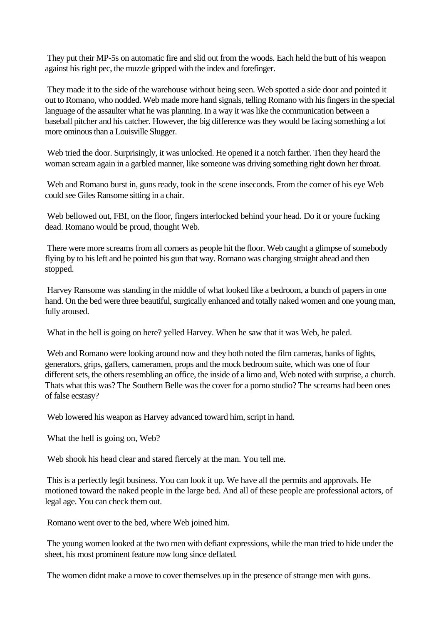They put their MP-5s on automatic fire and slid out from the woods. Each held the butt of his weapon against his right pec, the muzzle gripped with the index and forefinger.

 They made it to the side of the warehouse without being seen. Web spotted a side door and pointed it out to Romano, who nodded. Web made more hand signals, telling Romano with his fingers in the special language of the assaulter what he was planning. In a way it was like the communication between a baseball pitcher and his catcher. However, the big difference was they would be facing something a lot more ominous than a Louisville Slugger.

Web tried the door. Surprisingly, it was unlocked. He opened it a notch farther. Then they heard the woman scream again in a garbled manner, like someone was driving something right down her throat.

 Web and Romano burst in, guns ready, took in the scene inseconds. From the corner of his eye Web could see Giles Ransome sitting in a chair.

 Web bellowed out, FBI, on the floor, fingers interlocked behind your head. Do it or youre fucking dead. Romano would be proud, thought Web.

 There were more screams from all corners as people hit the floor. Web caught a glimpse of somebody flying by to his left and he pointed his gun that way. Romano was charging straight ahead and then stopped.

 Harvey Ransome was standing in the middle of what looked like a bedroom, a bunch of papers in one hand. On the bed were three beautiful, surgically enhanced and totally naked women and one young man, fully aroused.

What in the hell is going on here? yelled Harvey. When he saw that it was Web, he paled.

 Web and Romano were looking around now and they both noted the film cameras, banks of lights, generators, grips, gaffers, cameramen, props and the mock bedroom suite, which was one of four different sets, the others resembling an office, the inside of a limo and, Web noted with surprise, a church. Thats what this was? The Southern Belle was the cover for a porno studio? The screams had been ones of false ecstasy?

Web lowered his weapon as Harvey advanced toward him, script in hand.

What the hell is going on, Web?

Web shook his head clear and stared fiercely at the man. You tell me.

 This is a perfectly legit business. You can look it up. We have all the permits and approvals. He motioned toward the naked people in the large bed. And all of these people are professional actors, of legal age. You can check them out.

Romano went over to the bed, where Web joined him.

 The young women looked at the two men with defiant expressions, while the man tried to hide under the sheet, his most prominent feature now long since deflated.

The women didnt make a move to cover themselves up in the presence of strange men with guns.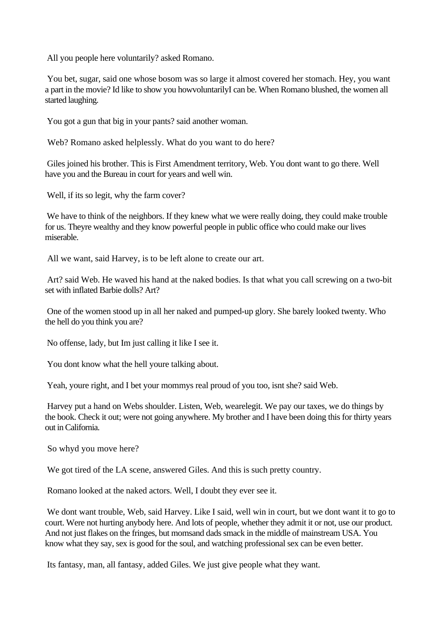All you people here voluntarily? asked Romano.

You bet, sugar, said one whose bosom was so large it almost covered her stomach. Hey, you want a part in the movie? Id like to show you howvoluntarilyI can be. When Romano blushed, the women all started laughing.

You got a gun that big in your pants? said another woman.

Web? Romano asked helplessly. What do you want to do here?

 Giles joined his brother. This is First Amendment territory, Web. You dont want to go there. Well have you and the Bureau in court for years and well win.

Well, if its so legit, why the farm cover?

We have to think of the neighbors. If they knew what we were really doing, they could make trouble for us. Theyre wealthy and they know powerful people in public office who could make our lives miserable.

All we want, said Harvey, is to be left alone to create our art.

 Art? said Web. He waved his hand at the naked bodies. Is that what you call screwing on a two-bit set with inflated Barbie dolls? Art?

 One of the women stood up in all her naked and pumped-up glory. She barely looked twenty. Who the hell do you think you are?

No offense, lady, but Im just calling it like I see it.

You dont know what the hell youre talking about.

Yeah, youre right, and I bet your mommys real proud of you too, isnt she? said Web.

 Harvey put a hand on Webs shoulder. Listen, Web, wearelegit. We pay our taxes, we do things by the book. Check it out; were not going anywhere. My brother and I have been doing this for thirty years out in California.

So whyd you move here?

We got tired of the LA scene, answered Giles. And this is such pretty country.

Romano looked at the naked actors. Well, I doubt they ever see it.

 We dont want trouble, Web, said Harvey. Like I said, well win in court, but we dont want it to go to court. Were not hurting anybody here. And lots of people, whether they admit it or not, use our product. And not just flakes on the fringes, but momsand dads smack in the middle of mainstream USA. You know what they say, sex is good for the soul, and watching professional sex can be even better.

Its fantasy, man, all fantasy, added Giles. We just give people what they want.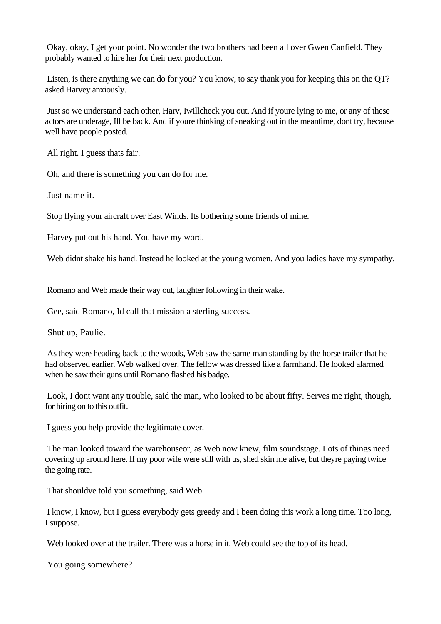Okay, okay, I get your point. No wonder the two brothers had been all over Gwen Canfield. They probably wanted to hire her for their next production.

 Listen, is there anything we can do for you? You know, to say thank you for keeping this on the QT? asked Harvey anxiously.

 Just so we understand each other, Harv, Iwillcheck you out. And if youre lying to me, or any of these actors are underage, Ill be back. And if youre thinking of sneaking out in the meantime, dont try, because well have people posted.

All right. I guess thats fair.

Oh, and there is something you can do for me.

Just name it.

Stop flying your aircraft over East Winds. Its bothering some friends of mine.

Harvey put out his hand. You have my word.

Web didnt shake his hand. Instead he looked at the young women. And you ladies have my sympathy.

Romano and Web made their way out, laughter following in their wake.

Gee, said Romano, Id call that mission a sterling success.

Shut up, Paulie.

 As they were heading back to the woods, Web saw the same man standing by the horse trailer that he had observed earlier. Web walked over. The fellow was dressed like a farmhand. He looked alarmed when he saw their guns until Romano flashed his badge.

 Look, I dont want any trouble, said the man, who looked to be about fifty. Serves me right, though, for hiring on to this outfit.

I guess you help provide the legitimate cover.

The man looked toward the warehouse or, as Web now knew, film soundstage. Lots of things need covering up around here. If my poor wife were still with us, shed skin me alive, but theyre paying twice the going rate.

That shouldve told you something, said Web.

 I know, I know, but I guess everybody gets greedy and I been doing this work a long time. Too long, I suppose.

Web looked over at the trailer. There was a horse in it. Web could see the top of its head.

You going somewhere?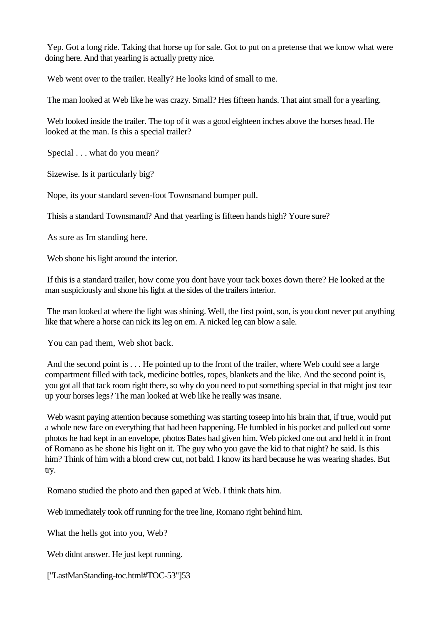Yep. Got a long ride. Taking that horse up for sale. Got to put on a pretense that we know what were doing here. And that yearling is actually pretty nice.

Web went over to the trailer. Really? He looks kind of small to me.

The man looked at Web like he was crazy. Small? Hes fifteen hands. That aint small for a yearling.

 Web looked inside the trailer. The top of it was a good eighteen inches above the horses head. He looked at the man. Is this a special trailer?

Special . . . what do you mean?

Sizewise. Is it particularly big?

Nope, its your standard seven-foot Townsmand bumper pull.

Thisis a standard Townsmand? And that yearling is fifteen hands high? Youre sure?

As sure as Im standing here.

Web shone his light around the interior.

 If this is a standard trailer, how come you dont have your tack boxes down there? He looked at the man suspiciously and shone his light at the sides of the trailers interior.

 The man looked at where the light was shining. Well, the first point, son, is you dont never put anything like that where a horse can nick its leg on em. A nicked leg can blow a sale.

You can pad them, Web shot back.

And the second point is . . . He pointed up to the front of the trailer, where Web could see a large compartment filled with tack, medicine bottles, ropes, blankets and the like. And the second point is, you got all that tack room right there, so why do you need to put something special in that might just tear up your horses legs? The man looked at Web like he really was insane.

Web wasnt paying attention because something was starting toseep into his brain that, if true, would put a whole new face on everything that had been happening. He fumbled in his pocket and pulled out some photos he had kept in an envelope, photos Bates had given him. Web picked one out and held it in front of Romano as he shone his light on it. The guy who you gave the kid to that night? he said. Is this him? Think of him with a blond crew cut, not bald. I know its hard because he was wearing shades. But try.

Romano studied the photo and then gaped at Web. I think thats him.

Web immediately took off running for the tree line, Romano right behind him.

What the hells got into you, Web?

Web didnt answer. He just kept running.

["LastManStanding-toc.html#TOC-53"]53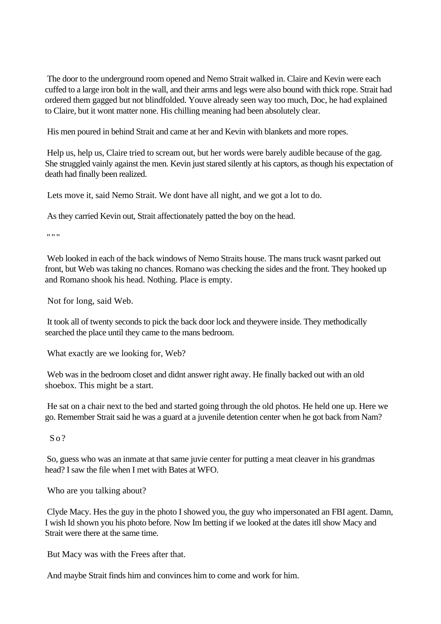The door to the underground room opened and Nemo Strait walked in. Claire and Kevin were each cuffed to a large iron bolt in the wall, and their arms and legs were also bound with thick rope. Strait had ordered them gagged but not blindfolded. Youve already seen way too much, Doc, he had explained to Claire, but it wont matter none. His chilling meaning had been absolutely clear.

His men poured in behind Strait and came at her and Kevin with blankets and more ropes.

 Help us, help us, Claire tried to scream out, but her words were barely audible because of the gag. She struggled vainly against the men. Kevin just stared silently at his captors, as though his expectation of death had finally been realized.

Lets move it, said Nemo Strait. We dont have all night, and we got a lot to do.

As they carried Kevin out, Strait affectionately patted the boy on the head.

" " "

 Web looked in each of the back windows of Nemo Straits house. The mans truck wasnt parked out front, but Web was taking no chances. Romano was checking the sides and the front. They hooked up and Romano shook his head. Nothing. Place is empty.

Not for long, said Web.

 It took all of twenty seconds to pick the back door lock and theywere inside. They methodically searched the place until they came to the mans bedroom.

What exactly are we looking for, Web?

 Web was in the bedroom closet and didnt answer right away. He finally backed out with an old shoebox. This might be a start.

 He sat on a chair next to the bed and started going through the old photos. He held one up. Here we go. Remember Strait said he was a guard at a juvenile detention center when he got back from Nam?

So?

 So, guess who was an inmate at that same juvie center for putting a meat cleaver in his grandmas head? I saw the file when I met with Bates at WFO.

Who are you talking about?

 Clyde Macy. Hes the guy in the photo I showed you, the guy who impersonated an FBI agent. Damn, I wish Id shown you his photo before. Now Im betting if we looked at the dates itll show Macy and Strait were there at the same time.

But Macy was with the Frees after that.

And maybe Strait finds him and convinces him to come and work for him.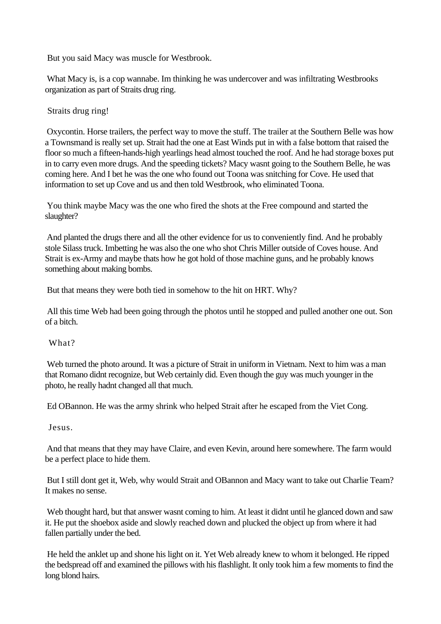But you said Macy was muscle for Westbrook.

What Macy is, is a cop wannabe. Im thinking he was undercover and was infiltrating Westbrooks organization as part of Straits drug ring.

Straits drug ring!

 Oxycontin. Horse trailers, the perfect way to move the stuff. The trailer at the Southern Belle was how a Townsmand is really set up. Strait had the one at East Winds put in with a false bottom that raised the floor so much a fifteen-hands-high yearlings head almost touched the roof. And he had storage boxes put in to carry even more drugs. And the speeding tickets? Macy wasnt going to the Southern Belle, he was coming here. And I bet he was the one who found out Toona was snitching for Cove. He used that information to set up Cove and us and then told Westbrook, who eliminated Toona.

 You think maybe Macy was the one who fired the shots at the Free compound and started the slaughter?

 And planted the drugs there and all the other evidence for us to conveniently find. And he probably stole Silass truck. Imbetting he was also the one who shot Chris Miller outside of Coves house. And Strait is ex-Army and maybe thats how he got hold of those machine guns, and he probably knows something about making bombs.

But that means they were both tied in somehow to the hit on HRT. Why?

 All this time Web had been going through the photos until he stopped and pulled another one out. Son of a bitch.

What?

 Web turned the photo around. It was a picture of Strait in uniform in Vietnam. Next to him was a man that Romano didnt recognize, but Web certainly did. Even though the guy was much younger in the photo, he really hadnt changed all that much.

Ed OBannon. He was the army shrink who helped Strait after he escaped from the Viet Cong.

Jesus.

 And that means that they may have Claire, and even Kevin, around here somewhere. The farm would be a perfect place to hide them.

 But I still dont get it, Web, why would Strait and OBannon and Macy want to take out Charlie Team? It makes no sense.

Web thought hard, but that answer wasnt coming to him. At least it didnt until he glanced down and saw it. He put the shoebox aside and slowly reached down and plucked the object up from where it had fallen partially under the bed.

 He held the anklet up and shone his light on it. Yet Web already knew to whom it belonged. He ripped the bedspread off and examined the pillows with his flashlight. It only took him a few moments to find the long blond hairs.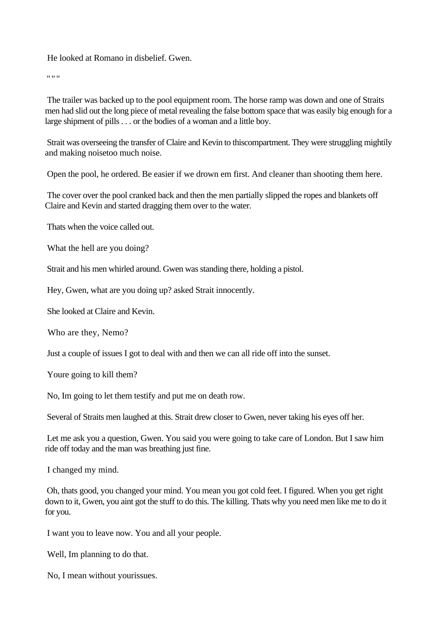He looked at Romano in disbelief. Gwen.

. . . . .

 The trailer was backed up to the pool equipment room. The horse ramp was down and one of Straits men had slid out the long piece of metal revealing the false bottom space that was easily big enough for a large shipment of pills . . . or the bodies of a woman and a little boy.

 Strait was overseeing the transfer of Claire and Kevin to thiscompartment. They were struggling mightily and making noise too much noise.

Open the pool, he ordered. Be easier if we drown em first. And cleaner than shooting them here.

 The cover over the pool cranked back and then the men partially slipped the ropes and blankets off Claire and Kevin and started dragging them over to the water.

Thats when the voice called out.

What the hell are you doing?

Strait and his men whirled around. Gwen was standing there, holding a pistol.

Hey, Gwen, what are you doing up? asked Strait innocently.

She looked at Claire and Kevin.

Who are they, Nemo?

Just a couple of issues I got to deal with and then we can all ride off into the sunset.

Youre going to kill them?

No, Im going to let them testify and put me on death row.

Several of Straits men laughed at this. Strait drew closer to Gwen, never taking his eyes off her.

 Let me ask you a question, Gwen. You said you were going to take care of London. But I saw him ride off today and the man was breathing just fine.

I changed my mind.

 Oh, thats good, you changed your mind. You mean you got cold feet. I figured. When you get right down to it, Gwen, you aint got the stuff to do this. The killing. Thats why you need men like me to do it for you.

I want you to leave now. You and all your people.

Well, Im planning to do that.

No, I mean without yourissues.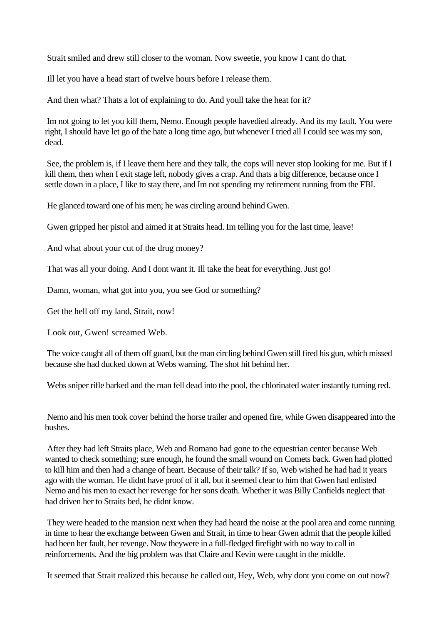Strait smiled and drew still closer to the woman. Now sweetie, you know I cant do that.

Ill let you have a head start of twelve hours before I release them.

And then what? Thats a lot of explaining to do. And youll take the heat for it?

 Im not going to let you kill them, Nemo. Enough people havedied already. And its my fault. You were right, I should have let go of the hate a long time ago, but whenever I tried all I could see was my son, dead.

 See, the problem is, if I leave them here and they talk, the cops will never stop looking for me. But if I kill them, then when I exit stage left, nobody gives a crap. And thats a big difference, because once I settle down in a place, I like to stay there, and Im not spending my retirement running from the FBI.

He glanced toward one of his men; he was circling around behind Gwen.

Gwen gripped her pistol and aimed it at Straits head. Im telling you for the last time, leave!

And what about your cut of the drug money?

That was all your doing. And I dont want it. Ill take the heat for everything. Just go!

Damn, woman, what got into you, you see God or something?

Get the hell off my land, Strait, now!

Look out, Gwen! screamed Web.

 The voice caught all of them off guard, but the man circling behind Gwen still fired his gun, which missed because she had ducked down at Webs warning. The shot hit behind her.

Webs sniper rifle barked and the man fell dead into the pool, the chlorinated water instantly turning red.

 Nemo and his men took cover behind the horse trailer and opened fire, while Gwen disappeared into the bushes.

 After they had left Straits place, Web and Romano had gone to the equestrian center because Web wanted to check something; sure enough, he found the small wound on Comets back. Gwen had plotted to kill him and then had a change of heart. Because of their talk? If so, Web wished he had had it years ago with the woman. He didnt have proof of it all, but it seemed clear to him that Gwen had enlisted Nemo and his men to exact her revenge for her sons death. Whether it was Billy Canfields neglect that had driven her to Straits bed, he didnt know.

 They were headed to the mansion next when they had heard the noise at the pool area and come running in time to hear the exchange between Gwen and Strait, in time to hear Gwen admit that the people killed had been her fault, her revenge. Now theywere in a full-fledged firefight with no way to call in reinforcements. And the big problem was that Claire and Kevin were caught in the middle.

It seemed that Strait realized this because he called out, Hey, Web, why dont you come on out now?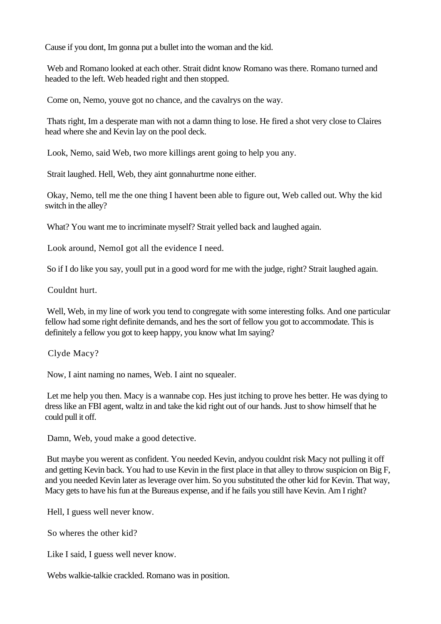Cause if you dont, Im gonna put a bullet into the woman and the kid.

 Web and Romano looked at each other. Strait didnt know Romano was there. Romano turned and headed to the left. Web headed right and then stopped.

Come on, Nemo, youve got no chance, and the cavalrys on the way.

 Thats right, Im a desperate man with not a damn thing to lose. He fired a shot very close to Claires head where she and Kevin lay on the pool deck.

Look, Nemo, said Web, two more killings arent going to help you any.

Strait laughed. Hell, Web, they aint gonnahurtme none either.

 Okay, Nemo, tell me the one thing I havent been able to figure out, Web called out. Why the kid switch in the alley?

What? You want me to incriminate myself? Strait yelled back and laughed again.

Look around, Nemo I got all the evidence I need.

So if I do like you say, youll put in a good word for me with the judge, right? Strait laughed again.

Couldnt hurt.

 Well, Web, in my line of work you tend to congregate with some interesting folks. And one particular fellow had some right definite demands, and hes the sort of fellow you got to accommodate. This is definitely a fellow you got to keep happy, you know what Im saying?

Clyde Macy?

Now, I aint naming no names, Web. I aint no squealer.

 Let me help you then. Macy is a wannabe cop. Hes just itching to prove hes better. He was dying to dress like an FBI agent, waltz in and take the kid right out of our hands. Just to show himself that he could pull it off.

Damn, Web, youd make a good detective.

 But maybe you werent as confident. You needed Kevin, andyou couldnt risk Macy not pulling it off and getting Kevin back. You had to use Kevin in the first place in that alley to throw suspicion on Big F, and you needed Kevin later as leverage over him. So you substituted the other kid for Kevin. That way, Macy gets to have his fun at the Bureaus expense, and if he fails you still have Kevin. Am I right?

Hell, I guess well never know.

So wheres the other kid?

Like I said, I guess well never know.

Webs walkie-talkie crackled. Romano was in position.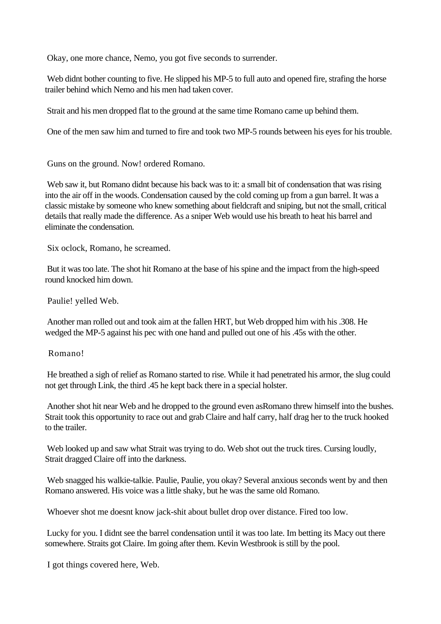Okay, one more chance, Nemo, you got five seconds to surrender.

Web didnt bother counting to five. He slipped his MP-5 to full auto and opened fire, strafing the horse trailer behind which Nemo and his men had taken cover.

Strait and his men dropped flat to the ground at the same time Romano came up behind them.

One of the men saw him and turned to fire and took two MP-5 rounds between his eyes for his trouble.

Guns on the ground. Now! ordered Romano.

Web saw it, but Romano didnt because his back was to it: a small bit of condensation that was rising into the air off in the woods. Condensation caused by the cold coming up from a gun barrel. It was a classic mistake by someone who knew something about fieldcraft and sniping, but not the small, critical details that really made the difference. As a sniper Web would use his breath to heat his barrel and eliminate the condensation.

Six oclock, Romano, he screamed.

 But it was too late. The shot hit Romano at the base of his spine and the impact from the high-speed round knocked him down.

Paulie! yelled Web.

 Another man rolled out and took aim at the fallen HRT, but Web dropped him with his .308. He wedged the MP-5 against his pec with one hand and pulled out one of his .45s with the other.

Romano!

 He breathed a sigh of relief as Romano started to rise. While it had penetrated his armor, the slug could not get through Link, the third .45 he kept back there in a special holster.

 Another shot hit near Web and he dropped to the ground even asRomano threw himself into the bushes. Strait took this opportunity to race out and grab Claire and half carry, half drag her to the truck hooked to the trailer.

 Web looked up and saw what Strait was trying to do. Web shot out the truck tires. Cursing loudly, Strait dragged Claire off into the darkness.

 Web snagged his walkie-talkie. Paulie, Paulie, you okay? Several anxious seconds went by and then Romano answered. His voice was a little shaky, but he was the same old Romano.

Whoever shot me doesnt know jack-shit about bullet drop over distance. Fired too low.

 Lucky for you. I didnt see the barrel condensation until it was too late. Im betting its Macy out there somewhere. Straits got Claire. Im going after them. Kevin Westbrook is still by the pool.

I got things covered here, Web.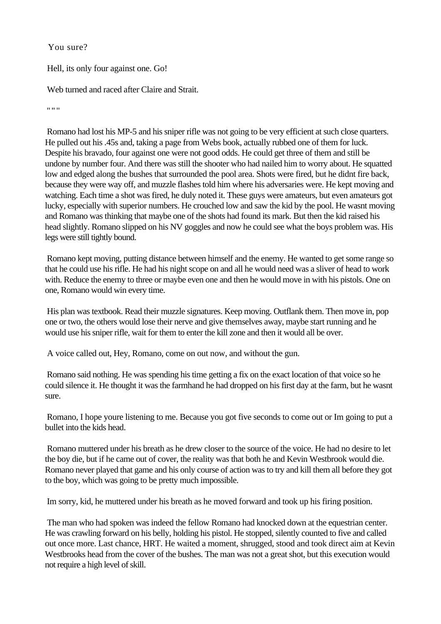## You sure?

Hell, its only four against one. Go!

Web turned and raced after Claire and Strait.

" " "

 Romano had lost his MP-5 and his sniper rifle was not going to be very efficient at such close quarters. He pulled out his .45s and, taking a page from Webs book, actually rubbed one of them for luck. Despite his bravado, four against one were not good odds. He could get three of them and still be undone by number four. And there was still the shooter who had nailed him to worry about. He squatted low and edged along the bushes that surrounded the pool area. Shots were fired, but he didnt fire back, because they were way off, and muzzle flashes told him where his adversaries were. He kept moving and watching. Each time a shot was fired, he duly noted it. These guys were amateurs, but even amateurs got lucky, especially with superior numbers. He crouched low and saw the kid by the pool. He wasnt moving and Romano was thinking that maybe one of the shots had found its mark. But then the kid raised his head slightly. Romano slipped on his NV goggles and now he could see what the boys problem was. His legs were still tightly bound.

 Romano kept moving, putting distance between himself and the enemy. He wanted to get some range so that he could use his rifle. He had his night scope on and all he would need was a sliver of head to work with. Reduce the enemy to three or maybe even one and then he would move in with his pistols. One on one, Romano would win every time.

 His plan was textbook. Read their muzzle signatures. Keep moving. Outflank them. Then move in, pop one or two, the others would lose their nerve and give themselves away, maybe start running and he would use his sniper rifle, wait for them to enter the kill zone and then it would all be over.

A voice called out, Hey, Romano, come on out now, and without the gun.

 Romano said nothing. He was spending his time getting a fix on the exact location of that voice so he could silence it. He thought it was the farmhand he had dropped on his first day at the farm, but he wasnt sure.

 Romano, I hope youre listening to me. Because you got five seconds to come out or Im going to put a bullet into the kids head.

 Romano muttered under his breath as he drew closer to the source of the voice. He had no desire to let the boy die, but if he came out of cover, the reality was that both he and Kevin Westbrook would die. Romano never played that game and his only course of action was to try and kill them all before they got to the boy, which was going to be pretty much impossible.

Im sorry, kid, he muttered under his breath as he moved forward and took up his firing position.

 The man who had spoken was indeed the fellow Romano had knocked down at the equestrian center. He was crawling forward on his belly, holding his pistol. He stopped, silently counted to five and called out once more. Last chance, HRT. He waited a moment, shrugged, stood and took direct aim at Kevin Westbrooks head from the cover of the bushes. The man was not a great shot, but this execution would not require a high level of skill.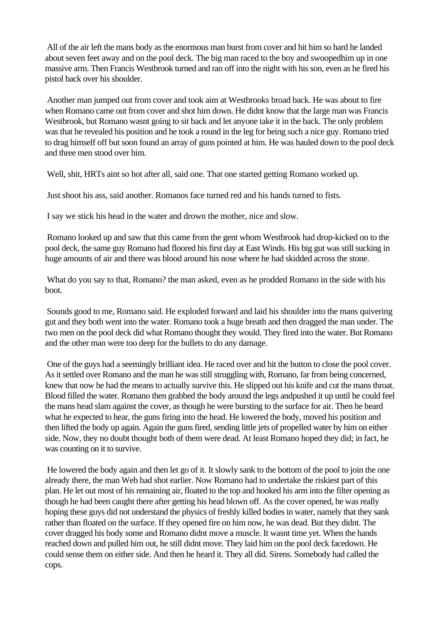All of the air left the mans body as the enormous man burst from cover and hit him so hard he landed about seven feet away and on the pool deck. The big man raced to the boy and swoopedhim up in one massive arm. Then Francis Westbrook turned and ran off into the night with his son, even as he fired his pistol back over his shoulder.

 Another man jumped out from cover and took aim at Westbrooks broad back. He was about to fire when Romano came out from cover and shot him down. He didnt know that the large man was Francis Westbrook, but Romano wasnt going to sit back and let anyone take it in the back. The only problem was that he revealed his position and he took a round in the leg for being such a nice guy. Romano tried to drag himself off but soon found an array of guns pointed at him. He was hauled down to the pool deck and three men stood over him.

Well, shit, HRTs aint so hot after all, said one. That one started getting Romano worked up.

Just shoot his ass, said another. Romanos face turned red and his hands turned to fists.

I say we stick his head in the water and drown the mother, nice and slow.

 Romano looked up and saw that this came from the gent whom Westbrook had drop-kicked on to the pool deck, the same guy Romano had floored his first day at East Winds. His big gut was still sucking in huge amounts of air and there was blood around his nose where he had skidded across the stone.

 What do you say to that, Romano? the man asked, even as he prodded Romano in the side with his boot.

 Sounds good to me, Romano said. He exploded forward and laid his shoulder into the mans quivering gut and they both went into the water. Romano took a huge breath and then dragged the man under. The two men on the pool deck did what Romano thought they would. They fired into the water. But Romano and the other man were too deep for the bullets to do any damage.

 One of the guys had a seemingly brilliant idea. He raced over and hit the button to close the pool cover. As it settled over Romano and the man he was still struggling with, Romano, far from being concerned, knew that now he had the means to actually survive this. He slipped out his knife and cut the mans throat. Blood filled the water. Romano then grabbed the body around the legs andpushed it up until he could feel the mans head slam against the cover, as though he were bursting to the surface for air. Then he heard what he expected to hear, the guns firing into the head. He lowered the body, moved his position and then lifted the body up again. Again the guns fired, sending little jets of propelled water by him on either side. Now, they no doubt thought both of them were dead. At least Romano hoped they did; in fact, he was counting on it to survive.

 He lowered the body again and then let go of it. It slowly sank to the bottom of the pool to join the one already there, the man Web had shot earlier. Now Romano had to undertake the riskiest part of this plan. He let out most of his remaining air, floated to the top and hooked his arm into the filter opening as though he had been caught there after getting his head blown off. As the cover opened, he was really hoping these guys did not understand the physics of freshly killed bodies in water, namely that they sank rather than floated on the surface. If they opened fire on him now, he was dead. But they didnt. The cover dragged his body some and Romano didnt move a muscle. It wasnt time yet. When the hands reached down and pulled him out, he still didnt move. They laid him on the pool deck facedown. He could sense them on either side. And then he heard it. They all did. Sirens. Somebody had called the cops.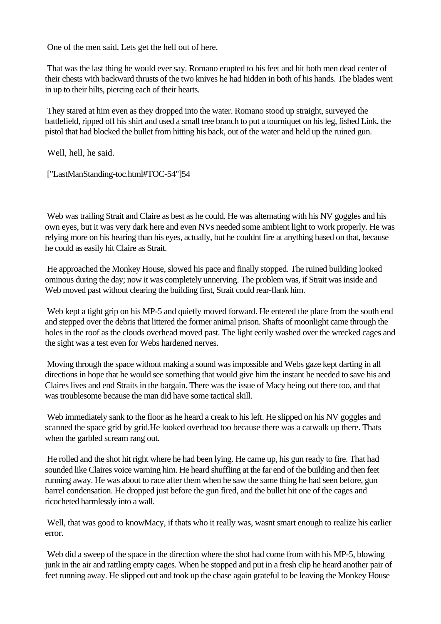One of the men said, Lets get the hell out of here.

 That was the last thing he would ever say. Romano erupted to his feet and hit both men dead center of their chests with backward thrusts of the two knives he had hidden in both of his hands. The blades went in up to their hilts, piercing each of their hearts.

 They stared at him even as they dropped into the water. Romano stood up straight, surveyed the battlefield, ripped off his shirt and used a small tree branch to put a tourniquet on his leg, fished Link, the pistol that had blocked the bullet from hitting his back, out of the water and held up the ruined gun.

Well, hell, he said.

["LastManStanding-toc.html#TOC-54"]54

Web was trailing Strait and Claire as best as he could. He was alternating with his NV goggles and his own eyes, but it was very dark here and even NVs needed some ambient light to work properly. He was relying more on his hearing than his eyes, actually, but he couldnt fire at anything based on that, because he could as easily hit Claire as Strait.

 He approached the Monkey House, slowed his pace and finally stopped. The ruined building looked ominous during the day; now it was completely unnerving. The problem was, if Strait was inside and Web moved past without clearing the building first, Strait could rear-flank him.

Web kept a tight grip on his MP-5 and quietly moved forward. He entered the place from the south end and stepped over the debris that littered the former animal prison. Shafts of moonlight came through the holes in the roof as the clouds overhead moved past. The light eerily washed over the wrecked cages and the sight was a test even for Webs hardened nerves.

 Moving through the space without making a sound was impossible and Webs gaze kept darting in all directions in hope that he would see something that would give him the instant he needed to save his and Claires lives and end Straits in the bargain. There was the issue of Macy being out there too, and that was troublesome because the man did have some tactical skill.

Web immediately sank to the floor as he heard a creak to his left. He slipped on his NV goggles and scanned the space grid by grid.He looked overhead too because there was a catwalk up there. Thats when the garbled scream rang out.

 He rolled and the shot hit right where he had been lying. He came up, his gun ready to fire. That had sounded like Claires voice warning him. He heard shuffling at the far end of the building and then feet running away. He was about to race after them when he saw the same thing he had seen before, gun barrel condensation. He dropped just before the gun fired, and the bullet hit one of the cages and ricocheted harmlessly into a wall.

Well, that was good to know Macy, if thats who it really was, wasnt smart enough to realize his earlier error.

Web did a sweep of the space in the direction where the shot had come from with his MP-5, blowing junk in the air and rattling empty cages. When he stopped and put in a fresh clip he heard another pair of feet running away. He slipped out and took up the chase again grateful to be leaving the Monkey House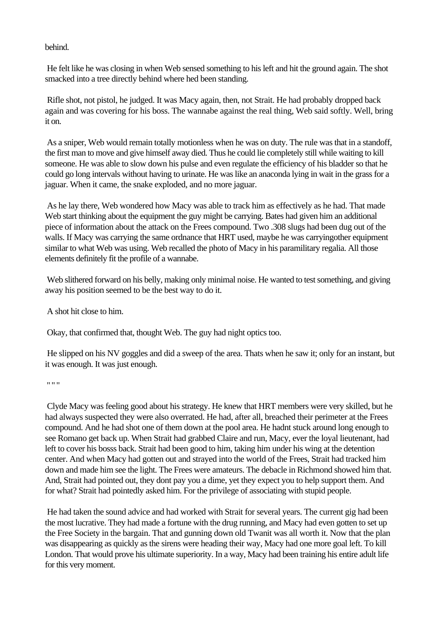## behind.

 He felt like he was closing in when Web sensed something to his left and hit the ground again. The shot smacked into a tree directly behind where hed been standing.

 Rifle shot, not pistol, he judged. It was Macy again, then, not Strait. He had probably dropped back again and was covering for his boss. The wannabe against the real thing, Web said softly. Well, bring it on.

 As a sniper, Web would remain totally motionless when he was on duty. The rule was that in a standoff, the first man to move and give himself away died. Thus he could lie completely still while waiting to kill someone. He was able to slow down his pulse and even regulate the efficiency of his bladder so that he could go long intervals without having to urinate. He was like an anaconda lying in wait in the grass for a jaguar. When it came, the snake exploded, and no more jaguar.

 As he lay there, Web wondered how Macy was able to track him as effectively as he had. That made Web start thinking about the equipment the guy might be carrying. Bates had given him an additional piece of information about the attack on the Frees compound. Two .308 slugs had been dug out of the walls. If Macy was carrying the same ordnance that HRT used, maybe he was carryingother equipment similar to what Web was using. Web recalled the photo of Macy in his paramilitary regalia. All those elements definitely fit the profile of a wannabe.

 Web slithered forward on his belly, making only minimal noise. He wanted to test something, and giving away his position seemed to be the best way to do it.

A shot hit close to him.

Okay, that confirmed that, thought Web. The guy had night optics too.

 He slipped on his NV goggles and did a sweep of the area. Thats when he saw it; only for an instant, but it was enough. It was just enough.

" " "

 Clyde Macy was feeling good about his strategy. He knew that HRT members were very skilled, but he had always suspected they were also overrated. He had, after all, breached their perimeter at the Frees compound. And he had shot one of them down at the pool area. He hadnt stuck around long enough to see Romano get back up. When Strait had grabbed Claire and run, Macy, ever the loyal lieutenant, had left to cover his bosss back. Strait had been good to him, taking him under his wing at the detention center. And when Macy had gotten out and strayed into the world of the Frees, Strait had tracked him down and made him see the light. The Frees were amateurs. The debacle in Richmond showed him that. And, Strait had pointed out, they dont pay you a dime, yet they expect you to help support them. And for what? Strait had pointedly asked him. For the privilege of associating with stupid people.

 He had taken the sound advice and had worked with Strait for several years. The current gig had been the most lucrative. They had made a fortune with the drug running, and Macy had even gotten to set up the Free Society in the bargain. That and gunning down old Twan it was all worth it. Now that the plan was disappearing as quickly as the sirens were heading their way, Macy had one more goal left. To kill London. That would prove his ultimate superiority. In a way, Macy had been training his entire adult life for this very moment.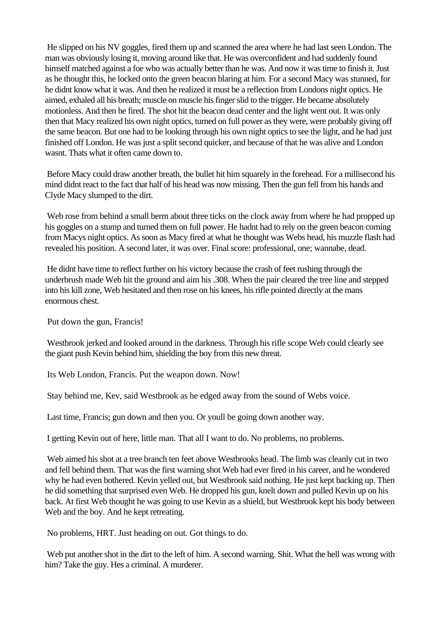He slipped on his NV goggles, fired them up and scanned the area where he had last seen London. The man was obviously losing it, moving around like that. He was overconfident and had suddenly found himself matched against a foe who was actually better than he was. And now it was time to finish it. Just as he thought this, he locked onto the green beacon blaring at him. For a second Macy was stunned, for he didnt know what it was. And then he realized it must be a reflection from Londons night optics. He aimed, exhaled all his breath; muscle on muscle his finger slid to the trigger. He became absolutely motionless. And then he fired. The shot hit the beacon dead center and the light went out. It was only then that Macy realized his own night optics, turned on full power as they were, were probably giving off the same beacon. But one had to be looking through his own night optics to see the light, and he had just finished off London. He was just a split second quicker, and because of that he was alive and London wasnt. Thats what it often came down to.

 Before Macy could draw another breath, the bullet hit him squarely in the forehead. For a millisecond his mind didnt react to the fact that half of his head was now missing. Then the gun fell from his hands and Clyde Macy slumped to the dirt.

Web rose from behind a small berm about three ticks on the clock away from where he had propped up his goggles on a stump and turned them on full power. He hadnt had to rely on the green beacon coming from Macys night optics. As soon as Macy fired at what he thought was Webs head, his muzzle flash had revealed his position. A second later, it was over. Final score: professional, one; wannabe, dead.

 He didnt have time to reflect further on his victory because the crash of feet rushing through the underbrush made Web hit the ground and aim his .308. When the pair cleared the tree line and stepped into his kill zone, Web hesitated and then rose on his knees, his rifle pointed directly at the mans enormous chest.

Put down the gun, Francis!

 Westbrook jerked and looked around in the darkness. Through his rifle scope Web could clearly see the giant push Kevin behind him, shielding the boy from this new threat.

Its Web London, Francis. Put the weapon down. Now!

Stay behind me, Kev, said Westbrook as he edged away from the sound of Webs voice.

Last time, Francis; gun down and then you. Or youll be going down another way.

I getting Kevin out of here, little man. That all I want to do. No problems, no problems.

Web aimed his shot at a tree branch ten feet above Westbrooks head. The limb was cleanly cut in two and fell behind them. That was the first warning shot Web had ever fired in his career, and he wondered why he had even bothered. Kevin yelled out, but Westbrook said nothing. He just kept backing up. Then he did something that surprised even Web. He dropped his gun, knelt down and pulled Kevin up on his back. At first Web thought he was going to use Kevin as a shield, but Westbrook kept his body between Web and the boy. And he kept retreating.

No problems, HRT. Just heading on out. Got things to do.

Web put another shot in the dirt to the left of him. A second warning. Shit. What the hell was wrong with him? Take the guy. Hes a criminal. A murderer.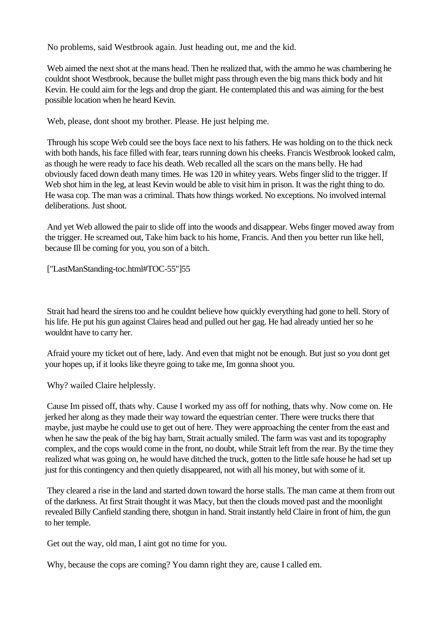No problems, said Westbrook again. Just heading out, me and the kid.

 Web aimed the next shot at the mans head. Then he realized that, with the ammo he was chambering he couldnt shoot Westbrook, because the bullet might pass through even the big mans thick body and hit Kevin. He could aim for the legs and drop the giant. He contemplated this and was aiming for the best possible location when he heard Kevin.

Web, please, dont shoot my brother. Please. He just helping me.

 Through his scope Web could see the boys face next to his fathers. He was holding on to the thick neck with both hands, his face filled with fear, tears running down his cheeks. Francis Westbrook looked calm, as though he were ready to face his death. Web recalled all the scars on the mans belly. He had obviously faced down death many times. He was 120 in whitey years. Webs finger slid to the trigger. If Web shot him in the leg, at least Kevin would be able to visit him in prison. It was the right thing to do. He wasa cop. The man was a criminal. Thats how things worked. No exceptions. No involved internal deliberations. Just shoot.

 And yet Web allowed the pair to slide off into the woods and disappear. Webs finger moved away from the trigger. He screamed out, Take him back to his home, Francis. And then you better run like hell, because Ill be coming for you, you son of a bitch.

["LastManStanding-toc.html#TOC-55"]55

 Strait had heard the sirens too and he couldnt believe how quickly everything had gone to hell. Story of his life. He put his gun against Claires head and pulled out her gag. He had already untied her so he wouldnt have to carry her.

 Afraid youre my ticket out of here, lady. And even that might not be enough. But just so you dont get your hopes up, if it looks like theyre going to take me, Im gonna shoot you.

Why? wailed Claire helplessly.

 Cause Im pissed off, thats why. Cause I worked my ass off for nothing, thats why. Now come on. He jerked her along as they made their way toward the equestrian center. There were trucks there that maybe, just maybe he could use to get out of here. They were approaching the center from the east and when he saw the peak of the big hay barn, Strait actually smiled. The farm was vast and its topography complex, and the cops would come in the front, no doubt, while Strait left from the rear. By the time they realized what was going on, he would have ditched the truck, gotten to the little safe house he had set up just for this contingency and then quietly disappeared, not with all his money, but with some of it.

 They cleared a rise in the land and started down toward the horse stalls. The man came at them from out of the darkness. At first Strait thought it was Macy, but then the clouds moved past and the moonlight revealed Billy Canfield standing there, shotgun in hand. Strait instantly held Claire in front of him, the gun to her temple.

Get out the way, old man, I aint got no time for you.

Why, because the cops are coming? You damn right they are, cause I called em.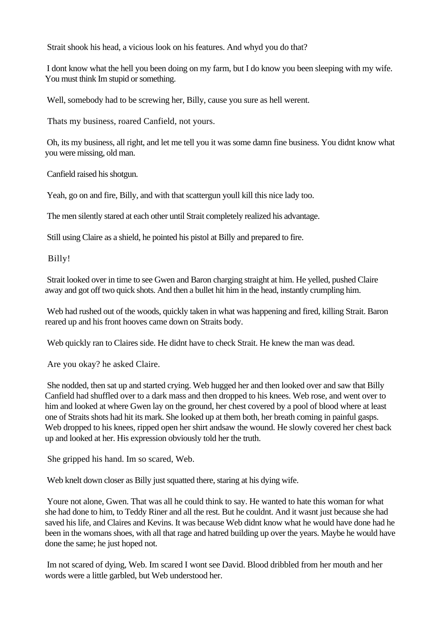Strait shook his head, a vicious look on his features. And whyd you do that?

 I dont know what the hell you been doing on my farm, but I do know you been sleeping with my wife. You must think Im stupid or something.

Well, somebody had to be screwing her, Billy, cause you sure as hell werent.

Thats my business, roared Canfield, not yours.

 Oh, its my business, all right, and let me tell you it was some damn fine business. You didnt know what you were missing, old man.

Canfield raised his shotgun.

Yeah, go on and fire, Billy, and with that scattergun youll kill this nice lady too.

The men silently stared at each other until Strait completely realized his advantage.

Still using Claire as a shield, he pointed his pistol at Billy and prepared to fire.

Billy!

 Strait looked over in time to see Gwen and Baron charging straight at him. He yelled, pushed Claire away and got off two quick shots. And then a bullet hit him in the head, instantly crumpling him.

 Web had rushed out of the woods, quickly taken in what was happening and fired, killing Strait. Baron reared up and his front hooves came down on Straits body.

Web quickly ran to Claires side. He didnt have to check Strait. He knew the man was dead.

Are you okay? he asked Claire.

 She nodded, then sat up and started crying. Web hugged her and then looked over and saw that Billy Canfield had shuffled over to a dark mass and then dropped to his knees. Web rose, and went over to him and looked at where Gwen lay on the ground, her chest covered by a pool of blood where at least one of Straits shots had hit its mark. She looked up at them both, her breath coming in painful gasps. Web dropped to his knees, ripped open her shirt andsaw the wound. He slowly covered her chest back up and looked at her. His expression obviously told her the truth.

She gripped his hand. Im so scared, Web.

Web knelt down closer as Billy just squatted there, staring at his dying wife.

 Youre not alone, Gwen. That was all he could think to say. He wanted to hate this woman for what she had done to him, to Teddy Riner and all the rest. But he couldnt. And it wasnt just because she had saved his life, and Claires and Kevins. It was because Web didnt know what he would have done had he been in the womans shoes, with all that rage and hatred building up over the years. Maybe he would have done the same; he just hoped not.

 Im not scared of dying, Web. Im scared I wont see David. Blood dribbled from her mouth and her words were a little garbled, but Web understood her.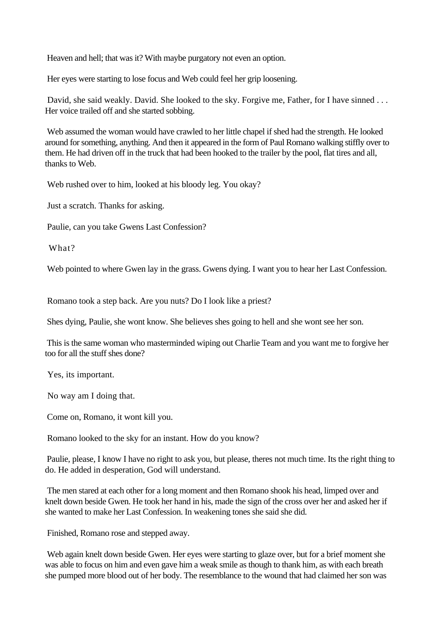Heaven and hell; that was it? With maybe purgatory not even an option.

Her eyes were starting to lose focus and Web could feel her grip loosening.

David, she said weakly. David. She looked to the sky. Forgive me, Father, for I have sinned ... Her voice trailed off and she started sobbing.

 Web assumed the woman would have crawled to her little chapel if shed had the strength. He looked around for something, anything. And then it appeared in the form of Paul Romano walking stiffly over to them. He had driven off in the truck that had been hooked to the trailer by the pool, flat tires and all, thanks to Web.

Web rushed over to him, looked at his bloody leg. You okay?

Just a scratch. Thanks for asking.

Paulie, can you take Gwens Last Confession?

What?

Web pointed to where Gwen lay in the grass. Gwens dying. I want you to hear her Last Confession.

Romano took a step back. Are you nuts? Do I look like a priest?

Shes dying, Paulie, she wont know. She believes shes going to hell and she wont see her son.

 This is the same woman who masterminded wiping out Charlie Team and you want me to forgive her too for all the stuff shes done?

Yes, its important.

No way am I doing that.

Come on, Romano, it wont kill you.

Romano looked to the sky for an instant. How do you know?

 Paulie, please, I know I have no right to ask you, but please, theres not much time. Its the right thing to do. He added in desperation, God will understand.

 The men stared at each other for a long moment and then Romano shook his head, limped over and knelt down beside Gwen. He took her hand in his, made the sign of the cross over her and asked her if she wanted to make her Last Confession. In weakening tones she said she did.

Finished, Romano rose and stepped away.

 Web again knelt down beside Gwen. Her eyes were starting to glaze over, but for a brief moment she was able to focus on him and even gave him a weak smile as though to thank him, as with each breath she pumped more blood out of her body. The resemblance to the wound that had claimed her son was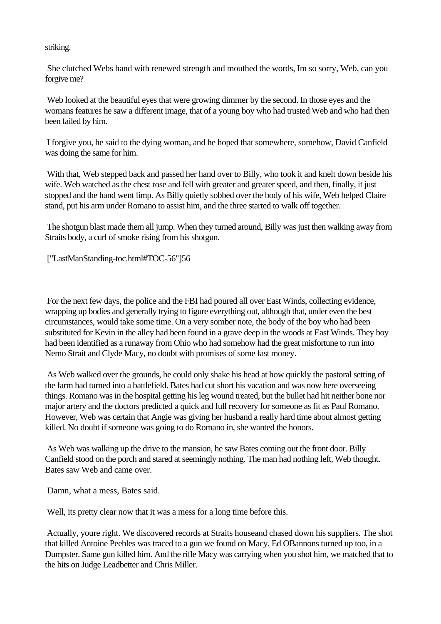striking.

 She clutched Webs hand with renewed strength and mouthed the words, Im so sorry, Web, can you forgive me?

 Web looked at the beautiful eyes that were growing dimmer by the second. In those eyes and the womans features he saw a different image, that of a young boy who had trusted Web and who had then been failed by him.

 I forgive you, he said to the dying woman, and he hoped that somewhere, somehow, David Canfield was doing the same for him.

 With that, Web stepped back and passed her hand over to Billy, who took it and knelt down beside his wife. Web watched as the chest rose and fell with greater and greater speed, and then, finally, it just stopped and the hand went limp. As Billy quietly sobbed over the body of his wife, Web helped Claire stand, put his arm under Romano to assist him, and the three started to walk off together.

 The shotgun blast made them all jump. When they turned around, Billy was just then walking away from Straits body, a curl of smoke rising from his shotgun.

["LastManStanding-toc.html#TOC-56"]56

 For the next few days, the police and the FBI had poured all over East Winds, collecting evidence, wrapping up bodies and generally trying to figure everything out, although that, under even the best circumstances, would take some time. On a very somber note, the body of the boy who had been substituted for Kevin in the alley had been found in a grave deep in the woods at East Winds. They boy had been identified as a runaway from Ohio who had somehow had the great misfortune to run into Nemo Strait and Clyde Macy, no doubt with promises of some fast money.

 As Web walked over the grounds, he could only shake his head at how quickly the pastoral setting of the farm had turned into a battlefield. Bates had cut short his vacation and was now here overseeing things. Romano was in the hospital getting his leg wound treated, but the bullet had hit neither bone nor major artery and the doctors predicted a quick and full recovery for someone as fit as Paul Romano. However, Web was certain that Angie was giving her husband a really hard time about almost getting killed. No doubt if someone was going to do Romano in, she wanted the honors.

 As Web was walking up the drive to the mansion, he saw Bates coming out the front door. Billy Canfield stood on the porch and stared at seemingly nothing. The man had nothing left, Web thought. Bates saw Web and came over.

Damn, what a mess, Bates said.

Well, its pretty clear now that it was a mess for a long time before this.

 Actually, youre right. We discovered records at Straits houseand chased down his suppliers. The shot that killed Antoine Peebles was traced to a gun we found on Macy. Ed OBannons turned up too, in a Dumpster. Same gun killed him. And the rifle Macy was carrying when you shot him, we matched that to the hits on Judge Leadbetter and Chris Miller.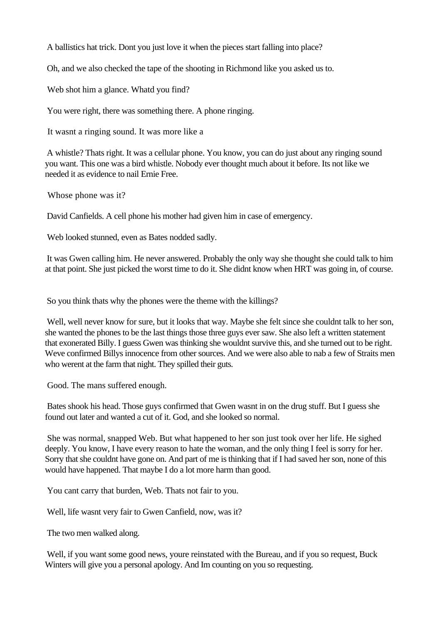A ballistics hat trick. Dont you just love it when the pieces start falling into place?

Oh, and we also checked the tape of the shooting in Richmond like you asked us to.

Web shot him a glance. Whatd you find?

You were right, there was something there. A phone ringing.

It wasnt a ringing sound. It was more like a

 A whistle? Thats right. It was a cellular phone. You know, you can do just about any ringing sound you want. This one was a bird whistle. Nobody ever thought much about it before. Its not like we needed it as evidence to nail Ernie Free.

Whose phone was it?

David Canfields. A cell phone his mother had given him in case of emergency.

Web looked stunned, even as Bates nodded sadly.

 It was Gwen calling him. He never answered. Probably the only way she thought she could talk to him at that point. She just picked the worst time to do it. She didnt know when HRT was going in, of course.

So you think thats why the phones were the theme with the killings?

 Well, well never know for sure, but it looks that way. Maybe she felt since she couldnt talk to her son, she wanted the phones to be the last things those three guys ever saw. She also left a written statement that exonerated Billy. I guess Gwen was thinking she wouldnt survive this, and she turned out to be right. Weve confirmed Billys innocence from other sources. And we were also able to nab a few of Straits men who werent at the farm that night. They spilled their guts.

Good. The mans suffered enough.

 Bates shook his head. Those guys confirmed that Gwen wasnt in on the drug stuff. But I guess she found out later and wanted a cut of it. God, and she looked so normal.

 She was normal, snapped Web. But what happened to her son just took over her life. He sighed deeply. You know, I have every reason to hate the woman, and the only thing I feel is sorry for her. Sorry that she couldnt have gone on. And part of me is thinking that if I had saved her son, none of this would have happened. That maybe I do a lot more harm than good.

You cant carry that burden, Web. Thats not fair to you.

Well, life wasnt very fair to Gwen Canfield, now, was it?

The two men walked along.

 Well, if you want some good news, youre reinstated with the Bureau, and if you so request, Buck Winters will give you a personal apology. And Im counting on you so requesting.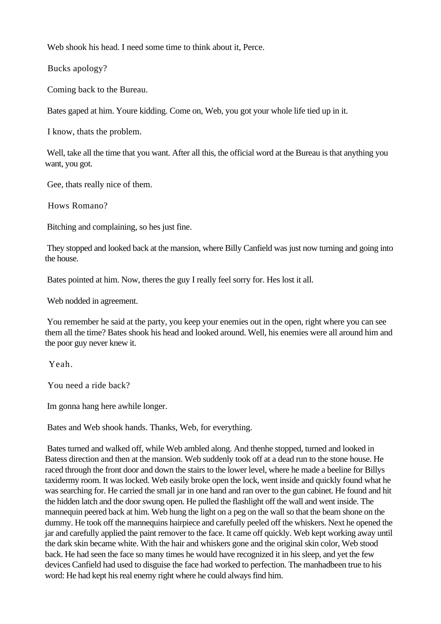Web shook his head. I need some time to think about it, Perce.

Bucks apology?

Coming back to the Bureau.

Bates gaped at him. Youre kidding. Come on, Web, you got your whole life tied up in it.

I know, thats the problem.

 Well, take all the time that you want. After all this, the official word at the Bureau is that anything you want, you got.

Gee, thats really nice of them.

Hows Romano?

Bitching and complaining, so hes just fine.

 They stopped and looked back at the mansion, where Billy Canfield was just now turning and going into the house.

Bates pointed at him. Now, theres the guy I really feel sorry for. Hes lost it all.

Web nodded in agreement.

 You remember he said at the party, you keep your enemies out in the open, right where you can see them all the time? Bates shook his head and looked around. Well, his enemies were all around him and the poor guy never knew it.

Yeah.

You need a ride back?

Im gonna hang here awhile longer.

Bates and Web shook hands. Thanks, Web, for everything.

 Bates turned and walked off, while Web ambled along. And thenhe stopped, turned and looked in Batess direction and then at the mansion. Web suddenly took off at a dead run to the stone house. He raced through the front door and down the stairs to the lower level, where he made a beeline for Billys taxidermy room. It was locked. Web easily broke open the lock, went inside and quickly found what he was searching for. He carried the small jar in one hand and ran over to the gun cabinet. He found and hit the hidden latch and the door swung open. He pulled the flashlight off the wall and went inside. The mannequin peered back at him. Web hung the light on a peg on the wall so that the beam shone on the dummy. He took off the mannequins hairpiece and carefully peeled off the whiskers. Next he opened the jar and carefully applied the paint remover to the face. It came off quickly. Web kept working away until the dark skin became white. With the hair and whiskers gone and the original skin color, Web stood back. He had seen the face so many times he would have recognized it in his sleep, and yet the few devices Canfield had used to disguise the face had worked to perfection. The manhadbeen true to his word: He had kept his real enemy right where he could always find him.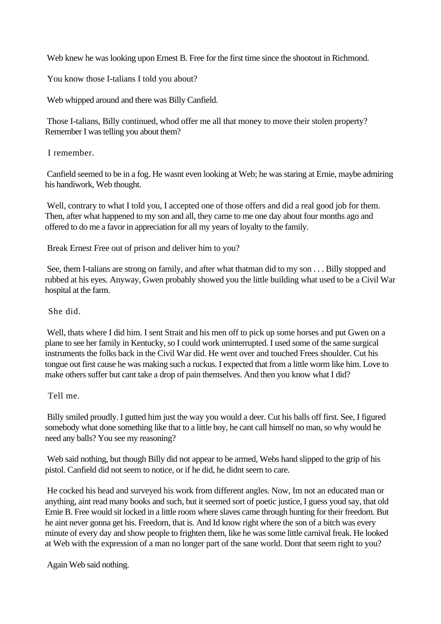Web knew he was looking upon Ernest B. Free for the first time since the shootout in Richmond.

You know those I-talians I told you about?

Web whipped around and there was Billy Canfield.

 Those I-talians, Billy continued, whod offer me all that money to move their stolen property? Remember I was telling you about them?

I remember.

 Canfield seemed to be in a fog. He wasnt even looking at Web; he was staring at Ernie, maybe admiring his handiwork, Web thought.

 Well, contrary to what I told you, I accepted one of those offers and did a real good job for them. Then, after what happened to my son and all, they came to me one day about four months ago and offered to do me a favor in appreciation for all my years of loyalty to the family.

Break Ernest Free out of prison and deliver him to you?

 See, them I-talians are strong on family, and after what thatman did to my son . . . Billy stopped and rubbed at his eyes. Anyway, Gwen probably showed you the little building what used to be a Civil War hospital at the farm.

She did.

 Well, thats where I did him. I sent Strait and his men off to pick up some horses and put Gwen on a plane to see her family in Kentucky, so I could work uninterrupted. I used some of the same surgical instruments the folks back in the Civil War did. He went over and touched Frees shoulder. Cut his tongue out first cause he was making such a ruckus. I expected that from a little worm like him. Love to make others suffer but cant take a drop of pain themselves. And then you know what I did?

Tell me.

 Billy smiled proudly. I gutted him just the way you would a deer. Cut his balls off first. See, I figured somebody what done something like that to a little boy, he cant call himself no man, so why would he need any balls? You see my reasoning?

 Web said nothing, but though Billy did not appear to be armed, Webs hand slipped to the grip of his pistol. Canfield did not seem to notice, or if he did, he didnt seem to care.

 He cocked his head and surveyed his work from different angles. Now, Im not an educated man or anything, aint read many books and such, but it seemed sort of poetic justice, I guess youd say, that old Ernie B. Free would sit locked in a little room where slaves came through hunting for their freedom. But he aint never gonna get his. Freedom, that is. And Id know right where the son of a bitch was every minute of every day and show people to frighten them, like he was some little carnival freak. He looked at Web with the expression of a man no longer part of the sane world. Dont that seem right to you?

Again Web said nothing.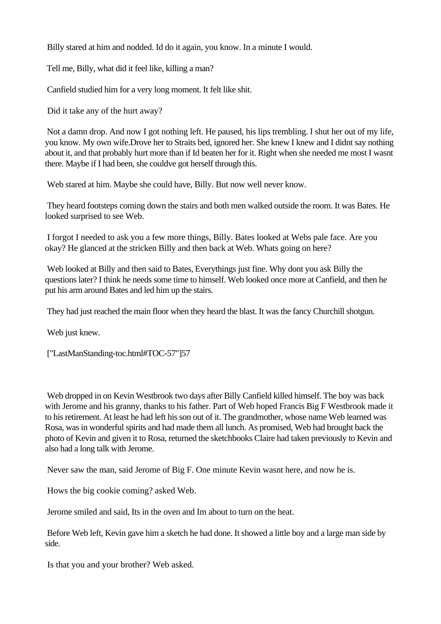Billy stared at him and nodded. Id do it again, you know. In a minute I would.

Tell me, Billy, what did it feel like, killing a man?

Canfield studied him for a very long moment. It felt like shit.

Did it take any of the hurt away?

 Not a damn drop. And now I got nothing left. He paused, his lips trembling. I shut her out of my life, you know. My own wife.Drove her to Straits bed, ignored her. She knew I knew and I didnt say nothing about it, and that probably hurt more than if Id beaten her for it. Right when she needed me most I wasnt there. Maybe if I had been, she couldve got herself through this.

Web stared at him. Maybe she could have, Billy. But now well never know.

 They heard footsteps coming down the stairs and both men walked outside the room. It was Bates. He looked surprised to see Web.

 I forgot I needed to ask you a few more things, Billy. Bates looked at Webs pale face. Are you okay? He glanced at the stricken Billy and then back at Web. Whats going on here?

 Web looked at Billy and then said to Bates, Everythings just fine. Why dont you ask Billy the questions later? I think he needs some time to himself. Web looked once more at Canfield, and then he put his arm around Bates and led him up the stairs.

They had just reached the main floor when they heard the blast. It was the fancy Churchill shotgun.

Web just knew.

["LastManStanding-toc.html#TOC-57"]57

 Web dropped in on Kevin Westbrook two days after Billy Canfield killed himself. The boy was back with Jerome and his granny, thanks to his father. Part of Web hoped Francis Big F Westbrook made it to his retirement. At least he had left his son out of it. The grandmother, whose name Web learned was Rosa, was in wonderful spirits and had made them all lunch. As promised, Web had brought back the photo of Kevin and given it to Rosa, returned the sketchbooks Claire had taken previously to Kevin and also had a long talk with Jerome.

Never saw the man, said Jerome of Big F. One minute Kevin wasnt here, and now he is.

Hows the big cookie coming? asked Web.

Jerome smiled and said, Its in the oven and Im about to turn on the heat.

 Before Web left, Kevin gave him a sketch he had done. It showed a little boy and a large man side by side.

Is that you and your brother? Web asked.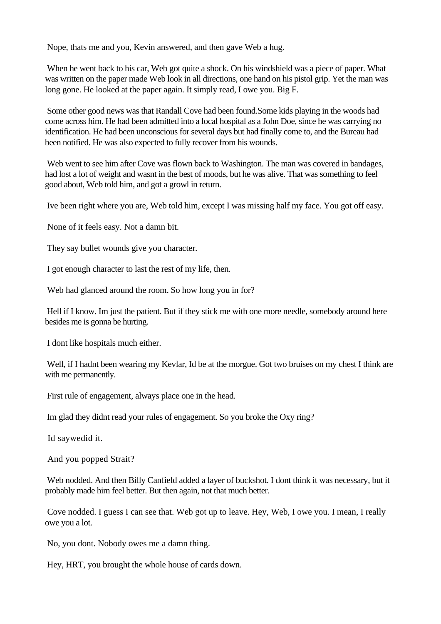Nope, thats me and you, Kevin answered, and then gave Web a hug.

 When he went back to his car, Web got quite a shock. On his windshield was a piece of paper. What was written on the paper made Web look in all directions, one hand on his pistol grip. Yet the man was long gone. He looked at the paper again. It simply read, I owe you. Big F.

 Some other good news was that Randall Cove had been found.Some kids playing in the woods had come across him. He had been admitted into a local hospital as a John Doe, since he was carrying no identification. He had been unconscious for several days but had finally come to, and the Bureau had been notified. He was also expected to fully recover from his wounds.

Web went to see him after Cove was flown back to Washington. The man was covered in bandages, had lost a lot of weight and wasnt in the best of moods, but he was alive. That was something to feel good about, Web told him, and got a growl in return.

Ive been right where you are, Web told him, except I was missing half my face. You got off easy.

None of it feels easy. Not a damn bit.

They say bullet wounds give you character.

I got enough character to last the rest of my life, then.

Web had glanced around the room. So how long you in for?

Hell if I know. Im just the patient. But if they stick me with one more needle, somebody around here besides me is gonna be hurting.

I dont like hospitals much either.

 Well, if I hadnt been wearing my Kevlar, Id be at the morgue. Got two bruises on my chest I think are with me permanently.

First rule of engagement, always place one in the head.

Im glad they didnt read your rules of engagement. So you broke the Oxy ring?

Id saywedid it.

And you popped Strait?

 Web nodded. And then Billy Canfield added a layer of buckshot. I dont think it was necessary, but it probably made him feel better. But then again, not that much better.

 Cove nodded. I guess I can see that. Web got up to leave. Hey, Web, I owe you. I mean, I really owe you a lot.

No, you dont. Nobody owes me a damn thing.

Hey, HRT, you brought the whole house of cards down.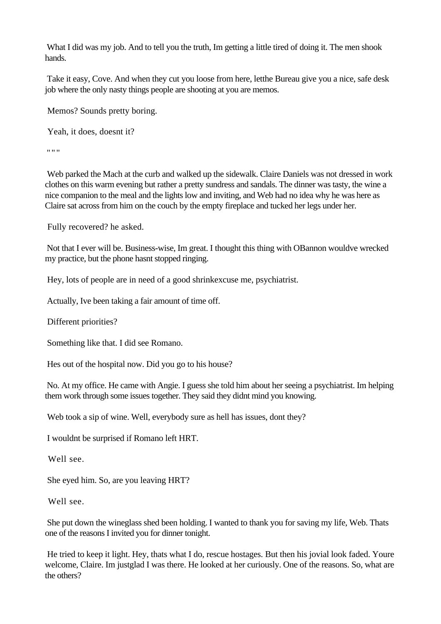What I did was my job. And to tell you the truth. Im getting a little tired of doing it. The men shook hands.

 Take it easy, Cove. And when they cut you loose from here, letthe Bureau give you a nice, safe desk job where the only nasty things people are shooting at you are memos.

Memos? Sounds pretty boring.

Yeah, it does, doesnt it?

" " "

 Web parked the Mach at the curb and walked up the sidewalk. Claire Daniels was not dressed in work clothes on this warm evening but rather a pretty sundress and sandals. The dinner was tasty, the wine a nice companion to the meal and the lights low and inviting, and Web had no idea why he was here as Claire sat across from him on the couch by the empty fireplace and tucked her legs under her.

Fully recovered? he asked.

 Not that I ever will be. Business-wise, Im great. I thought this thing with OBannon wouldve wrecked my practice, but the phone hasnt stopped ringing.

Hey, lots of people are in need of a good shrink excuse me, psychiatrist.

Actually, Ive been taking a fair amount of time off.

Different priorities?

Something like that. I did see Romano.

Hes out of the hospital now. Did you go to his house?

 No. At my office. He came with Angie. I guess she told him about her seeing a psychiatrist. Im helping them work through some issues together. They said they didnt mind you knowing.

Web took a sip of wine. Well, everybody sure as hell has issues, dont they?

I wouldnt be surprised if Romano left HRT.

Well see.

She eyed him. So, are you leaving HRT?

Well see.

 She put down the wineglass shed been holding. I wanted to thank you for saving my life, Web. Thats one of the reasons I invited you for dinner tonight.

 He tried to keep it light. Hey, thats what I do, rescue hostages. But then his jovial look faded. Youre welcome, Claire. Im justglad I was there. He looked at her curiously. One of the reasons. So, what are the others?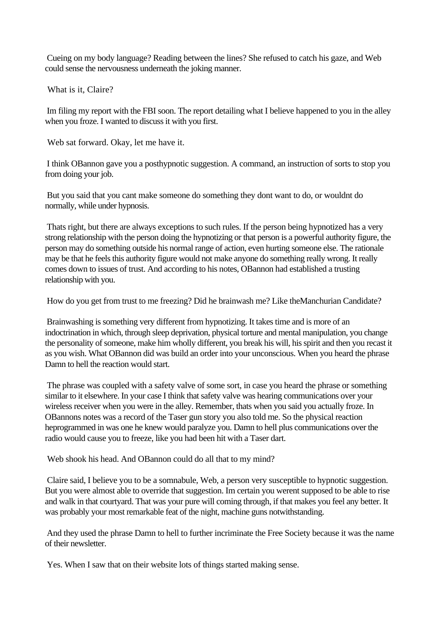Cueing on my body language? Reading between the lines? She refused to catch his gaze, and Web could sense the nervousness underneath the joking manner.

What is it, Claire?

 Im filing my report with the FBI soon. The report detailing what I believe happened to you in the alley when you froze. I wanted to discuss it with you first.

Web sat forward. Okay, let me have it.

 I think OBannon gave you a posthypnotic suggestion. A command, an instruction of sorts to stop you from doing your job.

 But you said that you cant make someone do something they dont want to do, or wouldnt do normally, while under hypnosis.

 Thats right, but there are always exceptions to such rules. If the person being hypnotized has a very strong relationship with the person doing the hypnotizing or that person is a powerful authority figure, the person may do something outside his normal range of action, even hurting someone else. The rationale may be that he feels this authority figure would not make anyone do something really wrong. It really comes down to issues of trust. And according to his notes, OBannon had established a trusting relationship with you.

How do you get from trust to me freezing? Did he brainwash me? Like theManchurian Candidate?

 Brainwashing is something very different from hypnotizing. It takes time and is more of an indoctrination in which, through sleep deprivation, physical torture and mental manipulation, you change the personality of someone, make him wholly different, you break his will, his spirit and then you recast it as you wish. What OBannon did was build an order into your unconscious. When you heard the phrase Damn to hell the reaction would start.

 The phrase was coupled with a safety valve of some sort, in case you heard the phrase or something similar to it elsewhere. In your case I think that safety valve was hearing communications over your wireless receiver when you were in the alley. Remember, thats when you said you actually froze. In OBannons notes was a record of the Taser gun story you also told me. So the physical reaction heprogrammed in was one he knew would paralyze you. Damn to hell plus communications over the radio would cause you to freeze, like you had been hit with a Taser dart.

Web shook his head. And OBannon could do all that to my mind?

 Claire said, I believe you to be a somnabule, Web, a person very susceptible to hypnotic suggestion. But you were almost able to override that suggestion. Im certain you werent supposed to be able to rise and walk in that courtyard. That was your pure will coming through, if that makes you feel any better. It was probably your most remarkable feat of the night, machine guns notwithstanding.

 And they used the phrase Damn to hell to further incriminate the Free Society because it was the name of their newsletter.

Yes. When I saw that on their website lots of things started making sense.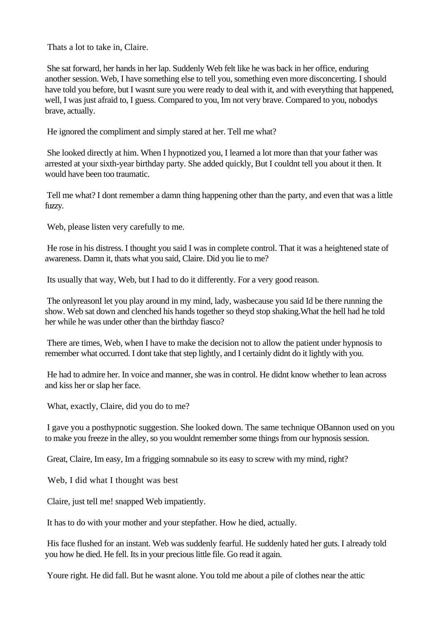Thats a lot to take in, Claire.

 She sat forward, her hands in her lap. Suddenly Web felt like he was back in her office, enduring another session. Web, I have something else to tell you, something even more disconcerting. I should have told you before, but I wasnt sure you were ready to deal with it, and with everything that happened, well, I was just afraid to, I guess. Compared to you, Im not very brave. Compared to you, nobodys brave, actually.

He ignored the compliment and simply stared at her. Tell me what?

 She looked directly at him. When I hypnotized you, I learned a lot more than that your father was arrested at your sixth-year birthday party. She added quickly, But I couldnt tell you about it then. It would have been too traumatic.

 Tell me what? I dont remember a damn thing happening other than the party, and even that was a little fuzzy.

Web, please listen very carefully to me.

 He rose in his distress. I thought you said I was in complete control. That it was a heightened state of awareness. Damn it, thats what you said, Claire. Did you lie to me?

Its usually that way, Web, but I had to do it differently. For a very good reason.

 The onlyreasonI let you play around in my mind, lady, wasbecause you said Id be there running the show. Web sat down and clenched his hands together so theyd stop shaking.What the hell had he told her while he was under other than the birthday fiasco?

 There are times, Web, when I have to make the decision not to allow the patient under hypnosis to remember what occurred. I dont take that step lightly, and I certainly didnt do it lightly with you.

 He had to admire her. In voice and manner, she was in control. He didnt know whether to lean across and kiss her or slap her face.

What, exactly, Claire, did you do to me?

 I gave you a posthypnotic suggestion. She looked down. The same technique OBannon used on you to make you freeze in the alley, so you wouldnt remember some things from our hypnosis session.

Great, Claire, Im easy, Im a frigging somnabule so its easy to screw with my mind, right?

Web, I did what I thought was best

Claire, just tell me! snapped Web impatiently.

It has to do with your mother and your stepfather. How he died, actually.

 His face flushed for an instant. Web was suddenly fearful. He suddenly hated her guts. I already told you how he died. He fell. Its in your precious little file. Go read it again.

Youre right. He did fall. But he wasnt alone. You told me about a pile of clothes near the attic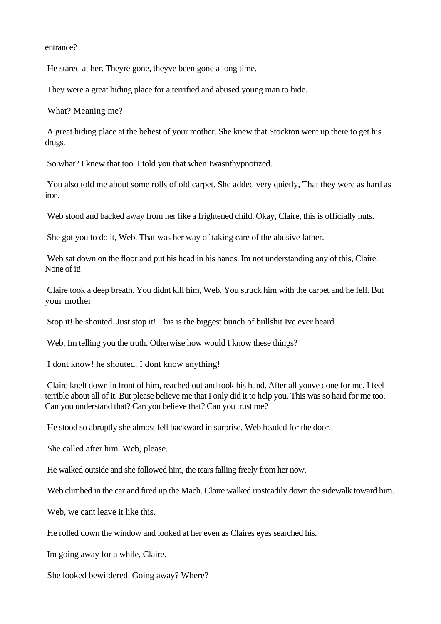entrance?

He stared at her. Theyre gone, theyve been gone a long time.

They were a great hiding place for a terrified and abused young man to hide.

What? Meaning me?

 A great hiding place at the behest of your mother. She knew that Stockton went up there to get his drugs.

So what? I knew that too. I told you that when Iwasnthypnotized.

 You also told me about some rolls of old carpet. She added very quietly, That they were as hard as iron.

Web stood and backed away from her like a frightened child. Okay, Claire, this is officially nuts.

She got you to do it, Web. That was her way of taking care of the abusive father.

 Web sat down on the floor and put his head in his hands. Im not understanding any of this, Claire. None of it!

 Claire took a deep breath. You didnt kill him, Web. You struck him with the carpet and he fell. But your mother

Stop it! he shouted. Just stop it! This is the biggest bunch of bullshit Ive ever heard.

Web, Im telling you the truth. Otherwise how would I know these things?

I dont know! he shouted. I dont know anything!

 Claire knelt down in front of him, reached out and took his hand. After all youve done for me, I feel terrible about all of it. But please believe me that I only did it to help you. This was so hard for me too. Can you understand that? Can you believe that? Can you trust me?

He stood so abruptly she almost fell backward in surprise. Web headed for the door.

She called after him. Web, please.

He walked outside and she followed him, the tears falling freely from her now.

Web climbed in the car and fired up the Mach. Claire walked unsteadily down the sidewalk toward him.

Web, we cant leave it like this.

He rolled down the window and looked at her even as Claires eyes searched his.

Im going away for a while, Claire.

She looked bewildered. Going away? Where?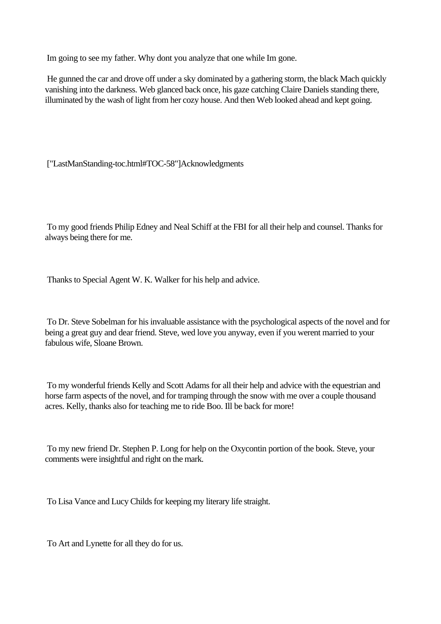Im going to see my father. Why dont you analyze that one while Im gone.

 He gunned the car and drove off under a sky dominated by a gathering storm, the black Mach quickly vanishing into the darkness. Web glanced back once, his gaze catching Claire Daniels standing there, illuminated by the wash of light from her cozy house. And then Web looked ahead and kept going.

["LastManStanding-toc.html#TOC-58"]Acknowledgments

 To my good friends Philip Edney and Neal Schiff at the FBI for all their help and counsel. Thanks for always being there for me.

Thanks to Special Agent W. K. Walker for his help and advice.

 To Dr. Steve Sobelman for his invaluable assistance with the psychological aspects of the novel and for being a great guy and dear friend. Steve, wed love you anyway, even if you werent married to your fabulous wife, Sloane Brown.

 To my wonderful friends Kelly and Scott Adams for all their help and advice with the equestrian and horse farm aspects of the novel, and for tramping through the snow with me over a couple thousand acres. Kelly, thanks also for teaching me to ride Boo. Ill be back for more!

 To my new friend Dr. Stephen P. Long for help on the Oxycontin portion of the book. Steve, your comments were insightful and right on the mark.

To Lisa Vance and Lucy Childs for keeping my literary life straight.

To Art and Lynette for all they do for us.